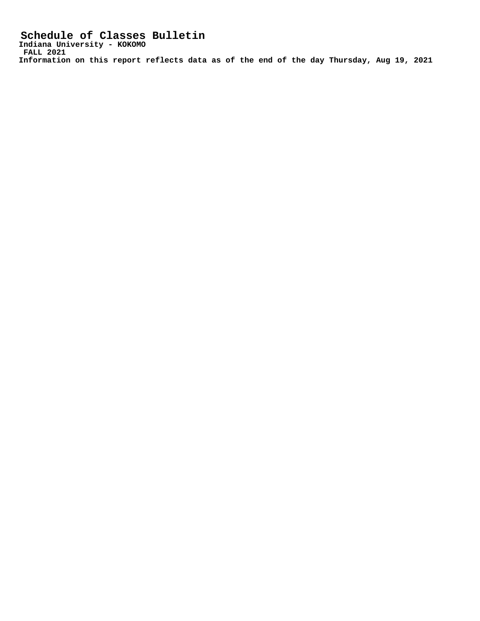**Schedule of Classes Bulletin Indiana University - KOKOMO FALL 2021 Information on this report reflects data as of the end of the day Thursday, Aug 19, 2021**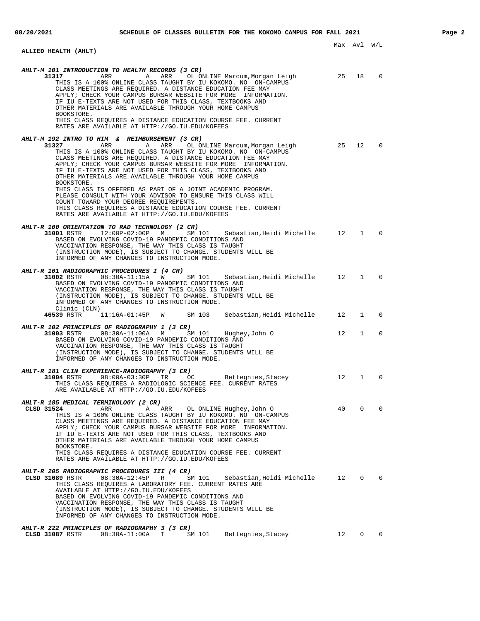### Max Avl W/L **ALLIED HEALTH (AHLT) AHLT-M 101 INTRODUCTION TO HEALTH RECORDS (3 CR) 31317 ARR** A ARR OL ONLINE Marcum, Morgan Leigh 25 18 0 THIS IS A 100% ONLINE CLASS TAUGHT BY IU KOKOMO. NO ON-CAMPUS CLASS MEETINGS ARE REQUIRED. A DISTANCE EDUCATION FEE MAY APPLY; CHECK YOUR CAMPUS BURSAR WEBSITE FOR MORE INFORMATION. IF IU E-TEXTS ARE NOT USED FOR THIS CLASS, TEXTBOOKS AND OTHER MATERIALS ARE AVAILABLE THROUGH YOUR HOME CAMPUS BOOKSTORE. THIS CLASS REQUIRES A DISTANCE EDUCATION COURSE FEE. CURRENT RATES ARE AVAILABLE AT HTTP://GO.IU.EDU/KOFEES **AHLT-M 192 INTRO TO HIM & REIMBURSEMENT (3 CR) 31327** ARR A ARR OL ONLINE Marcum, Morgan Leigh 25 12 0 THIS IS A 100% ONLINE CLASS TAUGHT BY IU KOKOMO. NO ON-CAMPUS CLASS MEETINGS ARE REQUIRED. A DISTANCE EDUCATION FEE MAY APPLY; CHECK YOUR CAMPUS BURSAR WEBSITE FOR MORE INFORMATION. IF IU E-TEXTS ARE NOT USED FOR THIS CLASS, TEXTBOOKS AND OTHER MATERIALS ARE AVAILABLE THROUGH YOUR HOME CAMPUS BOOKSTORE. THIS CLASS IS OFFERED AS PART OF A JOINT ACADEMIC PROGRAM. PLEASE CONSULT WITH YOUR ADVISOR TO ENSURE THIS CLASS WILL COUNT TOWARD YOUR DEGREE REQUIREMENTS. THIS CLASS REQUIRES A DISTANCE EDUCATION COURSE FEE. CURRENT RATES ARE AVAILABLE AT HTTP://GO.IU.EDU/KOFEES **AHLT-R 100 ORIENTATION TO RAD TECHNOLOGY (2 CR) 31001** RSTR 12:00P-02:00P M SM 101 Sebastian,Heidi Michelle 12 1 0 BASED ON EVOLVING COVID-19 PANDEMIC CONDITIONS AND VACCINATION RESPONSE, THE WAY THIS CLASS IS TAUGHT (INSTRUCTION MODE), IS SUBJECT TO CHANGE. STUDENTS WILL BE INFORMED OF ANY CHANGES TO INSTRUCTION MODE. **AHLT-R 101 RADIOGRAPHIC PROCEDURES I (4 CR) 31002** RSTR 08:30A-11:15A W SM 101 Sebastian,Heidi Michelle 12 1 0 BASED ON EVOLVING COVID-19 PANDEMIC CONDITIONS AND VACCINATION RESPONSE, THE WAY THIS CLASS IS TAUGHT (INSTRUCTION MODE), IS SUBJECT TO CHANGE. STUDENTS WILL BE INFORMED OF ANY CHANGES TO INSTRUCTION MODE. Clinic (CLN)<br>46539 RSTR 11:16A-01:45P W SM 103 Sebastian, Heidi Michelle 12 1 0 **AHLT-R 102 PRINCIPLES OF RADIOGRAPHY 1 (3 CR) 31003** RSTR 08:30A-11:00A M SM 101 Hughey,John O 12 1 0 BASED ON EVOLVING COVID-19 PANDEMIC CONDITIONS AND VACCINATION RESPONSE, THE WAY THIS CLASS IS TAUGHT (INSTRUCTION MODE), IS SUBJECT TO CHANGE. STUDENTS WILL BE INFORMED OF ANY CHANGES TO INSTRUCTION MODE. **AHLT-R 181 CLIN EXPERIENCE-RADIOGRAPHY (3 CR)**<br>31004 RSTR 08:00A-03:30P TR 00 **31004** RSTR 08:00A-03:30P TR OC Bettegnies,Stacey 12 1 0 THIS CLASS REQUIRES A RADIOLOGIC SCIENCE FEE. CURRENT RATES ARE AVAILABLE AT HTTP://GO.IU.EDU/KOFEES **AHLT-R 185 MEDICAL TERMINOLOGY (2 CR) CLSD 31524** ARR A ARR OL ONLINE Hughey,John O 40 0 0 THIS IS A 100% ONLINE CLASS TAUGHT BY IU KOKOMO. NO ON-CAMPUS CLASS MEETINGS ARE REQUIRED. A DISTANCE EDUCATION FEE MAY APPLY; CHECK YOUR CAMPUS BURSAR WEBSITE FOR MORE INFORMATION. IF IU E-TEXTS ARE NOT USED FOR THIS CLASS, TEXTBOOKS AND OTHER MATERIALS ARE AVAILABLE THROUGH YOUR HOME CAMPUS BOOKSTORE. THIS CLASS REQUIRES A DISTANCE EDUCATION COURSE FEE. CURRENT RATES ARE AVAILABLE AT HTTP://GO.IU.EDU/KOFEES **AHLT-R 205 RADIOGRAPHIC PROCEDURES III (4 CR) CLSD 31089** RSTR 08:30A-12:45P R SM 101 Sebastian,Heidi Michelle 12 0 0 THIS CLASS REQUIRES A LABORATORY FEE. CURRENT RATES ARE AVAILABLE AT HTTP://GO.IU.EDU/KOFEES BASED ON EVOLVING COVID-19 PANDEMIC CONDITIONS AND VACCINATION RESPONSE, THE WAY THIS CLASS IS TAUGHT (INSTRUCTION MODE), IS SUBJECT TO CHANGE. STUDENTS WILL BE INFORMED OF ANY CHANGES TO INSTRUCTION MODE.

**CLSD 31087** RSTR 08:30A-11:00A T SM 101 Bettegnies,Stacey 12 0 0

**AHLT-R 222 PRINCIPLES OF RADIOGRAPHY 3 (3 CR)**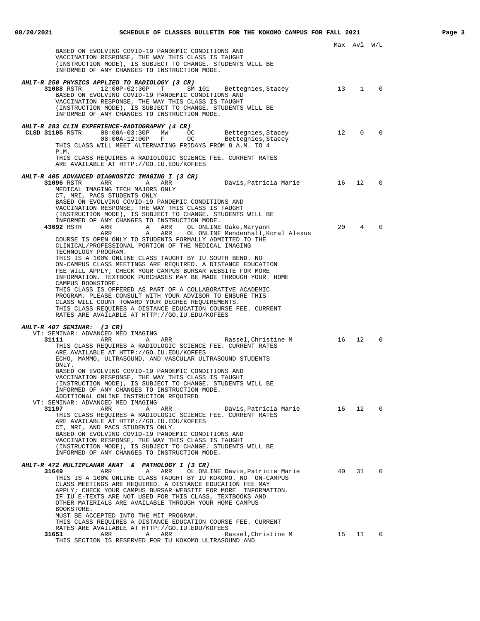|                                                                                                                                                                                                                                                                                                                                        |    | Max Avl W/L     |          |
|----------------------------------------------------------------------------------------------------------------------------------------------------------------------------------------------------------------------------------------------------------------------------------------------------------------------------------------|----|-----------------|----------|
| BASED ON EVOLVING COVID-19 PANDEMIC CONDITIONS AND<br>VACCINATION RESPONSE, THE WAY THIS CLASS IS TAUGHT<br>(INSTRUCTION MODE), IS SUBJECT TO CHANGE. STUDENTS WILL BE<br>INFORMED OF ANY CHANGES TO INSTRUCTION MODE.                                                                                                                 |    |                 |          |
|                                                                                                                                                                                                                                                                                                                                        |    |                 |          |
| AHLT-R 250 PHYSICS APPLIED TO RADIOLOGY (3 CR)<br>31088 RSTR 12:00P-02:30P T<br>SM 101<br>Bettegnies, Stacey<br>BASED ON EVOLVING COVID-19 PANDEMIC CONDITIONS AND<br>VACCINATION RESPONSE, THE WAY THIS CLASS IS TAUGHT<br>(INSTRUCTION MODE), IS SUBJECT TO CHANGE. STUDENTS WILL BE<br>INFORMED OF ANY CHANGES TO INSTRUCTION MODE. |    | 13 1 0          |          |
| AHLT-R 283 CLIN EXPERIENCE-RADIOGRAPHY (4 CR)                                                                                                                                                                                                                                                                                          |    |                 |          |
| CLSD 31105 RSTR 08:00A-03:30P MW<br>OC<br>Bettegnies,Stacey<br>Bettegnies,Stacey<br>08:00A-12:00P F<br>OC<br>THIS CLASS WILL MEET ALTERNATING FRIDAYS FROM 8 A.M. TO 4<br>P.M.                                                                                                                                                         | 12 | $\Omega$        | $\Omega$ |
| THIS CLASS REQUIRES A RADIOLOGIC SCIENCE FEE. CURRENT RATES<br>ARE AVAILABLE AT HTTP://GO.IU.EDU/KOFEES                                                                                                                                                                                                                                |    |                 |          |
| AHLT-R 405 ADVANCED DIAGNOSTIC IMAGING I (3 CR)                                                                                                                                                                                                                                                                                        |    |                 |          |
| 31096 RSTR<br>ARR<br>Davis,Patricia Marie<br>A<br>ARR<br>MEDICAL IMAGING TECH MAJORS ONLY                                                                                                                                                                                                                                              | 16 |                 | 12 0     |
| CT, MRI, PACS STUDENTS ONLY<br>BASED ON EVOLVING COVID-19 PANDEMIC CONDITIONS AND<br>VACCINATION RESPONSE, THE WAY THIS CLASS IS TAUGHT<br>(INSTRUCTION MODE), IS SUBJECT TO CHANGE. STUDENTS WILL BE                                                                                                                                  |    |                 |          |
| INFORMED OF ANY CHANGES TO INSTRUCTION MODE.                                                                                                                                                                                                                                                                                           |    |                 |          |
| 43692 RSTR<br>ARR<br>ARR<br>OL ONLINE Oake, Maryann<br>A<br>OL ONLINE Mendenhall, Koral Alexus<br>ARR<br>A<br>ARR<br>COURSE IS OPEN ONLY TO STUDENTS FORMALLY ADMITTED TO THE<br>CLINICAL/PROFESSIONAL PORTION OF THE MEDICAL IMAGING                                                                                                  | 20 | $4\overline{ }$ | $\Omega$ |
| TECHNOLOGY PROGRAM.                                                                                                                                                                                                                                                                                                                    |    |                 |          |
| THIS IS A 100% ONLINE CLASS TAUGHT BY IU SOUTH BEND. NO                                                                                                                                                                                                                                                                                |    |                 |          |
| ON-CAMPUS CLASS MEETINGS ARE REQUIRED. A DISTANCE EDUCATION<br>FEE WILL APPLY; CHECK YOUR CAMPUS BURSAR WEBSITE FOR MORE                                                                                                                                                                                                               |    |                 |          |
| INFORMATION. TEXTBOOK PURCHASES MAY BE MADE THROUGH YOUR HOME                                                                                                                                                                                                                                                                          |    |                 |          |
| CAMPUS BOOKSTORE.                                                                                                                                                                                                                                                                                                                      |    |                 |          |
| THIS CLASS IS OFFERED AS PART OF A COLLABORATIVE ACADEMIC<br>PROGRAM. PLEASE CONSULT WITH YOUR ADVISOR TO ENSURE THIS                                                                                                                                                                                                                  |    |                 |          |
| CLASS WILL COUNT TOWARD YOUR DEGREE REQUIREMENTS.                                                                                                                                                                                                                                                                                      |    |                 |          |
| THIS CLASS REQUIRES A DISTANCE EDUCATION COURSE FEE. CURRENT                                                                                                                                                                                                                                                                           |    |                 |          |
| RATES ARE AVAILABLE AT HTTP://GO.IU.EDU/KOFEES                                                                                                                                                                                                                                                                                         |    |                 |          |
| AHLT-R 407 SEMINAR: (3 CR)                                                                                                                                                                                                                                                                                                             |    |                 |          |
| VT: SEMINAR: ADVANCED MED IMAGING                                                                                                                                                                                                                                                                                                      |    |                 |          |
| 31111<br>Rassel, Christine M<br>ARR<br>ARR<br>Α                                                                                                                                                                                                                                                                                        | 16 | $12^{\circ}$    | $\Omega$ |
| THIS CLASS REQUIRES A RADIOLOGIC SCIENCE FEE. CURRENT RATES<br>ARE AVAILABLE AT HTTP://GO.IU.EDU/KOFEES<br>ECHO, MAMMO, ULTRASOUND, AND VASCULAR ULTRASOUND STUDENTS<br>ONLY.                                                                                                                                                          |    |                 |          |
| BASED ON EVOLVING COVID-19 PANDEMIC CONDITIONS AND                                                                                                                                                                                                                                                                                     |    |                 |          |
| VACCINATION RESPONSE, THE WAY THIS CLASS IS TAUGHT                                                                                                                                                                                                                                                                                     |    |                 |          |
| (INSTRUCTION MODE), IS SUBJECT TO CHANGE. STUDENTS WILL BE<br>INFORMED OF ANY CHANGES TO INSTRUCTION MODE.                                                                                                                                                                                                                             |    |                 |          |
| ADDITIONAL ONLINE INSTRUCTION REQUIRED                                                                                                                                                                                                                                                                                                 |    |                 |          |
| VT: SEMINAR: ADVANCED MED IMAGING                                                                                                                                                                                                                                                                                                      |    |                 |          |
| 31197<br>ARR<br>ARR<br>Davis,Patricia Marie 16<br>Α<br>THIS CLASS REQUIRES A RADIOLOGIC SCIENCE FEE. CURRENT RATES                                                                                                                                                                                                                     |    | 12              | 0        |
| ARE AVAILABLE AT HTTP://GO.IU.EDU/KOFEES                                                                                                                                                                                                                                                                                               |    |                 |          |
| CT, MRI, AND PACS STUDENTS ONLY.                                                                                                                                                                                                                                                                                                       |    |                 |          |
| BASED ON EVOLVING COVID-19 PANDEMIC CONDITIONS AND                                                                                                                                                                                                                                                                                     |    |                 |          |
| VACCINATION RESPONSE, THE WAY THIS CLASS IS TAUGHT<br>(INSTRUCTION MODE), IS SUBJECT TO CHANGE. STUDENTS WILL BE                                                                                                                                                                                                                       |    |                 |          |
| INFORMED OF ANY CHANGES TO INSTRUCTION MODE.                                                                                                                                                                                                                                                                                           |    |                 |          |
|                                                                                                                                                                                                                                                                                                                                        |    |                 |          |
| AHLT-R 472 MULTIPLANAR ANAT & PATHOLOGY I (3 CR)<br>OL ONLINE Davis, Patricia Marie 40<br>31649<br>ARR<br>ARR<br>Α                                                                                                                                                                                                                     |    | 31              | 0        |
| THIS IS A 100% ONLINE CLASS TAUGHT BY IU KOKOMO. NO ON-CAMPUS                                                                                                                                                                                                                                                                          |    |                 |          |
| CLASS MEETINGS ARE REQUIRED. A DISTANCE EDUCATION FEE MAY                                                                                                                                                                                                                                                                              |    |                 |          |
| APPLY; CHECK YOUR CAMPUS BURSAR WEBSITE FOR MORE INFORMATION.<br>IF IU E-TEXTS ARE NOT USED FOR THIS CLASS, TEXTBOOKS AND                                                                                                                                                                                                              |    |                 |          |
| OTHER MATERIALS ARE AVAILABLE THROUGH YOUR HOME CAMPUS                                                                                                                                                                                                                                                                                 |    |                 |          |
| BOOKSTORE.                                                                                                                                                                                                                                                                                                                             |    |                 |          |
| MUST BE ACCEPTED INTO THE MIT PROGRAM.<br>THIS CLASS REQUIRES A DISTANCE EDUCATION COURSE FEE. CURRENT                                                                                                                                                                                                                                 |    |                 |          |
| RATES ARE AVAILABLE AT HTTP://GO.IU.EDU/KOFEES                                                                                                                                                                                                                                                                                         |    |                 |          |
| 31651<br>ARR<br>A ARR<br>Rassel,Christine M                                                                                                                                                                                                                                                                                            | 15 |                 | $11$ 0   |
| THIS SECTION IS RESERVED FOR IU KOKOMO ULTRASOUND AND                                                                                                                                                                                                                                                                                  |    |                 |          |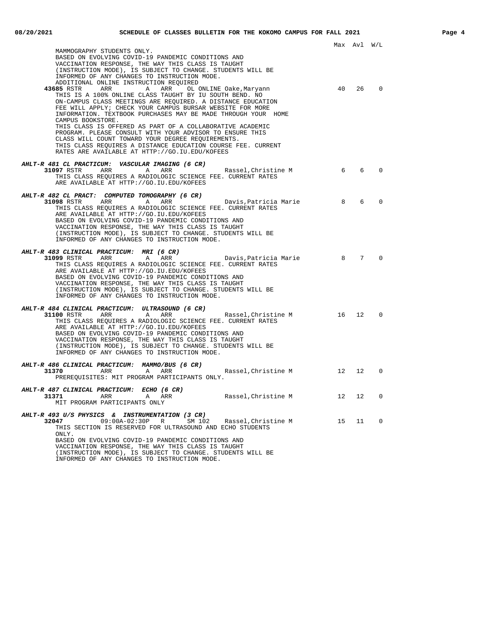|                                                                                                                          |                | Max Avl W/L |                |
|--------------------------------------------------------------------------------------------------------------------------|----------------|-------------|----------------|
| MAMMOGRAPHY STUDENTS ONLY.<br>BASED ON EVOLVING COVID-19 PANDEMIC CONDITIONS AND                                         |                |             |                |
| VACCINATION RESPONSE, THE WAY THIS CLASS IS TAUGHT                                                                       |                |             |                |
| (INSTRUCTION MODE), IS SUBJECT TO CHANGE. STUDENTS WILL BE<br>INFORMED OF ANY CHANGES TO INSTRUCTION MODE.               |                |             |                |
| ADDITIONAL ONLINE INSTRUCTION REQUIRED<br>43685 RSTR<br>ARR<br>A<br>ARR<br>OL ONLINE Oake, Maryann                       | 40             | 26          | $\Omega$       |
| THIS IS A 100% ONLINE CLASS TAUGHT BY IU SOUTH BEND. NO                                                                  |                |             |                |
| ON-CAMPUS CLASS MEETINGS ARE REQUIRED. A DISTANCE EDUCATION<br>FEE WILL APPLY; CHECK YOUR CAMPUS BURSAR WEBSITE FOR MORE |                |             |                |
| INFORMATION. TEXTBOOK PURCHASES MAY BE MADE THROUGH YOUR HOME                                                            |                |             |                |
| CAMPUS BOOKSTORE.<br>THIS CLASS IS OFFERED AS PART OF A COLLABORATIVE ACADEMIC                                           |                |             |                |
| PROGRAM. PLEASE CONSULT WITH YOUR ADVISOR TO ENSURE THIS                                                                 |                |             |                |
| CLASS WILL COUNT TOWARD YOUR DEGREE REQUIREMENTS.<br>THIS CLASS REQUIRES A DISTANCE EDUCATION COURSE FEE. CURRENT        |                |             |                |
| RATES ARE AVAILABLE AT HTTP://GO.IU.EDU/KOFEES                                                                           |                |             |                |
| AHLT-R 481 CL PRACTICUM: VASCULAR IMAGING (6 CR)                                                                         |                |             |                |
| 31097 RSTR<br>ARR<br>A<br>ARR<br>Rassel,Christine M<br>THIS CLASS REQUIRES A RADIOLOGIC SCIENCE FEE. CURRENT RATES       | 6              | 6           | $\Omega$       |
| ARE AVAILABLE AT HTTP://GO.IU.EDU/KOFEES                                                                                 |                |             |                |
| AHLT-R 482 CL PRACT: COMPUTED TOMOGRAPHY (6 CR)                                                                          |                |             |                |
| <b>31098</b> RSTR ARR<br>A ARR<br>Davis,Patricia Marie<br>THIS CLASS REQUIRES A RADIOLOGIC SCIENCE FEE. CURRENT RATES    | 8 <sup>8</sup> | 6           | $\Omega$       |
| ARE AVAILABLE AT HTTP://GO.IU.EDU/KOFEES                                                                                 |                |             |                |
| BASED ON EVOLVING COVID-19 PANDEMIC CONDITIONS AND<br>VACCINATION RESPONSE, THE WAY THIS CLASS IS TAUGHT                 |                |             |                |
| (INSTRUCTION MODE), IS SUBJECT TO CHANGE. STUDENTS WILL BE<br>INFORMED OF ANY CHANGES TO INSTRUCTION MODE.               |                |             |                |
|                                                                                                                          |                |             |                |
| AHLT-R 483 CLINICAL PRACTICUM: MRI (6 CR)<br><b>31099</b> RSTR ARR<br>A<br>ARR Davis, Patricia Marie                     | 8              | $7^{\circ}$ | $\Omega$       |
| THIS CLASS REOUIRES A RADIOLOGIC SCIENCE FEE. CURRENT RATES                                                              |                |             |                |
| ARE AVAILABLE AT HTTP://GO.IU.EDU/KOFEES<br>BASED ON EVOLVING COVID-19 PANDEMIC CONDITIONS AND                           |                |             |                |
| VACCINATION RESPONSE, THE WAY THIS CLASS IS TAUGHT                                                                       |                |             |                |
| (INSTRUCTION MODE), IS SUBJECT TO CHANGE. STUDENTS WILL BE<br>INFORMED OF ANY CHANGES TO INSTRUCTION MODE.               |                |             |                |
| AHLT-R 484 CLINICAL PRACTICUM: ULTRASOUND (6 CR)                                                                         |                |             |                |
| <b>31100 RSTR ARR</b><br>A<br>ARR<br>Rassel,Christine M                                                                  | 16             | 12          | $\overline{0}$ |
| THIS CLASS REQUIRES A RADIOLOGIC SCIENCE FEE. CURRENT RATES<br>ARE AVAILABLE AT HTTP://GO.IU.EDU/KOFEES                  |                |             |                |
| BASED ON EVOLVING COVID-19 PANDEMIC CONDITIONS AND                                                                       |                |             |                |
| VACCINATION RESPONSE, THE WAY THIS CLASS IS TAUGHT<br>(INSTRUCTION MODE), IS SUBJECT TO CHANGE. STUDENTS WILL BE         |                |             |                |
| INFORMED OF ANY CHANGES TO INSTRUCTION MODE.                                                                             |                |             |                |
| AHLT-R 486 CLINICAL PRACTICUM: MAMMO/BUS (6 CR)                                                                          |                |             |                |
| Rassel, Christine M 12<br>31370<br><b>Example 28 ARR</b><br>A<br>ARR<br>PREREOUISITES: MIT PROGRAM PARTICIPANTS ONLY.    |                | 12          | $\Omega$       |
| AHLT-R 487 CLINICAL PRACTICUM: ECHO (6 CR)                                                                               |                |             |                |
| 31371<br>Rassel, Christine M<br>ARR<br>A ARR                                                                             | 12             | 12          | 0              |
| MIT PROGRAM PARTICIPANTS ONLY                                                                                            |                |             |                |
| <b>AHLT-R 493 U/S PHYSICS &amp; INSTRUMENTATION (3 CR)</b><br>$09:00A-02:30P$ R                                          |                |             | $\overline{0}$ |
| 32047<br>SM 102 Rassel, Christine M<br>THIS SECTION IS RESERVED FOR ULTRASOUND AND ECHO STUDENTS                         | 15             | 11          |                |
| ONLY.<br>BASED ON EVOLVING COVID-19 PANDEMIC CONDITIONS AND                                                              |                |             |                |
| VACCINATION RESPONSE, THE WAY THIS CLASS IS TAUGHT                                                                       |                |             |                |
| (INSTRUCTION MODE), IS SUBJECT TO CHANGE. STUDENTS WILL BE                                                               |                |             |                |

INFORMED OF ANY CHANGES TO INSTRUCTION MODE.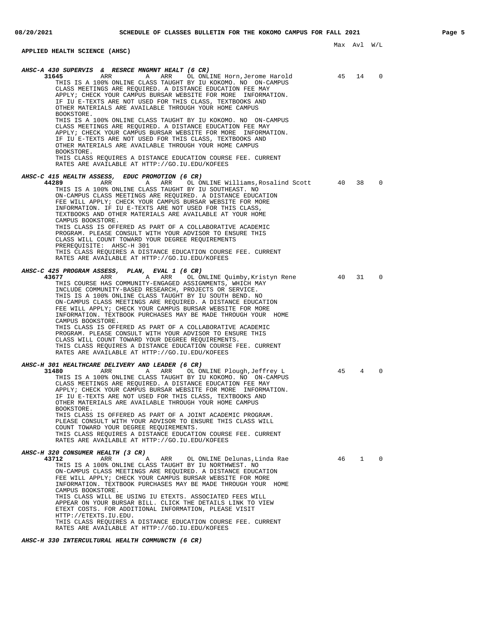#### **08/20/2021 SCHEDULE OF CLASSES BULLETIN FOR THE KOKOMO CAMPUS FOR FALL 2021 Page 5** Max Avl W/L **APPLIED HEALTH SCIENCE (AHSC) AHSC-A 430 SUPERVIS & RESRCE MNGMNT HEALT (6 CR) 31645** ARR A ARR OL ONLINE Horn,Jerome Harold 45 14 0 THIS IS A 100% ONLINE CLASS TAUGHT BY IU KOKOMO. NO ON-CAMPUS CLASS MEETINGS ARE REQUIRED. A DISTANCE EDUCATION FEE MAY APPLY; CHECK YOUR CAMPUS BURSAR WEBSITE FOR MORE INFORMATION. IF IU E-TEXTS ARE NOT USED FOR THIS CLASS, TEXTBOOKS AND OTHER MATERIALS ARE AVAILABLE THROUGH YOUR HOME CAMPUS BOOKSTORE. THIS IS A 100% ONLINE CLASS TAUGHT BY IU KOKOMO. NO ON-CAMPUS CLASS MEETINGS ARE REQUIRED. A DISTANCE EDUCATION FEE MAY APPLY; CHECK YOUR CAMPUS BURSAR WEBSITE FOR MORE INFORMATION. IF IU E-TEXTS ARE NOT USED FOR THIS CLASS, TEXTBOOKS AND OTHER MATERIALS ARE AVAILABLE THROUGH YOUR HOME CAMPUS BOOKSTORE. THIS CLASS REQUIRES A DISTANCE EDUCATION COURSE FEE. CURRENT RATES ARE AVAILABLE AT HTTP://GO.IU.EDU/KOFEES **AHSC-C 415 HEALTH ASSESS, EDUC PROMOTION (6 CR) 44289** ARR A ARR OL ONLINE Williams,Rosalind Scott 40 38 0 THIS IS A 100% ONLINE CLASS TAUGHT BY IU SOUTHEAST. NO ON-CAMPUS CLASS MEETINGS ARE REQUIRED. A DISTANCE EDUCATION FEE WILL APPLY; CHECK YOUR CAMPUS BURSAR WEBSITE FOR MORE INFORMATION. IF IU E-TEXTS ARE NOT USED FOR THIS CLASS, TEXTBOOKS AND OTHER MATERIALS ARE AVAILABLE AT YOUR HOME CAMPUS BOOKSTORE. THIS CLASS IS OFFERED AS PART OF A COLLABORATIVE ACADEMIC PROGRAM. PLEASE CONSULT WITH YOUR ADVISOR TO ENSURE THIS CLASS WILL COUNT TOWARD YOUR DEGREE REQUIREMENTS PREREQUISITE: AHSC-H 301 THIS CLASS REQUIRES A DISTANCE EDUCATION COURSE FEE. CURRENT RATES ARE AVAILABLE AT HTTP://GO.IU.EDU/KOFEES **AHSC-C 425 PROGRAM ASSESS, PLAN, EVAL 1 (6 CR) 43677** ARR A ARR OL ONLINE Quimby,Kristyn Rene 40 31 0 THIS COURSE HAS COMMUNITY-ENGAGED ASSIGNMENTS, WHICH MAY INCLUDE COMMUNITY-BASED RESEARCH, PROJECTS OR SERVICE. THIS IS A 100% ONLINE CLASS TAUGHT BY IU SOUTH BEND. NO ON-CAMPUS CLASS MEETINGS ARE REQUIRED. A DISTANCE EDUCATION FEE WILL APPLY; CHECK YOUR CAMPUS BURSAR WEBSITE FOR MORE INFORMATION. TEXTBOOK PURCHASES MAY BE MADE THROUGH YOUR HOME CAMPUS BOOKSTORE. THIS CLASS IS OFFERED AS PART OF A COLLABORATIVE ACADEMIC PROGRAM. PLEASE CONSULT WITH YOUR ADVISOR TO ENSURE THIS CLASS WILL COUNT TOWARD YOUR DEGREE REQUIREMENTS. THIS CLASS REQUIRES A DISTANCE EDUCATION COURSE FEE. CURRENT RATES ARE AVAILABLE AT HTTP://GO.IU.EDU/KOFEES **AHSC-H 301 HEALTHCARE DELIVERY AND LEADER (6 CR) 31480** ARR A ARR OL ONLINE Plough, Jeffrey L 45 4 0 THIS IS A 100% ONLINE CLASS TAUGHT BY IU KOKOMO. NO ON-CAMPUS CLASS MEETINGS ARE REQUIRED. A DISTANCE EDUCATION FEE MAY APPLY; CHECK YOUR CAMPUS BURSAR WEBSITE FOR MORE INFORMATION. IF IU E-TEXTS ARE NOT USED FOR THIS CLASS, TEXTBOOKS AND OTHER MATERIALS ARE AVAILABLE THROUGH YOUR HOME CAMPUS BOOKSTORE. THIS CLASS IS OFFERED AS PART OF A JOINT ACADEMIC PROGRAM. PLEASE CONSULT WITH YOUR ADVISOR TO ENSURE THIS CLASS WILL COUNT TOWARD YOUR DEGREE REQUIREMENTS. THIS CLASS REQUIRES A DISTANCE EDUCATION COURSE FEE. CURRENT RATES ARE AVAILABLE AT HTTP://GO.IU.EDU/KOFEES **AHSC-H 320 CONSUMER HEALTH (3 CR) 43712** ARR A ARR OL ONLINE Delunas,Linda Rae 46 1 0 THIS IS A 100% ONLINE CLASS TAUGHT BY IU NORTHWEST. NO ON-CAMPUS CLASS MEETINGS ARE REQUIRED. A DISTANCE EDUCATION FEE WILL APPLY; CHECK YOUR CAMPUS BURSAR WEBSITE FOR MORE INFORMATION. TEXTBOOK PURCHASES MAY BE MADE THROUGH YOUR HOME CAMPUS BOOKSTORE. THIS CLASS WILL BE USING IU ETEXTS. ASSOCIATED FEES WILL APPEAR ON YOUR BURSAR BILL. CLICK THE DETAILS LINK TO VIEW ETEXT COSTS. FOR ADDITIONAL INFORMATION, PLEASE VISIT HTTP://ETEXTS.IU.EDU.

THIS CLASS REQUIRES A DISTANCE EDUCATION COURSE FEE. CURRENT RATES ARE AVAILABLE AT HTTP://GO.IU.EDU/KOFEES

#### **AHSC-H 330 INTERCULTURAL HEALTH COMMUNCTN (6 CR)**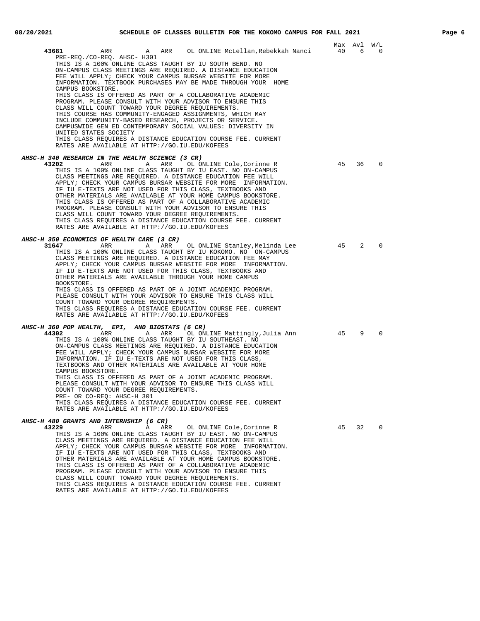| 43681<br>ARR                                                                                                                                                                                                                                                             | A        | ARR OL ONLINE McLellan, Rebekkah Nanci                                                                                                                                                                                                                                                                                                                                                                                                                                                                                                       | 40 | Max Avl<br>6 | W/L<br>$\mathbf 0$ |
|--------------------------------------------------------------------------------------------------------------------------------------------------------------------------------------------------------------------------------------------------------------------------|----------|----------------------------------------------------------------------------------------------------------------------------------------------------------------------------------------------------------------------------------------------------------------------------------------------------------------------------------------------------------------------------------------------------------------------------------------------------------------------------------------------------------------------------------------------|----|--------------|--------------------|
| PRE-REQ./CO-REQ. AHSC- H301<br>CAMPUS BOOKSTORE.                                                                                                                                                                                                                         |          | THIS IS A 100% ONLINE CLASS TAUGHT BY IU SOUTH BEND. NO<br>ON-CAMPUS CLASS MEETINGS ARE REQUIRED. A DISTANCE EDUCATION<br>FEE WILL APPLY; CHECK YOUR CAMPUS BURSAR WEBSITE FOR MORE<br>INFORMATION. TEXTBOOK PURCHASES MAY BE MADE THROUGH YOUR HOME                                                                                                                                                                                                                                                                                         |    |              |                    |
| CLASS WILL COUNT TOWARD YOUR DEGREE REQUIREMENTS.<br>INCLUDE COMMUNITY-BASED RESEARCH, PROJECTS OR SERVICE.<br>UNITED STATES SOCIETY                                                                                                                                     |          | THIS CLASS IS OFFERED AS PART OF A COLLABORATIVE ACADEMIC<br>PROGRAM. PLEASE CONSULT WITH YOUR ADVISOR TO ENSURE THIS<br>THIS COURSE HAS COMMUNITY-ENGAGED ASSIGNMENTS, WHICH MAY<br>CAMPUSWIDE GEN ED CONTEMPORARY SOCIAL VALUES: DIVERSITY IN<br>THIS CLASS REQUIRES A DISTANCE EDUCATION COURSE FEE. CURRENT                                                                                                                                                                                                                              |    |              |                    |
| RATES ARE AVAILABLE AT HTTP://GO.IU.EDU/KOFEES                                                                                                                                                                                                                           |          |                                                                                                                                                                                                                                                                                                                                                                                                                                                                                                                                              |    |              |                    |
| <i>AHSC-H 340 RESEARCH IN THE HEALTH SCIENCE (3 CR)</i><br>43202<br>ARR<br>CLASS WILL COUNT TOWARD YOUR DEGREE REQUIREMENTS.<br>RATES ARE AVAILABLE AT HTTP://GO.IU.EDU/KOFEES                                                                                           | A<br>ARR | OL ONLINE Cole, Corinne R<br>THIS IS A 100% ONLINE CLASS TAUGHT BY IU EAST. NO ON-CAMPUS<br>CLASS MEETINGS ARE REQUIRED. A DISTANCE EDUCATION FEE WILL<br>APPLY; CHECK YOUR CAMPUS BURSAR WEBSITE FOR MORE INFORMATION.<br>IF IU E-TEXTS ARE NOT USED FOR THIS CLASS, TEXTBOOKS AND<br>OTHER MATERIALS ARE AVAILABLE AT YOUR HOME CAMPUS BOOKSTORE.<br>THIS CLASS IS OFFERED AS PART OF A COLLABORATIVE ACADEMIC<br>PROGRAM. PLEASE CONSULT WITH YOUR ADVISOR TO ENSURE THIS<br>THIS CLASS REQUIRES A DISTANCE EDUCATION COURSE FEE. CURRENT | 45 | 36           | $\Omega$           |
| <i>AHSC-H 350 ECONOMICS OF HEALTH CARE (3 CR)</i><br>31647<br>ARR<br>OTHER MATERIALS ARE AVAILABLE THROUGH YOUR HOME CAMPUS<br>BOOKSTORE.<br>COUNT TOWARD YOUR DEGREE REQUIREMENTS.<br>RATES ARE AVAILABLE AT HTTP://GO.IU.EDU/KOFEES                                    | Α<br>ARR | OL ONLINE Stanley, Melinda Lee<br>THIS IS A 100% ONLINE CLASS TAUGHT BY IU KOKOMO. NO ON-CAMPUS<br>CLASS MEETINGS ARE REOUIRED. A DISTANCE EDUCATION FEE MAY<br>APPLY; CHECK YOUR CAMPUS BURSAR WEBSITE FOR MORE INFORMATION.<br>IF IU E-TEXTS ARE NOT USED FOR THIS CLASS, TEXTBOOKS AND<br>THIS CLASS IS OFFERED AS PART OF A JOINT ACADEMIC PROGRAM.<br>PLEASE CONSULT WITH YOUR ADVISOR TO ENSURE THIS CLASS WILL<br>THIS CLASS REQUIRES A DISTANCE EDUCATION COURSE FEE. CURRENT                                                        | 45 | 2            | $\Omega$           |
| AHSC-H 360 POP HEALTH, EPI, AND BIOSTATS (6 CR)<br>44302<br>ARR<br>THIS IS A 100% ONLINE CLASS TAUGHT BY IU SOUTHEAST. NO<br>CAMPUS BOOKSTORE.<br>COUNT TOWARD YOUR DEGREE REQUIREMENTS.<br>PRE- OR CO-REQ: AHSC-H 301<br>RATES ARE AVAILABLE AT HTTP://GO.IU.EDU/KOFEES | A        | ARR OL ONLINE Mattingly, Julia Ann<br>ON-CAMPUS CLASS MEETINGS ARE REQUIRED. A DISTANCE EDUCATION<br>FEE WILL APPLY; CHECK YOUR CAMPUS BURSAR WEBSITE FOR MORE<br>INFORMATION. IF IU E-TEXTS ARE NOT USED FOR THIS CLASS,<br>TEXTBOOKS AND OTHER MATERIALS ARE AVAILABLE AT YOUR HOME<br>THIS CLASS IS OFFERED AS PART OF A JOINT ACADEMIC PROGRAM.<br>PLEASE CONSULT WITH YOUR ADVISOR TO ENSURE THIS CLASS WILL<br>THIS CLASS REQUIRES A DISTANCE EDUCATION COURSE FEE. CURRENT                                                            | 45 | 9            | $\mathbf 0$        |
| AHSC-H 480 GRANTS AND INTERNSHIP (6 CR)<br>43229<br>ARR                                                                                                                                                                                                                  | ARR<br>A | OL ONLINE Cole, Corinne R<br>THIS IS A 100% ONLINE CLASS TAUGHT BY IU EAST. NO ON-CAMPUS<br>CLASS MEETINGS ARE REQUIRED. A DISTANCE EDUCATION FEE WILL<br>APPLY; CHECK YOUR CAMPUS BURSAR WEBSITE FOR MORE INFORMATION.<br>TE TILE TEVTO ADE NOT HOED EOD THIO CLASS. TEVTDOOKS AN                                                                                                                                                                                                                                                           | 45 | 32           | $\mathbf 0$        |

IF IU E-TEXTS ARE NOT USED FOR THIS CLASS, TEXTBOOKS AND OTHER MATERIALS ARE AVAILABLE AT YOUR HOME CAMPUS BOOKSTORE. THIS CLASS IS OFFERED AS PART OF A COLLABORATIVE ACADEMIC PROGRAM. PLEASE CONSULT WITH YOUR ADVISOR TO ENSURE THIS CLASS WILL COUNT TOWARD YOUR DEGREE REQUIREMENTS. THIS CLASS REQUIRES A DISTANCE EDUCATION COURSE FEE. CURRENT RATES ARE AVAILABLE AT HTTP://GO.IU.EDU/KOFEES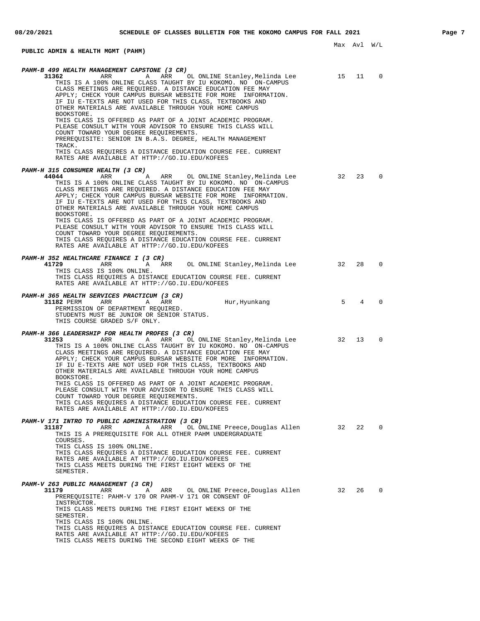# **PUBLIC ADMIN & HEALTH MGMT (PAHM)**

| PAHM-B 499 HEALTH MANAGEMENT CAPSTONE (3 CR)<br>31362<br>ARR<br>Α<br>ARR<br>OL ONLINE Stanley, Melinda Lee<br>THIS IS A 100% ONLINE CLASS TAUGHT BY IU KOKOMO. NO ON-CAMPUS<br>CLASS MEETINGS ARE REQUIRED. A DISTANCE EDUCATION FEE MAY<br>APPLY; CHECK YOUR CAMPUS BURSAR WEBSITE FOR MORE INFORMATION.<br>IF IU E-TEXTS ARE NOT USED FOR THIS CLASS, TEXTBOOKS AND<br>OTHER MATERIALS ARE AVAILABLE THROUGH YOUR HOME CAMPUS<br>BOOKSTORE.<br>THIS CLASS IS OFFERED AS PART OF A JOINT ACADEMIC PROGRAM.<br>PLEASE CONSULT WITH YOUR ADVISOR TO ENSURE THIS CLASS WILL<br>COUNT TOWARD YOUR DEGREE REQUIREMENTS.<br>PREREQUISITE: SENIOR IN B.A.S. DEGREE, HEALTH MANAGEMENT<br>TRACK.<br>THIS CLASS REQUIRES A DISTANCE EDUCATION COURSE FEE. CURRENT<br>RATES ARE AVAILABLE AT HTTP://GO.IU.EDU/KOFEES | 15 | 11 | 0              |
|-------------------------------------------------------------------------------------------------------------------------------------------------------------------------------------------------------------------------------------------------------------------------------------------------------------------------------------------------------------------------------------------------------------------------------------------------------------------------------------------------------------------------------------------------------------------------------------------------------------------------------------------------------------------------------------------------------------------------------------------------------------------------------------------------------------|----|----|----------------|
| PAHM-H 315 CONSUMER HEALTH (3 CR)<br>44044<br>ARR<br>ARR<br>OL ONLINE Stanley, Melinda Lee<br>Α<br>THIS IS A 100% ONLINE CLASS TAUGHT BY IU KOKOMO. NO ON-CAMPUS<br>CLASS MEETINGS ARE REQUIRED. A DISTANCE EDUCATION FEE MAY<br>APPLY; CHECK YOUR CAMPUS BURSAR WEBSITE FOR MORE INFORMATION.<br>IF IU E-TEXTS ARE NOT USED FOR THIS CLASS, TEXTBOOKS AND<br>OTHER MATERIALS ARE AVAILABLE THROUGH YOUR HOME CAMPUS<br>BOOKSTORE.<br>THIS CLASS IS OFFERED AS PART OF A JOINT ACADEMIC PROGRAM.<br>PLEASE CONSULT WITH YOUR ADVISOR TO ENSURE THIS CLASS WILL<br>COUNT TOWARD YOUR DEGREE REQUIREMENTS.<br>THIS CLASS REQUIRES A DISTANCE EDUCATION COURSE FEE. CURRENT<br>RATES ARE AVAILABLE AT HTTP://GO.IU.EDU/KOFEES                                                                                  | 32 | 23 | 0              |
| PAHM-H 352 HEALTHCARE FINANCE I (3 CR)<br>41729<br>ARR<br>OL ONLINE Stanley, Melinda Lee<br>ARR<br>Α<br>THIS CLASS IS 100% ONLINE.<br>THIS CLASS REQUIRES A DISTANCE EDUCATION COURSE FEE. CURRENT<br>RATES ARE AVAILABLE AT HTTP://GO.IU.EDU/KOFEES                                                                                                                                                                                                                                                                                                                                                                                                                                                                                                                                                        | 32 | 28 | $\Omega$       |
| PAHM-H 365 HEALTH SERVICES PRACTICUM (3 CR)<br>31182 PERM<br>ARR<br>Α<br>Hur, Hyunkang<br>ARR<br>PERMISSION OF DEPARTMENT REQUIRED.<br>STUDENTS MUST BE JUNIOR OR SENIOR STATUS.<br>THIS COURSE GRADED S/F ONLY.                                                                                                                                                                                                                                                                                                                                                                                                                                                                                                                                                                                            | 5  | 4  | $\Omega$       |
| PAHM-H 366 LEADERSHIP FOR HEALTH PROFES (3 CR)<br>31253<br>ARR<br>Α<br>ARR<br>OL ONLINE Stanley, Melinda Lee<br>THIS IS A 100% ONLINE CLASS TAUGHT BY IU KOKOMO. NO ON-CAMPUS<br>CLASS MEETINGS ARE REQUIRED. A DISTANCE EDUCATION FEE MAY<br>APPLY; CHECK YOUR CAMPUS BURSAR WEBSITE FOR MORE INFORMATION.<br>IF IU E-TEXTS ARE NOT USED FOR THIS CLASS, TEXTBOOKS AND<br>OTHER MATERIALS ARE AVAILABLE THROUGH YOUR HOME CAMPUS<br>BOOKSTORE.<br>THIS CLASS IS OFFERED AS PART OF A JOINT ACADEMIC PROGRAM.<br>PLEASE CONSULT WITH YOUR ADVISOR TO ENSURE THIS CLASS WILL<br>COUNT TOWARD YOUR DEGREE REQUIREMENTS.<br>THIS CLASS REQUIRES A DISTANCE EDUCATION COURSE FEE. CURRENT<br>RATES ARE AVAILABLE AT HTTP://GO.IU.EDU/KOFEES                                                                     | 32 | 13 | $\Omega$       |
| PAHM-V 171 INTRO TO PUBLIC ADMINISTRATION (3 CR)<br>31187<br>OL ONLINE Preece, Douglas Allen 32<br>ARR<br>Α<br>ARR<br>THIS IS A PREREQUISITE FOR ALL OTHER PAHM UNDERGRADUATE<br>COURSES.<br>THIS CLASS IS 100% ONLINE.<br>THIS CLASS REQUIRES A DISTANCE EDUCATION COURSE FEE. CURRENT<br>RATES ARE AVAILABLE AT HTTP://GO.IU.EDU/KOFEES<br>THIS CLASS MEETS DURING THE FIRST EIGHT WEEKS OF THE<br>SEMESTER.                                                                                                                                                                                                                                                                                                                                                                                              |    | 22 | $\mathbf 0$    |
| PAHM-V 263 PUBLIC MANAGEMENT (3 CR)<br>ARR OL ONLINE Preece, Douglas Allen 32<br>31179<br>ARR<br>Α<br>PREREOUISITE: PAHM-V 170 OR PAHM-V 171 OR CONSENT OF<br>INSTRUCTOR.<br>THIS CLASS MEETS DURING THE FIRST EIGHT WEEKS OF THE<br>SEMESTER.<br>THIS CLASS IS 100% ONLINE.<br>THIS CLASS REQUIRES A DISTANCE EDUCATION COURSE FEE. CURRENT<br>RATES ARE AVAILABLE AT HTTP://GO.IU.EDU/KOFEES<br>THIS CLASS MEETS DURING THE SECOND EIGHT WEEKS OF THE                                                                                                                                                                                                                                                                                                                                                     |    | 26 | $\overline{0}$ |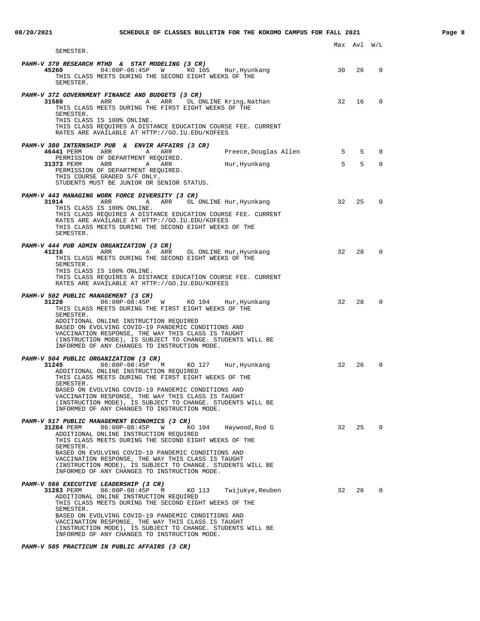| SEMESTER.                                                                                                                                                                                                                                                                                                                                                                                                                                      |    |           |             |
|------------------------------------------------------------------------------------------------------------------------------------------------------------------------------------------------------------------------------------------------------------------------------------------------------------------------------------------------------------------------------------------------------------------------------------------------|----|-----------|-------------|
| PAHM-V 370 RESEARCH MTHD & STAT MODELING (3 CR)<br>45260<br>04:00P-06:45P W KO 105<br>Hur, Hyunkang<br>THIS CLASS MEETS DURING THE SECOND EIGHT WEEKS OF THE<br>SEMESTER.                                                                                                                                                                                                                                                                      | 30 | 26        | 0           |
| PAHM-V 372 GOVERNMENT FINANCE AND BUDGETS (3 CR)<br>31580<br>ARR A<br>ARR OL ONLINE Kring, Nathan<br>THIS CLASS MEETS DURING THE FIRST EIGHT WEEKS OF THE<br>SEMESTER.<br>THIS CLASS IS 100% ONLINE.<br>THIS CLASS REQUIRES A DISTANCE EDUCATION COURSE FEE. CURRENT<br>RATES ARE AVAILABLE AT HTTP://GO.IU.EDU/KOFEES                                                                                                                         | 32 | 16        | $\Omega$    |
| PAHM-V 380 INTERNSHIP PUB & ENVIR AFFAIRS (3 CR)                                                                                                                                                                                                                                                                                                                                                                                               |    |           |             |
| 46441 PERM<br>ARR<br>A<br>ARR<br>Preece,Douglas Allen<br>PERMISSION OF DEPARTMENT REQUIRED.                                                                                                                                                                                                                                                                                                                                                    | 5  | 5         | 0           |
| 31373 PERM<br>ARR<br>Α<br>ARR<br>Hur, Hyunkang<br>PERMISSION OF DEPARTMENT REQUIRED.<br>THIS COURSE GRADED S/F ONLY.<br>STUDENTS MUST BE JUNIOR OR SENIOR STATUS.                                                                                                                                                                                                                                                                              | 5  | 5         | $\mathbf 0$ |
| PAHM-V 443 MANAGING WORK FORCE DIVERSITY (3 CR)<br>31914<br>ARR<br>ARR<br>OL ONLINE Hur, Hyunkang<br>Α<br>THIS CLASS IS 100% ONLINE.<br>THIS CLASS REOUIRES A DISTANCE EDUCATION COURSE FEE. CURRENT<br>RATES ARE AVAILABLE AT HTTP://GO.IU.EDU/KOFEES<br>THIS CLASS MEETS DURING THE SECOND EIGHT WEEKS OF THE<br>SEMESTER.                                                                                                                   | 32 | 25        | 0           |
| PAHM-V 444 PUB ADMIN ORGANIZATION (3 CR)<br>41216<br>ARR<br><b>A</b><br>ARR<br>OL ONLINE Hur,Hyunkang<br>THIS CLASS MEETS DURING THE SECOND EIGHT WEEKS OF THE<br>SEMESTER.<br>THIS CLASS IS 100% ONLINE.<br>THIS CLASS REQUIRES A DISTANCE EDUCATION COURSE FEE. CURRENT<br>RATES ARE AVAILABLE AT HTTP://GO.IU.EDU/KOFEES                                                                                                                    | 32 | 28        | $\mathbf 0$ |
| PAHM-V 502 PUBLIC MANAGEMENT (3 CR)<br>31220<br>06:00P-08:45P<br><b>W</b><br>KO 104<br>Hur, Hyunkang<br>THIS CLASS MEETS DURING THE FIRST EIGHT WEEKS OF THE<br>SEMESTER.<br>ADDITIONAL ONLINE INSTRUCTION REQUIRED<br>BASED ON EVOLVING COVID-19 PANDEMIC CONDITIONS AND<br>VACCINATION RESPONSE, THE WAY THIS CLASS IS TAUGHT<br>(INSTRUCTION MODE), IS SUBJECT TO CHANGE. STUDENTS WILL BE<br>INFORMED OF ANY CHANGES TO INSTRUCTION MODE.  | 32 | 28        | $\Omega$    |
| PAHM-V 504 PUBLIC ORGANIZATION (3 CR)<br>$06:00P-08:45P$<br>KO 127<br>31245<br>M<br>Hur, Hyunkang<br>ADDITIONAL ONLINE INSTRUCTION REQUIRED<br>THIS CLASS MEETS DURING THE FIRST EIGHT WEEKS OF THE<br>SEMESTER.<br>BASED ON EVOLVING COVID-19 PANDEMIC CONDITIONS AND<br>VACCINATION RESPONSE, THE WAY THIS CLASS IS TAUGHT<br>(INSTRUCTION MODE), IS SUBJECT TO CHANGE. STUDENTS WILL BE<br>INFORMED OF ANY CHANGES TO INSTRUCTION MODE.     | 32 | 26        | 0           |
| PAHM-V 517 PUBLIC MANAGEMENT ECONOMICS (3 CR)<br>KO 104<br>Haywood, Rod G<br>ADDITIONAL ONLINE INSTRUCTION REQUIRED<br>THIS CLASS MEETS DURING THE SECOND EIGHT WEEKS OF THE<br>SEMESTER.<br>BASED ON EVOLVING COVID-19 PANDEMIC CONDITIONS AND<br>VACCINATION RESPONSE, THE WAY THIS CLASS IS TAUGHT<br>(INSTRUCTION MODE), IS SUBJECT TO CHANGE. STUDENTS WILL BE<br>INFORMED OF ANY CHANGES TO INSTRUCTION MODE.                            | 32 | 25        | $\Omega$    |
| PAHM-V 566 EXECUTIVE LEADERSHIP (3 CR)<br>31283 PERM<br>06:00P-08:45P M<br>KO 113<br>Twijukye,Reuben<br>ADDITIONAL ONLINE INSTRUCTION REQUIRED<br>THIS CLASS MEETS DURING THE SECOND EIGHT WEEKS OF THE<br>SEMESTER.<br>BASED ON EVOLVING COVID-19 PANDEMIC CONDITIONS AND<br>VACCINATION RESPONSE, THE WAY THIS CLASS IS TAUGHT<br>(INSTRUCTION MODE), IS SUBJECT TO CHANGE. STUDENTS WILL BE<br>INFORMED OF ANY CHANGES TO INSTRUCTION MODE. | 32 | $26 \t 0$ |             |

# **PAHM-V 585 PRACTICUM IN PUBLIC AFFAIRS (3 CR)**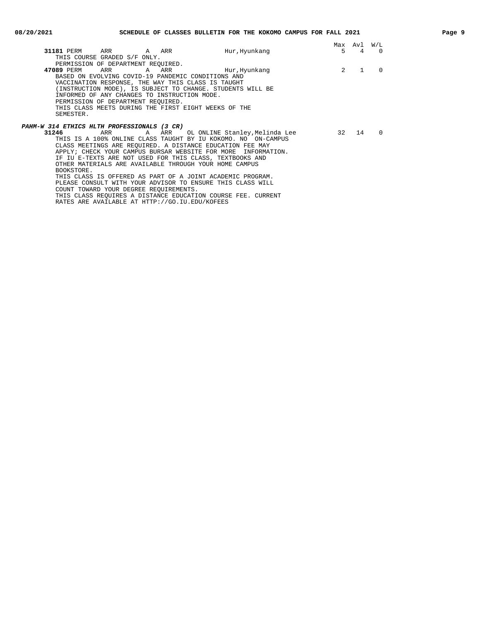|                                                               |               | Max            | Avl            | W/L      |
|---------------------------------------------------------------|---------------|----------------|----------------|----------|
| 31181 PERM ARR<br>A ARR                                       | Hur, Hyunkang | 5              | $\overline{4}$ | $\Omega$ |
| THIS COURSE GRADED S/F ONLY.                                  |               |                |                |          |
| PERMISSION OF DEPARTMENT REQUIRED.                            |               |                |                |          |
| 47089 PERM<br>ARR<br>A ARR                                    | Hur, Hyunkang | $\overline{2}$ |                | $\Omega$ |
| BASED ON EVOLVING COVID-19 PANDEMIC CONDITIONS AND            |               |                |                |          |
| VACCINATION RESPONSE, THE WAY THIS CLASS IS TAUGHT            |               |                |                |          |
| (INSTRUCTION MODE), IS SUBJECT TO CHANGE. STUDENTS WILL BE    |               |                |                |          |
| INFORMED OF ANY CHANGES TO INSTRUCTION MODE.                  |               |                |                |          |
| PERMISSION OF DEPARTMENT REQUIRED.                            |               |                |                |          |
| THIS CLASS MEETS DURING THE FIRST EIGHT WEEKS OF THE          |               |                |                |          |
| SEMESTER.                                                     |               |                |                |          |
|                                                               |               |                |                |          |
| PAHM-W 314 ETHICS HLTH PROFESSIONALS (3 CR)                   |               |                |                |          |
| A ARR OL ONLINE Stanley,Melinda Lee<br>31246<br>ARR           |               | 32 a           | 14             | $\Omega$ |
| THIS IS A 100% ONLINE CLASS TAUGHT BY IU KOKOMO. NO ON-CAMPUS |               |                |                |          |
| CLASS MEETINGS ARE REQUIRED. A DISTANCE EDUCATION FEE MAY     |               |                |                |          |
| APPLY; CHECK YOUR CAMPUS BURSAR WEBSITE FOR MORE INFORMATION. |               |                |                |          |
| IF IU E-TEXTS ARE NOT USED FOR THIS CLASS, TEXTBOOKS AND      |               |                |                |          |
| OTHER MATERIALS ARE AVAILABLE THROUGH YOUR HOME CAMPUS        |               |                |                |          |
| BOOKSTORE.                                                    |               |                |                |          |
| THIS CLASS IS OFFERED AS PART OF A JOINT ACADEMIC PROGRAM.    |               |                |                |          |

PLEASE CONSULT WITH YOUR ADVISOR TO ENSURE THIS CLASS WILL

THIS CLASS REQUIRES A DISTANCE EDUCATION COURSE FEE. CURRENT

COUNT TOWARD YOUR DEGREE REQUIREMENTS.

RATES ARE AVAILABLE AT HTTP://GO.IU.EDU/KOFEES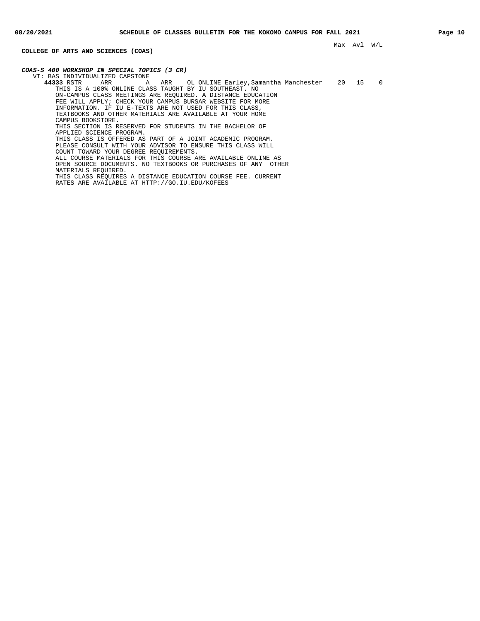**COLLEGE OF ARTS AND SCIENCES (COAS)**

**COAS-S 400 WORKSHOP IN SPECIAL TOPICS (3 CR)** VT: BAS INDIVIDUALIZED CAPSTONE<br>44333 RSTR ARR A ARR OL ONLINE Earley, Samantha Manchester 20 15 0 THIS IS A 100% ONLINE CLASS TAUGHT BY IU SOUTHEAST. NO ON-CAMPUS CLASS MEETINGS ARE REQUIRED. A DISTANCE EDUCATION FEE WILL APPLY; CHECK YOUR CAMPUS BURSAR WEBSITE FOR MORE INFORMATION. IF IU E-TEXTS ARE NOT USED FOR THIS CLASS, TEXTBOOKS AND OTHER MATERIALS ARE AVAILABLE AT YOUR HOME CAMPUS BOOKSTORE. THIS SECTION IS RESERVED FOR STUDENTS IN THE BACHELOR OF APPLIED SCIENCE PROGRAM. THIS CLASS IS OFFERED AS PART OF A JOINT ACADEMIC PROGRAM. PLEASE CONSULT WITH YOUR ADVISOR TO ENSURE THIS CLASS WILL COUNT TOWARD YOUR DEGREE REQUIREMENTS. ALL COURSE MATERIALS FOR THIS COURSE ARE AVAILABLE ONLINE AS OPEN SOURCE DOCUMENTS. NO TEXTBOOKS OR PURCHASES OF ANY OTHER MATERIALS REQUIRED. THIS CLASS REQUIRES A DISTANCE EDUCATION COURSE FEE. CURRENT RATES ARE AVAILABLE AT HTTP://GO.IU.EDU/KOFEES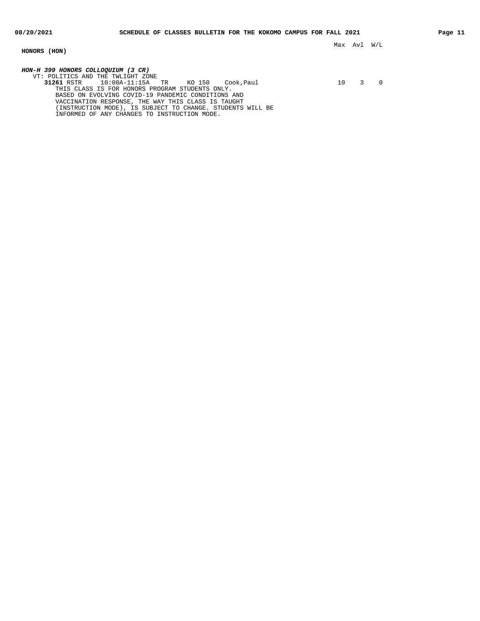## **HONORS (HON)**

**HON-H 399 HONORS COLLOQUIUM (3 CR)** VT: POLITICS AND THE TWLIGHT ZONE<br>31261 RSTR 10:00A-11:15A TR

**31261** RSTR 10:00A-11:15A TR KO 150 Cook, Paul 10 10 3 0

THIS CLASS IS FOR HONORS PROGRAM STUDENTS ONLY. BASED ON EVOLVING COVID-19 PANDEMIC CONDITIONS AND VACCINATION RESPONSE, THE WAY THIS CLASS IS TAUGHT (INSTRUCTION MODE), IS SUBJECT TO CHANGE. STUDENTS WILL BE INFORMED OF ANY CHANGES TO INSTRUCTION MODE.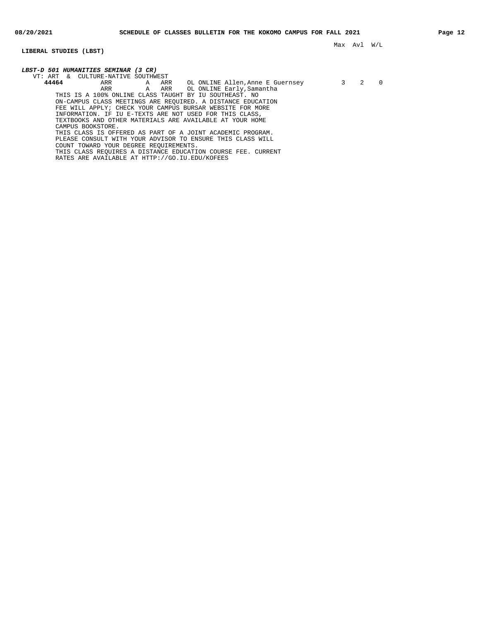**LIBERAL STUDIES (LBST)**

Max Avl W/L

| <i>LBST-D 501 HUMANITIES SEMINAR (3 CR)</i>                  |   |   |  |
|--------------------------------------------------------------|---|---|--|
| VT: ART & CULTURE-NATIVE SOUTHWEST                           |   |   |  |
| 44464<br>A ARR<br>ARR<br>OL ONLINE Allen,Anne E Guernsey     | 3 | 2 |  |
| A ARR OL ONLINE Early, Samantha<br>ARR                       |   |   |  |
| THIS IS A 100% ONLINE CLASS TAUGHT BY IU SOUTHEAST. NO       |   |   |  |
| ON-CAMPUS CLASS MEETINGS ARE REOUIRED. A DISTANCE EDUCATION  |   |   |  |
| FEE WILL APPLY; CHECK YOUR CAMPUS BURSAR WEBSITE FOR MORE    |   |   |  |
| INFORMATION. IF IU E-TEXTS ARE NOT USED FOR THIS CLASS,      |   |   |  |
| TEXTBOOKS AND OTHER MATERIALS ARE AVAILABLE AT YOUR HOME     |   |   |  |
| CAMPUS BOOKSTORE.                                            |   |   |  |
| THIS CLASS IS OFFERED AS PART OF A JOINT ACADEMIC PROGRAM.   |   |   |  |
| PLEASE CONSULT WITH YOUR ADVISOR TO ENSURE THIS CLASS WILL   |   |   |  |
| COUNT TOWARD YOUR DEGREE REOUIREMENTS.                       |   |   |  |
| THIS CLASS REOUIRES A DISTANCE EDUCATION COURSE FEE. CURRENT |   |   |  |
| RATES ARE AVAILABLE AT HTTP://GO.IU.EDU/KOFEES               |   |   |  |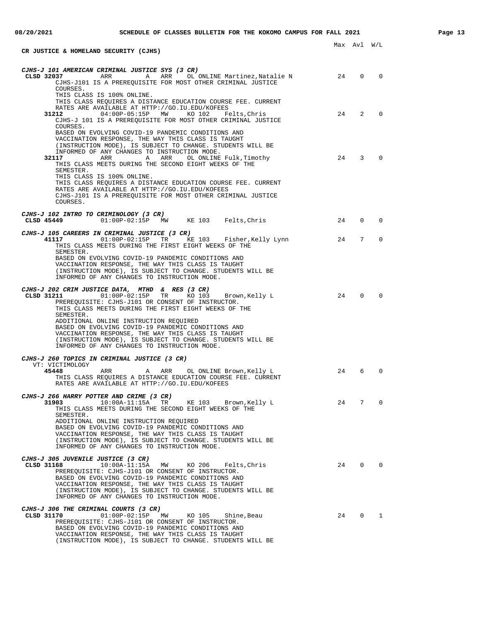| CR JUSTICE & HOMELAND SECURITY (CJHS)                                                                                                                                                                                                                                                                                                                                                     |    | Max Avl W/L    |                |
|-------------------------------------------------------------------------------------------------------------------------------------------------------------------------------------------------------------------------------------------------------------------------------------------------------------------------------------------------------------------------------------------|----|----------------|----------------|
| CJHS-J 101 AMERICAN CRIMINAL JUSTICE SYS (3 CR)<br>ARR ARR OL ONLINE Martinez, Natalie N 24<br>CLSD 32037<br>CJHS-J101 IS A PREREQUISITE FOR MOST OTHER CRIMINAL JUSTICE<br>COURSES.                                                                                                                                                                                                      |    | $\overline{0}$ | $\bigcirc$     |
| THIS CLASS IS 100% ONLINE.<br>THIS CLASS REQUIRES A DISTANCE EDUCATION COURSE FEE. CURRENT<br>RATES ARE AVAILABLE AT HTTP://GO.IU.EDU/KOFEES<br>31212<br>04:00P-05:15P MW KO 102<br>Felts,Chris                                                                                                                                                                                           | 24 | 2              | $\overline{0}$ |
| CJHS-J 101 IS A PREREOUISITE FOR MOST OTHER CRIMINAL JUSTICE<br>COURSES.<br>BASED ON EVOLVING COVID-19 PANDEMIC CONDITIONS AND<br>VACCINATION RESPONSE, THE WAY THIS CLASS IS TAUGHT<br>(INSTRUCTION MODE), IS SUBJECT TO CHANGE. STUDENTS WILL BE                                                                                                                                        |    |                |                |
| INFORMED OF ANY CHANGES TO INSTRUCTION MODE.<br>ARR ARR<br>32117<br>OL ONLINE Fulk,Timothy<br>THIS CLASS MEETS DURING THE SECOND EIGHT WEEKS OF THE<br>SEMESTER.                                                                                                                                                                                                                          | 24 | 3              | $\Omega$       |
| THIS CLASS IS 100% ONLINE.<br>THIS CLASS REQUIRES A DISTANCE EDUCATION COURSE FEE. CURRENT<br>RATES ARE AVAILABLE AT HTTP://GO.IU.EDU/KOFEES<br>CJHS-J101 IS A PREREOUISITE FOR MOST OTHER CRIMINAL JUSTICE<br>COURSES.                                                                                                                                                                   |    |                |                |
| CJHS-J 102 INTRO TO CRIMINOLOGY (3 CR)<br>CLSD $45449$ 01:00P-02:15P MW KE 103 Felts, Chris                                                                                                                                                                                                                                                                                               | 24 | 0              | $\Omega$       |
| CJHS-J 105 CAREERS IN CRIMINAL JUSTICE (3 CR)<br>41117 01:00P-02:15P TR KE 103 Fisher, Kelly Lynn<br>THIS CLASS MEETS DURING THE FIRST EIGHT WEEKS OF THE<br>SEMESTER.                                                                                                                                                                                                                    | 24 | 7              | $\Omega$       |
| BASED ON EVOLVING COVID-19 PANDEMIC CONDITIONS AND<br>VACCINATION RESPONSE, THE WAY THIS CLASS IS TAUGHT<br>(INSTRUCTION MODE), IS SUBJECT TO CHANGE. STUDENTS WILL BE<br>INFORMED OF ANY CHANGES TO INSTRUCTION MODE.                                                                                                                                                                    |    |                |                |
| CJHS-J 202 CRIM JUSTICE DATA, MTHD & RES (3 CR)<br>CLSD 31211<br>$01:00P-02:15P$ TR<br>KO 103 Brown, Kelly L<br>PREREQUISITE: CJHS-J101 OR CONSENT OF INSTRUCTOR.<br>THIS CLASS MEETS DURING THE FIRST EIGHT WEEKS OF THE<br>SEMESTER.                                                                                                                                                    | 24 | $\Omega$       | $\Omega$       |
| ADDITIONAL ONLINE INSTRUCTION REQUIRED<br>BASED ON EVOLVING COVID-19 PANDEMIC CONDITIONS AND<br>VACCINATION RESPONSE, THE WAY THIS CLASS IS TAUGHT<br>(INSTRUCTION MODE), IS SUBJECT TO CHANGE. STUDENTS WILL BE<br>INFORMED OF ANY CHANGES TO INSTRUCTION MODE.                                                                                                                          |    |                |                |
| CJHS-J 260 TOPICS IN CRIMINAL JUSTICE (3 CR)                                                                                                                                                                                                                                                                                                                                              |    |                |                |
| VT: VICTIMOLOGY<br>45448<br>ARR<br>ARR<br>OL ONLINE Brown, Kelly L<br>A<br>THIS CLASS REOUIRES A DISTANCE EDUCATION COURSE FEE. CURRENT<br>RATES ARE AVAILABLE AT HTTP://GO.IU.EDU/KOFEES                                                                                                                                                                                                 | 24 | 6              | $\Omega$       |
| CJHS-J 266 HARRY POTTER AND CRIME (3 CR)<br>31903<br>$10:00A-11:15A$<br>TR<br>KE 103<br>Brown, Kelly L<br>THIS CLASS MEETS DURING THE SECOND EIGHT WEEKS OF THE<br>SEMESTER.<br>ADDITIONAL ONLINE INSTRUCTION REQUIRED<br>BASED ON EVOLVING COVID-19 PANDEMIC CONDITIONS AND                                                                                                              | 24 | 7              | $\Omega$       |
| VACCINATION RESPONSE, THE WAY THIS CLASS IS TAUGHT<br>(INSTRUCTION MODE), IS SUBJECT TO CHANGE. STUDENTS WILL BE<br>INFORMED OF ANY CHANGES TO INSTRUCTION MODE.                                                                                                                                                                                                                          |    |                |                |
| <i>CJHS-J 305 JUVENILE JUSTICE (3 CR)</i><br>CLSD 31168<br>$10:00A-11:15A$<br>MW<br>KO 206<br>Felts, Chris<br>PREREQUISITE: CJHS-J101 OR CONSENT OF INSTRUCTOR.<br>BASED ON EVOLVING COVID-19 PANDEMIC CONDITIONS AND<br>VACCINATION RESPONSE, THE WAY THIS CLASS IS TAUGHT<br>(INSTRUCTION MODE), IS SUBJECT TO CHANGE. STUDENTS WILL BE<br>INFORMED OF ANY CHANGES TO INSTRUCTION MODE. | 24 | $\mathbf{0}$   | $\Omega$       |
| CJHS-J 306 THE CRIMINAL COURTS (3 CR)<br>CLSD 31170<br>$01:00P-02:15P$<br>MW<br>KO 105<br>Shine, Beau<br>PREREQUISITE: CJHS-J101 OR CONSENT OF INSTRUCTOR.<br>BASED ON EVOLVING COVID-19 PANDEMIC CONDITIONS AND<br>VACCINATION RESPONSE, THE WAY THIS CLASS IS TAUGHT<br>(INSTRUCTION MODE), IS SUBJECT TO CHANGE. STUDENTS WILL BE                                                      | 24 | $\overline{0}$ | 1              |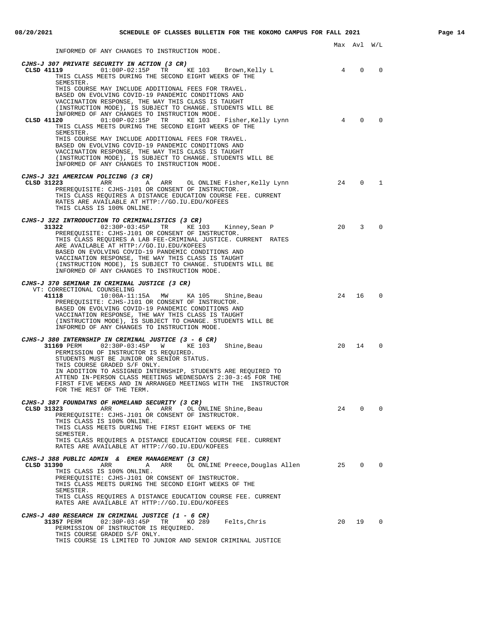INFORMED OF ANY CHANGES TO INSTRUCTION MODE.

| <i>CJHS-J 307 PRIVATE SECURITY IN ACTION (3 CR)</i><br>CLSD 41119<br>$01:00P-02:15P$<br>TR KE 103 Brown, Kelly L<br>THIS CLASS MEETS DURING THE SECOND EIGHT WEEKS OF THE                                                                                                                                                                                                                                                                                                                          | 4              | $\overline{0}$ | 0           |
|----------------------------------------------------------------------------------------------------------------------------------------------------------------------------------------------------------------------------------------------------------------------------------------------------------------------------------------------------------------------------------------------------------------------------------------------------------------------------------------------------|----------------|----------------|-------------|
| SEMESTER.<br>THIS COURSE MAY INCLUDE ADDITIONAL FEES FOR TRAVEL.<br>BASED ON EVOLVING COVID-19 PANDEMIC CONDITIONS AND<br>VACCINATION RESPONSE, THE WAY THIS CLASS IS TAUGHT<br>(INSTRUCTION MODE), IS SUBJECT TO CHANGE. STUDENTS WILL BE<br>INFORMED OF ANY CHANGES TO INSTRUCTION MODE.<br>$01:00P-02:15P$<br>CLSD 41120<br>TR KE 103<br>Fisher, Kelly Lynn<br>THIS CLASS MEETS DURING THE SECOND EIGHT WEEKS OF THE<br>SEMESTER.                                                               | $\overline{4}$ | $\Omega$       | $\Omega$    |
| THIS COURSE MAY INCLUDE ADDITIONAL FEES FOR TRAVEL.<br>BASED ON EVOLVING COVID-19 PANDEMIC CONDITIONS AND<br>VACCINATION RESPONSE, THE WAY THIS CLASS IS TAUGHT<br>(INSTRUCTION MODE), IS SUBJECT TO CHANGE. STUDENTS WILL BE<br>INFORMED OF ANY CHANGES TO INSTRUCTION MODE.                                                                                                                                                                                                                      |                |                |             |
| CJHS-J 321 AMERICAN POLICING (3 CR)<br>CLSD 31223<br>ARR<br>A ARR OL ONLINE Fisher,Kelly Lynn<br>PREREQUISITE: CJHS-J101 OR CONSENT OF INSTRUCTOR.<br>THIS CLASS REQUIRES A DISTANCE EDUCATION COURSE FEE. CURRENT<br>RATES ARE AVAILABLE AT HTTP://GO.IU.EDU/KOFEES<br>THIS CLASS IS 100% ONLINE.                                                                                                                                                                                                 | 24             | $\overline{0}$ | 1           |
| CJHS-J 322 INTRODUCTION TO CRIMINALISTICS (3 CR)<br>02:30P-03:45P TR KE 103<br>31322<br>Kinney, Sean P<br>PREREQUISITE: CJHS-J101 OR CONSENT OF INSTRUCTOR.<br>THIS CLASS REQUIRES A LAB FEE-CRIMINAL JUSTICE. CURRENT RATES<br>ARE AVAILABLE AT HTTP://GO.IU.EDU/KOFEES<br>BASED ON EVOLVING COVID-19 PANDEMIC CONDITIONS AND<br>VACCINATION RESPONSE, THE WAY THIS CLASS IS TAUGHT<br>(INSTRUCTION MODE), IS SUBJECT TO CHANGE. STUDENTS WILL BE<br>INFORMED OF ANY CHANGES TO INSTRUCTION MODE. | 20             | 3              | $\Omega$    |
| CJHS-J 370 SEMINAR IN CRIMINAL JUSTICE (3 CR)<br>VT: CORRECTIONAL COUNSELING<br>41118<br>10:00A-11:15A MW<br>KA 105<br>Shine, Beau<br>PREREQUISITE: CJHS-J101 OR CONSENT OF INSTRUCTOR.<br>BASED ON EVOLVING COVID-19 PANDEMIC CONDITIONS AND<br>VACCINATION RESPONSE, THE WAY THIS CLASS IS TAUGHT<br>(INSTRUCTION MODE), IS SUBJECT TO CHANGE. STUDENTS WILL BE<br>INFORMED OF ANY CHANGES TO INSTRUCTION MODE.                                                                                  | 24             | 16             | $\mathbf 0$ |
| CJHS-J 380 INTERNSHIP IN CRIMINAL JUSTICE (3 - 6 CR)<br>31169 PERM 02:30P-03:45P W KE 103<br>Shine, Beau<br>PERMISSION OF INSTRUCTOR IS REQUIRED.<br>STUDENTS MUST BE JUNIOR OR SENIOR STATUS.<br>THIS COURSE GRADED S/F ONLY.<br>IN ADDITION TO ASSIGNED INTERNSHIP, STUDENTS ARE REQUIRED TO<br>ATTEND IN-PERSON CLASS MEETINGS WEDNESDAYS 2:30-3:45 FOR THE<br>FIRST FIVE WEEKS AND IN ARRANGED MEETINGS WITH THE INSTRUCTOR<br>FOR THE REST OF THE TERM.                                       | 20             | 14             | $\Omega$    |
| CJHS-J 387 FOUNDATNS OF HOMELAND SECURITY (3 CR)<br>A ARR<br>CLSD 31323<br>ARR<br>OL ONLINE Shine, Beau<br>PREREOUISITE: CJHS-J101 OR CONSENT OF INSTRUCTOR.<br>THIS CLASS IS 100% ONLINE.<br>THIS CLASS MEETS DURING THE FIRST EIGHT WEEKS OF THE<br>SEMESTER.<br>THIS CLASS REQUIRES A DISTANCE EDUCATION COURSE FEE. CURRENT<br>RATES ARE AVAILABLE AT HTTP://GO.IU.EDU/KOFEES                                                                                                                  | 24             | 0              | 0           |
| CJHS-J 388 PUBLIC ADMIN & EMER MANAGEMENT (3 CR)<br>CLSD 31390<br>OL ONLINE Preece, Douglas Allen<br>ARR A<br>ARR<br>THIS CLASS IS 100% ONLINE.<br>PREREQUISITE: CJHS-J101 OR CONSENT OF INSTRUCTOR.<br>THIS CLASS MEETS DURING THE SECOND EIGHT WEEKS OF THE<br>SEMESTER.<br>THIS CLASS REQUIRES A DISTANCE EDUCATION COURSE FEE. CURRENT<br>RATES ARE AVAILABLE AT HTTP://GO.IU.EDU/KOFEES                                                                                                       | 25             | $\mathbf 0$    | $\mathbf 0$ |
| CJHS-J 480 RESEARCH IN CRIMINAL JUSTICE (1 - 6 CR)<br>02:30P-03:45P TR KO 289<br>31357 PERM<br>Felts,Chris<br>PERMISSION OF INSTRUCTOR IS REQUIRED.<br>THIS COURSE GRADED S/F ONLY.<br>THIS COURSE IS LIMITED TO JUNIOR AND SENIOR CRIMINAL JUSTICE                                                                                                                                                                                                                                                | 20             | 19             | $\mathbf 0$ |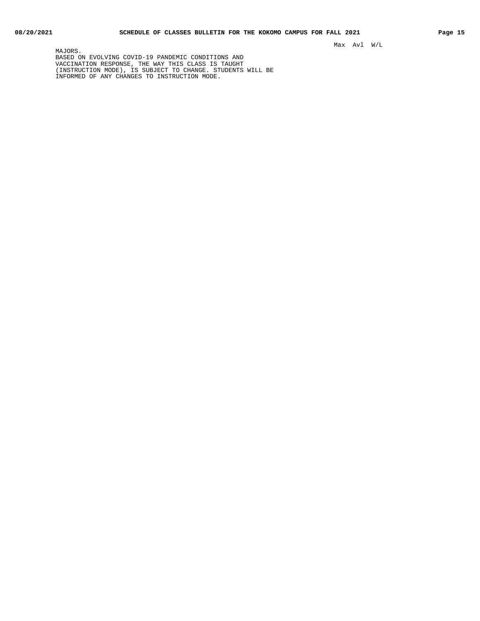MAJORS. BASED ON EVOLVING COVID-19 PANDEMIC CONDITIONS AND VACCINATION RESPONSE, THE WAY THIS CLASS IS TAUGHT (INSTRUCTION MODE), IS SUBJECT TO CHANGE. STUDENTS WILL BE INFORMED OF ANY CHANGES TO INSTRUCTION MODE.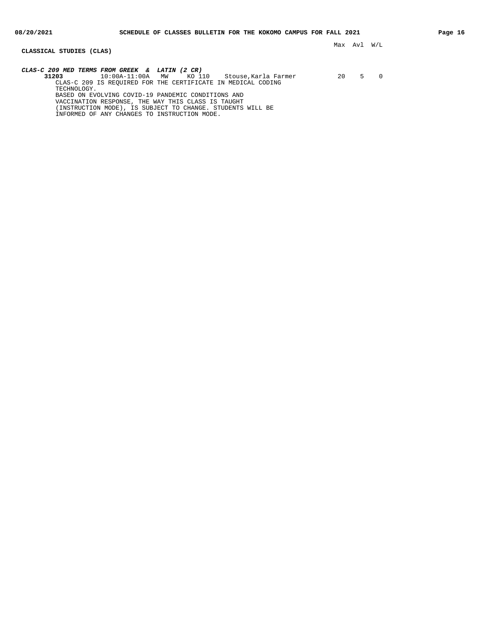### **CLASSICAL STUDIES (CLAS)**

Max Avl W/L

**CLAS-C 209 MED TERMS FROM GREEK & LATIN (2 CR) 31203** 10:00A-11:00A MW KO 110 Stouse,Karla Farmer 20 5 0 CLAS-C 209 IS REQUIRED FOR THE CERTIFICATE IN MEDICAL CODING TECHNOLOGY. BASED ON EVOLVING COVID-19 PANDEMIC CONDITIONS AND VACCINATION RESPONSE, THE WAY THIS CLASS IS TAUGHT (INSTRUCTION MODE), IS SUBJECT TO CHANGE. STUDENTS WILL BE

INFORMED OF ANY CHANGES TO INSTRUCTION MODE.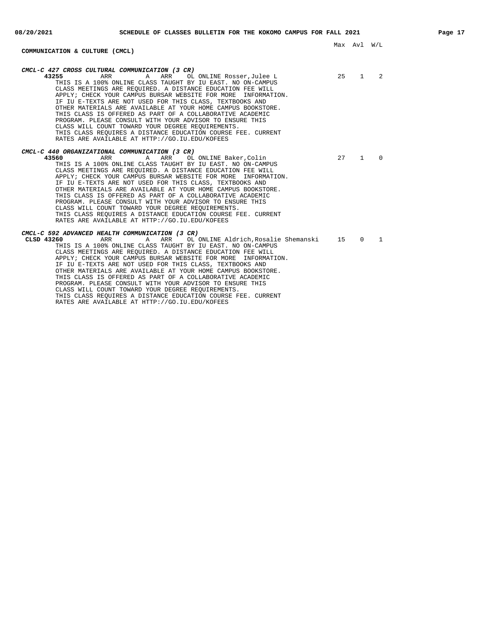# **COMMUNICATION & CULTURE (CMCL)**

| CMCL-C 427 CROSS CULTURAL COMMUNICATION (3 CR)<br>43255<br>ARR<br>A ARR<br>OL ONLINE Rosser, Julee L<br>THIS IS A 100% ONLINE CLASS TAUGHT BY IU EAST. NO ON-CAMPUS<br>CLASS MEETINGS ARE REQUIRED. A DISTANCE EDUCATION FEE WILL<br>APPLY; CHECK YOUR CAMPUS BURSAR WEBSITE FOR MORE INFORMATION.<br>IF IU E-TEXTS ARE NOT USED FOR THIS CLASS, TEXTBOOKS AND<br>OTHER MATERIALS ARE AVAILABLE AT YOUR HOME CAMPUS BOOKSTORE.<br>THIS CLASS IS OFFERED AS PART OF A COLLABORATIVE ACADEMIC<br>PROGRAM. PLEASE CONSULT WITH YOUR ADVISOR TO ENSURE THIS<br>CLASS WILL COUNT TOWARD YOUR DEGREE REOUIREMENTS.<br>THIS CLASS REOUIRES A DISTANCE EDUCATION COURSE FEE. CURRENT<br>RATES ARE AVAILABLE AT HTTP://GO.IU.EDU/KOFEES | 25 | $\mathbf{1}$ | 2        |
|--------------------------------------------------------------------------------------------------------------------------------------------------------------------------------------------------------------------------------------------------------------------------------------------------------------------------------------------------------------------------------------------------------------------------------------------------------------------------------------------------------------------------------------------------------------------------------------------------------------------------------------------------------------------------------------------------------------------------------|----|--------------|----------|
| CMCL-C 440 ORGANIZATIONAL COMMUNICATION (3 CR)<br>43560<br>ARR<br>A ARR OL ONLINE Baker, Colin<br>THIS IS A 100% ONLINE CLASS TAUGHT BY IU EAST. NO ON-CAMPUS<br>CLASS MEETINGS ARE REOUIRED. A DISTANCE EDUCATION FEE WILL<br>APPLY; CHECK YOUR CAMPUS BURSAR WEBSITE FOR MORE INFORMATION.<br>IF IU E-TEXTS ARE NOT USED FOR THIS CLASS, TEXTBOOKS AND<br>OTHER MATERIALS ARE AVAILABLE AT YOUR HOME CAMPUS BOOKSTORE.<br>THIS CLASS IS OFFERED AS PART OF A COLLABORATIVE ACADEMIC<br>PROGRAM. PLEASE CONSULT WITH YOUR ADVISOR TO ENSURE THIS<br>CLASS WILL COUNT TOWARD YOUR DEGREE REOUIREMENTS.<br>THIS CLASS REOUIRES A DISTANCE EDUCATION COURSE FEE. CURRENT<br>RATES ARE AVAILABLE AT HTTP://GO.IU.EDU/KOFEES       | 27 | $\mathbf{1}$ | $\Omega$ |
| CMCL-C 592 ADVANCED HEALTH COMMUNICATION (3 CR)<br>CLSD 43260<br>ARR<br>A ARR OL ONLINE Aldrich, Rosalie Shemanski<br>THIS IS A 100% ONLINE CLASS TAUGHT BY IU EAST. NO ON-CAMPUS<br>CLASS MEETINGS ARE REQUIRED. A DISTANCE EDUCATION FEE WILL<br>APPLY; CHECK YOUR CAMPUS BURSAR WEBSITE FOR MORE INFORMATION.<br>IF IU E-TEXTS ARE NOT USED FOR THIS CLASS, TEXTBOOKS AND<br>OTHER MATERIALS ARE AVAILABLE AT YOUR HOME CAMPUS BOOKSTORE.<br>THIS CLASS IS OFFERED AS PART OF A COLLABORATIVE ACADEMIC<br>PROGRAM. PLEASE CONSULT WITH YOUR ADVISOR TO ENSURE THIS<br>CLASS WILL COUNT TOWARD YOUR DEGREE REOUIREMENTS.<br>THIS CLASS REOUIRES A DISTANCE EDUCATION COURSE FEE. CURRENT                                     | 15 | $\Omega$     | 1        |

RATES ARE AVAILABLE AT HTTP://GO.IU.EDU/KOFEES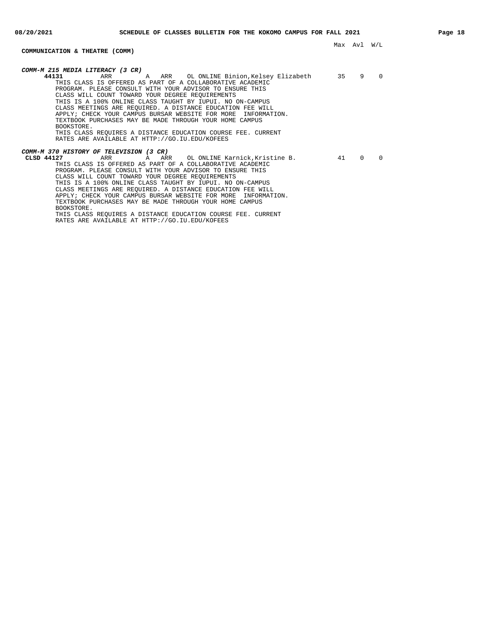# **COMMUNICATION & THEATRE (COMM)**

BOOKSTORE.

| COMM-M 215 MEDIA LITERACY (3 CR)                                 |    |          |          |
|------------------------------------------------------------------|----|----------|----------|
| 44131<br>A ARR OL ONLINE Binion,Kelsey Elizabeth<br>ARR          | 35 | 9        | $\Omega$ |
| THIS CLASS IS OFFERED AS PART OF A COLLABORATIVE ACADEMIC        |    |          |          |
| PROGRAM. PLEASE CONSULT WITH YOUR ADVISOR TO ENSURE THIS         |    |          |          |
| CLASS WILL COUNT TOWARD YOUR DEGREE REOUIREMENTS                 |    |          |          |
| THIS IS A 100% ONLINE CLASS TAUGHT BY IUPUI. NO ON-CAMPUS        |    |          |          |
| CLASS MEETINGS ARE REOUIRED. A DISTANCE EDUCATION FEE WILL       |    |          |          |
| APPLY; CHECK YOUR CAMPUS BURSAR WEBSITE FOR MORE<br>INFORMATION. |    |          |          |
| TEXTBOOK PURCHASES MAY BE MADE THROUGH YOUR HOME CAMPUS          |    |          |          |
| BOOKSTORE.                                                       |    |          |          |
| THIS CLASS REQUIRES A DISTANCE EDUCATION COURSE FEE. CURRENT     |    |          |          |
| RATES ARE AVAILABLE AT HTTP://GO.IU.EDU/KOFEES                   |    |          |          |
|                                                                  |    |          |          |
| COMM-M 370 HISTORY OF TELEVISION (3 CR)                          |    |          |          |
| A ARR OL ONLINE Karnick, Kristine B.<br>CLSD 44127<br>ARR        | 41 | $\Omega$ | $\Omega$ |
| THIS CLASS IS OFFERED AS PART OF A COLLABORATIVE ACADEMIC        |    |          |          |
| PROGRAM, PLEASE CONSULT WITH YOUR ADVISOR TO ENSURE THIS         |    |          |          |
| CLASS WILL COUNT TOWARD YOUR DEGREE REOUIREMENTS                 |    |          |          |
| THIS IS A 100% ONLINE CLASS TAUGHT BY IUPUI. NO ON-CAMPUS        |    |          |          |
| CLASS MEETINGS ARE REQUIRED. A DISTANCE EDUCATION FEE WILL       |    |          |          |
| APPLY; CHECK YOUR CAMPUS BURSAR WEBSITE FOR MORE<br>INFORMATION. |    |          |          |
| TEXTBOOK PURCHASES MAY BE MADE THROUGH YOUR HOME CAMPUS          |    |          |          |

THIS CLASS REQUIRES A DISTANCE EDUCATION COURSE FEE. CURRENT

RATES ARE AVAILABLE AT HTTP://GO.IU.EDU/KOFEES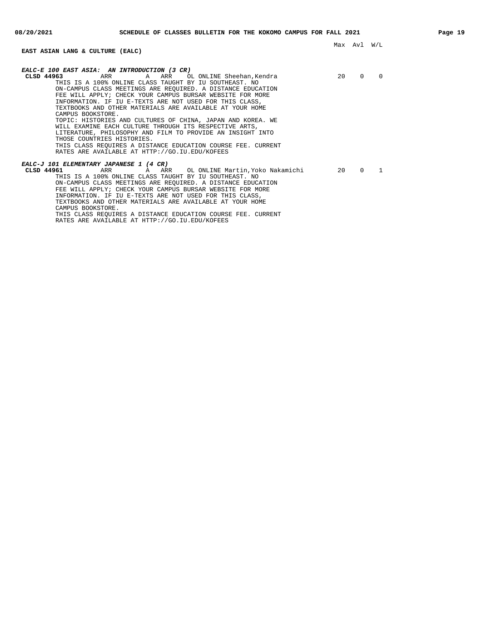# **EAST ASIAN LANG & CULTURE (EALC)**

| EALC-E 100 EAST ASIA: AN INTRODUCTION (3 CR)<br>CLSD 44963   | 20 | $\Omega$ | $\Omega$ |
|--------------------------------------------------------------|----|----------|----------|
| THIS IS A 100% ONLINE CLASS TAUGHT BY IU SOUTHEAST. NO       |    |          |          |
| ON-CAMPUS CLASS MEETINGS ARE REOUIRED. A DISTANCE EDUCATION  |    |          |          |
| FEE WILL APPLY; CHECK YOUR CAMPUS BURSAR WEBSITE FOR MORE    |    |          |          |
| INFORMATION. IF IU E-TEXTS ARE NOT USED FOR THIS CLASS,      |    |          |          |
| TEXTBOOKS AND OTHER MATERIALS ARE AVAILABLE AT YOUR HOME     |    |          |          |
| CAMPUS BOOKSTORE.                                            |    |          |          |
| TOPIC: HISTORIES AND CULTURES OF CHINA, JAPAN AND KOREA. WE  |    |          |          |
| WILL EXAMINE EACH CULTURE THROUGH ITS RESPECTIVE ARTS,       |    |          |          |
| LITERATURE, PHILOSOPHY AND FILM TO PROVIDE AN INSIGHT INTO   |    |          |          |
| THOSE COUNTRIES HISTORIES.                                   |    |          |          |
| THIS CLASS REOUIRES A DISTANCE EDUCATION COURSE FEE. CURRENT |    |          |          |
| RATES ARE AVAILABLE AT HTTP://GO.IU.EDU/KOFEES               |    |          |          |
| EALC-J 101 ELEMENTARY JAPANESE 1 (4 CR)                      |    |          |          |
| CLSD 44961                                                   | 20 | $\Omega$ |          |
| THIS IS A 100% ONLINE CLASS TAUGHT BY IU SOUTHEAST. NO       |    |          |          |
| ON-CAMPUS CLASS MEETINGS ARE REOUIRED. A DISTANCE EDUCATION  |    |          |          |
| FEE WILL APPLY; CHECK YOUR CAMPUS BURSAR WEBSITE FOR MORE    |    |          |          |
| INFORMATION. IF IU E-TEXTS ARE NOT USED FOR THIS CLASS,      |    |          |          |
| TEXTBOOKS AND OTHER MATERIALS ARE AVAILABLE AT YOUR HOME     |    |          |          |
| CAMPUS BOOKSTORE.                                            |    |          |          |

THIS CLASS REQUIRES A DISTANCE EDUCATION COURSE FEE. CURRENT RATES ARE AVAILABLE AT HTTP://GO.IU.EDU/KOFEES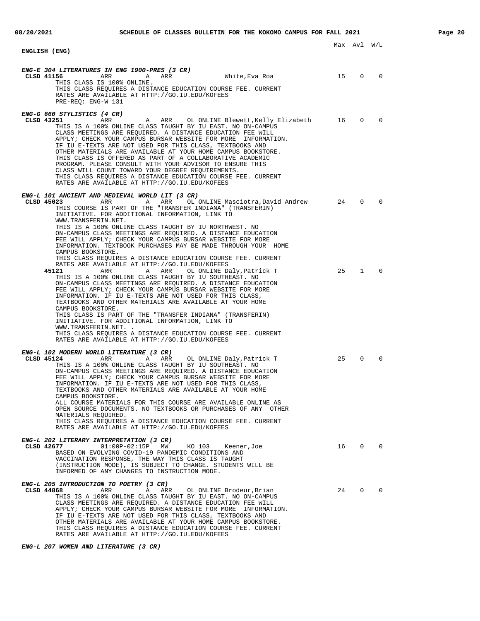| ENGLISH (ENG)                                                                                                                                                                                                                                                                                                                                                                                                                                                                                                                                                                                                                                                                                                                                                                                                                                                                                                                                                                                                                                                                                                                                                                                                                                                                                                    |          | Max Avl W/L                 |                         |  |
|------------------------------------------------------------------------------------------------------------------------------------------------------------------------------------------------------------------------------------------------------------------------------------------------------------------------------------------------------------------------------------------------------------------------------------------------------------------------------------------------------------------------------------------------------------------------------------------------------------------------------------------------------------------------------------------------------------------------------------------------------------------------------------------------------------------------------------------------------------------------------------------------------------------------------------------------------------------------------------------------------------------------------------------------------------------------------------------------------------------------------------------------------------------------------------------------------------------------------------------------------------------------------------------------------------------|----------|-----------------------------|-------------------------|--|
| ENG-E 304 LITERATURES IN ENG 1900-PRES (3 CR)<br>CLSD 41156<br>ARR<br>ARR<br>White,Eva Roa<br>A<br>THIS CLASS IS 100% ONLINE.<br>THIS CLASS REQUIRES A DISTANCE EDUCATION COURSE FEE. CURRENT<br>RATES ARE AVAILABLE AT HTTP://GO.IU.EDU/KOFEES<br>PRE-REQ: ENG-W 131                                                                                                                                                                                                                                                                                                                                                                                                                                                                                                                                                                                                                                                                                                                                                                                                                                                                                                                                                                                                                                            | 15       | 0                           | 0                       |  |
| <i>ENG-G 660 STYLISTICS (4 CR)</i><br>CLSD 43251<br>OL ONLINE Blewett,Kelly Elizabeth<br>ARR<br>A<br>ARR<br>THIS IS A 100% ONLINE CLASS TAUGHT BY IU EAST. NO ON-CAMPUS<br>CLASS MEETINGS ARE REOUIRED. A DISTANCE EDUCATION FEE WILL<br>APPLY; CHECK YOUR CAMPUS BURSAR WEBSITE FOR MORE INFORMATION.<br>IF IU E-TEXTS ARE NOT USED FOR THIS CLASS, TEXTBOOKS AND<br>OTHER MATERIALS ARE AVAILABLE AT YOUR HOME CAMPUS BOOKSTORE.<br>THIS CLASS IS OFFERED AS PART OF A COLLABORATIVE ACADEMIC<br>PROGRAM. PLEASE CONSULT WITH YOUR ADVISOR TO ENSURE THIS<br>CLASS WILL COUNT TOWARD YOUR DEGREE REQUIREMENTS.<br>THIS CLASS REQUIRES A DISTANCE EDUCATION COURSE FEE. CURRENT<br>RATES ARE AVAILABLE AT HTTP://GO.IU.EDU/KOFEES                                                                                                                                                                                                                                                                                                                                                                                                                                                                                                                                                                               | 16       | $\mathbf 0$                 | $\mathbf 0$             |  |
| ENG-L 101 ANCIENT AND MEDIEVAL WORLD LIT (3 CR)<br>CLSD 45023<br>ARR<br>ARR<br>OL ONLINE Masciotra, David Andrew<br>A<br>THIS COURSE IS PART OF THE "TRANSFER INDIANA" (TRANSFERIN)<br>INITIATIVE. FOR ADDITIONAL INFORMATION, LINK TO<br>WWW.TRANSFERIN.NET.<br>THIS IS A 100% ONLINE CLASS TAUGHT BY IU NORTHWEST. NO<br>ON-CAMPUS CLASS MEETINGS ARE REQUIRED. A DISTANCE EDUCATION<br>FEE WILL APPLY; CHECK YOUR CAMPUS BURSAR WEBSITE FOR MORE<br>INFORMATION. TEXTBOOK PURCHASES MAY BE MADE THROUGH YOUR HOME<br>CAMPUS BOOKSTORE.<br>THIS CLASS REQUIRES A DISTANCE EDUCATION COURSE FEE. CURRENT<br>RATES ARE AVAILABLE AT HTTP://GO.IU.EDU/KOFEES<br>45121<br>ARR<br>ARR<br>OL ONLINE Daly,Patrick T<br>A<br>THIS IS A 100% ONLINE CLASS TAUGHT BY IU SOUTHEAST. NO<br>ON-CAMPUS CLASS MEETINGS ARE REOUIRED. A DISTANCE EDUCATION<br>FEE WILL APPLY; CHECK YOUR CAMPUS BURSAR WEBSITE FOR MORE<br>INFORMATION. IF IU E-TEXTS ARE NOT USED FOR THIS CLASS,<br>TEXTBOOKS AND OTHER MATERIALS ARE AVAILABLE AT YOUR HOME<br>CAMPUS BOOKSTORE.<br>THIS CLASS IS PART OF THE "TRANSFER INDIANA" (TRANSFERIN)<br>INITIATIVE. FOR ADDITIONAL INFORMATION, LINK TO<br>WWW.TRANSFERIN.NET. .<br>THIS CLASS REQUIRES A DISTANCE EDUCATION COURSE FEE. CURRENT<br>RATES ARE AVAILABLE AT HTTP://GO.IU.EDU/KOFEES | 24<br>25 | $\mathbf 0$<br>$\mathbf{1}$ | $\Omega$<br>$\mathbf 0$ |  |
| ENG-L 102 MODERN WORLD LITERATURE (3 CR)<br>CLSD 45124<br>ARR<br>ARR<br>Α<br>OL ONLINE Daly, Patrick T<br>THIS IS A 100% ONLINE CLASS TAUGHT BY IU SOUTHEAST. NO<br>ON-CAMPUS CLASS MEETINGS ARE REQUIRED. A DISTANCE EDUCATION<br>FEE WILL APPLY; CHECK YOUR CAMPUS BURSAR WEBSITE FOR MORE<br>INFORMATION. IF IU E-TEXTS ARE NOT USED FOR THIS CLASS,<br>TEXTBOOKS AND OTHER MATERIALS ARE AVAILABLE AT YOUR HOME<br>CAMPUS BOOKSTORE.<br>ALL COURSE MATERIALS FOR THIS COURSE ARE AVAILABLE ONLINE AS<br>OPEN SOURCE DOCUMENTS. NO TEXTBOOKS OR PURCHASES OF ANY OTHER<br>MATERIALS REQUIRED.<br>THIS CLASS REQUIRES A DISTANCE EDUCATION COURSE FEE. CURRENT<br>RATES ARE AVAILABLE AT HTTP://GO.IU.EDU/KOFEES                                                                                                                                                                                                                                                                                                                                                                                                                                                                                                                                                                                               | 25       | 0                           | $\Omega$                |  |
| ENG-L 202 LITERARY INTERPRETATION (3 CR)<br>CLSD 42677<br>$01:00P-02:15P$ MW<br>KO 103<br>Keener,Joe<br>BASED ON EVOLVING COVID-19 PANDEMIC CONDITIONS AND<br>VACCINATION RESPONSE, THE WAY THIS CLASS IS TAUGHT<br>(INSTRUCTION MODE), IS SUBJECT TO CHANGE. STUDENTS WILL BE<br>INFORMED OF ANY CHANGES TO INSTRUCTION MODE.                                                                                                                                                                                                                                                                                                                                                                                                                                                                                                                                                                                                                                                                                                                                                                                                                                                                                                                                                                                   | 16       | 0                           | $\mathbf 0$             |  |
| ENG-L 205 INTRODUCTION TO POETRY (3 CR)<br>CLSD 44868<br>ARR<br>ARR<br>OL ONLINE Brodeur, Brian<br>Α<br>THIS IS A 100% ONLINE CLASS TAUGHT BY IU EAST. NO ON-CAMPUS<br>CLASS MEETINGS ARE REQUIRED. A DISTANCE EDUCATION FEE WILL<br>APPLY; CHECK YOUR CAMPUS BURSAR WEBSITE FOR MORE INFORMATION.<br>IF IU E-TEXTS ARE NOT USED FOR THIS CLASS, TEXTBOOKS AND<br>OTHER MATERIALS ARE AVAILABLE AT YOUR HOME CAMPUS BOOKSTORE.                                                                                                                                                                                                                                                                                                                                                                                                                                                                                                                                                                                                                                                                                                                                                                                                                                                                                   | 24       | $\mathbf 0$                 | $\Omega$                |  |

THIS CLASS REQUIRES A DISTANCE EDUCATION COURSE FEE. CURRENT RATES ARE AVAILABLE AT HTTP://GO.IU.EDU/KOFEES

# **ENG-L 207 WOMEN AND LITERATURE (3 CR)**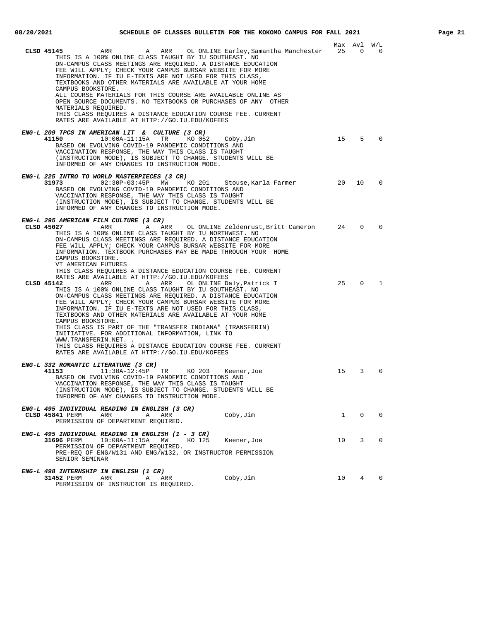|                                                                                                                                                                                                                                                                                                                                                                                                                                                                                                                                                                                                                                                         |              | Max Avl                  | W/L      |
|---------------------------------------------------------------------------------------------------------------------------------------------------------------------------------------------------------------------------------------------------------------------------------------------------------------------------------------------------------------------------------------------------------------------------------------------------------------------------------------------------------------------------------------------------------------------------------------------------------------------------------------------------------|--------------|--------------------------|----------|
| A ARR<br>OL ONLINE Earley,Samantha Manchester 25<br>CLSD 45145<br>ARR<br>THIS IS A 100% ONLINE CLASS TAUGHT BY IU SOUTHEAST. NO<br>ON-CAMPUS CLASS MEETINGS ARE REOUIRED. A DISTANCE EDUCATION<br>FEE WILL APPLY; CHECK YOUR CAMPUS BURSAR WEBSITE FOR MORE<br>INFORMATION. IF IU E-TEXTS ARE NOT USED FOR THIS CLASS,<br>TEXTBOOKS AND OTHER MATERIALS ARE AVAILABLE AT YOUR HOME<br>CAMPUS BOOKSTORE.                                                                                                                                                                                                                                                 |              | $\overline{\phantom{0}}$ | 0        |
| ALL COURSE MATERIALS FOR THIS COURSE ARE AVAILABLE ONLINE AS<br>OPEN SOURCE DOCUMENTS. NO TEXTBOOKS OR PURCHASES OF ANY OTHER<br>MATERIALS REQUIRED.<br>THIS CLASS REQUIRES A DISTANCE EDUCATION COURSE FEE. CURRENT<br>RATES ARE AVAILABLE AT HTTP://GO.IU.EDU/KOFEES                                                                                                                                                                                                                                                                                                                                                                                  |              |                          |          |
| ENG-L 209 TPCS IN AMERICAN LIT & CULTURE (3 CR)                                                                                                                                                                                                                                                                                                                                                                                                                                                                                                                                                                                                         |              |                          |          |
| 41150<br>$10:00A-11:15A$<br>TR<br>KO 052<br>Coby,Jim<br>BASED ON EVOLVING COVID-19 PANDEMIC CONDITIONS AND<br>VACCINATION RESPONSE, THE WAY THIS CLASS IS TAUGHT<br>(INSTRUCTION MODE), IS SUBJECT TO CHANGE. STUDENTS WILL BE<br>INFORMED OF ANY CHANGES TO INSTRUCTION MODE.                                                                                                                                                                                                                                                                                                                                                                          | 15           | $5 -$                    | $\Omega$ |
| ENG-L 225 INTRO TO WORLD MASTERPIECES (3 CR)<br>31973<br>$02:30P-03:45P$ MW<br>KO 201<br>Stouse,Karla Farmer<br>BASED ON EVOLVING COVID-19 PANDEMIC CONDITIONS AND<br>VACCINATION RESPONSE, THE WAY THIS CLASS IS TAUGHT<br>(INSTRUCTION MODE), IS SUBJECT TO CHANGE. STUDENTS WILL BE<br>INFORMED OF ANY CHANGES TO INSTRUCTION MODE.                                                                                                                                                                                                                                                                                                                  | 20           | 10                       | 0        |
| ENG-L 295 AMERICAN FILM CULTURE (3 CR)<br>CLSD 45027<br>ARR<br>A<br>ARR<br>OL ONLINE Zeldenrust,Britt Cameron 24<br>THIS IS A 100% ONLINE CLASS TAUGHT BY IU NORTHWEST. NO                                                                                                                                                                                                                                                                                                                                                                                                                                                                              |              | $\Omega$                 | $\Omega$ |
| ON-CAMPUS CLASS MEETINGS ARE REQUIRED. A DISTANCE EDUCATION<br>FEE WILL APPLY; CHECK YOUR CAMPUS BURSAR WEBSITE FOR MORE<br>INFORMATION. TEXTBOOK PURCHASES MAY BE MADE THROUGH YOUR HOME<br>CAMPUS BOOKSTORE.<br>VT AMERICAN FUTURES<br>THIS CLASS REQUIRES A DISTANCE EDUCATION COURSE FEE. CURRENT<br>RATES ARE AVAILABLE AT HTTP://GO.IU.EDU/KOFEES                                                                                                                                                                                                                                                                                                 |              |                          |          |
| CLSD 45142<br>ARR<br>Α<br>ARR<br>OL ONLINE Daly, Patrick T<br>THIS IS A 100% ONLINE CLASS TAUGHT BY IU SOUTHEAST. NO<br>ON-CAMPUS CLASS MEETINGS ARE REQUIRED. A DISTANCE EDUCATION<br>FEE WILL APPLY; CHECK YOUR CAMPUS BURSAR WEBSITE FOR MORE<br>INFORMATION. IF IU E-TEXTS ARE NOT USED FOR THIS CLASS,<br>TEXTBOOKS AND OTHER MATERIALS ARE AVAILABLE AT YOUR HOME<br>CAMPUS BOOKSTORE.<br>THIS CLASS IS PART OF THE "TRANSFER INDIANA" (TRANSFERIN)<br>INITIATIVE. FOR ADDITIONAL INFORMATION, LINK TO<br>WWW.TRANSFERIN.NET. .<br>THIS CLASS REQUIRES A DISTANCE EDUCATION COURSE FEE. CURRENT<br>RATES ARE AVAILABLE AT HTTP://GO.IU.EDU/KOFEES | 25           | $\Omega$                 | 1        |
| ENG-L 332 ROMANTIC LITERATURE (3 CR)<br>41153<br>11:30A-12:45P<br>TR KO 203<br>Keener, Joe<br>BASED ON EVOLVING COVID-19 PANDEMIC CONDITIONS AND<br>VACCINATION RESPONSE, THE WAY THIS CLASS IS TAUGHT<br>(INSTRUCTION MODE), IS SUBJECT TO CHANGE. STUDENTS WILL BE<br>INFORMED OF ANY CHANGES TO INSTRUCTION MODE.                                                                                                                                                                                                                                                                                                                                    | 15           | 3                        | $\Omega$ |
| ENG-L 495 INDIVIDUAL READING IN ENGLISH (3 CR)<br>CLSD 45841 PERM<br>Coby, Jim<br>ARR<br>ARR<br>Α<br>PERMISSION OF DEPARTMENT REQUIRED.                                                                                                                                                                                                                                                                                                                                                                                                                                                                                                                 | $\mathbf{1}$ | 0                        | 0        |
| ENG-L 495 INDIVIDUAL READING IN ENGLISH (1 - 3 CR)<br>$10:00A-11:15A$<br>31696 PERM<br>KO 125<br>MW<br>Keener, Joe<br>PERMISSION OF DEPARTMENT REQUIRED.<br>PRE-REQ OF ENG/W131 AND ENG/W132, OR INSTRUCTOR PERMISSION<br>SENIOR SEMINAR                                                                                                                                                                                                                                                                                                                                                                                                                | 10           | 3                        | 0        |
| ENG-L 498 INTERNSHIP IN ENGLISH (1 CR)<br>ARR<br>31452 PERM<br>Coby, Jim<br>Α<br>ARR<br>PERMISSION OF INSTRUCTOR IS REQUIRED.                                                                                                                                                                                                                                                                                                                                                                                                                                                                                                                           | 10           | $4\degree$               | 0        |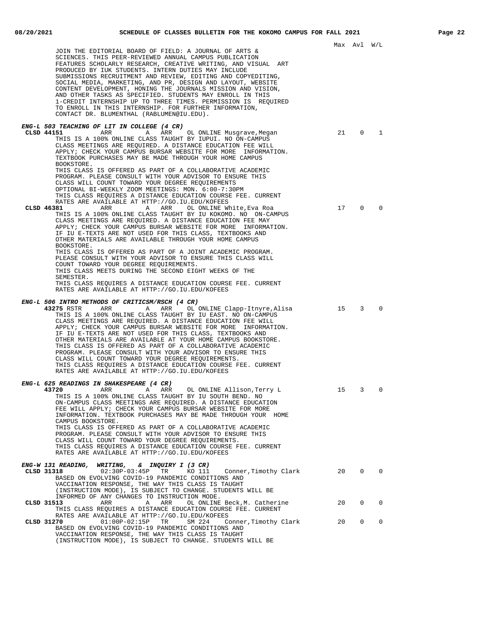| JOIN THE EDITORIAL BOARD OF FIELD: A JOURNAL OF ARTS &<br>SCIENCES. THIS PEER-REVIEWED ANNUAL CAMPUS PUBLICATION<br>FEATURES SCHOLARLY RESEARCH, CREATIVE WRITING, AND VISUAL ART<br>PRODUCED BY IUK STUDENTS. INTERN DUTIES MAY INCLUDE<br>SUBMISSIONS RECRUITMENT AND REVIEW, EDITING AND COPYEDITING,<br>SOCIAL MEDIA, MARKETING, AND PR, DESIGN AND LAYOUT, WEBSITE<br>CONTENT DEVELOPMENT, HONING THE JOURNALS MISSION AND VISION,<br>AND OTHER TASKS AS SPECIFIED. STUDENTS MAY ENROLL IN THIS<br>1-CREDIT INTERNSHIP UP TO THREE TIMES. PERMISSION IS REQUIRED<br>TO ENROLL IN THIS INTERNSHIP. FOR FURTHER INFORMATION,<br>CONTACT DR. BLUMENTHAL (RABLUMEN@IU.EDU).                                                                |    | Max Avl W/L |          |  |
|---------------------------------------------------------------------------------------------------------------------------------------------------------------------------------------------------------------------------------------------------------------------------------------------------------------------------------------------------------------------------------------------------------------------------------------------------------------------------------------------------------------------------------------------------------------------------------------------------------------------------------------------------------------------------------------------------------------------------------------------|----|-------------|----------|--|
| ENG-L 503 TEACHING OF LIT IN COLLEGE (4 CR)<br>CLSD 44151<br>Α<br>ARR<br>ARR<br>OL ONLINE Musgrave, Megan<br>THIS IS A 100% ONLINE CLASS TAUGHT BY IUPUI. NO ON-CAMPUS<br>CLASS MEETINGS ARE REQUIRED. A DISTANCE EDUCATION FEE WILL<br>APPLY; CHECK YOUR CAMPUS BURSAR WEBSITE FOR MORE INFORMATION.<br>TEXTBOOK PURCHASES MAY BE MADE THROUGH YOUR HOME CAMPUS<br>BOOKSTORE.<br>THIS CLASS IS OFFERED AS PART OF A COLLABORATIVE ACADEMIC                                                                                                                                                                                                                                                                                                 | 21 | 0           | 1        |  |
| PROGRAM. PLEASE CONSULT WITH YOUR ADVISOR TO ENSURE THIS<br>CLASS WILL COUNT TOWARD YOUR DEGREE REQUIREMENTS<br>OPTIONAL BI-WEEKLY ZOOM MEETINGS: MON. 6:00-7:30PM<br>THIS CLASS REOUIRES A DISTANCE EDUCATION COURSE FEE. CURRENT<br>RATES ARE AVAILABLE AT HTTP://GO.IU.EDU/KOFEES<br>CLSD 46381<br>ARR<br>OL ONLINE White, Eva Roa<br>ARR<br>A<br>THIS IS A 100% ONLINE CLASS TAUGHT BY IU KOKOMO. NO ON-CAMPUS                                                                                                                                                                                                                                                                                                                          | 17 | $\mathbf 0$ | 0        |  |
| CLASS MEETINGS ARE REQUIRED. A DISTANCE EDUCATION FEE MAY<br>APPLY; CHECK YOUR CAMPUS BURSAR WEBSITE FOR MORE INFORMATION.<br>IF IU E-TEXTS ARE NOT USED FOR THIS CLASS, TEXTBOOKS AND<br>OTHER MATERIALS ARE AVAILABLE THROUGH YOUR HOME CAMPUS<br>BOOKSTORE.<br>THIS CLASS IS OFFERED AS PART OF A JOINT ACADEMIC PROGRAM.<br>PLEASE CONSULT WITH YOUR ADVISOR TO ENSURE THIS CLASS WILL<br>COUNT TOWARD YOUR DEGREE REQUIREMENTS.<br>THIS CLASS MEETS DURING THE SECOND EIGHT WEEKS OF THE<br>SEMESTER.<br>THIS CLASS REOUIRES A DISTANCE EDUCATION COURSE FEE. CURRENT<br>RATES ARE AVAILABLE AT HTTP://GO.IU.EDU/KOFEES                                                                                                                |    |             |          |  |
| ENG-L 506 INTRO METHODS OF CRITICSM/RSCH (4 CR)<br>43275 RSTR<br>ARR<br>ARR<br>OL ONLINE Clapp-Itnyre, Alisa<br>A<br>THIS IS A 100% ONLINE CLASS TAUGHT BY IU EAST. NO ON-CAMPUS<br>CLASS MEETINGS ARE REQUIRED. A DISTANCE EDUCATION FEE WILL<br>APPLY; CHECK YOUR CAMPUS BURSAR WEBSITE FOR MORE INFORMATION.<br>IF IU E-TEXTS ARE NOT USED FOR THIS CLASS, TEXTBOOKS AND<br>OTHER MATERIALS ARE AVAILABLE AT YOUR HOME CAMPUS BOOKSTORE.<br>THIS CLASS IS OFFERED AS PART OF A COLLABORATIVE ACADEMIC<br>PROGRAM. PLEASE CONSULT WITH YOUR ADVISOR TO ENSURE THIS<br>CLASS WILL COUNT TOWARD YOUR DEGREE REQUIREMENTS.<br>THIS CLASS REQUIRES A DISTANCE EDUCATION COURSE FEE. CURRENT<br>RATES ARE AVAILABLE AT HTTP://GO.IU.EDU/KOFEES | 15 | 3           | $\Omega$ |  |
| ENG-L 625 READINGS IN SHAKESPEARE (4 CR)<br>43720<br>ARR<br>A<br>ARR<br>OL ONLINE Allison, Terry L<br>THIS IS A 100% ONLINE CLASS TAUGHT BY IU SOUTH BEND. NO<br>ON-CAMPUS CLASS MEETINGS ARE REOUIRED. A DISTANCE EDUCATION<br>FEE WILL APPLY; CHECK YOUR CAMPUS BURSAR WEBSITE FOR MORE<br>INFORMATION. TEXTBOOK PURCHASES MAY BE MADE THROUGH YOUR HOME<br>CAMPUS BOOKSTORE.<br>THIS CLASS IS OFFERED AS PART OF A COLLABORATIVE ACADEMIC<br>PROGRAM. PLEASE CONSULT WITH YOUR ADVISOR TO ENSURE THIS<br>CLASS WILL COUNT TOWARD YOUR DEGREE REQUIREMENTS.<br>THIS CLASS REQUIRES A DISTANCE EDUCATION COURSE FEE. CURRENT<br>RATES ARE AVAILABLE AT HTTP://GO.IU.EDU/KOFEES                                                             | 15 | 3           | 0        |  |
| ENG-W 131 READING, WRITING,<br>& INQUIRY I (3 CR)<br>CLSD 31318<br>$02:30P-03:45P$<br>TR<br>KO 111<br>Conner, Timothy Clark<br>BASED ON EVOLVING COVID-19 PANDEMIC CONDITIONS AND<br>VACCINATION RESPONSE, THE WAY THIS CLASS IS TAUGHT<br>(INSTRUCTION MODE), IS SUBJECT TO CHANGE. STUDENTS WILL BE                                                                                                                                                                                                                                                                                                                                                                                                                                       | 20 | $\mathbf 0$ | 0        |  |
| INFORMED OF ANY CHANGES TO INSTRUCTION MODE.<br>CLSD 31513<br>ARR<br>OL ONLINE Beck, M. Catherine<br>A<br>ARR<br>THIS CLASS REQUIRES A DISTANCE EDUCATION COURSE FEE. CURRENT                                                                                                                                                                                                                                                                                                                                                                                                                                                                                                                                                               | 20 | $\mathbf 0$ | 0        |  |
| RATES ARE AVAILABLE AT HTTP://GO.IU.EDU/KOFEES<br>$01:00P-02:15P$<br>CLSD 31270<br>TR<br>SM 224<br>Conner, Timothy Clark<br>BASED ON EVOLVING COVID-19 PANDEMIC CONDITIONS AND<br>VACCINATION RESPONSE, THE WAY THIS CLASS IS TAUGHT<br>(INSTRUCTION MODE), IS SUBJECT TO CHANGE. STUDENTS WILL BE                                                                                                                                                                                                                                                                                                                                                                                                                                          | 20 | $\mathbf 0$ | 0        |  |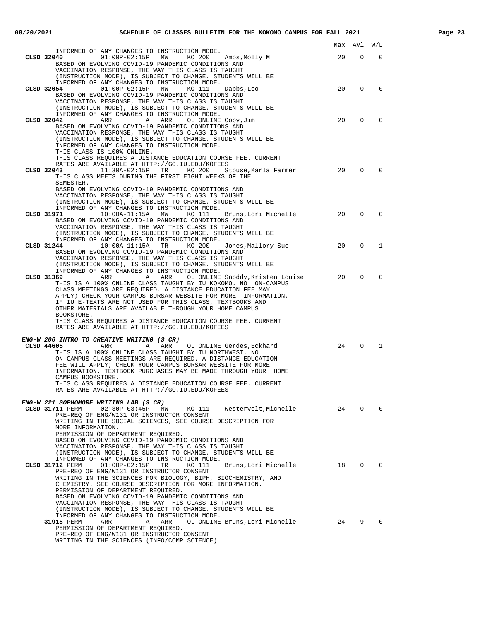| ۰<br>,,,,,<br>٠ | ٦ |
|-----------------|---|
|-----------------|---|

|                                                                                                                                                                                                                                                                                                                                                                                                                                                                                                                                                                     | Max | Avl            | W/L            |
|---------------------------------------------------------------------------------------------------------------------------------------------------------------------------------------------------------------------------------------------------------------------------------------------------------------------------------------------------------------------------------------------------------------------------------------------------------------------------------------------------------------------------------------------------------------------|-----|----------------|----------------|
| INFORMED OF ANY CHANGES TO INSTRUCTION MODE.<br>CLSD 32040<br>01:00P-02:15P MW KO 200<br>Amos,Molly M<br>BASED ON EVOLVING COVID-19 PANDEMIC CONDITIONS AND<br>VACCINATION RESPONSE, THE WAY THIS CLASS IS TAUGHT                                                                                                                                                                                                                                                                                                                                                   | 20  | $\Omega$       | $\Omega$       |
| (INSTRUCTION MODE), IS SUBJECT TO CHANGE. STUDENTS WILL BE<br>INFORMED OF ANY CHANGES TO INSTRUCTION MODE.<br>$01:00P-02:15P$ MW<br>CLSD 32054<br>KO 111<br>Dabbs, Leo                                                                                                                                                                                                                                                                                                                                                                                              | 20  | $\Omega$       | $\Omega$       |
| BASED ON EVOLVING COVID-19 PANDEMIC CONDITIONS AND<br>VACCINATION RESPONSE, THE WAY THIS CLASS IS TAUGHT<br>(INSTRUCTION MODE), IS SUBJECT TO CHANGE. STUDENTS WILL BE<br>INFORMED OF ANY CHANGES TO INSTRUCTION MODE.                                                                                                                                                                                                                                                                                                                                              |     |                |                |
| CLSD 32042<br>ARR<br>A<br>ARR<br>OL ONLINE Coby, Jim<br>BASED ON EVOLVING COVID-19 PANDEMIC CONDITIONS AND<br>VACCINATION RESPONSE, THE WAY THIS CLASS IS TAUGHT<br>(INSTRUCTION MODE), IS SUBJECT TO CHANGE. STUDENTS WILL BE<br>INFORMED OF ANY CHANGES TO INSTRUCTION MODE.<br>THIS CLASS IS 100% ONLINE.                                                                                                                                                                                                                                                        | 20  | 0              | $\Omega$       |
| THIS CLASS REQUIRES A DISTANCE EDUCATION COURSE FEE. CURRENT<br>RATES ARE AVAILABLE AT HTTP://GO.IU.EDU/KOFEES<br>CLSD 32043                                                                                                                                                                                                                                                                                                                                                                                                                                        | 20  | 0              | $\Omega$       |
| 11:30A-02:15P TR KO 200<br>Stouse,Karla Farmer<br>THIS CLASS MEETS DURING THE FIRST EIGHT WEEKS OF THE<br>SEMESTER.<br>BASED ON EVOLVING COVID-19 PANDEMIC CONDITIONS AND<br>VACCINATION RESPONSE, THE WAY THIS CLASS IS TAUGHT<br>(INSTRUCTION MODE), IS SUBJECT TO CHANGE. STUDENTS WILL BE<br>INFORMED OF ANY CHANGES TO INSTRUCTION MODE.                                                                                                                                                                                                                       |     |                |                |
| $10:00A-11:15A$<br>CLSD 31971<br>MW<br>KO 111<br>Bruns,Lori Michelle<br>BASED ON EVOLVING COVID-19 PANDEMIC CONDITIONS AND<br>VACCINATION RESPONSE, THE WAY THIS CLASS IS TAUGHT<br>(INSTRUCTION MODE), IS SUBJECT TO CHANGE. STUDENTS WILL BE<br>INFORMED OF ANY CHANGES TO INSTRUCTION MODE.                                                                                                                                                                                                                                                                      | 20  | $\Omega$       | $\Omega$       |
| Jones,Mallory Sue<br>CLSD 31244<br>10:00A-11:15A TR KO 200<br>BASED ON EVOLVING COVID-19 PANDEMIC CONDITIONS AND<br>VACCINATION RESPONSE, THE WAY THIS CLASS IS TAUGHT<br>(INSTRUCTION MODE), IS SUBJECT TO CHANGE. STUDENTS WILL BE                                                                                                                                                                                                                                                                                                                                | 20  | 0              | 1              |
| INFORMED OF ANY CHANGES TO INSTRUCTION MODE.<br>ARR<br>CLSD 31369<br>A ARR<br>OL ONLINE Snoddy, Kristen Louise<br>THIS IS A 100% ONLINE CLASS TAUGHT BY IU KOKOMO. NO ON-CAMPUS<br>CLASS MEETINGS ARE REQUIRED. A DISTANCE EDUCATION FEE MAY<br>APPLY; CHECK YOUR CAMPUS BURSAR WEBSITE FOR MORE INFORMATION.<br>IF IU E-TEXTS ARE NOT USED FOR THIS CLASS, TEXTBOOKS AND<br>OTHER MATERIALS ARE AVAILABLE THROUGH YOUR HOME CAMPUS<br>BOOKSTORE.<br>THIS CLASS REQUIRES A DISTANCE EDUCATION COURSE FEE. CURRENT<br>RATES ARE AVAILABLE AT HTTP://GO.IU.EDU/KOFEES | 20  | $\Omega$       | $\Omega$       |
| <i>ENG-W 206 INTRO TO CREATIVE WRITING (3 CR)</i>                                                                                                                                                                                                                                                                                                                                                                                                                                                                                                                   |     |                |                |
| CLSD 44605<br>ARR<br>ARR<br>OL ONLINE Gerdes, Eckhard<br>Α<br>THIS IS A 100% ONLINE CLASS TAUGHT BY IU NORTHWEST. NO<br>ON-CAMPUS CLASS MEETINGS ARE REQUIRED. A DISTANCE EDUCATION<br>FEE WILL APPLY; CHECK YOUR CAMPUS BURSAR WEBSITE FOR MORE<br>INFORMATION. TEXTBOOK PURCHASES MAY BE MADE THROUGH YOUR HOME<br>CAMPUS BOOKSTORE.<br>THIS CLASS REQUIRES A DISTANCE EDUCATION COURSE FEE. CURRENT<br>RATES ARE AVAILABLE AT HTTP://GO.IU.EDU/KOFEES                                                                                                            | 24  | $\mathbf{0}$   | 1              |
| ENG-W 221 SOPHOMORE WRITING LAB (3 CR)<br>CLSD 31711 PERM<br>02:30P-03:45P MW KO 111 Westervelt, Michelle<br>PRE-REQ OF ENG/W131 OR INSTRUCTOR CONSENT<br>WRITING IN THE SOCIAL SCIENCES, SEE COURSE DESCRIPTION FOR<br>MORE INFORMATION.                                                                                                                                                                                                                                                                                                                           | 24  | $\overline{0}$ | $\mathbf 0$    |
| PERMISSION OF DEPARTMENT REQUIRED.<br>BASED ON EVOLVING COVID-19 PANDEMIC CONDITIONS AND<br>VACCINATION RESPONSE, THE WAY THIS CLASS IS TAUGHT<br>(INSTRUCTION MODE), IS SUBJECT TO CHANGE. STUDENTS WILL BE<br>INFORMED OF ANY CHANGES TO INSTRUCTION MODE.                                                                                                                                                                                                                                                                                                        |     |                |                |
| CLSD 31712 PERM<br>$01:00P-02:15P$<br>TR<br>KO 111<br>Bruns, Lori Michelle<br>PRE-REQ OF ENG/W131 OR INSTRUCTOR CONSENT<br>WRITING IN THE SCIENCES FOR BIOLOGY, BIPH, BIOCHEMISTRY, AND<br>CHEMISTRY. SEE COURSE DESCRIPTION FOR MORE INFORMATION.<br>PERMISSION OF DEPARTMENT REQUIRED.<br>BASED ON EVOLVING COVID-19 PANDEMIC CONDITIONS AND<br>VACCINATION RESPONSE, THE WAY THIS CLASS IS TAUGHT<br>(INSTRUCTION MODE), IS SUBJECT TO CHANGE. STUDENTS WILL BE                                                                                                  | 18  | $\overline{0}$ | $\overline{0}$ |
| INFORMED OF ANY CHANGES TO INSTRUCTION MODE.<br>31915 PERM<br>ARR<br>Α<br>ARR<br>OL ONLINE Bruns, Lori Michelle<br>PERMISSION OF DEPARTMENT REQUIRED.<br>PRE-REQ OF ENG/W131 OR INSTRUCTOR CONSENT<br>WRITING IN THE SCIENCES (INFO/COMP SCIENCE)                                                                                                                                                                                                                                                                                                                   | 24  | 9              | 0              |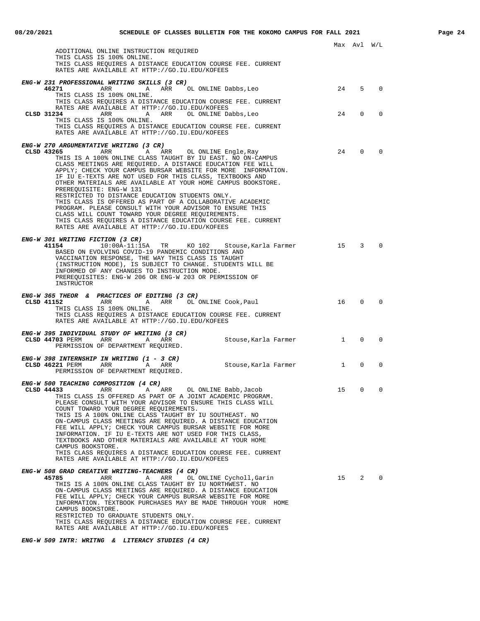|                                                                                                                                                                                                                                                                                                                                                                                                                                |                                                                                                                                                                                                                                                                                                                                                           |              | Max Avl W/L                              |             |
|--------------------------------------------------------------------------------------------------------------------------------------------------------------------------------------------------------------------------------------------------------------------------------------------------------------------------------------------------------------------------------------------------------------------------------|-----------------------------------------------------------------------------------------------------------------------------------------------------------------------------------------------------------------------------------------------------------------------------------------------------------------------------------------------------------|--------------|------------------------------------------|-------------|
| ADDITIONAL ONLINE INSTRUCTION REQUIRED                                                                                                                                                                                                                                                                                                                                                                                         |                                                                                                                                                                                                                                                                                                                                                           |              |                                          |             |
| THIS CLASS IS 100% ONLINE.<br>RATES ARE AVAILABLE AT HTTP://GO.IU.EDU/KOFEES                                                                                                                                                                                                                                                                                                                                                   | THIS CLASS REQUIRES A DISTANCE EDUCATION COURSE FEE. CURRENT                                                                                                                                                                                                                                                                                              |              |                                          |             |
| ENG-W 231 PROFESSIONAL WRITING SKILLS (3 CR)                                                                                                                                                                                                                                                                                                                                                                                   |                                                                                                                                                                                                                                                                                                                                                           |              |                                          |             |
| 46271<br>ARR<br>A<br>THIS CLASS IS 100% ONLINE.                                                                                                                                                                                                                                                                                                                                                                                | ARR OL ONLINE Dabbs, Leo<br>THIS CLASS REQUIRES A DISTANCE EDUCATION COURSE FEE. CURRENT                                                                                                                                                                                                                                                                  | 24           | .5                                       | $\Omega$    |
| RATES ARE AVAILABLE AT HTTP://GO.IU.EDU/KOFEES<br>CLSD 31234<br>ARR                                                                                                                                                                                                                                                                                                                                                            | A ARR OL ONLINE Dabbs, Leo                                                                                                                                                                                                                                                                                                                                | 24           | $\mathbf 0$                              | $\mathbf 0$ |
| THIS CLASS IS 100% ONLINE.<br>RATES ARE AVAILABLE AT HTTP://GO.IU.EDU/KOFEES                                                                                                                                                                                                                                                                                                                                                   | THIS CLASS REOUIRES A DISTANCE EDUCATION COURSE FEE. CURRENT                                                                                                                                                                                                                                                                                              |              |                                          |             |
| ENG-W 270 ARGUMENTATIVE WRITING (3 CR)                                                                                                                                                                                                                                                                                                                                                                                         |                                                                                                                                                                                                                                                                                                                                                           |              |                                          |             |
| CLSD 43265<br>ARR<br>A<br>IF IU E-TEXTS ARE NOT USED FOR THIS CLASS, TEXTBOOKS AND<br>PREREOUISITE: ENG-W 131<br>RESTRICTED TO DISTANCE EDUCATION STUDENTS ONLY.<br>THIS CLASS IS OFFERED AS PART OF A COLLABORATIVE ACADEMIC<br>PROGRAM. PLEASE CONSULT WITH YOUR ADVISOR TO ENSURE THIS<br>CLASS WILL COUNT TOWARD YOUR DEGREE REOUIREMENTS.<br>RATES ARE AVAILABLE AT HTTP://GO.IU.EDU/KOFEES                               | ARR<br>OL ONLINE Engle, Ray<br>THIS IS A 100% ONLINE CLASS TAUGHT BY IU EAST. NO ON-CAMPUS<br>CLASS MEETINGS ARE REQUIRED. A DISTANCE EDUCATION FEE WILL<br>APPLY; CHECK YOUR CAMPUS BURSAR WEBSITE FOR MORE INFORMATION.<br>OTHER MATERIALS ARE AVAILABLE AT YOUR HOME CAMPUS BOOKSTORE.<br>THIS CLASS REQUIRES A DISTANCE EDUCATION COURSE FEE. CURRENT | 24           | $\mathbf{0}$                             | $\mathbf 0$ |
| <i>ENG-W 301 WRITING FICTION (3 CR)</i><br>41154<br>$10:00A-11:15A$ TR<br>BASED ON EVOLVING COVID-19 PANDEMIC CONDITIONS AND<br>VACCINATION RESPONSE, THE WAY THIS CLASS IS TAUGHT<br>INFORMED OF ANY CHANGES TO INSTRUCTION MODE.<br>PREREQUISITES: ENG-W 206 OR ENG-W 203 OR PERMISSION OF<br>INSTRUCTOR                                                                                                                     | KO 102<br>Stouse,Karla Farmer<br>(INSTRUCTION MODE), IS SUBJECT TO CHANGE. STUDENTS WILL BE                                                                                                                                                                                                                                                               | 15           | $\overline{3}$                           | $\Omega$    |
| ENG-W 365 THEOR & PRACTICES OF EDITING (3 CR)<br>CLSD 41152<br>ARR<br>A<br>THIS CLASS IS 100% ONLINE.<br>RATES ARE AVAILABLE AT HTTP://GO.IU.EDU/KOFEES                                                                                                                                                                                                                                                                        | ARR OL ONLINE Cook, Paul<br>THIS CLASS REQUIRES A DISTANCE EDUCATION COURSE FEE. CURRENT                                                                                                                                                                                                                                                                  | 16           | 0                                        | $\Omega$    |
| ENG-W 395 INDIVIDUAL STUDY OF WRITING (3 CR)                                                                                                                                                                                                                                                                                                                                                                                   |                                                                                                                                                                                                                                                                                                                                                           |              |                                          |             |
| CLSD 44703 PERM<br>ARR<br>Α<br>PERMISSION OF DEPARTMENT REQUIRED.                                                                                                                                                                                                                                                                                                                                                              | ARR<br>Stouse, Karla Farmer                                                                                                                                                                                                                                                                                                                               | $\mathbf{1}$ | 0                                        | $\mathbf 0$ |
| ENG-W 398 INTERNSHIP IN WRITING (1 - 3 CR)<br>CLSD 46221 PERM<br>ARR<br>A ARR<br>PERMISSION OF DEPARTMENT REQUIRED.                                                                                                                                                                                                                                                                                                            | Stouse,Karla Farmer                                                                                                                                                                                                                                                                                                                                       |              | $\overline{0}$<br>$1 \quad \blacksquare$ | $\mathbf 0$ |
| ENG-W 500 TEACHING COMPOSITION (4 CR)<br>CLSD 44433<br>ARR<br>A<br>COUNT TOWARD YOUR DEGREE REQUIREMENTS.<br>THIS IS A 100% ONLINE CLASS TAUGHT BY IU SOUTHEAST. NO<br>FEE WILL APPLY; CHECK YOUR CAMPUS BURSAR WEBSITE FOR MORE<br>INFORMATION. IF IU E-TEXTS ARE NOT USED FOR THIS CLASS,<br>TEXTBOOKS AND OTHER MATERIALS ARE AVAILABLE AT YOUR HOME<br>CAMPUS BOOKSTORE.<br>RATES ARE AVAILABLE AT HTTP://GO.IU.EDU/KOFEES | OL ONLINE Babb, Jacob<br>ARR<br>THIS CLASS IS OFFERED AS PART OF A JOINT ACADEMIC PROGRAM.<br>PLEASE CONSULT WITH YOUR ADVISOR TO ENSURE THIS CLASS WILL<br>ON-CAMPUS CLASS MEETINGS ARE REOUIRED. A DISTANCE EDUCATION<br>THIS CLASS REOUIRES A DISTANCE EDUCATION COURSE FEE. CURRENT                                                                   | 15           | $\Omega$                                 | 0           |
| ENG-W 508 GRAD CREATIVE WRITING-TEACHERS (4 CR)<br>45785<br>ARR<br>Α<br>THIS IS A 100% ONLINE CLASS TAUGHT BY IU NORTHWEST. NO<br>FEE WILL APPLY; CHECK YOUR CAMPUS BURSAR WEBSITE FOR MORE<br>CAMPUS BOOKSTORE.<br>RESTRICTED TO GRADUATE STUDENTS ONLY.<br>RATES ARE AVAILABLE AT HTTP://GO.IU.EDU/KOFEES                                                                                                                    | ARR<br>OL ONLINE Cycholl, Garin<br>ON-CAMPUS CLASS MEETINGS ARE REQUIRED. A DISTANCE EDUCATION<br>INFORMATION. TEXTBOOK PURCHASES MAY BE MADE THROUGH YOUR HOME<br>THIS CLASS REQUIRES A DISTANCE EDUCATION COURSE FEE. CURRENT                                                                                                                           | 15           | 2                                        | $\Omega$    |

**ENG-W 509 INTR: WRITNG & LITERACY STUDIES (4 CR)**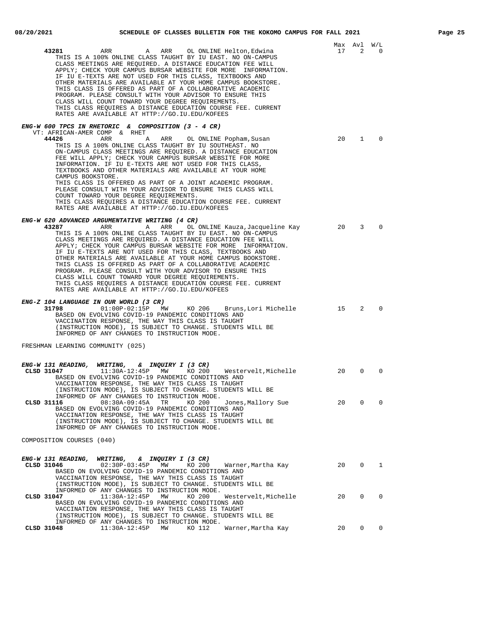|--|--|

| A ARR OL ONLINE Helton, Edwina<br>43281<br>ARR<br>THIS IS A 100% ONLINE CLASS TAUGHT BY IU EAST. NO ON-CAMPUS<br>CLASS MEETINGS ARE REQUIRED. A DISTANCE EDUCATION FEE WILL<br>APPLY; CHECK YOUR CAMPUS BURSAR WEBSITE FOR MORE INFORMATION.<br>IF IU E-TEXTS ARE NOT USED FOR THIS CLASS, TEXTBOOKS AND<br>OTHER MATERIALS ARE AVAILABLE AT YOUR HOME CAMPUS BOOKSTORE.<br>THIS CLASS IS OFFERED AS PART OF A COLLABORATIVE ACADEMIC<br>PROGRAM. PLEASE CONSULT WITH YOUR ADVISOR TO ENSURE THIS<br>CLASS WILL COUNT TOWARD YOUR DEGREE REQUIREMENTS.<br>THIS CLASS REQUIRES A DISTANCE EDUCATION COURSE FEE. CURRENT<br>RATES ARE AVAILABLE AT HTTP://GO.IU.EDU/KOFEES                                                              | 17 | Max Avl W/L<br>2 | 0            |
|---------------------------------------------------------------------------------------------------------------------------------------------------------------------------------------------------------------------------------------------------------------------------------------------------------------------------------------------------------------------------------------------------------------------------------------------------------------------------------------------------------------------------------------------------------------------------------------------------------------------------------------------------------------------------------------------------------------------------------------|----|------------------|--------------|
| ENG-W 600 TPCS IN RHETORIC & COMPOSITION (3 - 4 CR)<br>VT: AFRICAN-AMER COMP & RHET<br>44426<br>ARR<br>ARR<br>OL ONLINE Popham, Susan<br>Α<br>THIS IS A 100% ONLINE CLASS TAUGHT BY IU SOUTHEAST. NO<br>ON-CAMPUS CLASS MEETINGS ARE REQUIRED. A DISTANCE EDUCATION<br>FEE WILL APPLY; CHECK YOUR CAMPUS BURSAR WEBSITE FOR MORE<br>INFORMATION. IF IU E-TEXTS ARE NOT USED FOR THIS CLASS,<br>TEXTBOOKS AND OTHER MATERIALS ARE AVAILABLE AT YOUR HOME<br>CAMPUS BOOKSTORE.<br>THIS CLASS IS OFFERED AS PART OF A JOINT ACADEMIC PROGRAM.<br>PLEASE CONSULT WITH YOUR ADVISOR TO ENSURE THIS CLASS WILL                                                                                                                              | 20 | $\mathbf{1}$     | $\Omega$     |
| COUNT TOWARD YOUR DEGREE REQUIREMENTS.<br>THIS CLASS REQUIRES A DISTANCE EDUCATION COURSE FEE. CURRENT<br>RATES ARE AVAILABLE AT HTTP://GO.IU.EDU/KOFEES                                                                                                                                                                                                                                                                                                                                                                                                                                                                                                                                                                              |    |                  |              |
| ENG-W 620 ADVANCED ARGUMENTATIVE WRITING (4 CR)<br>43287<br>ARR<br>ARR OL ONLINE Kauza, Jacqueline Kay<br>A<br>THIS IS A 100% ONLINE CLASS TAUGHT BY IU EAST. NO ON-CAMPUS<br>CLASS MEETINGS ARE REQUIRED. A DISTANCE EDUCATION FEE WILL<br>APPLY; CHECK YOUR CAMPUS BURSAR WEBSITE FOR MORE INFORMATION.<br>IF IU E-TEXTS ARE NOT USED FOR THIS CLASS, TEXTBOOKS AND<br>OTHER MATERIALS ARE AVAILABLE AT YOUR HOME CAMPUS BOOKSTORE.<br>THIS CLASS IS OFFERED AS PART OF A COLLABORATIVE ACADEMIC<br>PROGRAM. PLEASE CONSULT WITH YOUR ADVISOR TO ENSURE THIS<br>CLASS WILL COUNT TOWARD YOUR DEGREE REQUIREMENTS.<br>THIS CLASS REQUIRES A DISTANCE EDUCATION COURSE FEE. CURRENT<br>RATES ARE AVAILABLE AT HTTP://GO.IU.EDU/KOFEES | 20 | 3                | $\Omega$     |
| ENG-Z 104 LANGUAGE IN OUR WORLD (3 CR)<br>KO 206<br>31798<br>$01:00P-02:15P$ MW<br>Bruns,Lori Michelle<br>BASED ON EVOLVING COVID-19 PANDEMIC CONDITIONS AND<br>VACCINATION RESPONSE, THE WAY THIS CLASS IS TAUGHT<br>(INSTRUCTION MODE), IS SUBJECT TO CHANGE. STUDENTS WILL BE<br>INFORMED OF ANY CHANGES TO INSTRUCTION MODE.                                                                                                                                                                                                                                                                                                                                                                                                      | 15 | 2                | $\Omega$     |
| FRESHMAN LEARNING COMMUNITY (025)                                                                                                                                                                                                                                                                                                                                                                                                                                                                                                                                                                                                                                                                                                     |    |                  |              |
| ENG-W 131 READING, WRITING, & INQUIRY I (3 CR)<br>11:30A-12:45P MW KO 200 Westervelt,Michelle<br>CLSD 31047<br>BASED ON EVOLVING COVID-19 PANDEMIC CONDITIONS AND<br>VACCINATION RESPONSE, THE WAY THIS CLASS IS TAUGHT<br>(INSTRUCTION MODE), IS SUBJECT TO CHANGE. STUDENTS WILL BE                                                                                                                                                                                                                                                                                                                                                                                                                                                 | 20 | $\mathbf 0$      | $\Omega$     |
| INFORMED OF ANY CHANGES TO INSTRUCTION MODE.<br>CLSD 31116<br>08:30A-09:45A<br>TR<br>KO 200<br>Jones, Mallory Sue<br>BASED ON EVOLVING COVID-19 PANDEMIC CONDITIONS AND<br>VACCINATION RESPONSE, THE WAY THIS CLASS IS TAUGHT<br>(INSTRUCTION MODE), IS SUBJECT TO CHANGE. STUDENTS WILL BE<br>INFORMED OF ANY CHANGES TO INSTRUCTION MODE.                                                                                                                                                                                                                                                                                                                                                                                           | 20 | 0                | 0            |
| COMPOSITION COURSES (040)                                                                                                                                                                                                                                                                                                                                                                                                                                                                                                                                                                                                                                                                                                             |    |                  |              |
| ENG-W 131 READING, WRITING,  & INQUIRY I (3 CR)<br>CLSD 31046<br>02:30P-03:45P MW<br>KO 200<br>Warner,Martha Kay<br>BASED ON EVOLVING COVID-19 PANDEMIC CONDITIONS AND<br>VACCINATION RESPONSE, THE WAY THIS CLASS IS TAUGHT<br>(INSTRUCTION MODE), IS SUBJECT TO CHANGE. STUDENTS WILL BE                                                                                                                                                                                                                                                                                                                                                                                                                                            | 20 | $\mathbf{0}$     | $\mathbf{1}$ |
| INFORMED OF ANY CHANGES TO INSTRUCTION MODE.<br>CLSD 31047<br>$11:30A-12:45P$<br>MW<br>KO 200<br>Westervelt, Michelle<br>BASED ON EVOLVING COVID-19 PANDEMIC CONDITIONS AND<br>VACCINATION RESPONSE, THE WAY THIS CLASS IS TAUGHT<br>(INSTRUCTION MODE), IS SUBJECT TO CHANGE. STUDENTS WILL BE                                                                                                                                                                                                                                                                                                                                                                                                                                       | 20 | 0                | $\Omega$     |
| INFORMED OF ANY CHANGES TO INSTRUCTION MODE.<br>CLSD 31048<br>$11:30A-12:45P$<br>MW<br>KO 112<br>Warner, Martha Kay                                                                                                                                                                                                                                                                                                                                                                                                                                                                                                                                                                                                                   | 20 | $\Omega$         | $\Omega$     |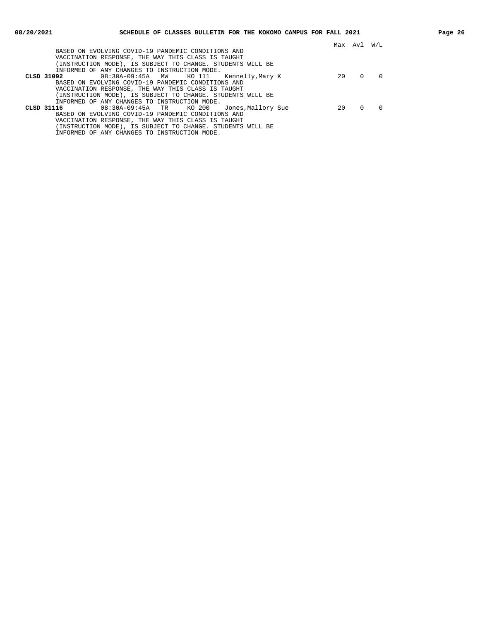|                                                            |    | Max Avl | W/L |
|------------------------------------------------------------|----|---------|-----|
| BASED ON EVOLVING COVID-19 PANDEMIC CONDITIONS AND         |    |         |     |
| VACCINATION RESPONSE, THE WAY THIS CLASS IS TAUGHT         |    |         |     |
| (INSTRUCTION MODE), IS SUBJECT TO CHANGE. STUDENTS WILL BE |    |         |     |
| INFORMED OF ANY CHANGES TO INSTRUCTION MODE.               |    |         |     |
| 08:30A-09:45A MW KO 111 Kennelly, Mary K<br>CLSD 31092     | 20 |         |     |
| BASED ON EVOLVING COVID-19 PANDEMIC CONDITIONS AND         |    |         |     |
| VACCINATION RESPONSE, THE WAY THIS CLASS IS TAUGHT         |    |         |     |
| (INSTRUCTION MODE), IS SUBJECT TO CHANGE. STUDENTS WILL BE |    |         |     |
| INFORMED OF ANY CHANGES TO INSTRUCTION MODE.               |    |         |     |
| 08:30A-09:45A TR KO 200 Jones, Mallory Sue<br>CLSD 31116   | 20 |         |     |
| BASED ON EVOLVING COVID-19 PANDEMIC CONDITIONS AND         |    |         |     |
| VACCINATION RESPONSE, THE WAY THIS CLASS IS TAUGHT         |    |         |     |
| (INSTRUCTION MODE), IS SUBJECT TO CHANGE. STUDENTS WILL BE |    |         |     |
| INFORMED OF ANY CHANGES TO INSTRUCTION MODE.               |    |         |     |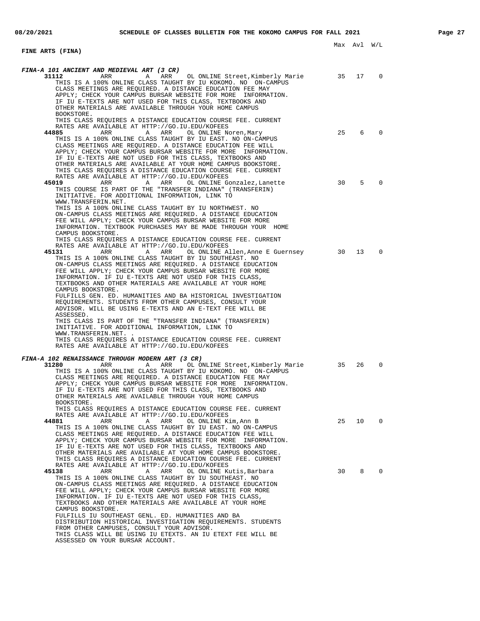#### **FINE ARTS (FINA) FINA-A 101 ANCIENT AND MEDIEVAL ART (3 CR) 31112** ARR ARR OL ONLINE Street, Kimberly Marie 35 17 0 THIS IS A 100% ONLINE CLASS TAUGHT BY IU KOKOMO. NO ON-CAMPUS CLASS MEETINGS ARE REQUIRED. A DISTANCE EDUCATION FEE MAY APPLY; CHECK YOUR CAMPUS BURSAR WEBSITE FOR MORE INFORMATION. IF IU E-TEXTS ARE NOT USED FOR THIS CLASS, TEXTBOOKS AND OTHER MATERIALS ARE AVAILABLE THROUGH YOUR HOME CAMPUS BOOKSTORE. THIS CLASS REQUIRES A DISTANCE EDUCATION COURSE FEE. CURRENT RATES ARE AVAILABLE AT HTTP://GO.IU.EDU/KOFEES **44885** ARR A ARR OL ONLINE Noren,Mary 25 6 0 THIS IS A 100% ONLINE CLASS TAUGHT BY IU EAST. NO ON-CAMPUS CLASS MEETINGS ARE REQUIRED. A DISTANCE EDUCATION FEE WILL APPLY; CHECK YOUR CAMPUS BURSAR WEBSITE FOR MORE INFORMATION. IF IU E-TEXTS ARE NOT USED FOR THIS CLASS, TEXTBOOKS AND OTHER MATERIALS ARE AVAILABLE AT YOUR HOME CAMPUS BOOKSTORE. THIS CLASS REQUIRES A DISTANCE EDUCATION COURSE FEE. CURRENT RATES ARE AVAILABLE AT HTTP://GO.IU.EDU/KOFEES **45019** ARR A ARR OL ONLINE Gonzalez,Lanette 30 5 0 THIS COURSE IS PART OF THE "TRANSFER INDIANA" (TRANSFERIN) INITIATIVE. FOR ADDITIONAL INFORMATION, LINK TO WWW.TRANSFERIN.NET. THIS IS A 100% ONLINE CLASS TAUGHT BY IU NORTHWEST. NO ON-CAMPUS CLASS MEETINGS ARE REQUIRED. A DISTANCE EDUCATION FEE WILL APPLY; CHECK YOUR CAMPUS BURSAR WEBSITE FOR MORE INFORMATION. TEXTBOOK PURCHASES MAY BE MADE THROUGH YOUR HOME CAMPUS BOOKSTORE. THIS CLASS REQUIRES A DISTANCE EDUCATION COURSE FEE. CURRENT RATES ARE AVAILABLE AT HTTP://GO.IU.EDU/KOFEES<br>45131 ARR ARR OL ONLINE A ARR A ARR OL ONLINE Allen, Anne E Guernsey 30 13 0 THIS IS A 100% ONLINE CLASS TAUGHT BY IU SOUTHEAST. NO ON-CAMPUS CLASS MEETINGS ARE REQUIRED. A DISTANCE EDUCATION FEE WILL APPLY; CHECK YOUR CAMPUS BURSAR WEBSITE FOR MORE INFORMATION. IF IU E-TEXTS ARE NOT USED FOR THIS CLASS, TEXTBOOKS AND OTHER MATERIALS ARE AVAILABLE AT YOUR HOME CAMPUS BOOKSTORE. FULFILLS GEN. ED. HUMANITIES AND BA HISTORICAL INVESTIGATION REQUIREMENTS. STUDENTS FROM OTHER CAMPUSES, CONSULT YOUR ADVISOR. WILL BE USING E-TEXTS AND AN E-TEXT FEE WILL BE ASSESSED. THIS CLASS IS PART OF THE "TRANSFER INDIANA" (TRANSFERIN) INITIATIVE. FOR ADDITIONAL INFORMATION, LINK TO WWW.TRANSFERIN.NET. . THIS CLASS REQUIRES A DISTANCE EDUCATION COURSE FEE. CURRENT RATES ARE AVAILABLE AT HTTP://GO.IU.EDU/KOFEES **FINA-A 102 RENAISSANCE THROUGH MODERN ART (3 CR) 31280** ARR A ARR OL ONLINE Street,Kimberly Marie 35 26 0 THIS IS A 100% ONLINE CLASS TAUGHT BY IU KOKOMO. NO ON-CAMPUS CLASS MEETINGS ARE REQUIRED. A DISTANCE EDUCATION FEE MAY APPLY; CHECK YOUR CAMPUS BURSAR WEBSITE FOR MORE INFORMATION. IF IU E-TEXTS ARE NOT USED FOR THIS CLASS, TEXTBOOKS AND OTHER MATERIALS ARE AVAILABLE THROUGH YOUR HOME CAMPUS BOOKSTORE. THIS CLASS REQUIRES A DISTANCE EDUCATION COURSE FEE. CURRENT RATES ARE AVAILABLE AT HTTP://GO.IU.EDU/KOFEES **44881** ARR A ARR OL ONLINE Kim, Ann B 25 10 0 THIS IS A 100% ONLINE CLASS TAUGHT BY IU EAST. NO ON-CAMPUS CLASS MEETINGS ARE REQUIRED. A DISTANCE EDUCATION FEE WILL APPLY; CHECK YOUR CAMPUS BURSAR WEBSITE FOR MORE INFORMATION. IF IU E-TEXTS ARE NOT USED FOR THIS CLASS, TEXTBOOKS AND OTHER MATERIALS ARE AVAILABLE AT YOUR HOME CAMPUS BOOKSTORE. THIS CLASS REQUIRES A DISTANCE EDUCATION COURSE FEE. CURRENT RATES ARE AVAILABLE AT HTTP://GO.IU.EDU/KOFEES ARR A ARR OL ONLINE Kutis, Barbara **30** 8 0 THIS IS A 100% ONLINE CLASS TAUGHT BY IU SOUTHEAST. NO ON-CAMPUS CLASS MEETINGS ARE REQUIRED. A DISTANCE EDUCATION FEE WILL APPLY; CHECK YOUR CAMPUS BURSAR WEBSITE FOR MORE INFORMATION. IF IU E-TEXTS ARE NOT USED FOR THIS CLASS, TEXTBOOKS AND OTHER MATERIALS ARE AVAILABLE AT YOUR HOME CAMPUS BOOKSTORE. FULFILLS IU SOUTHEAST GENL. ED. HUMANITIES AND BA DISTRIBUTION HISTORICAL INVESTIGATION REQUIREMENTS. STUDENTS FROM OTHER CAMPUSES, CONSULT YOUR ADVISOR. THIS CLASS WILL BE USING IU ETEXTS. AN IU ETEXT FEE WILL BE

ASSESSED ON YOUR BURSAR ACCOUNT.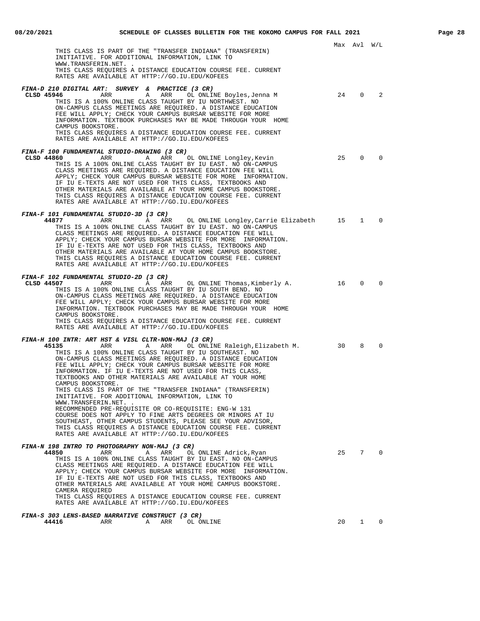|                                                                                                                                                                                                                                                                                                                                                                                                                                                                                                                                                                                                                                                                                                                                                                                                                                                                                                  |    | Max Avl W/L |          |
|--------------------------------------------------------------------------------------------------------------------------------------------------------------------------------------------------------------------------------------------------------------------------------------------------------------------------------------------------------------------------------------------------------------------------------------------------------------------------------------------------------------------------------------------------------------------------------------------------------------------------------------------------------------------------------------------------------------------------------------------------------------------------------------------------------------------------------------------------------------------------------------------------|----|-------------|----------|
| THIS CLASS IS PART OF THE "TRANSFER INDIANA" (TRANSFERIN)<br>INITIATIVE. FOR ADDITIONAL INFORMATION, LINK TO<br>WWW.TRANSFERIN.NET. .<br>THIS CLASS REQUIRES A DISTANCE EDUCATION COURSE FEE. CURRENT<br>RATES ARE AVAILABLE AT HTTP://GO.IU.EDU/KOFEES                                                                                                                                                                                                                                                                                                                                                                                                                                                                                                                                                                                                                                          |    |             |          |
| FINA-D 210 DIGITAL ART: SURVEY & PRACTICE (3 CR)<br>CLSD 45946<br>ARR ARR<br>OL ONLINE Boyles,Jenna M<br>THIS IS A 100% ONLINE CLASS TAUGHT BY IU NORTHWEST. NO<br>ON-CAMPUS CLASS MEETINGS ARE REQUIRED. A DISTANCE EDUCATION<br>FEE WILL APPLY; CHECK YOUR CAMPUS BURSAR WEBSITE FOR MORE<br>INFORMATION. TEXTBOOK PURCHASES MAY BE MADE THROUGH YOUR HOME<br>CAMPUS BOOKSTORE.<br>THIS CLASS REQUIRES A DISTANCE EDUCATION COURSE FEE. CURRENT<br>RATES ARE AVAILABLE AT HTTP://GO.IU.EDU/KOFEES                                                                                                                                                                                                                                                                                                                                                                                              | 24 | $\mathbf 0$ | 2        |
| FINA-F 100 FUNDAMENTAL STUDIO-DRAWING (3 CR)<br>CLSD 44860<br>ARR<br>A ARR<br>OL ONLINE Longley, Kevin<br>THIS IS A 100% ONLINE CLASS TAUGHT BY IU EAST. NO ON-CAMPUS<br>CLASS MEETINGS ARE REQUIRED. A DISTANCE EDUCATION FEE WILL<br>APPLY; CHECK YOUR CAMPUS BURSAR WEBSITE FOR MORE INFORMATION.<br>IF IU E-TEXTS ARE NOT USED FOR THIS CLASS, TEXTBOOKS AND<br>OTHER MATERIALS ARE AVAILABLE AT YOUR HOME CAMPUS BOOKSTORE.<br>THIS CLASS REQUIRES A DISTANCE EDUCATION COURSE FEE. CURRENT<br>RATES ARE AVAILABLE AT HTTP://GO.IU.EDU/KOFEES                                                                                                                                                                                                                                                                                                                                               | 25 | $\Omega$    | $\Omega$ |
| FINA-F 101 FUNDAMENTAL STUDIO-3D (3 CR)<br>44877<br>ARR<br>A ARR<br>OL ONLINE Longley, Carrie Elizabeth<br>THIS IS A 100% ONLINE CLASS TAUGHT BY IU EAST. NO ON-CAMPUS<br>CLASS MEETINGS ARE REOUIRED. A DISTANCE EDUCATION FEE WILL<br>APPLY; CHECK YOUR CAMPUS BURSAR WEBSITE FOR MORE INFORMATION.<br>IF IU E-TEXTS ARE NOT USED FOR THIS CLASS, TEXTBOOKS AND<br>OTHER MATERIALS ARE AVAILABLE AT YOUR HOME CAMPUS BOOKSTORE.<br>THIS CLASS REQUIRES A DISTANCE EDUCATION COURSE FEE. CURRENT<br>RATES ARE AVAILABLE AT HTTP://GO.IU.EDU/KOFEES                                                                                                                                                                                                                                                                                                                                              | 15 | 1           | $\Omega$ |
| FINA-F 102 FUNDAMENTAL STUDIO-2D (3 CR)<br>CLSD 44507<br>ARR<br>A ARR<br>OL ONLINE Thomas,Kimberly A.<br>THIS IS A 100% ONLINE CLASS TAUGHT BY IU SOUTH BEND. NO<br>ON-CAMPUS CLASS MEETINGS ARE REQUIRED. A DISTANCE EDUCATION<br>FEE WILL APPLY; CHECK YOUR CAMPUS BURSAR WEBSITE FOR MORE<br>INFORMATION. TEXTBOOK PURCHASES MAY BE MADE THROUGH YOUR HOME<br>CAMPUS BOOKSTORE.<br>THIS CLASS REQUIRES A DISTANCE EDUCATION COURSE FEE. CURRENT<br>RATES ARE AVAILABLE AT HTTP://GO.IU.EDU/KOFEES                                                                                                                                                                                                                                                                                                                                                                                             | 16 | $\Omega$    | $\Omega$ |
| FINA-H 100 INTR: ART HST & VISL CLTR-NON-MAJ (3 CR)<br>45135<br>ARR<br>A ARR<br>OL ONLINE Raleigh, Elizabeth M.<br>THIS IS A 100% ONLINE CLASS TAUGHT BY IU SOUTHEAST. NO<br>ON-CAMPUS CLASS MEETINGS ARE REQUIRED. A DISTANCE EDUCATION<br>FEE WILL APPLY; CHECK YOUR CAMPUS BURSAR WEBSITE FOR MORE<br>INFORMATION. IF IU E-TEXTS ARE NOT USED FOR THIS CLASS,<br>TEXTBOOKS AND OTHER MATERIALS ARE AVAILABLE AT YOUR HOME<br>CAMPUS BOOKSTORE.<br>THIS CLASS IS PART OF THE "TRANSFER INDIANA" (TRANSFERIN)<br>INITIATIVE. FOR ADDITIONAL INFORMATION, LINK TO<br>WWW.TRANSFERIN.NET. .<br>RECOMMENDED PRE-REQUISITE OR CO-REQUISITE: ENG-W 131<br>COURSE DOES NOT APPLY TO FINE ARTS DEGREES OR MINORS AT IU<br>SOUTHEAST, OTHER CAMPUS STUDENTS, PLEASE SEE YOUR ADVISOR,<br>THIS CLASS REQUIRES A DISTANCE EDUCATION COURSE FEE. CURRENT<br>RATES ARE AVAILABLE AT HTTP://GO.IU.EDU/KOFEES | 30 | 8           | $\Omega$ |
| FINA-N 198 INTRO TO PHOTOGRAPHY NON-MAJ (3 CR)<br>44850<br>ARR<br>ARR<br>OL ONLINE Adrick, Ryan<br>Α<br>THIS IS A 100% ONLINE CLASS TAUGHT BY IU EAST. NO ON-CAMPUS<br>CLASS MEETINGS ARE REQUIRED. A DISTANCE EDUCATION FEE WILL<br>APPLY; CHECK YOUR CAMPUS BURSAR WEBSITE FOR MORE INFORMATION.<br>IF IU E-TEXTS ARE NOT USED FOR THIS CLASS, TEXTBOOKS AND<br>OTHER MATERIALS ARE AVAILABLE AT YOUR HOME CAMPUS BOOKSTORE.<br>CAMERA REQUIRED<br>THIS CLASS REQUIRES A DISTANCE EDUCATION COURSE FEE. CURRENT<br>RATES ARE AVAILABLE AT HTTP://GO.IU.EDU/KOFEES                                                                                                                                                                                                                                                                                                                              | 25 | 7           | $\Omega$ |
| FINA-S 303 LENS-BASED NARRATIVE CONSTRUCT (3 CR)                                                                                                                                                                                                                                                                                                                                                                                                                                                                                                                                                                                                                                                                                                                                                                                                                                                 |    |             |          |

**44416** ARR A ARR OL ONLINE 20 1 0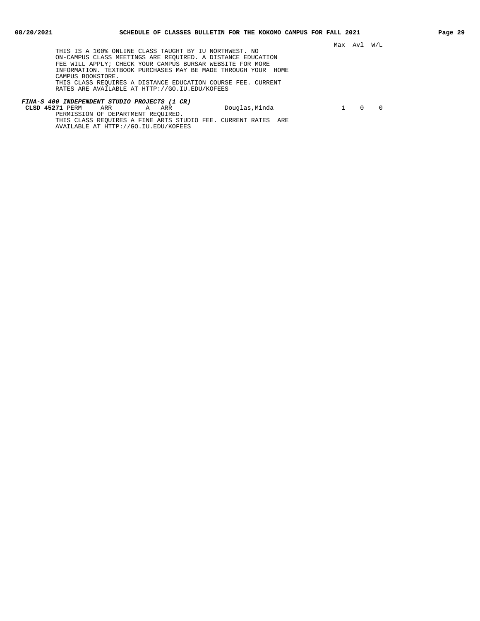THIS IS A 100% ONLINE CLASS TAUGHT BY IU NORTHWEST. NO ON-CAMPUS CLASS MEETINGS ARE REQUIRED. A DISTANCE EDUCATION FEE WILL APPLY; CHECK YOUR CAMPUS BURSAR WEBSITE FOR MORE INFORMATION. TEXTBOOK PURCHASES MAY BE MADE THROUGH YOUR HOME CAMPUS BOOKSTORE. THIS CLASS REQUIRES A DISTANCE EDUCATION COURSE FEE. CURRENT RATES ARE AVAILABLE AT HTTP://GO.IU.EDU/KOFEES

#### **FINA-S 400 INDEPENDENT STUDIO PROJECTS (1 CR) CLSD 45271** PERM ARR A ARR Douglas,Minda 1 0 0 PERMISSION OF DEPARTMENT REQUIRED.

THIS CLASS REQUIRES A FINE ARTS STUDIO FEE. CURRENT RATES ARE AVAILABLE AT HTTP://GO.IU.EDU/KOFEES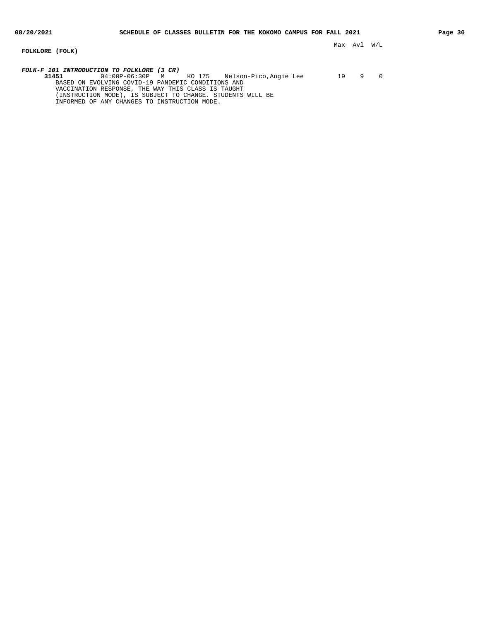**FOLKLORE (FOLK)**

Max Avl W/L

**FOLK-F 101 INTRODUCTION TO FOLKLORE (3 CR) 31451** 04:00P-06:30P M KO 175 Nelson-Pico,Angie Lee 19 9 0 BASED ON EVOLVING COVID-19 PANDEMIC CONDITIONS AND VACCINATION RESPONSE, THE WAY THIS CLASS IS TAUGHT (INSTRUCTION MODE), IS SUBJECT TO CHANGE. STUDENTS WILL BE INFORMED OF ANY CHANGES TO INSTRUCTION MODE.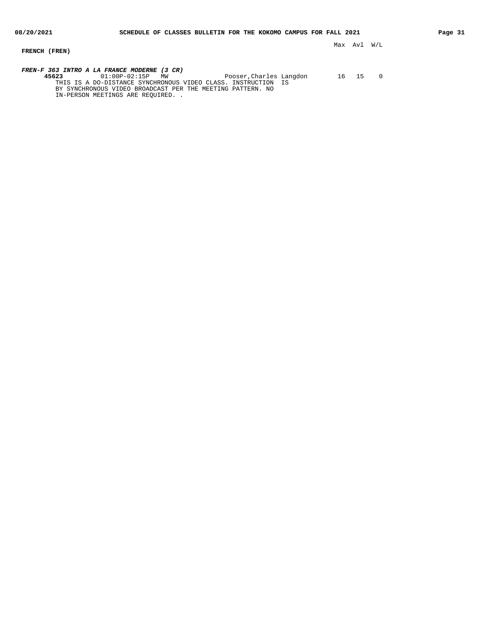# **FRENCH (FREN)**

**FREN-F 363 INTRO A LA FRANCE MODERNE (3 CR) 45623** 01:00P-02:15P MW Pooser,Charles Langdon 16 15 0 THIS IS A DO-DISTANCE SYNCHRONOUS VIDEO CLASS. INSTRUCTION IS BY SYNCHRONOUS VIDEO BROADCAST PER THE MEETING PATTERN. NO

IN-PERSON MEETINGS ARE REQUIRED. .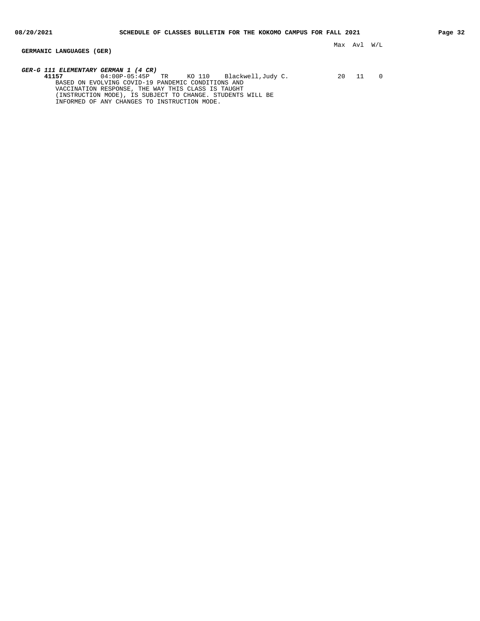**GERMANIC LANGUAGES (GER)**

**GER-G 111 ELEMENTARY GERMAN 1 (4 CR)**

**41157** 04:00P-05:45P TR KO 110 Blackwell,Judy C. 20 11 0 BASED ON EVOLVING COVID-19 PANDEMIC CONDITIONS AND VACCINATION RESPONSE, THE WAY THIS CLASS IS TAUGHT (INSTRUCTION MODE), IS SUBJECT TO CHANGE. STUDENTS WILL BE INFORMED OF ANY CHANGES TO INSTRUCTION MODE.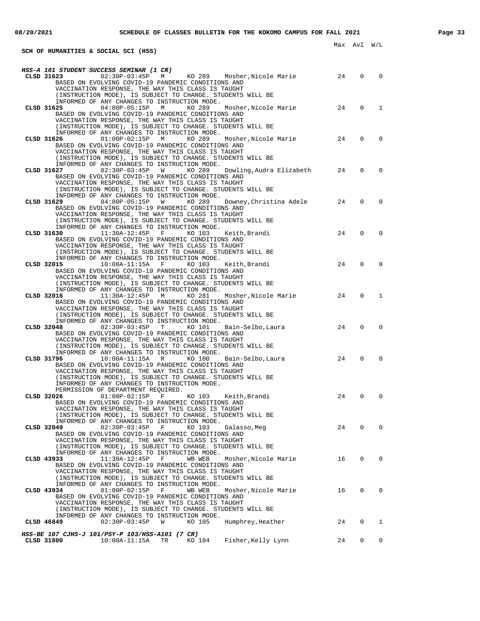**SCH OF HUMANITIES & SOCIAL SCI (HSS)**

| CLSD 31623 $02:30P-03:45P$ M KO 289 Mosher, Nicole Marie<br>24<br>$\Omega$<br>$\Omega$<br>BASED ON EVOLVING COVID-19 PANDEMIC CONDITIONS AND<br>VACCINATION RESPONSE, THE WAY THIS CLASS IS TAUGHT<br>(INSTRUCTION MODE), IS SUBJECT TO CHANGE. STUDENTS WILL BE<br>INFORMED OF ANY CHANGES TO INSTRUCTION MODE.<br>$\Omega$<br>Mosher, Nicole Marie 24<br>$\mathbf{1}$<br>CLSD 31625<br>04:00P-05:15P M<br>KO 289<br>BASED ON EVOLVING COVID-19 PANDEMIC CONDITIONS AND<br>VACCINATION RESPONSE, THE WAY THIS CLASS IS TAUGHT<br>(INSTRUCTION MODE), IS SUBJECT TO CHANGE. STUDENTS WILL BE<br>INFORMED OF ANY CHANGES TO INSTRUCTION MODE.<br>Mosher, Nicole Marie 24<br>$\Omega$<br>$\Omega$<br>CLSD 31626<br>01:00P-02:15P M KO 289<br>BASED ON EVOLVING COVID-19 PANDEMIC CONDITIONS AND<br>VACCINATION RESPONSE, THE WAY THIS CLASS IS TAUGHT<br>(INSTRUCTION MODE), IS SUBJECT TO CHANGE. STUDENTS WILL BE<br>INFORMED OF ANY CHANGES TO INSTRUCTION MODE.<br>02:30P-03:45P W KO 289<br>Dowling, Audra Elizabeth 24<br>0<br>$\Omega$<br>CLSD 31627<br>BASED ON EVOLVING COVID-19 PANDEMIC CONDITIONS AND<br>VACCINATION RESPONSE, THE WAY THIS CLASS IS TAUGHT<br>(INSTRUCTION MODE), IS SUBJECT TO CHANGE. STUDENTS WILL BE<br>INFORMED OF ANY CHANGES TO INSTRUCTION MODE.<br>Downey, Christina Adele 24<br>$\Omega$<br>$\Omega$<br>CLSD 31629<br>$04:00P-05:15P$ W<br>KO 289<br>BASED ON EVOLVING COVID-19 PANDEMIC CONDITIONS AND<br>VACCINATION RESPONSE, THE WAY THIS CLASS IS TAUGHT<br>(INSTRUCTION MODE), IS SUBJECT TO CHANGE. STUDENTS WILL BE<br>INFORMED OF ANY CHANGES TO INSTRUCTION MODE.<br>24<br>$\Omega$<br>$\Omega$<br>CLSD 31630<br>$11:30A-12:45P$ F KO 103 Keith, Brandi<br>BASED ON EVOLVING COVID-19 PANDEMIC CONDITIONS AND<br>VACCINATION RESPONSE, THE WAY THIS CLASS IS TAUGHT<br>(INSTRUCTION MODE), IS SUBJECT TO CHANGE. STUDENTS WILL BE<br>INFORMED OF ANY CHANGES TO INSTRUCTION MODE.<br>24<br>$\mathbf 0$<br>10:00A-11:15A F KO 103<br>$\Omega$<br>CLSD 32015<br>Keith,Brandi<br>BASED ON EVOLVING COVID-19 PANDEMIC CONDITIONS AND<br>VACCINATION RESPONSE, THE WAY THIS CLASS IS TAUGHT<br>(INSTRUCTION MODE), IS SUBJECT TO CHANGE. STUDENTS WILL BE<br>INFORMED OF ANY CHANGES TO INSTRUCTION MODE.<br>$\Omega$<br>Mosher, Nicole Marie<br>24<br>$\mathbf{1}$<br>CLSD 32016<br>$11:30A-12:45P$ M<br>KO 281<br>BASED ON EVOLVING COVID-19 PANDEMIC CONDITIONS AND<br>VACCINATION RESPONSE, THE WAY THIS CLASS IS TAUGHT<br>(INSTRUCTION MODE), IS SUBJECT TO CHANGE. STUDENTS WILL BE<br>INFORMED OF ANY CHANGES TO INSTRUCTION MODE.<br>- 24<br>$\Omega$<br>$\Omega$<br>CLSD 32048<br>$02:30P-03:45P$ T KO 101 Bain-Selbo, Laura<br>BASED ON EVOLVING COVID-19 PANDEMIC CONDITIONS AND<br>VACCINATION RESPONSE, THE WAY THIS CLASS IS TAUGHT<br>(INSTRUCTION MODE), IS SUBJECT TO CHANGE. STUDENTS WILL BE<br>INFORMED OF ANY CHANGES TO INSTRUCTION MODE.<br>24<br>10:00A-11:15A R KO 100<br>0<br>$\Omega$<br>CLSD 31796<br>Bain-Selbo,Laura<br>BASED ON EVOLVING COVID-19 PANDEMIC CONDITIONS AND<br>VACCINATION RESPONSE, THE WAY THIS CLASS IS TAUGHT<br>(INSTRUCTION MODE), IS SUBJECT TO CHANGE. STUDENTS WILL BE<br>INFORMED OF ANY CHANGES TO INSTRUCTION MODE.<br>PERMISSION OF DEPARTMENT REQUIRED.<br>24<br>0<br>$\Omega$<br>CLSD 32026<br>$01:00P-02:15P$ F<br>KO 103 Keith,Brandi<br>BASED ON EVOLVING COVID-19 PANDEMIC CONDITIONS AND<br>VACCINATION RESPONSE, THE WAY THIS CLASS IS TAUGHT<br>(INSTRUCTION MODE), IS SUBJECT TO CHANGE. STUDENTS WILL BE<br>INFORMED OF ANY CHANGES TO INSTRUCTION MODE.<br>$\mathbf 0$<br>24<br>$\Omega$<br>CLSD 32049<br>$02:30P-03:45P$ F<br>KO 103<br>Galasso,Meg<br>BASED ON EVOLVING COVID-19 PANDEMIC CONDITIONS AND<br>VACCINATION RESPONSE, THE WAY THIS CLASS IS TAUGHT<br>(INSTRUCTION MODE), IS SUBJECT TO CHANGE. STUDENTS WILL BE<br>INFORMED OF ANY CHANGES TO INSTRUCTION MODE.<br>$\mathbf{0}$<br>16<br>0<br>CLSD 43933<br>$11:30A-12:45P$<br>$\mathbf{F}$<br>WB WEB<br>Mosher, Nicole Marie<br>BASED ON EVOLVING COVID-19 PANDEMIC CONDITIONS AND<br>VACCINATION RESPONSE, THE WAY THIS CLASS IS TAUGHT<br>(INSTRUCTION MODE), IS SUBJECT TO CHANGE. STUDENTS WILL BE<br>INFORMED OF ANY CHANGES TO INSTRUCTION MODE.<br>$01:00P-02:15P$<br>WB WEB<br>16<br>$\mathbf{0}$<br>0<br>CLSD 43934<br>$\mathbf{F}$<br>Mosher,Nicole Marie<br>BASED ON EVOLVING COVID-19 PANDEMIC CONDITIONS AND<br>VACCINATION RESPONSE, THE WAY THIS CLASS IS TAUGHT<br>(INSTRUCTION MODE), IS SUBJECT TO CHANGE. STUDENTS WILL BE<br>INFORMED OF ANY CHANGES TO INSTRUCTION MODE.<br>$02:30P-03:45P$<br>- 24<br>0<br>CLSD 46849<br>W<br>KO 105<br>Humphrey, Heather<br>$\mathbf{1}$<br>HSS-BE 107 CJHS-J 101/PSY-P 103/HSS-A101 (7 CR)<br>CLSD 31800<br>24<br>$\mathbf{0}$<br>$\mathbf{0}$ | HSS-A 101 STUDENT SUCCESS SEMINAR (1 CR)      |  |  |
|-----------------------------------------------------------------------------------------------------------------------------------------------------------------------------------------------------------------------------------------------------------------------------------------------------------------------------------------------------------------------------------------------------------------------------------------------------------------------------------------------------------------------------------------------------------------------------------------------------------------------------------------------------------------------------------------------------------------------------------------------------------------------------------------------------------------------------------------------------------------------------------------------------------------------------------------------------------------------------------------------------------------------------------------------------------------------------------------------------------------------------------------------------------------------------------------------------------------------------------------------------------------------------------------------------------------------------------------------------------------------------------------------------------------------------------------------------------------------------------------------------------------------------------------------------------------------------------------------------------------------------------------------------------------------------------------------------------------------------------------------------------------------------------------------------------------------------------------------------------------------------------------------------------------------------------------------------------------------------------------------------------------------------------------------------------------------------------------------------------------------------------------------------------------------------------------------------------------------------------------------------------------------------------------------------------------------------------------------------------------------------------------------------------------------------------------------------------------------------------------------------------------------------------------------------------------------------------------------------------------------------------------------------------------------------------------------------------------------------------------------------------------------------------------------------------------------------------------------------------------------------------------------------------------------------------------------------------------------------------------------------------------------------------------------------------------------------------------------------------------------------------------------------------------------------------------------------------------------------------------------------------------------------------------------------------------------------------------------------------------------------------------------------------------------------------------------------------------------------------------------------------------------------------------------------------------------------------------------------------------------------------------------------------------------------------------------------------------------------------------------------------------------------------------------------------------------------------------------------------------------------------------------------------------------------------------------------------------------------------------------------------------------------------------------------------------------------------------------------------------------------------------------------------------------------------------------------------------------------------------------------------------------------------------------------------------------------------------------------------------------------------------------------------------------------------------------------------------------------------------------------------------------------------------------------------------------------------------------------------------------------------------------------------------------------------------------------------------------------------------------------------------------------------------|-----------------------------------------------|--|--|
|                                                                                                                                                                                                                                                                                                                                                                                                                                                                                                                                                                                                                                                                                                                                                                                                                                                                                                                                                                                                                                                                                                                                                                                                                                                                                                                                                                                                                                                                                                                                                                                                                                                                                                                                                                                                                                                                                                                                                                                                                                                                                                                                                                                                                                                                                                                                                                                                                                                                                                                                                                                                                                                                                                                                                                                                                                                                                                                                                                                                                                                                                                                                                                                                                                                                                                                                                                                                                                                                                                                                                                                                                                                                                                                                                                                                                                                                                                                                                                                                                                                                                                                                                                                                                                                                                                                                                                                                                                                                                                                                                                                                                                                                                                                                                                                         |                                               |  |  |
|                                                                                                                                                                                                                                                                                                                                                                                                                                                                                                                                                                                                                                                                                                                                                                                                                                                                                                                                                                                                                                                                                                                                                                                                                                                                                                                                                                                                                                                                                                                                                                                                                                                                                                                                                                                                                                                                                                                                                                                                                                                                                                                                                                                                                                                                                                                                                                                                                                                                                                                                                                                                                                                                                                                                                                                                                                                                                                                                                                                                                                                                                                                                                                                                                                                                                                                                                                                                                                                                                                                                                                                                                                                                                                                                                                                                                                                                                                                                                                                                                                                                                                                                                                                                                                                                                                                                                                                                                                                                                                                                                                                                                                                                                                                                                                                         |                                               |  |  |
|                                                                                                                                                                                                                                                                                                                                                                                                                                                                                                                                                                                                                                                                                                                                                                                                                                                                                                                                                                                                                                                                                                                                                                                                                                                                                                                                                                                                                                                                                                                                                                                                                                                                                                                                                                                                                                                                                                                                                                                                                                                                                                                                                                                                                                                                                                                                                                                                                                                                                                                                                                                                                                                                                                                                                                                                                                                                                                                                                                                                                                                                                                                                                                                                                                                                                                                                                                                                                                                                                                                                                                                                                                                                                                                                                                                                                                                                                                                                                                                                                                                                                                                                                                                                                                                                                                                                                                                                                                                                                                                                                                                                                                                                                                                                                                                         |                                               |  |  |
|                                                                                                                                                                                                                                                                                                                                                                                                                                                                                                                                                                                                                                                                                                                                                                                                                                                                                                                                                                                                                                                                                                                                                                                                                                                                                                                                                                                                                                                                                                                                                                                                                                                                                                                                                                                                                                                                                                                                                                                                                                                                                                                                                                                                                                                                                                                                                                                                                                                                                                                                                                                                                                                                                                                                                                                                                                                                                                                                                                                                                                                                                                                                                                                                                                                                                                                                                                                                                                                                                                                                                                                                                                                                                                                                                                                                                                                                                                                                                                                                                                                                                                                                                                                                                                                                                                                                                                                                                                                                                                                                                                                                                                                                                                                                                                                         |                                               |  |  |
|                                                                                                                                                                                                                                                                                                                                                                                                                                                                                                                                                                                                                                                                                                                                                                                                                                                                                                                                                                                                                                                                                                                                                                                                                                                                                                                                                                                                                                                                                                                                                                                                                                                                                                                                                                                                                                                                                                                                                                                                                                                                                                                                                                                                                                                                                                                                                                                                                                                                                                                                                                                                                                                                                                                                                                                                                                                                                                                                                                                                                                                                                                                                                                                                                                                                                                                                                                                                                                                                                                                                                                                                                                                                                                                                                                                                                                                                                                                                                                                                                                                                                                                                                                                                                                                                                                                                                                                                                                                                                                                                                                                                                                                                                                                                                                                         |                                               |  |  |
|                                                                                                                                                                                                                                                                                                                                                                                                                                                                                                                                                                                                                                                                                                                                                                                                                                                                                                                                                                                                                                                                                                                                                                                                                                                                                                                                                                                                                                                                                                                                                                                                                                                                                                                                                                                                                                                                                                                                                                                                                                                                                                                                                                                                                                                                                                                                                                                                                                                                                                                                                                                                                                                                                                                                                                                                                                                                                                                                                                                                                                                                                                                                                                                                                                                                                                                                                                                                                                                                                                                                                                                                                                                                                                                                                                                                                                                                                                                                                                                                                                                                                                                                                                                                                                                                                                                                                                                                                                                                                                                                                                                                                                                                                                                                                                                         |                                               |  |  |
|                                                                                                                                                                                                                                                                                                                                                                                                                                                                                                                                                                                                                                                                                                                                                                                                                                                                                                                                                                                                                                                                                                                                                                                                                                                                                                                                                                                                                                                                                                                                                                                                                                                                                                                                                                                                                                                                                                                                                                                                                                                                                                                                                                                                                                                                                                                                                                                                                                                                                                                                                                                                                                                                                                                                                                                                                                                                                                                                                                                                                                                                                                                                                                                                                                                                                                                                                                                                                                                                                                                                                                                                                                                                                                                                                                                                                                                                                                                                                                                                                                                                                                                                                                                                                                                                                                                                                                                                                                                                                                                                                                                                                                                                                                                                                                                         |                                               |  |  |
|                                                                                                                                                                                                                                                                                                                                                                                                                                                                                                                                                                                                                                                                                                                                                                                                                                                                                                                                                                                                                                                                                                                                                                                                                                                                                                                                                                                                                                                                                                                                                                                                                                                                                                                                                                                                                                                                                                                                                                                                                                                                                                                                                                                                                                                                                                                                                                                                                                                                                                                                                                                                                                                                                                                                                                                                                                                                                                                                                                                                                                                                                                                                                                                                                                                                                                                                                                                                                                                                                                                                                                                                                                                                                                                                                                                                                                                                                                                                                                                                                                                                                                                                                                                                                                                                                                                                                                                                                                                                                                                                                                                                                                                                                                                                                                                         |                                               |  |  |
|                                                                                                                                                                                                                                                                                                                                                                                                                                                                                                                                                                                                                                                                                                                                                                                                                                                                                                                                                                                                                                                                                                                                                                                                                                                                                                                                                                                                                                                                                                                                                                                                                                                                                                                                                                                                                                                                                                                                                                                                                                                                                                                                                                                                                                                                                                                                                                                                                                                                                                                                                                                                                                                                                                                                                                                                                                                                                                                                                                                                                                                                                                                                                                                                                                                                                                                                                                                                                                                                                                                                                                                                                                                                                                                                                                                                                                                                                                                                                                                                                                                                                                                                                                                                                                                                                                                                                                                                                                                                                                                                                                                                                                                                                                                                                                                         |                                               |  |  |
|                                                                                                                                                                                                                                                                                                                                                                                                                                                                                                                                                                                                                                                                                                                                                                                                                                                                                                                                                                                                                                                                                                                                                                                                                                                                                                                                                                                                                                                                                                                                                                                                                                                                                                                                                                                                                                                                                                                                                                                                                                                                                                                                                                                                                                                                                                                                                                                                                                                                                                                                                                                                                                                                                                                                                                                                                                                                                                                                                                                                                                                                                                                                                                                                                                                                                                                                                                                                                                                                                                                                                                                                                                                                                                                                                                                                                                                                                                                                                                                                                                                                                                                                                                                                                                                                                                                                                                                                                                                                                                                                                                                                                                                                                                                                                                                         |                                               |  |  |
|                                                                                                                                                                                                                                                                                                                                                                                                                                                                                                                                                                                                                                                                                                                                                                                                                                                                                                                                                                                                                                                                                                                                                                                                                                                                                                                                                                                                                                                                                                                                                                                                                                                                                                                                                                                                                                                                                                                                                                                                                                                                                                                                                                                                                                                                                                                                                                                                                                                                                                                                                                                                                                                                                                                                                                                                                                                                                                                                                                                                                                                                                                                                                                                                                                                                                                                                                                                                                                                                                                                                                                                                                                                                                                                                                                                                                                                                                                                                                                                                                                                                                                                                                                                                                                                                                                                                                                                                                                                                                                                                                                                                                                                                                                                                                                                         |                                               |  |  |
|                                                                                                                                                                                                                                                                                                                                                                                                                                                                                                                                                                                                                                                                                                                                                                                                                                                                                                                                                                                                                                                                                                                                                                                                                                                                                                                                                                                                                                                                                                                                                                                                                                                                                                                                                                                                                                                                                                                                                                                                                                                                                                                                                                                                                                                                                                                                                                                                                                                                                                                                                                                                                                                                                                                                                                                                                                                                                                                                                                                                                                                                                                                                                                                                                                                                                                                                                                                                                                                                                                                                                                                                                                                                                                                                                                                                                                                                                                                                                                                                                                                                                                                                                                                                                                                                                                                                                                                                                                                                                                                                                                                                                                                                                                                                                                                         |                                               |  |  |
|                                                                                                                                                                                                                                                                                                                                                                                                                                                                                                                                                                                                                                                                                                                                                                                                                                                                                                                                                                                                                                                                                                                                                                                                                                                                                                                                                                                                                                                                                                                                                                                                                                                                                                                                                                                                                                                                                                                                                                                                                                                                                                                                                                                                                                                                                                                                                                                                                                                                                                                                                                                                                                                                                                                                                                                                                                                                                                                                                                                                                                                                                                                                                                                                                                                                                                                                                                                                                                                                                                                                                                                                                                                                                                                                                                                                                                                                                                                                                                                                                                                                                                                                                                                                                                                                                                                                                                                                                                                                                                                                                                                                                                                                                                                                                                                         |                                               |  |  |
|                                                                                                                                                                                                                                                                                                                                                                                                                                                                                                                                                                                                                                                                                                                                                                                                                                                                                                                                                                                                                                                                                                                                                                                                                                                                                                                                                                                                                                                                                                                                                                                                                                                                                                                                                                                                                                                                                                                                                                                                                                                                                                                                                                                                                                                                                                                                                                                                                                                                                                                                                                                                                                                                                                                                                                                                                                                                                                                                                                                                                                                                                                                                                                                                                                                                                                                                                                                                                                                                                                                                                                                                                                                                                                                                                                                                                                                                                                                                                                                                                                                                                                                                                                                                                                                                                                                                                                                                                                                                                                                                                                                                                                                                                                                                                                                         |                                               |  |  |
|                                                                                                                                                                                                                                                                                                                                                                                                                                                                                                                                                                                                                                                                                                                                                                                                                                                                                                                                                                                                                                                                                                                                                                                                                                                                                                                                                                                                                                                                                                                                                                                                                                                                                                                                                                                                                                                                                                                                                                                                                                                                                                                                                                                                                                                                                                                                                                                                                                                                                                                                                                                                                                                                                                                                                                                                                                                                                                                                                                                                                                                                                                                                                                                                                                                                                                                                                                                                                                                                                                                                                                                                                                                                                                                                                                                                                                                                                                                                                                                                                                                                                                                                                                                                                                                                                                                                                                                                                                                                                                                                                                                                                                                                                                                                                                                         |                                               |  |  |
|                                                                                                                                                                                                                                                                                                                                                                                                                                                                                                                                                                                                                                                                                                                                                                                                                                                                                                                                                                                                                                                                                                                                                                                                                                                                                                                                                                                                                                                                                                                                                                                                                                                                                                                                                                                                                                                                                                                                                                                                                                                                                                                                                                                                                                                                                                                                                                                                                                                                                                                                                                                                                                                                                                                                                                                                                                                                                                                                                                                                                                                                                                                                                                                                                                                                                                                                                                                                                                                                                                                                                                                                                                                                                                                                                                                                                                                                                                                                                                                                                                                                                                                                                                                                                                                                                                                                                                                                                                                                                                                                                                                                                                                                                                                                                                                         |                                               |  |  |
|                                                                                                                                                                                                                                                                                                                                                                                                                                                                                                                                                                                                                                                                                                                                                                                                                                                                                                                                                                                                                                                                                                                                                                                                                                                                                                                                                                                                                                                                                                                                                                                                                                                                                                                                                                                                                                                                                                                                                                                                                                                                                                                                                                                                                                                                                                                                                                                                                                                                                                                                                                                                                                                                                                                                                                                                                                                                                                                                                                                                                                                                                                                                                                                                                                                                                                                                                                                                                                                                                                                                                                                                                                                                                                                                                                                                                                                                                                                                                                                                                                                                                                                                                                                                                                                                                                                                                                                                                                                                                                                                                                                                                                                                                                                                                                                         |                                               |  |  |
|                                                                                                                                                                                                                                                                                                                                                                                                                                                                                                                                                                                                                                                                                                                                                                                                                                                                                                                                                                                                                                                                                                                                                                                                                                                                                                                                                                                                                                                                                                                                                                                                                                                                                                                                                                                                                                                                                                                                                                                                                                                                                                                                                                                                                                                                                                                                                                                                                                                                                                                                                                                                                                                                                                                                                                                                                                                                                                                                                                                                                                                                                                                                                                                                                                                                                                                                                                                                                                                                                                                                                                                                                                                                                                                                                                                                                                                                                                                                                                                                                                                                                                                                                                                                                                                                                                                                                                                                                                                                                                                                                                                                                                                                                                                                                                                         |                                               |  |  |
|                                                                                                                                                                                                                                                                                                                                                                                                                                                                                                                                                                                                                                                                                                                                                                                                                                                                                                                                                                                                                                                                                                                                                                                                                                                                                                                                                                                                                                                                                                                                                                                                                                                                                                                                                                                                                                                                                                                                                                                                                                                                                                                                                                                                                                                                                                                                                                                                                                                                                                                                                                                                                                                                                                                                                                                                                                                                                                                                                                                                                                                                                                                                                                                                                                                                                                                                                                                                                                                                                                                                                                                                                                                                                                                                                                                                                                                                                                                                                                                                                                                                                                                                                                                                                                                                                                                                                                                                                                                                                                                                                                                                                                                                                                                                                                                         |                                               |  |  |
|                                                                                                                                                                                                                                                                                                                                                                                                                                                                                                                                                                                                                                                                                                                                                                                                                                                                                                                                                                                                                                                                                                                                                                                                                                                                                                                                                                                                                                                                                                                                                                                                                                                                                                                                                                                                                                                                                                                                                                                                                                                                                                                                                                                                                                                                                                                                                                                                                                                                                                                                                                                                                                                                                                                                                                                                                                                                                                                                                                                                                                                                                                                                                                                                                                                                                                                                                                                                                                                                                                                                                                                                                                                                                                                                                                                                                                                                                                                                                                                                                                                                                                                                                                                                                                                                                                                                                                                                                                                                                                                                                                                                                                                                                                                                                                                         |                                               |  |  |
|                                                                                                                                                                                                                                                                                                                                                                                                                                                                                                                                                                                                                                                                                                                                                                                                                                                                                                                                                                                                                                                                                                                                                                                                                                                                                                                                                                                                                                                                                                                                                                                                                                                                                                                                                                                                                                                                                                                                                                                                                                                                                                                                                                                                                                                                                                                                                                                                                                                                                                                                                                                                                                                                                                                                                                                                                                                                                                                                                                                                                                                                                                                                                                                                                                                                                                                                                                                                                                                                                                                                                                                                                                                                                                                                                                                                                                                                                                                                                                                                                                                                                                                                                                                                                                                                                                                                                                                                                                                                                                                                                                                                                                                                                                                                                                                         |                                               |  |  |
|                                                                                                                                                                                                                                                                                                                                                                                                                                                                                                                                                                                                                                                                                                                                                                                                                                                                                                                                                                                                                                                                                                                                                                                                                                                                                                                                                                                                                                                                                                                                                                                                                                                                                                                                                                                                                                                                                                                                                                                                                                                                                                                                                                                                                                                                                                                                                                                                                                                                                                                                                                                                                                                                                                                                                                                                                                                                                                                                                                                                                                                                                                                                                                                                                                                                                                                                                                                                                                                                                                                                                                                                                                                                                                                                                                                                                                                                                                                                                                                                                                                                                                                                                                                                                                                                                                                                                                                                                                                                                                                                                                                                                                                                                                                                                                                         |                                               |  |  |
|                                                                                                                                                                                                                                                                                                                                                                                                                                                                                                                                                                                                                                                                                                                                                                                                                                                                                                                                                                                                                                                                                                                                                                                                                                                                                                                                                                                                                                                                                                                                                                                                                                                                                                                                                                                                                                                                                                                                                                                                                                                                                                                                                                                                                                                                                                                                                                                                                                                                                                                                                                                                                                                                                                                                                                                                                                                                                                                                                                                                                                                                                                                                                                                                                                                                                                                                                                                                                                                                                                                                                                                                                                                                                                                                                                                                                                                                                                                                                                                                                                                                                                                                                                                                                                                                                                                                                                                                                                                                                                                                                                                                                                                                                                                                                                                         |                                               |  |  |
|                                                                                                                                                                                                                                                                                                                                                                                                                                                                                                                                                                                                                                                                                                                                                                                                                                                                                                                                                                                                                                                                                                                                                                                                                                                                                                                                                                                                                                                                                                                                                                                                                                                                                                                                                                                                                                                                                                                                                                                                                                                                                                                                                                                                                                                                                                                                                                                                                                                                                                                                                                                                                                                                                                                                                                                                                                                                                                                                                                                                                                                                                                                                                                                                                                                                                                                                                                                                                                                                                                                                                                                                                                                                                                                                                                                                                                                                                                                                                                                                                                                                                                                                                                                                                                                                                                                                                                                                                                                                                                                                                                                                                                                                                                                                                                                         |                                               |  |  |
|                                                                                                                                                                                                                                                                                                                                                                                                                                                                                                                                                                                                                                                                                                                                                                                                                                                                                                                                                                                                                                                                                                                                                                                                                                                                                                                                                                                                                                                                                                                                                                                                                                                                                                                                                                                                                                                                                                                                                                                                                                                                                                                                                                                                                                                                                                                                                                                                                                                                                                                                                                                                                                                                                                                                                                                                                                                                                                                                                                                                                                                                                                                                                                                                                                                                                                                                                                                                                                                                                                                                                                                                                                                                                                                                                                                                                                                                                                                                                                                                                                                                                                                                                                                                                                                                                                                                                                                                                                                                                                                                                                                                                                                                                                                                                                                         |                                               |  |  |
|                                                                                                                                                                                                                                                                                                                                                                                                                                                                                                                                                                                                                                                                                                                                                                                                                                                                                                                                                                                                                                                                                                                                                                                                                                                                                                                                                                                                                                                                                                                                                                                                                                                                                                                                                                                                                                                                                                                                                                                                                                                                                                                                                                                                                                                                                                                                                                                                                                                                                                                                                                                                                                                                                                                                                                                                                                                                                                                                                                                                                                                                                                                                                                                                                                                                                                                                                                                                                                                                                                                                                                                                                                                                                                                                                                                                                                                                                                                                                                                                                                                                                                                                                                                                                                                                                                                                                                                                                                                                                                                                                                                                                                                                                                                                                                                         |                                               |  |  |
|                                                                                                                                                                                                                                                                                                                                                                                                                                                                                                                                                                                                                                                                                                                                                                                                                                                                                                                                                                                                                                                                                                                                                                                                                                                                                                                                                                                                                                                                                                                                                                                                                                                                                                                                                                                                                                                                                                                                                                                                                                                                                                                                                                                                                                                                                                                                                                                                                                                                                                                                                                                                                                                                                                                                                                                                                                                                                                                                                                                                                                                                                                                                                                                                                                                                                                                                                                                                                                                                                                                                                                                                                                                                                                                                                                                                                                                                                                                                                                                                                                                                                                                                                                                                                                                                                                                                                                                                                                                                                                                                                                                                                                                                                                                                                                                         |                                               |  |  |
|                                                                                                                                                                                                                                                                                                                                                                                                                                                                                                                                                                                                                                                                                                                                                                                                                                                                                                                                                                                                                                                                                                                                                                                                                                                                                                                                                                                                                                                                                                                                                                                                                                                                                                                                                                                                                                                                                                                                                                                                                                                                                                                                                                                                                                                                                                                                                                                                                                                                                                                                                                                                                                                                                                                                                                                                                                                                                                                                                                                                                                                                                                                                                                                                                                                                                                                                                                                                                                                                                                                                                                                                                                                                                                                                                                                                                                                                                                                                                                                                                                                                                                                                                                                                                                                                                                                                                                                                                                                                                                                                                                                                                                                                                                                                                                                         |                                               |  |  |
|                                                                                                                                                                                                                                                                                                                                                                                                                                                                                                                                                                                                                                                                                                                                                                                                                                                                                                                                                                                                                                                                                                                                                                                                                                                                                                                                                                                                                                                                                                                                                                                                                                                                                                                                                                                                                                                                                                                                                                                                                                                                                                                                                                                                                                                                                                                                                                                                                                                                                                                                                                                                                                                                                                                                                                                                                                                                                                                                                                                                                                                                                                                                                                                                                                                                                                                                                                                                                                                                                                                                                                                                                                                                                                                                                                                                                                                                                                                                                                                                                                                                                                                                                                                                                                                                                                                                                                                                                                                                                                                                                                                                                                                                                                                                                                                         |                                               |  |  |
|                                                                                                                                                                                                                                                                                                                                                                                                                                                                                                                                                                                                                                                                                                                                                                                                                                                                                                                                                                                                                                                                                                                                                                                                                                                                                                                                                                                                                                                                                                                                                                                                                                                                                                                                                                                                                                                                                                                                                                                                                                                                                                                                                                                                                                                                                                                                                                                                                                                                                                                                                                                                                                                                                                                                                                                                                                                                                                                                                                                                                                                                                                                                                                                                                                                                                                                                                                                                                                                                                                                                                                                                                                                                                                                                                                                                                                                                                                                                                                                                                                                                                                                                                                                                                                                                                                                                                                                                                                                                                                                                                                                                                                                                                                                                                                                         |                                               |  |  |
|                                                                                                                                                                                                                                                                                                                                                                                                                                                                                                                                                                                                                                                                                                                                                                                                                                                                                                                                                                                                                                                                                                                                                                                                                                                                                                                                                                                                                                                                                                                                                                                                                                                                                                                                                                                                                                                                                                                                                                                                                                                                                                                                                                                                                                                                                                                                                                                                                                                                                                                                                                                                                                                                                                                                                                                                                                                                                                                                                                                                                                                                                                                                                                                                                                                                                                                                                                                                                                                                                                                                                                                                                                                                                                                                                                                                                                                                                                                                                                                                                                                                                                                                                                                                                                                                                                                                                                                                                                                                                                                                                                                                                                                                                                                                                                                         |                                               |  |  |
|                                                                                                                                                                                                                                                                                                                                                                                                                                                                                                                                                                                                                                                                                                                                                                                                                                                                                                                                                                                                                                                                                                                                                                                                                                                                                                                                                                                                                                                                                                                                                                                                                                                                                                                                                                                                                                                                                                                                                                                                                                                                                                                                                                                                                                                                                                                                                                                                                                                                                                                                                                                                                                                                                                                                                                                                                                                                                                                                                                                                                                                                                                                                                                                                                                                                                                                                                                                                                                                                                                                                                                                                                                                                                                                                                                                                                                                                                                                                                                                                                                                                                                                                                                                                                                                                                                                                                                                                                                                                                                                                                                                                                                                                                                                                                                                         |                                               |  |  |
|                                                                                                                                                                                                                                                                                                                                                                                                                                                                                                                                                                                                                                                                                                                                                                                                                                                                                                                                                                                                                                                                                                                                                                                                                                                                                                                                                                                                                                                                                                                                                                                                                                                                                                                                                                                                                                                                                                                                                                                                                                                                                                                                                                                                                                                                                                                                                                                                                                                                                                                                                                                                                                                                                                                                                                                                                                                                                                                                                                                                                                                                                                                                                                                                                                                                                                                                                                                                                                                                                                                                                                                                                                                                                                                                                                                                                                                                                                                                                                                                                                                                                                                                                                                                                                                                                                                                                                                                                                                                                                                                                                                                                                                                                                                                                                                         |                                               |  |  |
|                                                                                                                                                                                                                                                                                                                                                                                                                                                                                                                                                                                                                                                                                                                                                                                                                                                                                                                                                                                                                                                                                                                                                                                                                                                                                                                                                                                                                                                                                                                                                                                                                                                                                                                                                                                                                                                                                                                                                                                                                                                                                                                                                                                                                                                                                                                                                                                                                                                                                                                                                                                                                                                                                                                                                                                                                                                                                                                                                                                                                                                                                                                                                                                                                                                                                                                                                                                                                                                                                                                                                                                                                                                                                                                                                                                                                                                                                                                                                                                                                                                                                                                                                                                                                                                                                                                                                                                                                                                                                                                                                                                                                                                                                                                                                                                         |                                               |  |  |
|                                                                                                                                                                                                                                                                                                                                                                                                                                                                                                                                                                                                                                                                                                                                                                                                                                                                                                                                                                                                                                                                                                                                                                                                                                                                                                                                                                                                                                                                                                                                                                                                                                                                                                                                                                                                                                                                                                                                                                                                                                                                                                                                                                                                                                                                                                                                                                                                                                                                                                                                                                                                                                                                                                                                                                                                                                                                                                                                                                                                                                                                                                                                                                                                                                                                                                                                                                                                                                                                                                                                                                                                                                                                                                                                                                                                                                                                                                                                                                                                                                                                                                                                                                                                                                                                                                                                                                                                                                                                                                                                                                                                                                                                                                                                                                                         |                                               |  |  |
|                                                                                                                                                                                                                                                                                                                                                                                                                                                                                                                                                                                                                                                                                                                                                                                                                                                                                                                                                                                                                                                                                                                                                                                                                                                                                                                                                                                                                                                                                                                                                                                                                                                                                                                                                                                                                                                                                                                                                                                                                                                                                                                                                                                                                                                                                                                                                                                                                                                                                                                                                                                                                                                                                                                                                                                                                                                                                                                                                                                                                                                                                                                                                                                                                                                                                                                                                                                                                                                                                                                                                                                                                                                                                                                                                                                                                                                                                                                                                                                                                                                                                                                                                                                                                                                                                                                                                                                                                                                                                                                                                                                                                                                                                                                                                                                         |                                               |  |  |
|                                                                                                                                                                                                                                                                                                                                                                                                                                                                                                                                                                                                                                                                                                                                                                                                                                                                                                                                                                                                                                                                                                                                                                                                                                                                                                                                                                                                                                                                                                                                                                                                                                                                                                                                                                                                                                                                                                                                                                                                                                                                                                                                                                                                                                                                                                                                                                                                                                                                                                                                                                                                                                                                                                                                                                                                                                                                                                                                                                                                                                                                                                                                                                                                                                                                                                                                                                                                                                                                                                                                                                                                                                                                                                                                                                                                                                                                                                                                                                                                                                                                                                                                                                                                                                                                                                                                                                                                                                                                                                                                                                                                                                                                                                                                                                                         |                                               |  |  |
|                                                                                                                                                                                                                                                                                                                                                                                                                                                                                                                                                                                                                                                                                                                                                                                                                                                                                                                                                                                                                                                                                                                                                                                                                                                                                                                                                                                                                                                                                                                                                                                                                                                                                                                                                                                                                                                                                                                                                                                                                                                                                                                                                                                                                                                                                                                                                                                                                                                                                                                                                                                                                                                                                                                                                                                                                                                                                                                                                                                                                                                                                                                                                                                                                                                                                                                                                                                                                                                                                                                                                                                                                                                                                                                                                                                                                                                                                                                                                                                                                                                                                                                                                                                                                                                                                                                                                                                                                                                                                                                                                                                                                                                                                                                                                                                         |                                               |  |  |
|                                                                                                                                                                                                                                                                                                                                                                                                                                                                                                                                                                                                                                                                                                                                                                                                                                                                                                                                                                                                                                                                                                                                                                                                                                                                                                                                                                                                                                                                                                                                                                                                                                                                                                                                                                                                                                                                                                                                                                                                                                                                                                                                                                                                                                                                                                                                                                                                                                                                                                                                                                                                                                                                                                                                                                                                                                                                                                                                                                                                                                                                                                                                                                                                                                                                                                                                                                                                                                                                                                                                                                                                                                                                                                                                                                                                                                                                                                                                                                                                                                                                                                                                                                                                                                                                                                                                                                                                                                                                                                                                                                                                                                                                                                                                                                                         |                                               |  |  |
|                                                                                                                                                                                                                                                                                                                                                                                                                                                                                                                                                                                                                                                                                                                                                                                                                                                                                                                                                                                                                                                                                                                                                                                                                                                                                                                                                                                                                                                                                                                                                                                                                                                                                                                                                                                                                                                                                                                                                                                                                                                                                                                                                                                                                                                                                                                                                                                                                                                                                                                                                                                                                                                                                                                                                                                                                                                                                                                                                                                                                                                                                                                                                                                                                                                                                                                                                                                                                                                                                                                                                                                                                                                                                                                                                                                                                                                                                                                                                                                                                                                                                                                                                                                                                                                                                                                                                                                                                                                                                                                                                                                                                                                                                                                                                                                         |                                               |  |  |
|                                                                                                                                                                                                                                                                                                                                                                                                                                                                                                                                                                                                                                                                                                                                                                                                                                                                                                                                                                                                                                                                                                                                                                                                                                                                                                                                                                                                                                                                                                                                                                                                                                                                                                                                                                                                                                                                                                                                                                                                                                                                                                                                                                                                                                                                                                                                                                                                                                                                                                                                                                                                                                                                                                                                                                                                                                                                                                                                                                                                                                                                                                                                                                                                                                                                                                                                                                                                                                                                                                                                                                                                                                                                                                                                                                                                                                                                                                                                                                                                                                                                                                                                                                                                                                                                                                                                                                                                                                                                                                                                                                                                                                                                                                                                                                                         |                                               |  |  |
|                                                                                                                                                                                                                                                                                                                                                                                                                                                                                                                                                                                                                                                                                                                                                                                                                                                                                                                                                                                                                                                                                                                                                                                                                                                                                                                                                                                                                                                                                                                                                                                                                                                                                                                                                                                                                                                                                                                                                                                                                                                                                                                                                                                                                                                                                                                                                                                                                                                                                                                                                                                                                                                                                                                                                                                                                                                                                                                                                                                                                                                                                                                                                                                                                                                                                                                                                                                                                                                                                                                                                                                                                                                                                                                                                                                                                                                                                                                                                                                                                                                                                                                                                                                                                                                                                                                                                                                                                                                                                                                                                                                                                                                                                                                                                                                         |                                               |  |  |
|                                                                                                                                                                                                                                                                                                                                                                                                                                                                                                                                                                                                                                                                                                                                                                                                                                                                                                                                                                                                                                                                                                                                                                                                                                                                                                                                                                                                                                                                                                                                                                                                                                                                                                                                                                                                                                                                                                                                                                                                                                                                                                                                                                                                                                                                                                                                                                                                                                                                                                                                                                                                                                                                                                                                                                                                                                                                                                                                                                                                                                                                                                                                                                                                                                                                                                                                                                                                                                                                                                                                                                                                                                                                                                                                                                                                                                                                                                                                                                                                                                                                                                                                                                                                                                                                                                                                                                                                                                                                                                                                                                                                                                                                                                                                                                                         |                                               |  |  |
|                                                                                                                                                                                                                                                                                                                                                                                                                                                                                                                                                                                                                                                                                                                                                                                                                                                                                                                                                                                                                                                                                                                                                                                                                                                                                                                                                                                                                                                                                                                                                                                                                                                                                                                                                                                                                                                                                                                                                                                                                                                                                                                                                                                                                                                                                                                                                                                                                                                                                                                                                                                                                                                                                                                                                                                                                                                                                                                                                                                                                                                                                                                                                                                                                                                                                                                                                                                                                                                                                                                                                                                                                                                                                                                                                                                                                                                                                                                                                                                                                                                                                                                                                                                                                                                                                                                                                                                                                                                                                                                                                                                                                                                                                                                                                                                         |                                               |  |  |
|                                                                                                                                                                                                                                                                                                                                                                                                                                                                                                                                                                                                                                                                                                                                                                                                                                                                                                                                                                                                                                                                                                                                                                                                                                                                                                                                                                                                                                                                                                                                                                                                                                                                                                                                                                                                                                                                                                                                                                                                                                                                                                                                                                                                                                                                                                                                                                                                                                                                                                                                                                                                                                                                                                                                                                                                                                                                                                                                                                                                                                                                                                                                                                                                                                                                                                                                                                                                                                                                                                                                                                                                                                                                                                                                                                                                                                                                                                                                                                                                                                                                                                                                                                                                                                                                                                                                                                                                                                                                                                                                                                                                                                                                                                                                                                                         |                                               |  |  |
|                                                                                                                                                                                                                                                                                                                                                                                                                                                                                                                                                                                                                                                                                                                                                                                                                                                                                                                                                                                                                                                                                                                                                                                                                                                                                                                                                                                                                                                                                                                                                                                                                                                                                                                                                                                                                                                                                                                                                                                                                                                                                                                                                                                                                                                                                                                                                                                                                                                                                                                                                                                                                                                                                                                                                                                                                                                                                                                                                                                                                                                                                                                                                                                                                                                                                                                                                                                                                                                                                                                                                                                                                                                                                                                                                                                                                                                                                                                                                                                                                                                                                                                                                                                                                                                                                                                                                                                                                                                                                                                                                                                                                                                                                                                                                                                         |                                               |  |  |
|                                                                                                                                                                                                                                                                                                                                                                                                                                                                                                                                                                                                                                                                                                                                                                                                                                                                                                                                                                                                                                                                                                                                                                                                                                                                                                                                                                                                                                                                                                                                                                                                                                                                                                                                                                                                                                                                                                                                                                                                                                                                                                                                                                                                                                                                                                                                                                                                                                                                                                                                                                                                                                                                                                                                                                                                                                                                                                                                                                                                                                                                                                                                                                                                                                                                                                                                                                                                                                                                                                                                                                                                                                                                                                                                                                                                                                                                                                                                                                                                                                                                                                                                                                                                                                                                                                                                                                                                                                                                                                                                                                                                                                                                                                                                                                                         |                                               |  |  |
|                                                                                                                                                                                                                                                                                                                                                                                                                                                                                                                                                                                                                                                                                                                                                                                                                                                                                                                                                                                                                                                                                                                                                                                                                                                                                                                                                                                                                                                                                                                                                                                                                                                                                                                                                                                                                                                                                                                                                                                                                                                                                                                                                                                                                                                                                                                                                                                                                                                                                                                                                                                                                                                                                                                                                                                                                                                                                                                                                                                                                                                                                                                                                                                                                                                                                                                                                                                                                                                                                                                                                                                                                                                                                                                                                                                                                                                                                                                                                                                                                                                                                                                                                                                                                                                                                                                                                                                                                                                                                                                                                                                                                                                                                                                                                                                         |                                               |  |  |
|                                                                                                                                                                                                                                                                                                                                                                                                                                                                                                                                                                                                                                                                                                                                                                                                                                                                                                                                                                                                                                                                                                                                                                                                                                                                                                                                                                                                                                                                                                                                                                                                                                                                                                                                                                                                                                                                                                                                                                                                                                                                                                                                                                                                                                                                                                                                                                                                                                                                                                                                                                                                                                                                                                                                                                                                                                                                                                                                                                                                                                                                                                                                                                                                                                                                                                                                                                                                                                                                                                                                                                                                                                                                                                                                                                                                                                                                                                                                                                                                                                                                                                                                                                                                                                                                                                                                                                                                                                                                                                                                                                                                                                                                                                                                                                                         |                                               |  |  |
|                                                                                                                                                                                                                                                                                                                                                                                                                                                                                                                                                                                                                                                                                                                                                                                                                                                                                                                                                                                                                                                                                                                                                                                                                                                                                                                                                                                                                                                                                                                                                                                                                                                                                                                                                                                                                                                                                                                                                                                                                                                                                                                                                                                                                                                                                                                                                                                                                                                                                                                                                                                                                                                                                                                                                                                                                                                                                                                                                                                                                                                                                                                                                                                                                                                                                                                                                                                                                                                                                                                                                                                                                                                                                                                                                                                                                                                                                                                                                                                                                                                                                                                                                                                                                                                                                                                                                                                                                                                                                                                                                                                                                                                                                                                                                                                         |                                               |  |  |
|                                                                                                                                                                                                                                                                                                                                                                                                                                                                                                                                                                                                                                                                                                                                                                                                                                                                                                                                                                                                                                                                                                                                                                                                                                                                                                                                                                                                                                                                                                                                                                                                                                                                                                                                                                                                                                                                                                                                                                                                                                                                                                                                                                                                                                                                                                                                                                                                                                                                                                                                                                                                                                                                                                                                                                                                                                                                                                                                                                                                                                                                                                                                                                                                                                                                                                                                                                                                                                                                                                                                                                                                                                                                                                                                                                                                                                                                                                                                                                                                                                                                                                                                                                                                                                                                                                                                                                                                                                                                                                                                                                                                                                                                                                                                                                                         |                                               |  |  |
|                                                                                                                                                                                                                                                                                                                                                                                                                                                                                                                                                                                                                                                                                                                                                                                                                                                                                                                                                                                                                                                                                                                                                                                                                                                                                                                                                                                                                                                                                                                                                                                                                                                                                                                                                                                                                                                                                                                                                                                                                                                                                                                                                                                                                                                                                                                                                                                                                                                                                                                                                                                                                                                                                                                                                                                                                                                                                                                                                                                                                                                                                                                                                                                                                                                                                                                                                                                                                                                                                                                                                                                                                                                                                                                                                                                                                                                                                                                                                                                                                                                                                                                                                                                                                                                                                                                                                                                                                                                                                                                                                                                                                                                                                                                                                                                         |                                               |  |  |
|                                                                                                                                                                                                                                                                                                                                                                                                                                                                                                                                                                                                                                                                                                                                                                                                                                                                                                                                                                                                                                                                                                                                                                                                                                                                                                                                                                                                                                                                                                                                                                                                                                                                                                                                                                                                                                                                                                                                                                                                                                                                                                                                                                                                                                                                                                                                                                                                                                                                                                                                                                                                                                                                                                                                                                                                                                                                                                                                                                                                                                                                                                                                                                                                                                                                                                                                                                                                                                                                                                                                                                                                                                                                                                                                                                                                                                                                                                                                                                                                                                                                                                                                                                                                                                                                                                                                                                                                                                                                                                                                                                                                                                                                                                                                                                                         |                                               |  |  |
|                                                                                                                                                                                                                                                                                                                                                                                                                                                                                                                                                                                                                                                                                                                                                                                                                                                                                                                                                                                                                                                                                                                                                                                                                                                                                                                                                                                                                                                                                                                                                                                                                                                                                                                                                                                                                                                                                                                                                                                                                                                                                                                                                                                                                                                                                                                                                                                                                                                                                                                                                                                                                                                                                                                                                                                                                                                                                                                                                                                                                                                                                                                                                                                                                                                                                                                                                                                                                                                                                                                                                                                                                                                                                                                                                                                                                                                                                                                                                                                                                                                                                                                                                                                                                                                                                                                                                                                                                                                                                                                                                                                                                                                                                                                                                                                         |                                               |  |  |
|                                                                                                                                                                                                                                                                                                                                                                                                                                                                                                                                                                                                                                                                                                                                                                                                                                                                                                                                                                                                                                                                                                                                                                                                                                                                                                                                                                                                                                                                                                                                                                                                                                                                                                                                                                                                                                                                                                                                                                                                                                                                                                                                                                                                                                                                                                                                                                                                                                                                                                                                                                                                                                                                                                                                                                                                                                                                                                                                                                                                                                                                                                                                                                                                                                                                                                                                                                                                                                                                                                                                                                                                                                                                                                                                                                                                                                                                                                                                                                                                                                                                                                                                                                                                                                                                                                                                                                                                                                                                                                                                                                                                                                                                                                                                                                                         | KO 104 Fisher, Kelly Lynn<br>10:00A-11:15A TR |  |  |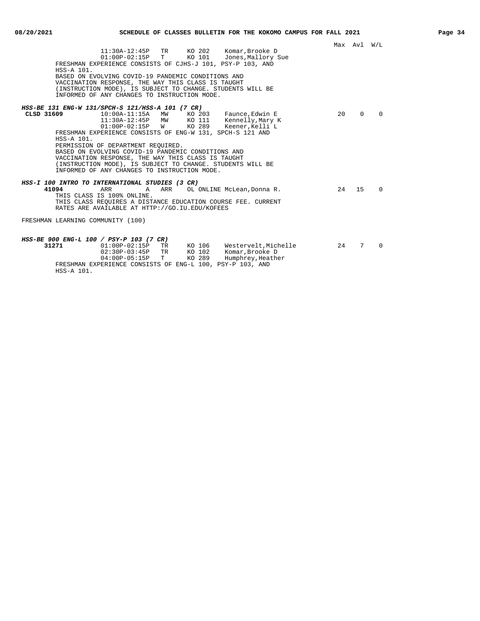|            |                                                                                                                                                                       |              | Max Avl W/L |          |
|------------|-----------------------------------------------------------------------------------------------------------------------------------------------------------------------|--------------|-------------|----------|
|            | 11:30A-12:45P TR KO 202 Komar, Brooke D<br>KO 101 Jones, Mallory Sue<br>$01:00P-02:15P$ T<br>FRESHMAN EXPERIENCE CONSISTS OF CJHS-J 101, PSY-P 103, AND<br>HSS-A 101. |              |             |          |
|            | BASED ON EVOLVING COVID-19 PANDEMIC CONDITIONS AND                                                                                                                    |              |             |          |
|            | VACCINATION RESPONSE, THE WAY THIS CLASS IS TAUGHT                                                                                                                    |              |             |          |
|            | (INSTRUCTION MODE), IS SUBJECT TO CHANGE. STUDENTS WILL BE                                                                                                            |              |             |          |
|            | INFORMED OF ANY CHANGES TO INSTRUCTION MODE.                                                                                                                          |              |             |          |
|            |                                                                                                                                                                       |              |             |          |
|            | HSS-BE 131 ENG-W 131/SPCH-S 121/HSS-A 101 (7 CR)                                                                                                                      |              |             |          |
| CLSD 31609 | $10:00A-11:15A$ MW<br>KO 203 Faunce, Edwin E                                                                                                                          | $20^{\circ}$ | $\Omega$    | $\Omega$ |
|            | KO 111 Kennelly, Mary K<br>11:30A-12:45P MW                                                                                                                           |              |             |          |
|            | $01:00P-02:15P$ W<br>KO 289<br>Keener, Kelli L                                                                                                                        |              |             |          |
|            | FRESHMAN EXPERIENCE CONSISTS OF ENG-W 131, SPCH-S 121 AND                                                                                                             |              |             |          |
|            | HSS-A 101.                                                                                                                                                            |              |             |          |
|            | PERMISSION OF DEPARTMENT REQUIRED.                                                                                                                                    |              |             |          |
|            | BASED ON EVOLVING COVID-19 PANDEMIC CONDITIONS AND                                                                                                                    |              |             |          |
|            | VACCINATION RESPONSE, THE WAY THIS CLASS IS TAUGHT                                                                                                                    |              |             |          |
|            | (INSTRUCTION MODE), IS SUBJECT TO CHANGE. STUDENTS WILL BE                                                                                                            |              |             |          |
|            | INFORMED OF ANY CHANGES TO INSTRUCTION MODE.                                                                                                                          |              |             |          |
|            | HSS-I 100 INTRO TO INTERNATIONAL STUDIES (3 CR)                                                                                                                       |              |             |          |
| 41094      | ARR<br>ARR OL ONLINE McLean, Donna R.<br>$\mathsf{A}$                                                                                                                 | 24           | 15          | $\Omega$ |
|            | THIS CLASS IS 100% ONLINE.                                                                                                                                            |              |             |          |
|            | THIS CLASS REOUIRES A DISTANCE EDUCATION COURSE FEE. CURRENT                                                                                                          |              |             |          |
|            | RATES ARE AVAILABLE AT HTTP://GO.IU.EDU/KOFEES                                                                                                                        |              |             |          |
|            |                                                                                                                                                                       |              |             |          |
|            | FRESHMAN LEARNING COMMUNITY (100)                                                                                                                                     |              |             |          |
|            |                                                                                                                                                                       |              |             |          |
|            |                                                                                                                                                                       |              |             |          |
|            | HSS-BE 900 ENG-L 100 / PSY-P 103 (7 CR)                                                                                                                               |              |             |          |
| 31271      | 01:00P-02:15P TR KO 106 Westervelt, Michelle                                                                                                                          | 24           | 7           | $\Omega$ |
|            | 02:30P-03:45P TR KO 102 Komar, Brooke D                                                                                                                               |              |             |          |
|            | $04:00P-05:15P$ T<br>KO 289 Humphrey, Heather                                                                                                                         |              |             |          |
|            | FRESHMAN EXPERIENCE CONSISTS OF ENG-L 100, PSY-P 103, AND                                                                                                             |              |             |          |
|            | HSS-A 101.                                                                                                                                                            |              |             |          |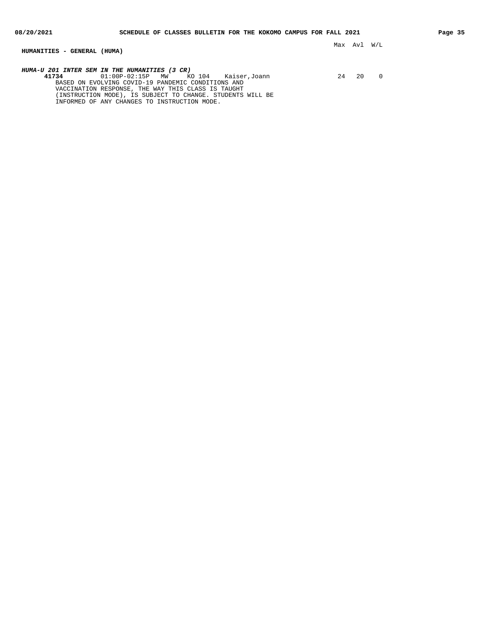### **HUMANITIES - GENERAL (HUMA)**

**HUMA-U 201 INTER SEM IN THE HUMANITIES (3 CR) 41734** 01:00P-02:15P MW KO 104 Kaiser,Joann 24 20 0 BASED ON EVOLVING COVID-19 PANDEMIC CONDITIONS AND VACCINATION RESPONSE, THE WAY THIS CLASS IS TAUGHT (INSTRUCTION MODE), IS SUBJECT TO CHANGE. STUDENTS WILL BE INFORMED OF ANY CHANGES TO INSTRUCTION MODE.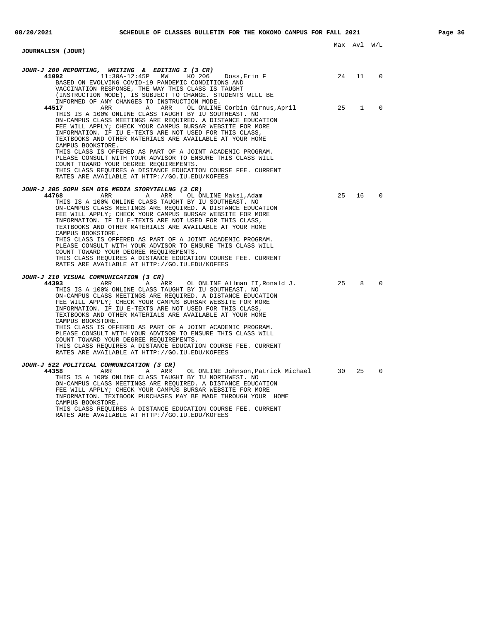#### Max Avl W/L **JOURNALISM (JOUR) JOUR-J 200 REPORTING, WRITING & EDITING I (3 CR) 41092** 11:30A-12:45P MW KO 206 Doss,Erin F 24 11 0 BASED ON EVOLVING COVID-19 PANDEMIC CONDITIONS AND VACCINATION RESPONSE, THE WAY THIS CLASS IS TAUGHT (INSTRUCTION MODE), IS SUBJECT TO CHANGE. STUDENTS WILL BE INFORMED OF ANY CHANGES TO INSTRUCTION MODE. **44517** ARR A ARR OL ONLINE Corbin Girnus,April 25 1 0 THIS IS A 100% ONLINE CLASS TAUGHT BY IU SOUTHEAST. NO ON-CAMPUS CLASS MEETINGS ARE REQUIRED. A DISTANCE EDUCATION FEE WILL APPLY; CHECK YOUR CAMPUS BURSAR WEBSITE FOR MORE INFORMATION. IF IU E-TEXTS ARE NOT USED FOR THIS CLASS, TEXTBOOKS AND OTHER MATERIALS ARE AVAILABLE AT YOUR HOME CAMPUS BOOKSTORE. THIS CLASS IS OFFERED AS PART OF A JOINT ACADEMIC PROGRAM. PLEASE CONSULT WITH YOUR ADVISOR TO ENSURE THIS CLASS WILL COUNT TOWARD YOUR DEGREE REQUIREMENTS. THIS CLASS REQUIRES A DISTANCE EDUCATION COURSE FEE. CURRENT RATES ARE AVAILABLE AT HTTP://GO.IU.EDU/KOFEES **JOUR-J 205 SOPH SEM DIG MEDIA STORYTELLNG (3 CR) 44768** ARR A ARR OL ONLINE Maksl,Adam 25 16 0 THIS IS A 100% ONLINE CLASS TAUGHT BY IU SOUTHEAST. NO ON-CAMPUS CLASS MEETINGS ARE REQUIRED. A DISTANCE EDUCATION FEE WILL APPLY; CHECK YOUR CAMPUS BURSAR WEBSITE FOR MORE INFORMATION. IF IU E-TEXTS ARE NOT USED FOR THIS CLASS, TEXTBOOKS AND OTHER MATERIALS ARE AVAILABLE AT YOUR HOME CAMPUS BOOKSTORE. THIS CLASS IS OFFERED AS PART OF A JOINT ACADEMIC PROGRAM. PLEASE CONSULT WITH YOUR ADVISOR TO ENSURE THIS CLASS WILL COUNT TOWARD YOUR DEGREE REQUIREMENTS. THIS CLASS REQUIRES A DISTANCE EDUCATION COURSE FEE. CURRENT RATES ARE AVAILABLE AT HTTP://GO.IU.EDU/KOFEES **JOUR-J 210 VISUAL COMMUNICATION (3 CR) 44393** ARR A ARR OL ONLINE Allman II,Ronald J. 25 8 0 THIS IS A 100% ONLINE CLASS TAUGHT BY IU SOUTHEAST. NO ON-CAMPUS CLASS MEETINGS ARE REQUIRED. A DISTANCE EDUCATION FEE WILL APPLY; CHECK YOUR CAMPUS BURSAR WEBSITE FOR MORE INFORMATION. IF IU E-TEXTS ARE NOT USED FOR THIS CLASS, TEXTBOOKS AND OTHER MATERIALS ARE AVAILABLE AT YOUR HOME CAMPUS BOOKSTORE. THIS CLASS IS OFFERED AS PART OF A JOINT ACADEMIC PROGRAM. PLEASE CONSULT WITH YOUR ADVISOR TO ENSURE THIS CLASS WILL COUNT TOWARD YOUR DEGREE REQUIREMENTS. THIS CLASS REQUIRES A DISTANCE EDUCATION COURSE FEE. CURRENT RATES ARE AVAILABLE AT HTTP://GO.IU.EDU/KOFEES **JOUR-J 522 POLITICAL COMMUNICATION (3 CR) 44358** ARR A ARR OL ONLINE Johnson,Patrick Michael 30 25 0 THIS IS A 100% ONLINE CLASS TAUGHT BY IU NORTHWEST. NO ON-CAMPUS CLASS MEETINGS ARE REQUIRED. A DISTANCE EDUCATION FEE WILL APPLY; CHECK YOUR CAMPUS BURSAR WEBSITE FOR MORE

INFORMATION. TEXTBOOK PURCHASES MAY BE MADE THROUGH YOUR HOME CAMPUS BOOKSTORE.

THIS CLASS REQUIRES A DISTANCE EDUCATION COURSE FEE. CURRENT RATES ARE AVAILABLE AT HTTP://GO.IU.EDU/KOFEES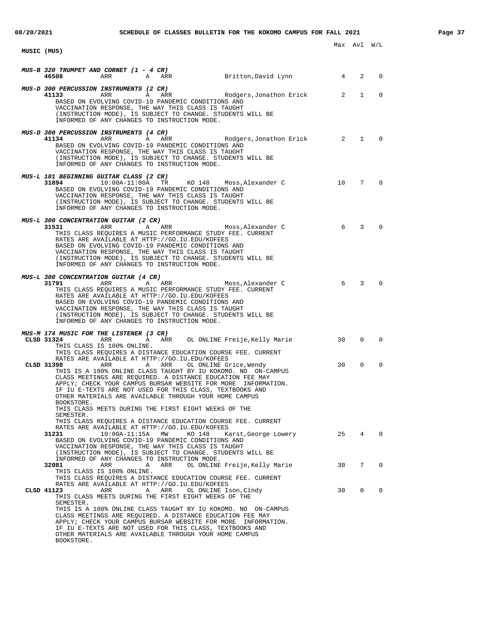| 08/20/2021  |                                                                                                                                                                                                                                                                                                                                                                                                                                                                             |                  |        | SCHEDULE OF CLASSES BULLETIN FOR THE KOKOMO CAMPUS FOR FALL 2021 |          |                 |                             | Page 37 |
|-------------|-----------------------------------------------------------------------------------------------------------------------------------------------------------------------------------------------------------------------------------------------------------------------------------------------------------------------------------------------------------------------------------------------------------------------------------------------------------------------------|------------------|--------|------------------------------------------------------------------|----------|-----------------|-----------------------------|---------|
| MUSIC (MUS) |                                                                                                                                                                                                                                                                                                                                                                                                                                                                             |                  |        |                                                                  |          | Max Avl W/L     |                             |         |
|             |                                                                                                                                                                                                                                                                                                                                                                                                                                                                             |                  |        |                                                                  |          |                 |                             |         |
|             | MUS-B 320 TRUMPET AND CORNET (1 - 4 CR)<br>ARR<br>46508                                                                                                                                                                                                                                                                                                                                                                                                                     | A ARR            |        | Britton, David Lynn 14                                           |          | 2               | $\mathbf 0$                 |         |
|             | MUS-D 300 PERCUSSION INSTRUMENTS (2 CR)<br>ARR<br>41133<br>BASED ON EVOLVING COVID-19 PANDEMIC CONDITIONS AND<br>VACCINATION RESPONSE, THE WAY THIS CLASS IS TAUGHT<br>(INSTRUCTION MODE), IS SUBJECT TO CHANGE. STUDENTS WILL BE<br>INFORMED OF ANY CHANGES TO INSTRUCTION MODE.                                                                                                                                                                                           | A ARR            |        | Rodgers, Jonathon Erick 2                                        |          | $\mathbf{1}$    | $\mathbf 0$                 |         |
|             | MUS-D 300 PERCUSSION INSTRUMENTS (4 CR)<br>41134<br>ARR<br>BASED ON EVOLVING COVID-19 PANDEMIC CONDITIONS AND<br>VACCINATION RESPONSE, THE WAY THIS CLASS IS TAUGHT<br>(INSTRUCTION MODE), IS SUBJECT TO CHANGE. STUDENTS WILL BE<br>INFORMED OF ANY CHANGES TO INSTRUCTION MODE.                                                                                                                                                                                           | A ARR            |        | Rodgers, Jonathon Erick 2                                        |          |                 | $1 \quad$<br>$\overline{0}$ |         |
|             | MUS-L 101 BEGINNING GUITAR CLASS (2 CR)<br>31894<br>BASED ON EVOLVING COVID-19 PANDEMIC CONDITIONS AND<br>VACCINATION RESPONSE, THE WAY THIS CLASS IS TAUGHT<br>(INSTRUCTION MODE), IS SUBJECT TO CHANGE. STUDENTS WILL BE<br>INFORMED OF ANY CHANGES TO INSTRUCTION MODE.                                                                                                                                                                                                  | 10:00A-11:00A TR |        | KO 148 Moss, Alexander C 10                                      |          | $7\overline{ }$ | $\overline{0}$              |         |
|             | MUS-L 300 CONCENTRATION GUITAR (2 CR)<br>31531<br>ARR<br>THIS CLASS REQUIRES A MUSIC PERFORMANCE STUDY FEE. CURRENT<br>RATES ARE AVAILABLE AT HTTP://GO.IU.EDU/KOFEES<br>BASED ON EVOLVING COVID-19 PANDEMIC CONDITIONS AND<br>VACCINATION RESPONSE, THE WAY THIS CLASS IS TAUGHT<br>(INSTRUCTION MODE), IS SUBJECT TO CHANGE. STUDENTS WILL BE<br>INFORMED OF ANY CHANGES TO INSTRUCTION MODE.                                                                             | A ARR            |        | Moss, Alexander C                                                | $\sim$ 6 | 3               | $\mathbf 0$                 |         |
|             | MUS-L 300 CONCENTRATION GUITAR (4 CR)<br>31791 200<br>ARR<br>THIS CLASS REQUIRES A MUSIC PERFORMANCE STUDY FEE. CURRENT<br>RATES ARE AVAILABLE AT HTTP://GO.IU.EDU/KOFEES<br>BASED ON EVOLVING COVID-19 PANDEMIC CONDITIONS AND<br>VACCINATION RESPONSE, THE WAY THIS CLASS IS TAUGHT<br>(INSTRUCTION MODE), IS SUBJECT TO CHANGE. STUDENTS WILL BE<br>INFORMED OF ANY CHANGES TO INSTRUCTION MODE.                                                                         | A ARR            |        | Moss, Alexander C                                                | $\sim$ 6 | $\overline{3}$  | $\mathbf 0$                 |         |
|             | MUS-M 174 MUSIC FOR THE LISTENER (3 CR)<br>CLSD 31324<br>ARR<br>THIS CLASS IS 100% ONLINE.<br>THIS CLASS REQUIRES A DISTANCE EDUCATION COURSE FEE. CURRENT                                                                                                                                                                                                                                                                                                                  | A ARR            |        | OL ONLINE Freije,Kelly Marie                                     | 30       | 0               | $\mathbf 0$                 |         |
|             | RATES ARE AVAILABLE AT HTTP://GO.IU.EDU/KOFEES<br>CLSD 31398<br>ARR<br>THIS IS A 100% ONLINE CLASS TAUGHT BY IU KOKOMO. NO ON-CAMPUS<br>CLASS MEETINGS ARE REQUIRED. A DISTANCE EDUCATION FEE MAY<br>APPLY; CHECK YOUR CAMPUS BURSAR WEBSITE FOR MORE INFORMATION.<br>IF IU E-TEXTS ARE NOT USED FOR THIS CLASS, TEXTBOOKS AND<br>OTHER MATERIALS ARE AVAILABLE THROUGH YOUR HOME CAMPUS<br>BOOKSTORE.<br>THIS CLASS MEETS DURING THE FIRST EIGHT WEEKS OF THE              | A ARR            |        | OL ONLINE Grice, Wendy                                           | 30       | 0               | $\mathbf 0$                 |         |
|             | SEMESTER.<br>THIS CLASS REOUIRES A DISTANCE EDUCATION COURSE FEE. CURRENT<br>RATES ARE AVAILABLE AT HTTP://GO.IU.EDU/KOFEES<br>31231<br>BASED ON EVOLVING COVID-19 PANDEMIC CONDITIONS AND<br>VACCINATION RESPONSE, THE WAY THIS CLASS IS TAUGHT<br>(INSTRUCTION MODE), IS SUBJECT TO CHANGE. STUDENTS WILL BE                                                                                                                                                              | 10:00A-11:15A MW | KO 148 | Karst, George Lowery                                             | 25       | $4\overline{ }$ | $\overline{\phantom{0}}$    |         |
|             | INFORMED OF ANY CHANGES TO INSTRUCTION MODE.<br>32081<br>ARR<br>THIS CLASS IS 100% ONLINE.<br>THIS CLASS REQUIRES A DISTANCE EDUCATION COURSE FEE. CURRENT                                                                                                                                                                                                                                                                                                                  | Α<br>ARR         |        | OL ONLINE Freije,Kelly Marie                                     | 30       | 7               | $\Omega$                    |         |
|             | RATES ARE AVAILABLE AT HTTP://GO.IU.EDU/KOFEES<br>CLSD 41123<br>ARR<br>THIS CLASS MEETS DURING THE FIRST EIGHT WEEKS OF THE<br>SEMESTER.<br>THIS IS A 100% ONLINE CLASS TAUGHT BY IU KOKOMO. NO ON-CAMPUS<br>CLASS MEETINGS ARE REQUIRED. A DISTANCE EDUCATION FEE MAY<br>APPLY; CHECK YOUR CAMPUS BURSAR WEBSITE FOR MORE INFORMATION.<br>IF IU E-TEXTS ARE NOT USED FOR THIS CLASS, TEXTBOOKS AND<br>OTHER MATERIALS ARE AVAILABLE THROUGH YOUR HOME CAMPUS<br>BOOKSTORE. | A ARR            |        | OL ONLINE Ison, Cindy                                            | 30       | 0               | $\mathbf 0$                 |         |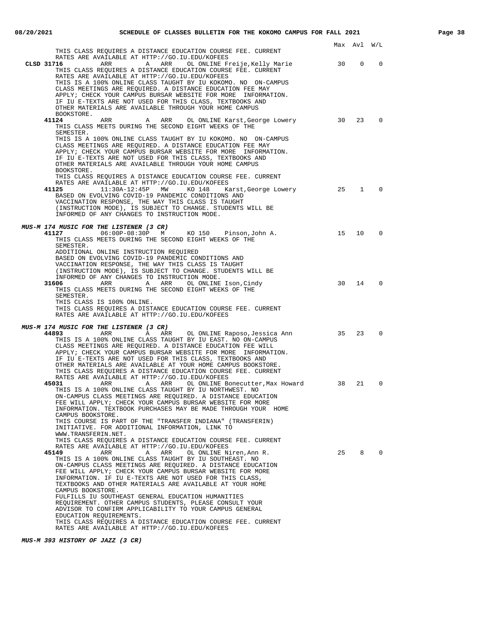|                                                                                                                                                                                                                                                                                                                                                                                                        |    | Max Avl W/L |              |  |
|--------------------------------------------------------------------------------------------------------------------------------------------------------------------------------------------------------------------------------------------------------------------------------------------------------------------------------------------------------------------------------------------------------|----|-------------|--------------|--|
| THIS CLASS REQUIRES A DISTANCE EDUCATION COURSE FEE. CURRENT<br>RATES ARE AVAILABLE AT HTTP://GO.IU.EDU/KOFEES                                                                                                                                                                                                                                                                                         |    |             |              |  |
| CLSD 31716<br>ARR<br>A ARR<br>OL ONLINE Freije,Kelly Marie<br>THIS CLASS REQUIRES A DISTANCE EDUCATION COURSE FEE. CURRENT<br>RATES ARE AVAILABLE AT HTTP://GO.IU.EDU/KOFEES                                                                                                                                                                                                                           | 30 | 0           | 0            |  |
| THIS IS A 100% ONLINE CLASS TAUGHT BY IU KOKOMO. NO ON-CAMPUS<br>CLASS MEETINGS ARE REQUIRED. A DISTANCE EDUCATION FEE MAY<br>APPLY; CHECK YOUR CAMPUS BURSAR WEBSITE FOR MORE INFORMATION.<br>IF IU E-TEXTS ARE NOT USED FOR THIS CLASS, TEXTBOOKS AND<br>OTHER MATERIALS ARE AVAILABLE THROUGH YOUR HOME CAMPUS                                                                                      |    |             |              |  |
| BOOKSTORE.<br>41124<br>ARR<br>OL ONLINE Karst, George Lowery<br>ARR<br>A<br>THIS CLASS MEETS DURING THE SECOND EIGHT WEEKS OF THE                                                                                                                                                                                                                                                                      | 30 | 23          | $\Omega$     |  |
| SEMESTER.<br>THIS IS A 100% ONLINE CLASS TAUGHT BY IU KOKOMO. NO ON-CAMPUS<br>CLASS MEETINGS ARE REQUIRED. A DISTANCE EDUCATION FEE MAY<br>APPLY; CHECK YOUR CAMPUS BURSAR WEBSITE FOR MORE INFORMATION.<br>IF IU E-TEXTS ARE NOT USED FOR THIS CLASS, TEXTBOOKS AND<br>OTHER MATERIALS ARE AVAILABLE THROUGH YOUR HOME CAMPUS<br>BOOKSTORE.                                                           |    |             |              |  |
| THIS CLASS REQUIRES A DISTANCE EDUCATION COURSE FEE. CURRENT<br>RATES ARE AVAILABLE AT HTTP://GO.IU.EDU/KOFEES<br>41125<br>11:30A-12:45P MW KO 148<br>Karst,George Lowery                                                                                                                                                                                                                              | 25 | 1           | 0            |  |
| BASED ON EVOLVING COVID-19 PANDEMIC CONDITIONS AND<br>VACCINATION RESPONSE, THE WAY THIS CLASS IS TAUGHT<br>(INSTRUCTION MODE), IS SUBJECT TO CHANGE. STUDENTS WILL BE                                                                                                                                                                                                                                 |    |             |              |  |
| INFORMED OF ANY CHANGES TO INSTRUCTION MODE.                                                                                                                                                                                                                                                                                                                                                           |    |             |              |  |
| <i>MUS-M 174 MUSIC FOR THE LISTENER (3 CR)</i><br>06:00P-08:30P M KO 150 Pinson, John A.<br>41127<br>THIS CLASS MEETS DURING THE SECOND EIGHT WEEKS OF THE                                                                                                                                                                                                                                             | 15 | 10          | $\mathbf 0$  |  |
| SEMESTER.<br>ADDITIONAL ONLINE INSTRUCTION REQUIRED<br>BASED ON EVOLVING COVID-19 PANDEMIC CONDITIONS AND<br>VACCINATION RESPONSE, THE WAY THIS CLASS IS TAUGHT<br>(INSTRUCTION MODE), IS SUBJECT TO CHANGE. STUDENTS WILL BE                                                                                                                                                                          |    |             |              |  |
| INFORMED OF ANY CHANGES TO INSTRUCTION MODE.<br>ARR A ARR OL ONLINE Ison, Cindy<br>31606<br>THIS CLASS MEETS DURING THE SECOND EIGHT WEEKS OF THE                                                                                                                                                                                                                                                      | 30 | 14          | $\Omega$     |  |
| SEMESTER.<br>THIS CLASS IS 100% ONLINE.<br>THIS CLASS REQUIRES A DISTANCE EDUCATION COURSE FEE. CURRENT<br>RATES ARE AVAILABLE AT HTTP://GO.IU.EDU/KOFEES                                                                                                                                                                                                                                              |    |             |              |  |
| MUS-M 174 MUSIC FOR THE LISTENER (3 CR)<br>44893<br>ARR<br>ARR     OL ONLINE Raposo,Jessica Ann<br><b>A</b>                                                                                                                                                                                                                                                                                            | 35 | 23          | 0            |  |
| THIS IS A 100% ONLINE CLASS TAUGHT BY IU EAST. NO ON-CAMPUS<br>CLASS MEETINGS ARE REQUIRED. A DISTANCE EDUCATION FEE WILL<br>APPLY; CHECK YOUR CAMPUS BURSAR WEBSITE FOR MORE INFORMATION.<br>IF IU E-TEXTS ARE NOT USED FOR THIS CLASS, TEXTBOOKS AND<br>OTHER MATERIALS ARE AVAILABLE AT YOUR HOME CAMPUS BOOKSTORE.<br>THIS CLASS REQUIRES A DISTANCE EDUCATION COURSE FEE. CURRENT                 |    |             |              |  |
| RATES ARE AVAILABLE AT HTTP://GO.IU.EDU/KOFEES<br>A ARR OL ONLINE Bonecutter, Max Howard 38<br>45031<br>ARR<br>THIS IS A 100% ONLINE CLASS TAUGHT BY IU NORTHWEST. NO<br>ON-CAMPUS CLASS MEETINGS ARE REQUIRED. A DISTANCE EDUCATION<br>FEE WILL APPLY; CHECK YOUR CAMPUS BURSAR WEBSITE FOR MORE<br>INFORMATION. TEXTBOOK PURCHASES MAY BE MADE THROUGH YOUR HOME<br>CAMPUS BOOKSTORE.                |    | 21          | 0            |  |
| THIS COURSE IS PART OF THE "TRANSFER INDIANA" (TRANSFERIN)<br>INITIATIVE. FOR ADDITIONAL INFORMATION, LINK TO<br>WWW.TRANSFERIN.NET.<br>THIS CLASS REQUIRES A DISTANCE EDUCATION COURSE FEE. CURRENT                                                                                                                                                                                                   |    |             |              |  |
| RATES ARE AVAILABLE AT HTTP://GO.IU.EDU/KOFEES<br>45149<br>ARR<br>Α<br>ARR<br>OL ONLINE Niren, Ann R.<br>THIS IS A 100% ONLINE CLASS TAUGHT BY IU SOUTHEAST. NO<br>ON-CAMPUS CLASS MEETINGS ARE REQUIRED. A DISTANCE EDUCATION<br>FEE WILL APPLY; CHECK YOUR CAMPUS BURSAR WEBSITE FOR MORE<br>INFORMATION. IF IU E-TEXTS ARE NOT USED FOR THIS CLASS,                                                 | 25 | 8           | $\mathbf{0}$ |  |
| TEXTBOOKS AND OTHER MATERIALS ARE AVAILABLE AT YOUR HOME<br>CAMPUS BOOKSTORE.<br>FULFILLS IU SOUTHEAST GENERAL EDUCATION HUMANITIES<br>REQUIREMENT. OTHER CAMPUS STUDENTS, PLEASE CONSULT YOUR<br>ADVISOR TO CONFIRM APPLICABILITY TO YOUR CAMPUS GENERAL<br>EDUCATION REQUIREMENTS.<br>THIS CLASS REQUIRES A DISTANCE EDUCATION COURSE FEE. CURRENT<br>RATES ARE AVAILABLE AT HTTP://GO.IU.EDU/KOFEES |    |             |              |  |

**MUS-M 393 HISTORY OF JAZZ (3 CR)**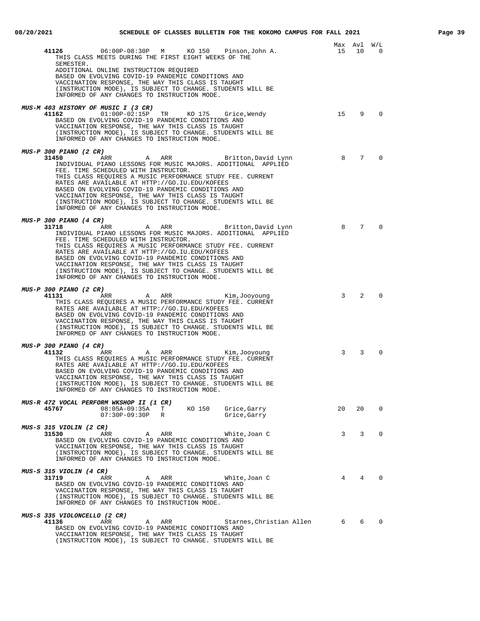| 41126<br>06:00P-08:30P M KO 150 Pinson, John A.<br>THIS CLASS MEETS DURING THE FIRST EIGHT WEEKS OF THE<br>SEMESTER.                                                                                                                                                                                                                                                                                                                                                                                                             | 15 | Max Avl<br>10 | W/L<br>$\overline{0}$ |
|----------------------------------------------------------------------------------------------------------------------------------------------------------------------------------------------------------------------------------------------------------------------------------------------------------------------------------------------------------------------------------------------------------------------------------------------------------------------------------------------------------------------------------|----|---------------|-----------------------|
| ADDITIONAL ONLINE INSTRUCTION REQUIRED<br>BASED ON EVOLVING COVID-19 PANDEMIC CONDITIONS AND<br>VACCINATION RESPONSE, THE WAY THIS CLASS IS TAUGHT<br>(INSTRUCTION MODE), IS SUBJECT TO CHANGE. STUDENTS WILL BE<br>INFORMED OF ANY CHANGES TO INSTRUCTION MODE.                                                                                                                                                                                                                                                                 |    |               |                       |
| <i>MUS-M 403 HISTORY OF MUSIC I (3 CR)</i><br>41162<br>$01:00P-02:15P$ TR KO 175 Grice, Wendy<br>BASED ON EVOLVING COVID-19 PANDEMIC CONDITIONS AND<br>VACCINATION RESPONSE, THE WAY THIS CLASS IS TAUGHT<br>(INSTRUCTION MODE), IS SUBJECT TO CHANGE. STUDENTS WILL BE<br>INFORMED OF ANY CHANGES TO INSTRUCTION MODE.                                                                                                                                                                                                          | 15 | 9             | $\Omega$              |
| <i>MUS-P 300 PIANO (2 CR)</i><br>A ARR Britton, David Lynn<br>31450<br>ARR<br>INDIVIDUAL PIANO LESSONS FOR MUSIC MAJORS. ADDITIONAL APPLIED<br>FEE. TIME SCHEDULED WITH INSTRUCTOR.<br>THIS CLASS REQUIRES A MUSIC PERFORMANCE STUDY FEE. CURRENT<br>RATES ARE AVAILABLE AT HTTP://GO.IU.EDU/KOFEES<br>BASED ON EVOLVING COVID-19 PANDEMIC CONDITIONS AND<br>VACCINATION RESPONSE, THE WAY THIS CLASS IS TAUGHT<br>(INSTRUCTION MODE), IS SUBJECT TO CHANGE. STUDENTS WILL BE<br>INFORMED OF ANY CHANGES TO INSTRUCTION MODE.    | 8  | 7             | $\Omega$              |
| <i>MUS-P 300 PIANO (4 CR)</i><br>A ARR<br>31718<br>Britton, David Lynn<br>ARR<br>INDIVIDUAL PIANO LESSONS FOR MUSIC MAJORS. ADDITIONAL APPLIED<br>FEE. TIME SCHEDULED WITH INSTRUCTOR.<br>THIS CLASS REQUIRES A MUSIC PERFORMANCE STUDY FEE. CURRENT<br>RATES ARE AVAILABLE AT HTTP://GO.IU.EDU/KOFEES<br>BASED ON EVOLVING COVID-19 PANDEMIC CONDITIONS AND<br>VACCINATION RESPONSE, THE WAY THIS CLASS IS TAUGHT<br>(INSTRUCTION MODE), IS SUBJECT TO CHANGE. STUDENTS WILL BE<br>INFORMED OF ANY CHANGES TO INSTRUCTION MODE. | 8  | 7             | $\Omega$              |
| <i>MUS-P 300 PIANO (2 CR)</i><br>41131<br>ARR<br>A ARR<br>Kim,Jooyoung<br>THIS CLASS REQUIRES A MUSIC PERFORMANCE STUDY FEE. CURRENT<br>RATES ARE AVAILABLE AT HTTP://GO.IU.EDU/KOFEES<br>BASED ON EVOLVING COVID-19 PANDEMIC CONDITIONS AND<br>VACCINATION RESPONSE, THE WAY THIS CLASS IS TAUGHT<br>(INSTRUCTION MODE), IS SUBJECT TO CHANGE. STUDENTS WILL BE<br>INFORMED OF ANY CHANGES TO INSTRUCTION MODE.                                                                                                                 | 3  | 2             | $\Omega$              |
| <i>MUS-P 300 PIANO (4 CR)</i><br>41132<br>ARR<br>A ARR<br>Kim,Jooyoung<br>THIS CLASS REQUIRES A MUSIC PERFORMANCE STUDY FEE. CURRENT<br>RATES ARE AVAILABLE AT HTTP://GO.IU.EDU/KOFEES<br>BASED ON EVOLVING COVID-19 PANDEMIC CONDITIONS AND<br>VACCINATION RESPONSE, THE WAY THIS CLASS IS TAUGHT<br>(INSTRUCTION MODE), IS SUBJECT TO CHANGE. STUDENTS WILL BE<br>INFORMED OF ANY CHANGES TO INSTRUCTION MODE.                                                                                                                 | 3  | 3             | $\Omega$              |
| MUS-R 472 VOCAL PERFORM WKSHOP II (1 CR)<br>08:05A-09:35A T KO 150 Grice, Garry<br>45767<br>$07:30P-09:30P$ R<br>Grice,Garry                                                                                                                                                                                                                                                                                                                                                                                                     | 20 | 20            | $\mathbf 0$           |
| <i>MUS-S 315 VIOLIN (2 CR)</i><br>31530<br>ARR<br>White, Joan C<br>ARR<br>A<br>BASED ON EVOLVING COVID-19 PANDEMIC CONDITIONS AND<br>VACCINATION RESPONSE, THE WAY THIS CLASS IS TAUGHT<br>(INSTRUCTION MODE), IS SUBJECT TO CHANGE. STUDENTS WILL BE<br>INFORMED OF ANY CHANGES TO INSTRUCTION MODE.                                                                                                                                                                                                                            | 3  | 3             | $\Omega$              |
| MUS-S 315 VIOLIN (4 CR)<br>31719<br>ARR<br>ARR<br>White, Joan C<br>A<br>BASED ON EVOLVING COVID-19 PANDEMIC CONDITIONS AND<br>VACCINATION RESPONSE, THE WAY THIS CLASS IS TAUGHT<br>(INSTRUCTION MODE), IS SUBJECT TO CHANGE. STUDENTS WILL BE<br>INFORMED OF ANY CHANGES TO INSTRUCTION MODE.                                                                                                                                                                                                                                   | 4  | 4             | $\Omega$              |
| <i>MUS-S 335 VIOLONCELLO (2 CR)</i><br>41136<br>Starnes, Christian Allen 6<br>ARR<br>A ARR<br>BASED ON EVOLVING COVID-19 PANDEMIC CONDITIONS AND<br>VACCINATION RESPONSE, THE WAY THIS CLASS IS TAUGHT<br>(INSTRUCTION MODE), IS SUBJECT TO CHANGE. STUDENTS WILL BE                                                                                                                                                                                                                                                             |    | 6             | 0                     |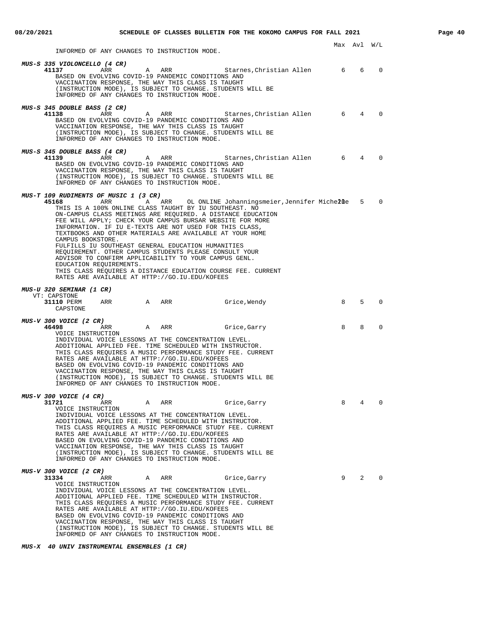INFORMED OF ANY CHANGES TO INSTRUCTION MODE.

| MUS-S 335 VIOLONCELLO (4 CR)<br>41137<br>A ARR<br>Starnes, Christian Allen 6<br>ARR<br>BASED ON EVOLVING COVID-19 PANDEMIC CONDITIONS AND<br>VACCINATION RESPONSE, THE WAY THIS CLASS IS TAUGHT<br>(INSTRUCTION MODE), IS SUBJECT TO CHANGE. STUDENTS WILL BE<br>INFORMED OF ANY CHANGES TO INSTRUCTION MODE.                                                                                                                                                                                                                                                                                                                                                                                                                                                            |             | 6              | $\Omega$ |
|--------------------------------------------------------------------------------------------------------------------------------------------------------------------------------------------------------------------------------------------------------------------------------------------------------------------------------------------------------------------------------------------------------------------------------------------------------------------------------------------------------------------------------------------------------------------------------------------------------------------------------------------------------------------------------------------------------------------------------------------------------------------------|-------------|----------------|----------|
| <i>MUS-S 345 DOUBLE BASS (2 CR)</i><br>41138<br>ARR<br>A ARR<br>Starnes,Christian Allen<br>BASED ON EVOLVING COVID-19 PANDEMIC CONDITIONS AND<br>VACCINATION RESPONSE, THE WAY THIS CLASS IS TAUGHT<br>(INSTRUCTION MODE), IS SUBJECT TO CHANGE. STUDENTS WILL BE<br>INFORMED OF ANY CHANGES TO INSTRUCTION MODE.                                                                                                                                                                                                                                                                                                                                                                                                                                                        | 6           | 4              | $\Omega$ |
| MUS-S 345 DOUBLE BASS (4 CR)<br>Starnes, Christian Allen 6<br>41139<br>ARR<br>ARR<br>A<br>BASED ON EVOLVING COVID-19 PANDEMIC CONDITIONS AND<br>VACCINATION RESPONSE, THE WAY THIS CLASS IS TAUGHT<br>(INSTRUCTION MODE), IS SUBJECT TO CHANGE. STUDENTS WILL BE<br>INFORMED OF ANY CHANGES TO INSTRUCTION MODE.                                                                                                                                                                                                                                                                                                                                                                                                                                                         |             | $\overline{4}$ | $\Omega$ |
| MUS-T 109 RUDIMENTS OF MUSIC 1 (3 CR)<br>45168<br>ARR<br>ARR<br>OL ONLINE Johanningsmeier,Jennifer Michelle<br>A<br>THIS IS A 100% ONLINE CLASS TAUGHT BY IU SOUTHEAST. NO<br>ON-CAMPUS CLASS MEETINGS ARE REOUIRED. A DISTANCE EDUCATION<br>FEE WILL APPLY; CHECK YOUR CAMPUS BURSAR WEBSITE FOR MORE<br>INFORMATION. IF IU E-TEXTS ARE NOT USED FOR THIS CLASS,<br>TEXTBOOKS AND OTHER MATERIALS ARE AVAILABLE AT YOUR HOME<br>CAMPUS BOOKSTORE.<br>FULFILLS IU SOUTHEAST GENERAL EDUCATION HUMANITIES<br>REQUIREMENT. OTHER CAMPUS STUDENTS PLEASE CONSULT YOUR<br>ADVISOR TO CONFIRM APPLICABILITY TO YOUR CAMPUS GENL.<br>EDUCATION REQUIREMENTS.<br>THIS CLASS REQUIRES A DISTANCE EDUCATION COURSE FEE. CURRENT<br>RATES ARE AVAILABLE AT HTTP://GO.IU.EDU/KOFEES |             | 5              | $\Omega$ |
|                                                                                                                                                                                                                                                                                                                                                                                                                                                                                                                                                                                                                                                                                                                                                                          |             |                |          |
| <i>MUS-U 320 SEMINAR (1 CR)</i><br>VT: CAPSTONE<br>ARR A ARR<br>31110 PERM<br>Grice, Wendy<br>CAPSTONE                                                                                                                                                                                                                                                                                                                                                                                                                                                                                                                                                                                                                                                                   | 8           | 5              | $\Omega$ |
| MUS-V 300 VOICE (2 CR)<br>46498<br>A<br>ARR<br>Grice, Garry<br>ARR<br>VOICE INSTRUCTION<br>INDIVIDUAL VOICE LESSONS AT THE CONCENTRATION LEVEL.<br>ADDITIONAL APPLIED FEE. TIME SCHEDULED WITH INSTRUCTOR.<br>THIS CLASS REQUIRES A MUSIC PERFORMANCE STUDY FEE. CURRENT<br>RATES ARE AVAILABLE AT HTTP://GO.IU.EDU/KOFEES<br>BASED ON EVOLVING COVID-19 PANDEMIC CONDITIONS AND<br>VACCINATION RESPONSE, THE WAY THIS CLASS IS TAUGHT<br>(INSTRUCTION MODE), IS SUBJECT TO CHANGE. STUDENTS WILL BE<br>INFORMED OF ANY CHANGES TO INSTRUCTION MODE.                                                                                                                                                                                                                     | 8           | 8              | $\Omega$ |
| MUS-V 300 VOICE (4 CR)<br>31721<br>ARR<br>Α<br>ARR<br>Grice, Garry<br>VOICE INSTRUCTION<br>INDIVIDUAL VOICE LESSONS AT THE CONCENTRATION LEVEL.<br>ADDITIONAL APPLIED FEE. TIME SCHEDULED WITH INSTRUCTOR.<br>THIS CLASS REQUIRES A MUSIC PERFORMANCE STUDY FEE. CURRENT<br>RATES ARE AVAILABLE AT HTTP://GO.IU.EDU/KOFEES<br>BASED ON EVOLVING COVID-19 PANDEMIC CONDITIONS AND<br>VACCINATION RESPONSE, THE WAY THIS CLASS IS TAUGHT<br>(INSTRUCTION MODE), IS SUBJECT TO CHANGE. STUDENTS WILL BE<br>INFORMED OF ANY CHANGES TO INSTRUCTION MODE.                                                                                                                                                                                                                     | 8           | 4              | 0        |
| MUS-V 300 VOICE (2 CR)<br>31334<br>Α<br>ARR<br>Grice, Garry<br>ARR<br>VOICE INSTRUCTION<br>INDIVIDUAL VOICE LESSONS AT THE CONCENTRATION LEVEL.<br>ADDITIONAL APPLIED FEE. TIME SCHEDULED WITH INSTRUCTOR.<br>THIS CLASS REQUIRES A MUSIC PERFORMANCE STUDY FEE. CURRENT<br>RATES ARE AVAILABLE AT HTTP://GO.IU.EDU/KOFEES<br>BASED ON EVOLVING COVID-19 PANDEMIC CONDITIONS AND<br>VACCINATION RESPONSE, THE WAY THIS CLASS IS TAUGHT<br>(INSTRUCTION MODE), IS SUBJECT TO CHANGE. STUDENTS WILL BE<br>INFORMED OF ANY CHANGES TO INSTRUCTION MODE.                                                                                                                                                                                                                     | $9^{\circ}$ | 2              | $\Omega$ |

**MUS-X 40 UNIV INSTRUMENTAL ENSEMBLES (1 CR)**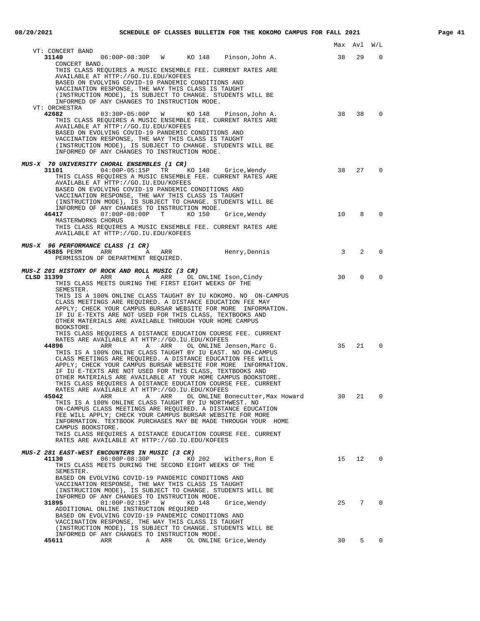|                                                                                                                                                                                                                                                                                                                                                                                                                                                                                                                                                                                                                                                                                                                                                                                                                                                                                                 | Max          | Avl         | W/L              |
|-------------------------------------------------------------------------------------------------------------------------------------------------------------------------------------------------------------------------------------------------------------------------------------------------------------------------------------------------------------------------------------------------------------------------------------------------------------------------------------------------------------------------------------------------------------------------------------------------------------------------------------------------------------------------------------------------------------------------------------------------------------------------------------------------------------------------------------------------------------------------------------------------|--------------|-------------|------------------|
| VT: CONCERT BAND<br>06:00P-08:30P W KO 148 Pinson, John A.<br>31140                                                                                                                                                                                                                                                                                                                                                                                                                                                                                                                                                                                                                                                                                                                                                                                                                             | 38           | 29          | $\Omega$         |
| CONCERT BAND.<br>THIS CLASS REQUIRES A MUSIC ENSEMBLE FEE. CURRENT RATES ARE<br>AVAILABLE AT HTTP://GO.IU.EDU/KOFEES<br>BASED ON EVOLVING COVID-19 PANDEMIC CONDITIONS AND<br>VACCINATION RESPONSE, THE WAY THIS CLASS IS TAUGHT<br>(INSTRUCTION MODE), IS SUBJECT TO CHANGE. STUDENTS WILL BE<br>INFORMED OF ANY CHANGES TO INSTRUCTION MODE.<br>VT: ORCHESTRA<br>42682<br>03:30P-05:00P W KO 148 Pinson, John A.                                                                                                                                                                                                                                                                                                                                                                                                                                                                              | 38           | 38          | $\Omega$         |
| THIS CLASS REQUIRES A MUSIC ENSEMBLE FEE. CURRENT RATES ARE<br>AVAILABLE AT HTTP://GO.IU.EDU/KOFEES<br>BASED ON EVOLVING COVID-19 PANDEMIC CONDITIONS AND<br>VACCINATION RESPONSE, THE WAY THIS CLASS IS TAUGHT<br>(INSTRUCTION MODE), IS SUBJECT TO CHANGE. STUDENTS WILL BE<br>INFORMED OF ANY CHANGES TO INSTRUCTION MODE.                                                                                                                                                                                                                                                                                                                                                                                                                                                                                                                                                                   |              |             |                  |
| MUS-X 70 UNIVERSITY CHORAL ENSEMBLES (1 CR)<br>04:00P-05:15P TR KO 148 Grice, Wendy<br>31101<br>THIS CLASS REQUIRES A MUSIC ENSEMBLE FEE. CURRENT RATES ARE<br>AVAILABLE AT HTTP://GO.IU.EDU/KOFEES<br>BASED ON EVOLVING COVID-19 PANDEMIC CONDITIONS AND<br>VACCINATION RESPONSE, THE WAY THIS CLASS IS TAUGHT<br>(INSTRUCTION MODE), IS SUBJECT TO CHANGE. STUDENTS WILL BE<br>INFORMED OF ANY CHANGES TO INSTRUCTION MODE.                                                                                                                                                                                                                                                                                                                                                                                                                                                                   | 38           | 27          | $\Omega$         |
| 07:00P-08:00P T KO 150<br>46417<br>Grice,Wendy<br>MASTERWORKS CHORUS<br>THIS CLASS REOUIRES A MUSIC ENSEMBLE FEE. CURRENT RATES ARE<br>AVAILABLE AT HTTP://GO.IU.EDU/KOFEES                                                                                                                                                                                                                                                                                                                                                                                                                                                                                                                                                                                                                                                                                                                     | 10           | 8           | $\mathbf 0$      |
| MUS-X 96 PERFORMANCE CLASS (1 CR)<br>Henry, Dennis<br>ARR<br>45885 PERM<br>ARR<br>A<br>PERMISSION OF DEPARTMENT REQUIRED.                                                                                                                                                                                                                                                                                                                                                                                                                                                                                                                                                                                                                                                                                                                                                                       | $\mathbf{3}$ | 2           | $\mathbf 0$      |
| MUS-Z 201 HISTORY OF ROCK AND ROLL MUSIC (3 CR)<br>CLSD 31399<br>ARR A ARR<br>OL ONLINE Ison, Cindy<br>THIS CLASS MEETS DURING THE FIRST EIGHT WEEKS OF THE<br>SEMESTER.<br>THIS IS A 100% ONLINE CLASS TAUGHT BY IU KOKOMO. NO ON-CAMPUS<br>CLASS MEETINGS ARE REQUIRED. A DISTANCE EDUCATION FEE MAY<br>APPLY; CHECK YOUR CAMPUS BURSAR WEBSITE FOR MORE INFORMATION.<br>IF IU E-TEXTS ARE NOT USED FOR THIS CLASS, TEXTBOOKS AND<br>OTHER MATERIALS ARE AVAILABLE THROUGH YOUR HOME CAMPUS<br>BOOKSTORE.<br>THIS CLASS REQUIRES A DISTANCE EDUCATION COURSE FEE. CURRENT<br>RATES ARE AVAILABLE AT HTTP://GO.IU.EDU/KOFEES                                                                                                                                                                                                                                                                   | 30           | $\mathbf 0$ | $\mathbf 0$      |
| 44896<br>ARR<br>A ARR<br>OL ONLINE Jensen, Marc G.<br>THIS IS A 100% ONLINE CLASS TAUGHT BY IU EAST. NO ON-CAMPUS<br>CLASS MEETINGS ARE REOUIRED. A DISTANCE EDUCATION FEE WILL<br>APPLY; CHECK YOUR CAMPUS BURSAR WEBSITE FOR MORE INFORMATION.<br>IF IU E-TEXTS ARE NOT USED FOR THIS CLASS, TEXTBOOKS AND<br>OTHER MATERIALS ARE AVAILABLE AT YOUR HOME CAMPUS BOOKSTORE.<br>THIS CLASS REQUIRES A DISTANCE EDUCATION COURSE FEE. CURRENT<br>RATES ARE AVAILABLE AT HTTP://GO.IU.EDU/KOFEES<br>ARR ARR OL ONLINE Bonecutter, Max Howard<br>45042<br>THIS IS A 100% ONLINE CLASS TAUGHT BY IU NORTHWEST. NO<br>ON-CAMPUS CLASS MEETINGS ARE REQUIRED. A DISTANCE EDUCATION<br>FEE WILL APPLY; CHECK YOUR CAMPUS BURSAR WEBSITE FOR MORE<br>INFORMATION. TEXTBOOK PURCHASES MAY BE MADE THROUGH YOUR HOME<br>CAMPUS BOOKSTORE.<br>THIS CLASS REQUIRES A DISTANCE EDUCATION COURSE FEE. CURRENT | 35<br>30     | 21<br>21    | $\mathbf 0$<br>0 |
| RATES ARE AVAILABLE AT HTTP://GO.IU.EDU/KOFEES<br>MUS-Z 281 EAST-WEST ENCOUNTERS IN MUSIC (3 CR)<br>41130<br>06:00P-08:30P T<br>KO 202<br>Withers,Ron E<br>THIS CLASS MEETS DURING THE SECOND EIGHT WEEKS OF THE<br>SEMESTER.<br>BASED ON EVOLVING COVID-19 PANDEMIC CONDITIONS AND<br>VACCINATION RESPONSE, THE WAY THIS CLASS IS TAUGHT<br>(INSTRUCTION MODE), IS SUBJECT TO CHANGE. STUDENTS WILL BE                                                                                                                                                                                                                                                                                                                                                                                                                                                                                         | 15           | 12          | $\mathbf{0}$     |
| INFORMED OF ANY CHANGES TO INSTRUCTION MODE.<br>31895<br>$01:00P-02:15P$<br><b>M</b><br>KO 148 Grice, Wendy<br>ADDITIONAL ONLINE INSTRUCTION REQUIRED<br>BASED ON EVOLVING COVID-19 PANDEMIC CONDITIONS AND<br>VACCINATION RESPONSE, THE WAY THIS CLASS IS TAUGHT<br>(INSTRUCTION MODE), IS SUBJECT TO CHANGE. STUDENTS WILL BE<br>INFORMED OF ANY CHANGES TO INSTRUCTION MODE.                                                                                                                                                                                                                                                                                                                                                                                                                                                                                                                 |              | 25 7        | 0                |
| 45611                                                                                                                                                                                                                                                                                                                                                                                                                                                                                                                                                                                                                                                                                                                                                                                                                                                                                           | 30           |             | $5 \t 0$         |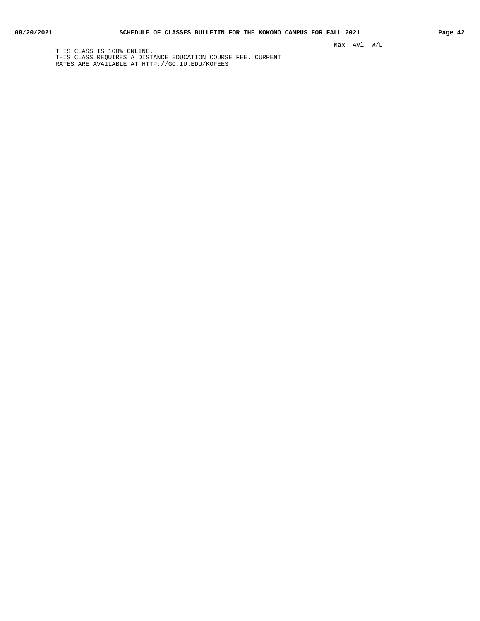THIS CLASS IS 100% ONLINE. THIS CLASS REQUIRES A DISTANCE EDUCATION COURSE FEE. CURRENT RATES ARE AVAILABLE AT HTTP://GO.IU.EDU/KOFEES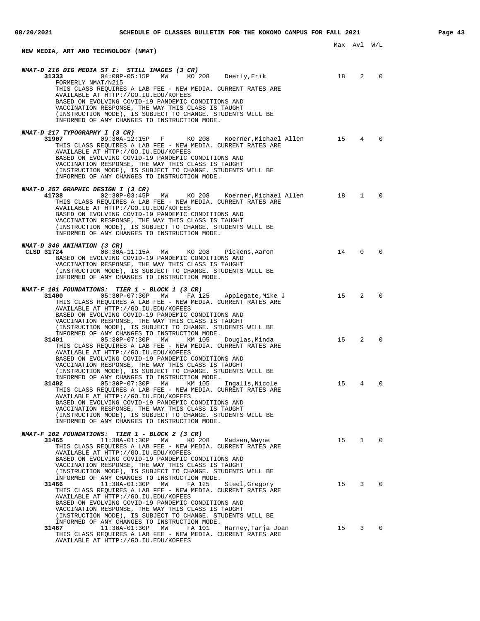| NEW MEDIA, ART AND TECHNOLOGY (NMAT)                                                                                                                                                                                                                                                                                                                                                                                                                    |    | Max Avl         | W/L            |
|---------------------------------------------------------------------------------------------------------------------------------------------------------------------------------------------------------------------------------------------------------------------------------------------------------------------------------------------------------------------------------------------------------------------------------------------------------|----|-----------------|----------------|
| NMAT-D 216 DIG MEDIA ST I: STILL IMAGES (3 CR)<br>04:00P-05:15P MW KO 208 Deerly, Erik<br>31333<br>FORMERLY NMAT/N215<br>THIS CLASS REQUIRES A LAB FEE - NEW MEDIA. CURRENT RATES ARE<br>AVAILABLE AT HTTP://GO.IU.EDU/KOFEES<br>BASED ON EVOLVING COVID-19 PANDEMIC CONDITIONS AND<br>VACCINATION RESPONSE, THE WAY THIS CLASS IS TAUGHT<br>(INSTRUCTION MODE), IS SUBJECT TO CHANGE. STUDENTS WILL BE<br>INFORMED OF ANY CHANGES TO INSTRUCTION MODE. | 18 | 2               | $\Omega$       |
| NMAT-D 217 TYPOGRAPHY I (3 CR)<br>09:30A-12:15P F KO 208 Koerner, Michael Allen<br>31907<br>THIS CLASS REQUIRES A LAB FEE - NEW MEDIA. CURRENT RATES ARE<br>AVAILABLE AT HTTP://GO.IU.EDU/KOFEES<br>BASED ON EVOLVING COVID-19 PANDEMIC CONDITIONS AND<br>VACCINATION RESPONSE, THE WAY THIS CLASS IS TAUGHT<br>(INSTRUCTION MODE), IS SUBJECT TO CHANGE. STUDENTS WILL BE<br>INFORMED OF ANY CHANGES TO INSTRUCTION MODE.                              | 15 | $4\overline{ }$ | $\Omega$       |
| NMAT-D 257 GRAPHIC DESIGN I (3 CR)<br>41738<br>THIS CLASS REQUIRES A LAB FEE - NEW MEDIA. CURRENT RATES ARE<br>AVAILABLE AT HTTP://GO.IU.EDU/KOFEES<br>BASED ON EVOLVING COVID-19 PANDEMIC CONDITIONS AND<br>VACCINATION RESPONSE, THE WAY THIS CLASS IS TAUGHT<br>(INSTRUCTION MODE), IS SUBJECT TO CHANGE. STUDENTS WILL BE<br>INFORMED OF ANY CHANGES TO INSTRUCTION MODE.                                                                           | 18 | $\mathbf{1}$    | $\mathbf 0$    |
| NMAT-D 346 ANIMATION (3 CR)<br>CLSD 31724<br>08:30A-11:15A MW KO 208<br>Pickens, Aaron<br>BASED ON EVOLVING COVID-19 PANDEMIC CONDITIONS AND<br>VACCINATION RESPONSE, THE WAY THIS CLASS IS TAUGHT<br>(INSTRUCTION MODE), IS SUBJECT TO CHANGE. STUDENTS WILL BE<br>INFORMED OF ANY CHANGES TO INSTRUCTION MODE.                                                                                                                                        | 14 | $\mathbf{0}$    | $\Omega$       |
| NMAT-F 101 FOUNDATIONS: TIER 1 - BLOCK 1 (3 CR)<br>31400<br>05:30P-07:30P MW FA 125 Applegate, Mike J<br>THIS CLASS REQUIRES A LAB FEE - NEW MEDIA. CURRENT RATES ARE<br>AVAILABLE AT HTTP://GO.IU.EDU/KOFEES<br>BASED ON EVOLVING COVID-19 PANDEMIC CONDITIONS AND<br>VACCINATION RESPONSE, THE WAY THIS CLASS IS TAUGHT<br>(INSTRUCTION MODE), IS SUBJECT TO CHANGE. STUDENTS WILL BE                                                                 | 15 | 2               | $\Omega$       |
| INFORMED OF ANY CHANGES TO INSTRUCTION MODE.<br>31401<br>05:30P-07:30P MW<br>KM 105<br>Douglas, Minda<br>THIS CLASS REQUIRES A LAB FEE - NEW MEDIA. CURRENT RATES ARE<br>AVAILABLE AT HTTP://GO.IU.EDU/KOFEES<br>BASED ON EVOLVING COVID-19 PANDEMIC CONDITIONS AND<br>VACCINATION RESPONSE, THE WAY THIS CLASS IS TAUGHT<br>(INSTRUCTION MODE), IS SUBJECT TO CHANGE. STUDENTS WILL BE                                                                 | 15 | 2               | $\Omega$       |
| INFORMED OF ANY CHANGES TO INSTRUCTION MODE.<br>05:30P-07:30P<br>KM 105<br>Ingalls, Nicole<br>31402<br>MW<br>THIS CLASS REQUIRES A LAB FEE - NEW MEDIA. CURRENT RATES ARE<br>AVAILABLE AT HTTP://GO.IU.EDU/KOFEES<br>BASED ON EVOLVING COVID-19 PANDEMIC CONDITIONS AND<br>VACCINATION RESPONSE, THE WAY THIS CLASS IS TAUGHT<br>(INSTRUCTION MODE), IS SUBJECT TO CHANGE. STUDENTS WILL BE<br>INFORMED OF ANY CHANGES TO INSTRUCTION MODE.             | 15 | 4               | 0              |
| NMAT-F 102 FOUNDATIONS: TIER 1 - BLOCK 2 (3 CR)<br>31465<br>11:30A-01:30P MW<br>KO 208<br>Madsen,Wayne<br>THIS CLASS REQUIRES A LAB FEE - NEW MEDIA. CURRENT RATES ARE<br>AVAILABLE AT HTTP://GO.IU.EDU/KOFEES<br>BASED ON EVOLVING COVID-19 PANDEMIC CONDITIONS AND<br>VACCINATION RESPONSE, THE WAY THIS CLASS IS TAUGHT<br>(INSTRUCTION MODE), IS SUBJECT TO CHANGE. STUDENTS WILL BE                                                                |    | 15 1 0          |                |
| INFORMED OF ANY CHANGES TO INSTRUCTION MODE.<br>31466<br>11:30A-01:30P MW FA 125<br>Steel, Gregory<br>THIS CLASS REQUIRES A LAB FEE - NEW MEDIA. CURRENT RATES ARE<br>AVAILABLE AT HTTP://GO.IU.EDU/KOFEES<br>BASED ON EVOLVING COVID-19 PANDEMIC CONDITIONS AND<br>VACCINATION RESPONSE, THE WAY THIS CLASS IS TAUGHT<br>(INSTRUCTION MODE), IS SUBJECT TO CHANGE. STUDENTS WILL BE                                                                    | 15 | $3^{\circ}$     | $\overline{0}$ |
| INFORMED OF ANY CHANGES TO INSTRUCTION MODE.<br>11:30A-01:30P MW<br>31467<br>FA 101<br>Harney, Tarja Joan<br>THIS CLASS REQUIRES A LAB FEE - NEW MEDIA. CURRENT RATES ARE<br>AVAILABLE AT HTTP://GO.IU.EDU/KOFEES                                                                                                                                                                                                                                       |    | 15 3            | $\mathbf 0$    |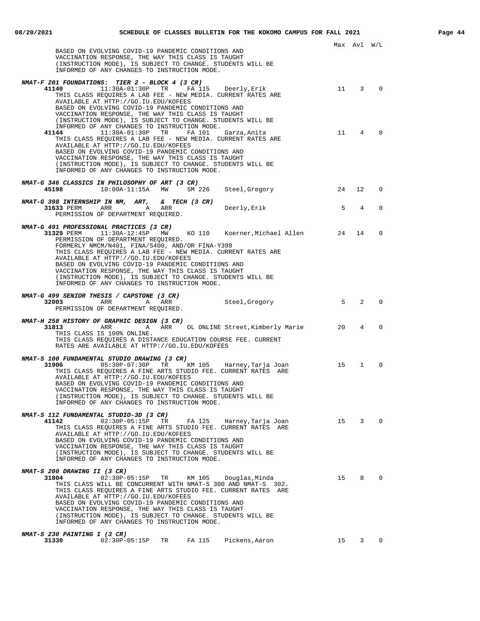| BASED ON EVOLVING COVID-19 PANDEMIC CONDITIONS AND<br>VACCINATION RESPONSE, THE WAY THIS CLASS IS TAUGHT<br>(INSTRUCTION MODE), IS SUBJECT TO CHANGE. STUDENTS WILL BE<br>INFORMED OF ANY CHANGES TO INSTRUCTION MODE.                                                                                                                                                                                                                                                                                                                       |      | Max Avl W/L                   |             |
|----------------------------------------------------------------------------------------------------------------------------------------------------------------------------------------------------------------------------------------------------------------------------------------------------------------------------------------------------------------------------------------------------------------------------------------------------------------------------------------------------------------------------------------------|------|-------------------------------|-------------|
| NMAT-F 201 FOUNDATIONS: TIER 2 - BLOCK 4 (3 CR)<br>41140<br>$11:30A-01:30P$ TR FA 115 Deerly, Erik<br>THIS CLASS REQUIRES A LAB FEE - NEW MEDIA. CURRENT RATES ARE<br>AVAILABLE AT HTTP://GO.IU.EDU/KOFEES<br>BASED ON EVOLVING COVID-19 PANDEMIC CONDITIONS AND<br>VACCINATION RESPONSE, THE WAY THIS CLASS IS TAUGHT<br>(INSTRUCTION MODE), IS SUBJECT TO CHANGE. STUDENTS WILL BE                                                                                                                                                         |      | 11 3                          | $\Omega$    |
| INFORMED OF ANY CHANGES TO INSTRUCTION MODE.<br>41144<br>11:30A-01:30P TR<br>FA 101<br>Garza,Anita<br>THIS CLASS REQUIRES A LAB FEE - NEW MEDIA. CURRENT RATES ARE<br>AVAILABLE AT HTTP://GO.IU.EDU/KOFEES<br>BASED ON EVOLVING COVID-19 PANDEMIC CONDITIONS AND<br>VACCINATION RESPONSE, THE WAY THIS CLASS IS TAUGHT<br>(INSTRUCTION MODE), IS SUBJECT TO CHANGE. STUDENTS WILL BE<br>INFORMED OF ANY CHANGES TO INSTRUCTION MODE.                                                                                                         | 11 4 |                               |             |
| NMAT-G 346 CLASSICS IN PHILOSOPHY OF ART (3 CR)<br>24<br>45198<br>$10:00A-11:15A$ MW<br>SM 226<br>Steel,Gregory                                                                                                                                                                                                                                                                                                                                                                                                                              |      | 12                            | 0           |
| NMAT-G 398 INTERNSHIP IN NM, ART,<br>$\&$ TECH (3 CR)<br>31633 PERM<br>ARR A<br>ARR<br>Deerly, Erik<br>PERMISSION OF DEPARTMENT REQUIRED.                                                                                                                                                                                                                                                                                                                                                                                                    | 5    | 4                             | $\Omega$    |
| NMAT-G 491 PROFESSIONAL PRACTICES (3 CR)<br>KO 110 Koerner, Michael Allen 24<br>31329 PERM<br>11:30A-12:45P<br>MW<br>PERMISSION OF DEPARTMENT REQUIRED.<br>FORMERLY NMCM/N401, FINA/S400, AND/OR FINA-Y398<br>THIS CLASS REQUIRES A LAB FEE - NEW MEDIA. CURRENT RATES ARE<br>AVAILABLE AT HTTP://GO.IU.EDU/KOFEES<br>BASED ON EVOLVING COVID-19 PANDEMIC CONDITIONS AND<br>VACCINATION RESPONSE, THE WAY THIS CLASS IS TAUGHT<br>(INSTRUCTION MODE), IS SUBJECT TO CHANGE. STUDENTS WILL BE<br>INFORMED OF ANY CHANGES TO INSTRUCTION MODE. |      | 14                            | $\Omega$    |
| NMAT-G 499 SENIOR THESIS / CAPSTONE (3 CR)<br>32003<br>ARR<br>Steel,Gregory<br>A ARR<br>PERMISSION OF DEPARTMENT REQUIRED.                                                                                                                                                                                                                                                                                                                                                                                                                   |      | $5^{\circ}$<br>$\overline{2}$ | $\Omega$    |
| NMAT-H 258 HISTORY OF GRAPHIC DESIGN (3 CR)<br>ARR OL ONLINE Street, Kimberly Marie 20<br>31813<br>A<br>ARR<br>THIS CLASS IS 100% ONLINE.<br>THIS CLASS REQUIRES A DISTANCE EDUCATION COURSE FEE. CURRENT<br>RATES ARE AVAILABLE AT HTTP://GO.IU.EDU/KOFEES                                                                                                                                                                                                                                                                                  |      | 4                             | $\Omega$    |
| NMAT-S 100 FUNDAMENTAL STUDIO DRAWING (3 CR)<br>31906<br>05:30P-07:30P TR KM 105<br>Harney,Tarja Joan<br>THIS CLASS REQUIRES A FINE ARTS STUDIO FEE. CURRENT RATES ARE<br>AVAILABLE AT HTTP://GO.IU.EDU/KOFEES<br>BASED ON EVOLVING COVID-19 PANDEMIC CONDITIONS AND<br>VACCINATION RESPONSE, THE WAY THIS CLASS IS TAUGHT<br>(INSTRUCTION MODE), IS SUBJECT TO CHANGE. STUDENTS WILL BE<br>INFORMED OF ANY CHANGES TO INSTRUCTION MODE.                                                                                                     | 15   | $\mathbf{1}$                  |             |
| NMAT-S 112 FUNDAMENTAL STUDIO-3D (3 CR)<br>15 3<br>41142<br>02:30P-05:15P<br>TR<br>FA 125 Harney,Tarja Joan<br>THIS CLASS REQUIRES A FINE ARTS STUDIO FEE. CURRENT RATES ARE<br>AVAILABLE AT HTTP://GO.IU.EDU/KOFEES<br>BASED ON EVOLVING COVID-19 PANDEMIC CONDITIONS AND<br>VACCINATION RESPONSE, THE WAY THIS CLASS IS TAUGHT<br>(INSTRUCTION MODE), IS SUBJECT TO CHANGE. STUDENTS WILL BE<br>INFORMED OF ANY CHANGES TO INSTRUCTION MODE.                                                                                               |      |                               | $\Omega$    |
| NMAT-S 200 DRAWING II (3 CR)<br>02:30P-05:15P TR<br>31804<br>KM 105<br>Douglas,Minda<br>THIS CLASS WILL BE CONCURRENT WITH NMAT-S 300 AND NMAT-S 302.<br>THIS CLASS REQUIRES A FINE ARTS STUDIO FEE. CURRENT RATES ARE<br>AVAILABLE AT HTTP://GO.IU.EDU/KOFEES<br>BASED ON EVOLVING COVID-19 PANDEMIC CONDITIONS AND<br>VACCINATION RESPONSE, THE WAY THIS CLASS IS TAUGHT<br>(INSTRUCTION MODE), IS SUBJECT TO CHANGE. STUDENTS WILL BE<br>INFORMED OF ANY CHANGES TO INSTRUCTION MODE.<br>NMAT-S 230 PAINTING I (3 CR)                     | 15 8 |                               | 0           |
| TR<br>FA 115 Pickens, Aaron<br>31330<br>$02:30P-05:15P$                                                                                                                                                                                                                                                                                                                                                                                                                                                                                      |      | 15 3                          | $\mathbf 0$ |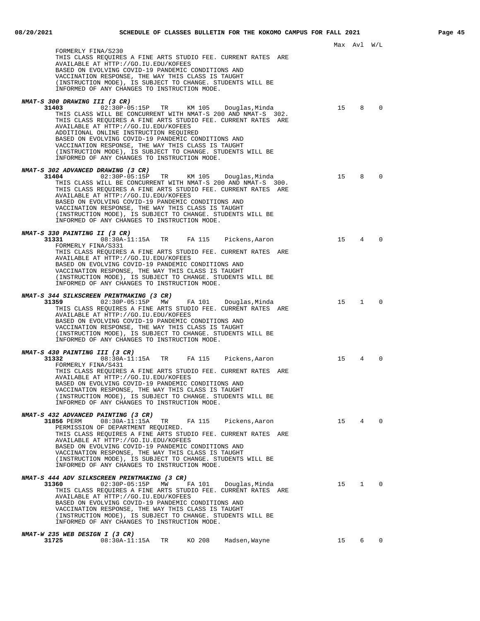Max Avl W/L FORMERLY FINA/S230 THIS CLASS REQUIRES A FINE ARTS STUDIO FEE. CURRENT RATES ARE AVAILABLE AT HTTP://GO.IU.EDU/KOFEES BASED ON EVOLVING COVID-19 PANDEMIC CONDITIONS AND VACCINATION RESPONSE, THE WAY THIS CLASS IS TAUGHT (INSTRUCTION MODE), IS SUBJECT TO CHANGE. STUDENTS WILL BE INFORMED OF ANY CHANGES TO INSTRUCTION MODE. **NMAT-S 300 DRAWING III (3 CR) 31403** 02:30P-05:15P TR KM 105 Douglas,Minda 15 8 0 THIS CLASS WILL BE CONCURRENT WITH NMAT-S 200 AND NMAT-S 302. THIS CLASS REQUIRES A FINE ARTS STUDIO FEE. CURRENT RATES ARE AVAILABLE AT HTTP://GO.IU.EDU/KOFEES ADDITIONAL ONLINE INSTRUCTION REQUIRED BASED ON EVOLVING COVID-19 PANDEMIC CONDITIONS AND VACCINATION RESPONSE, THE WAY THIS CLASS IS TAUGHT (INSTRUCTION MODE), IS SUBJECT TO CHANGE. STUDENTS WILL BE INFORMED OF ANY CHANGES TO INSTRUCTION MODE. **NMAT-S 302 ADVANCED DRAWING (3 CR)**<br>31404 02:30P-05:15P TR **31404** 02:30P-05:15P TR KM 105 Douglas,Minda 15 8 0 THIS CLASS WILL BE CONCURRENT WITH NMAT-S 200 AND NMAT-S 300. THIS CLASS REQUIRES A FINE ARTS STUDIO FEE. CURRENT RATES ARE AVAILABLE AT HTTP://GO.IU.EDU/KOFEES BASED ON EVOLVING COVID-19 PANDEMIC CONDITIONS AND VACCINATION RESPONSE, THE WAY THIS CLASS IS TAUGHT (INSTRUCTION MODE), IS SUBJECT TO CHANGE. STUDENTS WILL BE INFORMED OF ANY CHANGES TO INSTRUCTION MODE. **NMAT-S 330 PAINTING II (3 CR) 31331** 08:30A-11:15A TR FA 115 Pickens,Aaron 15 4 0 FORMERLY FINA/S331 THIS CLASS REQUIRES A FINE ARTS STUDIO FEE. CURRENT RATES ARE AVAILABLE AT HTTP://GO.IU.EDU/KOFEES BASED ON EVOLVING COVID-19 PANDEMIC CONDITIONS AND VACCINATION RESPONSE, THE WAY THIS CLASS IS TAUGHT (INSTRUCTION MODE), IS SUBJECT TO CHANGE. STUDENTS WILL BE INFORMED OF ANY CHANGES TO INSTRUCTION MODE. **NMAT-S 344 SILKSCREEN PRINTMAKING (3 CR) 31359** 02:30P-05:15P MW FA 101 Douglas,Minda 15 1 0 THIS CLASS REQUIRES A FINE ARTS STUDIO FEE. CURRENT RATES ARE AVAILABLE AT HTTP://GO.IU.EDU/KOFEES BASED ON EVOLVING COVID-19 PANDEMIC CONDITIONS AND VACCINATION RESPONSE, THE WAY THIS CLASS IS TAUGHT (INSTRUCTION MODE), IS SUBJECT TO CHANGE. STUDENTS WILL BE INFORMED OF ANY CHANGES TO INSTRUCTION MODE. **NMAT-S 430 PAINTING III (3 CR) 31332** 08:30A-11:15A TR FA 115 Pickens,Aaron 15 4 0 FORMERLY FINA/S431 THIS CLASS REQUIRES A FINE ARTS STUDIO FEE. CURRENT RATES ARE AVAILABLE AT HTTP://GO.IU.EDU/KOFEES BASED ON EVOLVING COVID-19 PANDEMIC CONDITIONS AND VACCINATION RESPONSE, THE WAY THIS CLASS IS TAUGHT (INSTRUCTION MODE), IS SUBJECT TO CHANGE. STUDENTS WILL BE INFORMED OF ANY CHANGES TO INSTRUCTION MODE. **NMAT-S 432 ADVANCED PAINTING (3 CR) 31856** PERM 08:30A-11:15A TR FA 115 Pickens, Aaron 15 4 0 PERMISSION OF DEPARTMENT REQUIRED. THIS CLASS REQUIRES A FINE ARTS STUDIO FEE. CURRENT RATES ARE AVAILABLE AT HTTP://GO.IU.EDU/KOFEES BASED ON EVOLVING COVID-19 PANDEMIC CONDITIONS AND VACCINATION RESPONSE, THE WAY THIS CLASS IS TAUGHT (INSTRUCTION MODE), IS SUBJECT TO CHANGE. STUDENTS WILL BE INFORMED OF ANY CHANGES TO INSTRUCTION MODE. **NMAT-S 444 ADV SILKSCREEN PRINTMAKING (3 CR)**<br>31360 02:30P-05:15P MW F **31360** 02:30P-05:15P MW FA 101 Douglas,Minda 15 1 0 THIS CLASS REQUIRES A FINE ARTS STUDIO FEE. CURRENT RATES ARE AVAILABLE AT HTTP://GO.IU.EDU/KOFEES BASED ON EVOLVING COVID-19 PANDEMIC CONDITIONS AND VACCINATION RESPONSE, THE WAY THIS CLASS IS TAUGHT (INSTRUCTION MODE), IS SUBJECT TO CHANGE. STUDENTS WILL BE INFORMED OF ANY CHANGES TO INSTRUCTION MODE. **NMAT-W 235 WEB DESIGN I (3 CR)**<br>31725 08:30A-11 **31725** 08:30A-11:15A TR KO 208 Madsen,Wayne 15 6 0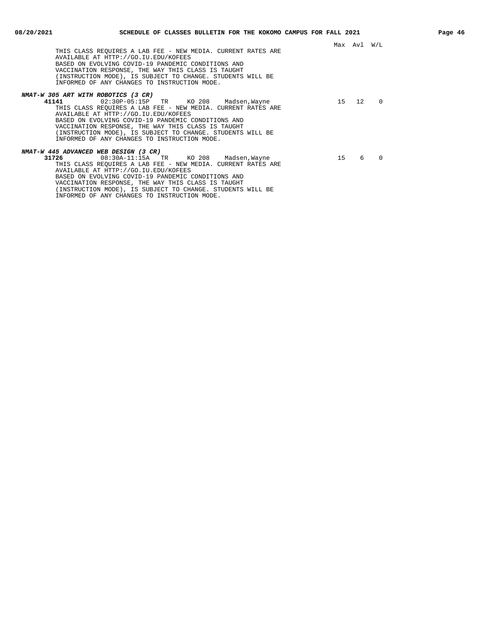| THIS CLASS REOUIRES A LAB FEE - NEW MEDIA. CURRENT RATES ARE<br>AVAILABLE AT HTTP://GO.IU.EDU/KOFEES<br>BASED ON EVOLVING COVID-19 PANDEMIC CONDITIONS AND<br>VACCINATION RESPONSE, THE WAY THIS CLASS IS TAUGHT<br>(INSTRUCTION MODE), IS SUBJECT TO CHANGE. STUDENTS WILL BE<br>INFORMED OF ANY CHANGES TO INSTRUCTION MODE.                                                                                          |    | Max Avl W/L |              |
|-------------------------------------------------------------------------------------------------------------------------------------------------------------------------------------------------------------------------------------------------------------------------------------------------------------------------------------------------------------------------------------------------------------------------|----|-------------|--------------|
|                                                                                                                                                                                                                                                                                                                                                                                                                         |    |             |              |
| NMAT-W 305 ART WITH ROBOTICS (3 CR)<br>41141<br>02:30P-05:15P TR KO 208 Madsen, Wayne<br>THIS CLASS REOUIRES A LAB FEE - NEW MEDIA. CURRENT RATES ARE<br>AVAILABLE AT HTTP://GO.IU.EDU/KOFEES<br>BASED ON EVOLVING COVID-19 PANDEMIC CONDITIONS AND<br>VACCINATION RESPONSE, THE WAY THIS CLASS IS TAUGHT<br>(INSTRUCTION MODE), IS SUBJECT TO CHANGE. STUDENTS WILL BE<br>INFORMED OF ANY CHANGES TO INSTRUCTION MODE. |    | 15 12       | <sup>0</sup> |
| NMAT-W 445 ADVANCED WEB DESIGN (3 CR)                                                                                                                                                                                                                                                                                                                                                                                   |    |             |              |
| $08:30A-11:15A$ TR KO 208 Madsen, Wayne<br>31726<br>THIS CLASS REOUIRES A LAB FEE - NEW MEDIA. CURRENT RATES ARE<br>AVAILABLE AT HTTP://GO.IU.EDU/KOFEES<br>BASED ON EVOLVING COVID-19 PANDEMIC CONDITIONS AND<br>VACCINATION RESPONSE, THE WAY THIS CLASS IS TAUGHT<br>(INSTRUCTION MODE), IS SUBJECT TO CHANGE. STUDENTS WILL BE<br>INFORMED OF ANY CHANGES TO INSTRUCTION MODE.                                      | 15 | 6           | $\Omega$     |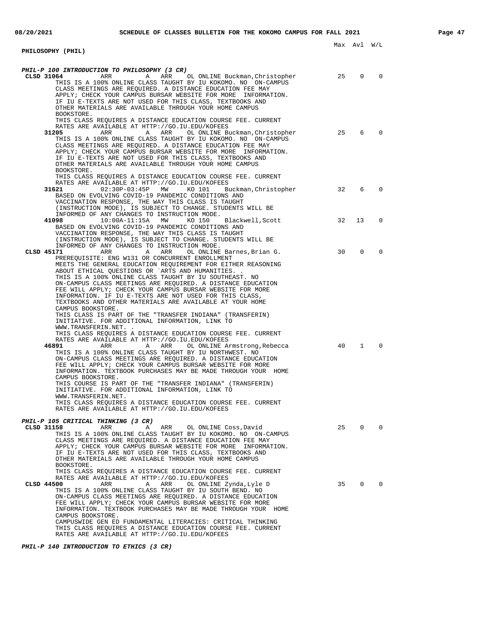| PHILOSOPHY (PHIL)                                                                                                          |    | Max Avi W/L    |          |
|----------------------------------------------------------------------------------------------------------------------------|----|----------------|----------|
|                                                                                                                            |    |                |          |
|                                                                                                                            |    |                |          |
| PHIL-P 100 INTRODUCTION TO PHILOSOPHY (3 CR)                                                                               | 25 |                |          |
| CLSD 31064<br>A ARR OL ONLINE Buckman, Christopher<br>ARR<br>THIS IS A 100% ONLINE CLASS TAUGHT BY IU KOKOMO. NO ON-CAMPUS |    | 0              | 0        |
| CLASS MEETINGS ARE REQUIRED. A DISTANCE EDUCATION FEE MAY                                                                  |    |                |          |
| APPLY; CHECK YOUR CAMPUS BURSAR WEBSITE FOR MORE INFORMATION.                                                              |    |                |          |
| IF IU E-TEXTS ARE NOT USED FOR THIS CLASS, TEXTBOOKS AND                                                                   |    |                |          |
| OTHER MATERIALS ARE AVAILABLE THROUGH YOUR HOME CAMPUS                                                                     |    |                |          |
| BOOKSTORE.                                                                                                                 |    |                |          |
| THIS CLASS REQUIRES A DISTANCE EDUCATION COURSE FEE. CURRENT                                                               |    |                |          |
| RATES ARE AVAILABLE AT HTTP://GO.IU.EDU/KOFEES                                                                             |    |                |          |
| 31205<br>ARR<br>ARR<br>A<br>OL ONLINE Buckman, Christopher                                                                 | 25 | 6              | $\Omega$ |
| THIS IS A 100% ONLINE CLASS TAUGHT BY IU KOKOMO. NO ON-CAMPUS                                                              |    |                |          |
| CLASS MEETINGS ARE REQUIRED. A DISTANCE EDUCATION FEE MAY<br>APPLY; CHECK YOUR CAMPUS BURSAR WEBSITE FOR MORE INFORMATION. |    |                |          |
| IF IU E-TEXTS ARE NOT USED FOR THIS CLASS, TEXTBOOKS AND                                                                   |    |                |          |
| OTHER MATERIALS ARE AVAILABLE THROUGH YOUR HOME CAMPUS                                                                     |    |                |          |
| BOOKSTORE.                                                                                                                 |    |                |          |
| THIS CLASS REQUIRES A DISTANCE EDUCATION COURSE FEE. CURRENT                                                               |    |                |          |
| RATES ARE AVAILABLE AT HTTP://GO.IU.EDU/KOFEES                                                                             |    |                |          |
| 31621<br>$02:30P-03:45P$ MW<br>KO 101<br>Buckman, Christopher                                                              | 32 | 6              | 0        |
| BASED ON EVOLVING COVID-19 PANDEMIC CONDITIONS AND                                                                         |    |                |          |
| VACCINATION RESPONSE, THE WAY THIS CLASS IS TAUGHT<br>(INSTRUCTION MODE), IS SUBJECT TO CHANGE. STUDENTS WILL BE           |    |                |          |
| INFORMED OF ANY CHANGES TO INSTRUCTION MODE.                                                                               |    |                |          |
| Blackwell, Scott<br>41098<br>10:00A-11:15A MW<br>KO 150                                                                    | 32 | 13             | 0        |
| BASED ON EVOLVING COVID-19 PANDEMIC CONDITIONS AND                                                                         |    |                |          |
| VACCINATION RESPONSE, THE WAY THIS CLASS IS TAUGHT                                                                         |    |                |          |
| (INSTRUCTION MODE), IS SUBJECT TO CHANGE. STUDENTS WILL BE                                                                 |    |                |          |
| INFORMED OF ANY CHANGES TO INSTRUCTION MODE.                                                                               |    |                |          |
| CLSD 45171<br>ARR<br>A<br>ARR<br>OL ONLINE Barnes,Brian G.                                                                 | 30 | $\Omega$       | $\Omega$ |
| PREREQUISITE: ENG W131 OR CONCURRENT ENROLLMENT                                                                            |    |                |          |
| MEETS THE GENERAL EDUCATION REQUIREMENT FOR EITHER REASONING<br>ABOUT ETHICAL QUESTIONS OR `ARTS AND HUMANITIES. .         |    |                |          |
| THIS IS A 100% ONLINE CLASS TAUGHT BY IU SOUTHEAST. NO                                                                     |    |                |          |
| ON-CAMPUS CLASS MEETINGS ARE REQUIRED. A DISTANCE EDUCATION                                                                |    |                |          |
| FEE WILL APPLY; CHECK YOUR CAMPUS BURSAR WEBSITE FOR MORE                                                                  |    |                |          |
| INFORMATION. IF IU E-TEXTS ARE NOT USED FOR THIS CLASS,                                                                    |    |                |          |
| TEXTBOOKS AND OTHER MATERIALS ARE AVAILABLE AT YOUR HOME                                                                   |    |                |          |
| CAMPUS BOOKSTORE.                                                                                                          |    |                |          |
| THIS CLASS IS PART OF THE "TRANSFER INDIANA" (TRANSFERIN)                                                                  |    |                |          |
| INITIATIVE. FOR ADDITIONAL INFORMATION, LINK TO<br>WWW.TRANSFERIN.NET. .                                                   |    |                |          |
| THIS CLASS REQUIRES A DISTANCE EDUCATION COURSE FEE. CURRENT                                                               |    |                |          |
| RATES ARE AVAILABLE AT HTTP://GO.IU.EDU/KOFEES                                                                             |    |                |          |
| 46891<br>ARR<br>Α<br>ARR<br>OL ONLINE Armstrong,Rebecca                                                                    | 40 | $\mathbf{1}$   | 0        |
| THIS IS A 100% ONLINE CLASS TAUGHT BY IU NORTHWEST. NO                                                                     |    |                |          |
| ON-CAMPUS CLASS MEETINGS ARE REQUIRED. A DISTANCE EDUCATION                                                                |    |                |          |
| FEE WILL APPLY; CHECK YOUR CAMPUS BURSAR WEBSITE FOR MORE                                                                  |    |                |          |
| INFORMATION. TEXTBOOK PURCHASES MAY BE MADE THROUGH YOUR HOME<br>CAMPUS BOOKSTORE.                                         |    |                |          |
| THIS COURSE IS PART OF THE "TRANSFER INDIANA" (TRANSFERIN)                                                                 |    |                |          |
| INITIATIVE. FOR ADDITIONAL INFORMATION, LINK TO                                                                            |    |                |          |
| WWW.TRANSFERIN.NET.                                                                                                        |    |                |          |
| THIS CLASS REQUIRES A DISTANCE EDUCATION COURSE FEE. CURRENT                                                               |    |                |          |
| RATES ARE AVAILABLE AT HTTP://GO.IU.EDU/KOFEES                                                                             |    |                |          |
|                                                                                                                            |    |                |          |
| PHIL-P 105 CRITICAL THINKING (3 CR)<br>CLSD 31158<br>ARR<br>ARR<br>OL ONLINE Coss, David<br>A                              | 25 | $\mathbf 0$    | 0        |
| THIS IS A 100% ONLINE CLASS TAUGHT BY IU KOKOMO. NO ON-CAMPUS                                                              |    |                |          |
| CLASS MEETINGS ARE REQUIRED. A DISTANCE EDUCATION FEE MAY                                                                  |    |                |          |
| APPLY; CHECK YOUR CAMPUS BURSAR WEBSITE FOR MORE INFORMATION.                                                              |    |                |          |
| IF IU E-TEXTS ARE NOT USED FOR THIS CLASS, TEXTBOOKS AND                                                                   |    |                |          |
| OTHER MATERIALS ARE AVAILABLE THROUGH YOUR HOME CAMPUS                                                                     |    |                |          |
| BOOKSTORE.                                                                                                                 |    |                |          |
| THIS CLASS REQUIRES A DISTANCE EDUCATION COURSE FEE. CURRENT                                                               |    |                |          |
| RATES ARE AVAILABLE AT HTTP://GO.IU.EDU/KOFEES<br>CLSD 44500<br>ARR<br>Α<br>ARR<br>OL ONLINE Zynda, Lyle D                 | 35 | $\overline{0}$ | 0        |
| THIS IS A 100% ONLINE CLASS TAUGHT BY IU SOUTH BEND. NO                                                                    |    |                |          |
| ON-CAMPUS CLASS MEETINGS ARE REQUIRED. A DISTANCE EDUCATION                                                                |    |                |          |
| FEE WILL APPLY; CHECK YOUR CAMPUS BURSAR WEBSITE FOR MORE                                                                  |    |                |          |
| INFORMATION. TEXTBOOK PURCHASES MAY BE MADE THROUGH YOUR HOME                                                              |    |                |          |
| CAMPUS BOOKSTORE.                                                                                                          |    |                |          |
| CAMPUSWIDE GEN ED FUNDAMENTAL LITERACIES: CRITICAL THINKING                                                                |    |                |          |
| THIS CLASS REQUIRES A DISTANCE EDUCATION COURSE FEE. CURRENT                                                               |    |                |          |
| RATES ARE AVAILABLE AT HTTP://GO.IU.EDU/KOFEES                                                                             |    |                |          |

**PHIL-P 140 INTRODUCTION TO ETHICS (3 CR)**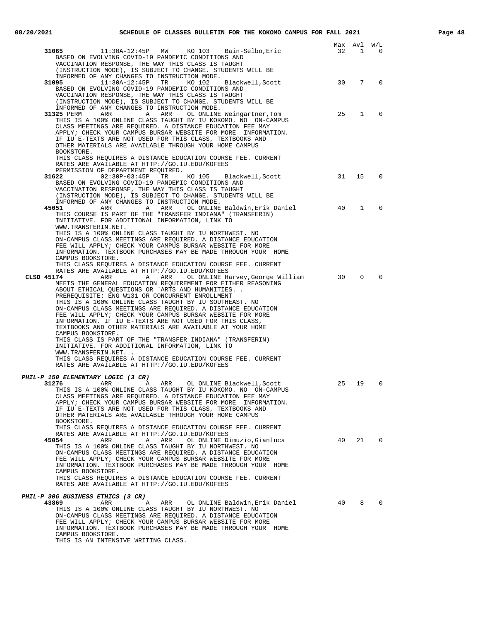|                                                                                                                                |    | Max Avl W/L     |             |
|--------------------------------------------------------------------------------------------------------------------------------|----|-----------------|-------------|
| 11:30A-12:45P MW KO 103 Bain-Selbo, Eric<br>31065                                                                              | 32 | $\mathbf{1}$    | $\Omega$    |
| BASED ON EVOLVING COVID-19 PANDEMIC CONDITIONS AND<br>VACCINATION RESPONSE, THE WAY THIS CLASS IS TAUGHT                       |    |                 |             |
| (INSTRUCTION MODE), IS SUBJECT TO CHANGE. STUDENTS WILL BE                                                                     |    |                 |             |
| INFORMED OF ANY CHANGES TO INSTRUCTION MODE.                                                                                   |    |                 |             |
| $11:30A-12:45P$<br>TR<br>KO 102<br>31095<br>Blackwell, Scott<br>BASED ON EVOLVING COVID-19 PANDEMIC CONDITIONS AND             | 30 | $7\overline{ }$ | $\Omega$    |
| VACCINATION RESPONSE, THE WAY THIS CLASS IS TAUGHT                                                                             |    |                 |             |
| (INSTRUCTION MODE), IS SUBJECT TO CHANGE. STUDENTS WILL BE                                                                     |    |                 |             |
| INFORMED OF ANY CHANGES TO INSTRUCTION MODE.                                                                                   |    |                 |             |
| 31325 PERM<br>ARR<br>A ARR<br>OL ONLINE Weingartner, Tom<br>THIS IS A 100% ONLINE CLASS TAUGHT BY IU KOKOMO. NO ON-CAMPUS      | 25 | $\mathbf{1}$    | 0           |
| CLASS MEETINGS ARE REOUIRED. A DISTANCE EDUCATION FEE MAY                                                                      |    |                 |             |
| APPLY; CHECK YOUR CAMPUS BURSAR WEBSITE FOR MORE INFORMATION.                                                                  |    |                 |             |
| IF IU E-TEXTS ARE NOT USED FOR THIS CLASS, TEXTBOOKS AND<br>OTHER MATERIALS ARE AVAILABLE THROUGH YOUR HOME CAMPUS             |    |                 |             |
| BOOKSTORE.                                                                                                                     |    |                 |             |
| THIS CLASS REQUIRES A DISTANCE EDUCATION COURSE FEE. CURRENT                                                                   |    |                 |             |
| RATES ARE AVAILABLE AT HTTP://GO.IU.EDU/KOFEES                                                                                 |    |                 |             |
| PERMISSION OF DEPARTMENT REQUIRED.<br>KO 105 Blackwell, Scott 31<br>31622<br>02:30P-03:45P<br>TR                               |    | 15              | $\mathbf 0$ |
| BASED ON EVOLVING COVID-19 PANDEMIC CONDITIONS AND                                                                             |    |                 |             |
| VACCINATION RESPONSE, THE WAY THIS CLASS IS TAUGHT                                                                             |    |                 |             |
| (INSTRUCTION MODE), IS SUBJECT TO CHANGE. STUDENTS WILL BE<br>INFORMED OF ANY CHANGES TO INSTRUCTION MODE.                     |    |                 |             |
| A ARR OL ONLINE Baldwin, Erik Daniel<br>45051<br>ARR                                                                           | 40 | $\mathbf{1}$    | $\Omega$    |
| THIS COURSE IS PART OF THE "TRANSFER INDIANA" (TRANSFERIN)                                                                     |    |                 |             |
| INITIATIVE. FOR ADDITIONAL INFORMATION, LINK TO<br>WWW.TRANSFERIN.NET.                                                         |    |                 |             |
| THIS IS A 100% ONLINE CLASS TAUGHT BY IU NORTHWEST. NO                                                                         |    |                 |             |
| ON-CAMPUS CLASS MEETINGS ARE REQUIRED. A DISTANCE EDUCATION                                                                    |    |                 |             |
| FEE WILL APPLY; CHECK YOUR CAMPUS BURSAR WEBSITE FOR MORE                                                                      |    |                 |             |
| INFORMATION. TEXTBOOK PURCHASES MAY BE MADE THROUGH YOUR HOME<br>CAMPUS BOOKSTORE.                                             |    |                 |             |
| THIS CLASS REQUIRES A DISTANCE EDUCATION COURSE FEE. CURRENT                                                                   |    |                 |             |
| RATES ARE AVAILABLE AT HTTP://GO.IU.EDU/KOFEES                                                                                 |    |                 |             |
| CLSD 45174<br>ARR<br>A ARR<br>OL ONLINE Harvey, George William<br>MEETS THE GENERAL EDUCATION REOUIREMENT FOR EITHER REASONING | 30 | $\Omega$        | $\Omega$    |
| ABOUT ETHICAL QUESTIONS OR `ARTS AND HUMANITIES. .                                                                             |    |                 |             |
| PREREQUISITE: ENG W131 OR CONCURRENT ENROLLMENT                                                                                |    |                 |             |
| THIS IS A 100% ONLINE CLASS TAUGHT BY IU SOUTHEAST. NO<br>ON-CAMPUS CLASS MEETINGS ARE REQUIRED. A DISTANCE EDUCATION          |    |                 |             |
| FEE WILL APPLY; CHECK YOUR CAMPUS BURSAR WEBSITE FOR MORE                                                                      |    |                 |             |
| INFORMATION. IF IU E-TEXTS ARE NOT USED FOR THIS CLASS,                                                                        |    |                 |             |
| TEXTBOOKS AND OTHER MATERIALS ARE AVAILABLE AT YOUR HOME<br>CAMPUS BOOKSTORE.                                                  |    |                 |             |
| THIS CLASS IS PART OF THE "TRANSFER INDIANA" (TRANSFERIN)                                                                      |    |                 |             |
| INITIATIVE. FOR ADDITIONAL INFORMATION, LINK TO                                                                                |    |                 |             |
| WWW.TRANSFERIN.NET. .<br>THIS CLASS REQUIRES A DISTANCE EDUCATION COURSE FEE. CURRENT                                          |    |                 |             |
| RATES ARE AVAILABLE AT HTTP://GO.IU.EDU/KOFEES                                                                                 |    |                 |             |
|                                                                                                                                |    |                 |             |
| PHIL-P 150 ELEMENTARY LOGIC (3 CR)<br>A ARR OL ONLINE Blackwell, Scott<br>31276<br>ARR                                         | 25 | 19              | $\Omega$    |
| THIS IS A 100% ONLINE CLASS TAUGHT BY IU KOKOMO. NO ON-CAMPUS                                                                  |    |                 |             |
| CLASS MEETINGS ARE REQUIRED. A DISTANCE EDUCATION FEE MAY                                                                      |    |                 |             |
| APPLY; CHECK YOUR CAMPUS BURSAR WEBSITE FOR MORE INFORMATION.<br>IF IU E-TEXTS ARE NOT USED FOR THIS CLASS, TEXTBOOKS AND      |    |                 |             |
| OTHER MATERIALS ARE AVAILABLE THROUGH YOUR HOME CAMPUS                                                                         |    |                 |             |
| BOOKSTORE.                                                                                                                     |    |                 |             |
| THIS CLASS REQUIRES A DISTANCE EDUCATION COURSE FEE. CURRENT                                                                   |    |                 |             |
| RATES ARE AVAILABLE AT HTTP://GO.IU.EDU/KOFEES<br>45054<br>ARR<br>OL ONLINE Dimuzio, Gianluca<br>ARR<br>Α                      | 40 | 21              | $\mathbf 0$ |
| THIS IS A 100% ONLINE CLASS TAUGHT BY IU NORTHWEST. NO                                                                         |    |                 |             |
| ON-CAMPUS CLASS MEETINGS ARE REQUIRED. A DISTANCE EDUCATION                                                                    |    |                 |             |
| FEE WILL APPLY; CHECK YOUR CAMPUS BURSAR WEBSITE FOR MORE<br>INFORMATION. TEXTBOOK PURCHASES MAY BE MADE THROUGH YOUR HOME     |    |                 |             |
| CAMPUS BOOKSTORE.                                                                                                              |    |                 |             |
| THIS CLASS REQUIRES A DISTANCE EDUCATION COURSE FEE. CURRENT                                                                   |    |                 |             |
| RATES ARE AVAILABLE AT HTTP://GO.IU.EDU/KOFEES                                                                                 |    |                 |             |
| PHIL-P 306 BUSINESS ETHICS (3 CR)                                                                                              |    |                 |             |
| 43869<br>ARR<br>Α<br>ARR<br>OL ONLINE Baldwin, Erik Daniel                                                                     | 40 | 8               | $\Omega$    |
| THIS IS A 100% ONLINE CLASS TAUGHT BY IU NORTHWEST. NO<br>ON-CAMPUS CLASS MEETINGS ARE REQUIRED. A DISTANCE EDUCATION          |    |                 |             |
| FEE WILL APPLY; CHECK YOUR CAMPUS BURSAR WEBSITE FOR MORE                                                                      |    |                 |             |
| INFORMATION. TEXTBOOK PURCHASES MAY BE MADE THROUGH YOUR HOME                                                                  |    |                 |             |

CAMPUS BOOKSTORE. THIS IS AN INTENSIVE WRITING CLASS.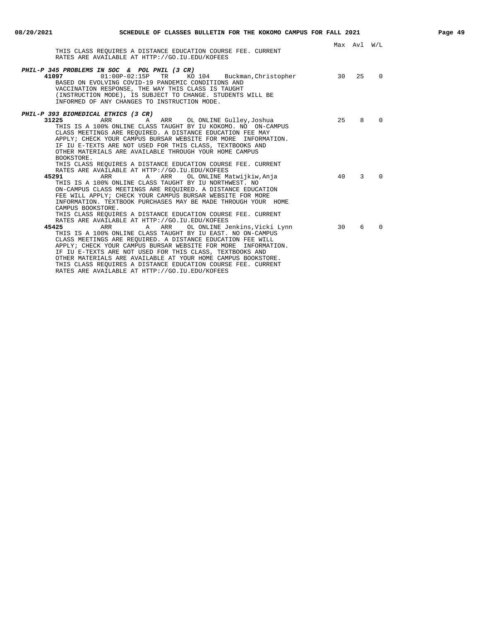|                                                                                                                                                                                                                                                                                                                                                                                                                                                                                                                                                                      |      | Max Avl W/L |          |
|----------------------------------------------------------------------------------------------------------------------------------------------------------------------------------------------------------------------------------------------------------------------------------------------------------------------------------------------------------------------------------------------------------------------------------------------------------------------------------------------------------------------------------------------------------------------|------|-------------|----------|
| THIS CLASS REOUIRES A DISTANCE EDUCATION COURSE FEE. CURRENT<br>RATES ARE AVAILABLE AT HTTP://GO.IU.EDU/KOFEES                                                                                                                                                                                                                                                                                                                                                                                                                                                       |      |             |          |
| <b>PHIL-P 345 PROBLEMS IN SOC &amp; POL PHIL (3 CR)</b><br>$01:00P-02:15P$<br>TR<br>KO 104 Buckman, Christopher<br>41097<br>BASED ON EVOLVING COVID-19 PANDEMIC CONDITIONS AND<br>VACCINATION RESPONSE, THE WAY THIS CLASS IS TAUGHT<br>(INSTRUCTION MODE), IS SUBJECT TO CHANGE. STUDENTS WILL BE<br>INFORMED OF ANY CHANGES TO INSTRUCTION MODE.                                                                                                                                                                                                                   | 30 a | 25          | $\Omega$ |
| PHIL-P 393 BIOMEDICAL ETHICS (3 CR)<br>31225<br>A ARR OL ONLINE Gulley, Joshua<br>ARR<br>THIS IS A 100% ONLINE CLASS TAUGHT BY IU KOKOMO. NO ON-CAMPUS<br>CLASS MEETINGS ARE REQUIRED. A DISTANCE EDUCATION FEE MAY<br>APPLY; CHECK YOUR CAMPUS BURSAR WEBSITE FOR MORE INFORMATION.<br>IF IU E-TEXTS ARE NOT USED FOR THIS CLASS, TEXTBOOKS AND<br>OTHER MATERIALS ARE AVAILABLE THROUGH YOUR HOME CAMPUS<br>BOOKSTORE.                                                                                                                                             | 2.5  | 8           | $\Omega$ |
| THIS CLASS REOUIRES A DISTANCE EDUCATION COURSE FEE. CURRENT<br>RATES ARE AVAILABLE AT HTTP://GO.IU.EDU/KOFEES<br>45291<br>ARR<br>A ARR OL ONLINE Matwijkiw, Anja<br>THIS IS A 100% ONLINE CLASS TAUGHT BY IU NORTHWEST. NO<br>ON-CAMPUS CLASS MEETINGS ARE REQUIRED. A DISTANCE EDUCATION<br>FEE WILL APPLY; CHECK YOUR CAMPUS BURSAR WEBSITE FOR MORE<br>INFORMATION. TEXTBOOK PURCHASES MAY BE MADE THROUGH YOUR HOME<br>CAMPUS BOOKSTORE.                                                                                                                        | 40   | 3           | $\Omega$ |
| THIS CLASS REOUIRES A DISTANCE EDUCATION COURSE FEE. CURRENT<br>RATES ARE AVAILABLE AT HTTP://GO.IU.EDU/KOFEES<br>ARR<br>OL ONLINE Jenkins,Vicki Lynn<br>45425<br>ARR<br>Α<br>THIS IS A 100% ONLINE CLASS TAUGHT BY IU EAST. NO ON-CAMPUS<br>CLASS MEETINGS ARE REOUIRED. A DISTANCE EDUCATION FEE WILL<br>APPLY; CHECK YOUR CAMPUS BURSAR WEBSITE FOR MORE INFORMATION.<br>IF IU E-TEXTS ARE NOT USED FOR THIS CLASS, TEXTBOOKS AND<br>OTHER MATERIALS ARE AVAILABLE AT YOUR HOME CAMPUS BOOKSTORE.<br>THIS CLASS REOUIRES A DISTANCE EDUCATION COURSE FEE. CURRENT | 30   | 6           | $\Omega$ |

RATES ARE AVAILABLE AT HTTP://GO.IU.EDU/KOFEES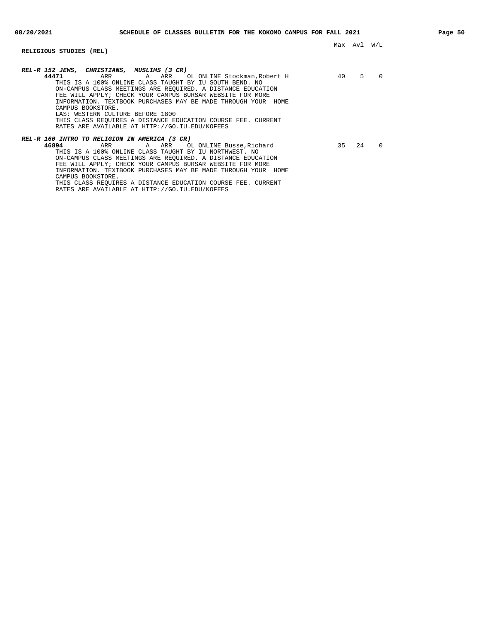## **RELIGIOUS STUDIES (REL)**

| REL-R 152 JEWS, CHRISTIANS, MUSLIMS (3 CR)                                                                                                                                                                                                                                                                                                                                                                                                                                              |    |    |          |
|-----------------------------------------------------------------------------------------------------------------------------------------------------------------------------------------------------------------------------------------------------------------------------------------------------------------------------------------------------------------------------------------------------------------------------------------------------------------------------------------|----|----|----------|
| 44471<br>A ARR OL ONLINE Stockman,Robert H<br>ARR<br>THIS IS A 100% ONLINE CLASS TAUGHT BY IU SOUTH BEND. NO<br>ON-CAMPUS CLASS MEETINGS ARE REOUIRED. A DISTANCE EDUCATION<br>FEE WILL APPLY; CHECK YOUR CAMPUS BURSAR WEBSITE FOR MORE<br>INFORMATION. TEXTBOOK PURCHASES MAY BE MADE THROUGH YOUR<br>HOME<br>CAMPUS BOOKSTORE.<br>LAS: WESTERN CULTURE BEFORE 1800<br>THIS CLASS REOUIRES A DISTANCE EDUCATION COURSE FEE. CURRENT<br>RATES ARE AVAILABLE AT HTTP://GO.IU.EDU/KOFEES | 40 | 5  | $\Omega$ |
| REL-R 160 INTRO TO RELIGION IN AMERICA (3 CR)<br>46894<br>A ARR<br>OL ONLINE Busse, Richard<br>ARR<br>THIS IS A 100% ONLINE CLASS TAUGHT BY IU NORTHWEST. NO<br>ON-CAMPUS CLASS MEETINGS ARE REOUIRED. A DISTANCE EDUCATION<br>FEE WILL APPLY; CHECK YOUR CAMPUS BURSAR WEBSITE FOR MORE<br>INFORMATION. TEXTBOOK PURCHASES MAY BE MADE THROUGH YOUR<br>HOME<br>CAMPUS BOOKSTORE.                                                                                                       | 35 | 24 | $\Omega$ |

THIS CLASS REQUIRES A DISTANCE EDUCATION COURSE FEE. CURRENT RATES ARE AVAILABLE AT HTTP://GO.IU.EDU/KOFEES

Max Avl W/L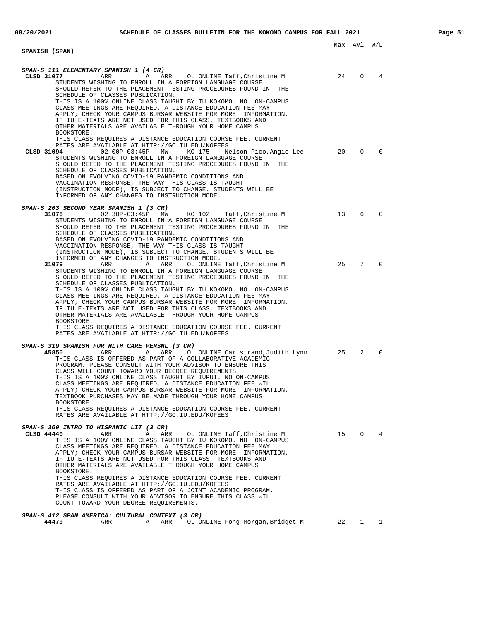|                                                                                                                                                                                                                                                                                                                                                                                   |           | Max Avl W/L    |                                        |
|-----------------------------------------------------------------------------------------------------------------------------------------------------------------------------------------------------------------------------------------------------------------------------------------------------------------------------------------------------------------------------------|-----------|----------------|----------------------------------------|
| <b>SPANISH (SPAN)</b>                                                                                                                                                                                                                                                                                                                                                             |           |                |                                        |
|                                                                                                                                                                                                                                                                                                                                                                                   |           |                |                                        |
| SPAN-S 111 ELEMENTARY SPANISH 1 (4 CR)                                                                                                                                                                                                                                                                                                                                            |           |                |                                        |
| <b>ARR</b><br>CLSD 31077<br>ARR<br>OL ONLINE Taff, Christine M<br>A<br>STUDENTS WISHING TO ENROLL IN A FOREIGN LANGUAGE COURSE<br>SHOULD REFER TO THE PLACEMENT TESTING PROCEDURES FOUND IN THE<br>SCHEDULE OF CLASSES PUBLICATION.                                                                                                                                               | 24        | $\Omega$       | 4                                      |
| THIS IS A 100% ONLINE CLASS TAUGHT BY IU KOKOMO. NO ON-CAMPUS<br>CLASS MEETINGS ARE REQUIRED. A DISTANCE EDUCATION FEE MAY<br>APPLY; CHECK YOUR CAMPUS BURSAR WEBSITE FOR MORE INFORMATION.<br>IF IU E-TEXTS ARE NOT USED FOR THIS CLASS, TEXTBOOKS AND<br>OTHER MATERIALS ARE AVAILABLE THROUGH YOUR HOME CAMPUS<br>BOOKSTORE.                                                   |           |                |                                        |
| THIS CLASS REQUIRES A DISTANCE EDUCATION COURSE FEE. CURRENT<br>RATES ARE AVAILABLE AT HTTP://GO.IU.EDU/KOFEES<br>CLSD 31094<br>$02:00P-03:45P$ MW<br>KO 175<br>Nelson-Pico, Angie Lee                                                                                                                                                                                            | $\sim$ 20 | 0              | $\Omega$                               |
| STUDENTS WISHING TO ENROLL IN A FOREIGN LANGUAGE COURSE<br>SHOULD REFER TO THE PLACEMENT TESTING PROCEDURES FOUND IN<br>THE<br>SCHEDULE OF CLASSES PUBLICATION.<br>BASED ON EVOLVING COVID-19 PANDEMIC CONDITIONS AND                                                                                                                                                             |           |                |                                        |
| VACCINATION RESPONSE, THE WAY THIS CLASS IS TAUGHT<br>(INSTRUCTION MODE), IS SUBJECT TO CHANGE. STUDENTS WILL BE<br>INFORMED OF ANY CHANGES TO INSTRUCTION MODE.                                                                                                                                                                                                                  |           |                |                                        |
| SPAN-S 203 SECOND YEAR SPANISH 1 (3 CR)                                                                                                                                                                                                                                                                                                                                           |           |                |                                        |
| 31078<br>$02:30P-03:45P$ MW<br>KO 102<br>Taff,Christine M<br>STUDENTS WISHING TO ENROLL IN A FOREIGN LANGUAGE COURSE<br>SHOULD REFER TO THE PLACEMENT TESTING PROCEDURES FOUND IN THE<br>SCHEDULE OF CLASSES PUBLICATION.                                                                                                                                                         | 13        | 6              | $\Omega$                               |
| BASED ON EVOLVING COVID-19 PANDEMIC CONDITIONS AND<br>VACCINATION RESPONSE, THE WAY THIS CLASS IS TAUGHT<br>(INSTRUCTION MODE), IS SUBJECT TO CHANGE. STUDENTS WILL BE<br>INFORMED OF ANY CHANGES TO INSTRUCTION MODE.                                                                                                                                                            |           |                |                                        |
| 31079<br>ARR<br>ARR<br>OL ONLINE Taff, Christine M<br>Α<br>STUDENTS WISHING TO ENROLL IN A FOREIGN LANGUAGE COURSE<br>SHOULD REFER TO THE PLACEMENT TESTING PROCEDURES FOUND IN<br>THE<br>SCHEDULE OF CLASSES PUBLICATION.                                                                                                                                                        | 25        | 7              | $\Omega$                               |
| THIS IS A 100% ONLINE CLASS TAUGHT BY IU KOKOMO. NO ON-CAMPUS<br>CLASS MEETINGS ARE REQUIRED. A DISTANCE EDUCATION FEE MAY<br>APPLY; CHECK YOUR CAMPUS BURSAR WEBSITE FOR MORE INFORMATION.<br>IF IU E-TEXTS ARE NOT USED FOR THIS CLASS, TEXTBOOKS AND<br>OTHER MATERIALS ARE AVAILABLE THROUGH YOUR HOME CAMPUS                                                                 |           |                |                                        |
| BOOKSTORE.<br>THIS CLASS REQUIRES A DISTANCE EDUCATION COURSE FEE. CURRENT<br>RATES ARE AVAILABLE AT HTTP://GO.IU.EDU/KOFEES                                                                                                                                                                                                                                                      |           |                |                                        |
| SPAN-S 319 SPANISH FOR HLTH CARE PERSNL (3 CR)                                                                                                                                                                                                                                                                                                                                    |           |                |                                        |
| 45850<br>ARR<br>Α<br>ARR<br>OL ONLINE Carlstrand,Judith Lynn<br>THIS CLASS IS OFFERED AS PART OF A COLLABORATIVE ACADEMIC<br>PROGRAM. PLEASE CONSULT WITH YOUR ADVISOR TO ENSURE THIS<br>CLASS WILL COUNT TOWARD YOUR DEGREE REQUIREMENTS<br>THIS IS A 100% ONLINE CLASS TAUGHT BY IUPUI. NO ON-CAMPUS                                                                            | 25        | 2              | $\Omega$                               |
| CLASS MEETINGS ARE REQUIRED. A DISTANCE EDUCATION FEE WILL<br>APPLY; CHECK YOUR CAMPUS BURSAR WEBSITE FOR MORE INFORMATION.<br>TEXTBOOK PURCHASES MAY BE MADE THROUGH YOUR HOME CAMPUS<br>BOOKSTORE.<br>THIS CLASS REQUIRES A DISTANCE EDUCATION COURSE FEE. CURRENT                                                                                                              |           |                |                                        |
| RATES ARE AVAILABLE AT HTTP://GO.IU.EDU/KOFEES                                                                                                                                                                                                                                                                                                                                    |           |                |                                        |
| <i>SPAN-S 360 INTRO TO HISPANIC LIT (3 CR)</i>                                                                                                                                                                                                                                                                                                                                    |           |                |                                        |
| CLSD 44440<br>ARR<br>Α<br>ARR<br>OL ONLINE Taff, Christine M<br>THIS IS A 100% ONLINE CLASS TAUGHT BY IU KOKOMO. NO ON-CAMPUS<br>CLASS MEETINGS ARE REQUIRED. A DISTANCE EDUCATION FEE MAY<br>APPLY; CHECK YOUR CAMPUS BURSAR WEBSITE FOR MORE INFORMATION.<br>IF IU E-TEXTS ARE NOT USED FOR THIS CLASS, TEXTBOOKS AND<br>OTHER MATERIALS ARE AVAILABLE THROUGH YOUR HOME CAMPUS | 15        | $\overline{0}$ | 4                                      |
| BOOKSTORE.<br>THIS CLASS REOUIRES A DISTANCE EDUCATION COURSE FEE. CURRENT<br>RATES ARE AVAILABLE AT HTTP://GO.IU.EDU/KOFEES<br>THIS CLASS IS OFFERED AS PART OF A JOINT ACADEMIC PROGRAM.                                                                                                                                                                                        |           |                |                                        |
| PLEASE CONSULT WITH YOUR ADVISOR TO ENSURE THIS CLASS WILL<br>COUNT TOWARD YOUR DEGREE REQUIREMENTS.                                                                                                                                                                                                                                                                              |           |                |                                        |
| SPAN-S 412 SPAN AMERICA: CULTURAL CONTEXT (3 CR)<br>44479<br>OL ONLINE Fong-Morgan, Bridget M<br>ARR<br>Α<br>ARR                                                                                                                                                                                                                                                                  | 22        |                | $1 \quad \blacksquare$<br>$\mathbf{1}$ |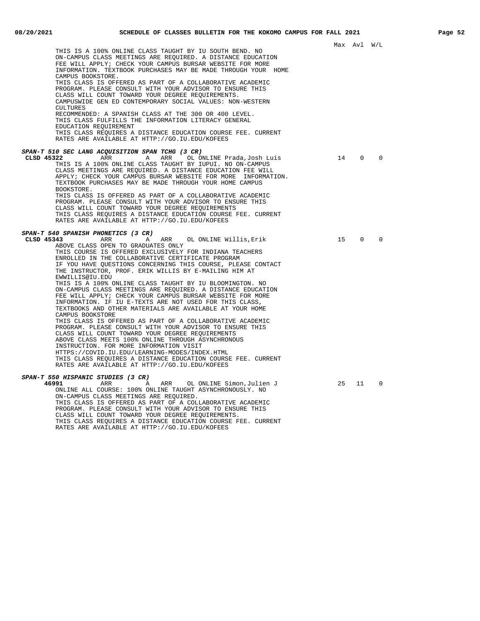|                                                               |    | Max Avl W/L |          |
|---------------------------------------------------------------|----|-------------|----------|
| THIS IS A 100% ONLINE CLASS TAUGHT BY IU SOUTH BEND. NO       |    |             |          |
| ON-CAMPUS CLASS MEETINGS ARE REOUIRED. A DISTANCE EDUCATION   |    |             |          |
| FEE WILL APPLY; CHECK YOUR CAMPUS BURSAR WEBSITE FOR MORE     |    |             |          |
| INFORMATION. TEXTBOOK PURCHASES MAY BE MADE THROUGH YOUR HOME |    |             |          |
| CAMPUS BOOKSTORE.                                             |    |             |          |
|                                                               |    |             |          |
| THIS CLASS IS OFFERED AS PART OF A COLLABORATIVE ACADEMIC     |    |             |          |
| PROGRAM. PLEASE CONSULT WITH YOUR ADVISOR TO ENSURE THIS      |    |             |          |
| CLASS WILL COUNT TOWARD YOUR DEGREE REOUIREMENTS.             |    |             |          |
| CAMPUSWIDE GEN ED CONTEMPORARY SOCIAL VALUES: NON-WESTERN     |    |             |          |
| CULTURES                                                      |    |             |          |
| RECOMMENDED: A SPANISH CLASS AT THE 300 OR 400 LEVEL.         |    |             |          |
| THIS CLASS FULFILLS THE INFORMATION LITERACY GENERAL          |    |             |          |
| EDUCATION REQUIREMENT                                         |    |             |          |
| THIS CLASS REOUIRES A DISTANCE EDUCATION COURSE FEE. CURRENT  |    |             |          |
| RATES ARE AVAILABLE AT HTTP://GO.IU.EDU/KOFEES                |    |             |          |
| SPAN-T 510 SEC LANG ACQUISITION SPAN TCHG (3 CR)              |    |             |          |
| CLSD 45322<br>ARR<br>Α<br>ARR<br>OL ONLINE Prada,Josh Luis    | 14 | $\mathbf 0$ | $\Omega$ |
|                                                               |    |             |          |
| THIS IS A 100% ONLINE CLASS TAUGHT BY IUPUI. NO ON-CAMPUS     |    |             |          |
| CLASS MEETINGS ARE REQUIRED. A DISTANCE EDUCATION FEE WILL    |    |             |          |
| APPLY; CHECK YOUR CAMPUS BURSAR WEBSITE FOR MORE INFORMATION. |    |             |          |
| TEXTBOOK PURCHASES MAY BE MADE THROUGH YOUR HOME CAMPUS       |    |             |          |
| BOOKSTORE.                                                    |    |             |          |
| THIS CLASS IS OFFERED AS PART OF A COLLABORATIVE ACADEMIC     |    |             |          |
| PROGRAM. PLEASE CONSULT WITH YOUR ADVISOR TO ENSURE THIS      |    |             |          |
| CLASS WILL COUNT TOWARD YOUR DEGREE REOUIREMENTS              |    |             |          |
| THIS CLASS REQUIRES A DISTANCE EDUCATION COURSE FEE. CURRENT  |    |             |          |
| RATES ARE AVAILABLE AT HTTP://GO.IU.EDU/KOFEES                |    |             |          |
| SPAN-T 540 SPANISH PHONETICS (3 CR)                           |    |             |          |
| CLSD 45343<br>ARR<br>Α<br>ARR<br>OL ONLINE Willis, Erik       | 15 | $\Omega$    | $\Omega$ |
| ABOVE CLASS OPEN TO GRADUATES ONLY                            |    |             |          |
| THIS COURSE IS OFFERED EXCLUSIVELY FOR INDIANA TEACHERS       |    |             |          |
| ENROLLED IN THE COLLABORATIVE CERTIFICATE PROGRAM             |    |             |          |
|                                                               |    |             |          |
| IF YOU HAVE QUESTIONS CONCERNING THIS COURSE, PLEASE CONTACT  |    |             |          |
| THE INSTRUCTOR, PROF. ERIK WILLIS BY E-MAILING HIM AT         |    |             |          |
| EWWILLIS@IU.EDU                                               |    |             |          |
| THIS IS A 100% ONLINE CLASS TAUGHT BY IU BLOOMINGTON. NO      |    |             |          |
| ON-CAMPUS CLASS MEETINGS ARE REQUIRED. A DISTANCE EDUCATION   |    |             |          |
| FEE WILL APPLY; CHECK YOUR CAMPUS BURSAR WEBSITE FOR MORE     |    |             |          |
| INFORMATION. IF IU E-TEXTS ARE NOT USED FOR THIS CLASS,       |    |             |          |
| TEXTBOOKS AND OTHER MATERIALS ARE AVAILABLE AT YOUR HOME      |    |             |          |
| CAMPUS BOOKSTORE                                              |    |             |          |
| THIS CLASS IS OFFERED AS PART OF A COLLABORATIVE ACADEMIC     |    |             |          |
| PROGRAM. PLEASE CONSULT WITH YOUR ADVISOR TO ENSURE THIS      |    |             |          |
| CLASS WILL COUNT TOWARD YOUR DEGREE REQUIREMENTS              |    |             |          |
| ABOVE CLASS MEETS 100% ONLINE THROUGH ASYNCHRONOUS            |    |             |          |
| INSTRUCTION. FOR MORE INFORMATION VISIT                       |    |             |          |
| HTTPS://COVID.IU.EDU/LEARNING-MODES/INDEX.HTML                |    |             |          |
| THIS CLASS REQUIRES A DISTANCE EDUCATION COURSE FEE. CURRENT  |    |             |          |
| RATES ARE AVAILABLE AT HTTP://GO.IU.EDU/KOFEES                |    |             |          |
| SPAN-T 550 HISPANIC STUDIES (3 CR)                            |    |             |          |
| 46991<br>ARR<br>OL ONLINE Simon,Julien J<br>ARR<br>A          | 25 | 11          | $\Omega$ |
| ONLINE ALL COURSE: 100% ONLINE TAUGHT ASYNCHRONOUSLY. NO      |    |             |          |
| ON-CAMPUS CLASS MEETINGS ARE REOUIRED.                        |    |             |          |
| THIS CLASS IS OFFERED AS PART OF A COLLABORATIVE ACADEMIC     |    |             |          |
| PROGRAM. PLEASE CONSULT WITH YOUR ADVISOR TO ENSURE THIS      |    |             |          |
|                                                               |    |             |          |

CLASS WILL COUNT TOWARD YOUR DEGREE REQUIREMENTS.

RATES ARE AVAILABLE AT HTTP://GO.IU.EDU/KOFEES

THIS CLASS REQUIRES A DISTANCE EDUCATION COURSE FEE. CURRENT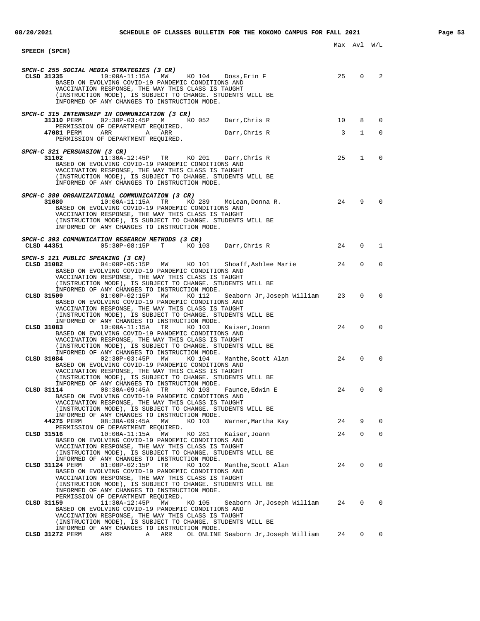## Max Avl W/L **SPEECH (SPCH) SPCH-C 255 SOCIAL MEDIA STRATEGIES (3 CR) CLSD 31335** 10:00A-11:15A MW KO 104 Doss,Erin F 25 0 2 BASED ON EVOLVING COVID-19 PANDEMIC CONDITIONS AND VACCINATION RESPONSE, THE WAY THIS CLASS IS TAUGHT (INSTRUCTION MODE), IS SUBJECT TO CHANGE. STUDENTS WILL BE INFORMED OF ANY CHANGES TO INSTRUCTION MODE. **SPCH-C 315 INTERNSHIP IN COMMUNICATION (3 CR) 31310** PERM 02:30P-03:45P M KO 052 Darr, Chris R 10 8 0 PERMISSION OF DEPARTMENT REQUIRED. **47081** PERM ARR A ARR Darr, Chris R 3 1 0 PERMISSION OF DEPARTMENT REQUIRED. **SPCH-C 321 PERSUASION (3 CR)**<br>31102 11:30A-**31102** 11:30A-12:45P TR KO 201 Darr,Chris R 25 1 0 BASED ON EVOLVING COVID-19 PANDEMIC CONDITIONS AND VACCINATION RESPONSE, THE WAY THIS CLASS IS TAUGHT (INSTRUCTION MODE), IS SUBJECT TO CHANGE. STUDENTS WILL BE INFORMED OF ANY CHANGES TO INSTRUCTION MODE. **SPCH-C 380 ORGANIZATIONAL COMMUNICATION (3 CR) 31080** 10:00A-11:15A TR KO 289 McLean,Donna R. 24 9 0 BASED ON EVOLVING COVID-19 PANDEMIC CONDITIONS AND VACCINATION RESPONSE, THE WAY THIS CLASS IS TAUGHT (INSTRUCTION MODE), IS SUBJECT TO CHANGE. STUDENTS WILL BE INFORMED OF ANY CHANGES TO INSTRUCTION MODE. **SPCH-C 393 COMMUNICATION RESEARCH METHODS (3 CR) CLSD 44351** 05:30P-08:15P T KO 103 Darr,Chris R 24 0 1 **SPCH-S 121 PUBLIC SPEAKING (3 CR)**<br>CLSD 31082 04:00P-05:15 **CLSD 31082** 04:00P-05:15P MW KO 101 Shoaff,Ashlee Marie 24 0 0 BASED ON EVOLVING COVID-19 PANDEMIC CONDITIONS AND VACCINATION RESPONSE, THE WAY THIS CLASS IS TAUGHT (INSTRUCTION MODE), IS SUBJECT TO CHANGE. STUDENTS WILL BE INFORMED OF ANY CHANGES TO INSTRUCTION MODE.<br>CLSD 31509 01:00P-02:15P MW KO 112 Seaborn Jr, Joseph William **CLSD 31509** 01:00P-02:15P MW KO 112 Seaborn Jr,Joseph William 23 0 0 BASED ON EVOLVING COVID-19 PANDEMIC CONDITIONS AND VACCINATION RESPONSE, THE WAY THIS CLASS IS TAUGHT (INSTRUCTION MODE), IS SUBJECT TO CHANGE. STUDENTS WILL BE INFORMED OF ANY CHANGES TO INSTRUCTION MODE.<br>CLSD 31083 10:004-11:154 TR KO 103 **CLSD 31083** 10:00A-11:15A TR KO 103 Kaiser,Joann 24 0 0 BASED ON EVOLVING COVID-19 PANDEMIC CONDITIONS AND VACCINATION RESPONSE, THE WAY THIS CLASS IS TAUGHT (INSTRUCTION MODE), IS SUBJECT TO CHANGE. STUDENTS WILL BE INFORMED OF ANY CHANGES TO INSTRUCTION MODE. **CLSD 31084** 02:30P-03:45P MW KO 104 Manthe,Scott Alan 24 0 0 BASED ON EVOLVING COVID-19 PANDEMIC CONDITIONS AND VACCINATION RESPONSE, THE WAY THIS CLASS IS TAUGHT (INSTRUCTION MODE), IS SUBJECT TO CHANGE. STUDENTS WILL BE INFORMED OF ANY CHANGES TO INSTRUCTION MODE.<br>CLSD 31114 08:30A-09:45A TR KO 103 Faunce, Edwin E **CLSD 31114** 08:30A-09:45A TR KO 103 Faunce,Edwin E 24 0 0 BASED ON EVOLVING COVID-19 PANDEMIC CONDITIONS AND VACCINATION RESPONSE, THE WAY THIS CLASS IS TAUGHT (INSTRUCTION MODE), IS SUBJECT TO CHANGE. STUDENTS WILL BE INFORMED OF ANY CHANGES TO INSTRUCTION MODE. **44275** PERM 08:30A-09:45A MW KO 103 Warner,Martha Kay 24 9 0 PERMISSION OF DEPARTMENT REQUIRED.<br>CLSD 31516 10:002-11:152 MW **CLSD 31516** 10:00A-11:15A MW KO 281 Kaiser,Joann 24 0 0 BASED ON EVOLVING COVID-19 PANDEMIC CONDITIONS AND VACCINATION RESPONSE, THE WAY THIS CLASS IS TAUGHT (INSTRUCTION MODE), IS SUBJECT TO CHANGE. STUDENTS WILL BE INFORMED OF ANY CHANGES TO INSTRUCTION MODE. **CLSD 31124** PERM 01:00P-02:15P TR KO 102 Manthe,Scott Alan 24 0 0 BASED ON EVOLVING COVID-19 PANDEMIC CONDITIONS AND VACCINATION RESPONSE, THE WAY THIS CLASS IS TAUGHT (INSTRUCTION MODE), IS SUBJECT TO CHANGE. STUDENTS WILL BE INFORMED OF ANY CHANGES TO INSTRUCTION MODE. PERMISSION OF DEPARTMENT REQUIRED.<br>CLSD 31159 11:30A-12:45P MW KO 105 **CRADA 31:30888 11:30 Seaborn Jr,Joseph William 24 0 0** BASED ON EVOLVING COVID-19 PANDEMIC CONDITIONS AND VACCINATION RESPONSE, THE WAY THIS CLASS IS TAUGHT

(INSTRUCTION MODE), IS SUBJECT TO CHANGE. STUDENTS WILL BE

INFORMED OF ANY CHANGES TO INSTRUCTION MODE.<br>CLSD 31272 PERM ARR A ARR OL ONLINE **A ARR OL ONLINE Seaborn Jr,Joseph William 24 0 0**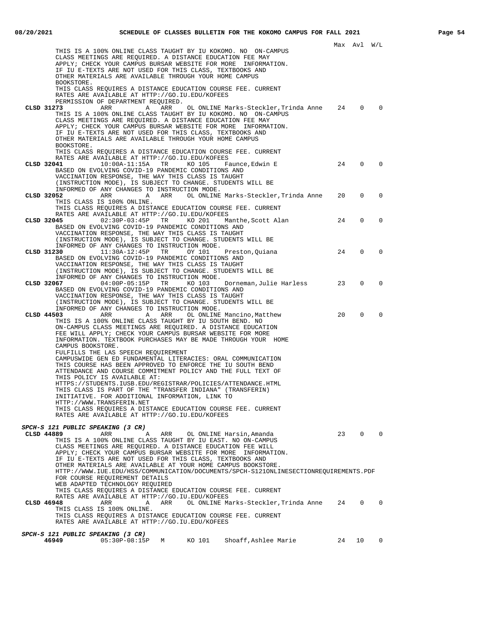|                                                                                                                                                                                                                                                                                                                                                                                             |    | Max Avl W/L    |                |
|---------------------------------------------------------------------------------------------------------------------------------------------------------------------------------------------------------------------------------------------------------------------------------------------------------------------------------------------------------------------------------------------|----|----------------|----------------|
| THIS IS A 100% ONLINE CLASS TAUGHT BY IU KOKOMO. NO ON-CAMPUS<br>CLASS MEETINGS ARE REQUIRED. A DISTANCE EDUCATION FEE MAY<br>APPLY; CHECK YOUR CAMPUS BURSAR WEBSITE FOR MORE INFORMATION.<br>IF IU E-TEXTS ARE NOT USED FOR THIS CLASS, TEXTBOOKS AND                                                                                                                                     |    |                |                |
| OTHER MATERIALS ARE AVAILABLE THROUGH YOUR HOME CAMPUS<br>BOOKSTORE.                                                                                                                                                                                                                                                                                                                        |    |                |                |
| THIS CLASS REQUIRES A DISTANCE EDUCATION COURSE FEE. CURRENT<br>RATES ARE AVAILABLE AT HTTP://GO.IU.EDU/KOFEES<br>PERMISSION OF DEPARTMENT REQUIRED.                                                                                                                                                                                                                                        |    |                |                |
| CLSD 31273<br>OL ONLINE Marks-Steckler, Trinda Anne<br>ARR<br>A<br>ARR<br>THIS IS A 100% ONLINE CLASS TAUGHT BY IU KOKOMO. NO ON-CAMPUS<br>CLASS MEETINGS ARE REQUIRED. A DISTANCE EDUCATION FEE MAY<br>APPLY; CHECK YOUR CAMPUS BURSAR WEBSITE FOR MORE INFORMATION.<br>IF IU E-TEXTS ARE NOT USED FOR THIS CLASS, TEXTBOOKS AND<br>OTHER MATERIALS ARE AVAILABLE THROUGH YOUR HOME CAMPUS | 24 | $\Omega$       | 0              |
| BOOKSTORE.<br>THIS CLASS REOUIRES A DISTANCE EDUCATION COURSE FEE. CURRENT<br>RATES ARE AVAILABLE AT HTTP://GO.IU.EDU/KOFEES                                                                                                                                                                                                                                                                |    |                |                |
| CLSD 32041<br>$10:00A-11:15A$<br>TR<br>KO 105<br>Faunce,Edwin E<br>BASED ON EVOLVING COVID-19 PANDEMIC CONDITIONS AND<br>VACCINATION RESPONSE, THE WAY THIS CLASS IS TAUGHT<br>(INSTRUCTION MODE), IS SUBJECT TO CHANGE. STUDENTS WILL BE                                                                                                                                                   | 24 | $\Omega$       | $\Omega$       |
| INFORMED OF ANY CHANGES TO INSTRUCTION MODE.<br>ARR OL ONLINE Marks-Steckler, Trinda Anne<br>CLSD 32052<br>ARR<br>Α<br>THIS CLASS IS 100% ONLINE.<br>THIS CLASS REQUIRES A DISTANCE EDUCATION COURSE FEE. CURRENT                                                                                                                                                                           | 20 | 0              | 0              |
| RATES ARE AVAILABLE AT HTTP://GO.IU.EDU/KOFEES<br>CLSD 32045<br>$02:30P-03:45P$ TR<br>KO 201<br>Manthe,Scott Alan<br>BASED ON EVOLVING COVID-19 PANDEMIC CONDITIONS AND                                                                                                                                                                                                                     | 24 | 0              | 0              |
| VACCINATION RESPONSE, THE WAY THIS CLASS IS TAUGHT<br>(INSTRUCTION MODE), IS SUBJECT TO CHANGE. STUDENTS WILL BE<br>INFORMED OF ANY CHANGES TO INSTRUCTION MODE.                                                                                                                                                                                                                            |    |                |                |
| $11:30A-12:45P$<br>TR<br>CLSD 31230<br>OY 101<br>Preston, Quiana<br>BASED ON EVOLVING COVID-19 PANDEMIC CONDITIONS AND<br>VACCINATION RESPONSE, THE WAY THIS CLASS IS TAUGHT<br>(INSTRUCTION MODE), IS SUBJECT TO CHANGE. STUDENTS WILL BE                                                                                                                                                  | 24 | 0              | 0              |
| INFORMED OF ANY CHANGES TO INSTRUCTION MODE.<br>$04:00P-05:15P$<br>CLSD 32067<br>TR<br>KO 103<br>Dorneman,Julie Harless<br>BASED ON EVOLVING COVID-19 PANDEMIC CONDITIONS AND<br>VACCINATION RESPONSE, THE WAY THIS CLASS IS TAUGHT                                                                                                                                                         | 23 | $\Omega$       | $\Omega$       |
| (INSTRUCTION MODE), IS SUBJECT TO CHANGE. STUDENTS WILL BE<br>INFORMED OF ANY CHANGES TO INSTRUCTION MODE.<br>CLSD 44503<br>ARR<br>ARR<br>OL ONLINE Mancino, Matthew<br>A<br>THIS IS A 100% ONLINE CLASS TAUGHT BY IU SOUTH BEND. NO                                                                                                                                                        | 20 | $\mathbf 0$    | $\Omega$       |
| ON-CAMPUS CLASS MEETINGS ARE REQUIRED. A DISTANCE EDUCATION<br>FEE WILL APPLY; CHECK YOUR CAMPUS BURSAR WEBSITE FOR MORE<br>INFORMATION. TEXTBOOK PURCHASES MAY BE MADE THROUGH YOUR HOME<br>CAMPUS BOOKSTORE.                                                                                                                                                                              |    |                |                |
| FULFILLS THE LAS SPEECH REQUIREMENT<br>CAMPUSWIDE GEN ED FUNDAMENTAL LITERACIES: ORAL COMMUNICATION<br>THIS COURSE HAS BEEN APPROVED TO ENFORCE THE IU SOUTH BEND<br>ATTENDANCE AND COURSE COMMITMENT POLICY AND THE FULL TEXT OF                                                                                                                                                           |    |                |                |
| THIS POLICY IS AVAILABLE AT:<br>HTTPS://STUDENTS.IUSB.EDU/REGISTRAR/POLICIES/ATTENDANCE.HTML<br>THIS CLASS IS PART OF THE "TRANSFER INDIANA" (TRANSFERIN)<br>INITIATIVE. FOR ADDITIONAL INFORMATION, LINK TO                                                                                                                                                                                |    |                |                |
| HTTP://WWW.TRANSFERIN.NET<br>THIS CLASS REQUIRES A DISTANCE EDUCATION COURSE FEE. CURRENT<br>RATES ARE AVAILABLE AT HTTP://GO.IU.EDU/KOFEES                                                                                                                                                                                                                                                 |    |                |                |
| SPCH-S 121 PUBLIC SPEAKING (3 CR)                                                                                                                                                                                                                                                                                                                                                           |    |                |                |
| CLSD 44889<br>ARR<br>Α<br>ARR<br>OL ONLINE Harsin, Amanda<br>THIS IS A 100% ONLINE CLASS TAUGHT BY IU EAST. NO ON-CAMPUS<br>CLASS MEETINGS ARE REQUIRED. A DISTANCE EDUCATION FEE WILL                                                                                                                                                                                                      |    | 23 0           | $\overline{0}$ |
| APPLY; CHECK YOUR CAMPUS BURSAR WEBSITE FOR MORE INFORMATION.<br>IF IU E-TEXTS ARE NOT USED FOR THIS CLASS, TEXTBOOKS AND<br>OTHER MATERIALS ARE AVAILABLE AT YOUR HOME CAMPUS BOOKSTORE.<br>HTTP://WWW.IUE.EDU/HSS/COMMUNICATION/DOCUMENTS/SPCH-S121ONLINESECTIONREQUIREMENTS.PDF<br>FOR COURSE REQUIREMENT DETAILS                                                                        |    |                |                |
| WEB ADAPTED TECHNOLOGY REQUIRED<br>THIS CLASS REQUIRES A DISTANCE EDUCATION COURSE FEE. CURRENT<br>RATES ARE AVAILABLE AT HTTP://GO.IU.EDU/KOFEES                                                                                                                                                                                                                                           |    |                |                |
| ARR OL ONLINE Marks-Steckler, Trinda Anne 24<br>CLSD 46948<br>ARR<br>A<br>THIS CLASS IS 100% ONLINE.<br>THIS CLASS REQUIRES A DISTANCE EDUCATION COURSE FEE. CURRENT                                                                                                                                                                                                                        |    | $\overline{0}$ | $\mathbf{0}$   |
| RATES ARE AVAILABLE AT HTTP://GO.IU.EDU/KOFEES                                                                                                                                                                                                                                                                                                                                              |    |                |                |
| SPCH-S 121 PUBLIC SPEAKING (3 CR)<br>05:30P-08:15P M KO 101<br>Shoaff,Ashlee Marie<br>46949                                                                                                                                                                                                                                                                                                 | 24 | 10             | $\mathbf{0}$   |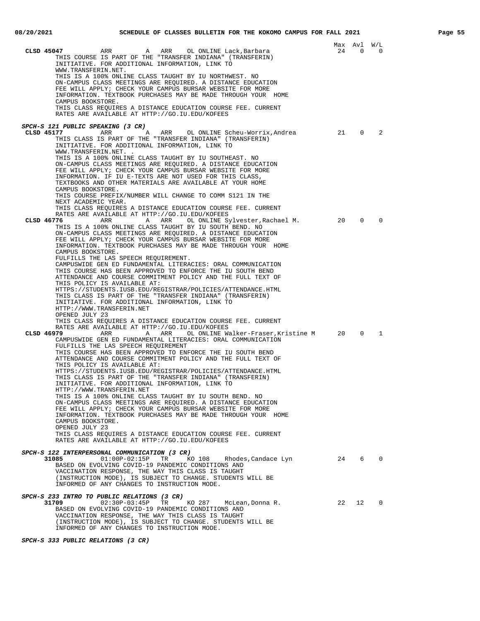|                                                                                                                            |    | Max Avl W/L    |              |
|----------------------------------------------------------------------------------------------------------------------------|----|----------------|--------------|
| CLSD 45047<br>ARR<br>ARR<br>OL ONLINE Lack,Barbara<br>A                                                                    | 24 | $\overline{0}$ | 0            |
| THIS COURSE IS PART OF THE "TRANSFER INDIANA" (TRANSFERIN)                                                                 |    |                |              |
| INITIATIVE. FOR ADDITIONAL INFORMATION, LINK TO                                                                            |    |                |              |
| WWW.TRANSFERIN.NET.                                                                                                        |    |                |              |
| THIS IS A 100% ONLINE CLASS TAUGHT BY IU NORTHWEST. NO                                                                     |    |                |              |
| ON-CAMPUS CLASS MEETINGS ARE REQUIRED. A DISTANCE EDUCATION<br>FEE WILL APPLY; CHECK YOUR CAMPUS BURSAR WEBSITE FOR MORE   |    |                |              |
| INFORMATION. TEXTBOOK PURCHASES MAY BE MADE THROUGH YOUR HOME                                                              |    |                |              |
| CAMPUS BOOKSTORE.                                                                                                          |    |                |              |
| THIS CLASS REQUIRES A DISTANCE EDUCATION COURSE FEE. CURRENT                                                               |    |                |              |
| RATES ARE AVAILABLE AT HTTP://GO.IU.EDU/KOFEES                                                                             |    |                |              |
|                                                                                                                            |    |                |              |
| SPCH-S 121 PUBLIC SPEAKING (3 CR)                                                                                          |    |                |              |
| CLSD 45177<br>ARR<br>ARR OL ONLINE Scheu-Worrix,Andrea<br>A                                                                | 21 | 0              | 2            |
| THIS CLASS IS PART OF THE "TRANSFER INDIANA" (TRANSFERIN)<br>INITIATIVE. FOR ADDITIONAL INFORMATION, LINK TO               |    |                |              |
| WWW.TRANSFERIN.NET. .                                                                                                      |    |                |              |
| THIS IS A 100% ONLINE CLASS TAUGHT BY IU SOUTHEAST. NO                                                                     |    |                |              |
| ON-CAMPUS CLASS MEETINGS ARE REQUIRED. A DISTANCE EDUCATION                                                                |    |                |              |
| FEE WILL APPLY; CHECK YOUR CAMPUS BURSAR WEBSITE FOR MORE                                                                  |    |                |              |
| INFORMATION. IF IU E-TEXTS ARE NOT USED FOR THIS CLASS,                                                                    |    |                |              |
| TEXTBOOKS AND OTHER MATERIALS ARE AVAILABLE AT YOUR HOME                                                                   |    |                |              |
| CAMPUS BOOKSTORE.                                                                                                          |    |                |              |
| THIS COURSE PREFIX/NUMBER WILL CHANGE TO COMM S121 IN THE                                                                  |    |                |              |
| NEXT ACADEMIC YEAR.                                                                                                        |    |                |              |
| THIS CLASS REQUIRES A DISTANCE EDUCATION COURSE FEE. CURRENT<br>RATES ARE AVAILABLE AT HTTP://GO.IU.EDU/KOFEES             |    |                |              |
| CLSD 46776<br>ARR<br>OL ONLINE Sylvester, Rachael M.<br>Α<br>ARR                                                           | 20 | $\Omega$       | 0            |
| THIS IS A 100% ONLINE CLASS TAUGHT BY IU SOUTH BEND. NO                                                                    |    |                |              |
| ON-CAMPUS CLASS MEETINGS ARE REOUIRED. A DISTANCE EDUCATION                                                                |    |                |              |
| FEE WILL APPLY; CHECK YOUR CAMPUS BURSAR WEBSITE FOR MORE                                                                  |    |                |              |
| INFORMATION. TEXTBOOK PURCHASES MAY BE MADE THROUGH YOUR HOME                                                              |    |                |              |
| CAMPUS BOOKSTORE.                                                                                                          |    |                |              |
| FULFILLS THE LAS SPEECH REQUIREMENT.                                                                                       |    |                |              |
| CAMPUSWIDE GEN ED FUNDAMENTAL LITERACIES: ORAL COMMUNICATION<br>THIS COURSE HAS BEEN APPROVED TO ENFORCE THE IU SOUTH BEND |    |                |              |
| ATTENDANCE AND COURSE COMMITMENT POLICY AND THE FULL TEXT OF                                                               |    |                |              |
| THIS POLICY IS AVAILABLE AT:                                                                                               |    |                |              |
| HTTPS://STUDENTS.IUSB.EDU/REGISTRAR/POLICIES/ATTENDANCE.HTML                                                               |    |                |              |
| THIS CLASS IS PART OF THE "TRANSFER INDIANA" (TRANSFERIN)                                                                  |    |                |              |
| INITIATIVE. FOR ADDITIONAL INFORMATION, LINK TO                                                                            |    |                |              |
| HTTP://WWW.TRANSFERIN.NET<br>OPENED JULY 23                                                                                |    |                |              |
| THIS CLASS REQUIRES A DISTANCE EDUCATION COURSE FEE. CURRENT                                                               |    |                |              |
| RATES ARE AVAILABLE AT HTTP://GO.IU.EDU/KOFEES                                                                             |    |                |              |
| OL ONLINE Walker-Fraser, Kristine M 20<br>CLSD 46979<br>ARR<br>Α<br>ARR                                                    |    | $\mathbf 0$    | 1            |
| CAMPUSWIDE GEN ED FUNDAMENTAL LITERACIES: ORAL COMMUNICATION                                                               |    |                |              |
| FULFILLS THE LAS SPEECH REQUIREMENT                                                                                        |    |                |              |
| THIS COURSE HAS BEEN APPROVED TO ENFORCE THE IU SOUTH BEND                                                                 |    |                |              |
| ATTENDANCE AND COURSE COMMITMENT POLICY AND THE FULL TEXT OF<br>THIS POLICY IS AVAILABLE AT:                               |    |                |              |
| HTTPS://STUDENTS.IUSB.EDU/REGISTRAR/POLICIES/ATTENDANCE.HTML                                                               |    |                |              |
| THIS CLASS IS PART OF THE "TRANSFER INDIANA" (TRANSFERIN)                                                                  |    |                |              |
| INITIATIVE. FOR ADDITIONAL INFORMATION, LINK TO                                                                            |    |                |              |
| HTTP://WWW.TRANSFERIN.NET                                                                                                  |    |                |              |
| THIS IS A 100% ONLINE CLASS TAUGHT BY IU SOUTH BEND. NO                                                                    |    |                |              |
| ON-CAMPUS CLASS MEETINGS ARE REQUIRED. A DISTANCE EDUCATION                                                                |    |                |              |
| FEE WILL APPLY; CHECK YOUR CAMPUS BURSAR WEBSITE FOR MORE                                                                  |    |                |              |
| INFORMATION. TEXTBOOK PURCHASES MAY BE MADE THROUGH YOUR HOME<br>CAMPUS BOOKSTORE.                                         |    |                |              |
| OPENED JULY 23                                                                                                             |    |                |              |
| THIS CLASS REQUIRES A DISTANCE EDUCATION COURSE FEE. CURRENT                                                               |    |                |              |
| RATES ARE AVAILABLE AT HTTP://GO.IU.EDU/KOFEES                                                                             |    |                |              |
|                                                                                                                            |    |                |              |
| SPCH-S 122 INTERPERSONAL COMMUNICATION (3 CR)                                                                              |    |                |              |
| 24 6<br>31085<br>$01:00P-02:15P$ TR<br>KO 108<br>Rhodes,Candace Lyn                                                        |    |                | $\mathbf{0}$ |
| BASED ON EVOLVING COVID-19 PANDEMIC CONDITIONS AND<br>VACCINATION RESPONSE, THE WAY THIS CLASS IS TAUGHT                   |    |                |              |
| (INSTRUCTION MODE), IS SUBJECT TO CHANGE. STUDENTS WILL BE                                                                 |    |                |              |
| INFORMED OF ANY CHANGES TO INSTRUCTION MODE.                                                                               |    |                |              |
|                                                                                                                            |    |                |              |
| <i>SPCH-S 233 INTRO TO PUBLIC RELATIONS (3 CR)</i>                                                                         |    |                |              |
| 31709<br>$02:30P-03:45P$<br>TR<br>KO 287 McLean, Donna R.                                                                  | 22 | 12             | $\mathbf 0$  |
| BASED ON EVOLVING COVID-19 PANDEMIC CONDITIONS AND                                                                         |    |                |              |
| VACCINATION RESPONSE, THE WAY THIS CLASS IS TAUGHT<br>(INSTRUCTION MODE), IS SUBJECT TO CHANGE. STUDENTS WILL BE           |    |                |              |
| INFORMED OF ANY CHANGES TO INSTRUCTION MODE.                                                                               |    |                |              |

**SPCH-S 333 PUBLIC RELATIONS (3 CR)**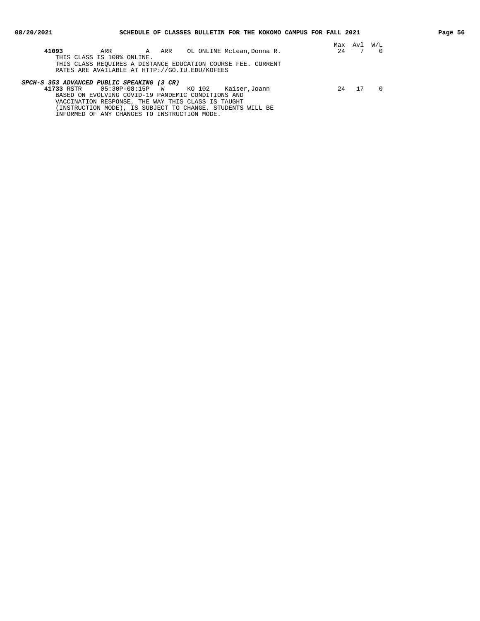| 41093                                      | ARR                                                          | A ARR |                                  | OL ONLINE McLean, Donna R. |  | 24  | Max Avl | W/L |
|--------------------------------------------|--------------------------------------------------------------|-------|----------------------------------|----------------------------|--|-----|---------|-----|
|                                            | THIS CLASS IS 100% ONLINE.                                   |       |                                  |                            |  |     |         |     |
|                                            | THIS CLASS REOUIRES A DISTANCE EDUCATION COURSE FEE. CURRENT |       |                                  |                            |  |     |         |     |
|                                            | RATES ARE AVAILABLE AT HTTP://GO.IU.EDU/KOFEES               |       |                                  |                            |  |     |         |     |
|                                            |                                                              |       |                                  |                            |  |     |         |     |
| SPCH-S 353 ADVANCED PUBLIC SPEAKING (3 CR) |                                                              |       |                                  |                            |  |     |         |     |
| 41733 RSTR                                 | 05:30P-08:15P W                                              |       |                                  | KO 102 Kaiser, Joann       |  | 2.4 | 17      |     |
|                                            | BASED ON EVOLVING COVID-19 PANDEMIC CONDITIONS AND           |       |                                  |                            |  |     |         |     |
|                                            | VACCINATION RESPONSE, THE WAY THIS CLASS IS TAUGHT           |       |                                  |                            |  |     |         |     |
|                                            | (INSTRUCTION MODE), IS SUBJECT TO CHANGE. STUDENTS WILL BE   |       |                                  |                            |  |     |         |     |
| INFORMED OF                                |                                                              |       | ANY CHANGES TO INSTRUCTION MODE. |                            |  |     |         |     |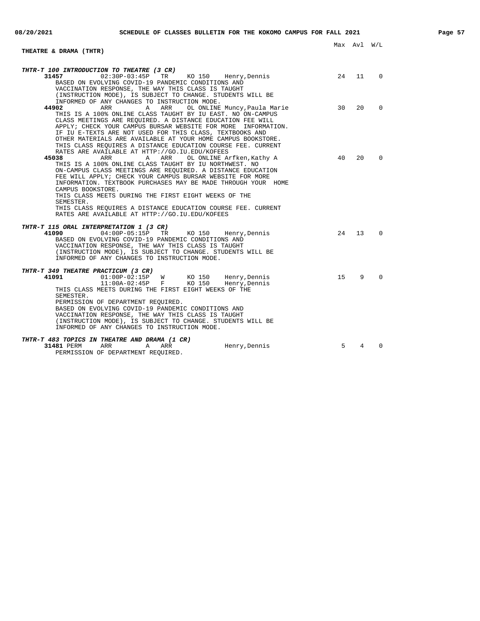| <b>THEATRE &amp; DRAMA (THTR)</b>                                                                                                                                                                                                                                                                                      |         |    |          |
|------------------------------------------------------------------------------------------------------------------------------------------------------------------------------------------------------------------------------------------------------------------------------------------------------------------------|---------|----|----------|
|                                                                                                                                                                                                                                                                                                                        |         |    |          |
| THTR-T 100 INTRODUCTION TO THEATRE (3 CR)                                                                                                                                                                                                                                                                              |         |    |          |
| 31457<br>TR KO 150 Henry, Dennis<br>02:30P-03:45P<br>BASED ON EVOLVING COVID-19 PANDEMIC CONDITIONS AND                                                                                                                                                                                                                | 24 11 0 |    |          |
| VACCINATION RESPONSE, THE WAY THIS CLASS IS TAUGHT<br>(INSTRUCTION MODE), IS SUBJECT TO CHANGE. STUDENTS WILL BE<br>INFORMED OF ANY CHANGES TO INSTRUCTION MODE.                                                                                                                                                       |         |    |          |
| 44902<br>ARR<br>$\mathbb{A}$<br>ARR<br>OL ONLINE Muncy, Paula Marie                                                                                                                                                                                                                                                    | 30      | 20 | $\Omega$ |
| THIS IS A 100% ONLINE CLASS TAUGHT BY IU EAST. NO ON-CAMPUS<br>CLASS MEETINGS ARE REOUIRED. A DISTANCE EDUCATION FEE WILL<br>APPLY; CHECK YOUR CAMPUS BURSAR WEBSITE FOR MORE INFORMATION.<br>IF IU E-TEXTS ARE NOT USED FOR THIS CLASS, TEXTBOOKS AND<br>OTHER MATERIALS ARE AVAILABLE AT YOUR HOME CAMPUS BOOKSTORE. |         |    |          |
| THIS CLASS REQUIRES A DISTANCE EDUCATION COURSE FEE. CURRENT                                                                                                                                                                                                                                                           |         |    |          |
| RATES ARE AVAILABLE AT HTTP://GO.IU.EDU/KOFEES<br>45038<br>OL ONLINE Arfken, Kathy A<br>ARR<br>A<br>ARR                                                                                                                                                                                                                | 40      | 20 | $\Omega$ |
| THIS IS A 100% ONLINE CLASS TAUGHT BY IU NORTHWEST. NO<br>ON-CAMPUS CLASS MEETINGS ARE REOUIRED. A DISTANCE EDUCATION<br>FEE WILL APPLY; CHECK YOUR CAMPUS BURSAR WEBSITE FOR MORE<br>INFORMATION. TEXTBOOK PURCHASES MAY BE MADE THROUGH YOUR HOME<br>CAMPUS BOOKSTORE.                                               |         |    |          |
| THIS CLASS MEETS DURING THE FIRST EIGHT WEEKS OF THE<br>SEMESTER.                                                                                                                                                                                                                                                      |         |    |          |
| THIS CLASS REOUIRES A DISTANCE EDUCATION COURSE FEE. CURRENT<br>RATES ARE AVAILABLE AT HTTP://GO.IU.EDU/KOFEES                                                                                                                                                                                                         |         |    |          |
| THTR-T 115 ORAL INTERPRETATION 1 (3 CR)                                                                                                                                                                                                                                                                                |         |    |          |
| 41090<br>04:00P-05:15P TR<br>KO 150 Henry, Dennis<br>BASED ON EVOLVING COVID-19 PANDEMIC CONDITIONS AND<br>VACCINATION RESPONSE, THE WAY THIS CLASS IS TAUGHT<br>(INSTRUCTION MODE), IS SUBJECT TO CHANGE. STUDENTS WILL BE                                                                                            | 24      | 13 | $\Omega$ |
| INFORMED OF ANY CHANGES TO INSTRUCTION MODE.                                                                                                                                                                                                                                                                           |         |    |          |
| THTR-T 349 THEATRE PRACTICUM (3 CR)                                                                                                                                                                                                                                                                                    |         |    |          |
| 41091<br>$01:00P-02:15P$ W<br>KO 150 Henry, Dennis<br>KO 150                                                                                                                                                                                                                                                           | 15      | 9  | $\Omega$ |
| $11:00A-02:45P$ F<br>Henry, Dennis<br>THIS CLASS MEETS DURING THE FIRST EIGHT WEEKS OF THE<br>SEMESTER.                                                                                                                                                                                                                |         |    |          |
| PERMISSION OF DEPARTMENT REQUIRED.                                                                                                                                                                                                                                                                                     |         |    |          |
| BASED ON EVOLVING COVID-19 PANDEMIC CONDITIONS AND<br>VACCINATION RESPONSE, THE WAY THIS CLASS IS TAUGHT<br>(INSTRUCTION MODE), IS SUBJECT TO CHANGE. STUDENTS WILL BE                                                                                                                                                 |         |    |          |
| INFORMED OF ANY CHANGES TO INSTRUCTION MODE.                                                                                                                                                                                                                                                                           |         |    |          |
| THTR-T 483 TOPICS IN THEATRE AND DRAMA (1 CR)                                                                                                                                                                                                                                                                          |         |    |          |
| 31481 PERM<br>ARR<br>ARR<br>Henry, Dennis<br>Α<br>PERMISSION OF DEPARTMENT REQUIRED.                                                                                                                                                                                                                                   | 5       | 4  | $\Omega$ |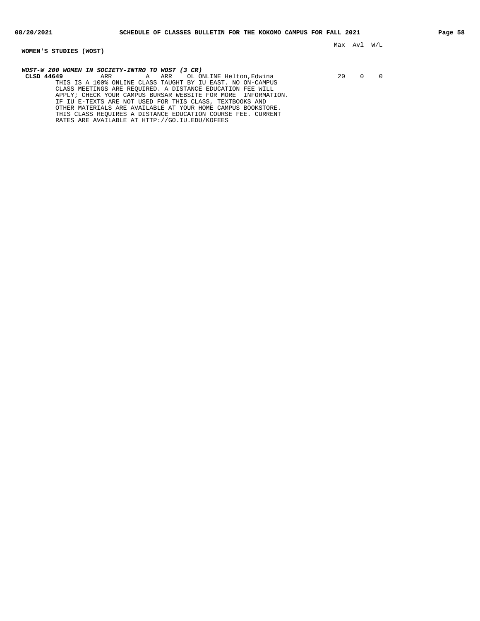**WOMEN'S STUDIES (WOST)**

Max Avl W/L

**WOST-W 200 WOMEN IN SOCIETY-INTRO TO WOST (3 CR)**

**CLSD 44649** ARR A ARR OL ONLINE Helton,Edwina 20 0 0 THIS IS A 100% ONLINE CLASS TAUGHT BY IU EAST. NO ON-CAMPUS CLASS MEETINGS ARE REQUIRED. A DISTANCE EDUCATION FEE WILL APPLY; CHECK YOUR CAMPUS BURSAR WEBSITE FOR MORE INFORMATION. IF IU E-TEXTS ARE NOT USED FOR THIS CLASS, TEXTBOOKS AND OTHER MATERIALS ARE AVAILABLE AT YOUR HOME CAMPUS BOOKSTORE. THIS CLASS REQUIRES A DISTANCE EDUCATION COURSE FEE. CURRENT RATES ARE AVAILABLE AT HTTP://GO.IU.EDU/KOFEES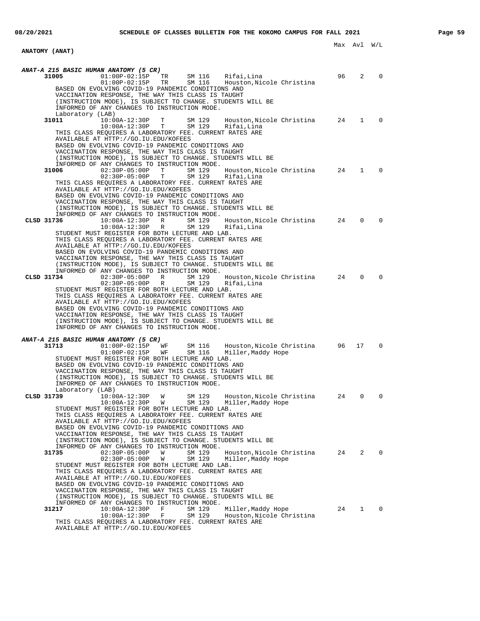**ANATOMY (ANAT)**

Max Avl W/L

**ANAT-A 215 BASIC HUMAN ANATOMY (5 CR)**<br>31005 01:00P-02:15P TR<br>01:00P-02:15P TR **31005** 01:00P-02:15P TR SM 116 Rifai,Lina 96 2 0 01:00P-02:15P TR SM 116 Houston,Nicole Christina BASED ON EVOLVING COVID-19 PANDEMIC CONDITIONS AND VACCINATION RESPONSE, THE WAY THIS CLASS IS TAUGHT (INSTRUCTION MODE), IS SUBJECT TO CHANGE. STUDENTS WILL BE INFORMED OF ANY CHANGES TO INSTRUCTION MODE. Laboratory  $(LAB)$ <br>31011 10:0 **31011** 10:00A-12:30P T SM 129 Houston,Nicole Christina 24 1 0 10:00A-12:30P T SM 129 Rifai,Lina THIS CLASS REQUIRES A LABORATORY FEE. CURRENT RATES ARE AVAILABLE AT HTTP://GO.IU.EDU/KOFEES BASED ON EVOLVING COVID-19 PANDEMIC CONDITIONS AND VACCINATION RESPONSE, THE WAY THIS CLASS IS TAUGHT (INSTRUCTION MODE), IS SUBJECT TO CHANGE. STUDENTS WILL BE INFORMED OF ANY CHANGES TO INSTRUCTION MODE.<br>31006 02:30P-05:00P T SM 129 **31006** 02:30P-05:00P T SM 129 Houston,Nicole Christina 24 1 0 02:30P-05:00P T SM 129 Rifai,Lina THIS CLASS REQUIRES A LABORATORY FEE. CURRENT RATES ARE AVAILABLE AT HTTP://GO.IU.EDU/KOFEES BASED ON EVOLVING COVID-19 PANDEMIC CONDITIONS AND VACCINATION RESPONSE, THE WAY THIS CLASS IS TAUGHT (INSTRUCTION MODE), IS SUBJECT TO CHANGE. STUDENTS WILL BE INFORMED OF ANY CHANGES TO INSTRUCTION MODE.<br>CLSD 31736  $10:00A-12:30P$  R SM 129 **CLSD 31736** 10:00A-12:30P R SM 129 Houston,Nicole Christina 24 0 0 10:00A-12:30P R SM 129 Rifai,Lina STUDENT MUST REGISTER FOR BOTH LECTURE AND LAB. THIS CLASS REQUIRES A LABORATORY FEE. CURRENT RATES ARE AVAILABLE AT HTTP://GO.IU.EDU/KOFEES BASED ON EVOLVING COVID-19 PANDEMIC CONDITIONS AND VACCINATION RESPONSE, THE WAY THIS CLASS IS TAUGHT (INSTRUCTION MODE), IS SUBJECT TO CHANGE. STUDENTS WILL BE INFORMED OF ANY CHANGES TO INSTRUCTION MODE.<br>CLSD 31734 02:30P-05:00P R SM 129 **CLSD 31734** 02:30P-05:00P R SM 129 Houston,Nicole Christina 24 0 0 02:30P-05:00P R SM 129 Rifai,Lina STUDENT MUST REGISTER FOR BOTH LECTURE AND LAB. THIS CLASS REQUIRES A LABORATORY FEE. CURRENT RATES ARE AVAILABLE AT HTTP://GO.IU.EDU/KOFEES BASED ON EVOLVING COVID-19 PANDEMIC CONDITIONS AND VACCINATION RESPONSE, THE WAY THIS CLASS IS TAUGHT (INSTRUCTION MODE), IS SUBJECT TO CHANGE. STUDENTS WILL BE INFORMED OF ANY CHANGES TO INSTRUCTION MODE. **ANAT-A 215 BASIC HUMAN ANATOMY (5 CR) 31713** 01:00P-02:15P WF SM 116 Houston,Nicole Christina 96 17 0 01:00P-02:15P WF SM 116 Miller,Maddy Hope STUDENT MUST REGISTER FOR BOTH LECTURE AND LAB. BASED ON EVOLVING COVID-19 PANDEMIC CONDITIONS AND VACCINATION RESPONSE, THE WAY THIS CLASS IS TAUGHT (INSTRUCTION MODE), IS SUBJECT TO CHANGE. STUDENTS WILL BE INFORMED OF ANY CHANGES TO INSTRUCTION MODE. Laboratory (LAB) **CLSD 31739** 10:00A-12:30P W SM 129 Houston,Nicole Christina 24 0 0 10:00A-12:30P W SM 129 Miller,Maddy Hope STUDENT MUST REGISTER FOR BOTH LECTURE AND LAB. THIS CLASS REQUIRES A LABORATORY FEE. CURRENT RATES ARE AVAILABLE AT HTTP://GO.IU.EDU/KOFEES BASED ON EVOLVING COVID-19 PANDEMIC CONDITIONS AND VACCINATION RESPONSE, THE WAY THIS CLASS IS TAUGHT (INSTRUCTION MODE), IS SUBJECT TO CHANGE. STUDENTS WILL BE INFORMED OF ANY CHANGES TO INSTRUCTION MODE.<br>31735 02:30P-05:00P W SM 129 **31735** 02:30P-05:00P W SM 129 Houston,Nicole Christina 24 2 0 02:30P-05:00P W SM 129 Miller,Maddy Hope STUDENT MUST REGISTER FOR BOTH LECTURE AND LAB. THIS CLASS REQUIRES A LABORATORY FEE. CURRENT RATES ARE AVAILABLE AT HTTP://GO.IU.EDU/KOFEES BASED ON EVOLVING COVID-19 PANDEMIC CONDITIONS AND VACCINATION RESPONSE, THE WAY THIS CLASS IS TAUGHT (INSTRUCTION MODE), IS SUBJECT TO CHANGE. STUDENTS WILL BE INFORMED OF ANY CHANGES TO INSTRUCTION MODE.<br>31217 10:00A-12:30P F SM 129 **31217** 10:00A-12:30P F SM 129 Miller,Maddy Hope 24 1 0 10:00A-12:30P F SM 129 Houston,Nicole Christina THIS CLASS REQUIRES A LABORATORY FEE. CURRENT RATES ARE AVAILABLE AT HTTP://GO.IU.EDU/KOFEES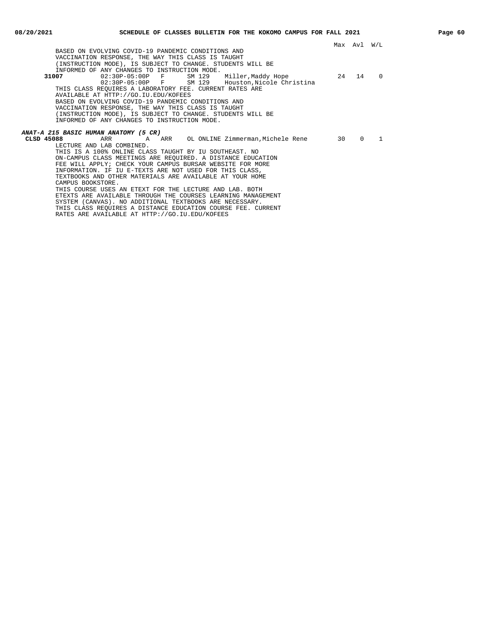Max Avl W/L BASED ON EVOLVING COVID-19 PANDEMIC CONDITIONS AND VACCINATION RESPONSE, THE WAY THIS CLASS IS TAUGHT (INSTRUCTION MODE), IS SUBJECT TO CHANGE. STUDENTS WILL BE INFORMED OF ANY CHANGES TO INSTRUCTION MODE.<br>31007 02:30P-05:00P F SM 129 **31007** 02:30P-05:00P F SM 129 Miller,Maddy Hope 24 14 0 02:30P-05:00P F SM 129 Houston,Nicole Christina THIS CLASS REQUIRES A LABORATORY FEE. CURRENT RATES ARE AVAILABLE AT HTTP://GO.IU.EDU/KOFEES BASED ON EVOLVING COVID-19 PANDEMIC CONDITIONS AND VACCINATION RESPONSE, THE WAY THIS CLASS IS TAUGHT (INSTRUCTION MODE), IS SUBJECT TO CHANGE. STUDENTS WILL BE INFORMED OF ANY CHANGES TO INSTRUCTION MODE. **ANAT-A 215 BASIC HUMAN ANATOMY (5 CR) A ARR** OL ONLINE Zimmerman,Michele Rene 30 0 1 LECTURE AND LAB COMBINED. THIS IS A 100% ONLINE CLASS TAUGHT BY IU SOUTHEAST. NO ON-CAMPUS CLASS MEETINGS ARE REQUIRED. A DISTANCE EDUCATION FEE WILL APPLY; CHECK YOUR CAMPUS BURSAR WEBSITE FOR MORE INFORMATION. IF IU E-TEXTS ARE NOT USED FOR THIS CLASS, TEXTBOOKS AND OTHER MATERIALS ARE AVAILABLE AT YOUR HOME CAMPUS BOOKSTORE. THIS COURSE USES AN ETEXT FOR THE LECTURE AND LAB. BOTH ETEXTS ARE AVAILABLE THROUGH THE COURSES LEARNING MANAGEMENT SYSTEM (CANVAS). NO ADDITIONAL TEXTBOOKS ARE NECESSARY. THIS CLASS REQUIRES A DISTANCE EDUCATION COURSE FEE. CURRENT RATES ARE AVAILABLE AT HTTP://GO.IU.EDU/KOFEES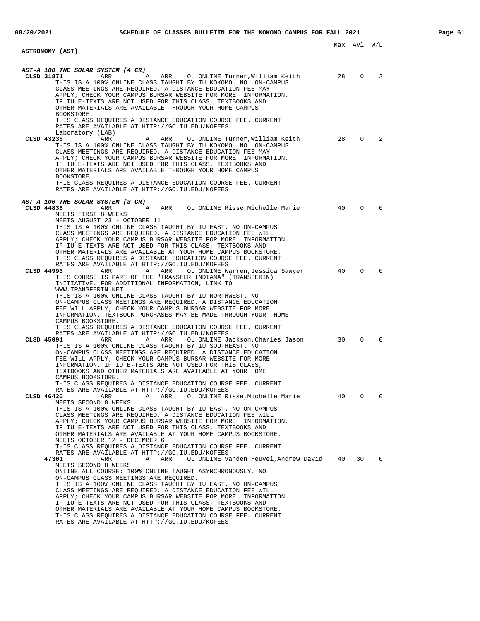| ASTRONOMY (AST)                                                                                                                                                                                                                                                                                                                                                                                                                                                                                                                                                                                                                                                         |    | Max Avl W/L    |             |
|-------------------------------------------------------------------------------------------------------------------------------------------------------------------------------------------------------------------------------------------------------------------------------------------------------------------------------------------------------------------------------------------------------------------------------------------------------------------------------------------------------------------------------------------------------------------------------------------------------------------------------------------------------------------------|----|----------------|-------------|
|                                                                                                                                                                                                                                                                                                                                                                                                                                                                                                                                                                                                                                                                         |    |                |             |
| AST-A 100 THE SOLAR SYSTEM (4 CR)<br>CLSD 31871<br>ARR<br>ARR OL ONLINE Turner, William Keith<br>A<br>THIS IS A 100% ONLINE CLASS TAUGHT BY IU KOKOMO. NO ON-CAMPUS<br>CLASS MEETINGS ARE REQUIRED. A DISTANCE EDUCATION FEE MAY<br>APPLY; CHECK YOUR CAMPUS BURSAR WEBSITE FOR MORE INFORMATION.<br>IF IU E-TEXTS ARE NOT USED FOR THIS CLASS, TEXTBOOKS AND<br>OTHER MATERIALS ARE AVAILABLE THROUGH YOUR HOME CAMPUS<br>BOOKSTORE.                                                                                                                                                                                                                                   | 28 | $\overline{0}$ | 2           |
| THIS CLASS REQUIRES A DISTANCE EDUCATION COURSE FEE. CURRENT<br>RATES ARE AVAILABLE AT HTTP://GO.IU.EDU/KOFEES<br>Laboratory (LAB)<br>$\sim$ 28<br>CLSD 43236<br>OL ONLINE Turner,William Keith<br>ARR<br>Α<br>ARR<br>THIS IS A 100% ONLINE CLASS TAUGHT BY IU KOKOMO. NO ON-CAMPUS<br>CLASS MEETINGS ARE REQUIRED. A DISTANCE EDUCATION FEE MAY<br>APPLY; CHECK YOUR CAMPUS BURSAR WEBSITE FOR MORE INFORMATION.<br>IF IU E-TEXTS ARE NOT USED FOR THIS CLASS, TEXTBOOKS AND<br>OTHER MATERIALS ARE AVAILABLE THROUGH YOUR HOME CAMPUS<br>BOOKSTORE.<br>THIS CLASS REQUIRES A DISTANCE EDUCATION COURSE FEE. CURRENT<br>RATES ARE AVAILABLE AT HTTP://GO.IU.EDU/KOFEES |    |                | $0\qquad 2$ |
| AST-A 100 THE SOLAR SYSTEM (3 CR)<br>A ARR OL ONLINE Risse, Michelle Marie 40<br>CLSD 44836<br>ARR<br>MEETS FIRST 8 WEEKS<br>MEETS AUGUST 23 - OCTOBER 11<br>THIS IS A 100% ONLINE CLASS TAUGHT BY IU EAST. NO ON-CAMPUS<br>CLASS MEETINGS ARE REQUIRED. A DISTANCE EDUCATION FEE WILL<br>APPLY; CHECK YOUR CAMPUS BURSAR WEBSITE FOR MORE INFORMATION.<br>IF IU E-TEXTS ARE NOT USED FOR THIS CLASS, TEXTBOOKS AND<br>OTHER MATERIALS ARE AVAILABLE AT YOUR HOME CAMPUS BOOKSTORE.<br>THIS CLASS REQUIRES A DISTANCE EDUCATION COURSE FEE. CURRENT<br>RATES ARE AVAILABLE AT HTTP://GO.IU.EDU/KOFEES                                                                   |    | $\mathbf{0}$   | $\Omega$    |
| 40<br>CLSD 44993<br>A ARR<br>ARR<br>OL ONLINE Warren,Jessica Sawyer<br>THIS COURSE IS PART OF THE "TRANSFER INDIANA" (TRANSFERIN)<br>INITIATIVE. FOR ADDITIONAL INFORMATION, LINK TO<br>WWW.TRANSFERIN.NET.<br>THIS IS A 100% ONLINE CLASS TAUGHT BY IU NORTHWEST. NO<br>ON-CAMPUS CLASS MEETINGS ARE REQUIRED. A DISTANCE EDUCATION<br>FEE WILL APPLY; CHECK YOUR CAMPUS BURSAR WEBSITE FOR MORE<br>INFORMATION. TEXTBOOK PURCHASES MAY BE MADE THROUGH YOUR HOME<br>CAMPUS BOOKSTORE.<br>THIS CLASS REQUIRES A DISTANCE EDUCATION COURSE FEE. CURRENT                                                                                                                 |    | $\mathbf{0}$   | $\mathbf 0$ |
| RATES ARE AVAILABLE AT HTTP://GO.IU.EDU/KOFEES<br>OL ONLINE Jackson, Charles Jason 30<br>CLSD 45091<br>ARR<br>ARR<br>Α<br>THIS IS A 100% ONLINE CLASS TAUGHT BY IU SOUTHEAST. NO<br>ON-CAMPUS CLASS MEETINGS ARE REQUIRED. A DISTANCE EDUCATION<br>FEE WILL APPLY; CHECK YOUR CAMPUS BURSAR WEBSITE FOR MORE<br>INFORMATION. IF IU E-TEXTS ARE NOT USED FOR THIS CLASS,<br>TEXTBOOKS AND OTHER MATERIALS ARE AVAILABLE AT YOUR HOME<br>CAMPUS BOOKSTORE.<br>THIS CLASS REQUIRES A DISTANCE EDUCATION COURSE FEE. CURRENT<br>RATES ARE AVAILABLE AT HTTP://GO.IU.EDU/KOFEES                                                                                              |    | $\mathbf{0}$   | $\Omega$    |
| CLSD 46420<br>ARR<br>ARR<br>OL ONLINE Risse, Michelle Marie<br>Α<br>MEETS SECOND 8 WEEKS<br>THIS IS A 100% ONLINE CLASS TAUGHT BY IU EAST. NO ON-CAMPUS<br>CLASS MEETINGS ARE REQUIRED. A DISTANCE EDUCATION FEE WILL<br>APPLY; CHECK YOUR CAMPUS BURSAR WEBSITE FOR MORE INFORMATION.<br>IF IU E-TEXTS ARE NOT USED FOR THIS CLASS, TEXTBOOKS AND<br>OTHER MATERIALS ARE AVAILABLE AT YOUR HOME CAMPUS BOOKSTORE.<br>MEETS OCTOBER 12 - DECEMBER 6<br>THIS CLASS REOUIRES A DISTANCE EDUCATION COURSE FEE. CURRENT<br>RATES ARE AVAILABLE AT HTTP://GO.IU.EDU/KOFEES                                                                                                   | 40 | 0              | 0           |
| 47301<br>OL ONLINE Vanden Heuvel, Andrew David 40<br>ARR<br>Α<br>ARR<br>MEETS SECOND 8 WEEKS<br>ONLINE ALL COURSE: 100% ONLINE TAUGHT ASYNCHRONOUSLY. NO<br>ON-CAMPUS CLASS MEETINGS ARE REQUIRED.<br>THIS IS A 100% ONLINE CLASS TAUGHT BY IU EAST. NO ON-CAMPUS<br>CLASS MEETINGS ARE REQUIRED. A DISTANCE EDUCATION FEE WILL<br>APPLY; CHECK YOUR CAMPUS BURSAR WEBSITE FOR MORE INFORMATION.<br>IF IU E-TEXTS ARE NOT USED FOR THIS CLASS, TEXTBOOKS AND<br>OTHER MATERIALS ARE AVAILABLE AT YOUR HOME CAMPUS BOOKSTORE.<br>THIS CLASS REQUIRES A DISTANCE EDUCATION COURSE FEE. CURRENT<br>RATES ARE AVAILABLE AT HTTP://GO.IU.EDU/KOFEES                          |    | 30             | 0           |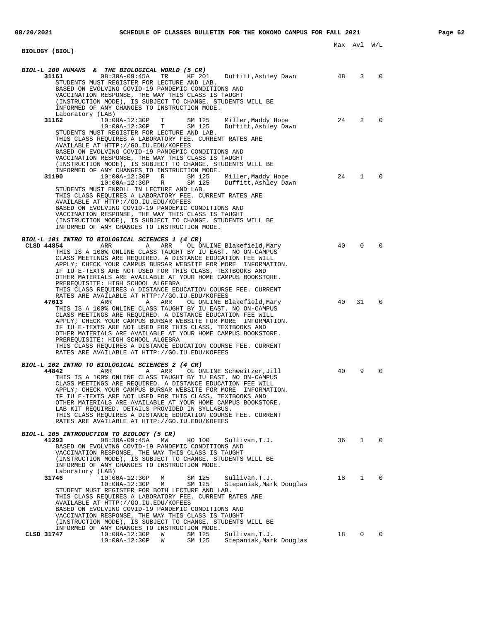| BIOLOGY (BIOL)                                                                                                                                                                                                                                                                                                                                                                                                                                                                                                                                                                                            |    | Max Avl W/L    |             |
|-----------------------------------------------------------------------------------------------------------------------------------------------------------------------------------------------------------------------------------------------------------------------------------------------------------------------------------------------------------------------------------------------------------------------------------------------------------------------------------------------------------------------------------------------------------------------------------------------------------|----|----------------|-------------|
| BIOL-L 100 HUMANS & THE BIOLOGICAL WORLD (5 CR)<br>$08:30A-09:45A$<br>TR<br>KE 201<br>31161<br>Duffitt,Ashley Dawn<br>STUDENTS MUST REGISTER FOR LECTURE AND LAB.<br>BASED ON EVOLVING COVID-19 PANDEMIC CONDITIONS AND<br>VACCINATION RESPONSE, THE WAY THIS CLASS IS TAUGHT<br>(INSTRUCTION MODE), IS SUBJECT TO CHANGE. STUDENTS WILL BE<br>INFORMED OF ANY CHANGES TO INSTRUCTION MODE.                                                                                                                                                                                                               | 48 | $\overline{3}$ | $\Omega$    |
| Laboratory (LAB)<br>31162<br>$10:00A-12:30P$<br>T –<br>SM 125<br>Miller,Maddy Hope<br>SM 125<br>$10:00A-12:30P$ T<br>Duffitt, Ashley Dawn<br>STUDENTS MUST REGISTER FOR LECTURE AND LAB.<br>THIS CLASS REQUIRES A LABORATORY FEE. CURRENT RATES ARE<br>AVAILABLE AT HTTP://GO.IU.EDU/KOFEES<br>BASED ON EVOLVING COVID-19 PANDEMIC CONDITIONS AND<br>VACCINATION RESPONSE, THE WAY THIS CLASS IS TAUGHT<br>(INSTRUCTION MODE), IS SUBJECT TO CHANGE. STUDENTS WILL BE<br>INFORMED OF ANY CHANGES TO INSTRUCTION MODE.                                                                                     | 24 | 2              | $\Omega$    |
| 31190<br>$10:00A-12:30P$ R<br>SM 125<br>Miller,Maddy Hope<br>SM 125<br>$10:00A-12:30P$ R<br>Duffitt,Ashley Dawn<br>STUDENTS MUST ENROLL IN LECTURE AND LAB.<br>THIS CLASS REQUIRES A LABORATORY FEE. CURRENT RATES ARE<br>AVAILABLE AT HTTP://GO.IU.EDU/KOFEES<br>BASED ON EVOLVING COVID-19 PANDEMIC CONDITIONS AND<br>VACCINATION RESPONSE, THE WAY THIS CLASS IS TAUGHT<br>(INSTRUCTION MODE), IS SUBJECT TO CHANGE. STUDENTS WILL BE<br>INFORMED OF ANY CHANGES TO INSTRUCTION MODE.                                                                                                                  | 24 | 1              | $\Omega$    |
| BIOL-L 101 INTRO TO BIOLOGICAL SCIENCES 1 (4 CR)<br>CLSD 44854<br>ARR<br>Α<br>ARR<br>OL ONLINE Blakefield, Mary<br>THIS IS A 100% ONLINE CLASS TAUGHT BY IU EAST. NO ON-CAMPUS<br>CLASS MEETINGS ARE REOUIRED. A DISTANCE EDUCATION FEE WILL<br>APPLY; CHECK YOUR CAMPUS BURSAR WEBSITE FOR MORE INFORMATION.<br>IF IU E-TEXTS ARE NOT USED FOR THIS CLASS, TEXTBOOKS AND<br>OTHER MATERIALS ARE AVAILABLE AT YOUR HOME CAMPUS BOOKSTORE.<br>PREREQUISITE: HIGH SCHOOL ALGEBRA<br>THIS CLASS REQUIRES A DISTANCE EDUCATION COURSE FEE. CURRENT<br>RATES ARE AVAILABLE AT HTTP://GO.IU.EDU/KOFEES          | 40 | $\mathbf 0$    | $\Omega$    |
| 47013<br>ARR<br>Α<br>ARR<br>OL ONLINE Blakefield, Mary<br>THIS IS A 100% ONLINE CLASS TAUGHT BY IU EAST. NO ON-CAMPUS<br>CLASS MEETINGS ARE REQUIRED. A DISTANCE EDUCATION FEE WILL<br>APPLY; CHECK YOUR CAMPUS BURSAR WEBSITE FOR MORE INFORMATION.<br>IF IU E-TEXTS ARE NOT USED FOR THIS CLASS, TEXTBOOKS AND<br>OTHER MATERIALS ARE AVAILABLE AT YOUR HOME CAMPUS BOOKSTORE.<br>PREREQUISITE: HIGH SCHOOL ALGEBRA<br>THIS CLASS REQUIRES A DISTANCE EDUCATION COURSE FEE. CURRENT<br>RATES ARE AVAILABLE AT HTTP://GO.IU.EDU/KOFEES                                                                   | 40 | 31             | 0           |
| BIOL-L 102 INTRO TO BIOLOGICAL SCIENCES 2 (4 CR)<br>44842<br>ARR<br>Α<br>ARR<br>OL ONLINE Schweitzer, Jill<br>THIS IS A 100% ONLINE CLASS TAUGHT BY IU EAST. NO ON-CAMPUS<br>CLASS MEETINGS ARE REQUIRED. A DISTANCE EDUCATION FEE WILL<br>APPLY; CHECK YOUR CAMPUS BURSAR WEBSITE FOR MORE INFORMATION.<br>IF IU E-TEXTS ARE NOT USED FOR THIS CLASS, TEXTBOOKS AND<br>OTHER MATERIALS ARE AVAILABLE AT YOUR HOME CAMPUS BOOKSTORE.<br>LAB KIT REQUIRED. DETAILS PROVIDED IN SYLLABUS.<br>THIS CLASS REOUIRES A DISTANCE EDUCATION COURSE FEE. CURRENT<br>RATES ARE AVAILABLE AT HTTP://GO.IU.EDU/KOFEES | 40 | 9              | 0           |
| BIOL-L 105 INTRODUCTION TO BIOLOGY (5 CR)<br>$08:30A-09:45A$<br>41293<br>MW<br>KO 100<br>Sullivan, T.J.<br>BASED ON EVOLVING COVID-19 PANDEMIC CONDITIONS AND<br>VACCINATION RESPONSE, THE WAY THIS CLASS IS TAUGHT<br>(INSTRUCTION MODE), IS SUBJECT TO CHANGE. STUDENTS WILL BE<br>INFORMED OF ANY CHANGES TO INSTRUCTION MODE.                                                                                                                                                                                                                                                                         | 36 | $\mathbf{1}$   | $\mathbf 0$ |
| Laboratory (LAB)<br>31746<br>$10:00A-12:30P$<br>SM 125<br>Sullivan, T.J.<br>М<br>SM 125<br>$10:00A-12:30P$<br>М<br>Stepaniak, Mark Douglas<br>STUDENT MUST REGISTER FOR BOTH LECTURE AND LAB.<br>THIS CLASS REQUIRES A LABORATORY FEE. CURRENT RATES ARE<br>AVAILABLE AT HTTP://GO.IU.EDU/KOFEES<br>BASED ON EVOLVING COVID-19 PANDEMIC CONDITIONS AND<br>VACCINATION RESPONSE, THE WAY THIS CLASS IS TAUGHT<br>(INSTRUCTION MODE), IS SUBJECT TO CHANGE. STUDENTS WILL BE                                                                                                                                | 18 | $\mathbf{1}$   | $\mathbf 0$ |
| INFORMED OF ANY CHANGES TO INSTRUCTION MODE.<br>$10:00A-12:30P$<br>CLSD 31747<br>W<br>SM 125<br>Sullivan, T.J.<br>$10:00A-12:30P$<br>SM 125<br>Stepaniak, Mark Douglas<br>W                                                                                                                                                                                                                                                                                                                                                                                                                               | 18 | 0              | $\mathbf 0$ |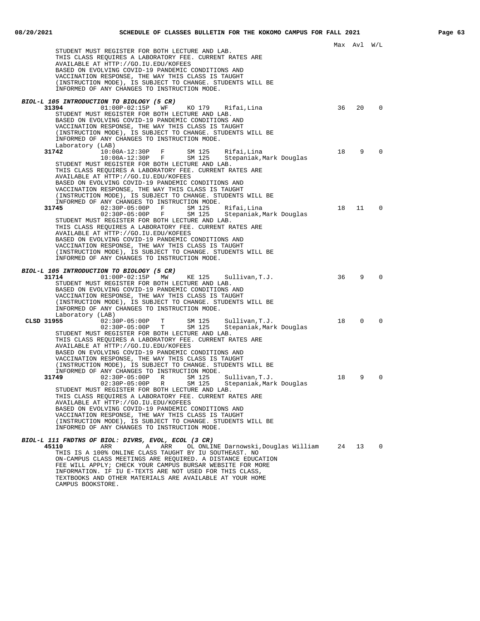CAMPUS BOOKSTORE.

Max Avl W/L

|            | STUDENT MUST REGISTER FOR BOTH LECTURE AND LAB.<br>THIS CLASS REQUIRES A LABORATORY FEE. CURRENT RATES ARE                                                                                                                                                                                                                                                                                                                                                                                                                           |    |          |                |
|------------|--------------------------------------------------------------------------------------------------------------------------------------------------------------------------------------------------------------------------------------------------------------------------------------------------------------------------------------------------------------------------------------------------------------------------------------------------------------------------------------------------------------------------------------|----|----------|----------------|
|            | AVAILABLE AT HTTP://GO.IU.EDU/KOFEES<br>BASED ON EVOLVING COVID-19 PANDEMIC CONDITIONS AND<br>VACCINATION RESPONSE, THE WAY THIS CLASS IS TAUGHT<br>(INSTRUCTION MODE), IS SUBJECT TO CHANGE. STUDENTS WILL BE<br>INFORMED OF ANY CHANGES TO INSTRUCTION MODE.                                                                                                                                                                                                                                                                       |    |          |                |
|            | BIOL-L 105 INTRODUCTION TO BIOLOGY (5 CR)                                                                                                                                                                                                                                                                                                                                                                                                                                                                                            |    |          |                |
| 31394      | $01:00P-02:15P$<br>WF<br>KO 179<br>Rifai, Lina<br>STUDENT MUST REGISTER FOR BOTH LECTURE AND LAB.<br>BASED ON EVOLVING COVID-19 PANDEMIC CONDITIONS AND<br>VACCINATION RESPONSE, THE WAY THIS CLASS IS TAUGHT<br>(INSTRUCTION MODE), IS SUBJECT TO CHANGE. STUDENTS WILL BE<br>INFORMED OF ANY CHANGES TO INSTRUCTION MODE.<br>Laboratory (LAB)                                                                                                                                                                                      | 36 | 20       | $\mathbf 0$    |
| 31742      | 10:00A-12:30P F<br>SM 125<br>Rifai,Lina<br>$10:00A-12:30P$ F<br>SM 125<br>Stepaniak, Mark Douglas<br>STUDENT MUST REGISTER FOR BOTH LECTURE AND LAB.<br>THIS CLASS REQUIRES A LABORATORY FEE. CURRENT RATES ARE<br>AVAILABLE AT HTTP://GO.IU.EDU/KOFEES<br>BASED ON EVOLVING COVID-19 PANDEMIC CONDITIONS AND<br>VACCINATION RESPONSE, THE WAY THIS CLASS IS TAUGHT<br>(INSTRUCTION MODE), IS SUBJECT TO CHANGE. STUDENTS WILL BE                                                                                                    | 18 | 9        | $\Omega$       |
| 31745      | INFORMED OF ANY CHANGES TO INSTRUCTION MODE.<br>$02:30P-05:00P$ F<br>SM 125<br>Rifai, Lina<br>$02:30P-05:00P$ F<br>SM 125<br>Stepaniak, Mark Douglas<br>STUDENT MUST REGISTER FOR BOTH LECTURE AND LAB.<br>THIS CLASS REQUIRES A LABORATORY FEE. CURRENT RATES ARE<br>AVAILABLE AT HTTP://GO.IU.EDU/KOFEES<br>BASED ON EVOLVING COVID-19 PANDEMIC CONDITIONS AND<br>VACCINATION RESPONSE, THE WAY THIS CLASS IS TAUGHT<br>(INSTRUCTION MODE), IS SUBJECT TO CHANGE. STUDENTS WILL BE<br>INFORMED OF ANY CHANGES TO INSTRUCTION MODE. | 18 | 11       | $\overline{0}$ |
| 31714      | BIOL-L 105 INTRODUCTION TO BIOLOGY (5 CR)<br>$01:00P-02:15P$ MW<br>KE 125<br>Sullivan, T.J.                                                                                                                                                                                                                                                                                                                                                                                                                                          | 36 | 9        | 0              |
|            | STUDENT MUST REGISTER FOR BOTH LECTURE AND LAB.<br>BASED ON EVOLVING COVID-19 PANDEMIC CONDITIONS AND<br>VACCINATION RESPONSE, THE WAY THIS CLASS IS TAUGHT<br>(INSTRUCTION MODE), IS SUBJECT TO CHANGE. STUDENTS WILL BE<br>INFORMED OF ANY CHANGES TO INSTRUCTION MODE.<br>Laboratory (LAB)                                                                                                                                                                                                                                        |    |          |                |
| CLSD 31955 | $02:30P-05:00P$<br>T<br>SM 125<br>Sullivan, T.J.<br>$02:30P-05:00P$ T<br>SM 125<br>Stepaniak, Mark Douglas                                                                                                                                                                                                                                                                                                                                                                                                                           | 18 | $\Omega$ | 0              |
|            | STUDENT MUST REGISTER FOR BOTH LECTURE AND LAB.<br>THIS CLASS REQUIRES A LABORATORY FEE. CURRENT RATES ARE<br>AVAILABLE AT HTTP://GO.IU.EDU/KOFEES<br>BASED ON EVOLVING COVID-19 PANDEMIC CONDITIONS AND<br>VACCINATION RESPONSE, THE WAY THIS CLASS IS TAUGHT<br>(INSTRUCTION MODE), IS SUBJECT TO CHANGE. STUDENTS WILL BE<br>INFORMED OF ANY CHANGES TO INSTRUCTION MODE.                                                                                                                                                         |    |          |                |
| 31749      | SM 125<br>$02:30P-05:00P$<br>R<br>Sullivan, T.J.<br>$02:30P-05:00P$<br>R<br>SM 125<br>Stepaniak, Mark Douglas<br>STUDENT MUST REGISTER FOR BOTH LECTURE AND LAB.<br>THIS CLASS REQUIRES A LABORATORY FEE. CURRENT RATES ARE<br>AVAILABLE AT HTTP://GO.IU.EDU/KOFEES<br>BASED ON EVOLVING COVID-19 PANDEMIC CONDITIONS AND                                                                                                                                                                                                            | 18 | 9        | $\Omega$       |
|            | VACCINATION RESPONSE, THE WAY THIS CLASS IS TAUGHT<br>(INSTRUCTION MODE), IS SUBJECT TO CHANGE. STUDENTS WILL BE<br>INFORMED OF ANY CHANGES TO INSTRUCTION MODE.                                                                                                                                                                                                                                                                                                                                                                     |    |          |                |
| 45110      | BIOL-L 111 FNDTNS OF BIOL: DIVRS, EVOL, ECOL (3 CR)<br>ARR<br>Α<br>ARR<br>OL ONLINE Darnowski,Douglas William                                                                                                                                                                                                                                                                                                                                                                                                                        | 24 | 13       | $\Omega$       |
|            | THIS IS A 100% ONLINE CLASS TAUGHT BY IU SOUTHEAST. NO<br>ON-CAMPUS CLASS MEETINGS ARE REQUIRED. A DISTANCE EDUCATION<br>FEE WILL APPLY; CHECK YOUR CAMPUS BURSAR WEBSITE FOR MORE<br>INFORMATION. IF IU E-TEXTS ARE NOT USED FOR THIS CLASS,<br>TEXTBOOKS AND OTHER MATERIALS ARE AVAILABLE AT YOUR HOME                                                                                                                                                                                                                            |    |          |                |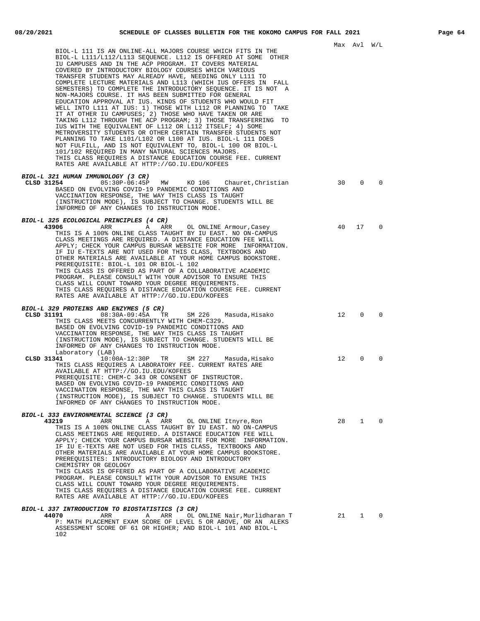| BIOL-L 111 IS AN ONLINE-ALL MAJORS COURSE WHICH FITS IN THE<br>BIOL-L L111/L112/L113 SEQUENCE. L112 IS OFFERED AT SOME OTHER<br>IU CAMPUSES AND IN THE ACP PROGRAM. IT COVERS MATERIAL<br>COVERED BY INTRODUCTORY BIOLOGY COURSES WHICH VARIOUS<br>TRANSFER STUDENTS MAY ALREADY HAVE, NEEDING ONLY L111 TO<br>COMPLETE LECTURE MATERIALS AND L113 (WHICH IUS OFFERS IN FALL<br>SEMESTERS) TO COMPLETE THE INTRODUCTORY SEQUENCE. IT IS NOT A<br>NON-MAJORS COURSE. IT HAS BEEN SUBMITTED FOR GENERAL<br>EDUCATION APPROVAL AT IUS. KINDS OF STUDENTS WHO WOULD FIT<br>WELL INTO L111 AT IUS: 1) THOSE WITH L112 OR PLANNING TO TAKE<br>IT AT OTHER IU CAMPUSES; 2) THOSE WHO HAVE TAKEN OR ARE                                                                           |    | Max Avl W/L  |             |
|---------------------------------------------------------------------------------------------------------------------------------------------------------------------------------------------------------------------------------------------------------------------------------------------------------------------------------------------------------------------------------------------------------------------------------------------------------------------------------------------------------------------------------------------------------------------------------------------------------------------------------------------------------------------------------------------------------------------------------------------------------------------------|----|--------------|-------------|
| TAKING L112 THROUGH THE ACP PROGRAM; 3) THOSE TRANSFERRING TO<br>IUS WITH THE EQUIVALENT OF L112 OR L112 ITSELF; 4) SOME<br>METROVERSITY STUDENTS OR OTHER CERTAIN TRANSFER STUDENTS NOT<br>PLANNING TO TAKE L101/L102 OR L100 AT IUS. BIOL-L 111 DOES<br>NOT FULFILL, AND IS NOT EQUIVALENT TO, BIOL-L 100 OR BIOL-L<br>101/102 REQUIRED IN MANY NATURAL SCIENCES MAJORS.<br>THIS CLASS REQUIRES A DISTANCE EDUCATION COURSE FEE. CURRENT<br>RATES ARE AVAILABLE AT HTTP://GO.IU.EDU/KOFEES                                                                                                                                                                                                                                                                              |    |              |             |
| BIOL-L 321 HUMAN IMMUNOLOGY (3 CR)<br>CLSD 31254<br>05:30P-06:45P MW<br>KO 106<br>Chauret,Christian<br>BASED ON EVOLVING COVID-19 PANDEMIC CONDITIONS AND<br>VACCINATION RESPONSE, THE WAY THIS CLASS IS TAUGHT<br>(INSTRUCTION MODE), IS SUBJECT TO CHANGE. STUDENTS WILL BE<br>INFORMED OF ANY CHANGES TO INSTRUCTION MODE.                                                                                                                                                                                                                                                                                                                                                                                                                                             | 30 | $\Omega$     | $\Omega$    |
| <i>BIOL-L 325 ECOLOGICAL PRINCIPLES (4 CR)</i><br>43906<br>ARR<br>A<br>ARR<br>OL ONLINE Armour, Casey<br>THIS IS A 100% ONLINE CLASS TAUGHT BY IU EAST. NO ON-CAMPUS<br>CLASS MEETINGS ARE REQUIRED. A DISTANCE EDUCATION FEE WILL<br>APPLY; CHECK YOUR CAMPUS BURSAR WEBSITE FOR MORE INFORMATION.<br>IF IU E-TEXTS ARE NOT USED FOR THIS CLASS, TEXTBOOKS AND<br>OTHER MATERIALS ARE AVAILABLE AT YOUR HOME CAMPUS BOOKSTORE.<br>PREREQUISITE: BIOL-L 101 OR BIOL-L 102<br>THIS CLASS IS OFFERED AS PART OF A COLLABORATIVE ACADEMIC<br>PROGRAM. PLEASE CONSULT WITH YOUR ADVISOR TO ENSURE THIS<br>CLASS WILL COUNT TOWARD YOUR DEGREE REQUIREMENTS.<br>THIS CLASS REQUIRES A DISTANCE EDUCATION COURSE FEE. CURRENT<br>RATES ARE AVAILABLE AT HTTP://GO.IU.EDU/KOFEES | 40 | 17           | $\mathbf 0$ |
| BIOL-L 329 PROTEINS AND ENZYMES (5 CR)<br>CLSD 31191<br>08:30A-09:45A TR<br>SM 226<br>Masuda,Hisako<br>THIS CLASS MEETS CONCURRENTLY WITH CHEM-C329.<br>BASED ON EVOLVING COVID-19 PANDEMIC CONDITIONS AND<br>VACCINATION RESPONSE, THE WAY THIS CLASS IS TAUGHT<br>(INSTRUCTION MODE), IS SUBJECT TO CHANGE. STUDENTS WILL BE<br>INFORMED OF ANY CHANGES TO INSTRUCTION MODE.                                                                                                                                                                                                                                                                                                                                                                                            | 12 | $\Omega$     | $\Omega$    |
| Laboratory (LAB)<br>CLSD 31341<br>10:00A-12:30P TR SM 227<br>Masuda,Hisako<br>THIS CLASS REOUIRES A LABORATORY FEE. CURRENT RATES ARE<br>AVAILABLE AT HTTP://GO.IU.EDU/KOFEES<br>PREREQUISITE: CHEM-C 343 OR CONSENT OF INSTRUCTOR.<br>BASED ON EVOLVING COVID-19 PANDEMIC CONDITIONS AND<br>VACCINATION RESPONSE, THE WAY THIS CLASS IS TAUGHT<br>(INSTRUCTION MODE), IS SUBJECT TO CHANGE. STUDENTS WILL BE<br>INFORMED OF ANY CHANGES TO INSTRUCTION MODE.                                                                                                                                                                                                                                                                                                             | 12 | 0            | 0           |
| BIOL-L 333 ENVIRONMENTAL SCIENCE (3 CR)                                                                                                                                                                                                                                                                                                                                                                                                                                                                                                                                                                                                                                                                                                                                   |    |              |             |
| 43219<br>ARR<br>Α<br>ARR<br>OL ONLINE Itnyre, Ron<br>THIS IS A 100% ONLINE CLASS TAUGHT BY IU EAST. NO ON-CAMPUS<br>CLASS MEETINGS ARE REQUIRED. A DISTANCE EDUCATION FEE WILL<br>APPLY; CHECK YOUR CAMPUS BURSAR WEBSITE FOR MORE INFORMATION.<br>IF IU E-TEXTS ARE NOT USED FOR THIS CLASS, TEXTBOOKS AND<br>OTHER MATERIALS ARE AVAILABLE AT YOUR HOME CAMPUS BOOKSTORE.<br>PREREQUISITES: INTRODUCTORY BIOLOGY AND INTRODUCTORY<br>CHEMISTRY OR GEOLOGY<br>THIS CLASS IS OFFERED AS PART OF A COLLABORATIVE ACADEMIC                                                                                                                                                                                                                                                  | 28 | $\mathbf{1}$ | $\mathbf 0$ |
| PROGRAM. PLEASE CONSULT WITH YOUR ADVISOR TO ENSURE THIS<br>CLASS WILL COUNT TOWARD YOUR DEGREE REQUIREMENTS.<br>THIS CLASS REQUIRES A DISTANCE EDUCATION COURSE FEE. CURRENT<br>RATES ARE AVAILABLE AT HTTP://GO.IU.EDU/KOFEES                                                                                                                                                                                                                                                                                                                                                                                                                                                                                                                                           |    |              |             |
| <i>BIOL-L 337 INTRODUCTION TO BIOSTATISTICS (3 CR)</i><br>44070<br>ARR<br>OL ONLINE Nair, Murlidharan T<br>Α<br>ARR<br>P: MATH PLACEMENT EXAM SCORE OF LEVEL 5 OR ABOVE, OR AN ALEKS<br>ASSESSMENT SCORE OF 61 OR HIGHER; AND BIOL-L 101 AND BIOL-L<br>102                                                                                                                                                                                                                                                                                                                                                                                                                                                                                                                | 21 | $\mathbf{1}$ | $\mathbf 0$ |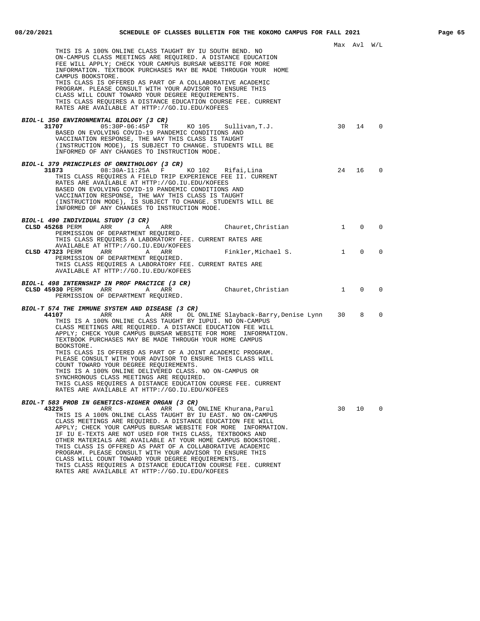| THIS IS A 100% ONLINE CLASS TAUGHT BY IU SOUTH BEND. NO<br>ON-CAMPUS CLASS MEETINGS ARE REQUIRED. A DISTANCE EDUCATION<br>FEE WILL APPLY; CHECK YOUR CAMPUS BURSAR WEBSITE FOR MORE<br>INFORMATION. TEXTBOOK PURCHASES MAY BE MADE THROUGH YOUR HOME                                                                                    |              | Max Avl W/L  |             |
|-----------------------------------------------------------------------------------------------------------------------------------------------------------------------------------------------------------------------------------------------------------------------------------------------------------------------------------------|--------------|--------------|-------------|
| CAMPUS BOOKSTORE.<br>THIS CLASS IS OFFERED AS PART OF A COLLABORATIVE ACADEMIC<br>PROGRAM. PLEASE CONSULT WITH YOUR ADVISOR TO ENSURE THIS<br>CLASS WILL COUNT TOWARD YOUR DEGREE REQUIREMENTS.<br>THIS CLASS REQUIRES A DISTANCE EDUCATION COURSE FEE. CURRENT<br>RATES ARE AVAILABLE AT HTTP://GO.IU.EDU/KOFEES                       |              |              |             |
| BIOL-L 350 ENVIRONMENTAL BIOLOGY (3 CR)<br>KO 105 Sullivan, T.J.<br>31707<br>$05:30P-06:45P$ TR                                                                                                                                                                                                                                         | 30           | 14           | $\Omega$    |
| BASED ON EVOLVING COVID-19 PANDEMIC CONDITIONS AND<br>VACCINATION RESPONSE, THE WAY THIS CLASS IS TAUGHT<br>(INSTRUCTION MODE), IS SUBJECT TO CHANGE. STUDENTS WILL BE<br>INFORMED OF ANY CHANGES TO INSTRUCTION MODE.                                                                                                                  |              |              |             |
| BIOL-L 379 PRINCIPLES OF ORNITHOLOGY (3 CR)<br>31873<br>08:30A-11:25A F KO 102 Rifai, Lina                                                                                                                                                                                                                                              | 24           | 16           | $\Omega$    |
| THIS CLASS REQUIRES A FIELD TRIP EXPERIENCE FEE II. CURRENT<br>RATES ARE AVAILABLE AT HTTP://GO.IU.EDU/KOFEES<br>BASED ON EVOLVING COVID-19 PANDEMIC CONDITIONS AND<br>VACCINATION RESPONSE, THE WAY THIS CLASS IS TAUGHT<br>(INSTRUCTION MODE), IS SUBJECT TO CHANGE. STUDENTS WILL BE<br>INFORMED OF ANY CHANGES TO INSTRUCTION MODE. |              |              |             |
|                                                                                                                                                                                                                                                                                                                                         |              |              |             |
| BIOL-L 490 INDIVIDUAL STUDY (3 CR)<br>CLSD 45268 PERM ARR<br>Chauret, Christian<br>Α<br>ARR<br>PERMISSION OF DEPARTMENT REQUIRED.                                                                                                                                                                                                       | $\mathbf{1}$ | $\Omega$     | $\Omega$    |
| THIS CLASS REQUIRES A LABORATORY FEE. CURRENT RATES ARE<br>AVAILABLE AT HTTP://GO.IU.EDU/KOFEES<br>CLSD 47323 PERM<br>ARR<br>A ARR<br>Finkler,Michael S.                                                                                                                                                                                | $\mathbf{1}$ | $\mathbf{0}$ | $\mathbf 0$ |
| PERMISSION OF DEPARTMENT REQUIRED.<br>THIS CLASS REQUIRES A LABORATORY FEE. CURRENT RATES ARE<br>AVAILABLE AT HTTP://GO.IU.EDU/KOFEES                                                                                                                                                                                                   |              |              |             |
| <i>BIOL-L 498 INTERNSHIP IN PROF PRACTICE (3 CR)</i><br>Chauret, Christian<br>CLSD 45930 PERM ARR<br>A <sub>a</sub><br>ARR                                                                                                                                                                                                              | $\mathbf{1}$ | $\mathbf{0}$ | $\mathbf 0$ |
| PERMISSION OF DEPARTMENT REQUIRED.                                                                                                                                                                                                                                                                                                      |              |              |             |
| BIOL-T 574 THE IMMUNE SYSTEM AND DISEASE (3 CR)<br>A ARR OL ONLINE Slayback-Barry, Denise Lynn 30<br>44107<br>ARR                                                                                                                                                                                                                       |              | 8            | 0           |
| THIS IS A 100% ONLINE CLASS TAUGHT BY IUPUI. NO ON-CAMPUS<br>CLASS MEETINGS ARE REQUIRED. A DISTANCE EDUCATION FEE WILL<br>APPLY; CHECK YOUR CAMPUS BURSAR WEBSITE FOR MORE INFORMATION.<br>TEXTBOOK PURCHASES MAY BE MADE THROUGH YOUR HOME CAMPUS                                                                                     |              |              |             |
| BOOKSTORE.<br>THIS CLASS IS OFFERED AS PART OF A JOINT ACADEMIC PROGRAM.<br>PLEASE CONSULT WITH YOUR ADVISOR TO ENSURE THIS CLASS WILL<br>COUNT TOWARD YOUR DEGREE REQUIREMENTS.                                                                                                                                                        |              |              |             |
| THIS IS A 100% ONLINE DELIVERED CLASS. NO ON-CAMPUS OR<br>SYNCHRONOUS CLASS MEETINGS ARE REQUIRED.<br>THIS CLASS REQUIRES A DISTANCE EDUCATION COURSE FEE. CURRENT                                                                                                                                                                      |              |              |             |
| RATES ARE AVAILABLE AT HTTP://GO.IU.EDU/KOFEES                                                                                                                                                                                                                                                                                          |              |              |             |
| BIOL-T 583 PROB IN GENETICS-HIGHER ORGAN (3 CR)                                                                                                                                                                                                                                                                                         |              |              |             |
| 43225<br>ARR<br>ARR<br>OL ONLINE Khurana, Parul<br>Α<br>THIS IS A 100% ONLINE CLASS TAUGHT BY IU EAST. NO ON-CAMPUS<br>CLASS MEETINGS ARE REQUIRED. A DISTANCE EDUCATION FEE WILL<br>APPLY; CHECK YOUR CAMPUS BURSAR WEBSITE FOR MORE<br>INFORMATION.                                                                                   | 30           | 10           | 0           |
| IF IU E-TEXTS ARE NOT USED FOR THIS CLASS, TEXTBOOKS AND<br>OTHER MATERIALS ARE AVAILABLE AT YOUR HOME CAMPUS BOOKSTORE.<br>THIS CLASS IS OFFERED AS PART OF A COLLABORATIVE ACADEMIC<br>PROGRAM. PLEASE CONSULT WITH YOUR ADVISOR TO ENSURE THIS                                                                                       |              |              |             |
| CLASS WILL COUNT TOWARD YOUR DEGREE REOUIREMENTS.<br>THIS CLASS REQUIRES A DISTANCE EDUCATION COURSE FEE. CURRENT                                                                                                                                                                                                                       |              |              |             |

RATES ARE AVAILABLE AT HTTP://GO.IU.EDU/KOFEES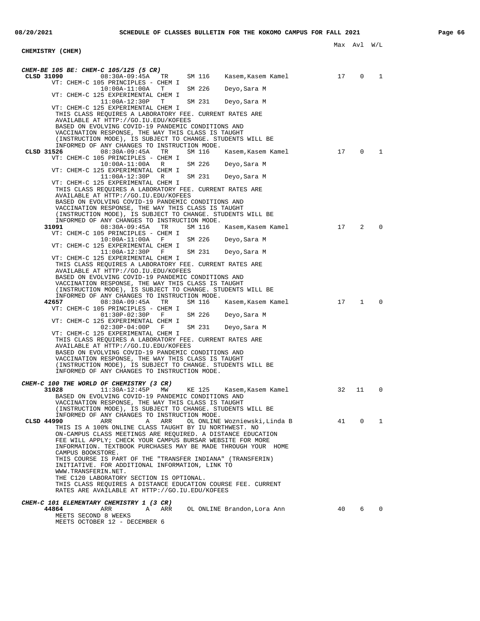**CHEMISTRY (CHEM)**

## Max Avl W/L

| CHEM-BE 105 BE: CHEM-C 105/125 (5 CR)                                                                                    |    |             |             |
|--------------------------------------------------------------------------------------------------------------------------|----|-------------|-------------|
| CLSD 31090<br>08:30A-09:45A<br>SM 116<br>TR<br>Kasem,Kasem Kamel<br>VT: CHEM-C 105 PRINCIPLES - CHEM I                   | 17 | 0           | 1           |
| $10:00A-11:00A$<br>SM 226<br>$\mathbf{T}$<br>Deyo,Sara M                                                                 |    |             |             |
| VT: CHEM-C 125 EXPERIMENTAL CHEM I                                                                                       |    |             |             |
| $11:00A-12:30P$<br>SM 231<br>т<br>Deyo,Sara M<br>VT: CHEM-C 125 EXPERIMENTAL CHEM I                                      |    |             |             |
| THIS CLASS REQUIRES A LABORATORY FEE. CURRENT RATES ARE                                                                  |    |             |             |
| AVAILABLE AT HTTP://GO.IU.EDU/KOFEES<br>BASED ON EVOLVING COVID-19 PANDEMIC CONDITIONS AND                               |    |             |             |
| VACCINATION RESPONSE, THE WAY THIS CLASS IS TAUGHT                                                                       |    |             |             |
| (INSTRUCTION MODE), IS SUBJECT TO CHANGE. STUDENTS WILL BE                                                               |    |             |             |
| INFORMED OF ANY CHANGES TO INSTRUCTION MODE.<br>08:30A-09:45A<br>SM 116<br>CLSD 31526<br>TR<br>Kasem,Kasem Kamel         | 17 | 0           | 1           |
| VT: CHEM-C 105 PRINCIPLES - CHEM I                                                                                       |    |             |             |
| $10:00A-11:00A$<br>SM 226<br>R<br>Deyo,Sara M                                                                            |    |             |             |
| VT: CHEM-C 125 EXPERIMENTAL CHEM I<br>$11:00A-12:30P$<br>SM 231<br>R<br>Deyo,Sara M                                      |    |             |             |
| VT: CHEM-C 125 EXPERIMENTAL CHEM I                                                                                       |    |             |             |
| THIS CLASS REQUIRES A LABORATORY FEE. CURRENT RATES ARE                                                                  |    |             |             |
| AVAILABLE AT HTTP://GO.IU.EDU/KOFEES<br>BASED ON EVOLVING COVID-19 PANDEMIC CONDITIONS AND                               |    |             |             |
| VACCINATION RESPONSE, THE WAY THIS CLASS IS TAUGHT                                                                       |    |             |             |
| (INSTRUCTION MODE), IS SUBJECT TO CHANGE. STUDENTS WILL BE                                                               |    |             |             |
| INFORMED OF ANY CHANGES TO INSTRUCTION MODE.<br>31091<br>08:30A-09:45A<br>SM 116<br>TR<br>Kasem,Kasem Kamel              | 17 | 2           | $\mathbf 0$ |
| VT: CHEM-C 105 PRINCIPLES - CHEM I                                                                                       |    |             |             |
| $10:00A-11:00A$<br>SM 226<br>$\mathbf{F}$<br>Deyo,Sara M<br>VT: CHEM-C 125 EXPERIMENTAL CHEM I                           |    |             |             |
| $11:00A-12:30P$<br>SM 231<br>$\mathbf{F}$<br>Deyo, Sara M                                                                |    |             |             |
| VT: CHEM-C 125 EXPERIMENTAL CHEM I                                                                                       |    |             |             |
| THIS CLASS REOUIRES A LABORATORY FEE. CURRENT RATES ARE<br>AVAILABLE AT HTTP://GO.IU.EDU/KOFEES                          |    |             |             |
| BASED ON EVOLVING COVID-19 PANDEMIC CONDITIONS AND                                                                       |    |             |             |
| VACCINATION RESPONSE, THE WAY THIS CLASS IS TAUGHT                                                                       |    |             |             |
| (INSTRUCTION MODE), IS SUBJECT TO CHANGE. STUDENTS WILL BE<br>INFORMED OF ANY CHANGES TO INSTRUCTION MODE.               |    |             |             |
| 42657<br>08:30A-09:45A<br>TR<br>SM 116<br>Kasem,Kasem Kamel                                                              | 17 | 1           | $\mathbf 0$ |
| VT: CHEM-C 105 PRINCIPLES - CHEM I<br>$01:30P-02:30P$<br>SM 226<br>$\mathbf{F}$<br>Deyo,Sara M                           |    |             |             |
| VT: CHEM-C 125 EXPERIMENTAL CHEM I                                                                                       |    |             |             |
| SM 231<br>$02:30P-04:00P$<br>– F<br>Deyo,Sara M                                                                          |    |             |             |
| VT: CHEM-C 125 EXPERIMENTAL CHEM I<br>THIS CLASS REQUIRES A LABORATORY FEE. CURRENT RATES ARE                            |    |             |             |
| AVAILABLE AT HTTP://GO.IU.EDU/KOFEES                                                                                     |    |             |             |
| BASED ON EVOLVING COVID-19 PANDEMIC CONDITIONS AND                                                                       |    |             |             |
| VACCINATION RESPONSE, THE WAY THIS CLASS IS TAUGHT<br>(INSTRUCTION MODE), IS SUBJECT TO CHANGE. STUDENTS WILL BE         |    |             |             |
| INFORMED OF ANY CHANGES TO INSTRUCTION MODE.                                                                             |    |             |             |
| CHEM-C 100 THE WORLD OF CHEMISTRY (3 CR)                                                                                 |    |             |             |
| 31028<br>$11:30A-12:45P$<br>KE 125<br>MM<br>Kasem, Kasem Kamel                                                           | 32 | 11          | 0           |
| BASED ON EVOLVING COVID-19 PANDEMIC CONDITIONS AND                                                                       |    |             |             |
| VACCINATION RESPONSE, THE WAY THIS CLASS IS TAUGHT<br>(INSTRUCTION MODE), IS SUBJECT TO CHANGE. STUDENTS WILL BE         |    |             |             |
| INFORMED OF ANY CHANGES TO INSTRUCTION MODE.                                                                             |    |             |             |
| CLSD 44990<br>ARR<br>ARR<br>OL ONLINE Wozniewski, Linda B<br>Α<br>THIS IS A 100% ONLINE CLASS TAUGHT BY IU NORTHWEST. NO | 41 | $\mathbf 0$ | 1           |
| ON-CAMPUS CLASS MEETINGS ARE REOUIRED. A DISTANCE EDUCATION                                                              |    |             |             |
| FEE WILL APPLY; CHECK YOUR CAMPUS BURSAR WEBSITE FOR MORE                                                                |    |             |             |
| INFORMATION. TEXTBOOK PURCHASES MAY BE MADE THROUGH YOUR HOME<br>CAMPUS BOOKSTORE.                                       |    |             |             |
| THIS COURSE IS PART OF THE "TRANSFER INDIANA" (TRANSFERIN)                                                               |    |             |             |
| INITIATIVE. FOR ADDITIONAL INFORMATION, LINK TO                                                                          |    |             |             |
| WWW.TRANSFERIN.NET.<br>THE C120 LABORATORY SECTION IS OPTIONAL.                                                          |    |             |             |
| THIS CLASS REOUIRES A DISTANCE EDUCATION COURSE FEE. CURRENT                                                             |    |             |             |
| RATES ARE AVAILABLE AT HTTP://GO.IU.EDU/KOFEES                                                                           |    |             |             |
| CHEM-C 101 ELEMENTARY CHEMISTRY 1 (3 CR)                                                                                 |    |             |             |
| 44864<br>ARR<br>Α<br>ARR<br>OL ONLINE Brandon, Lora Ann                                                                  | 40 | 6           | 0           |
| MEETS SECOND 8 WEEKS<br>MEETS OCTOBER 12 - DECEMBER 6                                                                    |    |             |             |
|                                                                                                                          |    |             |             |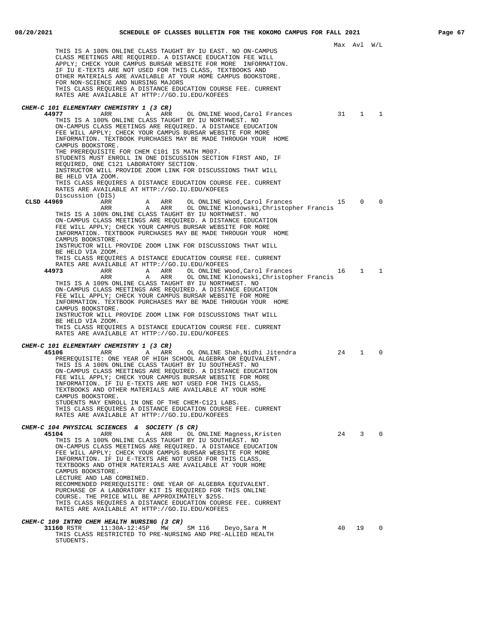|                                                                                                                                                                                                                                                                                                                                                                                                                                                                                                                                                                                                                                                                                                                              |       | Max Avl      | W/L         |  |
|------------------------------------------------------------------------------------------------------------------------------------------------------------------------------------------------------------------------------------------------------------------------------------------------------------------------------------------------------------------------------------------------------------------------------------------------------------------------------------------------------------------------------------------------------------------------------------------------------------------------------------------------------------------------------------------------------------------------------|-------|--------------|-------------|--|
| THIS IS A 100% ONLINE CLASS TAUGHT BY IU EAST. NO ON-CAMPUS<br>CLASS MEETINGS ARE REQUIRED. A DISTANCE EDUCATION FEE WILL<br>APPLY; CHECK YOUR CAMPUS BURSAR WEBSITE FOR MORE INFORMATION.<br>IF IU E-TEXTS ARE NOT USED FOR THIS CLASS, TEXTBOOKS AND<br>OTHER MATERIALS ARE AVAILABLE AT YOUR HOME CAMPUS BOOKSTORE.<br>FOR NON-SCIENCE AND NURSING MAJORS<br>THIS CLASS REQUIRES A DISTANCE EDUCATION COURSE FEE. CURRENT<br>RATES ARE AVAILABLE AT HTTP://GO.IU.EDU/KOFEES                                                                                                                                                                                                                                               |       |              |             |  |
| CHEM-C 101 ELEMENTARY CHEMISTRY 1 (3 CR)                                                                                                                                                                                                                                                                                                                                                                                                                                                                                                                                                                                                                                                                                     |       |              |             |  |
| 44977<br>ARR<br>Α<br>ARR<br>OL ONLINE Wood, Carol Frances<br>THIS IS A 100% ONLINE CLASS TAUGHT BY IU NORTHWEST. NO<br>ON-CAMPUS CLASS MEETINGS ARE REQUIRED. A DISTANCE EDUCATION<br>FEE WILL APPLY; CHECK YOUR CAMPUS BURSAR WEBSITE FOR MORE<br>INFORMATION. TEXTBOOK PURCHASES MAY BE MADE THROUGH YOUR HOME<br>CAMPUS BOOKSTORE.                                                                                                                                                                                                                                                                                                                                                                                        | 31    | 1            | 1           |  |
| THE PREREQUISITE FOR CHEM C101 IS MATH M007.<br>STUDENTS MUST ENROLL IN ONE DISCUSSION SECTION FIRST AND, IF<br>REQUIRED, ONE C121 LABORATORY SECTION.<br>INSTRUCTOR WILL PROVIDE ZOOM LINK FOR DISCUSSIONS THAT WILL                                                                                                                                                                                                                                                                                                                                                                                                                                                                                                        |       |              |             |  |
| BE HELD VIA ZOOM.<br>THIS CLASS REQUIRES A DISTANCE EDUCATION COURSE FEE. CURRENT<br>RATES ARE AVAILABLE AT HTTP://GO.IU.EDU/KOFEES<br>Discussion (DIS)                                                                                                                                                                                                                                                                                                                                                                                                                                                                                                                                                                      |       |              |             |  |
| CLSD 44969<br>ARR<br>OL ONLINE Wood, Carol Frances<br>ARR<br>A                                                                                                                                                                                                                                                                                                                                                                                                                                                                                                                                                                                                                                                               | 15    | $\mathbf 0$  | $\mathbf 0$ |  |
| ARR<br>$\mathbf{A}$<br>ARR<br>OL ONLINE Klonowski, Christopher Francis<br>THIS IS A 100% ONLINE CLASS TAUGHT BY IU NORTHWEST. NO<br>ON-CAMPUS CLASS MEETINGS ARE REQUIRED. A DISTANCE EDUCATION<br>FEE WILL APPLY; CHECK YOUR CAMPUS BURSAR WEBSITE FOR MORE<br>INFORMATION. TEXTBOOK PURCHASES MAY BE MADE THROUGH YOUR HOME<br>CAMPUS BOOKSTORE.                                                                                                                                                                                                                                                                                                                                                                           |       |              |             |  |
| INSTRUCTOR WILL PROVIDE ZOOM LINK FOR DISCUSSIONS THAT WILL<br>BE HELD VIA ZOOM.<br>THIS CLASS REQUIRES A DISTANCE EDUCATION COURSE FEE. CURRENT                                                                                                                                                                                                                                                                                                                                                                                                                                                                                                                                                                             |       |              |             |  |
| RATES ARE AVAILABLE AT HTTP://GO.IU.EDU/KOFEES                                                                                                                                                                                                                                                                                                                                                                                                                                                                                                                                                                                                                                                                               |       |              |             |  |
| 44973<br>OL ONLINE Wood, Carol Frances<br>ARR<br>A<br>ARR<br>ARR<br>ARR<br>OL ONLINE Klonowski, Christopher Francis<br>A<br>THIS IS A 100% ONLINE CLASS TAUGHT BY IU NORTHWEST. NO<br>ON-CAMPUS CLASS MEETINGS ARE REQUIRED. A DISTANCE EDUCATION<br>FEE WILL APPLY; CHECK YOUR CAMPUS BURSAR WEBSITE FOR MORE<br>INFORMATION. TEXTBOOK PURCHASES MAY BE MADE THROUGH YOUR HOME<br>CAMPUS BOOKSTORE.                                                                                                                                                                                                                                                                                                                         | 16    | $\mathbf{1}$ | 1           |  |
| INSTRUCTOR WILL PROVIDE ZOOM LINK FOR DISCUSSIONS THAT WILL<br>BE HELD VIA ZOOM.<br>THIS CLASS REQUIRES A DISTANCE EDUCATION COURSE FEE. CURRENT<br>RATES ARE AVAILABLE AT HTTP://GO.IU.EDU/KOFEES                                                                                                                                                                                                                                                                                                                                                                                                                                                                                                                           |       |              |             |  |
| CHEM-C 101 ELEMENTARY CHEMISTRY 1 (3 CR)<br>45106<br>ARR<br>ARR<br>A<br>OL ONLINE Shah, Nidhi Jitendra<br>PREREQUISITE: ONE YEAR OF HIGH SCHOOL ALGEBRA OR EQUIVALENT.<br>THIS IS A 100% ONLINE CLASS TAUGHT BY IU SOUTHEAST. NO<br>ON-CAMPUS CLASS MEETINGS ARE REQUIRED. A DISTANCE EDUCATION<br>FEE WILL APPLY; CHECK YOUR CAMPUS BURSAR WEBSITE FOR MORE<br>INFORMATION. IF IU E-TEXTS ARE NOT USED FOR THIS CLASS,<br>TEXTBOOKS AND OTHER MATERIALS ARE AVAILABLE AT YOUR HOME<br>CAMPUS BOOKSTORE.<br>STUDENTS MAY ENROLL IN ONE OF THE CHEM-C121 LABS.<br>THIS CLASS REQUIRES A DISTANCE EDUCATION COURSE FEE. CURRENT<br>RATES ARE AVAILABLE AT HTTP://GO.IU.EDU/KOFEES                                              | 24    | $\mathbf{1}$ | $\mathbf 0$ |  |
| <i>CHEM-C 104 PHYSICAL SCIENCES &amp; SOCIETY (5 CR)</i><br>45104<br>ARR<br>A<br>ARR<br>OL ONLINE Magness, Kristen<br>THIS IS A 100% ONLINE CLASS TAUGHT BY IU SOUTHEAST. NO<br>ON-CAMPUS CLASS MEETINGS ARE REQUIRED. A DISTANCE EDUCATION<br>FEE WILL APPLY; CHECK YOUR CAMPUS BURSAR WEBSITE FOR MORE<br>INFORMATION. IF IU E-TEXTS ARE NOT USED FOR THIS CLASS,<br>TEXTBOOKS AND OTHER MATERIALS ARE AVAILABLE AT YOUR HOME<br>CAMPUS BOOKSTORE.<br>LECTURE AND LAB COMBINED.<br>RECOMMENDED PREREQUISITE: ONE YEAR OF ALGEBRA EQUIVALENT.<br>PURCHASE OF A LABORATORY KIT IS REQUIRED FOR THIS ONLINE<br>COURSE. THE PRICE WILL BE APPROXIMATELY \$255.<br>THIS CLASS REQUIRES A DISTANCE EDUCATION COURSE FEE. CURRENT | 24    | $\mathbf{3}$ | $\Omega$    |  |
| RATES ARE AVAILABLE AT HTTP://GO.IU.EDU/KOFEES<br>CHEM-C 109 INTRO CHEM HEALTH NURSING (3 CR)<br>11:30A-12:45P MW<br>31160 RSTR<br>SM 116<br>Deyo,Sara M<br>THIS CLASS RESTRICTED TO PRE-NURSING AND PRE-ALLIED HEALTH                                                                                                                                                                                                                                                                                                                                                                                                                                                                                                       | 40 19 |              | $\mathbf 0$ |  |
| STUDENTS.                                                                                                                                                                                                                                                                                                                                                                                                                                                                                                                                                                                                                                                                                                                    |       |              |             |  |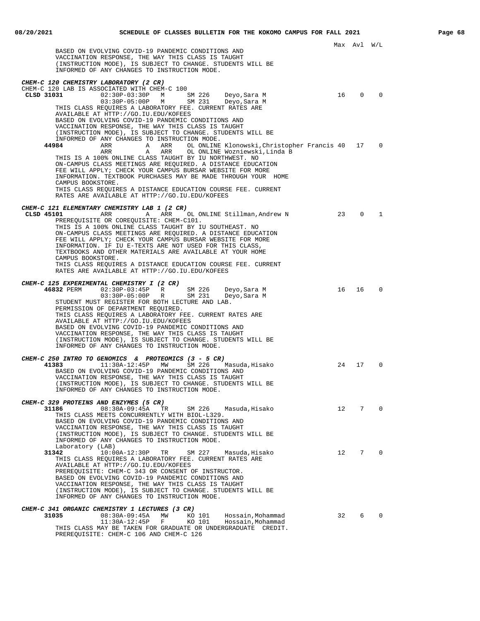Max Avl W/L BASED ON EVOLVING COVID-19 PANDEMIC CONDITIONS AND VACCINATION RESPONSE, THE WAY THIS CLASS IS TAUGHT (INSTRUCTION MODE), IS SUBJECT TO CHANGE. STUDENTS WILL BE INFORMED OF ANY CHANGES TO INSTRUCTION MODE. **CHEM-C 120 CHEMISTRY LABORATORY (2 CR)** CHEM-C 120 LAB IS ASSOCIATED WITH CHEM-C 100<br> **CLSD 31031** 02:30P-03:30P M **CLSD 31031** 02:30P-03:30P M SM 226 Deyo,Sara M 16 0 0 03:30P-05:00P M SM 231 Deyo,Sara M THIS CLASS REQUIRES A LABORATORY FEE. CURRENT RATES ARE AVAILABLE AT HTTP://GO.IU.EDU/KOFEES BASED ON EVOLVING COVID-19 PANDEMIC CONDITIONS AND VACCINATION RESPONSE, THE WAY THIS CLASS IS TAUGHT (INSTRUCTION MODE), IS SUBJECT TO CHANGE. STUDENTS WILL BE INFORMED OF ANY CHANGES TO INSTRUCTION MODE.<br>44984 ARR ARR ARR OLONLINE **44984** ARR A ARR OL ONLINE Klonowski,Christopher Francis 40 17 0 ARR A ARR OL ONLINE Wozniewski,Linda B THIS IS A 100% ONLINE CLASS TAUGHT BY IU NORTHWEST. NO ON-CAMPUS CLASS MEETINGS ARE REQUIRED. A DISTANCE EDUCATION FEE WILL APPLY; CHECK YOUR CAMPUS BURSAR WEBSITE FOR MORE INFORMATION. TEXTBOOK PURCHASES MAY BE MADE THROUGH YOUR HOME CAMPUS BOOKSTORE. THIS CLASS REQUIRES A DISTANCE EDUCATION COURSE FEE. CURRENT RATES ARE AVAILABLE AT HTTP://GO.IU.EDU/KOFEES **CHEM-C 121 ELEMENTARY CHEMISTRY LAB 1 (2 CR)** A ARR OL ONLINE Stillman, Andrew N 23 0 1 PREREQUISITE OR COREQUISITE: CHEM-C101. THIS IS A 100% ONLINE CLASS TAUGHT BY IU SOUTHEAST. NO ON-CAMPUS CLASS MEETINGS ARE REQUIRED. A DISTANCE EDUCATION FEE WILL APPLY; CHECK YOUR CAMPUS BURSAR WEBSITE FOR MORE INFORMATION. IF IU E-TEXTS ARE NOT USED FOR THIS CLASS, TEXTBOOKS AND OTHER MATERIALS ARE AVAILABLE AT YOUR HOME CAMPUS BOOKSTORE. THIS CLASS REQUIRES A DISTANCE EDUCATION COURSE FEE. CURRENT RATES ARE AVAILABLE AT HTTP://GO.IU.EDU/KOFEES **CHEM-C 125 EXPERIMENTAL CHEMISTRY I (2 CR) 46832** PERM 02:30P-03:45P R SM 226 Deyo,Sara M 16 16 0 03:30P-05:00P R SM 231 Deyo,Sara M STUDENT MUST REGISTER FOR BOTH LECTURE AND LAB. PERMISSION OF DEPARTMENT REQUIRED. THIS CLASS REQUIRES A LABORATORY FEE. CURRENT RATES ARE AVAILABLE AT HTTP://GO.IU.EDU/KOFEES BASED ON EVOLVING COVID-19 PANDEMIC CONDITIONS AND VACCINATION RESPONSE, THE WAY THIS CLASS IS TAUGHT (INSTRUCTION MODE), IS SUBJECT TO CHANGE. STUDENTS WILL BE INFORMED OF ANY CHANGES TO INSTRUCTION MODE. **CHEM-C 250 INTRO TO GENOMICS & PROTEOMICS (3 - 5 CR)**<br>41383 11:30A-12:45P MW SM 226 1 **41383** 11:30A-12:45P MW SM 226 Masuda,Hisako 24 17 0 BASED ON EVOLVING COVID-19 PANDEMIC CONDITIONS AND VACCINATION RESPONSE, THE WAY THIS CLASS IS TAUGHT (INSTRUCTION MODE), IS SUBJECT TO CHANGE. STUDENTS WILL BE INFORMED OF ANY CHANGES TO INSTRUCTION MODE. **CHEM-C 329 PROTEINS AND ENZYMES (5 CR)**<br>31186 08:30A-09:45A TF **31186** 08:30A-09:45A TR SM 226 Masuda,Hisako 12 7 0 THIS CLASS MEETS CONCURRENTLY WITH BIOL-L329. BASED ON EVOLVING COVID-19 PANDEMIC CONDITIONS AND VACCINATION RESPONSE, THE WAY THIS CLASS IS TAUGHT (INSTRUCTION MODE), IS SUBJECT TO CHANGE. STUDENTS WILL BE INFORMED OF ANY CHANGES TO INSTRUCTION MODE. Laboratory (LAB)<br>31342 10:00 **31342** 10:00A-12:30P TR SM 227 Masuda,Hisako 12 7 0 THIS CLASS REQUIRES A LABORATORY FEE. CURRENT RATES ARE AVAILABLE AT HTTP://GO.IU.EDU/KOFEES PREREQUISITE: CHEM-C 343 OR CONSENT OF INSTRUCTOR. BASED ON EVOLVING COVID-19 PANDEMIC CONDITIONS AND VACCINATION RESPONSE, THE WAY THIS CLASS IS TAUGHT (INSTRUCTION MODE), IS SUBJECT TO CHANGE. STUDENTS WILL BE INFORMED OF ANY CHANGES TO INSTRUCTION MODE. **CHEM-C 341 ORGANIC CHEMISTRY 1 LECTURES (3 CR) 31035** 08:30A-09:45A MW KO 101 Hossain,Mohammad 32 6 0 11:30A-12:45P F KO 101 Hossain,Mohammad THIS CLASS MAY BE TAKEN FOR GRADUATE OR UNDERGRADUATE CREDIT. PREREQUISITE: CHEM-C 106 AND CHEM-C 126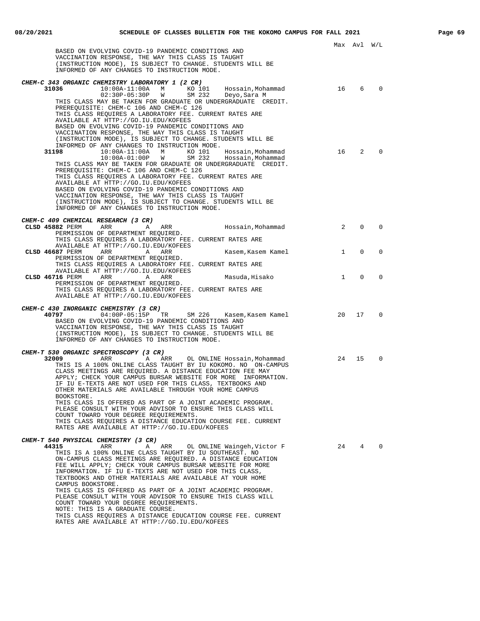|                                                                                                                            |              | Max Avl     | W/L         |
|----------------------------------------------------------------------------------------------------------------------------|--------------|-------------|-------------|
| BASED ON EVOLVING COVID-19 PANDEMIC CONDITIONS AND                                                                         |              |             |             |
| VACCINATION RESPONSE, THE WAY THIS CLASS IS TAUGHT<br>(INSTRUCTION MODE), IS SUBJECT TO CHANGE. STUDENTS WILL BE           |              |             |             |
| INFORMED OF ANY CHANGES TO INSTRUCTION MODE.                                                                               |              |             |             |
| CHEM-C 343 ORGANIC CHEMISTRY LABORATORY 1 (2 CR)                                                                           |              |             |             |
| 31036<br>10:00A-11:00A M KO 101 Hossain,Mohammad<br>02:30P-05:30P W SM 232 Deyo,Sara-M                                     | 16           | 6           | $\Omega$    |
| THIS CLASS MAY BE TAKEN FOR GRADUATE OR UNDERGRADUATE CREDIT.                                                              |              |             |             |
| PREREQUISITE: CHEM-C 106 AND CHEM-C 126                                                                                    |              |             |             |
| THIS CLASS REQUIRES A LABORATORY FEE. CURRENT RATES ARE<br>AVAILABLE AT HTTP://GO.IU.EDU/KOFEES                            |              |             |             |
| BASED ON EVOLVING COVID-19 PANDEMIC CONDITIONS AND                                                                         |              |             |             |
| VACCINATION RESPONSE, THE WAY THIS CLASS IS TAUGHT<br>(INSTRUCTION MODE), IS SUBJECT TO CHANGE. STUDENTS WILL BE           |              |             |             |
| INFORMED OF ANY CHANGES TO INSTRUCTION MODE.                                                                               |              |             |             |
| 31198<br>10:00A-11:00A M KO 101<br>Hossain,Mohammad<br>10:00A-01:00P W<br>SM 232<br>Hossain, Mohammad                      | 16           | 2           |             |
| THIS CLASS MAY BE TAKEN FOR GRADUATE OR UNDERGRADUATE CREDIT.                                                              |              |             |             |
| PREREQUISITE: CHEM-C 106 AND CHEM-C 126                                                                                    |              |             |             |
| THIS CLASS REQUIRES A LABORATORY FEE. CURRENT RATES ARE<br>AVAILABLE AT HTTP://GO.IU.EDU/KOFEES                            |              |             |             |
| BASED ON EVOLVING COVID-19 PANDEMIC CONDITIONS AND                                                                         |              |             |             |
| VACCINATION RESPONSE, THE WAY THIS CLASS IS TAUGHT<br>(INSTRUCTION MODE), IS SUBJECT TO CHANGE. STUDENTS WILL BE           |              |             |             |
| INFORMED OF ANY CHANGES TO INSTRUCTION MODE.                                                                               |              |             |             |
| CHEM-C 409 CHEMICAL RESEARCH (3 CR)                                                                                        |              |             |             |
| CLSD 45882 PERM<br>ARR<br>ARR<br>Hossain,Mohammad<br>A                                                                     | 2            | $\Omega$    | $\Omega$    |
| PERMISSION OF DEPARTMENT REQUIRED.<br>THIS CLASS REOUIRES A LABORATORY FEE. CURRENT RATES ARE                              |              |             |             |
| AVAILABLE AT HTTP://GO.IU.EDU/KOFEES                                                                                       |              |             |             |
| CLSD 46687 PERM<br>ARR<br>Kasem,Kasem Kamel<br>A<br>ARR<br>PERMISSION OF DEPARTMENT REQUIRED.                              | $\mathbf{1}$ | $\Omega$    | $\mathbf 0$ |
| THIS CLASS REOUIRES A LABORATORY FEE. CURRENT RATES ARE                                                                    |              |             |             |
| AVAILABLE AT HTTP://GO.IU.EDU/KOFEES<br>CLSD 46716 PERM<br>ARR<br>Masuda,Hisako<br>A<br>ARR                                | $\mathbf{1}$ | $\mathbf 0$ | $\Omega$    |
| PERMISSION OF DEPARTMENT REQUIRED.                                                                                         |              |             |             |
| THIS CLASS REQUIRES A LABORATORY FEE. CURRENT RATES ARE<br>AVAILABLE AT HTTP://GO.IU.EDU/KOFEES                            |              |             |             |
|                                                                                                                            |              |             |             |
| CHEM-C 430 INORGANIC CHEMISTRY (3 CR)<br>40797 2002<br>$04:00P-05:15P$ TR<br>SM 226    Kasem,Kasem Kamel                   | 20           | 17          | $\mathbf 0$ |
| BASED ON EVOLVING COVID-19 PANDEMIC CONDITIONS AND                                                                         |              |             |             |
| VACCINATION RESPONSE, THE WAY THIS CLASS IS TAUGHT<br>(INSTRUCTION MODE), IS SUBJECT TO CHANGE. STUDENTS WILL BE           |              |             |             |
| INFORMED OF ANY CHANGES TO INSTRUCTION MODE.                                                                               |              |             |             |
| CHEM-T 530 ORGANIC SPECTROSCOPY (3 CR)                                                                                     |              |             |             |
| 32009<br>ARR<br>A ARR<br>OL ONLINE Hossain, Mohammad                                                                       | 24           | 15          | $\mathbf 0$ |
| THIS IS A 100% ONLINE CLASS TAUGHT BY IU KOKOMO. NO ON-CAMPUS<br>CLASS MEETINGS ARE REQUIRED. A DISTANCE EDUCATION FEE MAY |              |             |             |
| APPLY; CHECK YOUR CAMPUS BURSAR WEBSITE FOR MORE INFORMATION.                                                              |              |             |             |
| IF IU E-TEXTS ARE NOT USED FOR THIS CLASS, TEXTBOOKS AND                                                                   |              |             |             |
| OTHER MATERIALS ARE AVAILABLE THROUGH YOUR HOME CAMPUS<br>BOOKSTORE.                                                       |              |             |             |
| THIS CLASS IS OFFERED AS PART OF A JOINT ACADEMIC PROGRAM.<br>PLEASE CONSULT WITH YOUR ADVISOR TO ENSURE THIS CLASS WILL   |              |             |             |
| COUNT TOWARD YOUR DEGREE REQUIREMENTS.                                                                                     |              |             |             |
| THIS CLASS REOUIRES A DISTANCE EDUCATION COURSE FEE. CURRENT                                                               |              |             |             |
| RATES ARE AVAILABLE AT HTTP://GO.IU.EDU/KOFEES                                                                             |              |             |             |
| CHEM-T 540 PHYSICAL CHEMISTRY (3 CR)                                                                                       |              |             |             |
| 44315<br>ARR<br>ARR<br>OL ONLINE Waingeh, Victor F<br>Α<br>THIS IS A 100% ONLINE CLASS TAUGHT BY IU SOUTHEAST. NO          | 24           | 4           |             |
| ON-CAMPUS CLASS MEETINGS ARE REQUIRED. A DISTANCE EDUCATION                                                                |              |             |             |
| FEE WILL APPLY; CHECK YOUR CAMPUS BURSAR WEBSITE FOR MORE<br>INFORMATION. IF IU E-TEXTS ARE NOT USED FOR THIS CLASS,       |              |             |             |
| TEXTBOOKS AND OTHER MATERIALS ARE AVAILABLE AT YOUR HOME                                                                   |              |             |             |
| CAMPUS BOOKSTORE.<br>THIS CLASS IS OFFERED AS PART OF A JOINT ACADEMIC PROGRAM.                                            |              |             |             |
| PLEASE CONSULT WITH YOUR ADVISOR TO ENSURE THIS CLASS WILL                                                                 |              |             |             |
| COUNT TOWARD YOUR DEGREE REQUIREMENTS.<br>NOTE: THIS IS A GRADUATE COURSE.                                                 |              |             |             |
| THIS CLASS REQUIRES A DISTANCE EDUCATION COURSE FEE. CURRENT                                                               |              |             |             |

RATES ARE AVAILABLE AT HTTP://GO.IU.EDU/KOFEES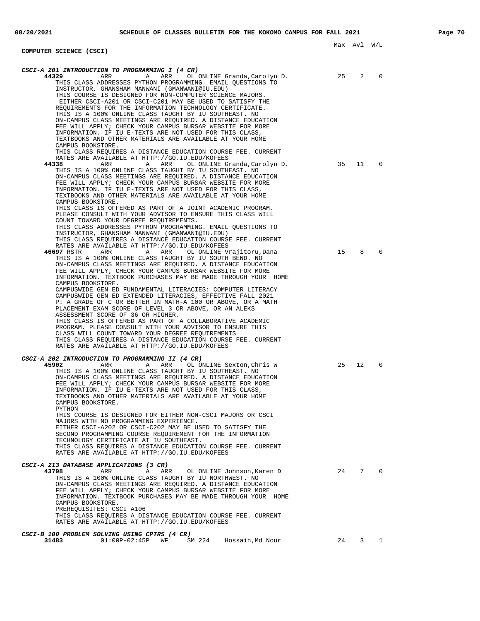## **COMPUTER SCIENCE (CSCI)**

| CSCI-A 201 INTRODUCTION TO PROGRAMMING I (4 CR)                                                                                                                                                                                                                                                                                                                                                                                                                                                                                                                                                                                                                                        |    |    |             |
|----------------------------------------------------------------------------------------------------------------------------------------------------------------------------------------------------------------------------------------------------------------------------------------------------------------------------------------------------------------------------------------------------------------------------------------------------------------------------------------------------------------------------------------------------------------------------------------------------------------------------------------------------------------------------------------|----|----|-------------|
| 44329<br>ARR<br>ARR<br>OL ONLINE Granda, Carolyn D.<br>Α<br>THIS CLASS ADDRESSES PYTHON PROGRAMMING. EMAIL QUESTIONS TO<br>INSTRUCTOR, GHANSHAM MANWANI (GMANWANI@IU.EDU)<br>THIS COURSE IS DESIGNED FOR NON-COMPUTER SCIENCE MAJORS.<br>EITHER CSCI-A201 OR CSCI-C201 MAY BE USED TO SATISFY THE<br>REQUIREMENTS FOR THE INFORMATION TECHNOLOGY CERTIFICATE.<br>THIS IS A 100% ONLINE CLASS TAUGHT BY IU SOUTHEAST. NO<br>ON-CAMPUS CLASS MEETINGS ARE REOUIRED. A DISTANCE EDUCATION<br>FEE WILL APPLY; CHECK YOUR CAMPUS BURSAR WEBSITE FOR MORE<br>INFORMATION. IF IU E-TEXTS ARE NOT USED FOR THIS CLASS,<br>TEXTBOOKS AND OTHER MATERIALS ARE AVAILABLE AT YOUR HOME             | 25 | 2  | $\Omega$    |
| CAMPUS BOOKSTORE.<br>THIS CLASS REQUIRES A DISTANCE EDUCATION COURSE FEE. CURRENT<br>RATES ARE AVAILABLE AT HTTP://GO.IU.EDU/KOFEES                                                                                                                                                                                                                                                                                                                                                                                                                                                                                                                                                    |    |    |             |
| 44338<br>ARR<br>Α<br>ARR<br>OL ONLINE Granda, Carolyn D.<br>THIS IS A 100% ONLINE CLASS TAUGHT BY IU SOUTHEAST. NO<br>ON-CAMPUS CLASS MEETINGS ARE REQUIRED. A DISTANCE EDUCATION<br>FEE WILL APPLY; CHECK YOUR CAMPUS BURSAR WEBSITE FOR MORE<br>INFORMATION. IF IU E-TEXTS ARE NOT USED FOR THIS CLASS,<br>TEXTBOOKS AND OTHER MATERIALS ARE AVAILABLE AT YOUR HOME<br>CAMPUS BOOKSTORE.<br>THIS CLASS IS OFFERED AS PART OF A JOINT ACADEMIC PROGRAM.                                                                                                                                                                                                                               | 35 | 11 | $\mathbf 0$ |
| PLEASE CONSULT WITH YOUR ADVISOR TO ENSURE THIS CLASS WILL<br>COUNT TOWARD YOUR DEGREE REQUIREMENTS.<br>THIS CLASS ADDRESSES PYTHON PROGRAMMING. EMAIL QUESTIONS TO<br>INSTRUCTOR, GHANSHAM MANWANI (GMANWANI@IU.EDU)<br>THIS CLASS REQUIRES A DISTANCE EDUCATION COURSE FEE. CURRENT                                                                                                                                                                                                                                                                                                                                                                                                  |    |    |             |
| RATES ARE AVAILABLE AT HTTP://GO.IU.EDU/KOFEES<br>46697 RSTR<br>ARR<br>ARR<br>Α<br>OL ONLINE Vrajitoru, Dana<br>THIS IS A 100% ONLINE CLASS TAUGHT BY IU SOUTH BEND. NO<br>ON-CAMPUS CLASS MEETINGS ARE REQUIRED. A DISTANCE EDUCATION<br>FEE WILL APPLY; CHECK YOUR CAMPUS BURSAR WEBSITE FOR MORE<br>INFORMATION. TEXTBOOK PURCHASES MAY BE MADE THROUGH YOUR HOME<br>CAMPUS BOOKSTORE.<br>CAMPUSWIDE GEN ED FUNDAMENTAL LITERACIES: COMPUTER LITERACY<br>CAMPUSWIDE GEN ED EXTENDED LITERACIES, EFFECTIVE FALL 2021<br>P: A GRADE OF C OR BETTER IN MATH-A 100 OR ABOVE, OR A MATH<br>PLACEMENT EXAM SCORE OF LEVEL 3 OR ABOVE, OR AN ALEKS<br>ASSESSMENT SCORE OF 36 OR HIGHER.    | 15 | 8  | 0           |
| THIS CLASS IS OFFERED AS PART OF A COLLABORATIVE ACADEMIC<br>PROGRAM. PLEASE CONSULT WITH YOUR ADVISOR TO ENSURE THIS<br>CLASS WILL COUNT TOWARD YOUR DEGREE REQUIREMENTS<br>THIS CLASS REQUIRES A DISTANCE EDUCATION COURSE FEE. CURRENT<br>RATES ARE AVAILABLE AT HTTP://GO.IU.EDU/KOFEES                                                                                                                                                                                                                                                                                                                                                                                            |    |    |             |
| CSCI-A 202 INTRODUCTION TO PROGRAMMING II (4 CR)<br>45902<br>ARR<br>ARR<br>OL ONLINE Sexton, Chris W<br>Α<br>THIS IS A 100% ONLINE CLASS TAUGHT BY IU SOUTHEAST. NO<br>ON-CAMPUS CLASS MEETINGS ARE REQUIRED. A DISTANCE EDUCATION<br>FEE WILL APPLY; CHECK YOUR CAMPUS BURSAR WEBSITE FOR MORE<br>INFORMATION. IF IU E-TEXTS ARE NOT USED FOR THIS CLASS,<br>TEXTBOOKS AND OTHER MATERIALS ARE AVAILABLE AT YOUR HOME<br>CAMPUS BOOKSTORE.<br>PYTHON<br>THIS COURSE IS DESIGNED FOR EITHER NON-CSCI MAJORS OR CSCI<br>MAJORS WITH NO PROGRAMMING EXPERIENCE.<br>EITHER CSCI-A202 OR CSCI-C202 MAY BE USED TO SATISFY THE<br>SECOND PROGRAMMING COURSE REOUIREMENT FOR THE INFORMATION | 25 | 12 | 0           |
| TECHNOLOGY CERTIFICATE AT IU SOUTHEAST.<br>THIS CLASS REQUIRES A DISTANCE EDUCATION COURSE FEE. CURRENT<br>RATES ARE AVAILABLE AT HTTP://GO.IU.EDU/KOFEES                                                                                                                                                                                                                                                                                                                                                                                                                                                                                                                              |    |    |             |
| <i>CSCI-A 213 DATABASE APPLICATIONS (3 CR)</i><br>43798<br>ARR<br>Α<br>ARR<br>OL ONLINE Johnson, Karen D<br>THIS IS A 100% ONLINE CLASS TAUGHT BY IU NORTHWEST. NO<br>ON-CAMPUS CLASS MEETINGS ARE REQUIRED. A DISTANCE EDUCATION<br>FEE WILL APPLY; CHECK YOUR CAMPUS BURSAR WEBSITE FOR MORE<br>INFORMATION. TEXTBOOK PURCHASES MAY BE MADE THROUGH YOUR HOME<br>CAMPUS BOOKSTORE.<br>PREREQUISITES: CSCI A106<br>THIS CLASS REQUIRES A DISTANCE EDUCATION COURSE FEE. CURRENT<br>RATES ARE AVAILABLE AT HTTP://GO.IU.EDU/KOFEES                                                                                                                                                     | 24 | 7  | $\Omega$    |
| CSCI-B 100 PROBLEM SOLVING USING CPTRS (4 CR)<br>31483<br>$01:00P-02:45P$<br>SM 224<br>Hossain, Md Nour<br>WF                                                                                                                                                                                                                                                                                                                                                                                                                                                                                                                                                                          | 24 | 3  | 1           |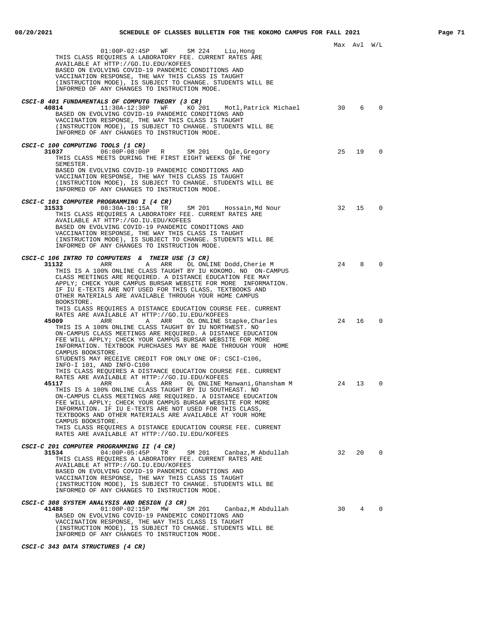| 01:00P-02:45P WF SM 224<br>Liu,Hong<br>THIS CLASS REQUIRES A LABORATORY FEE. CURRENT RATES ARE                                                                                                                                                                                                                                                                                                                                                                                                                                                                                                                                                                    |    | MAX AVI W/L |             |
|-------------------------------------------------------------------------------------------------------------------------------------------------------------------------------------------------------------------------------------------------------------------------------------------------------------------------------------------------------------------------------------------------------------------------------------------------------------------------------------------------------------------------------------------------------------------------------------------------------------------------------------------------------------------|----|-------------|-------------|
| AVAILABLE AT HTTP://GO.IU.EDU/KOFEES<br>BASED ON EVOLVING COVID-19 PANDEMIC CONDITIONS AND<br>VACCINATION RESPONSE, THE WAY THIS CLASS IS TAUGHT<br>(INSTRUCTION MODE), IS SUBJECT TO CHANGE. STUDENTS WILL BE<br>INFORMED OF ANY CHANGES TO INSTRUCTION MODE.                                                                                                                                                                                                                                                                                                                                                                                                    |    |             |             |
| CSCI-B 401 FUNDAMENTALS OF COMPUTG THEORY (3 CR)<br>40814<br>11:30A-12:30P WF KO 201 Motl, Patrick Michael<br>BASED ON EVOLVING COVID-19 PANDEMIC CONDITIONS AND<br>VACCINATION RESPONSE, THE WAY THIS CLASS IS TAUGHT<br>(INSTRUCTION MODE), IS SUBJECT TO CHANGE. STUDENTS WILL BE<br>INFORMED OF ANY CHANGES TO INSTRUCTION MODE.                                                                                                                                                                                                                                                                                                                              | 30 | 6           | $\mathbf 0$ |
| CSCI-C 100 COMPUTING TOOLS (1 CR)<br>06:00P-08:00P R SM 201 Ogle, Gregory<br>31037<br>THIS CLASS MEETS DURING THE FIRST EIGHT WEEKS OF THE<br>SEMESTER.<br>BASED ON EVOLVING COVID-19 PANDEMIC CONDITIONS AND<br>VACCINATION RESPONSE, THE WAY THIS CLASS IS TAUGHT<br>(INSTRUCTION MODE), IS SUBJECT TO CHANGE. STUDENTS WILL BE<br>INFORMED OF ANY CHANGES TO INSTRUCTION MODE.                                                                                                                                                                                                                                                                                 | 25 | 19          | $\Omega$    |
| CSCI-C 101 COMPUTER PROGRAMMING I (4 CR)<br>31533 08:30A-10:15A TR SM 201 Hossain, Md Nour<br>THIS CLASS REOUIRES A LABORATORY FEE. CURRENT RATES ARE<br>AVAILABLE AT HTTP://GO.IU.EDU/KOFEES<br>BASED ON EVOLVING COVID-19 PANDEMIC CONDITIONS AND<br>VACCINATION RESPONSE, THE WAY THIS CLASS IS TAUGHT<br>(INSTRUCTION MODE), IS SUBJECT TO CHANGE. STUDENTS WILL BE<br>INFORMED OF ANY CHANGES TO INSTRUCTION MODE.                                                                                                                                                                                                                                           | 32 | 15          | $\Omega$    |
| CSCI-C 106 INTRO TO COMPUTERS & THEIR USE (3 CR)<br>A ARR OL ONLINE Dodd, Cherie M<br>31132<br>ARR<br>THIS IS A 100% ONLINE CLASS TAUGHT BY IU KOKOMO. NO ON-CAMPUS<br>CLASS MEETINGS ARE REQUIRED. A DISTANCE EDUCATION FEE MAY<br>APPLY; CHECK YOUR CAMPUS BURSAR WEBSITE FOR MORE INFORMATION.<br>IF IU E-TEXTS ARE NOT USED FOR THIS CLASS, TEXTBOOKS AND<br>OTHER MATERIALS ARE AVAILABLE THROUGH YOUR HOME CAMPUS<br>BOOKSTORE.                                                                                                                                                                                                                             | 24 | 8           | $\Omega$    |
| THIS CLASS REQUIRES A DISTANCE EDUCATION COURSE FEE. CURRENT<br>RATES ARE AVAILABLE AT HTTP://GO.IU.EDU/KOFEES<br>45009<br>A ARR<br>ARR<br>OL ONLINE Stapke, Charles<br>THIS IS A 100% ONLINE CLASS TAUGHT BY IU NORTHWEST. NO<br>ON-CAMPUS CLASS MEETINGS ARE REQUIRED. A DISTANCE EDUCATION<br>FEE WILL APPLY; CHECK YOUR CAMPUS BURSAR WEBSITE FOR MORE<br>INFORMATION. TEXTBOOK PURCHASES MAY BE MADE THROUGH YOUR HOME<br>CAMPUS BOOKSTORE.                                                                                                                                                                                                                  | 24 | 16          | $\Omega$    |
| STUDENTS MAY RECEIVE CREDIT FOR ONLY ONE OF: CSCI-C106,<br>INFO-I 101, AND INFO-C100<br>THIS CLASS REQUIRES A DISTANCE EDUCATION COURSE FEE. CURRENT<br>RATES ARE AVAILABLE AT HTTP://GO.IU.EDU/KOFEES<br>45117<br>ARR<br>A<br>ARR OL ONLINE Manwani,Ghansham M<br>THIS IS A 100% ONLINE CLASS TAUGHT BY IU SOUTHEAST. NO<br>ON-CAMPUS CLASS MEETINGS ARE REQUIRED. A DISTANCE EDUCATION<br>FEE WILL APPLY; CHECK YOUR CAMPUS BURSAR WEBSITE FOR MORE<br>INFORMATION. IF IU E-TEXTS ARE NOT USED FOR THIS CLASS,<br>TEXTBOOKS AND OTHER MATERIALS ARE AVAILABLE AT YOUR HOME<br>CAMPUS BOOKSTORE.<br>THIS CLASS REQUIRES A DISTANCE EDUCATION COURSE FEE. CURRENT | 24 | 13          | $\Omega$    |
| RATES ARE AVAILABLE AT HTTP://GO.IU.EDU/KOFEES<br>CSCI-C 201 COMPUTER PROGRAMMING II (4 CR)<br>31534<br>04:00P-05:45P TR<br>SM 201 Canbaz, M Abdullah<br>THIS CLASS REQUIRES A LABORATORY FEE. CURRENT RATES ARE<br>AVAILABLE AT HTTP://GO.IU.EDU/KOFEES<br>BASED ON EVOLVING COVID-19 PANDEMIC CONDITIONS AND<br>VACCINATION RESPONSE, THE WAY THIS CLASS IS TAUGHT<br>(INSTRUCTION MODE), IS SUBJECT TO CHANGE. STUDENTS WILL BE<br>INFORMED OF ANY CHANGES TO INSTRUCTION MODE.                                                                                                                                                                                | 32 | 20          | $\mathbf 0$ |
| CSCI-C 308 SYSTEM ANALYSIS AND DESIGN (3 CR)<br>41488<br>$01:00P-02:15P$ MW<br>SM 201<br>Canbaz,M Abdullah<br>BASED ON EVOLVING COVID-19 PANDEMIC CONDITIONS AND<br>VACCINATION RESPONSE, THE WAY THIS CLASS IS TAUGHT<br>(INSTRUCTION MODE), IS SUBJECT TO CHANGE. STUDENTS WILL BE<br>INFORMED OF ANY CHANGES TO INSTRUCTION MODE.                                                                                                                                                                                                                                                                                                                              | 30 | $4^{\circ}$ | $\mathbf 0$ |

**CSCI-C 343 DATA STRUCTURES (4 CR)**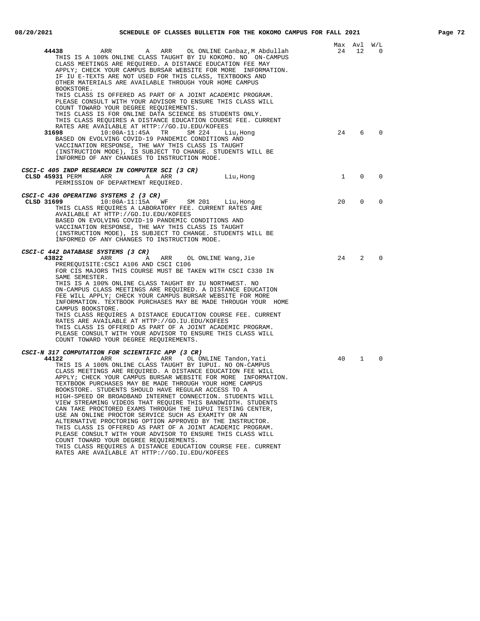|                                                                                                                                                                                                                                                                                                                    | Max Avl W/L    |             |             |
|--------------------------------------------------------------------------------------------------------------------------------------------------------------------------------------------------------------------------------------------------------------------------------------------------------------------|----------------|-------------|-------------|
| ARR<br>OL ONLINE Canbaz,M Abdullah<br>44438<br>ARR<br>A<br>THIS IS A 100% ONLINE CLASS TAUGHT BY IU KOKOMO. NO ON-CAMPUS<br>CLASS MEETINGS ARE REOUIRED. A DISTANCE EDUCATION FEE MAY<br>APPLY; CHECK YOUR CAMPUS BURSAR WEBSITE FOR MORE INFORMATION.<br>IF IU E-TEXTS ARE NOT USED FOR THIS CLASS, TEXTBOOKS AND | 24             | 12          | 0           |
| OTHER MATERIALS ARE AVAILABLE THROUGH YOUR HOME CAMPUS<br>BOOKSTORE.<br>THIS CLASS IS OFFERED AS PART OF A JOINT ACADEMIC PROGRAM.<br>PLEASE CONSULT WITH YOUR ADVISOR TO ENSURE THIS CLASS WILL                                                                                                                   |                |             |             |
| COUNT TOWARD YOUR DEGREE REQUIREMENTS.<br>THIS CLASS IS FOR ONLINE DATA SCIENCE BS STUDENTS ONLY.<br>THIS CLASS REQUIRES A DISTANCE EDUCATION COURSE FEE. CURRENT<br>RATES ARE AVAILABLE AT HTTP://GO.IU.EDU/KOFEES                                                                                                |                |             |             |
| 31698<br>$10:00A-11:45A$<br>TR<br>SM 224<br>Liu, Hong<br>BASED ON EVOLVING COVID-19 PANDEMIC CONDITIONS AND<br>VACCINATION RESPONSE, THE WAY THIS CLASS IS TAUGHT<br>(INSTRUCTION MODE), IS SUBJECT TO CHANGE. STUDENTS WILL BE<br>INFORMED OF ANY CHANGES TO INSTRUCTION MODE.                                    | 24             | 6           | $\Omega$    |
| CSCI-C 405 INDP RESEARCH IN COMPUTER SCI (3 CR)                                                                                                                                                                                                                                                                    |                |             |             |
| CLSD 45931 PERM ARR A<br>ARR<br>Liu, Hong<br>PERMISSION OF DEPARTMENT REQUIRED.                                                                                                                                                                                                                                    | $\overline{1}$ | $\mathbf 0$ | 0           |
| <i>CSCI-C 436 OPERATING SYSTEMS 2 (3 CR)</i>                                                                                                                                                                                                                                                                       |                |             |             |
| 10:00A-11:15A WF SM 201 Liu, Hong<br>CLSD 31699<br>THIS CLASS REQUIRES A LABORATORY FEE. CURRENT RATES ARE<br>AVAILABLE AT HTTP://GO.IU.EDU/KOFEES                                                                                                                                                                 | 20             | 0           | $\mathbf 0$ |
| BASED ON EVOLVING COVID-19 PANDEMIC CONDITIONS AND<br>VACCINATION RESPONSE, THE WAY THIS CLASS IS TAUGHT                                                                                                                                                                                                           |                |             |             |
| (INSTRUCTION MODE), IS SUBJECT TO CHANGE. STUDENTS WILL BE<br>INFORMED OF ANY CHANGES TO INSTRUCTION MODE.                                                                                                                                                                                                         |                |             |             |
| CSCI-C 442 DATABASE SYSTEMS (3 CR)                                                                                                                                                                                                                                                                                 |                |             |             |
| 43822<br>ARR<br>ARR<br>OL ONLINE Wang, Jie<br>A<br>PREREQUISITE: CSCI A106 AND CSCI C106                                                                                                                                                                                                                           | 24             | 2           | $\Omega$    |
| FOR CIS MAJORS THIS COURSE MUST BE TAKEN WITH CSCI C330 IN<br>SAME SEMESTER.<br>THIS IS A 100% ONLINE CLASS TAUGHT BY IU NORTHWEST. NO                                                                                                                                                                             |                |             |             |
| ON-CAMPUS CLASS MEETINGS ARE REQUIRED. A DISTANCE EDUCATION                                                                                                                                                                                                                                                        |                |             |             |
| FEE WILL APPLY; CHECK YOUR CAMPUS BURSAR WEBSITE FOR MORE<br>INFORMATION. TEXTBOOK PURCHASES MAY BE MADE THROUGH YOUR HOME<br>CAMPUS BOOKSTORE.                                                                                                                                                                    |                |             |             |
| THIS CLASS REQUIRES A DISTANCE EDUCATION COURSE FEE. CURRENT                                                                                                                                                                                                                                                       |                |             |             |
| RATES ARE AVAILABLE AT HTTP://GO.IU.EDU/KOFEES<br>THIS CLASS IS OFFERED AS PART OF A JOINT ACADEMIC PROGRAM.                                                                                                                                                                                                       |                |             |             |
| PLEASE CONSULT WITH YOUR ADVISOR TO ENSURE THIS CLASS WILL<br>COUNT TOWARD YOUR DEGREE REQUIREMENTS.                                                                                                                                                                                                               |                |             |             |
| <i>CSCI-N 317 COMPUTATION FOR SCIENTIFIC APP (3 CR)</i>                                                                                                                                                                                                                                                            |                |             |             |
| 44122<br>ARR<br>ARR<br>Α<br>OL ONLINE Tandon, Yati                                                                                                                                                                                                                                                                 | 40             | 1           | $\Omega$    |
| THIS IS A 100% ONLINE CLASS TAUGHT BY IUPUI. NO ON-CAMPUS<br>CLASS MEETINGS ARE REQUIRED. A DISTANCE EDUCATION FEE WILL<br>APPLY; CHECK YOUR CAMPUS BURSAR WEBSITE FOR MORE INFORMATION.                                                                                                                           |                |             |             |
| TEXTBOOK PURCHASES MAY BE MADE THROUGH YOUR HOME CAMPUS                                                                                                                                                                                                                                                            |                |             |             |
| BOOKSTORE. STUDENTS SHOULD HAVE REGULAR ACCESS TO A<br>HIGH-SPEED OR BROADBAND INTERNET CONNECTION. STUDENTS WILL                                                                                                                                                                                                  |                |             |             |
| VIEW STREAMING VIDEOS THAT REQUIRE THIS BANDWIDTH. STUDENTS                                                                                                                                                                                                                                                        |                |             |             |
| CAN TAKE PROCTORED EXAMS THROUGH THE IUPUI TESTING CENTER,<br>USE AN ONLINE PROCTOR SERVICE SUCH AS EXAMITY OR AN                                                                                                                                                                                                  |                |             |             |
| ALTERNATIVE PROCTORING OPTION APPROVED BY THE INSTRUCTOR.                                                                                                                                                                                                                                                          |                |             |             |
| THIS CLASS IS OFFERED AS PART OF A JOINT ACADEMIC PROGRAM.<br>PLEASE CONSULT WITH YOUR ADVISOR TO ENSURE THIS CLASS WILL                                                                                                                                                                                           |                |             |             |
| COUNT TOWARD YOUR DEGREE REQUIREMENTS.                                                                                                                                                                                                                                                                             |                |             |             |
| THIS CLASS REQUIRES A DISTANCE EDUCATION COURSE FEE. CURRENT<br>RATES ARE AVAILABLE AT HTTP://GO.IU.EDU/KOFEES                                                                                                                                                                                                     |                |             |             |
|                                                                                                                                                                                                                                                                                                                    |                |             |             |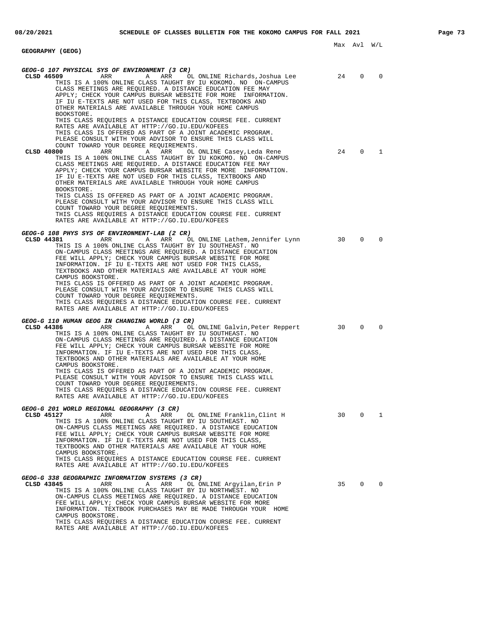|                                                                                                                                                                                                                                                                                                                                                                                                                                                                                                                                                                                                                                                                                                                                                                                                                                                                                                                          | Max Avl |                | - W / L  |
|--------------------------------------------------------------------------------------------------------------------------------------------------------------------------------------------------------------------------------------------------------------------------------------------------------------------------------------------------------------------------------------------------------------------------------------------------------------------------------------------------------------------------------------------------------------------------------------------------------------------------------------------------------------------------------------------------------------------------------------------------------------------------------------------------------------------------------------------------------------------------------------------------------------------------|---------|----------------|----------|
| GEOGRAPHY (GEOG)                                                                                                                                                                                                                                                                                                                                                                                                                                                                                                                                                                                                                                                                                                                                                                                                                                                                                                         |         |                |          |
| GEOG-G 107 PHYSICAL SYS OF ENVIRONMENT (3 CR)<br>CLSD 46509<br>A ARR<br>ARR<br>OL ONLINE Richards,Joshua Lee<br>THIS IS A 100% ONLINE CLASS TAUGHT BY IU KOKOMO. NO ON-CAMPUS<br>CLASS MEETINGS ARE REQUIRED. A DISTANCE EDUCATION FEE MAY<br>APPLY; CHECK YOUR CAMPUS BURSAR WEBSITE FOR MORE INFORMATION.<br>IF IU E-TEXTS ARE NOT USED FOR THIS CLASS, TEXTBOOKS AND<br>OTHER MATERIALS ARE AVAILABLE THROUGH YOUR HOME CAMPUS<br>BOOKSTORE.                                                                                                                                                                                                                                                                                                                                                                                                                                                                          | 24      | 0              | $\Omega$ |
| THIS CLASS REQUIRES A DISTANCE EDUCATION COURSE FEE. CURRENT<br>RATES ARE AVAILABLE AT HTTP://GO.IU.EDU/KOFEES<br>THIS CLASS IS OFFERED AS PART OF A JOINT ACADEMIC PROGRAM.<br>PLEASE CONSULT WITH YOUR ADVISOR TO ENSURE THIS CLASS WILL<br>COUNT TOWARD YOUR DEGREE REOUIREMENTS.<br>ARR<br>CLSD 40800<br>A ARR<br>OL ONLINE Casey,Leda Rene<br>THIS IS A 100% ONLINE CLASS TAUGHT BY IU KOKOMO. NO ON-CAMPUS<br>CLASS MEETINGS ARE REQUIRED. A DISTANCE EDUCATION FEE MAY<br>APPLY; CHECK YOUR CAMPUS BURSAR WEBSITE FOR MORE INFORMATION.<br>IF IU E-TEXTS ARE NOT USED FOR THIS CLASS, TEXTBOOKS AND<br>OTHER MATERIALS ARE AVAILABLE THROUGH YOUR HOME CAMPUS<br>BOOKSTORE.<br>THIS CLASS IS OFFERED AS PART OF A JOINT ACADEMIC PROGRAM.<br>PLEASE CONSULT WITH YOUR ADVISOR TO ENSURE THIS CLASS WILL<br>COUNT TOWARD YOUR DEGREE REQUIREMENTS.<br>THIS CLASS REQUIRES A DISTANCE EDUCATION COURSE FEE. CURRENT | 24      | $\overline{0}$ | 1        |
| RATES ARE AVAILABLE AT HTTP://GO.IU.EDU/KOFEES                                                                                                                                                                                                                                                                                                                                                                                                                                                                                                                                                                                                                                                                                                                                                                                                                                                                           |         |                |          |
| GEOG-G 108 PHYS SYS OF ENVIRONMENT-LAB (2 CR)<br>CLSD 44381<br>ARR<br>Α<br>ARR<br>OL ONLINE Lathem,Jennifer Lynn<br>THIS IS A 100% ONLINE CLASS TAUGHT BY IU SOUTHEAST. NO<br>ON-CAMPUS CLASS MEETINGS ARE REQUIRED. A DISTANCE EDUCATION<br>FEE WILL APPLY; CHECK YOUR CAMPUS BURSAR WEBSITE FOR MORE<br>INFORMATION. IF IU E-TEXTS ARE NOT USED FOR THIS CLASS,<br>TEXTBOOKS AND OTHER MATERIALS ARE AVAILABLE AT YOUR HOME<br>CAMPUS BOOKSTORE.<br>THIS CLASS IS OFFERED AS PART OF A JOINT ACADEMIC PROGRAM.<br>PLEASE CONSULT WITH YOUR ADVISOR TO ENSURE THIS CLASS WILL<br>COUNT TOWARD YOUR DEGREE REQUIREMENTS.<br>THIS CLASS REQUIRES A DISTANCE EDUCATION COURSE FEE. CURRENT<br>RATES ARE AVAILABLE AT HTTP://GO.IU.EDU/KOFEES                                                                                                                                                                               | 30      | $\Omega$       | $\Omega$ |
| GEOG-G 110 HUMAN GEOG IN CHANGING WORLD (3 CR)<br>CLSD 44386<br>ARR<br>Α<br>ARR<br>OL ONLINE Galvin,Peter Reppert<br>THIS IS A 100% ONLINE CLASS TAUGHT BY IU SOUTHEAST. NO<br>ON-CAMPUS CLASS MEETINGS ARE REQUIRED. A DISTANCE EDUCATION<br>FEE WILL APPLY; CHECK YOUR CAMPUS BURSAR WEBSITE FOR MORE<br>INFORMATION. IF IU E-TEXTS ARE NOT USED FOR THIS CLASS,<br>TEXTBOOKS AND OTHER MATERIALS ARE AVAILABLE AT YOUR HOME<br>CAMPUS BOOKSTORE.<br>THIS CLASS IS OFFERED AS PART OF A JOINT ACADEMIC PROGRAM.<br>PLEASE CONSULT WITH YOUR ADVISOR TO ENSURE THIS CLASS WILL<br>COUNT TOWARD YOUR DEGREE REOUIREMENTS.<br>THIS CLASS REQUIRES A DISTANCE EDUCATION COURSE FEE. CURRENT<br>RATES ARE AVAILABLE AT HTTP://GO.IU.EDU/KOFEES                                                                                                                                                                              | 30      | $\Omega$       | 0        |
| GEOG-G 201 WORLD REGIONAL GEOGRAPHY (3 CR)<br>CLSD 45127<br>ARR<br>OL ONLINE Franklin, Clint H<br>Α<br>ARR<br>THIS IS A 100% ONLINE CLASS TAUGHT BY IU SOUTHEAST. NO<br>ON-CAMPUS CLASS MEETINGS ARE REOUIRED. A DISTANCE EDUCATION<br>FEE WILL APPLY; CHECK YOUR CAMPUS BURSAR WEBSITE FOR MORE<br>INFORMATION. IF IU E-TEXTS ARE NOT USED FOR THIS CLASS,<br>TEXTBOOKS AND OTHER MATERIALS ARE AVAILABLE AT YOUR HOME<br>CAMPUS BOOKSTORE.<br>THIS CLASS REQUIRES A DISTANCE EDUCATION COURSE FEE. CURRENT<br>RATES ARE AVAILABLE AT HTTP://GO.IU.EDU/KOFEES                                                                                                                                                                                                                                                                                                                                                           | 30      | $\mathbf{0}$   | 1        |
| GEOG-G 338 GEOGRAPHIC INFORMATION SYSTEMS (3 CR)<br>CLSD 43845<br>ARR<br>ARR<br>OL ONLINE Argyilan, Erin P<br>Α<br>THIS IS A 100% ONLINE CLASS TAUGHT BY IU NORTHWEST. NO<br>ON-CAMPUS CLASS MEETINGS ARE REQUIRED. A DISTANCE EDUCATION<br>FEE WILL APPLY; CHECK YOUR CAMPUS BURSAR WEBSITE FOR MORE<br>INFORMATION. TEXTBOOK PURCHASES MAY BE MADE THROUGH YOUR HOME<br>CAMPUS BOOKSTORE.<br>THIS CLASS REQUIRES A DISTANCE EDUCATION COURSE FEE. CURRENT                                                                                                                                                                                                                                                                                                                                                                                                                                                              | 35      | $\Omega$       | $\Omega$ |

RATES ARE AVAILABLE AT HTTP://GO.IU.EDU/KOFEES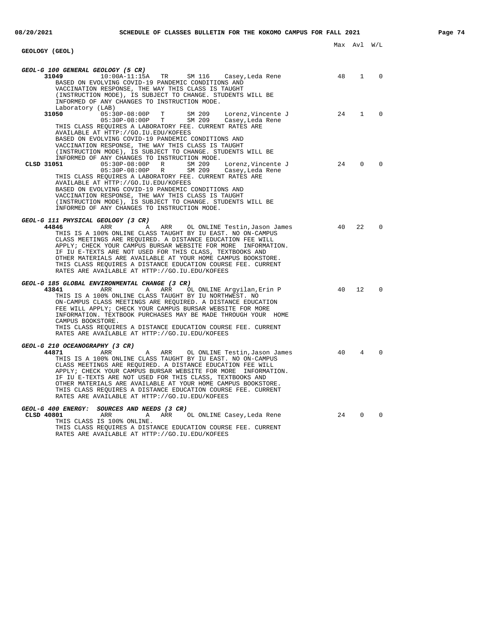**GEOLOGY (GEOL)**

Max Avl W/L

| GEOL-G 100 GENERAL GEOLOGY (5 CR)<br>31049<br>$10:00A-11:15A$<br>TR<br>SM 116<br>Casey,Leda Rene                                                                                                                                                                                                                                                                                                                                                                                                      | 48  | 1              | $\Omega$ |
|-------------------------------------------------------------------------------------------------------------------------------------------------------------------------------------------------------------------------------------------------------------------------------------------------------------------------------------------------------------------------------------------------------------------------------------------------------------------------------------------------------|-----|----------------|----------|
| BASED ON EVOLVING COVID-19 PANDEMIC CONDITIONS AND<br>VACCINATION RESPONSE, THE WAY THIS CLASS IS TAUGHT<br>(INSTRUCTION MODE), IS SUBJECT TO CHANGE. STUDENTS WILL BE<br>INFORMED OF ANY CHANGES TO INSTRUCTION MODE.                                                                                                                                                                                                                                                                                |     |                |          |
| Laboratory (LAB)<br>31050<br>$05:30P-08:00P$ T<br>SM 209<br>Lorenz, Vincente J                                                                                                                                                                                                                                                                                                                                                                                                                        | 2.4 | $\mathbf{1}$   | $\Omega$ |
| $05:30P-08:00P$ T<br>SM 209<br>Casey,Leda Rene<br>THIS CLASS REQUIRES A LABORATORY FEE. CURRENT RATES ARE<br>AVAILABLE AT HTTP://GO.IU.EDU/KOFEES                                                                                                                                                                                                                                                                                                                                                     |     |                |          |
| BASED ON EVOLVING COVID-19 PANDEMIC CONDITIONS AND<br>VACCINATION RESPONSE, THE WAY THIS CLASS IS TAUGHT<br>(INSTRUCTION MODE), IS SUBJECT TO CHANGE. STUDENTS WILL BE                                                                                                                                                                                                                                                                                                                                |     |                |          |
| INFORMED OF ANY CHANGES TO INSTRUCTION MODE.                                                                                                                                                                                                                                                                                                                                                                                                                                                          |     |                |          |
| CLSD 31051<br>05:30P-08:00P R<br>SM 209<br>Lorenz, Vincente J<br>05:30P-08:00P R SM 209<br>Casey,Leda Rene<br>THIS CLASS REQUIRES A LABORATORY FEE. CURRENT RATES ARE                                                                                                                                                                                                                                                                                                                                 | 24  | $\Omega$       | $\Omega$ |
| AVAILABLE AT HTTP://GO.IU.EDU/KOFEES<br>BASED ON EVOLVING COVID-19 PANDEMIC CONDITIONS AND                                                                                                                                                                                                                                                                                                                                                                                                            |     |                |          |
| VACCINATION RESPONSE, THE WAY THIS CLASS IS TAUGHT<br>(INSTRUCTION MODE), IS SUBJECT TO CHANGE. STUDENTS WILL BE<br>INFORMED OF ANY CHANGES TO INSTRUCTION MODE.                                                                                                                                                                                                                                                                                                                                      |     |                |          |
| GEOL-G 111 PHYSICAL GEOLOGY (3 CR)                                                                                                                                                                                                                                                                                                                                                                                                                                                                    |     |                |          |
| 44846<br>ARR<br>Α<br>ARR<br>OL ONLINE Testin, Jason James<br>THIS IS A 100% ONLINE CLASS TAUGHT BY IU EAST. NO ON-CAMPUS<br>CLASS MEETINGS ARE REQUIRED. A DISTANCE EDUCATION FEE WILL<br>APPLY; CHECK YOUR CAMPUS BURSAR WEBSITE FOR MORE INFORMATION.<br>IF IU E-TEXTS ARE NOT USED FOR THIS CLASS, TEXTBOOKS AND<br>OTHER MATERIALS ARE AVAILABLE AT YOUR HOME CAMPUS BOOKSTORE.<br>THIS CLASS REQUIRES A DISTANCE EDUCATION COURSE FEE. CURRENT<br>RATES ARE AVAILABLE AT HTTP://GO.IU.EDU/KOFEES | -40 | 22             | $\Omega$ |
| GEOL-G 185 GLOBAL ENVIRONMENTAL CHANGE (3 CR)                                                                                                                                                                                                                                                                                                                                                                                                                                                         |     |                |          |
| 43841<br>ARR<br>A<br>ARR<br>OL ONLINE Argyilan,Erin P<br>THIS IS A 100% ONLINE CLASS TAUGHT BY IU NORTHWEST. NO<br>ON-CAMPUS CLASS MEETINGS ARE REOUIRED. A DISTANCE EDUCATION<br>FEE WILL APPLY; CHECK YOUR CAMPUS BURSAR WEBSITE FOR MORE<br>INFORMATION. TEXTBOOK PURCHASES MAY BE MADE THROUGH YOUR HOME<br>CAMPUS BOOKSTORE.<br>THIS CLASS REQUIRES A DISTANCE EDUCATION COURSE FEE. CURRENT<br>RATES ARE AVAILABLE AT HTTP://GO.IU.EDU/KOFEES                                                   | 40  | 12             | $\Omega$ |
| GEOL-G 210 OCEANOGRAPHY (3 CR)                                                                                                                                                                                                                                                                                                                                                                                                                                                                        |     |                |          |
| 44871<br>ARR<br>A<br>ARR OL ONLINE Testin, Jason James<br>THIS IS A 100% ONLINE CLASS TAUGHT BY IU EAST. NO ON-CAMPUS<br>CLASS MEETINGS ARE REQUIRED. A DISTANCE EDUCATION FEE WILL<br>APPLY; CHECK YOUR CAMPUS BURSAR WEBSITE FOR MORE INFORMATION.<br>IF IU E-TEXTS ARE NOT USED FOR THIS CLASS, TEXTBOOKS AND<br>OTHER MATERIALS ARE AVAILABLE AT YOUR HOME CAMPUS BOOKSTORE.<br>THIS CLASS REQUIRES A DISTANCE EDUCATION COURSE FEE. CURRENT<br>RATES ARE AVAILABLE AT HTTP://GO.IU.EDU/KOFEES    | 40  | $\overline{4}$ | $\Omega$ |
| GEOL-G 400 ENERGY: SOURCES AND NEEDS (3 CR)<br>CLSD 40801<br>ARR<br>A<br>ARR OL ONLINE Casey, Leda Rene<br>THIS CLASS IS 100% ONLINE.                                                                                                                                                                                                                                                                                                                                                                 | 24  | $\Omega$       | $\Omega$ |
| THIS CLASS REQUIRES A DISTANCE EDUCATION COURSE FEE. CURRENT<br>RATES ARE AVAILABLE AT HTTP://GO.IU.EDU/KOFEES                                                                                                                                                                                                                                                                                                                                                                                        |     |                |          |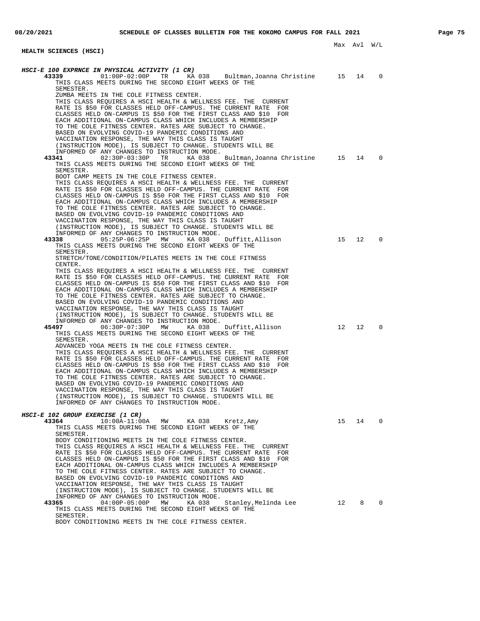| HEALTH SCIENCES (HSCI)                                                                                                               |    |    |             |
|--------------------------------------------------------------------------------------------------------------------------------------|----|----|-------------|
|                                                                                                                                      |    |    |             |
| HSCI-E 100 EXPRNCE IN PHYSICAL ACTIVITY (1 CR)<br>43339<br>$01:00P-02:00P$<br>TR<br>KA 038 Bultman, Joanna Christine 15              |    | 14 | $\mathbf 0$ |
| THIS CLASS MEETS DURING THE SECOND EIGHT WEEKS OF THE                                                                                |    |    |             |
| SEMESTER.<br>ZUMBA MEETS IN THE COLE FITNESS CENTER.                                                                                 |    |    |             |
| THIS CLASS REQUIRES A HSCI HEALTH & WELLNESS FEE. THE CURRENT                                                                        |    |    |             |
| RATE IS \$50 FOR CLASSES HELD OFF-CAMPUS. THE CURRENT RATE<br>FOR                                                                    |    |    |             |
| CLASSES HELD ON-CAMPUS IS \$50 FOR THE FIRST CLASS AND \$10 FOR<br>EACH ADDITIONAL ON-CAMPUS CLASS WHICH INCLUDES A MEMBERSHIP       |    |    |             |
| TO THE COLE FITNESS CENTER. RATES ARE SUBJECT TO CHANGE.                                                                             |    |    |             |
| BASED ON EVOLVING COVID-19 PANDEMIC CONDITIONS AND<br>VACCINATION RESPONSE, THE WAY THIS CLASS IS TAUGHT                             |    |    |             |
| (INSTRUCTION MODE), IS SUBJECT TO CHANGE. STUDENTS WILL BE                                                                           |    |    |             |
| INFORMED OF ANY CHANGES TO INSTRUCTION MODE.<br>43341<br>02:30P-03:30P TR<br>KA 038<br>Bultman, Joanna Christine 15                  |    | 14 | 0           |
| THIS CLASS MEETS DURING THE SECOND EIGHT WEEKS OF THE                                                                                |    |    |             |
| SEMESTER.                                                                                                                            |    |    |             |
| BOOT CAMP MEETS IN THE COLE FITNESS CENTER.<br>THIS CLASS REQUIRES A HSCI HEALTH & WELLNESS FEE. THE CURRENT                         |    |    |             |
| RATE IS \$50 FOR CLASSES HELD OFF-CAMPUS. THE CURRENT RATE FOR                                                                       |    |    |             |
| CLASSES HELD ON-CAMPUS IS \$50 FOR THE FIRST CLASS AND \$10 FOR<br>EACH ADDITIONAL ON-CAMPUS CLASS WHICH INCLUDES A MEMBERSHIP       |    |    |             |
| TO THE COLE FITNESS CENTER. RATES ARE SUBJECT TO CHANGE.                                                                             |    |    |             |
| BASED ON EVOLVING COVID-19 PANDEMIC CONDITIONS AND                                                                                   |    |    |             |
| VACCINATION RESPONSE, THE WAY THIS CLASS IS TAUGHT<br>(INSTRUCTION MODE), IS SUBJECT TO CHANGE. STUDENTS WILL BE                     |    |    |             |
| INFORMED OF ANY CHANGES TO INSTRUCTION MODE.                                                                                         |    |    |             |
| 43338<br>$05:25P-06:25P$<br>MW<br>KA 038<br>Duffitt,Allison<br>THIS CLASS MEETS DURING THE SECOND EIGHT WEEKS OF THE                 | 15 | 12 | $\mathbf 0$ |
| SEMESTER.                                                                                                                            |    |    |             |
| STRETCH/TONE/CONDITION/PILATES MEETS IN THE COLE FITNESS<br>CENTER.                                                                  |    |    |             |
| THIS CLASS REQUIRES A HSCI HEALTH & WELLNESS FEE. THE CURRENT                                                                        |    |    |             |
| RATE IS \$50 FOR CLASSES HELD OFF-CAMPUS. THE CURRENT RATE<br>FOR<br>CLASSES HELD ON-CAMPUS IS \$50 FOR THE FIRST CLASS AND \$10 FOR |    |    |             |
| EACH ADDITIONAL ON-CAMPUS CLASS WHICH INCLUDES A MEMBERSHIP                                                                          |    |    |             |
| TO THE COLE FITNESS CENTER. RATES ARE SUBJECT TO CHANGE.                                                                             |    |    |             |
| BASED ON EVOLVING COVID-19 PANDEMIC CONDITIONS AND<br>VACCINATION RESPONSE, THE WAY THIS CLASS IS TAUGHT                             |    |    |             |
| (INSTRUCTION MODE), IS SUBJECT TO CHANGE. STUDENTS WILL BE                                                                           |    |    |             |
| INFORMED OF ANY CHANGES TO INSTRUCTION MODE.<br>45497<br>06:30P-07:30P MW<br>KA 038<br>Duffitt,Allison                               | 12 | 12 | $\mathbf 0$ |
| THIS CLASS MEETS DURING THE SECOND EIGHT WEEKS OF THE                                                                                |    |    |             |
| SEMESTER.<br>ADVANCED YOGA MEETS IN THE COLE FITNESS CENTER.                                                                         |    |    |             |
| THIS CLASS REOUIRES A HSCI HEALTH & WELLNESS FEE. THE CURRENT                                                                        |    |    |             |
| RATE IS \$50 FOR CLASSES HELD OFF-CAMPUS. THE CURRENT RATE FOR<br>CLASSES HELD ON-CAMPUS IS \$50 FOR THE FIRST CLASS AND \$10 FOR    |    |    |             |
| EACH ADDITIONAL ON-CAMPUS CLASS WHICH INCLUDES A MEMBERSHIP                                                                          |    |    |             |
| TO THE COLE FITNESS CENTER. RATES ARE SUBJECT TO CHANGE.                                                                             |    |    |             |
| BASED ON EVOLVING COVID-19 PANDEMIC CONDITIONS AND<br>VACCINATION RESPONSE, THE WAY THIS CLASS IS TAUGHT                             |    |    |             |
| (INSTRUCTION MODE), IS SUBJECT TO CHANGE. STUDENTS WILL BE                                                                           |    |    |             |
| INFORMED OF ANY CHANGES TO INSTRUCTION MODE.                                                                                         |    |    |             |
| HSCI-E 102 GROUP EXERCISE (1 CR)                                                                                                     |    |    |             |
| 43364<br>$10:00A-11:00A$<br>MW<br>KA 038<br>Kretz, Amy<br>THIS CLASS MEETS DURING THE SECOND EIGHT WEEKS OF THE                      | 15 | 14 | $\Omega$    |
| SEMESTER.                                                                                                                            |    |    |             |
| BODY CONDITIONING MEETS IN THE COLE FITNESS CENTER.<br>THIS CLASS REQUIRES A HSCI HEALTH & WELLNESS FEE. THE CURRENT                 |    |    |             |
| RATE IS \$50 FOR CLASSES HELD OFF-CAMPUS. THE CURRENT RATE<br>FOR                                                                    |    |    |             |
| CLASSES HELD ON-CAMPUS IS \$50 FOR THE FIRST CLASS AND \$10 FOR                                                                      |    |    |             |
| EACH ADDITIONAL ON-CAMPUS CLASS WHICH INCLUDES A MEMBERSHIP<br>TO THE COLE FITNESS CENTER. RATES ARE SUBJECT TO CHANGE.              |    |    |             |
| BASED ON EVOLVING COVID-19 PANDEMIC CONDITIONS AND                                                                                   |    |    |             |
| VACCINATION RESPONSE, THE WAY THIS CLASS IS TAUGHT<br>(INSTRUCTION MODE), IS SUBJECT TO CHANGE. STUDENTS WILL BE                     |    |    |             |
| INFORMED OF ANY CHANGES TO INSTRUCTION MODE.                                                                                         |    |    |             |
| $04:00P-05:00P$<br>43365<br>MW<br>KA 038<br>Stanley,Melinda Lee<br>THIS CLASS MEETS DURING THE SECOND EIGHT WEEKS OF THE             | 12 | 8  | 0           |
| SEMESTER.                                                                                                                            |    |    |             |
| BODY CONDITIONING MEETS IN THE COLE FITNESS CENTER.                                                                                  |    |    |             |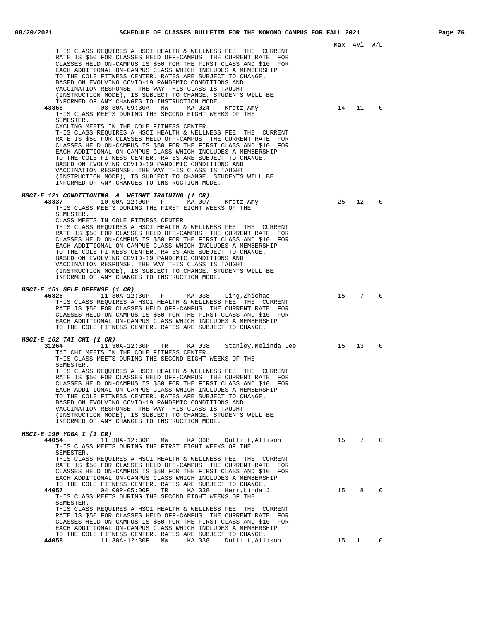|                                                                                                                                                                                                                                                                                                                                                                                                                                                                                                                                                                                                                                                                                                                                                                                          |    | Max Avl | W/L           |
|------------------------------------------------------------------------------------------------------------------------------------------------------------------------------------------------------------------------------------------------------------------------------------------------------------------------------------------------------------------------------------------------------------------------------------------------------------------------------------------------------------------------------------------------------------------------------------------------------------------------------------------------------------------------------------------------------------------------------------------------------------------------------------------|----|---------|---------------|
| THIS CLASS REQUIRES A HSCI HEALTH & WELLNESS FEE. THE CURRENT<br>RATE IS \$50 FOR CLASSES HELD OFF-CAMPUS. THE CURRENT RATE<br>FOR<br>CLASSES HELD ON-CAMPUS IS \$50 FOR THE FIRST CLASS AND \$10 FOR<br>EACH ADDITIONAL ON-CAMPUS CLASS WHICH INCLUDES A MEMBERSHIP<br>TO THE COLE FITNESS CENTER. RATES ARE SUBJECT TO CHANGE.<br>BASED ON EVOLVING COVID-19 PANDEMIC CONDITIONS AND<br>VACCINATION RESPONSE, THE WAY THIS CLASS IS TAUGHT<br>(INSTRUCTION MODE), IS SUBJECT TO CHANGE. STUDENTS WILL BE<br>INFORMED OF ANY CHANGES TO INSTRUCTION MODE.                                                                                                                                                                                                                               |    |         |               |
| 43368<br>08:30A-09:30A<br>MW<br>KA 024<br>Kretz,Amy<br>THIS CLASS MEETS DURING THE SECOND EIGHT WEEKS OF THE<br>SEMESTER.<br>CYCLING MEETS IN THE COLE FITNESS CENTER.<br>THIS CLASS REQUIRES A HSCI HEALTH & WELLNESS FEE. THE CURRENT<br>RATE IS \$50 FOR CLASSES HELD OFF-CAMPUS. THE CURRENT RATE<br>FOR<br>CLASSES HELD ON-CAMPUS IS \$50 FOR THE FIRST CLASS AND \$10 FOR<br>EACH ADDITIONAL ON-CAMPUS CLASS WHICH INCLUDES A MEMBERSHIP<br>TO THE COLE FITNESS CENTER. RATES ARE SUBJECT TO CHANGE.<br>BASED ON EVOLVING COVID-19 PANDEMIC CONDITIONS AND<br>VACCINATION RESPONSE, THE WAY THIS CLASS IS TAUGHT<br>(INSTRUCTION MODE), IS SUBJECT TO CHANGE. STUDENTS WILL BE<br>INFORMED OF ANY CHANGES TO INSTRUCTION MODE.<br>HSCI-E 121 CONDITIONING & WEIGHT TRAINING (1 CR) | 14 | 11      | $\mathbf 0$   |
| 43337<br>10:00A-12:00P F<br>KA 007<br>Kretz,Amy<br>THIS CLASS MEETS DURING THE FIRST EIGHT WEEKS OF THE<br>SEMESTER.<br>CLASS MEETS IN COLE FITNESS CENTER<br>THIS CLASS REQUIRES A HSCI HEALTH & WELLNESS FEE. THE CURRENT<br>RATE IS \$50 FOR CLASSES HELD OFF-CAMPUS. THE CURRENT RATE FOR<br>CLASSES HELD ON-CAMPUS IS \$50 FOR THE FIRST CLASS AND \$10 FOR<br>EACH ADDITIONAL ON-CAMPUS CLASS WHICH INCLUDES A MEMBERSHIP<br>TO THE COLE FITNESS CENTER. RATES ARE SUBJECT TO CHANGE.<br>BASED ON EVOLVING COVID-19 PANDEMIC CONDITIONS AND<br>VACCINATION RESPONSE, THE WAY THIS CLASS IS TAUGHT<br>(INSTRUCTION MODE), IS SUBJECT TO CHANGE. STUDENTS WILL BE<br>INFORMED OF ANY CHANGES TO INSTRUCTION MODE.                                                                    | 25 | 12      | 0             |
| HSCI-E 151 SELF DEFENSE (1 CR)<br>$11:30A-12:30P$ F KA 038 Ling, Zhichao<br>46326<br>THIS CLASS REQUIRES A HSCI HEALTH & WELLNESS FEE. THE CURRENT<br>RATE IS \$50 FOR CLASSES HELD OFF-CAMPUS. THE CURRENT RATE FOR<br>CLASSES HELD ON-CAMPUS IS \$50 FOR THE FIRST CLASS AND \$10 FOR<br>EACH ADDITIONAL ON-CAMPUS CLASS WHICH INCLUDES A MEMBERSHIP<br>TO THE COLE FITNESS CENTER. RATES ARE SUBJECT TO CHANGE.                                                                                                                                                                                                                                                                                                                                                                       |    | 15 7    | $\Omega$      |
| HSCI-E 162 TAI CHI (1 CR)<br>31264<br>$11:30A-12:30P$ TR<br>KA 038<br>Stanley, Melinda Lee<br>TAI CHI MEETS IN THE COLE FITNESS CENTER.<br>THIS CLASS MEETS DURING THE SECOND EIGHT WEEKS OF THE<br>SEMESTER.<br>THIS CLASS REQUIRES A HSCI HEALTH & WELLNESS FEE. THE CURRENT<br>RATE IS \$50 FOR CLASSES HELD OFF-CAMPUS. THE CURRENT RATE<br>FOR<br>CLASSES HELD ON-CAMPUS IS \$50 FOR THE FIRST CLASS AND \$10 FOR<br>EACH ADDITIONAL ON-CAMPUS CLASS WHICH INCLUDES A MEMBERSHIP<br>TO THE COLE FITNESS CENTER. RATES ARE SUBJECT TO CHANGE.<br>BASED ON EVOLVING COVID-19 PANDEMIC CONDITIONS AND<br>VACCINATION RESPONSE, THE WAY THIS CLASS IS TAUGHT<br>(INSTRUCTION MODE), IS SUBJECT TO CHANGE. STUDENTS WILL BE<br>INFORMED OF ANY CHANGES TO INSTRUCTION MODE.              | 15 | 13      | 0             |
| HSCI-E 190 YOGA I (1 CR)<br>44054<br>11:30A-12:30P<br>Duffitt, Allison<br>MW<br>KA 038<br>THIS CLASS MEETS DURING THE FIRST EIGHT WEEKS OF THE<br>SEMESTER.<br>THIS CLASS REOUIRES A HSCI HEALTH & WELLNESS FEE. THE CURRENT<br>RATE IS \$50 FOR CLASSES HELD OFF-CAMPUS. THE CURRENT RATE FOR<br>CLASSES HELD ON-CAMPUS IS \$50 FOR THE FIRST CLASS AND \$10 FOR<br>EACH ADDITIONAL ON-CAMPUS CLASS WHICH INCLUDES A MEMBERSHIP                                                                                                                                                                                                                                                                                                                                                         |    | 15 7    | 0             |
| TO THE COLE FITNESS CENTER. RATES ARE SUBJECT TO CHANGE.<br>$04:00P-05:00P$<br>KA 038<br>44057<br>TR<br>Herr,Linda J<br>THIS CLASS MEETS DURING THE SECOND EIGHT WEEKS OF THE<br>SEMESTER.<br>THIS CLASS REQUIRES A HSCI HEALTH & WELLNESS FEE. THE CURRENT<br>RATE IS \$50 FOR CLASSES HELD OFF-CAMPUS. THE CURRENT RATE<br>FOR<br>CLASSES HELD ON-CAMPUS IS \$50 FOR THE FIRST CLASS AND \$10 FOR<br>EACH ADDITIONAL ON-CAMPUS CLASS WHICH INCLUDES A MEMBERSHIP<br>TO THE COLE FITNESS CENTER. RATES ARE SUBJECT TO CHANGE.                                                                                                                                                                                                                                                           | 15 | 8       | $\mathbf 0$   |
| 11:30A-12:30P MW KA 038<br>Duffitt,Allison<br>44058                                                                                                                                                                                                                                                                                                                                                                                                                                                                                                                                                                                                                                                                                                                                      | 15 |         | $11 \qquad 0$ |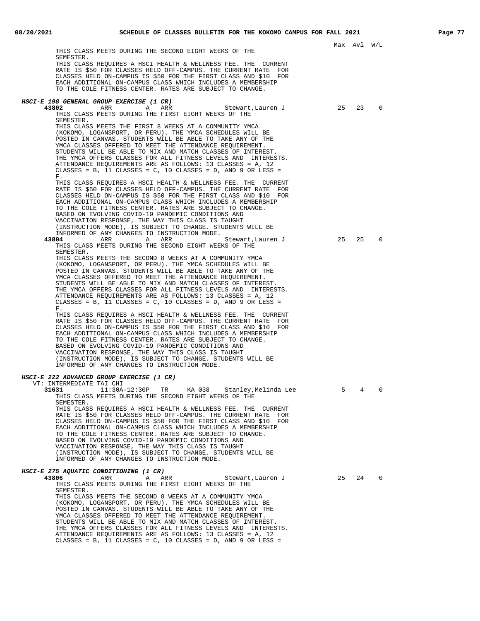|                                                                                                                                                                                                                                                                                                                                                                                                                                                                                                                                                         | Max Avl W/L |    |             |
|---------------------------------------------------------------------------------------------------------------------------------------------------------------------------------------------------------------------------------------------------------------------------------------------------------------------------------------------------------------------------------------------------------------------------------------------------------------------------------------------------------------------------------------------------------|-------------|----|-------------|
| THIS CLASS MEETS DURING THE SECOND EIGHT WEEKS OF THE<br>SEMESTER.<br>THIS CLASS REOUIRES A HSCI HEALTH & WELLNESS FEE. THE CURRENT<br>RATE IS \$50 FOR CLASSES HELD OFF-CAMPUS. THE CURRENT RATE FOR<br>CLASSES HELD ON-CAMPUS IS \$50 FOR THE FIRST CLASS AND \$10 FOR<br>EACH ADDITIONAL ON-CAMPUS CLASS WHICH INCLUDES A MEMBERSHIP<br>TO THE COLE FITNESS CENTER. RATES ARE SUBJECT TO CHANGE.                                                                                                                                                     |             |    |             |
| HSCI-E 198 GENERAL GROUP EXERCISE (1 CR)                                                                                                                                                                                                                                                                                                                                                                                                                                                                                                                |             |    |             |
| 43802<br>ARR<br>A<br>ARR<br>Stewart, Lauren J<br>THIS CLASS MEETS DURING THE FIRST EIGHT WEEKS OF THE<br>SEMESTER.<br>THIS CLASS MEETS THE FIRST 8 WEEKS AT A COMMUNITY YMCA<br>(KOKOMO, LOGANSPORT, OR PERU). THE YMCA SCHEDULES WILL BE<br>POSTED IN CANVAS. STUDENTS WILL BE ABLE TO TAKE ANY OF THE                                                                                                                                                                                                                                                 | 25          | 23 | $\Omega$    |
| YMCA CLASSES OFFERED TO MEET THE ATTENDANCE REOUIREMENT.<br>STUDENTS WILL BE ABLE TO MIX AND MATCH CLASSES OF INTEREST.<br>THE YMCA OFFERS CLASSES FOR ALL FITNESS LEVELS AND INTERESTS.<br>ATTENDANCE REQUIREMENTS ARE AS FOLLOWS: 13 CLASSES = A, 12<br>CLASSES = B, 11 CLASSES = C, 10 CLASSES = D, AND 9 OR LESS =<br>F.                                                                                                                                                                                                                            |             |    |             |
| THIS CLASS REQUIRES A HSCI HEALTH & WELLNESS FEE. THE CURRENT<br>RATE IS \$50 FOR CLASSES HELD OFF-CAMPUS. THE CURRENT RATE FOR<br>CLASSES HELD ON-CAMPUS IS \$50 FOR THE FIRST CLASS AND \$10 FOR<br>EACH ADDITIONAL ON-CAMPUS CLASS WHICH INCLUDES A MEMBERSHIP<br>TO THE COLE FITNESS CENTER. RATES ARE SUBJECT TO CHANGE.<br>BASED ON EVOLVING COVID-19 PANDEMIC CONDITIONS AND<br>VACCINATION RESPONSE, THE WAY THIS CLASS IS TAUGHT<br>(INSTRUCTION MODE), IS SUBJECT TO CHANGE. STUDENTS WILL BE<br>INFORMED OF ANY CHANGES TO INSTRUCTION MODE. |             |    |             |
| A ARR<br>43804<br>ARR<br>Stewart,Lauren J<br>THIS CLASS MEETS DURING THE SECOND EIGHT WEEKS OF THE<br>SEMESTER.<br>THIS CLASS MEETS THE SECOND 8 WEEKS AT A COMMUNITY YMCA                                                                                                                                                                                                                                                                                                                                                                              | 25          | 25 | $\Omega$    |
| (KOKOMO, LOGANSPORT, OR PERU). THE YMCA SCHEDULES WILL BE<br>POSTED IN CANVAS. STUDENTS WILL BE ABLE TO TAKE ANY OF THE<br>YMCA CLASSES OFFERED TO MEET THE ATTENDANCE REQUIREMENT.<br>STUDENTS WILL BE ABLE TO MIX AND MATCH CLASSES OF INTEREST.<br>THE YMCA OFFERS CLASSES FOR ALL FITNESS LEVELS AND INTERESTS.<br>ATTENDANCE REQUIREMENTS ARE AS FOLLOWS: 13 CLASSES = A, 12<br>CLASSES = B, 11 CLASSES = C, 10 CLASSES = D, AND 9 OR LESS =<br>F.                                                                                                 |             |    |             |
| THIS CLASS REQUIRES A HSCI HEALTH & WELLNESS FEE. THE CURRENT<br>RATE IS \$50 FOR CLASSES HELD OFF-CAMPUS. THE CURRENT RATE FOR<br>CLASSES HELD ON-CAMPUS IS \$50 FOR THE FIRST CLASS AND \$10 FOR<br>EACH ADDITIONAL ON-CAMPUS CLASS WHICH INCLUDES A MEMBERSHIP<br>TO THE COLE FITNESS CENTER. RATES ARE SUBJECT TO CHANGE.<br>BASED ON EVOLVING COVID-19 PANDEMIC CONDITIONS AND<br>VACCINATION RESPONSE, THE WAY THIS CLASS IS TAUGHT<br>(INSTRUCTION MODE), IS SUBJECT TO CHANGE. STUDENTS WILL BE<br>INFORMED OF ANY CHANGES TO INSTRUCTION MODE. |             |    |             |
| HSCI-E 222 ADVANCED GROUP EXERCISE (1 CR)                                                                                                                                                                                                                                                                                                                                                                                                                                                                                                               |             |    |             |
| VT: INTERMEDIATE TAI CHI<br>11:30A-12:30P<br>TR<br>KA 038<br>Stanley, Melinda Lee<br>31631<br>THIS CLASS MEETS DURING THE SECOND EIGHT WEEKS OF THE<br>SEMESTER.<br>THIS CLASS REQUIRES A HSCI HEALTH & WELLNESS FEE. THE CURRENT                                                                                                                                                                                                                                                                                                                       | 5           | 4  | $\Omega$    |
| RATE IS \$50 FOR CLASSES HELD OFF-CAMPUS. THE CURRENT RATE FOR<br>CLASSES HELD ON-CAMPUS IS \$50 FOR THE FIRST CLASS AND \$10 FOR<br>EACH ADDITIONAL ON-CAMPUS CLASS WHICH INCLUDES A MEMBERSHIP<br>TO THE COLE FITNESS CENTER. RATES ARE SUBJECT TO CHANGE.<br>BASED ON EVOLVING COVID-19 PANDEMIC CONDITIONS AND<br>VACCINATION RESPONSE, THE WAY THIS CLASS IS TAUGHT<br>(INSTRUCTION MODE), IS SUBJECT TO CHANGE. STUDENTS WILL BE<br>INFORMED OF ANY CHANGES TO INSTRUCTION MODE.                                                                  |             |    |             |
| HSCI-E 275 AQUATIC CONDITIONING (1 CR)<br>ARR<br>43806<br>ARR<br>Α<br>Stewart,Lauren J<br>THIS CLASS MEETS DURING THE FIRST EIGHT WEEKS OF THE<br>SEMESTER.<br>THIS CLASS MEETS THE SECOND 8 WEEKS AT A COMMUNITY YMCA                                                                                                                                                                                                                                                                                                                                  | 25          | 24 | $\mathbf 0$ |
| (KOKOMO, LOGANSPORT, OR PERU). THE YMCA SCHEDULES WILL BE<br>POSTED IN CANVAS. STUDENTS WILL BE ABLE TO TAKE ANY OF THE<br>YMCA CLASSES OFFERED TO MEET THE ATTENDANCE REQUIREMENT.<br>STUDENTS WILL BE ABLE TO MIX AND MATCH CLASSES OF INTEREST.<br>THE YMCA OFFERS CLASSES FOR ALL FITNESS LEVELS AND INTERESTS.                                                                                                                                                                                                                                     |             |    |             |

ATTENDANCE REQUIREMENTS ARE AS FOLLOWS: 13 CLASSES = A, 12 CLASSES = B, 11 CLASSES = C, 10 CLASSES = D, AND 9 OR LESS =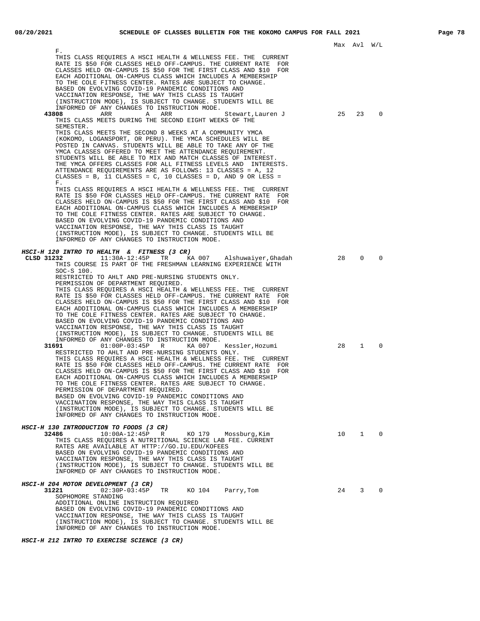|                                                                                                                                                                                                                                                                                                                                                                                                                                                                                                                                                                                                                                                                                                                                                                                                              |    | Max Avl W/L    |             |  |
|--------------------------------------------------------------------------------------------------------------------------------------------------------------------------------------------------------------------------------------------------------------------------------------------------------------------------------------------------------------------------------------------------------------------------------------------------------------------------------------------------------------------------------------------------------------------------------------------------------------------------------------------------------------------------------------------------------------------------------------------------------------------------------------------------------------|----|----------------|-------------|--|
| Р.<br>THIS CLASS REQUIRES A HSCI HEALTH & WELLNESS FEE. THE CURRENT<br>RATE IS \$50 FOR CLASSES HELD OFF-CAMPUS. THE CURRENT RATE<br>FOR<br>CLASSES HELD ON-CAMPUS IS \$50 FOR THE FIRST CLASS AND \$10 FOR<br>EACH ADDITIONAL ON-CAMPUS CLASS WHICH INCLUDES A MEMBERSHIP<br>TO THE COLE FITNESS CENTER. RATES ARE SUBJECT TO CHANGE.<br>BASED ON EVOLVING COVID-19 PANDEMIC CONDITIONS AND<br>VACCINATION RESPONSE, THE WAY THIS CLASS IS TAUGHT<br>(INSTRUCTION MODE), IS SUBJECT TO CHANGE. STUDENTS WILL BE<br>INFORMED OF ANY CHANGES TO INSTRUCTION MODE.                                                                                                                                                                                                                                             |    |                |             |  |
| 43808<br>ARR<br>ARR<br>A<br>Stewart,Lauren J<br>THIS CLASS MEETS DURING THE SECOND EIGHT WEEKS OF THE<br>SEMESTER.<br>THIS CLASS MEETS THE SECOND 8 WEEKS AT A COMMUNITY YMCA<br>(KOKOMO, LOGANSPORT, OR PERU). THE YMCA SCHEDULES WILL BE<br>POSTED IN CANVAS. STUDENTS WILL BE ABLE TO TAKE ANY OF THE<br>YMCA CLASSES OFFERED TO MEET THE ATTENDANCE REQUIREMENT.<br>STUDENTS WILL BE ABLE TO MIX AND MATCH CLASSES OF INTEREST.<br>THE YMCA OFFERS CLASSES FOR ALL FITNESS LEVELS AND INTERESTS.<br>ATTENDANCE REQUIREMENTS ARE AS FOLLOWS: 13 CLASSES = A, 12<br>CLASSES = B, 11 CLASSES = C, 10 CLASSES = D, AND 9 OR LESS =<br>Г.                                                                                                                                                                     | 25 | 23             | 0           |  |
| THIS CLASS REQUIRES A HSCI HEALTH & WELLNESS FEE. THE CURRENT<br>RATE IS \$50 FOR CLASSES HELD OFF-CAMPUS. THE CURRENT RATE<br>FOR<br>CLASSES HELD ON-CAMPUS IS \$50 FOR THE FIRST CLASS AND \$10 FOR<br>EACH ADDITIONAL ON-CAMPUS CLASS WHICH INCLUDES A MEMBERSHIP<br>TO THE COLE FITNESS CENTER. RATES ARE SUBJECT TO CHANGE.<br>BASED ON EVOLVING COVID-19 PANDEMIC CONDITIONS AND<br>VACCINATION RESPONSE, THE WAY THIS CLASS IS TAUGHT<br>(INSTRUCTION MODE), IS SUBJECT TO CHANGE. STUDENTS WILL BE<br>INFORMED OF ANY CHANGES TO INSTRUCTION MODE.                                                                                                                                                                                                                                                   |    |                |             |  |
| <i>HSCI-H 120 INTRO TO HEALTH &amp; FITNESS (3 CR)</i><br>CLSD 31232<br>11:30A-12:45P TR<br>KA 007 Alshuwaiyer, Ghadah<br>THIS COURSE IS PART OF THE FRESHMAN LEARNING EXPERIENCE WITH<br>$SOC-S$ 100.<br>RESTRICTED TO AHLT AND PRE-NURSING STUDENTS ONLY.<br>PERMISSION OF DEPARTMENT REQUIRED.<br>THIS CLASS REQUIRES A HSCI HEALTH & WELLNESS FEE. THE CURRENT<br>RATE IS \$50 FOR CLASSES HELD OFF-CAMPUS. THE CURRENT RATE FOR<br>CLASSES HELD ON-CAMPUS IS \$50 FOR THE FIRST CLASS AND \$10 FOR<br>EACH ADDITIONAL ON-CAMPUS CLASS WHICH INCLUDES A MEMBERSHIP<br>TO THE COLE FITNESS CENTER. RATES ARE SUBJECT TO CHANGE.<br>BASED ON EVOLVING COVID-19 PANDEMIC CONDITIONS AND<br>VACCINATION RESPONSE, THE WAY THIS CLASS IS TAUGHT<br>(INSTRUCTION MODE), IS SUBJECT TO CHANGE. STUDENTS WILL BE | 28 | $\mathbf 0$    | 0           |  |
| INFORMED OF ANY CHANGES TO INSTRUCTION MODE.<br>31691<br>$01:00P-03:45P$<br>R<br>KA 007<br>Kessler,Hozumi<br>RESTRICTED TO AHLT AND PRE-NURSING STUDENTS ONLY.<br>THIS CLASS REQUIRES A HSCI HEALTH & WELLNESS FEE. THE CURRENT<br>RATE IS \$50 FOR CLASSES HELD OFF-CAMPUS. THE CURRENT RATE FOR<br>CLASSES HELD ON-CAMPUS IS \$50 FOR THE FIRST CLASS AND \$10 FOR<br>EACH ADDITIONAL ON-CAMPUS CLASS WHICH INCLUDES A MEMBERSHIP<br>TO THE COLE FITNESS CENTER. RATES ARE SUBJECT TO CHANGE.<br>PERMISSION OF DEPARTMENT REQUIRED.<br>BASED ON EVOLVING COVID-19 PANDEMIC CONDITIONS AND<br>VACCINATION RESPONSE, THE WAY THIS CLASS IS TAUGHT<br>(INSTRUCTION MODE), IS SUBJECT TO CHANGE. STUDENTS WILL BE<br>INFORMED OF ANY CHANGES TO INSTRUCTION MODE.                                              | 28 | $\mathbf{1}$   | 0           |  |
| HSCI-H 130 INTRODUCTION TO FOODS (3 CR)<br>32486<br>$10:00A-12:45P$ R<br>Mossburg,Kim<br>KO 179<br>THIS CLASS REQUIRES A NUTRITIONAL SCIENCE LAB FEE. CURRENT<br>RATES ARE AVAILABLE AT HTTP://GO.IU.EDU/KOFEES<br>BASED ON EVOLVING COVID-19 PANDEMIC CONDITIONS AND<br>VACCINATION RESPONSE, THE WAY THIS CLASS IS TAUGHT<br>(INSTRUCTION MODE), IS SUBJECT TO CHANGE. STUDENTS WILL BE<br>INFORMED OF ANY CHANGES TO INSTRUCTION MODE.                                                                                                                                                                                                                                                                                                                                                                    | 10 | $\mathbf{1}$   | $\mathbf 0$ |  |
| HSCI-H 204 MOTOR DEVELOPMENT (3 CR)<br>31221<br>$02:30P-03:45P$<br>TR<br>KO 104 Parry, Tom<br>SOPHOMORE STANDING<br>ADDITIONAL ONLINE INSTRUCTION REQUIRED<br>BASED ON EVOLVING COVID-19 PANDEMIC CONDITIONS AND<br>VACCINATION RESPONSE, THE WAY THIS CLASS IS TAUGHT<br>(INSTRUCTION MODE), IS SUBJECT TO CHANGE. STUDENTS WILL BE<br>INFORMED OF ANY CHANGES TO INSTRUCTION MODE.                                                                                                                                                                                                                                                                                                                                                                                                                         | 24 | 3 <sup>7</sup> | 0           |  |

**HSCI-H 212 INTRO TO EXERCISE SCIENCE (3 CR)**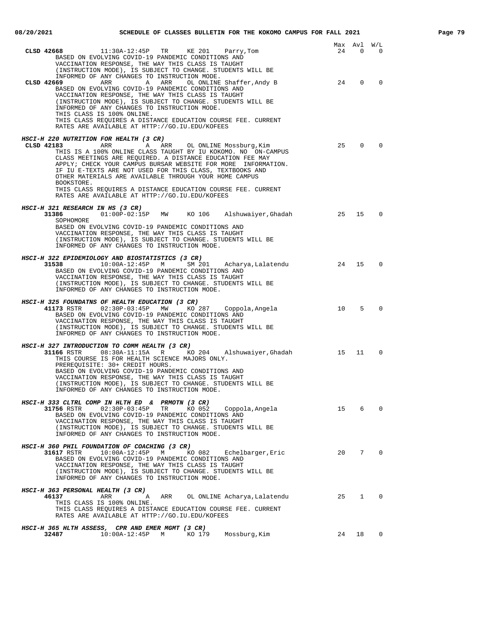|                                                                                                                                                                                                                                                                                                                                                                                                                                                                                                         |           | Max Avl        | W/L            |
|---------------------------------------------------------------------------------------------------------------------------------------------------------------------------------------------------------------------------------------------------------------------------------------------------------------------------------------------------------------------------------------------------------------------------------------------------------------------------------------------------------|-----------|----------------|----------------|
| 11:30A-12:45P TR<br>KE 201<br>CLSD 42668<br>Parry,Tom<br>BASED ON EVOLVING COVID-19 PANDEMIC CONDITIONS AND<br>VACCINATION RESPONSE, THE WAY THIS CLASS IS TAUGHT<br>(INSTRUCTION MODE), IS SUBJECT TO CHANGE. STUDENTS WILL BE<br>INFORMED OF ANY CHANGES TO INSTRUCTION MODE.                                                                                                                                                                                                                         | 24        | $\overline{0}$ | $\overline{0}$ |
| CLSD 42669<br>ARR<br>A<br>ARR<br>OL ONLINE Shaffer, Andy B<br>BASED ON EVOLVING COVID-19 PANDEMIC CONDITIONS AND<br>VACCINATION RESPONSE, THE WAY THIS CLASS IS TAUGHT<br>(INSTRUCTION MODE), IS SUBJECT TO CHANGE. STUDENTS WILL BE<br>INFORMED OF ANY CHANGES TO INSTRUCTION MODE.<br>THIS CLASS IS 100% ONLINE.<br>THIS CLASS REOUIRES A DISTANCE EDUCATION COURSE FEE. CURRENT<br>RATES ARE AVAILABLE AT HTTP://GO.IU.EDU/KOFEES                                                                    | 24        | $\Omega$       | $\Omega$       |
| HSCI-H 220 NUTRITION FOR HEALTH (3 CR)                                                                                                                                                                                                                                                                                                                                                                                                                                                                  |           |                |                |
| ARR<br>CLSD 42183<br>A ARR OL ONLINE Mossburg, Kim<br>THIS IS A 100% ONLINE CLASS TAUGHT BY IU KOKOMO. NO ON-CAMPUS<br>CLASS MEETINGS ARE REQUIRED. A DISTANCE EDUCATION FEE MAY<br>APPLY; CHECK YOUR CAMPUS BURSAR WEBSITE FOR MORE INFORMATION.<br>IF IU E-TEXTS ARE NOT USED FOR THIS CLASS, TEXTBOOKS AND<br>OTHER MATERIALS ARE AVAILABLE THROUGH YOUR HOME CAMPUS<br>BOOKSTORE.<br>THIS CLASS REQUIRES A DISTANCE EDUCATION COURSE FEE. CURRENT<br>RATES ARE AVAILABLE AT HTTP://GO.IU.EDU/KOFEES | 25        | $\mathbf 0$    | $\Omega$       |
| HSCI-H 321 RESEARCH IN HS (3 CR)                                                                                                                                                                                                                                                                                                                                                                                                                                                                        |           |                |                |
| 31386 01:00P-02:15P MW KO 106<br>Alshuwaiyer,Ghadah<br>SOPHOMORE<br>BASED ON EVOLVING COVID-19 PANDEMIC CONDITIONS AND<br>VACCINATION RESPONSE, THE WAY THIS CLASS IS TAUGHT<br>(INSTRUCTION MODE), IS SUBJECT TO CHANGE. STUDENTS WILL BE<br>INFORMED OF ANY CHANGES TO INSTRUCTION MODE.                                                                                                                                                                                                              | $\sim$ 25 | 15             | $\Omega$       |
| HSCI-H 322 EPIDEMIOLOGY AND BIOSTATISTICS (3 CR)                                                                                                                                                                                                                                                                                                                                                                                                                                                        |           |                |                |
| 31538<br>10:00A-12:45P M SM 201 Acharya, Lalatendu<br>BASED ON EVOLVING COVID-19 PANDEMIC CONDITIONS AND<br>VACCINATION RESPONSE, THE WAY THIS CLASS IS TAUGHT<br>(INSTRUCTION MODE), IS SUBJECT TO CHANGE. STUDENTS WILL BE<br>INFORMED OF ANY CHANGES TO INSTRUCTION MODE.                                                                                                                                                                                                                            | 24 15     |                | $\Omega$       |
| HSCI-H 325 FOUNDATNS OF HEALTH EDUCATION (3 CR)<br>KO 287 Coppola, Angela<br>41173 RSTR<br>02:30P-03:45P MW<br>BASED ON EVOLVING COVID-19 PANDEMIC CONDITIONS AND<br>VACCINATION RESPONSE, THE WAY THIS CLASS IS TAUGHT<br>(INSTRUCTION MODE), IS SUBJECT TO CHANGE. STUDENTS WILL BE<br>INFORMED OF ANY CHANGES TO INSTRUCTION MODE.                                                                                                                                                                   | 10        | 5              | $\Omega$       |
| HSCI-H 327 INTRODUCTION TO COMM HEALTH (3 CR)                                                                                                                                                                                                                                                                                                                                                                                                                                                           |           |                |                |
| $31166$ RSTR $08:30A-11:15A$ R KO 204 Alshuwaiyer, Ghadah 15<br>THIS COURSE IS FOR HEALTH SCIENCE MAJORS ONLY.<br>PREREQUISITE: 30+ CREDIT HOURS.<br>BASED ON EVOLVING COVID-19 PANDEMIC CONDITIONS AND<br>VACCINATION RESPONSE, THE WAY THIS CLASS IS TAUGHT<br>(INSTRUCTION MODE), IS SUBJECT TO CHANGE. STUDENTS WILL BE<br>INFORMED OF ANY CHANGES TO INSTRUCTION MODE.                                                                                                                             |           | 11             | $\mathbf 0$    |
| HSCI-H 333 CLTRL COMP IN HLTH ED & PRMOTN (3 CR)                                                                                                                                                                                                                                                                                                                                                                                                                                                        |           |                |                |
| 31756 RSTR<br>$02:30P-03:45P$<br>TR<br>KO 052<br>Coppola,Angela<br>BASED ON EVOLVING COVID-19 PANDEMIC CONDITIONS AND<br>VACCINATION RESPONSE, THE WAY THIS CLASS IS TAUGHT<br>(INSTRUCTION MODE), IS SUBJECT TO CHANGE. STUDENTS WILL BE<br>INFORMED OF ANY CHANGES TO INSTRUCTION MODE.                                                                                                                                                                                                               | 15        | 6              | $\Omega$       |
| HSCI-H 360 PHIL FOUNDATION OF COACHING (3 CR)<br>31617 RSTR<br>$10:00A-12:45P$<br>KO 082<br>Echelbarger, Eric<br>М<br>BASED ON EVOLVING COVID-19 PANDEMIC CONDITIONS AND<br>VACCINATION RESPONSE, THE WAY THIS CLASS IS TAUGHT<br>(INSTRUCTION MODE), IS SUBJECT TO CHANGE. STUDENTS WILL BE<br>INFORMED OF ANY CHANGES TO INSTRUCTION MODE.                                                                                                                                                            | 20        | $7^{\circ}$    | $\Omega$       |
|                                                                                                                                                                                                                                                                                                                                                                                                                                                                                                         |           |                |                |
| HSCI-H 363 PERSONAL HEALTH (3 CR)<br>46137<br>ARR<br>ARR<br>OL ONLINE Acharya, Lalatendu<br>Α<br>THIS CLASS IS 100% ONLINE.<br>THIS CLASS REQUIRES A DISTANCE EDUCATION COURSE FEE. CURRENT                                                                                                                                                                                                                                                                                                             | 25        | $\mathbf{1}$   | $\Omega$       |
| RATES ARE AVAILABLE AT HTTP://GO.IU.EDU/KOFEES                                                                                                                                                                                                                                                                                                                                                                                                                                                          |           |                |                |
| HSCI-H 365 HLTH ASSESS, CPR AND EMER MGMT (3 CR)<br>10:00A-12:45P M KO 179<br>32487<br>Mossburg, Kim                                                                                                                                                                                                                                                                                                                                                                                                    |           | 24 18 0        |                |
|                                                                                                                                                                                                                                                                                                                                                                                                                                                                                                         |           |                |                |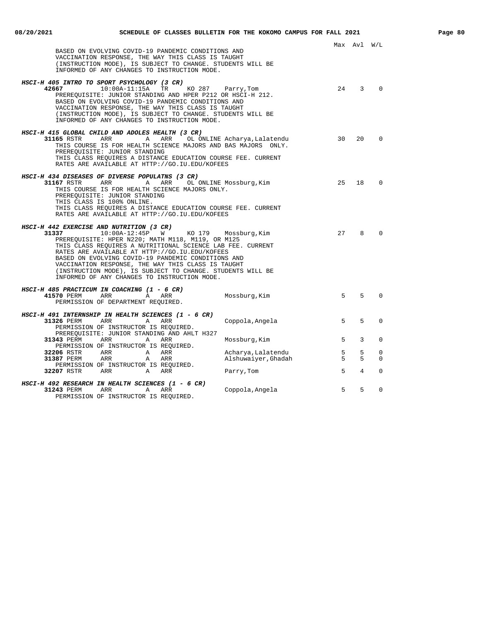|                                                                                                                                                                                                                                                                                                                                     |                                                 | Max Avl W/L    |             |
|-------------------------------------------------------------------------------------------------------------------------------------------------------------------------------------------------------------------------------------------------------------------------------------------------------------------------------------|-------------------------------------------------|----------------|-------------|
| BASED ON EVOLVING COVID-19 PANDEMIC CONDITIONS AND<br>VACCINATION RESPONSE, THE WAY THIS CLASS IS TAUGHT<br>(INSTRUCTION MODE), IS SUBJECT TO CHANGE. STUDENTS WILL BE<br>INFORMED OF ANY CHANGES TO INSTRUCTION MODE.                                                                                                              |                                                 |                |             |
| HSCI-H 405 INTRO TO SPORT PSYCHOLOGY (3 CR)                                                                                                                                                                                                                                                                                         |                                                 |                |             |
| 42667 10:00A-11:15A TR<br>KO 287 Parry, Tom<br>PREREOUISITE: JUNIOR STANDING AND HPER P212 OR HSCI-H 212.<br>BASED ON EVOLVING COVID-19 PANDEMIC CONDITIONS AND<br>VACCINATION RESPONSE, THE WAY THIS CLASS IS TAUGHT<br>(INSTRUCTION MODE), IS SUBJECT TO CHANGE. STUDENTS WILL BE<br>INFORMED OF ANY CHANGES TO INSTRUCTION MODE. | 24                                              | $\overline{3}$ | $\Omega$    |
| HSCI-H 415 GLOBAL CHILD AND ADOLES HEALTH (3 CR)                                                                                                                                                                                                                                                                                    |                                                 |                |             |
| ARR<br>31165 RSTR<br>A<br>ARR<br>THIS COURSE IS FOR HEALTH SCIENCE MAJORS AND BAS MAJORS ONLY.<br>PREREQUISITE: JUNIOR STANDING                                                                                                                                                                                                     | 30 <sup>2</sup><br>OL ONLINE Acharya, Lalatendu | 20             | $\Omega$    |
| THIS CLASS REQUIRES A DISTANCE EDUCATION COURSE FEE. CURRENT<br>RATES ARE AVAILABLE AT HTTP://GO.IU.EDU/KOFEES                                                                                                                                                                                                                      |                                                 |                |             |
| HSCI-H 434 DISEASES OF DIVERSE POPULATNS (3 CR)                                                                                                                                                                                                                                                                                     |                                                 |                |             |
| <b>31167</b> RSTR ARR ARR<br>OL ONLINE Mossburg, Kim                                                                                                                                                                                                                                                                                | 25                                              | 18             | $\Omega$    |
| THIS COURSE IS FOR HEALTH SCIENCE MAJORS ONLY.                                                                                                                                                                                                                                                                                      |                                                 |                |             |
| PREREQUISITE: JUNIOR STANDING<br>THIS CLASS IS 100% ONLINE.                                                                                                                                                                                                                                                                         |                                                 |                |             |
| THIS CLASS REOUIRES A DISTANCE EDUCATION COURSE FEE. CURRENT                                                                                                                                                                                                                                                                        |                                                 |                |             |
| RATES ARE AVAILABLE AT HTTP://GO.IU.EDU/KOFEES                                                                                                                                                                                                                                                                                      |                                                 |                |             |
| HSCI-H 442 EXERCISE AND NUTRITION (3 CR)<br>31337 10:00A-12:45P W KO 179                                                                                                                                                                                                                                                            | 2.7                                             | 8              | $\Omega$    |
| PREREQUISITE: HPER N220; MATH M118, M119, OR M125                                                                                                                                                                                                                                                                                   | Mossburg, Kim                                   |                |             |
| THIS CLASS REQUIRES A NUTRITIONAL SCIENCE LAB FEE. CURRENT                                                                                                                                                                                                                                                                          |                                                 |                |             |
| RATES ARE AVAILABLE AT HTTP://GO.IU.EDU/KOFEES<br>BASED ON EVOLVING COVID-19 PANDEMIC CONDITIONS AND                                                                                                                                                                                                                                |                                                 |                |             |
| VACCINATION RESPONSE, THE WAY THIS CLASS IS TAUGHT                                                                                                                                                                                                                                                                                  |                                                 |                |             |
| (INSTRUCTION MODE), IS SUBJECT TO CHANGE. STUDENTS WILL BE<br>INFORMED OF ANY CHANGES TO INSTRUCTION MODE.                                                                                                                                                                                                                          |                                                 |                |             |
|                                                                                                                                                                                                                                                                                                                                     |                                                 |                |             |
| HSCI-H 485 PRACTICUM IN COACHING (1 - 6 CR)<br>41570 PERM<br>ARR<br>A ARR                                                                                                                                                                                                                                                           | 5 <sup>1</sup><br>Mossburg, Kim                 | 5              | $\Omega$    |
| PERMISSION OF DEPARTMENT REOUIRED.                                                                                                                                                                                                                                                                                                  |                                                 |                |             |
| HSCI-H 491 INTERNSHIP IN HEALTH SCIENCES (1 - 6 CR)                                                                                                                                                                                                                                                                                 |                                                 |                |             |
| 31326 PERM<br>ARR<br>A<br>ARR                                                                                                                                                                                                                                                                                                       | 5<br>Coppola, Angela                            | 5              | $\mathbf 0$ |
| PERMISSION OF INSTRUCTOR IS REQUIRED.<br>PREREQUISITE: JUNIOR STANDING AND AHLT H327                                                                                                                                                                                                                                                |                                                 |                |             |
| <b>31343 PERM ARR</b><br>A ARR                                                                                                                                                                                                                                                                                                      | 5<br>Mossburg, Kim                              | 3              | 0           |
| PERMISSION OF INSTRUCTOR IS REQUIRED.<br><b>32206</b> RSTR ARR<br>A ARR                                                                                                                                                                                                                                                             | 5<br>Acharya, Lalatendu                         | 5              | $\mathbf 0$ |
| 31387 PERM ARR<br>A ARR                                                                                                                                                                                                                                                                                                             | Alshuwaiyer, Ghadah<br>5                        | 5              | $\Omega$    |
| PERMISSION OF INSTRUCTOR IS REQUIRED.                                                                                                                                                                                                                                                                                               | 5                                               | $\overline{4}$ | $\Omega$    |
| <b>32207</b> RSTR ARR A<br>ARR                                                                                                                                                                                                                                                                                                      | Parry, Tom                                      |                |             |
| HSCI-H 492 RESEARCH IN HEALTH SCIENCES (1 - 6 CR)                                                                                                                                                                                                                                                                                   | 5                                               | 5              | $\Omega$    |
| 31243 PERM ARR<br>$\mathbf{A}$<br>ARR<br>PERMISSION OF INSTRUCTOR IS REQUIRED.                                                                                                                                                                                                                                                      | Coppola, Angela                                 |                |             |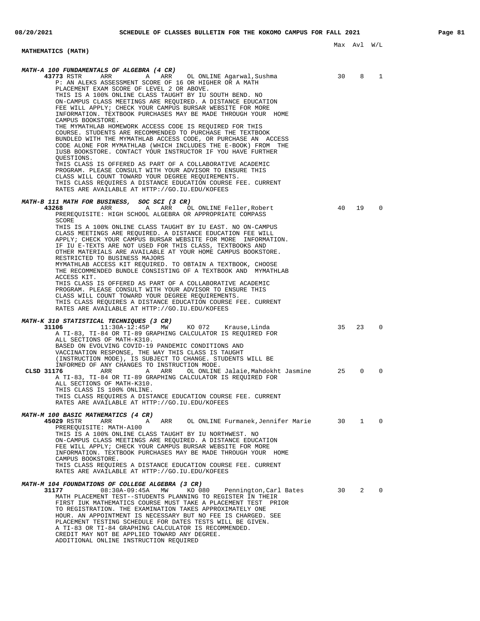### Max Avl W/L **MATHEMATICS (MATH) MATH-A 100 FUNDAMENTALS OF ALGEBRA (4 CR) 43773** RSTR ARR A ARR OL ONLINE Agarwal,Sushma 30 8 1 P: AN ALEKS ASSESSMENT SCORE OF 16 OR HIGHER OR A MATH PLACEMENT EXAM SCORE OF LEVEL 2 OR ABOVE. THIS IS A 100% ONLINE CLASS TAUGHT BY IU SOUTH BEND. NO ON-CAMPUS CLASS MEETINGS ARE REQUIRED. A DISTANCE EDUCATION FEE WILL APPLY; CHECK YOUR CAMPUS BURSAR WEBSITE FOR MORE INFORMATION. TEXTBOOK PURCHASES MAY BE MADE THROUGH YOUR HOME CAMPUS BOOKSTORE. THE MYMATHLAB HOMEWORK ACCESS CODE IS REQUIRED FOR THIS COURSE. STUDENTS ARE RECOMMENDED TO PURCHASE THE TEXTBOOK BUNDLED WITH THE MYMATHLAB ACCESS CODE, OR PURCHASE AN ACCESS CODE ALONE FOR MYMATHLAB (WHICH INCLUDES THE E-BOOK) FROM THE IUSB BOOKSTORE. CONTACT YOUR INSTRUCTOR IF YOU HAVE FURTHER QUESTIONS. THIS CLASS IS OFFERED AS PART OF A COLLABORATIVE ACADEMIC PROGRAM. PLEASE CONSULT WITH YOUR ADVISOR TO ENSURE THIS CLASS WILL COUNT TOWARD YOUR DEGREE REQUIREMENTS. THIS CLASS REQUIRES A DISTANCE EDUCATION COURSE FEE. CURRENT RATES ARE AVAILABLE AT HTTP://GO.IU.EDU/KOFEES **MATH-B 111 MATH FOR BUSINESS, SOC SCI (3 CR) 43268** ARR A ARR OL ONLINE Feller, Robert 40 19 0 PREREQUISITE: HIGH SCHOOL ALGEBRA OR APPROPRIATE COMPASS SCORE THIS IS A 100% ONLINE CLASS TAUGHT BY IU EAST. NO ON-CAMPUS CLASS MEETINGS ARE REQUIRED. A DISTANCE EDUCATION FEE WILL APPLY; CHECK YOUR CAMPUS BURSAR WEBSITE FOR MORE INFORMATION. IF IU E-TEXTS ARE NOT USED FOR THIS CLASS, TEXTBOOKS AND OTHER MATERIALS ARE AVAILABLE AT YOUR HOME CAMPUS BOOKSTORE. RESTRICTED TO BUSINESS MAJORS MYMATHLAB ACCESS KIT REQUIRED. TO OBTAIN A TEXTBOOK, CHOOSE THE RECOMMENDED BUNDLE CONSISTING OF A TEXTBOOK AND MYMATHLAB ACCESS KIT. THIS CLASS IS OFFERED AS PART OF A COLLABORATIVE ACADEMIC PROGRAM. PLEASE CONSULT WITH YOUR ADVISOR TO ENSURE THIS CLASS WILL COUNT TOWARD YOUR DEGREE REQUIREMENTS. THIS CLASS REQUIRES A DISTANCE EDUCATION COURSE FEE. CURRENT RATES ARE AVAILABLE AT HTTP://GO.IU.EDU/KOFEES **MATH-K 310 STATISTICAL TECHNIQUES (3 CR)** KO 072 Krause,Linda 35 23 0 A TI-83, TI-84 OR TI-89 GRAPHING CALCULATOR IS REQUIRED FOR ALL SECTIONS OF MATH-K310. BASED ON EVOLVING COVID-19 PANDEMIC CONDITIONS AND VACCINATION RESPONSE, THE WAY THIS CLASS IS TAUGHT (INSTRUCTION MODE), IS SUBJECT TO CHANGE. STUDENTS WILL BE INFORMED OF ANY CHANGES TO INSTRUCTION MODE.<br>**76** ARR A ARR OL ONLINE Jalaie, Mahdokht Jasmine **CLSD 31176** ARR A ARR OL ONLINE Jalaie,Mahdokht Jasmine 25 0 0 A TI-83, TI-84 OR TI-89 GRAPHING CALCULATOR IS REQUIRED FOR ALL SECTIONS OF MATH-K310. THIS CLASS IS 100% ONLINE. THIS CLASS REQUIRES A DISTANCE EDUCATION COURSE FEE. CURRENT RATES ARE AVAILABLE AT HTTP://GO.IU.EDU/KOFEES **MATH-M 100 BASIC MATHEMATICS (4 CR) 45029** RSTR ARR A ARR OL ONLINE Furmanek,Jennifer Marie 30 1 0 PREREQUISITE: MATH-A100 THIS IS A 100% ONLINE CLASS TAUGHT BY IU NORTHWEST. NO ON-CAMPUS CLASS MEETINGS ARE REQUIRED. A DISTANCE EDUCATION FEE WILL APPLY; CHECK YOUR CAMPUS BURSAR WEBSITE FOR MORE INFORMATION. TEXTBOOK PURCHASES MAY BE MADE THROUGH YOUR HOME CAMPUS BOOKSTORE. THIS CLASS REQUIRES A DISTANCE EDUCATION COURSE FEE. CURRENT RATES ARE AVAILABLE AT HTTP://GO.IU.EDU/KOFEES **MATH-M 104 FOUNDATIONS OF COLLEGE ALGEBRA (3 CR) 31177** 08:30A-09:45A MW KO 080 Pennington,Carl Bates 30 2 0 MATH PLACEMENT TEST--STUDENTS PLANNING TO REGISTER IN THEIR FIRST IUK MATHEMATICS COURSE MUST TAKE A PLACEMENT TEST PRIOR TO REGISTRATION. THE EXAMINATION TAKES APPROXIMATELY ONE HOUR. AN APPOINTMENT IS NECESSARY BUT NO FEE IS CHARGED. SEE PLACEMENT TESTING SCHEDULE FOR DATES TESTS WILL BE GIVEN. A TI-83 OR TI-84 GRAPHING CALCULATOR IS RECOMMENDED. CREDIT MAY NOT BE APPLIED TOWARD ANY DEGREE. ADDITIONAL ONLINE INSTRUCTION REQUIRED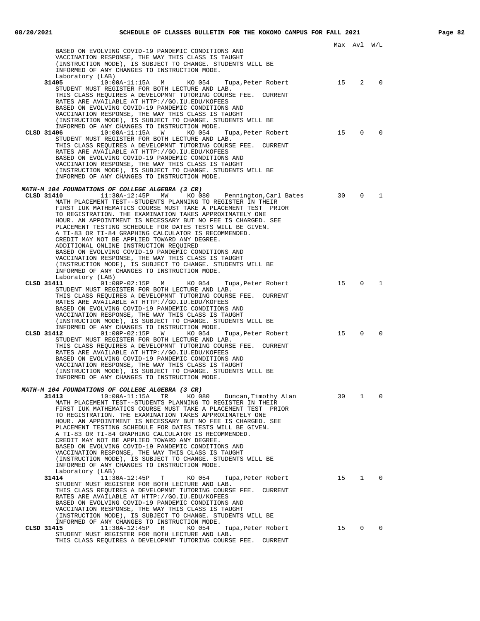|                                                                                                                              |    | Max Avl W/L  |              |
|------------------------------------------------------------------------------------------------------------------------------|----|--------------|--------------|
| BASED ON EVOLVING COVID-19 PANDEMIC CONDITIONS AND<br>VACCINATION RESPONSE, THE WAY THIS CLASS IS TAUGHT                     |    |              |              |
| (INSTRUCTION MODE), IS SUBJECT TO CHANGE. STUDENTS WILL BE<br>INFORMED OF ANY CHANGES TO INSTRUCTION MODE.                   |    |              |              |
| Laboratory (LAB)                                                                                                             |    |              |              |
| 31405<br>10:00A-11:15A M KO 054<br>Tupa, Peter Robert<br>STUDENT MUST REGISTER FOR BOTH LECTURE AND LAB.                     | 15 | 2            | 0            |
| THIS CLASS REQUIRES A DEVELOPMNT TUTORING COURSE FEE. CURRENT                                                                |    |              |              |
| RATES ARE AVAILABLE AT HTTP://GO.IU.EDU/KOFEES<br>BASED ON EVOLVING COVID-19 PANDEMIC CONDITIONS AND                         |    |              |              |
| VACCINATION RESPONSE, THE WAY THIS CLASS IS TAUGHT<br>(INSTRUCTION MODE), IS SUBJECT TO CHANGE. STUDENTS WILL BE             |    |              |              |
| INFORMED OF ANY CHANGES TO INSTRUCTION MODE.                                                                                 |    |              |              |
| CLSD 31406<br>$10:00A-11:15A$ W<br>KO 054<br>Tupa, Peter Robert<br>STUDENT MUST REGISTER FOR BOTH LECTURE AND LAB.           | 15 | $\Omega$     | $\Omega$     |
| THIS CLASS REQUIRES A DEVELOPMNT TUTORING COURSE FEE. CURRENT                                                                |    |              |              |
| RATES ARE AVAILABLE AT HTTP://GO.IU.EDU/KOFEES<br>BASED ON EVOLVING COVID-19 PANDEMIC CONDITIONS AND                         |    |              |              |
| VACCINATION RESPONSE, THE WAY THIS CLASS IS TAUGHT<br>(INSTRUCTION MODE), IS SUBJECT TO CHANGE. STUDENTS WILL BE             |    |              |              |
| INFORMED OF ANY CHANGES TO INSTRUCTION MODE.                                                                                 |    |              |              |
| MATH-M 104 FOUNDATIONS OF COLLEGE ALGEBRA (3 CR)                                                                             |    |              |              |
| CLSD 31410<br>11:30A-12:45P<br>MW<br>KO 080 Pennington, Carl Bates                                                           | 30 | $\mathbf{0}$ | 1            |
| MATH PLACEMENT TEST--STUDENTS PLANNING TO REGISTER IN THEIR<br>FIRST IUK MATHEMATICS COURSE MUST TAKE A PLACEMENT TEST PRIOR |    |              |              |
| TO REGISTRATION. THE EXAMINATION TAKES APPROXIMATELY ONE<br>HOUR. AN APPOINTMENT IS NECESSARY BUT NO FEE IS CHARGED. SEE     |    |              |              |
| PLACEMENT TESTING SCHEDULE FOR DATES TESTS WILL BE GIVEN.                                                                    |    |              |              |
| A TI-83 OR TI-84 GRAPHING CALCULATOR IS RECOMMENDED.<br>CREDIT MAY NOT BE APPLIED TOWARD ANY DEGREE.                         |    |              |              |
| ADDITIONAL ONLINE INSTRUCTION REOUIRED                                                                                       |    |              |              |
| BASED ON EVOLVING COVID-19 PANDEMIC CONDITIONS AND<br>VACCINATION RESPONSE, THE WAY THIS CLASS IS TAUGHT                     |    |              |              |
| (INSTRUCTION MODE), IS SUBJECT TO CHANGE. STUDENTS WILL BE<br>INFORMED OF ANY CHANGES TO INSTRUCTION MODE.                   |    |              |              |
| Laboratory (LAB)                                                                                                             |    |              |              |
| CLSD 31411<br>$01:00P-02:15P$ M<br>KO 054<br>Tupa, Peter Robert<br>STUDENT MUST REGISTER FOR BOTH LECTURE AND LAB.           | 15 | 0            | $\mathbf{1}$ |
| THIS CLASS REQUIRES A DEVELOPMNT TUTORING COURSE FEE. CURRENT<br>RATES ARE AVAILABLE AT HTTP://GO.IU.EDU/KOFEES              |    |              |              |
| BASED ON EVOLVING COVID-19 PANDEMIC CONDITIONS AND                                                                           |    |              |              |
| VACCINATION RESPONSE, THE WAY THIS CLASS IS TAUGHT<br>(INSTRUCTION MODE), IS SUBJECT TO CHANGE. STUDENTS WILL BE             |    |              |              |
| INFORMED OF ANY CHANGES TO INSTRUCTION MODE.<br>CLSD 31412<br>KO 054                                                         | 15 | 0            | $\Omega$     |
| $01:00P-02:15P$ W<br>Tupa,Peter Robert<br>STUDENT MUST REGISTER FOR BOTH LECTURE AND LAB.                                    |    |              |              |
| THIS CLASS REQUIRES A DEVELOPMNT TUTORING COURSE FEE. CURRENT<br>RATES ARE AVAILABLE AT HTTP://GO.IU.EDU/KOFEES              |    |              |              |
| BASED ON EVOLVING COVID-19 PANDEMIC CONDITIONS AND                                                                           |    |              |              |
| VACCINATION RESPONSE, THE WAY THIS CLASS IS TAUGHT<br>(INSTRUCTION MODE), IS SUBJECT TO CHANGE. STUDENTS WILL BE             |    |              |              |
| INFORMED OF ANY CHANGES TO INSTRUCTION MODE.                                                                                 |    |              |              |
| <b>MATH-M 104 FOUNDATIONS OF COLLEGE ALGEBRA (3 CR)</b>                                                                      |    |              |              |
| 31413<br>10:00A-11:15A TR KO 080 Duncan, Timothy Alan<br>MATH PLACEMENT TEST--STUDENTS PLANNING TO REGISTER IN THEIR         | 30 |              | 0            |
| FIRST IUK MATHEMATICS COURSE MUST TAKE A PLACEMENT TEST PRIOR<br>TO REGISTRATION. THE EXAMINATION TAKES APPROXIMATELY ONE    |    |              |              |
| HOUR. AN APPOINTMENT IS NECESSARY BUT NO FEE IS CHARGED. SEE                                                                 |    |              |              |
| PLACEMENT TESTING SCHEDULE FOR DATES TESTS WILL BE GIVEN.<br>A TI-83 OR TI-84 GRAPHING CALCULATOR IS RECOMMENDED.            |    |              |              |
| CREDIT MAY NOT BE APPLIED TOWARD ANY DEGREE.<br>BASED ON EVOLVING COVID-19 PANDEMIC CONDITIONS AND                           |    |              |              |
| VACCINATION RESPONSE, THE WAY THIS CLASS IS TAUGHT                                                                           |    |              |              |
| (INSTRUCTION MODE), IS SUBJECT TO CHANGE. STUDENTS WILL BE<br>INFORMED OF ANY CHANGES TO INSTRUCTION MODE.                   |    |              |              |
| Laboratory (LAB)<br>31414                                                                                                    |    |              |              |
| 11:30A-12:45P<br>T<br>KO 054<br>Tupa, Peter Robert<br>STUDENT MUST REGISTER FOR BOTH LECTURE AND LAB.                        | 15 | $\mathbf{1}$ | $\mathbf 0$  |
| THIS CLASS REQUIRES A DEVELOPMNT TUTORING COURSE FEE. CURRENT<br>RATES ARE AVAILABLE AT HTTP://GO.IU.EDU/KOFEES              |    |              |              |
| BASED ON EVOLVING COVID-19 PANDEMIC CONDITIONS AND                                                                           |    |              |              |
| VACCINATION RESPONSE, THE WAY THIS CLASS IS TAUGHT<br>(INSTRUCTION MODE), IS SUBJECT TO CHANGE. STUDENTS WILL BE             |    |              |              |
| INFORMED OF ANY CHANGES TO INSTRUCTION MODE.<br>$11:30A-12:45P$<br>CLSD 31415<br>R<br>KO 054<br>Tupa, Peter Robert           | 15 | $\mathbf{0}$ | $\Omega$     |
| STUDENT MUST REGISTER FOR BOTH LECTURE AND LAB.                                                                              |    |              |              |
| THIS CLASS REQUIRES A DEVELOPMNT TUTORING COURSE FEE. CURRENT                                                                |    |              |              |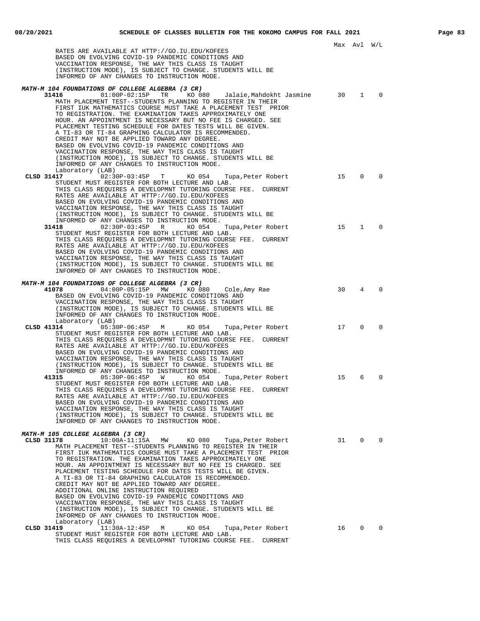|            | RATES ARE AVAILABLE AT HTTP://GO.IU.EDU/KOFEES<br>BASED ON EVOLVING COVID-19 PANDEMIC CONDITIONS AND<br>VACCINATION RESPONSE, THE WAY THIS CLASS IS TAUGHT<br>(INSTRUCTION MODE), IS SUBJECT TO CHANGE. STUDENTS WILL BE                                                                                                                                                                                                                                                                                                                                                                                                                                                                                                                                                                                            |    |              |          |
|------------|---------------------------------------------------------------------------------------------------------------------------------------------------------------------------------------------------------------------------------------------------------------------------------------------------------------------------------------------------------------------------------------------------------------------------------------------------------------------------------------------------------------------------------------------------------------------------------------------------------------------------------------------------------------------------------------------------------------------------------------------------------------------------------------------------------------------|----|--------------|----------|
|            | INFORMED OF ANY CHANGES TO INSTRUCTION MODE.                                                                                                                                                                                                                                                                                                                                                                                                                                                                                                                                                                                                                                                                                                                                                                        |    |              |          |
|            | MATH-M 104 FOUNDATIONS OF COLLEGE ALGEBRA (3 CR)<br>31416<br>$01:00P-02:15P$<br>TR<br>KO 080<br>Jalaie,Mahdokht Jasmine<br>MATH PLACEMENT TEST--STUDENTS PLANNING TO REGISTER IN THEIR<br>FIRST IUK MATHEMATICS COURSE MUST TAKE A PLACEMENT TEST PRIOR<br>TO REGISTRATION. THE EXAMINATION TAKES APPROXIMATELY ONE<br>HOUR. AN APPOINTMENT IS NECESSARY BUT NO FEE IS CHARGED. SEE<br>PLACEMENT TESTING SCHEDULE FOR DATES TESTS WILL BE GIVEN.<br>A TI-83 OR TI-84 GRAPHING CALCULATOR IS RECOMMENDED.<br>CREDIT MAY NOT BE APPLIED TOWARD ANY DEGREE.<br>BASED ON EVOLVING COVID-19 PANDEMIC CONDITIONS AND                                                                                                                                                                                                      | 30 | $\mathbf{1}$ | $\Omega$ |
|            | VACCINATION RESPONSE, THE WAY THIS CLASS IS TAUGHT<br>(INSTRUCTION MODE), IS SUBJECT TO CHANGE. STUDENTS WILL BE<br>INFORMED OF ANY CHANGES TO INSTRUCTION MODE.<br>Laboratory (LAB)                                                                                                                                                                                                                                                                                                                                                                                                                                                                                                                                                                                                                                |    |              |          |
|            | CLSD 31417<br>$02:30P-03:45P$<br>KO 054<br>T.<br>Tupa, Peter Robert<br>STUDENT MUST REGISTER FOR BOTH LECTURE AND LAB.<br>THIS CLASS REQUIRES A DEVELOPMNT TUTORING COURSE FEE. CURRENT<br>RATES ARE AVAILABLE AT HTTP://GO.IU.EDU/KOFEES<br>BASED ON EVOLVING COVID-19 PANDEMIC CONDITIONS AND<br>VACCINATION RESPONSE, THE WAY THIS CLASS IS TAUGHT<br>(INSTRUCTION MODE), IS SUBJECT TO CHANGE. STUDENTS WILL BE<br>INFORMED OF ANY CHANGES TO INSTRUCTION MODE.                                                                                                                                                                                                                                                                                                                                                 | 15 | $\mathbf 0$  | $\Omega$ |
|            | 31418<br>$02:30P-03:45P$ R<br>KO 054<br>Tupa,Peter Robert<br>STUDENT MUST REGISTER FOR BOTH LECTURE AND LAB.<br>THIS CLASS REOUIRES A DEVELOPMNT TUTORING COURSE FEE. CURRENT<br>RATES ARE AVAILABLE AT HTTP://GO.IU.EDU/KOFEES<br>BASED ON EVOLVING COVID-19 PANDEMIC CONDITIONS AND<br>VACCINATION RESPONSE, THE WAY THIS CLASS IS TAUGHT<br>(INSTRUCTION MODE), IS SUBJECT TO CHANGE. STUDENTS WILL BE<br>INFORMED OF ANY CHANGES TO INSTRUCTION MODE.                                                                                                                                                                                                                                                                                                                                                           | 15 | 1            | $\Omega$ |
|            | MATH-M 104 FOUNDATIONS OF COLLEGE ALGEBRA (3 CR)<br>41078<br>04:00P-05:15P MW<br>KO 080<br>Cole, Amy Rae<br>BASED ON EVOLVING COVID-19 PANDEMIC CONDITIONS AND<br>VACCINATION RESPONSE, THE WAY THIS CLASS IS TAUGHT<br>(INSTRUCTION MODE), IS SUBJECT TO CHANGE. STUDENTS WILL BE<br>INFORMED OF ANY CHANGES TO INSTRUCTION MODE.<br>Laboratory (LAB)                                                                                                                                                                                                                                                                                                                                                                                                                                                              | 30 | 4            | $\Omega$ |
|            | CLSD 41314<br>$05:30P-06:45P$<br>M<br>KO 054<br>Tupa, Peter Robert<br>STUDENT MUST REGISTER FOR BOTH LECTURE AND LAB.<br>THIS CLASS REQUIRES A DEVELOPMNT TUTORING COURSE FEE. CURRENT<br>RATES ARE AVAILABLE AT HTTP://GO.IU.EDU/KOFEES<br>BASED ON EVOLVING COVID-19 PANDEMIC CONDITIONS AND<br>VACCINATION RESPONSE, THE WAY THIS CLASS IS TAUGHT<br>(INSTRUCTION MODE), IS SUBJECT TO CHANGE. STUDENTS WILL BE<br>INFORMED OF ANY CHANGES TO INSTRUCTION MODE.                                                                                                                                                                                                                                                                                                                                                  | 17 | $\mathbf 0$  | $\Omega$ |
|            | 41315<br>$05:30P-06:45P$<br>KO 054<br>W<br>Tupa, Peter Robert<br>STUDENT MUST REGISTER FOR BOTH LECTURE AND LAB.<br>THIS CLASS REQUIRES A DEVELOPMNT TUTORING COURSE FEE. CURRENT<br>RATES ARE AVAILABLE AT HTTP://GO.IU.EDU/KOFEES<br>BASED ON EVOLVING COVID-19 PANDEMIC CONDITIONS AND<br>VACCINATION RESPONSE, THE WAY THIS CLASS IS TAUGHT<br>(INSTRUCTION MODE), IS SUBJECT TO CHANGE. STUDENTS WILL BE<br>INFORMED OF ANY CHANGES TO INSTRUCTION MODE.                                                                                                                                                                                                                                                                                                                                                       | 15 | 6            | $\Omega$ |
| CLSD 31178 | MATH-M 105 COLLEGE ALGEBRA (3 CR)<br>$10:00A-11:15A$<br>MW<br>KO 080<br>Tupa, Peter Robert<br>MATH PLACEMENT TEST--STUDENTS PLANNING TO REGISTER IN THEIR<br>FIRST IUK MATHEMATICS COURSE MUST TAKE A PLACEMENT TEST PRIOR<br>TO REGISTRATION. THE EXAMINATION TAKES APPROXIMATELY ONE<br>HOUR. AN APPOINTMENT IS NECESSARY BUT NO FEE IS CHARGED. SEE<br>PLACEMENT TESTING SCHEDULE FOR DATES TESTS WILL BE GIVEN.<br>A TI-83 OR TI-84 GRAPHING CALCULATOR IS RECOMMENDED.<br>CREDIT MAY NOT BE APPLIED TOWARD ANY DEGREE.<br>ADDITIONAL ONLINE INSTRUCTION REOUIRED<br>BASED ON EVOLVING COVID-19 PANDEMIC CONDITIONS AND<br>VACCINATION RESPONSE, THE WAY THIS CLASS IS TAUGHT<br>(INSTRUCTION MODE), IS SUBJECT TO CHANGE. STUDENTS WILL BE<br>INFORMED OF ANY CHANGES TO INSTRUCTION MODE.<br>Laboratory (LAB) | 31 | 0            | $\Omega$ |
|            | CLSD 31419<br>$11:30A-12:45P$<br>KO 054<br>Tupa, Peter Robert<br>M<br>STUDENT MUST REGISTER FOR BOTH LECTURE AND LAB.<br>THIS CLASS REQUIRES A DEVELOPMNT TUTORING COURSE FEE. CURRENT                                                                                                                                                                                                                                                                                                                                                                                                                                                                                                                                                                                                                              | 16 | $\mathbf{0}$ | $\Omega$ |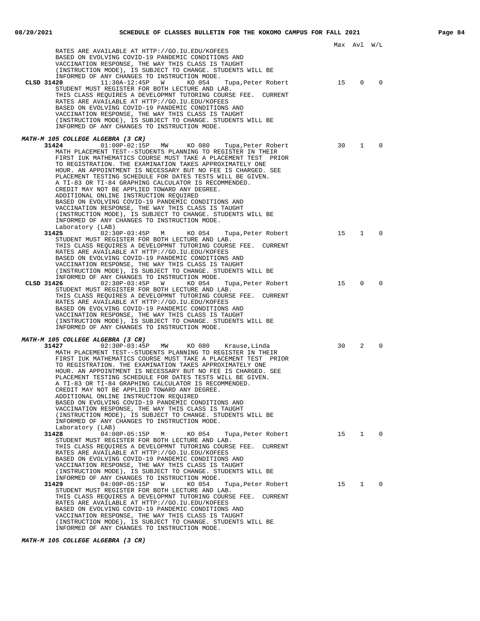|                                                                                                                                                                                                                                                                                                                                                                                                                                                                                                                                                                                                                                                                                                                                                                                                                      |    | Max Avl      | W/L         |
|----------------------------------------------------------------------------------------------------------------------------------------------------------------------------------------------------------------------------------------------------------------------------------------------------------------------------------------------------------------------------------------------------------------------------------------------------------------------------------------------------------------------------------------------------------------------------------------------------------------------------------------------------------------------------------------------------------------------------------------------------------------------------------------------------------------------|----|--------------|-------------|
| RATES ARE AVAILABLE AT HTTP://GO.IU.EDU/KOFEES<br>BASED ON EVOLVING COVID-19 PANDEMIC CONDITIONS AND<br>VACCINATION RESPONSE, THE WAY THIS CLASS IS TAUGHT<br>(INSTRUCTION MODE), IS SUBJECT TO CHANGE. STUDENTS WILL BE<br>INFORMED OF ANY CHANGES TO INSTRUCTION MODE.                                                                                                                                                                                                                                                                                                                                                                                                                                                                                                                                             |    |              |             |
| $11:30A-12:45P$<br>CLSD 31420<br><b>M</b><br>KO 054<br>Tupa, Peter Robert<br>STUDENT MUST REGISTER FOR BOTH LECTURE AND LAB.<br>THIS CLASS REQUIRES A DEVELOPMNT TUTORING COURSE FEE. CURRENT<br>RATES ARE AVAILABLE AT HTTP://GO.IU.EDU/KOFEES<br>BASED ON EVOLVING COVID-19 PANDEMIC CONDITIONS AND<br>VACCINATION RESPONSE, THE WAY THIS CLASS IS TAUGHT<br>(INSTRUCTION MODE), IS SUBJECT TO CHANGE. STUDENTS WILL BE<br>INFORMED OF ANY CHANGES TO INSTRUCTION MODE.                                                                                                                                                                                                                                                                                                                                            | 15 | $\mathbf{0}$ | $\mathbf 0$ |
| MATH-M 105 COLLEGE ALGEBRA (3 CR)<br>31424<br>01:00P-02:15P MW KO080<br>Tupa, Peter Robert<br>MATH PLACEMENT TEST--STUDENTS PLANNING TO REGISTER IN THEIR<br>FIRST IUK MATHEMATICS COURSE MUST TAKE A PLACEMENT TEST PRIOR<br>TO REGISTRATION. THE EXAMINATION TAKES APPROXIMATELY ONE<br>HOUR. AN APPOINTMENT IS NECESSARY BUT NO FEE IS CHARGED. SEE<br>PLACEMENT TESTING SCHEDULE FOR DATES TESTS WILL BE GIVEN.<br>A TI-83 OR TI-84 GRAPHING CALCULATOR IS RECOMMENDED.<br>CREDIT MAY NOT BE APPLIED TOWARD ANY DEGREE.<br>ADDITIONAL ONLINE INSTRUCTION REOUIRED<br>BASED ON EVOLVING COVID-19 PANDEMIC CONDITIONS AND<br>VACCINATION RESPONSE, THE WAY THIS CLASS IS TAUGHT<br>(INSTRUCTION MODE), IS SUBJECT TO CHANGE. STUDENTS WILL BE<br>INFORMED OF ANY CHANGES TO INSTRUCTION MODE.                      | 30 | $\mathbf{1}$ | $\mathbf 0$ |
| Laboratory (LAB)<br>31425<br>$02:30P-03:45P$ M<br>KO 054<br>Tupa, Peter Robert<br>STUDENT MUST REGISTER FOR BOTH LECTURE AND LAB.<br>THIS CLASS REOUIRES A DEVELOPMNT TUTORING COURSE FEE. CURRENT<br>RATES ARE AVAILABLE AT HTTP://GO.IU.EDU/KOFEES<br>BASED ON EVOLVING COVID-19 PANDEMIC CONDITIONS AND<br>VACCINATION RESPONSE, THE WAY THIS CLASS IS TAUGHT<br>(INSTRUCTION MODE), IS SUBJECT TO CHANGE. STUDENTS WILL BE<br>INFORMED OF ANY CHANGES TO INSTRUCTION MODE.                                                                                                                                                                                                                                                                                                                                       | 15 | $\mathbf{1}$ | $\Omega$    |
| $02:30P-03:45P$<br>CLSD 31426<br><b>M</b><br>KO 054<br>Tupa,Peter Robert<br>STUDENT MUST REGISTER FOR BOTH LECTURE AND LAB.<br>THIS CLASS REQUIRES A DEVELOPMNT TUTORING COURSE FEE. CURRENT<br>RATES ARE AVAILABLE AT HTTP://GO.IU.EDU/KOFEES<br>BASED ON EVOLVING COVID-19 PANDEMIC CONDITIONS AND<br>VACCINATION RESPONSE, THE WAY THIS CLASS IS TAUGHT<br>(INSTRUCTION MODE), IS SUBJECT TO CHANGE. STUDENTS WILL BE<br>INFORMED OF ANY CHANGES TO INSTRUCTION MODE.                                                                                                                                                                                                                                                                                                                                             | 15 | $\Omega$     | $\Omega$    |
| MATH-M 105 COLLEGE ALGEBRA (3 CR)<br>31427<br>$02:30P-03:45P$ MW<br>KO 080     Krause,Linda<br>MATH PLACEMENT TEST--STUDENTS PLANNING TO REGISTER IN THEIR<br>FIRST IUK MATHEMATICS COURSE MUST TAKE A PLACEMENT TEST PRIOR<br>TO REGISTRATION. THE EXAMINATION TAKES APPROXIMATELY ONE<br>HOUR. AN APPOINTMENT IS NECESSARY BUT NO FEE IS CHARGED. SEE<br>PLACEMENT TESTING SCHEDULE FOR DATES TESTS WILL BE GIVEN.<br>A TI-83 OR TI-84 GRAPHING CALCULATOR IS RECOMMENDED.<br>CREDIT MAY NOT BE APPLIED TOWARD ANY DEGREE.<br>ADDITIONAL ONLINE INSTRUCTION REQUIRED<br>BASED ON EVOLVING COVID-19 PANDEMIC CONDITIONS AND<br>VACCINATION RESPONSE, THE WAY THIS CLASS IS TAUGHT<br>(INSTRUCTION MODE), IS SUBJECT TO CHANGE. STUDENTS WILL BE<br>INFORMED OF ANY CHANGES TO INSTRUCTION MODE.<br>Laboratory (LAB) | 30 | 2            | $\Omega$    |
| 31428<br>04:00P-05:15P M<br>KO 054<br>Tupa, Peter Robert<br>STUDENT MUST REGISTER FOR BOTH LECTURE AND LAB.<br>THIS CLASS REQUIRES A DEVELOPMNT TUTORING COURSE FEE. CURRENT<br>RATES ARE AVAILABLE AT HTTP://GO.IU.EDU/KOFEES<br>BASED ON EVOLVING COVID-19 PANDEMIC CONDITIONS AND<br>VACCINATION RESPONSE, THE WAY THIS CLASS IS TAUGHT<br>(INSTRUCTION MODE), IS SUBJECT TO CHANGE. STUDENTS WILL BE<br>INFORMED OF ANY CHANGES TO INSTRUCTION MODE.                                                                                                                                                                                                                                                                                                                                                             |    | 15 1         | 0           |
| $04:00P-05:15P$<br>31429<br>KO 054<br>Tupa, Peter Robert<br><b>M</b><br>STUDENT MUST REGISTER FOR BOTH LECTURE AND LAB.<br>THIS CLASS REQUIRES A DEVELOPMNT TUTORING COURSE FEE. CURRENT<br>RATES ARE AVAILABLE AT HTTP://GO.IU.EDU/KOFEES<br>BASED ON EVOLVING COVID-19 PANDEMIC CONDITIONS AND<br>VACCINATION RESPONSE, THE WAY THIS CLASS IS TAUGHT<br>(INSTRUCTION MODE), IS SUBJECT TO CHANGE. STUDENTS WILL BE<br>INFORMED OF ANY CHANGES TO INSTRUCTION MODE.                                                                                                                                                                                                                                                                                                                                                 | 15 | $\mathbf{1}$ | $\mathbf 0$ |

**MATH-M 105 COLLEGE ALGEBRA (3 CR)**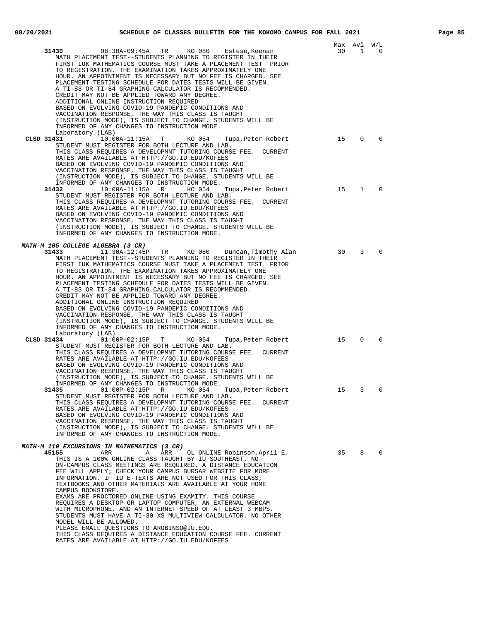|                                                                                                                                                                                                                                                                                                                                                                                                                                                                                                                                                                                                                                                                                                                                                                                                                                                                                                |    | Max Avl W/L    |             |
|------------------------------------------------------------------------------------------------------------------------------------------------------------------------------------------------------------------------------------------------------------------------------------------------------------------------------------------------------------------------------------------------------------------------------------------------------------------------------------------------------------------------------------------------------------------------------------------------------------------------------------------------------------------------------------------------------------------------------------------------------------------------------------------------------------------------------------------------------------------------------------------------|----|----------------|-------------|
| 31430<br>08:30A-09:45A TR<br>KO 080<br>Estese,Keenan<br>MATH PLACEMENT TEST--STUDENTS PLANNING TO REGISTER IN THEIR<br>FIRST IUK MATHEMATICS COURSE MUST TAKE A PLACEMENT TEST PRIOR<br>TO REGISTRATION. THE EXAMINATION TAKES APPROXIMATELY ONE<br>HOUR. AN APPOINTMENT IS NECESSARY BUT NO FEE IS CHARGED. SEE<br>PLACEMENT TESTING SCHEDULE FOR DATES TESTS WILL BE GIVEN.<br>A TI-83 OR TI-84 GRAPHING CALCULATOR IS RECOMMENDED.<br>CREDIT MAY NOT BE APPLIED TOWARD ANY DEGREE.<br>ADDITIONAL ONLINE INSTRUCTION REQUIRED<br>BASED ON EVOLVING COVID-19 PANDEMIC CONDITIONS AND<br>VACCINATION RESPONSE, THE WAY THIS CLASS IS TAUGHT<br>(INSTRUCTION MODE), IS SUBJECT TO CHANGE. STUDENTS WILL BE<br>INFORMED OF ANY CHANGES TO INSTRUCTION MODE.<br>Laboratory (LAB)                                                                                                                  | 30 | $\overline{1}$ | $\Omega$    |
| CLSD 31431<br>$10:00A-11:15A$<br>T<br>KO 054<br>Tupa, Peter Robert<br>STUDENT MUST REGISTER FOR BOTH LECTURE AND LAB.<br>THIS CLASS REQUIRES A DEVELOPMNT TUTORING COURSE FEE. CURRENT<br>RATES ARE AVAILABLE AT HTTP://GO.IU.EDU/KOFEES<br>BASED ON EVOLVING COVID-19 PANDEMIC CONDITIONS AND<br>VACCINATION RESPONSE, THE WAY THIS CLASS IS TAUGHT<br>(INSTRUCTION MODE), IS SUBJECT TO CHANGE. STUDENTS WILL BE<br>INFORMED OF ANY CHANGES TO INSTRUCTION MODE.                                                                                                                                                                                                                                                                                                                                                                                                                             | 15 | $\mathbf 0$    | $\mathbf 0$ |
| 31432<br>$10:00A-11:15A$<br>KO 054<br>R<br>Tupa,Peter Robert<br>STUDENT MUST REGISTER FOR BOTH LECTURE AND LAB.<br>THIS CLASS REQUIRES A DEVELOPMNT TUTORING COURSE FEE. CURRENT<br>RATES ARE AVAILABLE AT HTTP://GO.IU.EDU/KOFEES<br>BASED ON EVOLVING COVID-19 PANDEMIC CONDITIONS AND<br>VACCINATION RESPONSE, THE WAY THIS CLASS IS TAUGHT<br>(INSTRUCTION MODE), IS SUBJECT TO CHANGE. STUDENTS WILL BE<br>INFORMED OF ANY CHANGES TO INSTRUCTION MODE.                                                                                                                                                                                                                                                                                                                                                                                                                                   | 15 | $\mathbf{1}$   | 0           |
| MATH-M 105 COLLEGE ALGEBRA (3 CR)<br>11:30A-12:45P TR KO 080 Duncan, Timothy Alan<br>31433<br>MATH PLACEMENT TEST--STUDENTS PLANNING TO REGISTER IN THEIR<br>FIRST IUK MATHEMATICS COURSE MUST TAKE A PLACEMENT TEST PRIOR<br>TO REGISTRATION. THE EXAMINATION TAKES APPROXIMATELY ONE<br>HOUR. AN APPOINTMENT IS NECESSARY BUT NO FEE IS CHARGED. SEE<br>PLACEMENT TESTING SCHEDULE FOR DATES TESTS WILL BE GIVEN.<br>A TI-83 OR TI-84 GRAPHING CALCULATOR IS RECOMMENDED.<br>CREDIT MAY NOT BE APPLIED TOWARD ANY DEGREE.<br>ADDITIONAL ONLINE INSTRUCTION REQUIRED<br>BASED ON EVOLVING COVID-19 PANDEMIC CONDITIONS AND<br>VACCINATION RESPONSE, THE WAY THIS CLASS IS TAUGHT<br>(INSTRUCTION MODE), IS SUBJECT TO CHANGE. STUDENTS WILL BE<br>INFORMED OF ANY CHANGES TO INSTRUCTION MODE.<br>Laboratory (LAB)                                                                            | 30 | 3              | $\mathbf 0$ |
| CLSD 31434<br>$01:00P-02:15P$ T<br>KO 054<br>Tupa,Peter Robert<br>STUDENT MUST REGISTER FOR BOTH LECTURE AND LAB.<br>THIS CLASS REQUIRES A DEVELOPMNT TUTORING COURSE FEE. CURRENT<br>RATES ARE AVAILABLE AT HTTP://GO.IU.EDU/KOFEES<br>BASED ON EVOLVING COVID-19 PANDEMIC CONDITIONS AND<br>VACCINATION RESPONSE, THE WAY THIS CLASS IS TAUGHT<br>(INSTRUCTION MODE), IS SUBJECT TO CHANGE. STUDENTS WILL BE<br>INFORMED OF ANY CHANGES TO INSTRUCTION MODE.                                                                                                                                                                                                                                                                                                                                                                                                                                 | 15 | 0              | 0           |
| 01:00P-02:15P R KO 054<br>31435<br>Tupa, Peter Robert<br>STUDENT MUST REGISTER FOR BOTH LECTURE AND LAB.<br>THIS CLASS REOUIRES A DEVELOPMNT TUTORING COURSE FEE. CURRENT<br>RATES ARE AVAILABLE AT HTTP://GO.IU.EDU/KOFEES<br>BASED ON EVOLVING COVID-19 PANDEMIC CONDITIONS AND<br>VACCINATION RESPONSE, THE WAY THIS CLASS IS TAUGHT<br>(INSTRUCTION MODE), IS SUBJECT TO CHANGE. STUDENTS WILL BE<br>INFORMED OF ANY CHANGES TO INSTRUCTION MODE.                                                                                                                                                                                                                                                                                                                                                                                                                                          | 15 | 3              | 0           |
| <i>MATH-M 110 EXCURSIONS IN MATHEMATICS (3 CR)</i><br>45155<br>ARR<br>Α<br>ARR<br>OL ONLINE Robinson, April E.<br>THIS IS A 100% ONLINE CLASS TAUGHT BY IU SOUTHEAST. NO<br>ON-CAMPUS CLASS MEETINGS ARE REQUIRED. A DISTANCE EDUCATION<br>FEE WILL APPLY; CHECK YOUR CAMPUS BURSAR WEBSITE FOR MORE<br>INFORMATION. IF IU E-TEXTS ARE NOT USED FOR THIS CLASS,<br>TEXTBOOKS AND OTHER MATERIALS ARE AVAILABLE AT YOUR HOME<br>CAMPUS BOOKSTORE.<br>EXAMS ARE PROCTORED ONLINE USING EXAMITY. THIS COURSE<br>REQUIRES A DESKTOP OR LAPTOP COMPUTER, AN EXTERNAL WEBCAM<br>WITH MICROPHONE, AND AN INTERNET SPEED OF AT LEAST 3 MBPS.<br>STUDENTS MUST HAVE A TI-30 XS MULTIVIEW CALCULATOR. NO OTHER<br>MODEL WILL BE ALLOWED.<br>PLEASE EMAIL QUESTIONS TO AROBINSO@IU.EDU.<br>THIS CLASS REQUIRES A DISTANCE EDUCATION COURSE FEE. CURRENT<br>RATES ARE AVAILABLE AT HTTP://GO.IU.EDU/KOFEES |    | 35 8           | $\mathbf 0$ |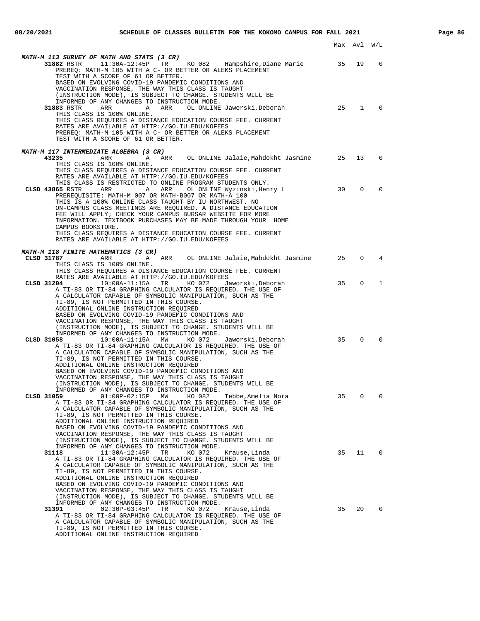|                                                                                                                                                                                                                                                                                                                                                                                                                                                                                                                                                                                                                                       | Max Avl |              | W/L      |
|---------------------------------------------------------------------------------------------------------------------------------------------------------------------------------------------------------------------------------------------------------------------------------------------------------------------------------------------------------------------------------------------------------------------------------------------------------------------------------------------------------------------------------------------------------------------------------------------------------------------------------------|---------|--------------|----------|
| MATH-M 113 SURVEY OF MATH AND STATS (3 CR)<br>PREREQ: MATH-M 105 WITH A C- OR BETTER OR ALEKS PLACEMENT<br>TEST WITH A SCORE OF 61 OR BETTER.<br>BASED ON EVOLVING COVID-19 PANDEMIC CONDITIONS AND<br>VACCINATION RESPONSE, THE WAY THIS CLASS IS TAUGHT                                                                                                                                                                                                                                                                                                                                                                             | 35      | 19           | 0        |
| (INSTRUCTION MODE), IS SUBJECT TO CHANGE. STUDENTS WILL BE<br>INFORMED OF ANY CHANGES TO INSTRUCTION MODE.<br>31883 RSTR<br>ARR<br>OL ONLINE Jaworski, Deborah<br>A<br>ARR<br>THIS CLASS IS 100% ONLINE.<br>THIS CLASS REQUIRES A DISTANCE EDUCATION COURSE FEE. CURRENT<br>RATES ARE AVAILABLE AT HTTP://GO.IU.EDU/KOFEES<br>PREREQ: MATH-M 105 WITH A C- OR BETTER OR ALEKS PLACEMENT<br>TEST WITH A SCORE OF 61 OR BETTER.                                                                                                                                                                                                         | 25      | $\mathbf{1}$ | 0        |
| MATH-M 117 INTERMEDIATE ALGEBRA (3 CR)<br>ARR OL ONLINE Jalaie, Mahdokht Jasmine 25<br>43235<br>ARR<br>A<br>THIS CLASS IS 100% ONLINE.<br>THIS CLASS REQUIRES A DISTANCE EDUCATION COURSE FEE. CURRENT                                                                                                                                                                                                                                                                                                                                                                                                                                |         | 13           | 0        |
| RATES ARE AVAILABLE AT HTTP://GO.IU.EDU/KOFEES<br>THIS CLASS IS RESTRICTED TO ONLINE PROGRAM STUDENTS ONLY.<br>CLSD 43865 RSTR<br>ARR<br>A<br>ARR<br>OL ONLINE Wyzinski, Henry L<br>PREREQUISITE: MATH-M 007 OR MATH-B007 OR MATH-A 100<br>THIS IS A 100% ONLINE CLASS TAUGHT BY IU NORTHWEST. NO<br>ON-CAMPUS CLASS MEETINGS ARE REQUIRED. A DISTANCE EDUCATION<br>FEE WILL APPLY; CHECK YOUR CAMPUS BURSAR WEBSITE FOR MORE<br>INFORMATION. TEXTBOOK PURCHASES MAY BE MADE THROUGH YOUR HOME<br>CAMPUS BOOKSTORE.<br>THIS CLASS REQUIRES A DISTANCE EDUCATION COURSE FEE. CURRENT<br>RATES ARE AVAILABLE AT HTTP://GO.IU.EDU/KOFEES | 30      | $\Omega$     | $\Omega$ |
|                                                                                                                                                                                                                                                                                                                                                                                                                                                                                                                                                                                                                                       |         |              |          |
| <i>MATH-M 118 FINITE MATHEMATICS (3 CR)</i><br>CLSD 31787<br>ARR<br>A ARR OL ONLINE Jalaie, Mahdokht Jasmine<br>THIS CLASS IS 100% ONLINE.<br>THIS CLASS REQUIRES A DISTANCE EDUCATION COURSE FEE. CURRENT                                                                                                                                                                                                                                                                                                                                                                                                                            | 25      | 0            | 4        |
| RATES ARE AVAILABLE AT HTTP://GO.IU.EDU/KOFEES<br>CLSD 31204<br>$10:00A-11:15A$<br>TR<br>KO 072<br>Jaworski,Deborah<br>A TI-83 OR TI-84 GRAPHING CALCULATOR IS REQUIRED. THE USE OF<br>A CALCULATOR CAPABLE OF SYMBOLIC MANIPULATION, SUCH AS THE<br>TI-89, IS NOT PERMITTED IN THIS COURSE.<br>ADDITIONAL ONLINE INSTRUCTION REQUIRED<br>BASED ON EVOLVING COVID-19 PANDEMIC CONDITIONS AND<br>VACCINATION RESPONSE, THE WAY THIS CLASS IS TAUGHT<br>(INSTRUCTION MODE), IS SUBJECT TO CHANGE. STUDENTS WILL BE                                                                                                                      | 35      | $\Omega$     | 1        |
| INFORMED OF ANY CHANGES TO INSTRUCTION MODE.<br>CLSD 31058<br>10:00A-11:15A MW<br>KO 072<br>Jaworski,Deborah<br>A TI-83 OR TI-84 GRAPHING CALCULATOR IS REQUIRED. THE USE OF<br>A CALCULATOR CAPABLE OF SYMBOLIC MANIPULATION, SUCH AS THE<br>TI-89, IS NOT PERMITTED IN THIS COURSE.<br>ADDITIONAL ONLINE INSTRUCTION REQUIRED<br>BASED ON EVOLVING COVID-19 PANDEMIC CONDITIONS AND<br>VACCINATION RESPONSE, THE WAY THIS CLASS IS TAUGHT<br>(INSTRUCTION MODE), IS SUBJECT TO CHANGE. STUDENTS WILL BE                                                                                                                             | 35      | $\Omega$     |          |
| INFORMED OF ANY CHANGES TO INSTRUCTION MODE.<br>01:00P-02:15P MW KO 082<br>CLSD 31059<br>Tebbe, Amelia Nora<br>A TI-83 OR TI-84 GRAPHING CALCULATOR IS REQUIRED. THE USE OF<br>A CALCULATOR CAPABLE OF SYMBOLIC MANIPULATION, SUCH AS THE<br>TI-89, IS NOT PERMITTED IN THIS COURSE.<br>ADDITIONAL ONLINE INSTRUCTION REQUIRED<br>BASED ON EVOLVING COVID-19 PANDEMIC CONDITIONS AND<br>VACCINATION RESPONSE, THE WAY THIS CLASS IS TAUGHT<br>(INSTRUCTION MODE), IS SUBJECT TO CHANGE. STUDENTS WILL BE                                                                                                                              | 35      | 0            | $\Omega$ |
| INFORMED OF ANY CHANGES TO INSTRUCTION MODE.<br>$11:30A-12:45P$<br>31118<br>TR<br>KO 072<br>Krause, Linda<br>A TI-83 OR TI-84 GRAPHING CALCULATOR IS REQUIRED. THE USE OF<br>A CALCULATOR CAPABLE OF SYMBOLIC MANIPULATION, SUCH AS THE<br>TI-89, IS NOT PERMITTED IN THIS COURSE.<br>ADDITIONAL ONLINE INSTRUCTION REQUIRED<br>BASED ON EVOLVING COVID-19 PANDEMIC CONDITIONS AND<br>VACCINATION RESPONSE, THE WAY THIS CLASS IS TAUGHT<br>(INSTRUCTION MODE), IS SUBJECT TO CHANGE. STUDENTS WILL BE                                                                                                                                | 35      | 11           | 0        |
| INFORMED OF ANY CHANGES TO INSTRUCTION MODE.<br>31391<br>$02:30P-03:45P$<br>TR<br>KO 072<br>Krause, Linda<br>A TI-83 OR TI-84 GRAPHING CALCULATOR IS REQUIRED. THE USE OF<br>A CALCULATOR CAPABLE OF SYMBOLIC MANIPULATION, SUCH AS THE<br>TI-89, IS NOT PERMITTED IN THIS COURSE.<br>ADDITIONAL ONLINE INSTRUCTION REQUIRED                                                                                                                                                                                                                                                                                                          | 35      | 20           | $\Omega$ |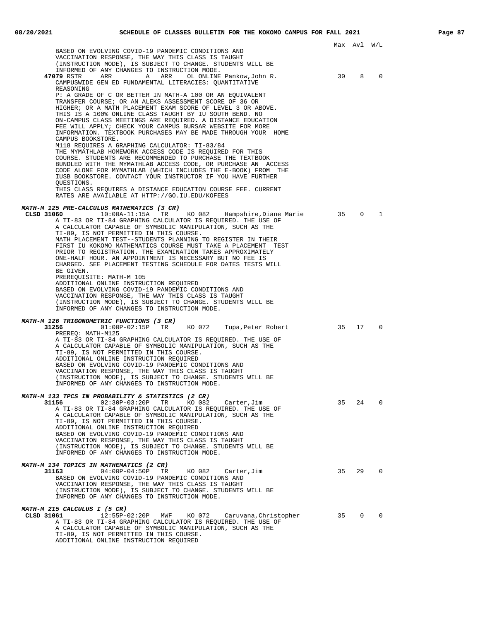|                                                                                                                                                                                                                                                                                                                                                                                                                                                                                                                                                                                                                                                                                                                                                                                                                                                                                                                                                                          |      | Max Avl W/L |              |
|--------------------------------------------------------------------------------------------------------------------------------------------------------------------------------------------------------------------------------------------------------------------------------------------------------------------------------------------------------------------------------------------------------------------------------------------------------------------------------------------------------------------------------------------------------------------------------------------------------------------------------------------------------------------------------------------------------------------------------------------------------------------------------------------------------------------------------------------------------------------------------------------------------------------------------------------------------------------------|------|-------------|--------------|
| BASED ON EVOLVING COVID-19 PANDEMIC CONDITIONS AND<br>VACCINATION RESPONSE, THE WAY THIS CLASS IS TAUGHT<br>(INSTRUCTION MODE), IS SUBJECT TO CHANGE. STUDENTS WILL BE                                                                                                                                                                                                                                                                                                                                                                                                                                                                                                                                                                                                                                                                                                                                                                                                   |      |             |              |
| INFORMED OF ANY CHANGES TO INSTRUCTION MODE.<br>47079 RSTR<br>ARR A ARR<br>OL ONLINE Pankow, John R.<br>CAMPUSWIDE GEN ED FUNDAMENTAL LITERACIES: QUANTITATIVE<br>REASONING                                                                                                                                                                                                                                                                                                                                                                                                                                                                                                                                                                                                                                                                                                                                                                                              | 30   | 8           | 0            |
| P: A GRADE OF C OR BETTER IN MATH-A 100 OR AN EQUIVALENT<br>TRANSFER COURSE; OR AN ALEKS ASSESSMENT SCORE OF 36 OR<br>HIGHER; OR A MATH PLACEMENT EXAM SCORE OF LEVEL 3 OR ABOVE.<br>THIS IS A 100% ONLINE CLASS TAUGHT BY IU SOUTH BEND. NO<br>ON-CAMPUS CLASS MEETINGS ARE REQUIRED. A DISTANCE EDUCATION<br>FEE WILL APPLY; CHECK YOUR CAMPUS BURSAR WEBSITE FOR MORE<br>INFORMATION. TEXTBOOK PURCHASES MAY BE MADE THROUGH YOUR HOME<br>CAMPUS BOOKSTORE.<br>M118 REQUIRES A GRAPHING CALCULATOR: TI-83/84<br>THE MYMATHLAB HOMEWORK ACCESS CODE IS REQUIRED FOR THIS<br>COURSE. STUDENTS ARE RECOMMENDED TO PURCHASE THE TEXTBOOK<br>BUNDLED WITH THE MYMATHLAB ACCESS CODE, OR PURCHASE AN ACCESS<br>CODE ALONE FOR MYMATHLAB (WHICH INCLUDES THE E-BOOK) FROM THE<br>IUSB BOOKSTORE. CONTACT YOUR INSTRUCTOR IF YOU HAVE FURTHER<br>QUESTIONS.<br>THIS CLASS REQUIRES A DISTANCE EDUCATION COURSE FEE. CURRENT<br>RATES ARE AVAILABLE AT HTTP://GO.IU.EDU/KOFEES |      |             |              |
| MATH-M 125 PRE-CALCULUS MATHEMATICS (3 CR)<br>10:00A-11:15A TR KO 082 Hampshire, Diane Marie<br>CLSD 31060<br>A TI-83 OR TI-84 GRAPHING CALCULATOR IS REOUIRED. THE USE OF<br>A CALCULATOR CAPABLE OF SYMBOLIC MANIPULATION, SUCH AS THE<br>TI-89, IS NOT PERMITTED IN THIS COURSE.<br>MATH PLACEMENT TEST--STUDENTS PLANNING TO REGISTER IN THEIR<br>FIRST IU KOKOMO MATHEMATICS COURSE MUST TAKE A PLACEMENT TEST<br>PRIOR TO REGISTRATION. THE EXAMINATION TAKES APPROXIMATELY<br>ONE-HALF HOUR. AN APPOINTMENT IS NECESSARY BUT NO FEE IS<br>CHARGED. SEE PLACEMENT TESTING SCHEDULE FOR DATES TESTS WILL<br>BE GIVEN.<br>PREREQUISITE: MATH-M 105<br>ADDITIONAL ONLINE INSTRUCTION REQUIRED<br>BASED ON EVOLVING COVID-19 PANDEMIC CONDITIONS AND<br>VACCINATION RESPONSE, THE WAY THIS CLASS IS TAUGHT<br>(INSTRUCTION MODE), IS SUBJECT TO CHANGE. STUDENTS WILL BE<br>INFORMED OF ANY CHANGES TO INSTRUCTION MODE.                                               | 35   | $\Omega$    | $\mathbf{1}$ |
| <i>MATH-M 126 TRIGONOMETRIC FUNCTIONS (3 CR)</i><br>KO 072 Tupa, Peter Robert<br>31256<br>$01:00P-02:15P$ TR<br>PREREO: MATH-M125<br>A TI-83 OR TI-84 GRAPHING CALCULATOR IS REQUIRED. THE USE OF<br>A CALCULATOR CAPABLE OF SYMBOLIC MANIPULATION, SUCH AS THE<br>TI-89, IS NOT PERMITTED IN THIS COURSE.<br>ADDITIONAL ONLINE INSTRUCTION REQUIRED<br>BASED ON EVOLVING COVID-19 PANDEMIC CONDITIONS AND<br>VACCINATION RESPONSE, THE WAY THIS CLASS IS TAUGHT<br>(INSTRUCTION MODE), IS SUBJECT TO CHANGE. STUDENTS WILL BE<br>INFORMED OF ANY CHANGES TO INSTRUCTION MODE.                                                                                                                                                                                                                                                                                                                                                                                           | 35   | 17          | $\Omega$     |
| MATH-M 133 TPCS IN PROBABILITY & STATISTICS (2 CR)<br>31156<br>$02:30P-03:20P$<br>TR<br>KO 082<br>Carter, Jim<br>A TI-83 OR TI-84 GRAPHING CALCULATOR IS REOUIRED. THE USE OF<br>A CALCULATOR CAPABLE OF SYMBOLIC MANIPULATION, SUCH AS THE<br>TI-89, IS NOT PERMITTED IN THIS COURSE.<br>ADDITIONAL ONLINE INSTRUCTION REQUIRED<br>BASED ON EVOLVING COVID-19 PANDEMIC CONDITIONS AND<br>VACCINATION RESPONSE, THE WAY THIS CLASS IS TAUGHT<br>(INSTRUCTION MODE), IS SUBJECT TO CHANGE. STUDENTS WILL BE<br>INFORMED OF ANY CHANGES TO INSTRUCTION MODE.                                                                                                                                                                                                                                                                                                                                                                                                               | 35   | 24          | 0            |
| <i>MATH-M 134 TOPICS IN MATHEMATICS (2 CR)</i><br>31163<br>$04:00P-04:50P$<br>TR<br>KO 082<br>Carter, Jim<br>BASED ON EVOLVING COVID-19 PANDEMIC CONDITIONS AND<br>VACCINATION RESPONSE, THE WAY THIS CLASS IS TAUGHT<br>(INSTRUCTION MODE), IS SUBJECT TO CHANGE. STUDENTS WILL BE<br>INFORMED OF ANY CHANGES TO INSTRUCTION MODE.                                                                                                                                                                                                                                                                                                                                                                                                                                                                                                                                                                                                                                      | 35   | 29          | $\Omega$     |
| MATH-M 215 CALCULUS I (5 CR)<br>CLSD 31061<br>12:55P-02:20P<br>MWF<br>KO 072<br>Caruvana, Christopher<br>A TI-83 OR TI-84 GRAPHING CALCULATOR IS REQUIRED. THE USE OF<br>A CALCULATOR CAPABLE OF SYMBOLIC MANIPULATION, SUCH AS THE<br>TI-89, IS NOT PERMITTED IN THIS COURSE.<br>ADDITIONAL ONLINE INSTRUCTION REQUIRED                                                                                                                                                                                                                                                                                                                                                                                                                                                                                                                                                                                                                                                 | - 35 | $\circ$     | $\Omega$     |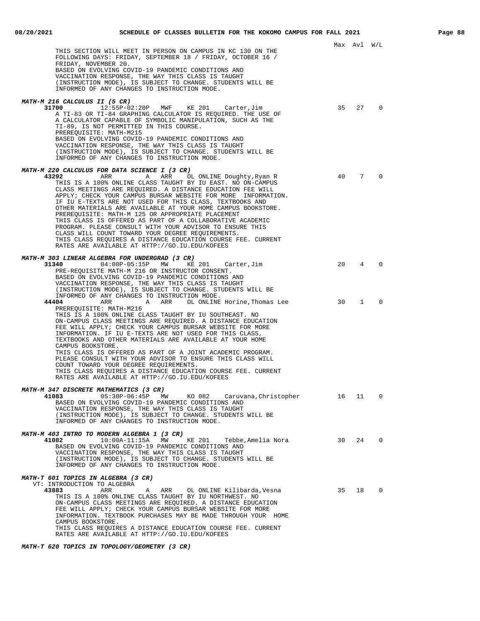|                                                                                                                                                                                                                                                                                                                                                                                                                                                                                                                                                                                                                                                                                                                                                                                          |    | Max Avl W/L  |                          |
|------------------------------------------------------------------------------------------------------------------------------------------------------------------------------------------------------------------------------------------------------------------------------------------------------------------------------------------------------------------------------------------------------------------------------------------------------------------------------------------------------------------------------------------------------------------------------------------------------------------------------------------------------------------------------------------------------------------------------------------------------------------------------------------|----|--------------|--------------------------|
| THIS SECTION WILL MEET IN PERSON ON CAMPUS IN KC 130 ON THE<br>FOLLOWING DAYS: FRIDAY, SEPTEMBER 18 / FRIDAY, OCTOBER 16 /<br>FRIDAY, NOVEMBER 20.<br>BASED ON EVOLVING COVID-19 PANDEMIC CONDITIONS AND<br>VACCINATION RESPONSE, THE WAY THIS CLASS IS TAUGHT<br>(INSTRUCTION MODE), IS SUBJECT TO CHANGE. STUDENTS WILL BE<br>INFORMED OF ANY CHANGES TO INSTRUCTION MODE.                                                                                                                                                                                                                                                                                                                                                                                                             |    |              |                          |
|                                                                                                                                                                                                                                                                                                                                                                                                                                                                                                                                                                                                                                                                                                                                                                                          |    |              |                          |
| <i>MATH-M 216 CALCULUS II (5 CR)</i><br>12:55P-02:20P MWF KE 201 Carter, Jim<br>31700<br>A TI-83 OR TI-84 GRAPHING CALCULATOR IS REQUIRED. THE USE OF<br>A CALCULATOR CAPABLE OF SYMBOLIC MANIPULATION, SUCH AS THE<br>TI-89, IS NOT PERMITTED IN THIS COURSE.<br>PREREQUISITE: MATH-M215<br>BASED ON EVOLVING COVID-19 PANDEMIC CONDITIONS AND<br>VACCINATION RESPONSE, THE WAY THIS CLASS IS TAUGHT<br>(INSTRUCTION MODE), IS SUBJECT TO CHANGE. STUDENTS WILL BE<br>INFORMED OF ANY CHANGES TO INSTRUCTION MODE.                                                                                                                                                                                                                                                                      | 35 | 27           | $\Omega$                 |
|                                                                                                                                                                                                                                                                                                                                                                                                                                                                                                                                                                                                                                                                                                                                                                                          |    |              |                          |
| <i>MATH-M 220 CALCULUS FOR DATA SCIENCE I (3 CR)</i><br>43292<br>ARR<br>A ARR<br>OL ONLINE Doughty,Ryan R<br>THIS IS A 100% ONLINE CLASS TAUGHT BY IU EAST. NO ON-CAMPUS<br>CLASS MEETINGS ARE REQUIRED. A DISTANCE EDUCATION FEE WILL<br>APPLY; CHECK YOUR CAMPUS BURSAR WEBSITE FOR MORE INFORMATION.<br>IF IU E-TEXTS ARE NOT USED FOR THIS CLASS, TEXTBOOKS AND<br>OTHER MATERIALS ARE AVAILABLE AT YOUR HOME CAMPUS BOOKSTORE.<br>PREREQUISITE: MATH-M 125 OR APPROPRIATE PLACEMENT<br>THIS CLASS IS OFFERED AS PART OF A COLLABORATIVE ACADEMIC<br>PROGRAM. PLEASE CONSULT WITH YOUR ADVISOR TO ENSURE THIS<br>CLASS WILL COUNT TOWARD YOUR DEGREE REQUIREMENTS.<br>THIS CLASS REQUIRES A DISTANCE EDUCATION COURSE FEE. CURRENT<br>RATES ARE AVAILABLE AT HTTP://GO.IU.EDU/KOFEES | 40 | 7            | $\Omega$                 |
| MATH-M 303 LINEAR ALGEBRA FOR UNDERGRAD (3 CR)                                                                                                                                                                                                                                                                                                                                                                                                                                                                                                                                                                                                                                                                                                                                           |    |              |                          |
| 31340<br>04:00P-05:15P MW<br>KE 201<br>Carter, Jim<br>PRE-REQUISITE MATH-M 216 OR INSTRUCTOR CONSENT.<br>BASED ON EVOLVING COVID-19 PANDEMIC CONDITIONS AND<br>VACCINATION RESPONSE, THE WAY THIS CLASS IS TAUGHT<br>(INSTRUCTION MODE), IS SUBJECT TO CHANGE. STUDENTS WILL BE<br>INFORMED OF ANY CHANGES TO INSTRUCTION MODE.                                                                                                                                                                                                                                                                                                                                                                                                                                                          | 20 | 4            | $\Omega$                 |
| 44404<br>ARR<br>ARR OL ONLINE Horine,Thomas Lee<br>A A<br>PREREQUISITE: MATH-M216<br>THIS IS A 100% ONLINE CLASS TAUGHT BY IU SOUTHEAST. NO<br>ON-CAMPUS CLASS MEETINGS ARE REQUIRED. A DISTANCE EDUCATION<br>FEE WILL APPLY; CHECK YOUR CAMPUS BURSAR WEBSITE FOR MORE<br>INFORMATION. IF IU E-TEXTS ARE NOT USED FOR THIS CLASS,<br>TEXTBOOKS AND OTHER MATERIALS ARE AVAILABLE AT YOUR HOME<br>CAMPUS BOOKSTORE.<br>THIS CLASS IS OFFERED AS PART OF A JOINT ACADEMIC PROGRAM.<br>PLEASE CONSULT WITH YOUR ADVISOR TO ENSURE THIS CLASS WILL<br>COUNT TOWARD YOUR DEGREE REQUIREMENTS.<br>THIS CLASS REOUIRES A DISTANCE EDUCATION COURSE FEE. CURRENT<br>RATES ARE AVAILABLE AT HTTP://GO.IU.EDU/KOFEES                                                                              | 30 | $\mathbf{1}$ | $\Omega$                 |
| MATH-M 347 DISCRETE MATHEMATICS (3 CR)<br>41083<br>05:30P-06:45P MW<br>KO 082<br>Caruvana,Christopher<br>BASED ON EVOLVING COVID-19 PANDEMIC CONDITIONS AND<br>VACCINATION RESPONSE, THE WAY THIS CLASS IS TAUGHT<br>(INSTRUCTION MODE), IS SUBJECT TO CHANGE. STUDENTS WILL BE<br>INFORMED OF ANY CHANGES TO INSTRUCTION MODE.                                                                                                                                                                                                                                                                                                                                                                                                                                                          | 16 | 11           | 0                        |
| MATH-M 403 INTRO TO MODERN ALGEBRA 1 (3 CR)<br>41082<br>$10:00A-11:15A$<br>MW<br>KE 201<br>Tebbe, Amelia Nora<br>BASED ON EVOLVING COVID-19 PANDEMIC CONDITIONS AND<br>VACCINATION RESPONSE, THE WAY THIS CLASS IS TAUGHT<br>(INSTRUCTION MODE), IS SUBJECT TO CHANGE. STUDENTS WILL BE<br>INFORMED OF ANY CHANGES TO INSTRUCTION MODE.                                                                                                                                                                                                                                                                                                                                                                                                                                                  | 30 | 24           | $\Omega$                 |
| MATH-T 601 TOPICS IN ALGEBRA (3 CR)<br>VT: INTRODUCTION TO ALGEBRA<br>43883<br>ARR<br>ARR OL ONLINE Kilibarda, Vesna<br>A<br>THIS IS A 100% ONLINE CLASS TAUGHT BY IU NORTHWEST. NO<br>ON-CAMPUS CLASS MEETINGS ARE REQUIRED. A DISTANCE EDUCATION<br>FEE WILL APPLY; CHECK YOUR CAMPUS BURSAR WEBSITE FOR MORE<br>INFORMATION. TEXTBOOK PURCHASES MAY BE MADE THROUGH YOUR HOME<br>CAMPUS BOOKSTORE.<br>THIS CLASS REQUIRES A DISTANCE EDUCATION COURSE FEE. CURRENT                                                                                                                                                                                                                                                                                                                    | 35 | 18           | $\overline{\phantom{0}}$ |
| RATES ARE AVAILABLE AT HTTP://GO.IU.EDU/KOFEES                                                                                                                                                                                                                                                                                                                                                                                                                                                                                                                                                                                                                                                                                                                                           |    |              |                          |

**MATH-T 620 TOPICS IN TOPOLOGY/GEOMETRY (3 CR)**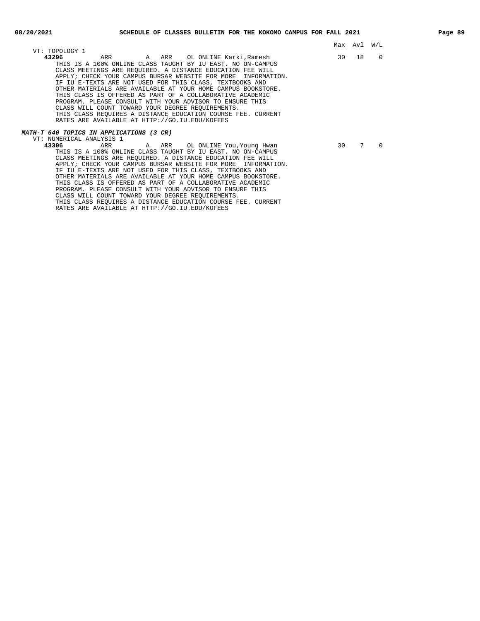| VT: TOPOLOGY 1                                                                                                                                                                                                                                                                                                                                                                                                                                                                                                                                                                                                                                                                                   |                 | Max Avl W/L |          |  |
|--------------------------------------------------------------------------------------------------------------------------------------------------------------------------------------------------------------------------------------------------------------------------------------------------------------------------------------------------------------------------------------------------------------------------------------------------------------------------------------------------------------------------------------------------------------------------------------------------------------------------------------------------------------------------------------------------|-----------------|-------------|----------|--|
| 43296<br>THIS IS A 100% ONLINE CLASS TAUGHT BY IU EAST. NO ON-CAMPUS<br>CLASS MEETINGS ARE REOUIRED. A DISTANCE EDUCATION FEE WILL<br>APPLY; CHECK YOUR CAMPUS BURSAR WEBSITE FOR MORE INFORMATION.<br>IF IU E-TEXTS ARE NOT USED FOR THIS CLASS, TEXTBOOKS AND<br>OTHER MATERIALS ARE AVAILABLE AT YOUR HOME CAMPUS BOOKSTORE.<br>THIS CLASS IS OFFERED AS PART OF A COLLABORATIVE ACADEMIC<br>PROGRAM. PLEASE CONSULT WITH YOUR ADVISOR TO ENSURE THIS<br>CLASS WILL COUNT TOWARD YOUR DEGREE REOUIREMENTS.<br>THIS CLASS REOUIRES A DISTANCE EDUCATION COURSE FEE. CURRENT<br>RATES ARE AVAILABLE AT HTTP://GO.IU.EDU/KOFEES                                                                  |                 | 30 18       | 0        |  |
| <i>MATH-T 640 TOPICS IN APPLICATIONS (3 CR)</i>                                                                                                                                                                                                                                                                                                                                                                                                                                                                                                                                                                                                                                                  |                 |             |          |  |
| VT: NUMERICAL ANALYSIS 1<br>43306<br>ARR ARR OL ONLINE You, Young Hwan<br>THIS IS A 100% ONLINE CLASS TAUGHT BY IU EAST. NO ON-CAMPUS<br>CLASS MEETINGS ARE REOUIRED. A DISTANCE EDUCATION FEE WILL<br>APPLY; CHECK YOUR CAMPUS BURSAR WEBSITE FOR MORE INFORMATION.<br>IF IU E-TEXTS ARE NOT USED FOR THIS CLASS, TEXTBOOKS AND<br>OTHER MATERIALS ARE AVAILABLE AT YOUR HOME CAMPUS BOOKSTORE.<br>THIS CLASS IS OFFERED AS PART OF A COLLABORATIVE ACADEMIC<br>PROGRAM. PLEASE CONSULT WITH YOUR ADVISOR TO ENSURE THIS<br>CLASS WILL COUNT TOWARD YOUR DEGREE REOUIREMENTS.<br>THIS CLASS REQUIRES A DISTANCE EDUCATION COURSE FEE. CURRENT<br>RATES ARE AVAILABLE AT HTTP://GO.IU.EDU/KOFEES | 30 <sup>7</sup> | 7           | $\Omega$ |  |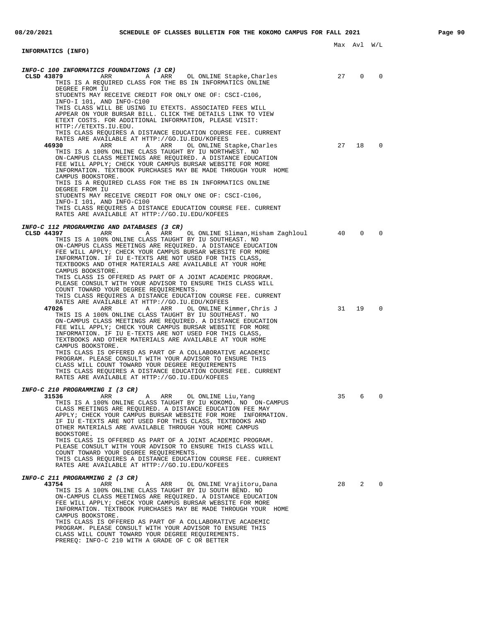| <b>INFORMATICS (INFO)</b>                                                                                                                                                                                                                                                                                                      |    | Max Avl W/L |          |  |
|--------------------------------------------------------------------------------------------------------------------------------------------------------------------------------------------------------------------------------------------------------------------------------------------------------------------------------|----|-------------|----------|--|
|                                                                                                                                                                                                                                                                                                                                |    |             |          |  |
| INFO-C 100 INFORMATICS FOUNDATIONS (3 CR)<br>CLSD 43879<br>ARR                                                                                                                                                                                                                                                                 | 27 | 0           | 0        |  |
| A ARR<br>OL ONLINE Stapke,Charles<br>THIS IS A REQUIRED CLASS FOR THE BS IN INFORMATICS ONLINE<br>DEGREE FROM IU                                                                                                                                                                                                               |    |             |          |  |
| STUDENTS MAY RECEIVE CREDIT FOR ONLY ONE OF: CSCI-C106,<br>INFO-I 101, AND INFO-C100                                                                                                                                                                                                                                           |    |             |          |  |
| THIS CLASS WILL BE USING IU ETEXTS. ASSOCIATED FEES WILL<br>APPEAR ON YOUR BURSAR BILL. CLICK THE DETAILS LINK TO VIEW<br>ETEXT COSTS. FOR ADDITIONAL INFORMATION, PLEASE VISIT:<br>HTTP://ETEXTS.IU.EDU.                                                                                                                      |    |             |          |  |
| THIS CLASS REOUIRES A DISTANCE EDUCATION COURSE FEE. CURRENT<br>RATES ARE AVAILABLE AT HTTP://GO.IU.EDU/KOFEES                                                                                                                                                                                                                 |    |             |          |  |
| 46930<br>ARR<br>A ARR<br>OL ONLINE Stapke, Charles<br>THIS IS A 100% ONLINE CLASS TAUGHT BY IU NORTHWEST. NO<br>ON-CAMPUS CLASS MEETINGS ARE REQUIRED. A DISTANCE EDUCATION<br>FEE WILL APPLY; CHECK YOUR CAMPUS BURSAR WEBSITE FOR MORE<br>INFORMATION. TEXTBOOK PURCHASES MAY BE MADE THROUGH YOUR HOME<br>CAMPUS BOOKSTORE. | 27 | 18          | 0        |  |
| THIS IS A REQUIRED CLASS FOR THE BS IN INFORMATICS ONLINE<br>DEGREE FROM IU                                                                                                                                                                                                                                                    |    |             |          |  |
| STUDENTS MAY RECEIVE CREDIT FOR ONLY ONE OF: CSCI-C106,<br>INFO-I 101, AND INFO-C100                                                                                                                                                                                                                                           |    |             |          |  |
| THIS CLASS REOUIRES A DISTANCE EDUCATION COURSE FEE. CURRENT<br>RATES ARE AVAILABLE AT HTTP://GO.IU.EDU/KOFEES                                                                                                                                                                                                                 |    |             |          |  |
| INFO-C 112 PROGRAMMING AND DATABASES (3 CR)                                                                                                                                                                                                                                                                                    |    |             |          |  |
| CLSD 44397<br>ARR<br>ARR<br>OL ONLINE Sliman,Hisham Zaghloul<br>A<br>THIS IS A 100% ONLINE CLASS TAUGHT BY IU SOUTHEAST. NO<br>ON-CAMPUS CLASS MEETINGS ARE REQUIRED. A DISTANCE EDUCATION<br>FEE WILL APPLY; CHECK YOUR CAMPUS BURSAR WEBSITE FOR MORE                                                                        | 40 | $\Omega$    | $\Omega$ |  |
| INFORMATION. IF IU E-TEXTS ARE NOT USED FOR THIS CLASS,<br>TEXTBOOKS AND OTHER MATERIALS ARE AVAILABLE AT YOUR HOME<br>CAMPUS BOOKSTORE.<br>THIS CLASS IS OFFERED AS PART OF A JOINT ACADEMIC PROGRAM.                                                                                                                         |    |             |          |  |
| PLEASE CONSULT WITH YOUR ADVISOR TO ENSURE THIS CLASS WILL<br>COUNT TOWARD YOUR DEGREE REQUIREMENTS.<br>THIS CLASS REQUIRES A DISTANCE EDUCATION COURSE FEE. CURRENT<br>RATES ARE AVAILABLE AT HTTP://GO.IU.EDU/KOFEES<br>47026<br>ARR<br>ARR<br>OL ONLINE Kimmer,Chris J<br>A                                                 | 31 | 19          | 0        |  |
| THIS IS A 100% ONLINE CLASS TAUGHT BY IU SOUTHEAST. NO<br>ON-CAMPUS CLASS MEETINGS ARE REQUIRED. A DISTANCE EDUCATION<br>FEE WILL APPLY; CHECK YOUR CAMPUS BURSAR WEBSITE FOR MORE<br>INFORMATION. IF IU E-TEXTS ARE NOT USED FOR THIS CLASS,<br>TEXTBOOKS AND OTHER MATERIALS ARE AVAILABLE AT YOUR HOME                      |    |             |          |  |
| CAMPUS BOOKSTORE.<br>THIS CLASS IS OFFERED AS PART OF A COLLABORATIVE ACADEMIC<br>PROGRAM. PLEASE CONSULT WITH YOUR ADVISOR TO ENSURE THIS<br>CLASS WILL COUNT TOWARD YOUR DEGREE REQUIREMENTS<br>THIS CLASS REQUIRES A DISTANCE EDUCATION COURSE FEE. CURRENT                                                                 |    |             |          |  |
| RATES ARE AVAILABLE AT HTTP://GO.IU.EDU/KOFEES                                                                                                                                                                                                                                                                                 |    |             |          |  |
| INFO-C 210 PROGRAMMING I (3 CR)<br>31536<br>ARR<br>ARR<br>OL ONLINE Liu, Yang<br>A<br>THIS IS A 100% ONLINE CLASS TAUGHT BY IU KOKOMO. NO ON-CAMPUS<br>CLASS MEETINGS ARE REQUIRED. A DISTANCE EDUCATION FEE MAY                                                                                                               | 35 | 6           | 0        |  |
| APPLY; CHECK YOUR CAMPUS BURSAR WEBSITE FOR MORE INFORMATION.<br>IF IU E-TEXTS ARE NOT USED FOR THIS CLASS, TEXTBOOKS AND<br>OTHER MATERIALS ARE AVAILABLE THROUGH YOUR HOME CAMPUS<br>BOOKSTORE.                                                                                                                              |    |             |          |  |
| THIS CLASS IS OFFERED AS PART OF A JOINT ACADEMIC PROGRAM.<br>PLEASE CONSULT WITH YOUR ADVISOR TO ENSURE THIS CLASS WILL<br>COUNT TOWARD YOUR DEGREE REQUIREMENTS.<br>THIS CLASS REQUIRES A DISTANCE EDUCATION COURSE FEE. CURRENT<br>RATES ARE AVAILABLE AT HTTP://GO.IU.EDU/KOFEES                                           |    |             |          |  |
| INFO-C 211 PROGRAMMING 2 (3 CR)                                                                                                                                                                                                                                                                                                |    |             |          |  |
| 43754<br>ARR<br>ARR<br>OL ONLINE Vrajitoru, Dana<br>Α<br>THIS IS A 100% ONLINE CLASS TAUGHT BY IU SOUTH BEND. NO                                                                                                                                                                                                               | 28 | 2           | $\Omega$ |  |
| ON-CAMPUS CLASS MEETINGS ARE REQUIRED. A DISTANCE EDUCATION<br>FEE WILL APPLY; CHECK YOUR CAMPUS BURSAR WEBSITE FOR MORE<br>INFORMATION. TEXTBOOK PURCHASES MAY BE MADE THROUGH YOUR HOME<br>CAMPUS BOOKSTORE.<br>THIS CLASS IS OFFERED AS PART OF A COLLABORATIVE ACADEMIC                                                    |    |             |          |  |
| PROGRAM. PLEASE CONSULT WITH YOUR ADVISOR TO ENSURE THIS                                                                                                                                                                                                                                                                       |    |             |          |  |

CLASS WILL COUNT TOWARD YOUR DEGREE REQUIREMENTS. PREREQ: INFO-C 210 WITH A GRADE OF C OR BETTER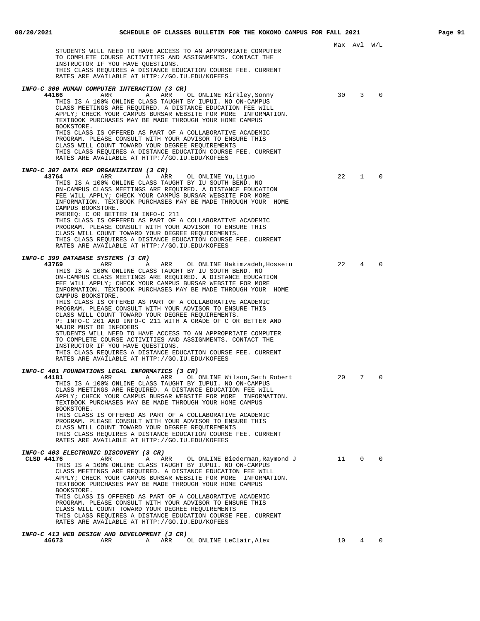|                                                                                                                                                                                                                                                                                                                                                                                                                                                                                                                                                                                                                                                                                                                                                                                                                                                                                                                                           |    | Max Avl W/L    |             |
|-------------------------------------------------------------------------------------------------------------------------------------------------------------------------------------------------------------------------------------------------------------------------------------------------------------------------------------------------------------------------------------------------------------------------------------------------------------------------------------------------------------------------------------------------------------------------------------------------------------------------------------------------------------------------------------------------------------------------------------------------------------------------------------------------------------------------------------------------------------------------------------------------------------------------------------------|----|----------------|-------------|
| STUDENTS WILL NEED TO HAVE ACCESS TO AN APPROPRIATE COMPUTER<br>TO COMPLETE COURSE ACTIVITIES AND ASSIGNMENTS. CONTACT THE<br>INSTRUCTOR IF YOU HAVE QUESTIONS.<br>THIS CLASS REQUIRES A DISTANCE EDUCATION COURSE FEE. CURRENT<br>RATES ARE AVAILABLE AT HTTP://GO.IU.EDU/KOFEES                                                                                                                                                                                                                                                                                                                                                                                                                                                                                                                                                                                                                                                         |    |                |             |
| INFO-C 300 HUMAN COMPUTER INTERACTION (3 CR)<br>44166<br>ARR<br>$\mathbb A$<br>ARR<br>OL ONLINE Kirkley, Sonny<br>THIS IS A 100% ONLINE CLASS TAUGHT BY IUPUI. NO ON-CAMPUS<br>CLASS MEETINGS ARE REQUIRED. A DISTANCE EDUCATION FEE WILL<br>APPLY; CHECK YOUR CAMPUS BURSAR WEBSITE FOR MORE INFORMATION.<br>TEXTBOOK PURCHASES MAY BE MADE THROUGH YOUR HOME CAMPUS<br>BOOKSTORE.<br>THIS CLASS IS OFFERED AS PART OF A COLLABORATIVE ACADEMIC<br>PROGRAM. PLEASE CONSULT WITH YOUR ADVISOR TO ENSURE THIS<br>CLASS WILL COUNT TOWARD YOUR DEGREE REQUIREMENTS<br>THIS CLASS REQUIRES A DISTANCE EDUCATION COURSE FEE. CURRENT<br>RATES ARE AVAILABLE AT HTTP://GO.IU.EDU/KOFEES                                                                                                                                                                                                                                                        | 30 | $\overline{3}$ | $\Omega$    |
| INFO-C 307 DATA REP ORGANIZATION (3 CR)<br>43764<br>ARR<br>ARR<br>OL ONLINE Yu,Liguo<br>Α<br>THIS IS A 100% ONLINE CLASS TAUGHT BY IU SOUTH BEND. NO<br>ON-CAMPUS CLASS MEETINGS ARE REOUIRED. A DISTANCE EDUCATION<br>FEE WILL APPLY; CHECK YOUR CAMPUS BURSAR WEBSITE FOR MORE<br>INFORMATION. TEXTBOOK PURCHASES MAY BE MADE THROUGH YOUR HOME<br>CAMPUS BOOKSTORE.<br>PREREO: C OR BETTER IN INFO-C 211<br>THIS CLASS IS OFFERED AS PART OF A COLLABORATIVE ACADEMIC<br>PROGRAM. PLEASE CONSULT WITH YOUR ADVISOR TO ENSURE THIS<br>CLASS WILL COUNT TOWARD YOUR DEGREE REQUIREMENTS.<br>THIS CLASS REQUIRES A DISTANCE EDUCATION COURSE FEE. CURRENT<br>RATES ARE AVAILABLE AT HTTP://GO.IU.EDU/KOFEES                                                                                                                                                                                                                               | 22 | 1              | $\Omega$    |
| INFO-C 399 DATABASE SYSTEMS (3 CR)<br>43769<br>ARR<br>A<br>ARR<br>OL ONLINE Hakimzadeh, Hossein<br>THIS IS A 100% ONLINE CLASS TAUGHT BY IU SOUTH BEND. NO<br>ON-CAMPUS CLASS MEETINGS ARE REQUIRED. A DISTANCE EDUCATION<br>FEE WILL APPLY; CHECK YOUR CAMPUS BURSAR WEBSITE FOR MORE<br>INFORMATION. TEXTBOOK PURCHASES MAY BE MADE THROUGH YOUR HOME<br>CAMPUS BOOKSTORE.<br>THIS CLASS IS OFFERED AS PART OF A COLLABORATIVE ACADEMIC<br>PROGRAM. PLEASE CONSULT WITH YOUR ADVISOR TO ENSURE THIS<br>CLASS WILL COUNT TOWARD YOUR DEGREE REQUIREMENTS.<br>P: INFO-C 201 AND INFO-C 211 WITH A GRADE OF C OR BETTER AND<br>MAJOR MUST BE INFODEBS<br>STUDENTS WILL NEED TO HAVE ACCESS TO AN APPROPRIATE COMPUTER<br>TO COMPLETE COURSE ACTIVITIES AND ASSIGNMENTS. CONTACT THE<br>INSTRUCTOR IF YOU HAVE QUESTIONS.<br>THIS CLASS REOUIRES A DISTANCE EDUCATION COURSE FEE. CURRENT<br>RATES ARE AVAILABLE AT HTTP://GO.IU.EDU/KOFEES | 22 | 4              | $\Omega$    |
| INFO-C 401 FOUNDATIONS LEGAL INFORMATICS (3 CR)<br>44181<br>OL ONLINE Wilson, Seth Robert<br>ARR<br>A<br>ARR<br>THIS IS A 100% ONLINE CLASS TAUGHT BY IUPUI. NO ON-CAMPUS<br>CLASS MEETINGS ARE REQUIRED. A DISTANCE EDUCATION FEE WILL<br>APPLY; CHECK YOUR CAMPUS BURSAR WEBSITE FOR MORE INFORMATION.<br>TEXTBOOK PURCHASES MAY BE MADE THROUGH YOUR HOME CAMPUS<br>BOOKSTORE.<br>THIS CLASS IS OFFERED AS PART OF A COLLABORATIVE ACADEMIC<br>PROGRAM. PLEASE CONSULT WITH YOUR ADVISOR TO ENSURE THIS<br>CLASS WILL COUNT TOWARD YOUR DEGREE REQUIREMENTS<br>THIS CLASS REQUIRES A DISTANCE EDUCATION COURSE FEE. CURRENT<br>RATES ARE AVAILABLE AT HTTP://GO.IU.EDU/KOFEES                                                                                                                                                                                                                                                          | 20 | 7              | $\Omega$    |
| INFO-C 403 ELECTRONIC DISCOVERY (3 CR)<br>CLSD 44176<br>ARR<br>ARR<br>OL ONLINE Biederman, Raymond J<br>Α<br>THIS IS A 100% ONLINE CLASS TAUGHT BY IUPUI. NO ON-CAMPUS<br>CLASS MEETINGS ARE REQUIRED. A DISTANCE EDUCATION FEE WILL<br>APPLY; CHECK YOUR CAMPUS BURSAR WEBSITE FOR MORE INFORMATION.<br>TEXTBOOK PURCHASES MAY BE MADE THROUGH YOUR HOME CAMPUS<br>BOOKSTORE.<br>THIS CLASS IS OFFERED AS PART OF A COLLABORATIVE ACADEMIC<br>PROGRAM. PLEASE CONSULT WITH YOUR ADVISOR TO ENSURE THIS<br>CLASS WILL COUNT TOWARD YOUR DEGREE REOUIREMENTS<br>THIS CLASS REQUIRES A DISTANCE EDUCATION COURSE FEE. CURRENT<br>RATES ARE AVAILABLE AT HTTP://GO.IU.EDU/KOFEES                                                                                                                                                                                                                                                             | 11 | 0              | $\mathbf 0$ |
| INFO-C 413 WEB DESIGN AND DEVELOPMENT (3 CR)<br>46673<br>ARR<br>OL ONLINE LeClair, Alex<br>A<br>ARR                                                                                                                                                                                                                                                                                                                                                                                                                                                                                                                                                                                                                                                                                                                                                                                                                                       | 10 | 4              | 0           |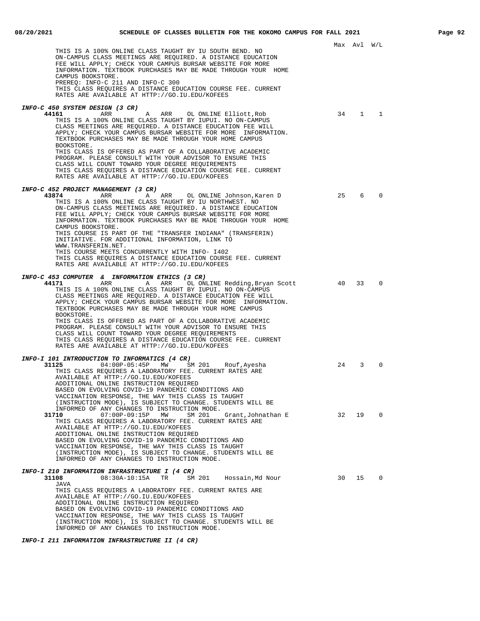|                                                                                                                                                                                                                                                                                                                                 |    | Max Avl W/L  |          |
|---------------------------------------------------------------------------------------------------------------------------------------------------------------------------------------------------------------------------------------------------------------------------------------------------------------------------------|----|--------------|----------|
| THIS IS A 100% ONLINE CLASS TAUGHT BY IU SOUTH BEND. NO<br>ON-CAMPUS CLASS MEETINGS ARE REQUIRED. A DISTANCE EDUCATION<br>FEE WILL APPLY; CHECK YOUR CAMPUS BURSAR WEBSITE FOR MORE<br>INFORMATION. TEXTBOOK PURCHASES MAY BE MADE THROUGH YOUR HOME<br>CAMPUS BOOKSTORE.<br>PREREQ: INFO-C 211 AND INFO-C 300                  |    |              |          |
| THIS CLASS REQUIRES A DISTANCE EDUCATION COURSE FEE. CURRENT<br>RATES ARE AVAILABLE AT HTTP://GO.IU.EDU/KOFEES                                                                                                                                                                                                                  |    |              |          |
| INFO-C 450 SYSTEM DESIGN (3 CR)                                                                                                                                                                                                                                                                                                 |    |              |          |
| 44161<br>ARR<br>ARR<br>OL ONLINE Elliott, Rob<br>A<br>THIS IS A 100% ONLINE CLASS TAUGHT BY IUPUI. NO ON-CAMPUS<br>CLASS MEETINGS ARE REQUIRED. A DISTANCE EDUCATION FEE WILL<br>APPLY; CHECK YOUR CAMPUS BURSAR WEBSITE FOR MORE INFORMATION.<br>TEXTBOOK PURCHASES MAY BE MADE THROUGH YOUR HOME CAMPUS<br>BOOKSTORE.         | 34 | $\mathbf{1}$ | 1        |
| THIS CLASS IS OFFERED AS PART OF A COLLABORATIVE ACADEMIC<br>PROGRAM. PLEASE CONSULT WITH YOUR ADVISOR TO ENSURE THIS<br>CLASS WILL COUNT TOWARD YOUR DEGREE REQUIREMENTS<br>THIS CLASS REQUIRES A DISTANCE EDUCATION COURSE FEE. CURRENT<br>RATES ARE AVAILABLE AT HTTP://GO.IU.EDU/KOFEES                                     |    |              |          |
| INFO-C 452 PROJECT MANAGEMENT (3 CR)                                                                                                                                                                                                                                                                                            |    |              |          |
| 43874<br>A ARR OL ONLINE Johnson, Karen D<br>ARR<br>THIS IS A 100% ONLINE CLASS TAUGHT BY IU NORTHWEST. NO<br>ON-CAMPUS CLASS MEETINGS ARE REOUIRED. A DISTANCE EDUCATION<br>FEE WILL APPLY; CHECK YOUR CAMPUS BURSAR WEBSITE FOR MORE<br>INFORMATION. TEXTBOOK PURCHASES MAY BE MADE THROUGH YOUR HOME                         | 25 | 6            | $\Omega$ |
| CAMPUS BOOKSTORE.<br>THIS COURSE IS PART OF THE "TRANSFER INDIANA" (TRANSFERIN)<br>INITIATIVE. FOR ADDITIONAL INFORMATION, LINK TO<br>WWW.TRANSFERIN.NET.                                                                                                                                                                       |    |              |          |
| THIS COURSE MEETS CONCURRENTLY WITH INFO- 1402<br>THIS CLASS REQUIRES A DISTANCE EDUCATION COURSE FEE. CURRENT<br>RATES ARE AVAILABLE AT HTTP://GO.IU.EDU/KOFEES                                                                                                                                                                |    |              |          |
| <b>INFO-C 453 COMPUTER &amp; INFORMATION ETHICS (3 CR)</b>                                                                                                                                                                                                                                                                      |    |              |          |
| 44171<br>ARR<br>Α<br>ARR<br>OL ONLINE Redding, Bryan Scott<br>THIS IS A 100% ONLINE CLASS TAUGHT BY IUPUI. NO ON-CAMPUS<br>CLASS MEETINGS ARE REQUIRED. A DISTANCE EDUCATION FEE WILL<br>APPLY; CHECK YOUR CAMPUS BURSAR WEBSITE FOR MORE INFORMATION.<br>TEXTBOOK PURCHASES MAY BE MADE THROUGH YOUR HOME CAMPUS<br>BOOKSTORE. | 40 | 33           | $\Omega$ |
| THIS CLASS IS OFFERED AS PART OF A COLLABORATIVE ACADEMIC<br>PROGRAM. PLEASE CONSULT WITH YOUR ADVISOR TO ENSURE THIS<br>CLASS WILL COUNT TOWARD YOUR DEGREE REQUIREMENTS<br>THIS CLASS REQUIRES A DISTANCE EDUCATION COURSE FEE. CURRENT<br>RATES ARE AVAILABLE AT HTTP://GO.IU.EDU/KOFEES                                     |    |              |          |
| INFO-I 101 INTRODUCTION TO INFORMATICS (4 CR)                                                                                                                                                                                                                                                                                   |    |              |          |
| 31125<br>$04:00P-05:45P$ MW<br>SM 201<br>Rouf , Ayesha<br>THIS CLASS REOUIRES A LABORATORY FEE. CURRENT RATES ARE<br>AVAILABLE AT HTTP://GO.IU.EDU/KOFEES<br>ADDITIONAL ONLINE INSTRUCTION REQUIRED                                                                                                                             | 24 | 3            | $\Omega$ |
| BASED ON EVOLVING COVID-19 PANDEMIC CONDITIONS AND<br>VACCINATION RESPONSE, THE WAY THIS CLASS IS TAUGHT<br>(INSTRUCTION MODE), IS SUBJECT TO CHANGE. STUDENTS WILL BE<br>INFORMED OF ANY CHANGES TO INSTRUCTION MODE.                                                                                                          |    |              |          |
| 31710<br>$07:00P-09:15P$<br>SM 201<br>MW<br>Grant,Johnathan E<br>THIS CLASS REQUIRES A LABORATORY FEE. CURRENT RATES ARE<br>AVAILABLE AT HTTP://GO.IU.EDU/KOFEES                                                                                                                                                                | 32 | 19           | $\Omega$ |
| ADDITIONAL ONLINE INSTRUCTION REQUIRED<br>BASED ON EVOLVING COVID-19 PANDEMIC CONDITIONS AND<br>VACCINATION RESPONSE, THE WAY THIS CLASS IS TAUGHT<br>(INSTRUCTION MODE), IS SUBJECT TO CHANGE. STUDENTS WILL BE                                                                                                                |    |              |          |
| INFORMED OF ANY CHANGES TO INSTRUCTION MODE.                                                                                                                                                                                                                                                                                    |    |              |          |
| <b>INFO-I 210 INFORMATION INFRASTRUCTURE I (4 CR)</b><br>31108<br>08:30A-10:15A<br>TR<br>SM 201<br>Hossain, Md Nour<br>JAVA                                                                                                                                                                                                     | 30 | 15           | 0        |
| THIS CLASS REQUIRES A LABORATORY FEE. CURRENT RATES ARE<br>AVAILABLE AT HTTP://GO.IU.EDU/KOFEES<br>ADDITIONAL ONLINE INSTRUCTION REQUIRED                                                                                                                                                                                       |    |              |          |
| BASED ON EVOLVING COVID-19 PANDEMIC CONDITIONS AND                                                                                                                                                                                                                                                                              |    |              |          |
| VACCINATION RESPONSE, THE WAY THIS CLASS IS TAUGHT<br>(INSTRUCTION MODE), IS SUBJECT TO CHANGE. STUDENTS WILL BE                                                                                                                                                                                                                |    |              |          |
| INFORMED OF ANY CHANGES TO INSTRUCTION MODE.                                                                                                                                                                                                                                                                                    |    |              |          |

**INFO-I 211 INFORMATION INFRASTRUCTURE II (4 CR)**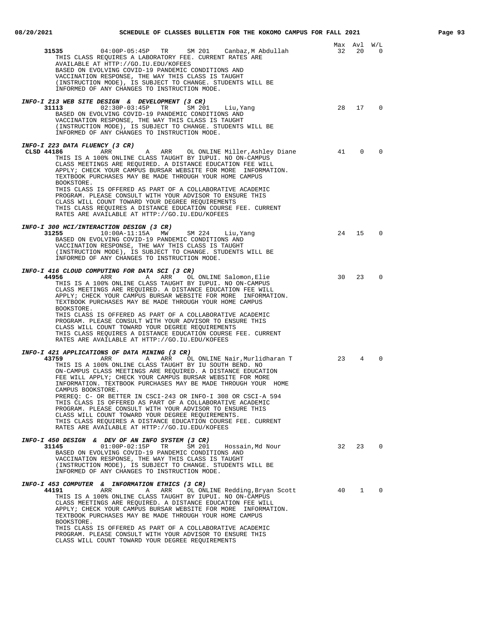| 31535<br>04:00P-05:45P TR SM 201<br>Canbaz,M Abdullah<br>THIS CLASS REQUIRES A LABORATORY FEE. CURRENT RATES ARE<br>AVAILABLE AT HTTP://GO.IU.EDU/KOFEES<br>BASED ON EVOLVING COVID-19 PANDEMIC CONDITIONS AND<br>VACCINATION RESPONSE, THE WAY THIS CLASS IS TAUGHT<br>(INSTRUCTION MODE), IS SUBJECT TO CHANGE. STUDENTS WILL BE<br>INFORMED OF ANY CHANGES TO INSTRUCTION MODE.                                                                                                                                                                                                                                                                                                                                                                             | 32 | Max Avl<br>20 | W/L<br>0       |
|----------------------------------------------------------------------------------------------------------------------------------------------------------------------------------------------------------------------------------------------------------------------------------------------------------------------------------------------------------------------------------------------------------------------------------------------------------------------------------------------------------------------------------------------------------------------------------------------------------------------------------------------------------------------------------------------------------------------------------------------------------------|----|---------------|----------------|
| INFO-I 213 WEB SITE DESIGN & DEVELOPMENT (3 CR)<br>31113<br>$02:30P-03:45P$ TR<br>SM 201<br>Liu, Yang<br>BASED ON EVOLVING COVID-19 PANDEMIC CONDITIONS AND<br>VACCINATION RESPONSE, THE WAY THIS CLASS IS TAUGHT<br>(INSTRUCTION MODE), IS SUBJECT TO CHANGE. STUDENTS WILL BE<br>INFORMED OF ANY CHANGES TO INSTRUCTION MODE.                                                                                                                                                                                                                                                                                                                                                                                                                                | 28 | 17            | 0              |
| INFO-I 223 DATA FLUENCY (3 CR)<br>CLSD 44186<br>ARR OL ONLINE Miller, Ashley Diane<br>ARR<br>A<br>THIS IS A 100% ONLINE CLASS TAUGHT BY IUPUI. NO ON-CAMPUS<br>CLASS MEETINGS ARE REQUIRED. A DISTANCE EDUCATION FEE WILL<br>APPLY; CHECK YOUR CAMPUS BURSAR WEBSITE FOR MORE INFORMATION.<br>TEXTBOOK PURCHASES MAY BE MADE THROUGH YOUR HOME CAMPUS<br>BOOKSTORE.<br>THIS CLASS IS OFFERED AS PART OF A COLLABORATIVE ACADEMIC<br>PROGRAM. PLEASE CONSULT WITH YOUR ADVISOR TO ENSURE THIS<br>CLASS WILL COUNT TOWARD YOUR DEGREE REQUIREMENTS<br>THIS CLASS REQUIRES A DISTANCE EDUCATION COURSE FEE. CURRENT<br>RATES ARE AVAILABLE AT HTTP://GO.IU.EDU/KOFEES                                                                                             | 41 | $\mathbf 0$   | $\Omega$       |
| INFO-I 300 HCI/INTERACTION DESIGN (3 CR)<br>31255<br>10:00A-11:15A MW<br>SM 224<br>Liu, Yang<br>BASED ON EVOLVING COVID-19 PANDEMIC CONDITIONS AND<br>VACCINATION RESPONSE, THE WAY THIS CLASS IS TAUGHT<br>(INSTRUCTION MODE), IS SUBJECT TO CHANGE. STUDENTS WILL BE<br>INFORMED OF ANY CHANGES TO INSTRUCTION MODE.                                                                                                                                                                                                                                                                                                                                                                                                                                         | 24 | 15            | $\Omega$       |
| INFO-I 416 CLOUD COMPUTING FOR DATA SCI (3 CR)<br>44956<br>Α<br>ARR<br>OL ONLINE Salomon, Elie<br>ARR<br>THIS IS A 100% ONLINE CLASS TAUGHT BY IUPUI. NO ON-CAMPUS<br>CLASS MEETINGS ARE REQUIRED. A DISTANCE EDUCATION FEE WILL<br>APPLY; CHECK YOUR CAMPUS BURSAR WEBSITE FOR MORE INFORMATION.<br>TEXTBOOK PURCHASES MAY BE MADE THROUGH YOUR HOME CAMPUS<br>BOOKSTORE.<br>THIS CLASS IS OFFERED AS PART OF A COLLABORATIVE ACADEMIC<br>PROGRAM. PLEASE CONSULT WITH YOUR ADVISOR TO ENSURE THIS<br>CLASS WILL COUNT TOWARD YOUR DEGREE REQUIREMENTS<br>THIS CLASS REQUIRES A DISTANCE EDUCATION COURSE FEE. CURRENT<br>RATES ARE AVAILABLE AT HTTP://GO.IU.EDU/KOFEES                                                                                      | 30 | 23            | $\Omega$       |
| <b>INFO-I 421 APPLICATIONS OF DATA MINING (3 CR)</b><br>43759<br>OL ONLINE Nair, Murlidharan T<br>ARR<br>Α<br>ARR<br>THIS IS A 100% ONLINE CLASS TAUGHT BY IU SOUTH BEND. NO<br>ON-CAMPUS CLASS MEETINGS ARE REQUIRED. A DISTANCE EDUCATION<br>FEE WILL APPLY; CHECK YOUR CAMPUS BURSAR WEBSITE FOR MORE<br>INFORMATION. TEXTBOOK PURCHASES MAY BE MADE THROUGH YOUR HOME<br>CAMPUS BOOKSTORE.<br>PREREQ: C- OR BETTER IN CSCI-243 OR INFO-I 308 OR CSCI-A 594<br>THIS CLASS IS OFFERED AS PART OF A COLLABORATIVE ACADEMIC<br>PROGRAM. PLEASE CONSULT WITH YOUR ADVISOR TO ENSURE THIS<br>CLASS WILL COUNT TOWARD YOUR DEGREE REQUIREMENTS.<br>THIS CLASS REQUIRES A DISTANCE EDUCATION COURSE FEE. CURRENT<br>RATES ARE AVAILABLE AT HTTP://GO.IU.EDU/KOFEES | 23 | 4             | $\Omega$       |
| INFO-I 450 DESIGN & DEV OF AN INFO SYSTEM (3 CR)<br>31145<br>$01:00P-02:15P$<br>TR<br>SM 201<br>Hossain, Md Nour<br>BASED ON EVOLVING COVID-19 PANDEMIC CONDITIONS AND<br>VACCINATION RESPONSE, THE WAY THIS CLASS IS TAUGHT<br>(INSTRUCTION MODE), IS SUBJECT TO CHANGE. STUDENTS WILL BE<br>INFORMED OF ANY CHANGES TO INSTRUCTION MODE.                                                                                                                                                                                                                                                                                                                                                                                                                     | 32 | 23            | $\overline{0}$ |
| INFO-I 453 COMPUTER & INFORMATION ETHICS (3 CR)<br>44191<br>ARR<br>Α<br>ARR<br>OL ONLINE Redding, Bryan Scott<br>THIS IS A 100% ONLINE CLASS TAUGHT BY IUPUI. NO ON-CAMPUS<br>CLASS MEETINGS ARE REQUIRED. A DISTANCE EDUCATION FEE WILL<br>APPLY; CHECK YOUR CAMPUS BURSAR WEBSITE FOR MORE INFORMATION.<br>TEXTBOOK PURCHASES MAY BE MADE THROUGH YOUR HOME CAMPUS<br>BOOKSTORE.<br>THIS CLASS IS OFFERED AS PART OF A COLLABORATIVE ACADEMIC<br>PROGRAM. PLEASE CONSULT WITH YOUR ADVISOR TO ENSURE THIS                                                                                                                                                                                                                                                    | 40 | $\mathbf{1}$  | $\mathbf 0$    |

CLASS WILL COUNT TOWARD YOUR DEGREE REQUIREMENTS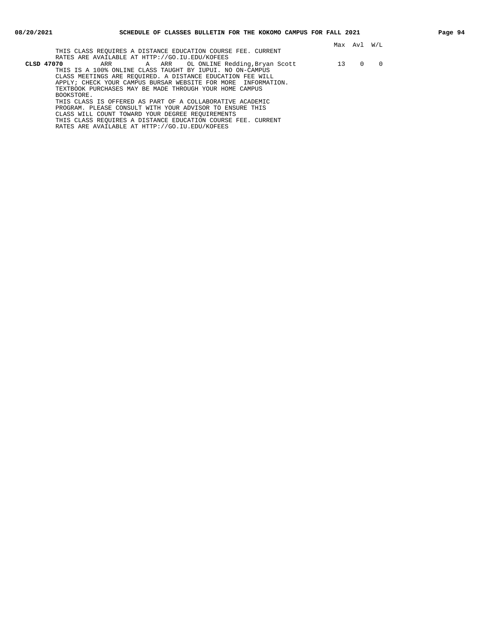Max Avl W/L THIS CLASS REQUIRES A DISTANCE EDUCATION COURSE FEE. CURRENT RATES ARE AVAILABLE AT HTTP://GO.IU.EDU/KOFEES<br>CLSD 47070 ARR A ARR OL ONLINE Re <sup>11</sup> A ARR OL ONLINE Redding,Bryan Scott 13 0 0 THIS IS A 100% ONLINE CLASS TAUGHT BY IUPUI. NO ON-CAMPUS CLASS MEETINGS ARE REQUIRED. A DISTANCE EDUCATION FEE WILL APPLY; CHECK YOUR CAMPUS BURSAR WEBSITE FOR MORE INFORMATION. TEXTBOOK PURCHASES MAY BE MADE THROUGH YOUR HOME CAMPUS BOOKSTORE. THIS CLASS IS OFFERED AS PART OF A COLLABORATIVE ACADEMIC PROGRAM. PLEASE CONSULT WITH YOUR ADVISOR TO ENSURE THIS CLASS WILL COUNT TOWARD YOUR DEGREE REQUIREMENTS THIS CLASS REQUIRES A DISTANCE EDUCATION COURSE FEE. CURRENT

RATES ARE AVAILABLE AT HTTP://GO.IU.EDU/KOFEES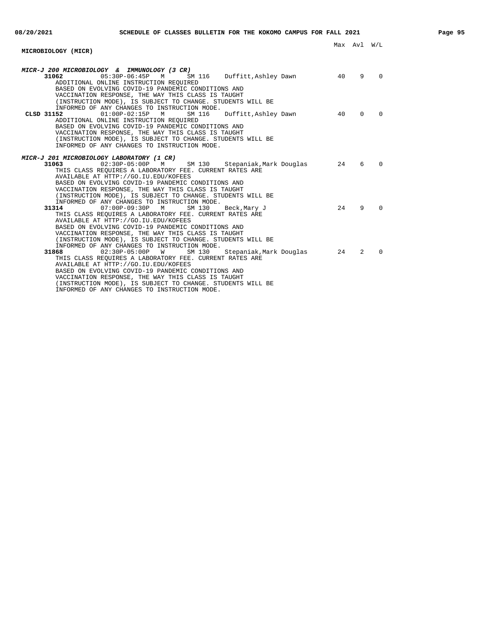# **MICROBIOLOGY (MICR)**

| MICR-J 200 MICROBIOLOGY & IMMUNOLOGY (3 CR)<br>05:30P-06:45P M<br>31062<br>SM 116 Duffitt, Ashley Dawn<br>ADDITIONAL ONLINE INSTRUCTION REQUIRED<br>BASED ON EVOLVING COVID-19 PANDEMIC CONDITIONS AND<br>VACCINATION RESPONSE, THE WAY THIS CLASS IS TAUGHT<br>(INSTRUCTION MODE), IS SUBJECT TO CHANGE. STUDENTS WILL BE                                                                 | 40 | 9        | $\overline{0}$ |
|--------------------------------------------------------------------------------------------------------------------------------------------------------------------------------------------------------------------------------------------------------------------------------------------------------------------------------------------------------------------------------------------|----|----------|----------------|
| INFORMED OF ANY CHANGES TO INSTRUCTION MODE.<br>$01:00P-02:15P$ M<br>Duffitt, Ashley Dawn<br>CLSD 31152<br>SM 116<br>ADDITIONAL ONLINE INSTRUCTION REOUIRED<br>BASED ON EVOLVING COVID-19 PANDEMIC CONDITIONS AND<br>VACCINATION RESPONSE, THE WAY THIS CLASS IS TAUGHT<br>(INSTRUCTION MODE), IS SUBJECT TO CHANGE. STUDENTS WILL BE<br>INFORMED OF ANY CHANGES TO INSTRUCTION MODE.      | 40 | $\Omega$ | $\Omega$       |
| MICR-J 201 MICROBIOLOGY LABORATORY (1 CR)                                                                                                                                                                                                                                                                                                                                                  |    |          |                |
| 31063<br>02:30P-05:00P M<br>SM 130 Stepaniak, Mark Douglas<br>THIS CLASS REOUIRES A LABORATORY FEE. CURRENT RATES ARE<br>AVAILABLE AT HTTP://GO.IU.EDU/KOFEES<br>BASED ON EVOLVING COVID-19 PANDEMIC CONDITIONS AND<br>VACCINATION RESPONSE, THE WAY THIS CLASS IS TAUGHT<br>(INSTRUCTION MODE), IS SUBJECT TO CHANGE. STUDENTS WILL BE<br>INFORMED OF ANY CHANGES TO INSTRUCTION MODE.    | 24 | 6        | $\overline{0}$ |
| 31314<br>07:00P-09:30P M<br>SM 130<br>Beck, Mary J<br>THIS CLASS REOUIRES A LABORATORY FEE. CURRENT RATES ARE<br>AVAILABLE AT HTTP://GO.IU.EDU/KOFEES<br>BASED ON EVOLVING COVID-19 PANDEMIC CONDITIONS AND<br>VACCINATION RESPONSE, THE WAY THIS CLASS IS TAUGHT<br>(INSTRUCTION MODE), IS SUBJECT TO CHANGE. STUDENTS WILL BE<br>INFORMED OF ANY CHANGES TO INSTRUCTION MODE.            | 24 | 9        | $\Omega$       |
| 02:30P-05:00P W<br>SM 130<br>Stepaniak, Mark Douglas<br>31868<br>THIS CLASS REQUIRES A LABORATORY FEE. CURRENT RATES ARE<br>AVAILABLE AT HTTP://GO.IU.EDU/KOFEES<br>BASED ON EVOLVING COVID-19 PANDEMIC CONDITIONS AND<br>VACCINATION RESPONSE, THE WAY THIS CLASS IS TAUGHT<br>(INSTRUCTION MODE), IS SUBJECT TO CHANGE. STUDENTS WILL BE<br>INFORMED OF ANY CHANGES TO INSTRUCTION MODE. | 24 | 2        | $\Omega$       |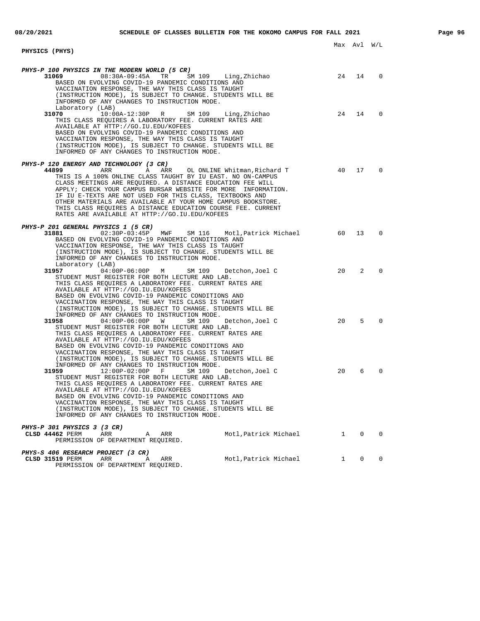| PHYSICS (PHYS)                                                                                                                                                                                                                                                                                                                                                                                                                                                                                                                                  |                         |                                        |             |
|-------------------------------------------------------------------------------------------------------------------------------------------------------------------------------------------------------------------------------------------------------------------------------------------------------------------------------------------------------------------------------------------------------------------------------------------------------------------------------------------------------------------------------------------------|-------------------------|----------------------------------------|-------------|
| PHYS-P 100 PHYSICS IN THE MODERN WORLD (5 CR)<br>31069<br>$08:30A-09:45A$<br>TR<br>SM 109<br>Ling,Zhichao<br>BASED ON EVOLVING COVID-19 PANDEMIC CONDITIONS AND                                                                                                                                                                                                                                                                                                                                                                                 | 24                      | 14                                     | $\Omega$    |
| VACCINATION RESPONSE, THE WAY THIS CLASS IS TAUGHT<br>(INSTRUCTION MODE), IS SUBJECT TO CHANGE. STUDENTS WILL BE<br>INFORMED OF ANY CHANGES TO INSTRUCTION MODE.<br>Laboratory (LAB)                                                                                                                                                                                                                                                                                                                                                            |                         |                                        |             |
| 31070<br>$10:00A-12:30P$ R<br>SM 109 Ling, Zhichao<br>THIS CLASS REQUIRES A LABORATORY FEE. CURRENT RATES ARE<br>AVAILABLE AT HTTP://GO.IU.EDU/KOFEES<br>BASED ON EVOLVING COVID-19 PANDEMIC CONDITIONS AND<br>VACCINATION RESPONSE, THE WAY THIS CLASS IS TAUGHT<br>(INSTRUCTION MODE), IS SUBJECT TO CHANGE. STUDENTS WILL BE<br>INFORMED OF ANY CHANGES TO INSTRUCTION MODE.                                                                                                                                                                 | 24                      | 14                                     | $\Omega$    |
| PHYS-P 120 ENERGY AND TECHNOLOGY (3 CR)<br>44899<br>ARR<br>ARR<br>OL ONLINE Whitman, Richard T<br>A<br>THIS IS A 100% ONLINE CLASS TAUGHT BY IU EAST. NO ON-CAMPUS<br>CLASS MEETINGS ARE REQUIRED. A DISTANCE EDUCATION FEE WILL<br>APPLY; CHECK YOUR CAMPUS BURSAR WEBSITE FOR MORE INFORMATION.<br>IF IU E-TEXTS ARE NOT USED FOR THIS CLASS, TEXTBOOKS AND<br>OTHER MATERIALS ARE AVAILABLE AT YOUR HOME CAMPUS BOOKSTORE.<br>THIS CLASS REQUIRES A DISTANCE EDUCATION COURSE FEE. CURRENT<br>RATES ARE AVAILABLE AT HTTP://GO.IU.EDU/KOFEES | 40                      | 17                                     | $\Omega$    |
| <i>PHYS-P 201 GENERAL PHYSICS 1 (5 CR)</i><br>31881<br>02:30P-03:45P MWF SM 116 Motl, Patrick Michael<br>BASED ON EVOLVING COVID-19 PANDEMIC CONDITIONS AND<br>VACCINATION RESPONSE, THE WAY THIS CLASS IS TAUGHT<br>(INSTRUCTION MODE), IS SUBJECT TO CHANGE. STUDENTS WILL BE<br>INFORMED OF ANY CHANGES TO INSTRUCTION MODE.<br>Laboratory (LAB)                                                                                                                                                                                             | 60                      | 13                                     | 0           |
| 31957<br>$04:00P-06:00P$<br>M<br>SM 109<br>Detchon, Joel C<br>STUDENT MUST REGISTER FOR BOTH LECTURE AND LAB.<br>THIS CLASS REQUIRES A LABORATORY FEE. CURRENT RATES ARE<br>AVAILABLE AT HTTP://GO.IU.EDU/KOFEES<br>BASED ON EVOLVING COVID-19 PANDEMIC CONDITIONS AND<br>VACCINATION RESPONSE, THE WAY THIS CLASS IS TAUGHT<br>(INSTRUCTION MODE), IS SUBJECT TO CHANGE. STUDENTS WILL BE<br>INFORMED OF ANY CHANGES TO INSTRUCTION MODE.                                                                                                      | 20                      | 2                                      | 0           |
| 31958<br>04:00P-06:00P W<br>SM 109<br>Detchon,Joel C<br>STUDENT MUST REGISTER FOR BOTH LECTURE AND LAB.<br>THIS CLASS REQUIRES A LABORATORY FEE. CURRENT RATES ARE<br>AVAILABLE AT HTTP://GO.IU.EDU/KOFEES<br>BASED ON EVOLVING COVID-19 PANDEMIC CONDITIONS AND<br>VACCINATION RESPONSE, THE WAY THIS CLASS IS TAUGHT<br>(INSTRUCTION MODE), IS SUBJECT TO CHANGE. STUDENTS WILL BE<br>INFORMED OF ANY CHANGES TO INSTRUCTION MODE.                                                                                                            | 20                      | 5                                      | $\Omega$    |
| 31959<br>12:00P-02:00P F<br>SM 109<br>Detchon, Joel C<br>STUDENT MUST REGISTER FOR BOTH LECTURE AND LAB.<br>THIS CLASS REQUIRES A LABORATORY FEE. CURRENT RATES ARE<br>AVAILABLE AT HTTP://GO.IU.EDU/KOFEES<br>BASED ON EVOLVING COVID-19 PANDEMIC CONDITIONS AND<br>VACCINATION RESPONSE, THE WAY THIS CLASS IS TAUGHT<br>(INSTRUCTION MODE), IS SUBJECT TO CHANGE. STUDENTS WILL BE<br>INFORMED OF ANY CHANGES TO INSTRUCTION MODE.                                                                                                           | 20                      | 6                                      | $\Omega$    |
| <i>PHYS-P 301 PHYSICS 3 (3 CR)</i><br>CLSD 44462 PERM<br>ARR<br>ARR<br>A<br>PERMISSION OF DEPARTMENT REQUIRED.                                                                                                                                                                                                                                                                                                                                                                                                                                  | Motl, Patrick Michael 1 | $\overline{0}$                         | $\mathbf 0$ |
| PHYS-S 406 RESEARCH PROJECT (3 CR)<br>Motl, Patrick Michael<br>CLSD 31519 PERM<br>ARR<br>ARR<br>A                                                                                                                                                                                                                                                                                                                                                                                                                                               |                         | $1 \quad \blacksquare$<br>$\mathbf{0}$ | 0           |

PERMISSION OF DEPARTMENT REQUIRED.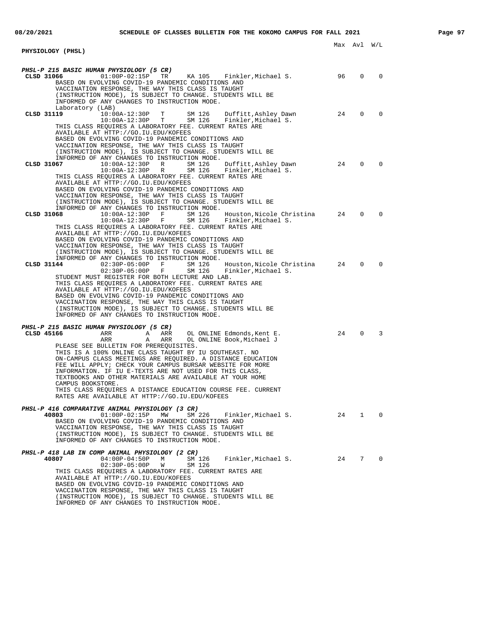| <b>PHYSIOLOGY (PHSL)</b>                                                                                                                                                                                                                                                                                                                                                                                                                                                                                                                                                                                                                                        |    | Max Avl W/L  |              |
|-----------------------------------------------------------------------------------------------------------------------------------------------------------------------------------------------------------------------------------------------------------------------------------------------------------------------------------------------------------------------------------------------------------------------------------------------------------------------------------------------------------------------------------------------------------------------------------------------------------------------------------------------------------------|----|--------------|--------------|
| <b>PHSL-P 215 BASIC HUMAN PHYSIOLOGY (5 CR)</b><br>KA 105 Finkler,Michael S.<br>CLSD 31066<br>$01:00P-02:15P$ TR                                                                                                                                                                                                                                                                                                                                                                                                                                                                                                                                                | 96 | $\Omega$     | 0            |
| BASED ON EVOLVING COVID-19 PANDEMIC CONDITIONS AND<br>VACCINATION RESPONSE, THE WAY THIS CLASS IS TAUGHT<br>(INSTRUCTION MODE), IS SUBJECT TO CHANGE. STUDENTS WILL BE<br>INFORMED OF ANY CHANGES TO INSTRUCTION MODE.<br>Laboratory (LAB)                                                                                                                                                                                                                                                                                                                                                                                                                      |    |              |              |
| $10:00A-12:30P$ T<br>CLSD 31119<br>SM 126<br>Duffitt, Ashley Dawn<br>$10:00A-12:30P$ T<br>SM 126<br>Finkler, Michael S.<br>THIS CLASS REQUIRES A LABORATORY FEE. CURRENT RATES ARE<br>AVAILABLE AT HTTP://GO.IU.EDU/KOFEES<br>BASED ON EVOLVING COVID-19 PANDEMIC CONDITIONS AND<br>VACCINATION RESPONSE, THE WAY THIS CLASS IS TAUGHT<br>(INSTRUCTION MODE), IS SUBJECT TO CHANGE. STUDENTS WILL BE<br>INFORMED OF ANY CHANGES TO INSTRUCTION MODE.                                                                                                                                                                                                            | 24 | $\Omega$     | 0            |
| CLSD 31067<br>10:00A-12:30P R<br>SM 126<br>Duffitt,Ashley Dawn<br>SM 126<br>10:00A-12:30P R<br>Finkler, Michael S.<br>THIS CLASS REQUIRES A LABORATORY FEE. CURRENT RATES ARE<br>AVAILABLE AT HTTP://GO.IU.EDU/KOFEES<br>BASED ON EVOLVING COVID-19 PANDEMIC CONDITIONS AND<br>VACCINATION RESPONSE, THE WAY THIS CLASS IS TAUGHT<br>(INSTRUCTION MODE), IS SUBJECT TO CHANGE. STUDENTS WILL BE<br>INFORMED OF ANY CHANGES TO INSTRUCTION MODE.                                                                                                                                                                                                                 | 24 | $\mathbf 0$  | $\Omega$     |
| CLSD 31068<br>10:00A-12:30P F<br>SM 126<br>Houston,Nicole Christina<br>SM 126<br>$10:00A-12:30P$ F<br>Finkler, Michael S.<br>THIS CLASS REOUIRES A LABORATORY FEE. CURRENT RATES ARE<br>AVAILABLE AT HTTP://GO.IU.EDU/KOFEES<br>BASED ON EVOLVING COVID-19 PANDEMIC CONDITIONS AND<br>VACCINATION RESPONSE, THE WAY THIS CLASS IS TAUGHT<br>(INSTRUCTION MODE), IS SUBJECT TO CHANGE. STUDENTS WILL BE<br>INFORMED OF ANY CHANGES TO INSTRUCTION MODE.                                                                                                                                                                                                          | 24 | $\Omega$     | $\Omega$     |
| CLSD 31144<br>$02:30P-05:00P$ F<br>SM 126<br>Houston,Nicole Christina<br>02:30P-05:00P F<br>SM 126<br>Finkler,Michael S.<br>STUDENT MUST REGISTER FOR BOTH LECTURE AND LAB.<br>THIS CLASS REQUIRES A LABORATORY FEE. CURRENT RATES ARE<br>AVAILABLE AT HTTP://GO.IU.EDU/KOFEES<br>BASED ON EVOLVING COVID-19 PANDEMIC CONDITIONS AND<br>VACCINATION RESPONSE, THE WAY THIS CLASS IS TAUGHT<br>(INSTRUCTION MODE), IS SUBJECT TO CHANGE. STUDENTS WILL BE<br>INFORMED OF ANY CHANGES TO INSTRUCTION MODE.                                                                                                                                                        | 24 | $\Omega$     | $\Omega$     |
| PHSL-P 215 BASIC HUMAN PHYSIOLOGY (5 CR)<br>CLSD 45166<br>ARR<br>OL ONLINE Edmonds, Kent E.<br>ARR<br>$\mathbb A$<br>ARR<br>Α<br>ARR<br>OL ONLINE Book, Michael J<br>PLEASE SEE BULLETIN FOR PREREQUISITES.<br>THIS IS A 100% ONLINE CLASS TAUGHT BY IU SOUTHEAST. NO<br>ON-CAMPUS CLASS MEETINGS ARE REQUIRED. A DISTANCE EDUCATION<br>FEE WILL APPLY; CHECK YOUR CAMPUS BURSAR WEBSITE FOR MORE<br>INFORMATION. IF IU E-TEXTS ARE NOT USED FOR THIS CLASS,<br>TEXTBOOKS AND OTHER MATERIALS ARE AVAILABLE AT YOUR HOME<br>CAMPUS BOOKSTORE.<br>THIS CLASS REQUIRES A DISTANCE EDUCATION COURSE FEE. CURRENT<br>RATES ARE AVAILABLE AT HTTP://GO.IU.EDU/KOFEES | 24 | 0            | 3            |
| PHSL-P 416 COMPARATIVE ANIMAL PHYSIOLOGY (3 CR)<br>40803<br>$01:00P-02:15P$<br>MW<br>SM 226<br>Finkler,Michael S.<br>BASED ON EVOLVING COVID-19 PANDEMIC CONDITIONS AND<br>VACCINATION RESPONSE, THE WAY THIS CLASS IS TAUGHT<br>(INSTRUCTION MODE), IS SUBJECT TO CHANGE. STUDENTS WILL BE<br>INFORMED OF ANY CHANGES TO INSTRUCTION MODE.                                                                                                                                                                                                                                                                                                                     | 24 | $\mathbf{1}$ | 0            |
| PHSL-P 418 LAB IN COMP ANIMAL PHYSIOLOGY (2 CR)<br>40807<br>$04:00P-04:50P$ M<br>SM 126<br>Finkler, Michael S.<br>$02:30P-05:00P$ W<br>SM 126<br>THIS CLASS REOUIRES A LABORATORY FEE. CURRENT RATES ARE<br>AVAILABLE AT HTTP://GO.IU.EDU/KOFEES<br>BASED ON EVOLVING COVID-19 PANDEMIC CONDITIONS AND<br>VACCINATION RESPONSE, THE WAY THIS CLASS IS TAUGHT<br>(INSTRUCTION MODE), IS SUBJECT TO CHANGE. STUDENTS WILL BE<br>INFORMED OF ANY CHANGES TO INSTRUCTION MODE.                                                                                                                                                                                      |    | 24 7         | $\mathbf{0}$ |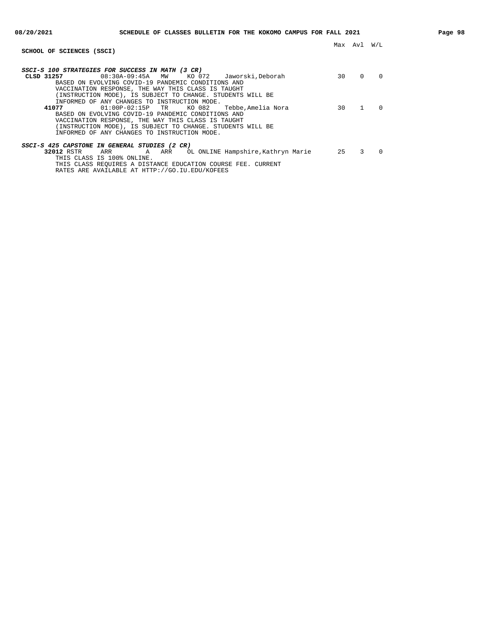| SCHOOL OF SCIENCES (SSCI)                                              | Max | Avl      | W/L      |
|------------------------------------------------------------------------|-----|----------|----------|
|                                                                        |     |          |          |
| SSCI-S 100 STRATEGIES FOR SUCCESS IN MATH (3 CR)                       |     |          |          |
| 08:30A-09:45A<br>KO 072<br>CLSD 31257<br>Jaworski.Deborah<br><b>MW</b> | 30  | $\Omega$ | $\Omega$ |
| BASED ON EVOLVING COVID-19 PANDEMIC CONDITIONS AND                     |     |          |          |
| VACCINATION RESPONSE, THE WAY THIS CLASS IS TAUGHT                     |     |          |          |
| (INSTRUCTION MODE), IS SUBJECT TO CHANGE. STUDENTS WILL BE             |     |          |          |
| INFORMED OF ANY CHANGES TO INSTRUCTION MODE.                           |     |          |          |
| KO 082<br>41077<br>$01:00P-02:15P$ TR<br>Tebbe,Amelia Nora             | 30  | 1        | $\Omega$ |
| BASED ON EVOLVING COVID-19 PANDEMIC CONDITIONS AND                     |     |          |          |
| VACCINATION RESPONSE, THE WAY THIS CLASS IS TAUGHT                     |     |          |          |
| (INSTRUCTION MODE), IS SUBJECT TO CHANGE. STUDENTS WILL BE             |     |          |          |
| INFORMED OF ANY CHANGES TO INSTRUCTION MODE.                           |     |          |          |
| SSCI-S 425 CAPSTONE IN GENERAL STUDIES (2 CR)                          |     |          |          |
| 32012 RSTR<br>OL ONLINE Hampshire, Kathryn Marie<br>ARR<br>ARR<br>A    | 25  | 3        | $\Omega$ |
| THIS CLASS IS 100% ONLINE.                                             |     |          |          |
| THIS CLASS REOUIRES A DISTANCE EDUCATION COURSE FEE. CURRENT           |     |          |          |
| RATES ARE AVAILABLE AT HTTP://GO.IU.EDU/KOFEES                         |     |          |          |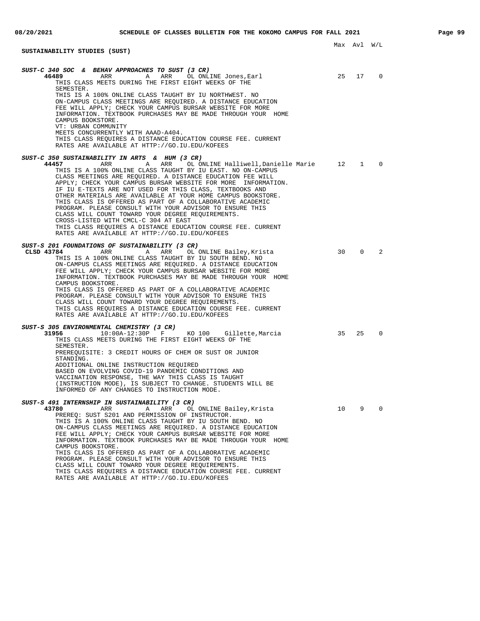**SUSTAINABILITY STUDIES (SUST)**

**SUST-C 340 SOC & BEHAV APPROACHES TO SUST (3 CR) 46489 ARR ARR OL ONLINE Jones, Earl 25 17 10** THIS CLASS MEETS DURING THE FIRST EIGHT WEEKS OF THE SEMESTER. THIS IS A 100% ONLINE CLASS TAUGHT BY IU NORTHWEST. NO ON-CAMPUS CLASS MEETINGS ARE REQUIRED. A DISTANCE EDUCATION FEE WILL APPLY; CHECK YOUR CAMPUS BURSAR WEBSITE FOR MORE INFORMATION. TEXTBOOK PURCHASES MAY BE MADE THROUGH YOUR HOME CAMPUS BOOKSTORE. VT: URBAN COMMUNITY MEETS CONCURRENTLY WITH AAAD-A404. THIS CLASS REQUIRES A DISTANCE EDUCATION COURSE FEE. CURRENT RATES ARE AVAILABLE AT HTTP://GO.IU.EDU/KOFEES **SUST-C 350 SUSTAINABILITY IN ARTS & HUM (3 CR) 44457** ARR A ARR OL ONLINE Halliwell,Danielle Marie 12 1 0 THIS IS A 100% ONLINE CLASS TAUGHT BY IU EAST. NO ON-CAMPUS CLASS MEETINGS ARE REQUIRED. A DISTANCE EDUCATION FEE WILL APPLY; CHECK YOUR CAMPUS BURSAR WEBSITE FOR MORE INFORMATION. IF IU E-TEXTS ARE NOT USED FOR THIS CLASS, TEXTBOOKS AND OTHER MATERIALS ARE AVAILABLE AT YOUR HOME CAMPUS BOOKSTORE. THIS CLASS IS OFFERED AS PART OF A COLLABORATIVE ACADEMIC PROGRAM. PLEASE CONSULT WITH YOUR ADVISOR TO ENSURE THIS CLASS WILL COUNT TOWARD YOUR DEGREE REQUIREMENTS. CROSS-LISTED WITH CMCL-C 304 AT EAST THIS CLASS REQUIRES A DISTANCE EDUCATION COURSE FEE. CURRENT RATES ARE AVAILABLE AT HTTP://GO.IU.EDU/KOFEES **SUST-S 201 FOUNDATIONS OF SUSTAINABILITY (3 CR) CLSD 43784** ARR A ARR OL ONLINE Bailey,Krista 30 0 2 THIS IS A 100% ONLINE CLASS TAUGHT BY IU SOUTH BEND. NO ON-CAMPUS CLASS MEETINGS ARE REQUIRED. A DISTANCE EDUCATION FEE WILL APPLY; CHECK YOUR CAMPUS BURSAR WEBSITE FOR MORE INFORMATION. TEXTBOOK PURCHASES MAY BE MADE THROUGH YOUR HOME CAMPUS BOOKSTORE. THIS CLASS IS OFFERED AS PART OF A COLLABORATIVE ACADEMIC PROGRAM. PLEASE CONSULT WITH YOUR ADVISOR TO ENSURE THIS CLASS WILL COUNT TOWARD YOUR DEGREE REQUIREMENTS. THIS CLASS REQUIRES A DISTANCE EDUCATION COURSE FEE. CURRENT RATES ARE AVAILABLE AT HTTP://GO.IU.EDU/KOFEES **SUST-S 305 ENVIRONMENTAL CHEMISTRY (3 CR) 31956** 10:00A-12:30P F KO 100 Gillette,Marcia 35 25 0 THIS CLASS MEETS DURING THE FIRST EIGHT WEEKS OF THE SEMESTER. PREREQUISITE: 3 CREDIT HOURS OF CHEM OR SUST OR JUNIOR STANDING. ADDITIONAL ONLINE INSTRUCTION REQUIRED BASED ON EVOLVING COVID-19 PANDEMIC CONDITIONS AND VACCINATION RESPONSE, THE WAY THIS CLASS IS TAUGHT (INSTRUCTION MODE), IS SUBJECT TO CHANGE. STUDENTS WILL BE INFORMED OF ANY CHANGES TO INSTRUCTION MODE. **SUST-S 491 INTERNSHIP IN SUSTAINABILITY (3 CR) 43780** ARR A ARR OL ONLINE Bailey,Krista 10 9 0 PREREQ: SUST S201 AND PERMISSION OF INSTRUCTOR. THIS IS A 100% ONLINE CLASS TAUGHT BY IU SOUTH BEND. NO ON-CAMPUS CLASS MEETINGS ARE REQUIRED. A DISTANCE EDUCATION FEE WILL APPLY; CHECK YOUR CAMPUS BURSAR WEBSITE FOR MORE INFORMATION. TEXTBOOK PURCHASES MAY BE MADE THROUGH YOUR HOME CAMPUS BOOKSTORE. THIS CLASS IS OFFERED AS PART OF A COLLABORATIVE ACADEMIC PROGRAM. PLEASE CONSULT WITH YOUR ADVISOR TO ENSURE THIS CLASS WILL COUNT TOWARD YOUR DEGREE REQUIREMENTS. THIS CLASS REQUIRES A DISTANCE EDUCATION COURSE FEE. CURRENT

RATES ARE AVAILABLE AT HTTP://GO.IU.EDU/KOFEES

Max Avl W/L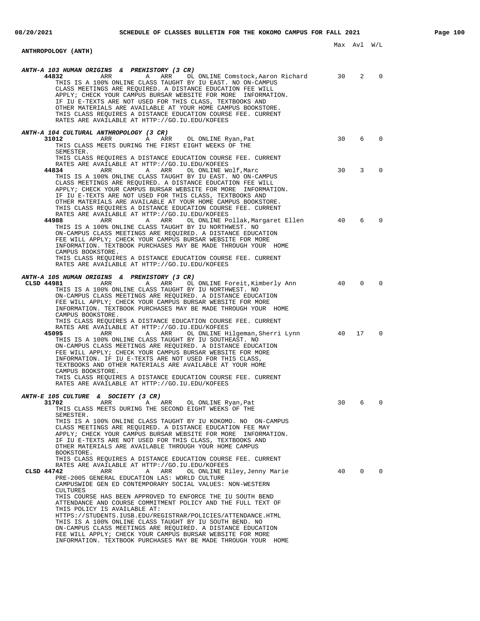### Max Avl W/L **ANTHROPOLOGY (ANTH) ANTH-A 103 HUMAN ORIGINS & PREHISTORY (3 CR) 44832** ARR A ARR OL ONLINE Comstock,Aaron Richard 30 2 0 THIS IS A 100% ONLINE CLASS TAUGHT BY IU EAST. NO ON-CAMPUS CLASS MEETINGS ARE REQUIRED. A DISTANCE EDUCATION FEE WILL<br>APPLY; CHECK YOUR CAMPUS BURSAR WEBSITE FOR MORE INFORMATION. APPLY; CHECK YOUR CAMPUS BURSAR WEBSITE FOR MORE IF IU E-TEXTS ARE NOT USED FOR THIS CLASS, TEXTBOOKS AND OTHER MATERIALS ARE AVAILABLE AT YOUR HOME CAMPUS BOOKSTORE. THIS CLASS REQUIRES A DISTANCE EDUCATION COURSE FEE. CURRENT RATES ARE AVAILABLE AT HTTP://GO.IU.EDU/KOFEES **ANTH-A 104 CULTURAL ANTHROPOLOGY (3 CR) 31012** ARR A ARR OL ONLINE Ryan,Pat 30 6 0 THIS CLASS MEETS DURING THE FIRST EIGHT WEEKS OF THE SEMESTER. THIS CLASS REQUIRES A DISTANCE EDUCATION COURSE FEE. CURRENT RATES ARE AVAILABLE AT HTTP://GO.IU.EDU/KOFEES<br>**44834** ARR A ARR OL ONLINE Wolf,Marc 30 3 0 THIS IS A 100% ONLINE CLASS TAUGHT BY IU EAST. NO ON-CAMPUS CLASS MEETINGS ARE REQUIRED. A DISTANCE EDUCATION FEE WILL APPLY; CHECK YOUR CAMPUS BURSAR WEBSITE FOR MORE INFORMATION. IF IU E-TEXTS ARE NOT USED FOR THIS CLASS, TEXTBOOKS AND OTHER MATERIALS ARE AVAILABLE AT YOUR HOME CAMPUS BOOKSTORE. THIS CLASS REQUIRES A DISTANCE EDUCATION COURSE FEE. CURRENT RATES ARE AVAILABLE AT HTTP://GO.IU.EDU/KOFEES<br>44988 ARR ARR ARR OLONLINE Po **44988** ARR A ARR OL ONLINE Pollak,Margaret Ellen 40 6 0 THIS IS A 100% ONLINE CLASS TAUGHT BY IU NORTHWEST. NO ON-CAMPUS CLASS MEETINGS ARE REQUIRED. A DISTANCE EDUCATION FEE WILL APPLY; CHECK YOUR CAMPUS BURSAR WEBSITE FOR MORE INFORMATION. TEXTBOOK PURCHASES MAY BE MADE THROUGH YOUR HOME CAMPUS BOOKSTORE. THIS CLASS REQUIRES A DISTANCE EDUCATION COURSE FEE. CURRENT RATES ARE AVAILABLE AT HTTP://GO.IU.EDU/KOFEES **ANTH-A 105 HUMAN ORIGINS & PREHISTORY (3 CR) CLSD 44981** ARR A ARR OL ONLINE Foreit,Kimberly Ann 40 0 0 THIS IS A 100% ONLINE CLASS TAUGHT BY IU NORTHWEST. NO ON-CAMPUS CLASS MEETINGS ARE REQUIRED. A DISTANCE EDUCATION FEE WILL APPLY; CHECK YOUR CAMPUS BURSAR WEBSITE FOR MORE INFORMATION. TEXTBOOK PURCHASES MAY BE MADE THROUGH YOUR HOME CAMPUS BOOKSTORE. THIS CLASS REQUIRES A DISTANCE EDUCATION COURSE FEE. CURRENT RATES ARE AVAILABLE AT HTTP://GO.IU.EDU/KOFEES **45095** ARR A ARR OL ONLINE Hilgeman,Sherri Lynn 40 17 0 THIS IS A 100% ONLINE CLASS TAUGHT BY IU SOUTHEAST. NO ON-CAMPUS CLASS MEETINGS ARE REQUIRED. A DISTANCE EDUCATION FEE WILL APPLY; CHECK YOUR CAMPUS BURSAR WEBSITE FOR MORE INFORMATION. IF IU E-TEXTS ARE NOT USED FOR THIS CLASS, TEXTBOOKS AND OTHER MATERIALS ARE AVAILABLE AT YOUR HOME CAMPUS BOOKSTORE. THIS CLASS REQUIRES A DISTANCE EDUCATION COURSE FEE. CURRENT RATES ARE AVAILABLE AT HTTP://GO.IU.EDU/KOFEES **ANTH-E 105 CULTURE & SOCIETY (3 CR) 31702** ARR A ARR OL ONLINE Ryan, Pat 30 6 0 THIS CLASS MEETS DURING THE SECOND EIGHT WEEKS OF THE SEMESTER. THIS IS A 100% ONLINE CLASS TAUGHT BY IU KOKOMO. NO ON-CAMPUS CLASS MEETINGS ARE REQUIRED. A DISTANCE EDUCATION FEE MAY APPLY; CHECK YOUR CAMPUS BURSAR WEBSITE FOR MORE INFORMATION. IF IU E-TEXTS ARE NOT USED FOR THIS CLASS, TEXTBOOKS AND OTHER MATERIALS ARE AVAILABLE THROUGH YOUR HOME CAMPUS BOOKSTORE. THIS CLASS REQUIRES A DISTANCE EDUCATION COURSE FEE. CURRENT RATES ARE AVAILABLE AT HTTP://GO.IU.EDU/KOFEES<br>CLSD 44742 ARR ARR ARR OL ONLINE Ri ARR ARR OL ONLINE Riley, Jenny Marie 40 0 0 PRE-2005 GENERAL EDUCATION LAS: WORLD CULTURE CAMPUSWIDE GEN ED CONTEMPORARY SOCIAL VALUES: NON-WESTERN CULTURES THIS COURSE HAS BEEN APPROVED TO ENFORCE THE IU SOUTH BEND ATTENDANCE AND COURSE COMMITMENT POLICY AND THE FULL TEXT OF THIS POLICY IS AVAILABLE AT: HTTPS://STUDENTS.IUSB.EDU/REGISTRAR/POLICIES/ATTENDANCE.HTML THIS IS A 100% ONLINE CLASS TAUGHT BY IU SOUTH BEND. NO ON-CAMPUS CLASS MEETINGS ARE REQUIRED. A DISTANCE EDUCATION FEE WILL APPLY; CHECK YOUR CAMPUS BURSAR WEBSITE FOR MORE

INFORMATION. TEXTBOOK PURCHASES MAY BE MADE THROUGH YOUR HOME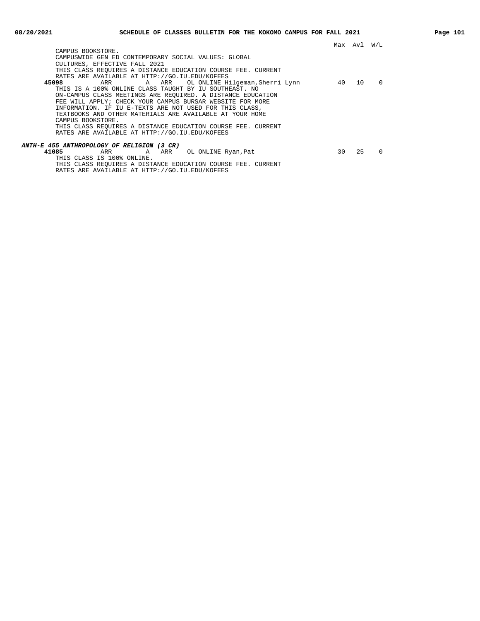| CAMPUS BOOKSTORE.                                            |    |    |          |
|--------------------------------------------------------------|----|----|----------|
| CAMPUSWIDE GEN ED CONTEMPORARY SOCIAL VALUES: GLOBAL         |    |    |          |
| CULTURES, EFFECTIVE FALL 2021                                |    |    |          |
| THIS CLASS REOUIRES A DISTANCE EDUCATION COURSE FEE. CURRENT |    |    |          |
| RATES ARE AVAILABLE AT HTTP://GO.IU.EDU/KOFEES               |    |    |          |
| 45098<br>ARR ARR OL ONLINE Hilgeman, Sherri Lynn             | 40 | 10 | $\Omega$ |
| THIS IS A 100% ONLINE CLASS TAUGHT BY IU SOUTHEAST. NO       |    |    |          |
| ON-CAMPUS CLASS MEETINGS ARE REOUIRED. A DISTANCE EDUCATION  |    |    |          |
| FEE WILL APPLY; CHECK YOUR CAMPUS BURSAR WEBSITE FOR MORE    |    |    |          |
| INFORMATION. IF IU E-TEXTS ARE NOT USED FOR THIS CLASS,      |    |    |          |
| TEXTBOOKS AND OTHER MATERIALS ARE AVAILABLE AT YOUR HOME     |    |    |          |
| CAMPUS BOOKSTORE.                                            |    |    |          |
| THIS CLASS REOUIRES A DISTANCE EDUCATION COURSE FEE. CURRENT |    |    |          |
| RATES ARE AVAILABLE AT HTTP://GO.IU.EDU/KOFEES               |    |    |          |
| ANTH-E 455 ANTHROPOLOGY OF RELIGION (3 CR)                   |    |    |          |
| 41085<br>A ARR<br>OL ONLINE Ryan, Pat<br>ARR                 | 30 | 25 | $\Omega$ |
| THIS CLASS IS 100% ONLINE.                                   |    |    |          |
|                                                              |    |    |          |

THIS CLASS REQUIRES A DISTANCE EDUCATION COURSE FEE. CURRENT RATES ARE AVAILABLE AT HTTP://GO.IU.EDU/KOFEES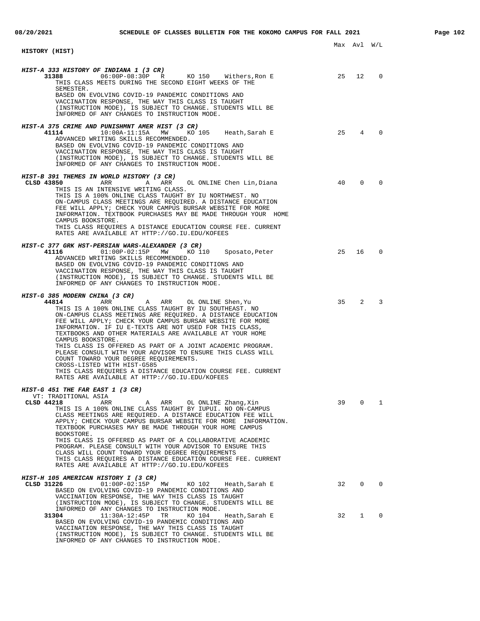|                                                                                                                                                                                                                                                                                                                                                                                                                                                                                                                                                                                                                                                                                                                                           |    | Max Avl W/L     |                                     |
|-------------------------------------------------------------------------------------------------------------------------------------------------------------------------------------------------------------------------------------------------------------------------------------------------------------------------------------------------------------------------------------------------------------------------------------------------------------------------------------------------------------------------------------------------------------------------------------------------------------------------------------------------------------------------------------------------------------------------------------------|----|-----------------|-------------------------------------|
| HISTORY (HIST)                                                                                                                                                                                                                                                                                                                                                                                                                                                                                                                                                                                                                                                                                                                            |    |                 |                                     |
| HIST-A 333 HISTORY OF INDIANA 1 (3 CR)<br>06:00P-08:30P R KO 150 Withers, Ron E<br>31388<br>THIS CLASS MEETS DURING THE SECOND EIGHT WEEKS OF THE<br>SEMESTER.<br>BASED ON EVOLVING COVID-19 PANDEMIC CONDITIONS AND<br>VACCINATION RESPONSE, THE WAY THIS CLASS IS TAUGHT<br>(INSTRUCTION MODE), IS SUBJECT TO CHANGE. STUDENTS WILL BE<br>INFORMED OF ANY CHANGES TO INSTRUCTION MODE.                                                                                                                                                                                                                                                                                                                                                  | 25 | 12 <sup>7</sup> | $\Omega$                            |
| HIST-A 375 CRIME AND PUNISHMNT AMER HIST (3 CR)<br>41114<br>$10:00A-11:15A$ MW<br>KO 105<br>Heath,Sarah E<br>ADVANCED WRITING SKILLS RECOMMENDED.<br>BASED ON EVOLVING COVID-19 PANDEMIC CONDITIONS AND<br>VACCINATION RESPONSE, THE WAY THIS CLASS IS TAUGHT<br>(INSTRUCTION MODE), IS SUBJECT TO CHANGE. STUDENTS WILL BE<br>INFORMED OF ANY CHANGES TO INSTRUCTION MODE.                                                                                                                                                                                                                                                                                                                                                               | 25 | $\overline{4}$  | $\Omega$                            |
| HIST-B 391 THEMES IN WORLD HISTORY (3 CR)<br>CLSD 43850<br>ARR<br>A ARR<br>OL ONLINE Chen Lin, Diana<br>THIS IS AN INTENSIVE WRITING CLASS.<br>THIS IS A 100% ONLINE CLASS TAUGHT BY IU NORTHWEST. NO<br>ON-CAMPUS CLASS MEETINGS ARE REQUIRED. A DISTANCE EDUCATION<br>FEE WILL APPLY; CHECK YOUR CAMPUS BURSAR WEBSITE FOR MORE<br>INFORMATION. TEXTBOOK PURCHASES MAY BE MADE THROUGH YOUR HOME<br>CAMPUS BOOKSTORE.<br>THIS CLASS REQUIRES A DISTANCE EDUCATION COURSE FEE. CURRENT<br>RATES ARE AVAILABLE AT HTTP://GO.IU.EDU/KOFEES                                                                                                                                                                                                 | 40 | $\Omega$        | $\Omega$                            |
| HIST-C 377 GRK HST-PERSIAN WARS-ALEXANDER (3 CR)<br>41116<br>$01:00P-02:15P$ MW<br>KO 110<br>Sposato, Peter<br>ADVANCED WRITING SKILLS RECOMMENDED.<br>BASED ON EVOLVING COVID-19 PANDEMIC CONDITIONS AND<br>VACCINATION RESPONSE, THE WAY THIS CLASS IS TAUGHT<br>(INSTRUCTION MODE), IS SUBJECT TO CHANGE. STUDENTS WILL BE<br>INFORMED OF ANY CHANGES TO INSTRUCTION MODE.                                                                                                                                                                                                                                                                                                                                                             | 25 | 16              | $\Omega$                            |
| HIST-G 385 MODERN CHINA (3 CR)<br>44814<br>ARR<br>A<br>ARR<br>OL ONLINE Shen, Yu<br>THIS IS A 100% ONLINE CLASS TAUGHT BY IU SOUTHEAST. NO<br>ON-CAMPUS CLASS MEETINGS ARE REQUIRED. A DISTANCE EDUCATION<br>FEE WILL APPLY; CHECK YOUR CAMPUS BURSAR WEBSITE FOR MORE<br>INFORMATION. IF IU E-TEXTS ARE NOT USED FOR THIS CLASS,<br>TEXTBOOKS AND OTHER MATERIALS ARE AVAILABLE AT YOUR HOME<br>CAMPUS BOOKSTORE.<br>THIS CLASS IS OFFERED AS PART OF A JOINT ACADEMIC PROGRAM.<br>PLEASE CONSULT WITH YOUR ADVISOR TO ENSURE THIS CLASS WILL<br>COUNT TOWARD YOUR DEGREE REQUIREMENTS.<br>CROSS-LISTED WITH HIST-G585<br>THIS CLASS REQUIRES A DISTANCE EDUCATION COURSE FEE. CURRENT<br>RATES ARE AVAILABLE AT HTTP://GO.IU.EDU/KOFEES | 35 |                 | $2 \left( \frac{1}{2} \right)$<br>3 |
| HIST-G 451 THE FAR EAST 1 (3 CR)<br>VT: TRADITIONAL ASIA<br>CLSD 44218<br>A ARR<br>OL ONLINE Zhang, Xin<br>ARR<br>THIS IS A 100% ONLINE CLASS TAUGHT BY IUPUI. NO ON-CAMPUS<br>CLASS MEETINGS ARE REOUIRED. A DISTANCE EDUCATION FEE WILL<br>APPLY; CHECK YOUR CAMPUS BURSAR WEBSITE FOR MORE INFORMATION.<br>TEXTBOOK PURCHASES MAY BE MADE THROUGH YOUR HOME CAMPUS<br>BOOKSTORE.<br>THIS CLASS IS OFFERED AS PART OF A COLLABORATIVE ACADEMIC<br>PROGRAM. PLEASE CONSULT WITH YOUR ADVISOR TO ENSURE THIS<br>CLASS WILL COUNT TOWARD YOUR DEGREE REQUIREMENTS<br>THIS CLASS REQUIRES A DISTANCE EDUCATION COURSE FEE. CURRENT<br>RATES ARE AVAILABLE AT HTTP://GO.IU.EDU/KOFEES                                                        | 39 | 0               | 1                                   |
| HIST-H 105 AMERICAN HISTORY I (3 CR)<br>CLSD 31226<br>$01:00P-02:15P$<br>MM<br>KO 102<br>Heath,Sarah E<br>BASED ON EVOLVING COVID-19 PANDEMIC CONDITIONS AND<br>VACCINATION RESPONSE, THE WAY THIS CLASS IS TAUGHT<br>(INSTRUCTION MODE), IS SUBJECT TO CHANGE. STUDENTS WILL BE                                                                                                                                                                                                                                                                                                                                                                                                                                                          | 32 | $\mathbf{0}$    | $\Omega$                            |
| INFORMED OF ANY CHANGES TO INSTRUCTION MODE.<br>$11:30A-12:45P$<br>KO 104<br>31304<br>TR<br>Heath, Sarah E<br>BASED ON EVOLVING COVID-19 PANDEMIC CONDITIONS AND<br>VACCINATION RESPONSE, THE WAY THIS CLASS IS TAUGHT<br>(INSTRUCTION MODE), IS SUBJECT TO CHANGE. STUDENTS WILL BE<br>INFORMED OF ANY CHANGES TO INSTRUCTION MODE.                                                                                                                                                                                                                                                                                                                                                                                                      | 32 | $\mathbf{1}$    | 0                                   |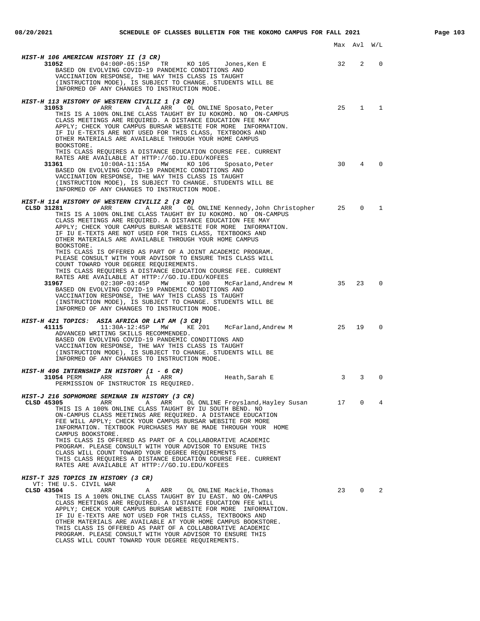|                                                                                                                                                                                                                                                                                                                                                                                                                                                                                                                                                                                                                                                                                                    |    | Max Avl W/L    |             |
|----------------------------------------------------------------------------------------------------------------------------------------------------------------------------------------------------------------------------------------------------------------------------------------------------------------------------------------------------------------------------------------------------------------------------------------------------------------------------------------------------------------------------------------------------------------------------------------------------------------------------------------------------------------------------------------------------|----|----------------|-------------|
| HIST-H 106 AMERICAN HISTORY II (3 CR)<br>04:00P-05:15P TR KO 105<br>31052<br>Jones,Ken E<br>BASED ON EVOLVING COVID-19 PANDEMIC CONDITIONS AND<br>VACCINATION RESPONSE, THE WAY THIS CLASS IS TAUGHT<br>(INSTRUCTION MODE), IS SUBJECT TO CHANGE. STUDENTS WILL BE<br>INFORMED OF ANY CHANGES TO INSTRUCTION MODE.                                                                                                                                                                                                                                                                                                                                                                                 | 32 | $\overline{2}$ | $\mathbf 0$ |
| <i>HIST-H 113 HISTORY OF WESTERN CIVILIZ 1 (3 CR)</i><br>ARR<br>A ARR OL ONLINE Sposato, Peter<br>31053<br>THIS IS A 100% ONLINE CLASS TAUGHT BY IU KOKOMO. NO ON-CAMPUS<br>CLASS MEETINGS ARE REOUIRED. A DISTANCE EDUCATION FEE MAY<br>APPLY; CHECK YOUR CAMPUS BURSAR WEBSITE FOR MORE INFORMATION.<br>IF IU E-TEXTS ARE NOT USED FOR THIS CLASS, TEXTBOOKS AND<br>OTHER MATERIALS ARE AVAILABLE THROUGH YOUR HOME CAMPUS<br>BOOKSTORE.                                                                                                                                                                                                                                                         |    | 25 1 1         |             |
| THIS CLASS REOUIRES A DISTANCE EDUCATION COURSE FEE. CURRENT<br>RATES ARE AVAILABLE AT HTTP://GO.IU.EDU/KOFEES<br>10:00A-11:15A MW KO 106<br>31361<br>Sposato, Peter<br>BASED ON EVOLVING COVID-19 PANDEMIC CONDITIONS AND<br>VACCINATION RESPONSE, THE WAY THIS CLASS IS TAUGHT<br>(INSTRUCTION MODE), IS SUBJECT TO CHANGE. STUDENTS WILL BE<br>INFORMED OF ANY CHANGES TO INSTRUCTION MODE.                                                                                                                                                                                                                                                                                                     | 30 | $\overline{4}$ | $\Omega$    |
| <i>HIST-H 114 HISTORY OF WESTERN CIVILIZ 2 (3 CR)</i><br>ARR<br>A ARR OL ONLINE Kennedy,John Christopher 25<br>CLSD 31281<br>THIS IS A 100% ONLINE CLASS TAUGHT BY IU KOKOMO. NO ON-CAMPUS<br>CLASS MEETINGS ARE REQUIRED. A DISTANCE EDUCATION FEE MAY<br>APPLY; CHECK YOUR CAMPUS BURSAR WEBSITE FOR MORE INFORMATION.<br>IF IU E-TEXTS ARE NOT USED FOR THIS CLASS, TEXTBOOKS AND<br>OTHER MATERIALS ARE AVAILABLE THROUGH YOUR HOME CAMPUS<br>BOOKSTORE.<br>THIS CLASS IS OFFERED AS PART OF A JOINT ACADEMIC PROGRAM.<br>PLEASE CONSULT WITH YOUR ADVISOR TO ENSURE THIS CLASS WILL<br>COUNT TOWARD YOUR DEGREE REQUIREMENTS.<br>THIS CLASS REQUIRES A DISTANCE EDUCATION COURSE FEE. CURRENT |    |                | $0\qquad1$  |
| RATES ARE AVAILABLE AT HTTP://GO.IU.EDU/KOFEES<br>02:30P-03:45P MW<br>31967<br>KO 100<br>McFarland, Andrew M<br>BASED ON EVOLVING COVID-19 PANDEMIC CONDITIONS AND<br>VACCINATION RESPONSE, THE WAY THIS CLASS IS TAUGHT<br>(INSTRUCTION MODE), IS SUBJECT TO CHANGE. STUDENTS WILL BE<br>INFORMED OF ANY CHANGES TO INSTRUCTION MODE.                                                                                                                                                                                                                                                                                                                                                             | 35 | 23             | $\Omega$    |
| HIST-H 421 TOPICS: ASIA AFRICA OR LAT AM (3 CR)<br>41115<br>11:30A-12:45P MW<br>25<br>KE 201 McFarland, Andrew M<br>ADVANCED WRITING SKILLS RECOMMENDED.<br>BASED ON EVOLVING COVID-19 PANDEMIC CONDITIONS AND<br>VACCINATION RESPONSE, THE WAY THIS CLASS IS TAUGHT<br>(INSTRUCTION MODE), IS SUBJECT TO CHANGE. STUDENTS WILL BE<br>INFORMED OF ANY CHANGES TO INSTRUCTION MODE.                                                                                                                                                                                                                                                                                                                 |    | 19             | $\Omega$    |
| <i>HIST-H 496 INTERNSHIP IN HISTORY (1 - 6 CR)</i><br>31054 PERM<br>ARR<br>Heath,Sarah E<br>A<br>ARR<br>PERMISSION OF INSTRUCTOR IS REQUIRED.                                                                                                                                                                                                                                                                                                                                                                                                                                                                                                                                                      | 3  | 3              | $\Omega$    |
| HIST-J 216 SOPHOMORE SEMINAR IN HISTORY (3 CR)<br>CLSD 45305<br>ARR<br>A<br>ARR<br>OL ONLINE Froysland, Hayley Susan<br>THIS IS A 100% ONLINE CLASS TAUGHT BY IU SOUTH BEND. NO<br>ON-CAMPUS CLASS MEETINGS ARE REQUIRED. A DISTANCE EDUCATION<br>FEE WILL APPLY; CHECK YOUR CAMPUS BURSAR WEBSITE FOR MORE<br>INFORMATION. TEXTBOOK PURCHASES MAY BE MADE THROUGH YOUR HOME<br>CAMPUS BOOKSTORE.<br>THIS CLASS IS OFFERED AS PART OF A COLLABORATIVE ACADEMIC<br>PROGRAM. PLEASE CONSULT WITH YOUR ADVISOR TO ENSURE THIS<br>CLASS WILL COUNT TOWARD YOUR DEGREE REQUIREMENTS<br>THIS CLASS REQUIRES A DISTANCE EDUCATION COURSE FEE. CURRENT<br>RATES ARE AVAILABLE AT HTTP://GO.IU.EDU/KOFEES   | 17 | $\mathbf 0$    | 4           |
| <i>HIST-T 325 TOPICS IN HISTORY (3 CR)</i><br>VT: THE U.S. CIVIL WAR<br>CLSD 43504                                                                                                                                                                                                                                                                                                                                                                                                                                                                                                                                                                                                                 | 23 | $\overline{0}$ | 2           |
| ARR<br>OL ONLINE Mackie, Thomas<br>ARR<br>Α<br>THIS IS A 100% ONLINE CLASS TAUGHT BY IU EAST. NO ON-CAMPUS<br>CLASS MEETINGS ARE REQUIRED. A DISTANCE EDUCATION FEE WILL<br>APPLY; CHECK YOUR CAMPUS BURSAR WEBSITE FOR MORE INFORMATION.<br>IF IU E-TEXTS ARE NOT USED FOR THIS CLASS, TEXTBOOKS AND<br>OTHER MATERIALS ARE AVAILABLE AT YOUR HOME CAMPUS BOOKSTORE.<br>THIS CLASS IS OFFERED AS PART OF A COLLABORATIVE ACADEMIC<br>PROGRAM. PLEASE CONSULT WITH YOUR ADVISOR TO ENSURE THIS                                                                                                                                                                                                     |    |                |             |

CLASS WILL COUNT TOWARD YOUR DEGREE REQUIREMENTS.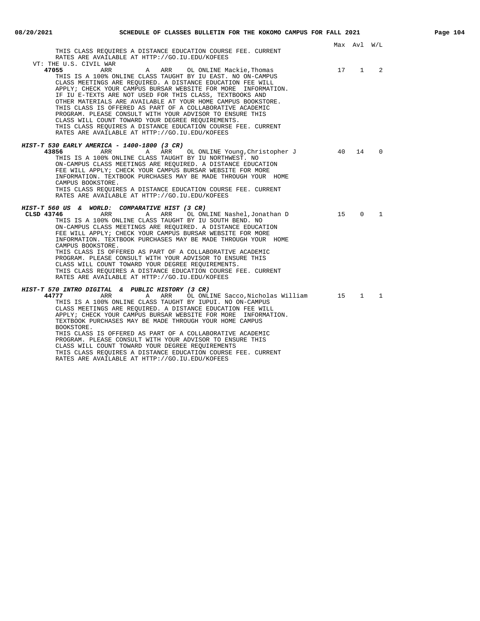| THIS CLASS REOUIRES A DISTANCE EDUCATION COURSE FEE. CURRENT<br>RATES ARE AVAILABLE AT HTTP://GO.IU.EDU/KOFEES                                                                                                                                                                                                                                                                                                                                                                                                                                                                                                                                                                                                                                    |      | Max Avl W/L |              |
|---------------------------------------------------------------------------------------------------------------------------------------------------------------------------------------------------------------------------------------------------------------------------------------------------------------------------------------------------------------------------------------------------------------------------------------------------------------------------------------------------------------------------------------------------------------------------------------------------------------------------------------------------------------------------------------------------------------------------------------------------|------|-------------|--------------|
| VT: THE U.S. CIVIL WAR<br>A ARR OL ONLINE Mackie, Thomas<br>47055<br>ARR<br>THIS IS A 100% ONLINE CLASS TAUGHT BY IU EAST. NO ON-CAMPUS<br>CLASS MEETINGS ARE REOUIRED. A DISTANCE EDUCATION FEE WILL<br>APPLY; CHECK YOUR CAMPUS BURSAR WEBSITE FOR MORE INFORMATION.<br>IF IU E-TEXTS ARE NOT USED FOR THIS CLASS, TEXTBOOKS AND<br>OTHER MATERIALS ARE AVAILABLE AT YOUR HOME CAMPUS BOOKSTORE.<br>THIS CLASS IS OFFERED AS PART OF A COLLABORATIVE ACADEMIC<br>PROGRAM. PLEASE CONSULT WITH YOUR ADVISOR TO ENSURE THIS<br>CLASS WILL COUNT TOWARD YOUR DEGREE REQUIREMENTS.<br>THIS CLASS REQUIRES A DISTANCE EDUCATION COURSE FEE. CURRENT<br>RATES ARE AVAILABLE AT HTTP://GO.IU.EDU/KOFEES                                                | 17 1 |             | 2            |
| <i>HIST-T 530 EARLY AMERICA - 1400-1800 (3 CR)</i><br>43856<br>ARR<br>A ARR<br>OL ONLINE Young, Christopher J<br>THIS IS A 100% ONLINE CLASS TAUGHT BY IU NORTHWEST. NO<br>ON-CAMPUS CLASS MEETINGS ARE REOUIRED. A DISTANCE EDUCATION<br>FEE WILL APPLY; CHECK YOUR CAMPUS BURSAR WEBSITE FOR MORE<br>INFORMATION. TEXTBOOK PURCHASES MAY BE MADE THROUGH YOUR HOME<br>CAMPUS BOOKSTORE.<br>THIS CLASS REQUIRES A DISTANCE EDUCATION COURSE FEE. CURRENT                                                                                                                                                                                                                                                                                         | 40   | 14          | $\Omega$     |
| RATES ARE AVAILABLE AT HTTP://GO.IU.EDU/KOFEES<br>HIST-T 560 US & WORLD: COMPARATIVE HIST (3 CR)<br>ARR<br>OL ONLINE Nashel,Jonathan D<br>CLSD 43746<br>A<br>ARR<br>THIS IS A 100% ONLINE CLASS TAUGHT BY IU SOUTH BEND. NO<br>ON-CAMPUS CLASS MEETINGS ARE REQUIRED. A DISTANCE EDUCATION<br>FEE WILL APPLY; CHECK YOUR CAMPUS BURSAR WEBSITE FOR MORE<br>INFORMATION. TEXTBOOK PURCHASES MAY BE MADE THROUGH YOUR HOME<br>CAMPUS BOOKSTORE.<br>THIS CLASS IS OFFERED AS PART OF A COLLABORATIVE ACADEMIC<br>PROGRAM. PLEASE CONSULT WITH YOUR ADVISOR TO ENSURE THIS<br>CLASS WILL COUNT TOWARD YOUR DEGREE REOUIREMENTS.                                                                                                                       | 15   | $\Omega$    | $\mathbf{1}$ |
| THIS CLASS REOUIRES A DISTANCE EDUCATION COURSE FEE. CURRENT<br>RATES ARE AVAILABLE AT HTTP://GO.IU.EDU/KOFEES<br>HIST-T 570 INTRO DIGITAL & PUBLIC HISTORY (3 CR)<br>44777<br>ARR<br>A ARR<br>OL ONLINE Sacco,Nicholas William<br>THIS IS A 100% ONLINE CLASS TAUGHT BY IUPUI. NO ON-CAMPUS<br>CLASS MEETINGS ARE REQUIRED. A DISTANCE EDUCATION FEE WILL<br>APPLY; CHECK YOUR CAMPUS BURSAR WEBSITE FOR MORE INFORMATION.<br>TEXTBOOK PURCHASES MAY BE MADE THROUGH YOUR HOME CAMPUS<br>BOOKSTORE.<br>THIS CLASS IS OFFERED AS PART OF A COLLABORATIVE ACADEMIC<br>PROGRAM. PLEASE CONSULT WITH YOUR ADVISOR TO ENSURE THIS<br>CLASS WILL COUNT TOWARD YOUR DEGREE REOUIREMENTS<br>THIS CLASS REQUIRES A DISTANCE EDUCATION COURSE FEE. CURRENT | 15   |             | $1 \quad 1$  |

RATES ARE AVAILABLE AT HTTP://GO.IU.EDU/KOFEES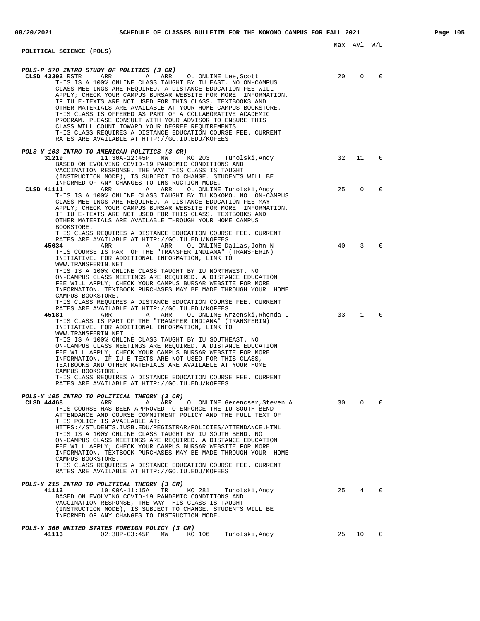## **POLITICAL SCIENCE (POLS)**

| <i>POLS-P 570 INTRO STUDY OF POLITICS (3 CR)</i><br>CLSD 43302 RSTR<br>ARR<br>$\mathbb A$<br>ARR<br>OL ONLINE Lee, Scott<br>THIS IS A 100% ONLINE CLASS TAUGHT BY IU EAST. NO ON-CAMPUS<br>CLASS MEETINGS ARE REQUIRED. A DISTANCE EDUCATION FEE WILL<br>APPLY; CHECK YOUR CAMPUS BURSAR WEBSITE FOR MORE INFORMATION.<br>IF IU E-TEXTS ARE NOT USED FOR THIS CLASS, TEXTBOOKS AND<br>OTHER MATERIALS ARE AVAILABLE AT YOUR HOME CAMPUS BOOKSTORE.<br>THIS CLASS IS OFFERED AS PART OF A COLLABORATIVE ACADEMIC<br>PROGRAM. PLEASE CONSULT WITH YOUR ADVISOR TO ENSURE THIS<br>CLASS WILL COUNT TOWARD YOUR DEGREE REQUIREMENTS.<br>THIS CLASS REQUIRES A DISTANCE EDUCATION COURSE FEE. CURRENT<br>RATES ARE AVAILABLE AT HTTP://GO.IU.EDU/KOFEES | 20 | $\Omega$     |   |
|----------------------------------------------------------------------------------------------------------------------------------------------------------------------------------------------------------------------------------------------------------------------------------------------------------------------------------------------------------------------------------------------------------------------------------------------------------------------------------------------------------------------------------------------------------------------------------------------------------------------------------------------------------------------------------------------------------------------------------------------------|----|--------------|---|
| POLS-Y 103 INTRO TO AMERICAN POLITICS (3 CR)                                                                                                                                                                                                                                                                                                                                                                                                                                                                                                                                                                                                                                                                                                       |    |              |   |
| 31219<br>$11:30A-12:45P$<br>MW<br>KO 203<br>Tuholski,Andy<br>BASED ON EVOLVING COVID-19 PANDEMIC CONDITIONS AND<br>VACCINATION RESPONSE, THE WAY THIS CLASS IS TAUGHT<br>(INSTRUCTION MODE), IS SUBJECT TO CHANGE. STUDENTS WILL BE<br>INFORMED OF ANY CHANGES TO INSTRUCTION MODE.                                                                                                                                                                                                                                                                                                                                                                                                                                                                | 32 | 11           | 0 |
| ARR<br>ARR<br>CLSD 41111<br>Α<br>OL ONLINE Tuholski, Andy<br>THIS IS A 100% ONLINE CLASS TAUGHT BY IU KOKOMO. NO ON-CAMPUS<br>CLASS MEETINGS ARE REQUIRED. A DISTANCE EDUCATION FEE MAY<br>APPLY; CHECK YOUR CAMPUS BURSAR WEBSITE FOR MORE INFORMATION.<br>IF IU E-TEXTS ARE NOT USED FOR THIS CLASS, TEXTBOOKS AND<br>OTHER MATERIALS ARE AVAILABLE THROUGH YOUR HOME CAMPUS<br>BOOKSTORE.<br>THIS CLASS REOUIRES A DISTANCE EDUCATION COURSE FEE. CURRENT                                                                                                                                                                                                                                                                                       | 25 | $\Omega$     |   |
| RATES ARE AVAILABLE AT HTTP://GO.IU.EDU/KOFEES<br>45034<br>ARR<br>ARR<br>A<br>OL ONLINE Dallas,John N<br>THIS COURSE IS PART OF THE "TRANSFER INDIANA" (TRANSFERIN)<br>INITIATIVE. FOR ADDITIONAL INFORMATION, LINK TO<br>WWW.TRANSFERIN.NET.<br>THIS IS A 100% ONLINE CLASS TAUGHT BY IU NORTHWEST. NO<br>ON-CAMPUS CLASS MEETINGS ARE REQUIRED. A DISTANCE EDUCATION<br>FEE WILL APPLY; CHECK YOUR CAMPUS BURSAR WEBSITE FOR MORE<br>INFORMATION. TEXTBOOK PURCHASES MAY BE MADE THROUGH YOUR HOME<br>CAMPUS BOOKSTORE.<br>THIS CLASS REQUIRES A DISTANCE EDUCATION COURSE FEE. CURRENT                                                                                                                                                          | 40 | 3            |   |
| RATES ARE AVAILABLE AT HTTP://GO.IU.EDU/KOFEES<br>45181<br>ARR<br>A<br>ARR<br>OL ONLINE Wrzenski, Rhonda L<br>THIS CLASS IS PART OF THE "TRANSFER INDIANA" (TRANSFERIN)<br>INITIATIVE. FOR ADDITIONAL INFORMATION, LINK TO<br>WWW.TRANSFERIN.NET. .<br>THIS IS A 100% ONLINE CLASS TAUGHT BY IU SOUTHEAST. NO<br>ON-CAMPUS CLASS MEETINGS ARE REQUIRED. A DISTANCE EDUCATION<br>FEE WILL APPLY; CHECK YOUR CAMPUS BURSAR WEBSITE FOR MORE<br>INFORMATION. IF IU E-TEXTS ARE NOT USED FOR THIS CLASS,<br>TEXTBOOKS AND OTHER MATERIALS ARE AVAILABLE AT YOUR HOME<br>CAMPUS BOOKSTORE.<br>THIS CLASS REQUIRES A DISTANCE EDUCATION COURSE FEE. CURRENT<br>RATES ARE AVAILABLE AT HTTP://GO.IU.EDU/KOFEES                                            | 33 | $\mathbf{1}$ |   |
| <i>POLS-Y 105 INTRO TO POLITICAL THEORY (3 CR)</i><br>CLSD 44468<br>ARR<br>ARR<br>OL ONLINE Gerencser, Steven A<br>Α<br>THIS COURSE HAS BEEN APPROVED TO ENFORCE THE IU SOUTH BEND<br>ATTENDANCE AND COURSE COMMITMENT POLICY AND THE FULL TEXT OF<br>THIS POLICY IS AVAILABLE AT:<br>HTTPS://STUDENTS.IUSB.EDU/REGISTRAR/POLICIES/ATTENDANCE.HTML<br>THIS IS A 100% ONLINE CLASS TAUGHT BY IU SOUTH BEND. NO<br>ON-CAMPUS CLASS MEETINGS ARE REOUIRED. A DISTANCE EDUCATION<br>FEE WILL APPLY; CHECK YOUR CAMPUS BURSAR WEBSITE FOR MORE                                                                                                                                                                                                          | 30 | $\Omega$     |   |

INFORMATION. TEXTBOOK PURCHASES MAY BE MADE THROUGH YOUR HOME

THIS CLASS REQUIRES A DISTANCE EDUCATION COURSE FEE. CURRENT

(INSTRUCTION MODE), IS SUBJECT TO CHANGE. STUDENTS WILL BE

**41112** 10:00A-11:15A TR KO 281 Tuholski,Andy 25 4 0

**41113** 02:30P-03:45P MW KO 106 Tuholski,Andy 25 10 0

RATES ARE AVAILABLE AT HTTP://GO.IU.EDU/KOFEES

INFORMED OF ANY CHANGES TO INSTRUCTION MODE.

BASED ON EVOLVING COVID-19 PANDEMIC CONDITIONS AND VACCINATION RESPONSE, THE WAY THIS CLASS IS TAUGHT

CAMPUS BOOKSTORE.

**POLS-Y 215 INTRO TO POLITICAL THEORY (3 CR)**

**POLS-Y 360 UNITED STATES FOREIGN POLICY (3 CR)**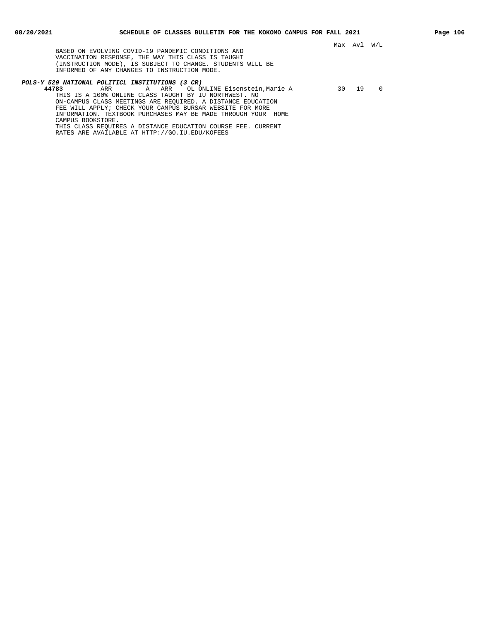BASED ON EVOLVING COVID-19 PANDEMIC CONDITIONS AND VACCINATION RESPONSE, THE WAY THIS CLASS IS TAUGHT (INSTRUCTION MODE), IS SUBJECT TO CHANGE. STUDENTS WILL BE INFORMED OF ANY CHANGES TO INSTRUCTION MODE.

RATES ARE AVAILABLE AT HTTP://GO.IU.EDU/KOFEES

## **POLS-Y 529 NATIONAL POLITICL INSTITUTIONS (3 CR)**

**44783** ARR A ARR OL ONLINE Eisenstein,Marie A 30 19 0 THIS IS A 100% ONLINE CLASS TAUGHT BY IU NORTHWEST. NO ON-CAMPUS CLASS MEETINGS ARE REQUIRED. A DISTANCE EDUCATION FEE WILL APPLY; CHECK YOUR CAMPUS BURSAR WEBSITE FOR MORE INFORMATION. TEXTBOOK PURCHASES MAY BE MADE THROUGH YOUR HOME CAMPUS BOOKSTORE. THIS CLASS REQUIRES A DISTANCE EDUCATION COURSE FEE. CURRENT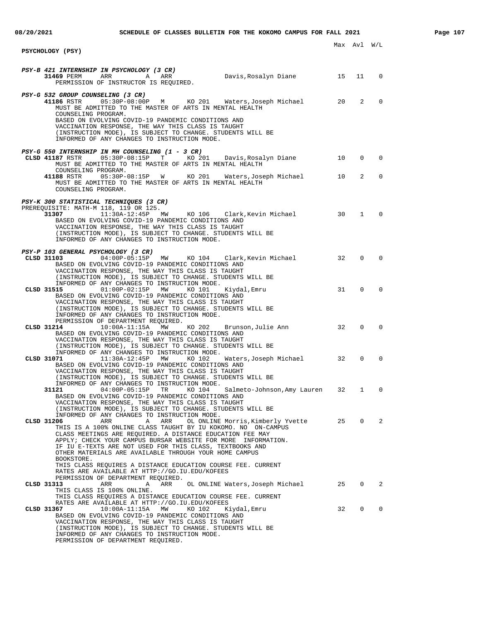Max Avl W/L **PSYCHOLOGY (PSY) PSY-B 421 INTERNSHIP IN PSYCHOLOGY (3 CR) 31469** PERM ARR A ARR Davis,Rosalyn Diane 15 11 0 PERMISSION OF INSTRUCTOR IS REQUIRED. **PSY-G 532 GROUP COUNSELING (3 CR) 41186** RSTR 05:30P-08:00P M KO 201 Waters,Joseph Michael 20 2 0 MUST BE ADMITTED TO THE MASTER OF ARTS IN MENTAL HEALTH COUNSELING PROGRAM. BASED ON EVOLVING COVID-19 PANDEMIC CONDITIONS AND VACCINATION RESPONSE, THE WAY THIS CLASS IS TAUGHT (INSTRUCTION MODE), IS SUBJECT TO CHANGE. STUDENTS WILL BE INFORMED OF ANY CHANGES TO INSTRUCTION MODE. **PSY-G 550 INTERNSHIP IN MH COUNSELING (1 - 3 CR)**<br>CLSD 41187 RSTR 05:30P-08:15P T KO 2 **CLSD 41187** RSTR 05:30P-08:15P T KO 201 Davis,Rosalyn Diane 10 0 0 MUST BE ADMITTED TO THE MASTER OF ARTS IN MENTAL HEALTH COUNSELING PROGRAM. **41188** RSTR 05:30P-08:15P W KO 201 Waters,Joseph Michael 10 2 0 MUST BE ADMITTED TO THE MASTER OF ARTS IN MENTAL HEALTH COUNSELING PROGRAM **PSY-K 300 STATISTICAL TECHNIQUES (3 CR)** PREREQUISITE: MATH-M 118, 119 OR 125.<br>31307 11:30A-12:45P MW **31307** 11:30A-12:45P MW KO 106 Clark,Kevin Michael 30 1 0 BASED ON EVOLVING COVID-19 PANDEMIC CONDITIONS AND VACCINATION RESPONSE, THE WAY THIS CLASS IS TAUGHT (INSTRUCTION MODE), IS SUBJECT TO CHANGE. STUDENTS WILL BE INFORMED OF ANY CHANGES TO INSTRUCTION MODE. **PSY-P 103 GENERAL PSYCHOLOGY (3 CR)**<br>CLSD 31103 04:00P-05:15P MW **CLSD 31103** 04:00P-05:15P MW KO 104 Clark,Kevin Michael 32 0 0 BASED ON EVOLVING COVID-19 PANDEMIC CONDITIONS AND VACCINATION RESPONSE, THE WAY THIS CLASS IS TAUGHT (INSTRUCTION MODE), IS SUBJECT TO CHANGE. STUDENTS WILL BE INFORMED OF ANY CHANGES TO INSTRUCTION MODE.<br>CLSD 31515 01:00P-02:15P MW KO 101 01:00P-02:15P MW KO 101 Kiydal,Emru 31 0 0 BASED ON EVOLVING COVID-19 PANDEMIC CONDITIONS AND VACCINATION RESPONSE, THE WAY THIS CLASS IS TAUGHT (INSTRUCTION MODE), IS SUBJECT TO CHANGE. STUDENTS WILL BE INFORMED OF ANY CHANGES TO INSTRUCTION MODE. PERMISSION OF DEPARTMENT REQUIRED.<br>CLSD 31214 10:00A-11:15A MW KO 202 **COLATA CLASS Brunson,Julie Ann** 32 0 0 BASED ON EVOLVING COVID-19 PANDEMIC CONDITIONS AND VACCINATION RESPONSE, THE WAY THIS CLASS IS TAUGHT (INSTRUCTION MODE), IS SUBJECT TO CHANGE. STUDENTS WILL BE INFORMED OF ANY CHANGES TO INSTRUCTION MODE. **CLSD 31071** 11:30A-12:45P MW KO 102 Waters,Joseph Michael 32 0 0 BASED ON EVOLVING COVID-19 PANDEMIC CONDITIONS AND VACCINATION RESPONSE, THE WAY THIS CLASS IS TAUGHT (INSTRUCTION MODE), IS SUBJECT TO CHANGE. STUDENTS WILL BE INFORMED OF ANY CHANGES TO INSTRUCTION MODE. **31121** 04:00P-05:15P TR KO 104 Salmeto-Johnson,Amy Lauren 32 1 0 BASED ON EVOLVING COVID-19 PANDEMIC CONDITIONS AND VACCINATION RESPONSE, THE WAY THIS CLASS IS TAUGHT (INSTRUCTION MODE), IS SUBJECT TO CHANGE. STUDENTS WILL BE INFORMED OF ANY CHANGES TO INSTRUCTION MODE. **CLSD 31206** ARR A ARR OL ONLINE Morris,Kimberly Yvette 25 0 2 THIS IS A 100% ONLINE CLASS TAUGHT BY IU KOKOMO. NO ON-CAMPUS CLASS MEETINGS ARE REQUIRED. A DISTANCE EDUCATION FEE MAY APPLY; CHECK YOUR CAMPUS BURSAR WEBSITE FOR MORE INFORMATION. IF IU E-TEXTS ARE NOT USED FOR THIS CLASS, TEXTBOOKS AND OTHER MATERIALS ARE AVAILABLE THROUGH YOUR HOME CAMPUS BOOKSTORE. THIS CLASS REQUIRES A DISTANCE EDUCATION COURSE FEE. CURRENT RATES ARE AVAILABLE AT HTTP://GO.IU.EDU/KOFEES PERMISSION OF DEPARTMENT REQUIRED.<br>CLSD 31313 **CLSD 31313** ARR A ARR OL ONLINE Waters,Joseph Michael 25 0 2 THIS CLASS IS 100% ONLINE. THIS CLASS REQUIRES A DISTANCE EDUCATION COURSE FEE. CURRENT RATES ARE AVAILABLE AT HTTP://GO.IU.EDU/KOFEES **CLSD 31367** 10:00A-11:15A MW KO 102 Kiydal,Emru 32 0 0 BASED ON EVOLVING COVID-19 PANDEMIC CONDITIONS AND VACCINATION RESPONSE, THE WAY THIS CLASS IS TAUGHT

(INSTRUCTION MODE), IS SUBJECT TO CHANGE. STUDENTS WILL BE

INFORMED OF ANY CHANGES TO INSTRUCTION MODE.

PERMISSION OF DEPARTMENT REQUIRED.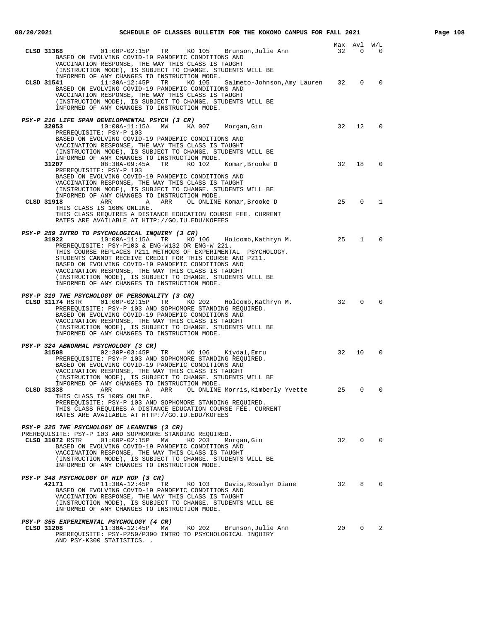| $01:00P-02:15P$ TR KO 105 Brunson, Julie Ann<br>CLSD 31368<br>BASED ON EVOLVING COVID-19 PANDEMIC CONDITIONS AND<br>VACCINATION RESPONSE, THE WAY THIS CLASS IS TAUGHT<br>(INSTRUCTION MODE), IS SUBJECT TO CHANGE. STUDENTS WILL BE                                                                                                                                                                                                                                                                                | 32 | Max Avl W/L<br>$\mathbf{0}$ | 0                      |
|---------------------------------------------------------------------------------------------------------------------------------------------------------------------------------------------------------------------------------------------------------------------------------------------------------------------------------------------------------------------------------------------------------------------------------------------------------------------------------------------------------------------|----|-----------------------------|------------------------|
| INFORMED OF ANY CHANGES TO INSTRUCTION MODE.<br>11:30A-12:45P TR KO 105<br>Salmeto-Johnson, Amy Lauren 32<br>CLSD 31541<br>BASED ON EVOLVING COVID-19 PANDEMIC CONDITIONS AND<br>VACCINATION RESPONSE, THE WAY THIS CLASS IS TAUGHT<br>(INSTRUCTION MODE), IS SUBJECT TO CHANGE. STUDENTS WILL BE<br>INFORMED OF ANY CHANGES TO INSTRUCTION MODE.                                                                                                                                                                   |    | $\mathbf{0}$                | $\mathbf 0$            |
| PSY-P 216 LIFE SPAN DEVELOPMENTAL PSYCH (3 CR)<br>32053<br>$10:00A-11:15A$ MW KA 007 Morgan, Gin<br>PREREQUISITE: PSY-P 103<br>BASED ON EVOLVING COVID-19 PANDEMIC CONDITIONS AND<br>VACCINATION RESPONSE, THE WAY THIS CLASS IS TAUGHT<br>(INSTRUCTION MODE), IS SUBJECT TO CHANGE. STUDENTS WILL BE                                                                                                                                                                                                               | 32 | 12 <sup>°</sup>             | $\Omega$               |
| INFORMED OF ANY CHANGES TO INSTRUCTION MODE.<br>31207<br>08:30A-09:45A TR KO 102<br>Komar,Brooke D<br>PREREQUISITE: PSY-P 103<br>BASED ON EVOLVING COVID-19 PANDEMIC CONDITIONS AND<br>VACCINATION RESPONSE, THE WAY THIS CLASS IS TAUGHT<br>(INSTRUCTION MODE), IS SUBJECT TO CHANGE. STUDENTS WILL BE<br>INFORMED OF ANY CHANGES TO INSTRUCTION MODE.                                                                                                                                                             | 32 | 18                          | $\Omega$               |
| OL ONLINE Komar, Brooke D<br>CLSD 31918<br>ARR<br>A<br>ARR<br>THIS CLASS IS 100% ONLINE.<br>THIS CLASS REQUIRES A DISTANCE EDUCATION COURSE FEE. CURRENT<br>RATES ARE AVAILABLE AT HTTP://GO.IU.EDU/KOFEES                                                                                                                                                                                                                                                                                                          | 25 | $\mathbf{0}$                | 1                      |
| PSY-P 259 INTRO TO PSYCHOLOGICAL INQUIRY (3 CR)<br>31922<br>$10:00A-11:15A$ TR KO 106 Holcomb, Kathryn M.<br>PREREQUISITE: PSY-P103 & ENG-W132 OR ENG-W 221.<br>THIS COURSE REPLACES P211 METHODS OF EXPERIMENTAL PSYCHOLOGY.<br>STUDENTS CANNOT RECEIVE CREDIT FOR THIS COURSE AND P211.<br>BASED ON EVOLVING COVID-19 PANDEMIC CONDITIONS AND<br>VACCINATION RESPONSE, THE WAY THIS CLASS IS TAUGHT<br>(INSTRUCTION MODE), IS SUBJECT TO CHANGE. STUDENTS WILL BE<br>INFORMED OF ANY CHANGES TO INSTRUCTION MODE. | 25 | $\mathbf{1}$                | $\Omega$               |
| PSY-P 319 THE PSYCHOLOGY OF PERSONALITY (3 CR)<br>KO 202 Holcomb, Kathryn M.<br>CLSD 31174 RSTR<br>$01:00P-02:15P$<br>TR<br>PREREQUISITE: PSY-P 103 AND SOPHOMORE STANDING REQUIRED.<br>BASED ON EVOLVING COVID-19 PANDEMIC CONDITIONS AND<br>VACCINATION RESPONSE, THE WAY THIS CLASS IS TAUGHT<br>(INSTRUCTION MODE), IS SUBJECT TO CHANGE. STUDENTS WILL BE<br>INFORMED OF ANY CHANGES TO INSTRUCTION MODE.                                                                                                      | 32 | $\mathbf 0$                 | $\Omega$               |
| PSY-P 324 ABNORMAL PSYCHOLOGY (3 CR)<br>31508 02:30P-03:45P TR KO 106 Kiydal, Emru<br>PREREQUISITE: PSY-P 103 AND SOPHOMORE STANDING REQUIRED.<br>BASED ON EVOLVING COVID-19 PANDEMIC CONDITIONS AND<br>VACCINATION RESPONSE, THE WAY THIS CLASS IS TAUGHT<br>(INSTRUCTION MODE), IS SUBJECT TO CHANGE. STUDENTS WILL BE                                                                                                                                                                                            | 32 | 10                          | $\Omega$               |
| INFORMED OF ANY CHANGES TO INSTRUCTION MODE.<br>CLSD 31338<br><b>Example 2</b> ARR<br>A ARR<br>OL ONLINE Morris, Kimberly Yvette<br>THIS CLASS IS 100% ONLINE.<br>PREREQUISITE: PSY-P 103 AND SOPHOMORE STANDING REQUIRED.<br>THIS CLASS REQUIRES A DISTANCE EDUCATION COURSE FEE. CURRENT<br>RATES ARE AVAILABLE AT HTTP://GO.IU.EDU/KOFEES                                                                                                                                                                        | 25 | 0                           | 0                      |
| PSY-P 325 THE PSYCHOLOGY OF LEARNING (3 CR)<br>PREREQUISITE: PSY-P 103 AND SOPHOMORE STANDING REQUIRED.<br>CLSD 31072 RSTR<br>$01:00P-02:15P$ MW<br>KO 203<br>Morgan, Gin<br>BASED ON EVOLVING COVID-19 PANDEMIC CONDITIONS AND<br>VACCINATION RESPONSE, THE WAY THIS CLASS IS TAUGHT<br>(INSTRUCTION MODE), IS SUBJECT TO CHANGE. STUDENTS WILL BE<br>INFORMED OF ANY CHANGES TO INSTRUCTION MODE.                                                                                                                 | 32 | $\overline{0}$              | $\overline{0}$         |
| PSY-P 348 PSYCHOLOGY OF HIP HOP (3 CR)<br>11:30A-12:45P<br>32<br>42171<br>TR<br>KO 103<br>Davis,Rosalyn Diane<br>BASED ON EVOLVING COVID-19 PANDEMIC CONDITIONS AND<br>VACCINATION RESPONSE, THE WAY THIS CLASS IS TAUGHT<br>(INSTRUCTION MODE), IS SUBJECT TO CHANGE. STUDENTS WILL BE<br>INFORMED OF ANY CHANGES TO INSTRUCTION MODE.                                                                                                                                                                             |    | 8                           | $\mathbf{0}$           |
| PSY-P 355 EXPERIMENTAL PSYCHOLOGY (4 CR)<br>CLSD 31208<br>11:30A-12:45P MW<br>KO 202<br>Brunson, Julie Ann<br>PREREQUISITE: PSY-P259/P390 INTRO TO PSYCHOLOGICAL INQUIRY<br>AND PSY-K300 STATISTICS                                                                                                                                                                                                                                                                                                                 | 20 |                             | $0 \qquad \qquad$<br>2 |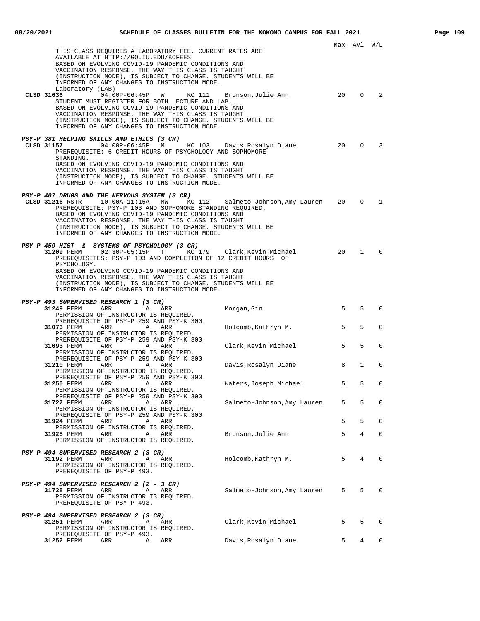|                                                                                                                                                                                                                                                                                                                                                                                                                      |                             |    | Max Avl      | W/L          |
|----------------------------------------------------------------------------------------------------------------------------------------------------------------------------------------------------------------------------------------------------------------------------------------------------------------------------------------------------------------------------------------------------------------------|-----------------------------|----|--------------|--------------|
| THIS CLASS REQUIRES A LABORATORY FEE. CURRENT RATES ARE<br>AVAILABLE AT HTTP://GO.IU.EDU/KOFEES<br>BASED ON EVOLVING COVID-19 PANDEMIC CONDITIONS AND<br>VACCINATION RESPONSE, THE WAY THIS CLASS IS TAUGHT<br>(INSTRUCTION MODE), IS SUBJECT TO CHANGE. STUDENTS WILL BE<br>INFORMED OF ANY CHANGES TO INSTRUCTION MODE.                                                                                            |                             |    |              |              |
| Laboratory (LAB)<br>CLSD 31636<br>04:00P-06:45P<br>W<br>KO 111<br>STUDENT MUST REGISTER FOR BOTH LECTURE AND LAB.<br>BASED ON EVOLVING COVID-19 PANDEMIC CONDITIONS AND<br>VACCINATION RESPONSE, THE WAY THIS CLASS IS TAUGHT<br>(INSTRUCTION MODE), IS SUBJECT TO CHANGE. STUDENTS WILL BE<br>INFORMED OF ANY CHANGES TO INSTRUCTION MODE.                                                                          | Brunson, Julie Ann          | 20 | $\Omega$     | 2            |
| PSY-P 381 HELPING SKILLS AND ETHICS (3 CR)<br>CLSD 31157<br>04:00P-06:45P M<br>KO 103<br>PREREQUISITE: 6 CREDIT-HOURS OF PSYCHOLOGY AND SOPHOMORE<br>STANDING.<br>BASED ON EVOLVING COVID-19 PANDEMIC CONDITIONS AND<br>VACCINATION RESPONSE, THE WAY THIS CLASS IS TAUGHT<br>(INSTRUCTION MODE), IS SUBJECT TO CHANGE. STUDENTS WILL BE<br>INFORMED OF ANY CHANGES TO INSTRUCTION MODE.                             | Davis,Rosalyn Diane         | 20 | $\Omega$     | 3            |
| PSY-P 407 DRUGS AND THE NERVOUS SYSTEM (3 CR)<br>KO 112<br>PREREOUISITE: PSY-P 103 AND SOPHOMORE STANDING REOUIRED.<br>BASED ON EVOLVING COVID-19 PANDEMIC CONDITIONS AND<br>VACCINATION RESPONSE, THE WAY THIS CLASS IS TAUGHT<br>(INSTRUCTION MODE), IS SUBJECT TO CHANGE. STUDENTS WILL BE<br>INFORMED OF ANY CHANGES TO INSTRUCTION MODE.                                                                        | Salmeto-Johnson, Amy Lauren | 20 | $\Omega$     | $\mathbf{1}$ |
| PSY-P 459 HIST & SYSTEMS OF PSYCHOLOGY (3 CR)<br>31209 PERM<br>02:30P-05:15P T KO 179 Clark, Kevin Michael<br>PREREQUISITES: PSY-P 103 AND COMPLETION OF 12 CREDIT HOURS OF<br>PSYCHOLOGY.<br>BASED ON EVOLVING COVID-19 PANDEMIC CONDITIONS AND<br>VACCINATION RESPONSE, THE WAY THIS CLASS IS TAUGHT<br>(INSTRUCTION MODE), IS SUBJECT TO CHANGE. STUDENTS WILL BE<br>INFORMED OF ANY CHANGES TO INSTRUCTION MODE. |                             | 20 | $\mathbf{1}$ | $\Omega$     |
| PSY-P 493 SUPERVISED RESEARCH 1 (3 CR)<br>31249 PERM<br>ARR<br>ARR<br>Α<br>PERMISSION OF INSTRUCTOR IS REQUIRED.                                                                                                                                                                                                                                                                                                     | Morgan, Gin                 | 5  | 5            | $\Omega$     |
| PREREQUISITE OF PSY-P 259 AND PSY-K 300.<br>31073 PERM<br>ARR<br>ARR<br>A<br>PERMISSION OF INSTRUCTOR IS REQUIRED.                                                                                                                                                                                                                                                                                                   | Holcomb, Kathryn M.         | 5  | 5            | $\mathbf 0$  |
| PREREQUISITE OF PSY-P 259 AND PSY-K 300.<br>31093 PERM<br>ARR<br>ARR<br>A<br>PERMISSION OF INSTRUCTOR IS REOUIRED.                                                                                                                                                                                                                                                                                                   | Clark, Kevin Michael        | 5  | 5            | $\mathbf 0$  |
| PREREQUISITE OF PSY-P 259 AND PSY-K 300.<br>31210 PERM<br>ARR<br>ARR<br>A<br>PERMISSION OF INSTRUCTOR IS REQUIRED.                                                                                                                                                                                                                                                                                                   | Davis, Rosalyn Diane        | 8  | $\mathbf{1}$ | $\mathbf 0$  |
| PREREQUISITE OF PSY-P 259 AND PSY-K 300.<br>31250 PERM<br>ARR<br>ARR<br>A<br>PERMISSION OF INSTRUCTOR IS REQUIRED.                                                                                                                                                                                                                                                                                                   | Waters, Joseph Michael      | 5  | 5            | 0            |
| PREREQUISITE OF PSY-P 259 AND PSY-K 300.<br>31727 PERM<br>ARR<br>ARR<br>Α<br>PERMISSION OF INSTRUCTOR IS REQUIRED.                                                                                                                                                                                                                                                                                                   | Salmeto-Johnson, Amy Lauren | 5  | 5            | 0            |
| PREREQUISITE OF PSY-P 259 AND PSY-K 300.<br>31924 PERM<br>ARR<br>ARR<br>Α                                                                                                                                                                                                                                                                                                                                            |                             | 5  | 5            | $\mathbf 0$  |
| PERMISSION OF INSTRUCTOR IS REQUIRED.<br>31925 PERM<br>ARR<br>Α<br>ARR<br>PERMISSION OF INSTRUCTOR IS REQUIRED.                                                                                                                                                                                                                                                                                                      | Brunson, Julie Ann          | 5  | 4            | $\mathbf 0$  |
| PSY-P 494 SUPERVISED RESEARCH 2 (3 CR)<br>31192 PERM<br>ARR<br>ARR<br>Α<br>PERMISSION OF INSTRUCTOR IS REQUIRED.<br>PREREQUISITE OF PSY-P 493.                                                                                                                                                                                                                                                                       | Holcomb, Kathryn M.         | 5  | 4            | 0            |
| PSY-P 494 SUPERVISED RESEARCH 2 (2 - 3 CR)<br>31728 PERM<br>ARR<br>Α<br>ARR<br>PERMISSION OF INSTRUCTOR IS REQUIRED.<br>PREREQUISITE OF PSY-P 493.                                                                                                                                                                                                                                                                   | Salmeto-Johnson, Amy Lauren | 5  | 5            | 0            |
| PSY-P 494 SUPERVISED RESEARCH 2 (3 CR)<br>31251 PERM<br>ARR<br>ARR<br>Α<br>PERMISSION OF INSTRUCTOR IS REQUIRED.                                                                                                                                                                                                                                                                                                     | Clark, Kevin Michael        | 5  | 5            | 0            |
| PREREQUISITE OF PSY-P 493.<br>31252 PERM<br>ARR<br>ARR<br>Α                                                                                                                                                                                                                                                                                                                                                          | Davis, Rosalyn Diane        | 5  | 4            | 0            |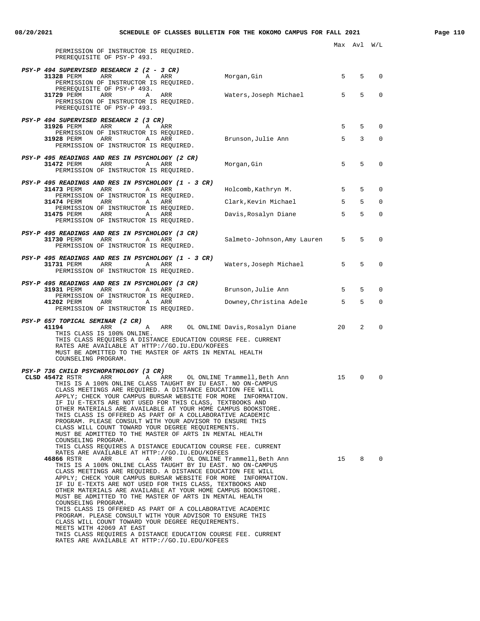| PERMISSION OF INSTRUCTOR IS REQUIRED.<br>PREREQUISITE OF PSY-P 493.                                                                                                                                                                                                                                                                                                                                                                                                                                                                                                                                                                                                                                                                                                                                                                                                                                                                                                                                                                                                                                                                                                                               |                                                                              |          |                  |                      |
|---------------------------------------------------------------------------------------------------------------------------------------------------------------------------------------------------------------------------------------------------------------------------------------------------------------------------------------------------------------------------------------------------------------------------------------------------------------------------------------------------------------------------------------------------------------------------------------------------------------------------------------------------------------------------------------------------------------------------------------------------------------------------------------------------------------------------------------------------------------------------------------------------------------------------------------------------------------------------------------------------------------------------------------------------------------------------------------------------------------------------------------------------------------------------------------------------|------------------------------------------------------------------------------|----------|------------------|----------------------|
| PSY-P 494 SUPERVISED RESEARCH 2 (2 - 3 CR)<br>31328 PERM<br>ARR<br>Α<br>ARR<br>PERMISSION OF INSTRUCTOR IS REQUIRED.<br>PREREOUISITE OF PSY-P 493.                                                                                                                                                                                                                                                                                                                                                                                                                                                                                                                                                                                                                                                                                                                                                                                                                                                                                                                                                                                                                                                | Morgan, Gin                                                                  | 5        | 5                | $\mathbf 0$          |
| 31729 PERM<br>ARR<br>Α<br>ARR<br>PERMISSION OF INSTRUCTOR IS REQUIRED.<br>PREREQUISITE OF PSY-P 493.                                                                                                                                                                                                                                                                                                                                                                                                                                                                                                                                                                                                                                                                                                                                                                                                                                                                                                                                                                                                                                                                                              | Waters,Joseph Michael                                                        | 5        | 5                | $\mathbf 0$          |
| PSY-P 494 SUPERVISED RESEARCH 2 (3 CR)<br>31926 PERM<br>ARR<br>ARR<br>A<br>PERMISSION OF INSTRUCTOR IS REQUIRED.                                                                                                                                                                                                                                                                                                                                                                                                                                                                                                                                                                                                                                                                                                                                                                                                                                                                                                                                                                                                                                                                                  |                                                                              | 5        | 5                | $\mathbf 0$          |
| 31928 PERM<br>ARR<br>ARR<br>Α<br>PERMISSION OF INSTRUCTOR IS REQUIRED.                                                                                                                                                                                                                                                                                                                                                                                                                                                                                                                                                                                                                                                                                                                                                                                                                                                                                                                                                                                                                                                                                                                            | Brunson, Julie Ann                                                           | 5        | 3                | $\mathbf 0$          |
| PSY-P 495 READINGS AND RES IN PSYCHOLOGY (2 CR)<br>31472 PERM<br>ARR<br>Α<br>ARR<br>PERMISSION OF INSTRUCTOR IS REQUIRED.                                                                                                                                                                                                                                                                                                                                                                                                                                                                                                                                                                                                                                                                                                                                                                                                                                                                                                                                                                                                                                                                         | Morgan,Gin                                                                   | 5        | 5                | $\mathbf 0$          |
| PSY-P 495 READINGS AND RES IN PSYCHOLOGY (1 - 3 CR)<br>31473 PERM<br>ARR<br>ARR<br>А                                                                                                                                                                                                                                                                                                                                                                                                                                                                                                                                                                                                                                                                                                                                                                                                                                                                                                                                                                                                                                                                                                              | Holcomb, Kathryn M.                                                          | 5        | 5                | $\mathbf 0$          |
| PERMISSION OF INSTRUCTOR IS REQUIRED.<br>ARR<br>31474 PERM<br>Α<br>ARR                                                                                                                                                                                                                                                                                                                                                                                                                                                                                                                                                                                                                                                                                                                                                                                                                                                                                                                                                                                                                                                                                                                            | Clark, Kevin Michael                                                         | 5        | 5                | $\mathbf 0$          |
| PERMISSION OF INSTRUCTOR IS REQUIRED.<br>ARR<br>31475 PERM<br>Α<br>ARR<br>PERMISSION OF INSTRUCTOR IS REQUIRED.                                                                                                                                                                                                                                                                                                                                                                                                                                                                                                                                                                                                                                                                                                                                                                                                                                                                                                                                                                                                                                                                                   | Davis, Rosalyn Diane                                                         | 5        | 5                | $\mathbf 0$          |
| PSY-P 495 READINGS AND RES IN PSYCHOLOGY (3 CR)<br>31730 PERM<br>ARR<br>Α<br>ARR<br>PERMISSION OF INSTRUCTOR IS REQUIRED.                                                                                                                                                                                                                                                                                                                                                                                                                                                                                                                                                                                                                                                                                                                                                                                                                                                                                                                                                                                                                                                                         | Salmeto-Johnson, Amy Lauren                                                  | 5        | 5                | $\mathbf 0$          |
| PSY-P 495 READINGS AND RES IN PSYCHOLOGY (1 - 3 CR)<br>31731 PERM<br>ARR<br>Α<br>ARR<br>PERMISSION OF INSTRUCTOR IS REQUIRED.                                                                                                                                                                                                                                                                                                                                                                                                                                                                                                                                                                                                                                                                                                                                                                                                                                                                                                                                                                                                                                                                     | Waters,Joseph Michael                                                        | 5        | 5                | $\mathbf 0$          |
| PSY-P 495 READINGS AND RES IN PSYCHOLOGY (3 CR)<br>ARR<br>31931 PERM<br>ARR<br>Α<br>PERMISSION OF INSTRUCTOR IS REQUIRED.                                                                                                                                                                                                                                                                                                                                                                                                                                                                                                                                                                                                                                                                                                                                                                                                                                                                                                                                                                                                                                                                         | Brunson, Julie Ann                                                           | 5        | 5                | $\mathbf 0$          |
| 41202 PERM<br>ARR<br>Α<br>ARR<br>PERMISSION OF INSTRUCTOR IS REQUIRED.                                                                                                                                                                                                                                                                                                                                                                                                                                                                                                                                                                                                                                                                                                                                                                                                                                                                                                                                                                                                                                                                                                                            | Downey, Christina Adele                                                      | 5        | 5                | 0                    |
| PSY-P 657 TOPICAL SEMINAR (2 CR)<br>41194<br>ARR<br>ARR<br>Α<br>THIS CLASS IS 100% ONLINE.<br>THIS CLASS REQUIRES A DISTANCE EDUCATION COURSE FEE. CURRENT<br>RATES ARE AVAILABLE AT HTTP://GO.IU.EDU/KOFEES<br>MUST BE ADMITTED TO THE MASTER OF ARTS IN MENTAL HEALTH<br>COUNSELING PROGRAM.                                                                                                                                                                                                                                                                                                                                                                                                                                                                                                                                                                                                                                                                                                                                                                                                                                                                                                    | OL ONLINE Davis, Rosalyn Diane                                               | 20       | 2                | $\mathbf 0$          |
| PSY-P 736 CHILD PSYCHOPATHOLOGY (3 CR)<br>CLSD 45472 RSTR<br>ARR<br>Α<br>ARR<br>THIS IS A 100% ONLINE CLASS TAUGHT BY IU EAST. NO ON-CAMPUS<br>CLASS MEETINGS ARE REQUIRED. A DISTANCE EDUCATION FEE WILL<br>APPLY; CHECK YOUR CAMPUS BURSAR WEBSITE FOR MORE<br>IF IU E-TEXTS ARE NOT USED FOR THIS CLASS, TEXTBOOKS AND<br>OTHER MATERIALS ARE AVAILABLE AT YOUR HOME CAMPUS BOOKSTORE.<br>THIS CLASS IS OFFERED AS PART OF A COLLABORATIVE ACADEMIC<br>PROGRAM. PLEASE CONSULT WITH YOUR ADVISOR TO ENSURE THIS<br>CLASS WILL COUNT TOWARD YOUR DEGREE REQUIREMENTS.<br>MUST BE ADMITTED TO THE MASTER OF ARTS IN MENTAL HEALTH<br>COUNSELING PROGRAM.<br>THIS CLASS REQUIRES A DISTANCE EDUCATION COURSE FEE. CURRENT<br>RATES ARE AVAILABLE AT HTTP://GO.IU.EDU/KOFEES<br>46866 RSTR<br>ARR<br>ARR<br>Α<br>THIS IS A 100% ONLINE CLASS TAUGHT BY IU EAST. NO ON-CAMPUS<br>CLASS MEETINGS ARE REOUIRED. A DISTANCE EDUCATION FEE WILL<br>APPLY; CHECK YOUR CAMPUS BURSAR WEBSITE FOR MORE INFORMATION.<br>IF IU E-TEXTS ARE NOT USED FOR THIS CLASS, TEXTBOOKS AND<br>OTHER MATERIALS ARE AVAILABLE AT YOUR HOME CAMPUS BOOKSTORE.<br>MUST BE ADMITTED TO THE MASTER OF ARTS IN MENTAL HEALTH | OL ONLINE Trammell, Beth Ann<br>INFORMATION.<br>OL ONLINE Trammell, Beth Ann | 15<br>15 | $\mathbf 0$<br>8 | $\Omega$<br>$\Omega$ |
| COUNSELING PROGRAM.<br>THIS CLASS IS OFFERED AS PART OF A COLLABORATIVE ACADEMIC<br>PROGRAM. PLEASE CONSULT WITH YOUR ADVISOR TO ENSURE THIS<br>CLASS WILL COUNT TOWARD YOUR DEGREE REQUIREMENTS.<br>MEETS WITH 42069 AT EAST<br>THIS CLASS REQUIRES A DISTANCE EDUCATION COURSE FEE. CURRENT<br>RATES ARE AVAILABLE AT HTTP://GO.IU.EDU/KOFEES                                                                                                                                                                                                                                                                                                                                                                                                                                                                                                                                                                                                                                                                                                                                                                                                                                                   |                                                                              |          |                  |                      |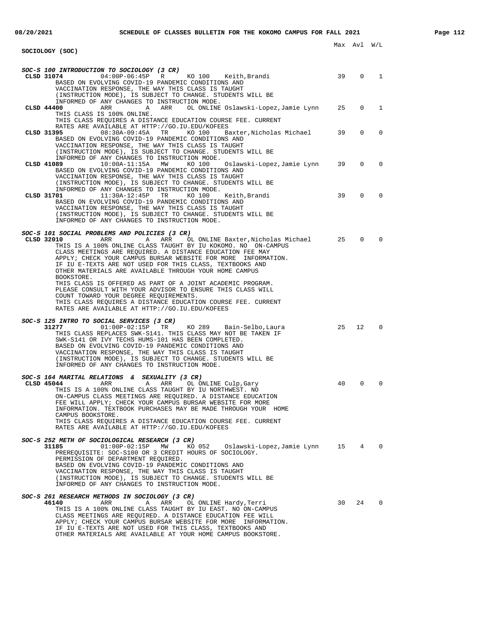Max Avl W/L **SOCIOLOGY (SOC) SOC-S 100 INTRODUCTION TO SOCIOLOGY (3 CR) CLSD 31074** 04:00P-06:45P R KO 100 Keith,Brandi 39 0 1 BASED ON EVOLVING COVID-19 PANDEMIC CONDITIONS AND VACCINATION RESPONSE, THE WAY THIS CLASS IS TAUGHT (INSTRUCTION MODE), IS SUBJECT TO CHANGE. STUDENTS WILL BE INFORMED OF ANY CHANGES TO INSTRUCTION MODE.<br>CLSD 44400 ARR A ARR OL ONLINE A ARR OL ONLINE Oslawski-Lopez,Jamie Lynn 25 0 1 THIS CLASS IS 100% ONLINE. THIS CLASS REQUIRES A DISTANCE EDUCATION COURSE FEE. CURRENT RATES ARE AVAILABLE AT HTTP://GO.IU.EDU/KOFEES **CLSD 31395** 08:30A-09:45A TR KO 100 Baxter,Nicholas Michael 39 0 0 BASED ON EVOLVING COVID-19 PANDEMIC CONDITIONS AND VACCINATION RESPONSE, THE WAY THIS CLASS IS TAUGHT (INSTRUCTION MODE), IS SUBJECT TO CHANGE. STUDENTS WILL BE INFORMED OF ANY CHANGES TO INSTRUCTION MODE.<br>CLSD 41089 10:00A-11:15A MW KO 100 Oslawski-Lopez, Jamie Lynn **CLSD 41089** 10:00A-11:15A MW KO 100 Oslawski-Lopez,Jamie Lynn 39 0 0 BASED ON EVOLVING COVID-19 PANDEMIC CONDITIONS AND VACCINATION RESPONSE, THE WAY THIS CLASS IS TAUGHT (INSTRUCTION MODE), IS SUBJECT TO CHANGE. STUDENTS WILL BE INFORMED OF ANY CHANGES TO INSTRUCTION MODE. **CLSD 31701** 11:30A-12:45P TR KO 100 Keith,Brandi 39 0 0 BASED ON EVOLVING COVID-19 PANDEMIC CONDITIONS AND VACCINATION RESPONSE, THE WAY THIS CLASS IS TAUGHT (INSTRUCTION MODE), IS SUBJECT TO CHANGE. STUDENTS WILL BE INFORMED OF ANY CHANGES TO INSTRUCTION MODE. **SOC-S 101 SOCIAL PROBLEMS AND POLICIES (3 CR) CLSD 32010** ARR A ARR OL ONLINE Baxter,Nicholas Michael 25 0 0 THIS IS A 100% ONLINE CLASS TAUGHT BY IU KOKOMO. NO ON-CAMPUS CLASS MEETINGS ARE REQUIRED. A DISTANCE EDUCATION FEE MAY APPLY; CHECK YOUR CAMPUS BURSAR WEBSITE FOR MORE INFORMATION. IF IU E-TEXTS ARE NOT USED FOR THIS CLASS, TEXTBOOKS AND OTHER MATERIALS ARE AVAILABLE THROUGH YOUR HOME CAMPUS BOOKSTORE. THIS CLASS IS OFFERED AS PART OF A JOINT ACADEMIC PROGRAM. PLEASE CONSULT WITH YOUR ADVISOR TO ENSURE THIS CLASS WILL COUNT TOWARD YOUR DEGREE REQUIREMENTS. THIS CLASS REQUIRES A DISTANCE EDUCATION COURSE FEE. CURRENT RATES ARE AVAILABLE AT HTTP://GO.IU.EDU/KOFEES **SOC-S 125 INTRO TO SOCIAL SERVICES (3 CR)**<br>31277 01:00P-02:15P TR **31277** 01:00P-02:15P TR KO 289 Bain-Selbo,Laura 25 12 0 THIS CLASS REPLACES SWK-S141. THIS CLASS MAY NOT BE TAKEN IF SWK-S141 OR IVY TECHS HUMS-101 HAS BEEN COMPLETED. BASED ON EVOLVING COVID-19 PANDEMIC CONDITIONS AND VACCINATION RESPONSE, THE WAY THIS CLASS IS TAUGHT (INSTRUCTION MODE), IS SUBJECT TO CHANGE. STUDENTS WILL BE INFORMED OF ANY CHANGES TO INSTRUCTION MODE. **SOC-S 164 MARITAL RELATIONS & SEXUALITY (3 CR) CLSD 45044** ARR A ARR OL ONLINE Culp,Gary 40 0 0 THIS IS A 100% ONLINE CLASS TAUGHT BY IU NORTHWEST. NO ON-CAMPUS CLASS MEETINGS ARE REQUIRED. A DISTANCE EDUCATION FEE WILL APPLY; CHECK YOUR CAMPUS BURSAR WEBSITE FOR MORE INFORMATION. TEXTBOOK PURCHASES MAY BE MADE THROUGH YOUR HOME CAMPUS BOOKSTORE. THIS CLASS REQUIRES A DISTANCE EDUCATION COURSE FEE. CURRENT RATES ARE AVAILABLE AT HTTP://GO.IU.EDU/KOFEES **SOC-S 252 METH OF SOCIOLOGICAL RESEARCH (3 CR) 31185** 01:00P-02:15P MW KO 052 Oslawski-Lopez,Jamie Lynn 15 4 0 PREREQUISITE: SOC-S100 OR 3 CREDIT HOURS OF SOCIOLOGY. PERMISSION OF DEPARTMENT REQUIRED. BASED ON EVOLVING COVID-19 PANDEMIC CONDITIONS AND VACCINATION RESPONSE, THE WAY THIS CLASS IS TAUGHT (INSTRUCTION MODE), IS SUBJECT TO CHANGE. STUDENTS WILL BE INFORMED OF ANY CHANGES TO INSTRUCTION MODE. **SOC-S 261 RESEARCH METHODS IN SOCIOLOGY (3 CR) 46140** ARR A ARR OL ONLINE Hardy,Terri 30 24 0 THIS IS A 100% ONLINE CLASS TAUGHT BY IU EAST. NO ON-CAMPUS CLASS MEETINGS ARE REQUIRED. A DISTANCE EDUCATION FEE WILL APPLY; CHECK YOUR CAMPUS BURSAR WEBSITE FOR MORE INFORMATION.

IF IU E-TEXTS ARE NOT USED FOR THIS CLASS, TEXTBOOKS AND OTHER MATERIALS ARE AVAILABLE AT YOUR HOME CAMPUS BOOKSTORE.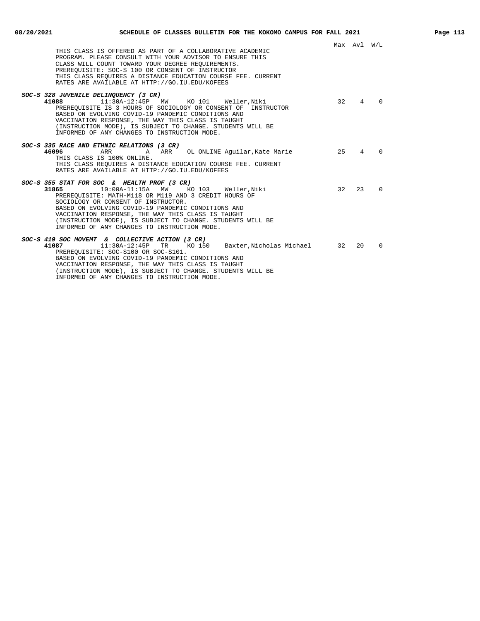Max Avl W/L THIS CLASS IS OFFERED AS PART OF A COLLABORATIVE ACADEMIC PROGRAM. PLEASE CONSULT WITH YOUR ADVISOR TO ENSURE THIS CLASS WILL COUNT TOWARD YOUR DEGREE REQUIREMENTS. PREREQUISITE: SOC-S 100 OR CONSENT OF INSTRUCTOR THIS CLASS REQUIRES A DISTANCE EDUCATION COURSE FEE. CURRENT RATES ARE AVAILABLE AT HTTP://GO.IU.EDU/KOFEES **SOC-S 328 JUVENILE DELINQUENCY (3 CR)**<br>**41088** 11:30A-12:45P **41088** 11:30A-12:45P MW KO 101 Weller,Niki 32 4 0 PREREQUISITE IS 3 HOURS OF SOCIOLOGY OR CONSENT OF INSTRUCTOR BASED ON EVOLVING COVID-19 PANDEMIC CONDITIONS AND VACCINATION RESPONSE, THE WAY THIS CLASS IS TAUGHT (INSTRUCTION MODE), IS SUBJECT TO CHANGE. STUDENTS WILL BE INFORMED OF ANY CHANGES TO INSTRUCTION MODE. **SOC-S 335 RACE AND ETHNIC RELATIONS (3 CR)** A ARR OL ONLINE Aguilar, Kate Marie 25 4 0 THIS CLASS IS 100% ONLINE. THIS CLASS REQUIRES A DISTANCE EDUCATION COURSE FEE. CURRENT RATES ARE AVAILABLE AT HTTP://GO.IU.EDU/KOFEES **SOC-S 355 STAT FOR SOC & HEALTH PROF (3 CR) 31865** 10:00A-11:15A MW KO 103 Weller,Niki 32 23 0 PREREQUISITE: MATH-M118 OR M119 AND 3 CREDIT HOURS OF SOCIOLOGY OR CONSENT OF INSTRUCTOR. BASED ON EVOLVING COVID-19 PANDEMIC CONDITIONS AND VACCINATION RESPONSE, THE WAY THIS CLASS IS TAUGHT (INSTRUCTION MODE), IS SUBJECT TO CHANGE. STUDENTS WILL BE INFORMED OF ANY CHANGES TO INSTRUCTION MODE. **SOC-S 419 SOC MOVEMT & COLLECTIVE ACTION (3 CR) 41087** 11:30A-12:45P TR KO 150 Baxter,Nicholas Michael 32 20 0 PREREQUISITE: SOC-S100 OR SOC-S101. BASED ON EVOLVING COVID-19 PANDEMIC CONDITIONS AND VACCINATION RESPONSE, THE WAY THIS CLASS IS TAUGHT (INSTRUCTION MODE), IS SUBJECT TO CHANGE. STUDENTS WILL BE

INFORMED OF ANY CHANGES TO INSTRUCTION MODE.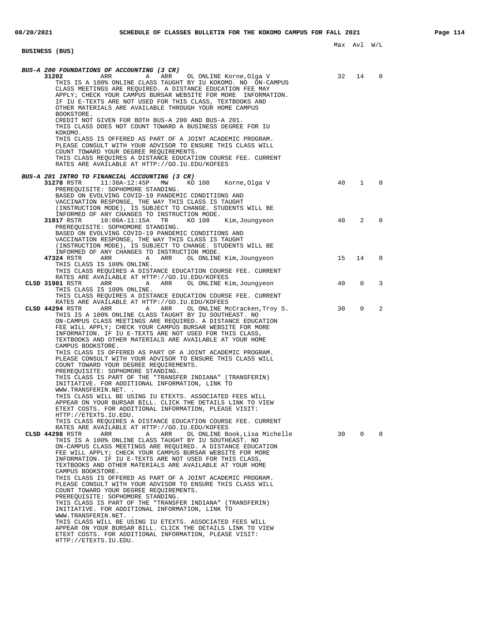| BUS-A 200 FOUNDATIONS OF ACCOUNTING (3 CR)<br>31202<br>THIS IS A 100% ONLINE CLASS TAUGHT BY IU KOKOMO. NO ON-CAMPUS<br>CLASS MEETINGS ARE REQUIRED. A DISTANCE EDUCATION FEE MAY                 | 32 |                |              |
|---------------------------------------------------------------------------------------------------------------------------------------------------------------------------------------------------|----|----------------|--------------|
|                                                                                                                                                                                                   |    | 14             | $\Omega$     |
| APPLY; CHECK YOUR CAMPUS BURSAR WEBSITE FOR MORE INFORMATION.<br>IF IU E-TEXTS ARE NOT USED FOR THIS CLASS, TEXTBOOKS AND                                                                         |    |                |              |
| OTHER MATERIALS ARE AVAILABLE THROUGH YOUR HOME CAMPUS<br>BOOKSTORE.                                                                                                                              |    |                |              |
| CREDIT NOT GIVEN FOR BOTH BUS-A 200 AND BUS-A 201.<br>THIS CLASS DOES NOT COUNT TOWARD A BUSINESS DEGREE FOR IU<br>KOKOMO.                                                                        |    |                |              |
| THIS CLASS IS OFFERED AS PART OF A JOINT ACADEMIC PROGRAM.<br>PLEASE CONSULT WITH YOUR ADVISOR TO ENSURE THIS CLASS WILL<br>COUNT TOWARD YOUR DEGREE REQUIREMENTS.                                |    |                |              |
| THIS CLASS REOUIRES A DISTANCE EDUCATION COURSE FEE. CURRENT<br>RATES ARE AVAILABLE AT HTTP://GO.IU.EDU/KOFEES                                                                                    |    |                |              |
| BUS-A 201 INTRO TO FINANCIAL ACCOUNTING (3 CR)<br>31278 RSTR<br>11:30A-12:45P MW KO 108 Korne, Olga V<br>PREREQUISITE: SOPHOMORE STANDING.                                                        | 40 | $\mathbf{1}$   | $\Omega$     |
| BASED ON EVOLVING COVID-19 PANDEMIC CONDITIONS AND<br>VACCINATION RESPONSE, THE WAY THIS CLASS IS TAUGHT<br>(INSTRUCTION MODE), IS SUBJECT TO CHANGE. STUDENTS WILL BE                            |    |                |              |
| INFORMED OF ANY CHANGES TO INSTRUCTION MODE.<br>31817 RSTR<br>10:00A-11:15A TR KO 108<br>Kim,Jounqyeon<br>PREREQUISITE: SOPHOMORE STANDING.                                                       | 40 | $\overline{2}$ | $\Omega$     |
| BASED ON EVOLVING COVID-19 PANDEMIC CONDITIONS AND<br>VACCINATION RESPONSE, THE WAY THIS CLASS IS TAUGHT<br>(INSTRUCTION MODE), IS SUBJECT TO CHANGE. STUDENTS WILL BE                            |    |                |              |
| INFORMED OF ANY CHANGES TO INSTRUCTION MODE.<br>47324 RSTR<br>ARR ARR ARR<br>OL ONLINE Kim,Joungyeon                                                                                              | 15 | 14             | 0            |
| THIS CLASS IS 100% ONLINE.<br>THIS CLASS REQUIRES A DISTANCE EDUCATION COURSE FEE. CURRENT<br>RATES ARE AVAILABLE AT HTTP://GO.IU.EDU/KOFEES                                                      |    |                |              |
| CLSD 31981 RSTR ARR ARR OL ONLINE Kim, Joungyeon<br>THIS CLASS IS 100% ONLINE.<br>THIS CLASS REQUIRES A DISTANCE EDUCATION COURSE FEE. CURRENT                                                    | 40 | $\mathbf 0$    | 3            |
| RATES ARE AVAILABLE AT HTTP://GO.IU.EDU/KOFEES<br>OL ONLINE McCracken, Troy S.<br>CLSD 44294 RSTR<br>ARR<br>A ARR<br>THIS IS A 100% ONLINE CLASS TAUGHT BY IU SOUTHEAST. NO                       | 30 | $\mathbf 0$    | 2            |
| ON-CAMPUS CLASS MEETINGS ARE REQUIRED. A DISTANCE EDUCATION<br>FEE WILL APPLY; CHECK YOUR CAMPUS BURSAR WEBSITE FOR MORE<br>INFORMATION. IF IU E-TEXTS ARE NOT USED FOR THIS CLASS,               |    |                |              |
| TEXTBOOKS AND OTHER MATERIALS ARE AVAILABLE AT YOUR HOME<br>CAMPUS BOOKSTORE.<br>THIS CLASS IS OFFERED AS PART OF A JOINT ACADEMIC PROGRAM.                                                       |    |                |              |
| PLEASE CONSULT WITH YOUR ADVISOR TO ENSURE THIS CLASS WILL<br>COUNT TOWARD YOUR DEGREE REOUIREMENTS.<br>PREREQUISITE: SOPHOMORE STANDING.                                                         |    |                |              |
| THIS CLASS IS PART OF THE "TRANSFER INDIANA" (TRANSFERIN)<br>INITIATIVE. FOR ADDITIONAL INFORMATION, LINK TO<br>WWW.TRANSFERIN.NET. .                                                             |    |                |              |
| THIS CLASS WILL BE USING IU ETEXTS. ASSOCIATED FEES WILL<br>APPEAR ON YOUR BURSAR BILL. CLICK THE DETAILS LINK TO VIEW<br>ETEXT COSTS. FOR ADDITIONAL INFORMATION, PLEASE VISIT:                  |    |                |              |
| HTTP://ETEXTS.IU.EDU.<br>THIS CLASS REQUIRES A DISTANCE EDUCATION COURSE FEE. CURRENT<br>RATES ARE AVAILABLE AT HTTP://GO.IU.EDU/KOFEES                                                           |    |                |              |
| 30<br>CLSD 44298 RSTR<br>ARR<br>Α<br>ARR<br>OL ONLINE Book,Lisa Michelle<br>THIS IS A 100% ONLINE CLASS TAUGHT BY IU SOUTHEAST. NO<br>ON-CAMPUS CLASS MEETINGS ARE REQUIRED. A DISTANCE EDUCATION |    | $\mathbf{0}$   | $\mathbf{0}$ |
| FEE WILL APPLY; CHECK YOUR CAMPUS BURSAR WEBSITE FOR MORE<br>INFORMATION. IF IU E-TEXTS ARE NOT USED FOR THIS CLASS,<br>TEXTBOOKS AND OTHER MATERIALS ARE AVAILABLE AT YOUR HOME                  |    |                |              |
| CAMPUS BOOKSTORE.<br>THIS CLASS IS OFFERED AS PART OF A JOINT ACADEMIC PROGRAM.<br>PLEASE CONSULT WITH YOUR ADVISOR TO ENSURE THIS CLASS WILL                                                     |    |                |              |
| COUNT TOWARD YOUR DEGREE REQUIREMENTS.<br>PREREQUISITE: SOPHOMORE STANDING.<br>THIS CLASS IS PART OF THE "TRANSFER INDIANA" (TRANSFERIN)                                                          |    |                |              |
| INITIATIVE. FOR ADDITIONAL INFORMATION, LINK TO<br>WWW.TRANSFERIN.NET. .<br>THIS CLASS WILL BE USING IU ETEXTS. ASSOCIATED FEES WILL                                                              |    |                |              |
| APPEAR ON YOUR BURSAR BILL. CLICK THE DETAILS LINK TO VIEW<br>ETEXT COSTS. FOR ADDITIONAL INFORMATION, PLEASE VISIT:<br>HTTP://ETEXTS.IU.EDU.                                                     |    |                |              |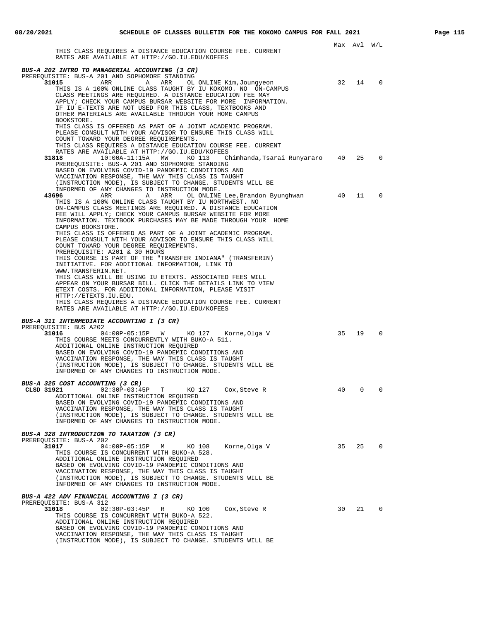|                                                                                                                                                                                                                                                                                                                                                                                                                                           |    | Max Avl | W/L         |
|-------------------------------------------------------------------------------------------------------------------------------------------------------------------------------------------------------------------------------------------------------------------------------------------------------------------------------------------------------------------------------------------------------------------------------------------|----|---------|-------------|
| THIS CLASS REQUIRES A DISTANCE EDUCATION COURSE FEE. CURRENT<br>RATES ARE AVAILABLE AT HTTP://GO.IU.EDU/KOFEES                                                                                                                                                                                                                                                                                                                            |    |         |             |
| BUS-A 202 INTRO TO MANAGERIAL ACCOUNTING (3 CR)                                                                                                                                                                                                                                                                                                                                                                                           |    |         |             |
| PREREQUISITE: BUS-A 201 AND SOPHOMORE STANDING<br>31015<br>ARR<br>Α<br>ARR<br>OL ONLINE Kim, Joungyeon<br>THIS IS A 100% ONLINE CLASS TAUGHT BY IU KOKOMO. NO ON-CAMPUS<br>CLASS MEETINGS ARE REQUIRED. A DISTANCE EDUCATION FEE MAY<br>APPLY; CHECK YOUR CAMPUS BURSAR WEBSITE FOR MORE INFORMATION.<br>IF IU E-TEXTS ARE NOT USED FOR THIS CLASS, TEXTBOOKS AND<br>OTHER MATERIALS ARE AVAILABLE THROUGH YOUR HOME CAMPUS<br>BOOKSTORE. | 32 | 14      | $\mathbf 0$ |
| THIS CLASS IS OFFERED AS PART OF A JOINT ACADEMIC PROGRAM.<br>PLEASE CONSULT WITH YOUR ADVISOR TO ENSURE THIS CLASS WILL<br>COUNT TOWARD YOUR DEGREE REQUIREMENTS.<br>THIS CLASS REQUIRES A DISTANCE EDUCATION COURSE FEE. CURRENT                                                                                                                                                                                                        |    |         |             |
| RATES ARE AVAILABLE AT HTTP://GO.IU.EDU/KOFEES<br>Chimhanda, Tsarai Runyararo 40<br>31818<br>$10:00A-11:15A$<br>MW<br>KO 113<br>PREREQUISITE: BUS-A 201 AND SOPHOMORE STANDING<br>BASED ON EVOLVING COVID-19 PANDEMIC CONDITIONS AND<br>VACCINATION RESPONSE, THE WAY THIS CLASS IS TAUGHT<br>(INSTRUCTION MODE), IS SUBJECT TO CHANGE. STUDENTS WILL BE                                                                                  |    | 25      | $\Omega$    |
| INFORMED OF ANY CHANGES TO INSTRUCTION MODE.<br>43696<br>ARR<br>OL ONLINE Lee, Brandon Byunghwan<br>ARR<br>Α<br>THIS IS A 100% ONLINE CLASS TAUGHT BY IU NORTHWEST. NO<br>ON-CAMPUS CLASS MEETINGS ARE REQUIRED. A DISTANCE EDUCATION<br>FEE WILL APPLY; CHECK YOUR CAMPUS BURSAR WEBSITE FOR MORE<br>INFORMATION. TEXTBOOK PURCHASES MAY BE MADE THROUGH YOUR HOME<br>CAMPUS BOOKSTORE.                                                  | 40 | 11      | $\Omega$    |
| THIS CLASS IS OFFERED AS PART OF A JOINT ACADEMIC PROGRAM.<br>PLEASE CONSULT WITH YOUR ADVISOR TO ENSURE THIS CLASS WILL<br>COUNT TOWARD YOUR DEGREE REQUIREMENTS.<br>PREREQUISITE: A201 & 30 HOURS<br>THIS COURSE IS PART OF THE "TRANSFER INDIANA" (TRANSFERIN)<br>INITIATIVE. FOR ADDITIONAL INFORMATION, LINK TO<br>WWW.TRANSFERIN.NET.                                                                                               |    |         |             |
| THIS CLASS WILL BE USING IU ETEXTS. ASSOCIATED FEES WILL<br>APPEAR ON YOUR BURSAR BILL. CLICK THE DETAILS LINK TO VIEW<br>ETEXT COSTS. FOR ADDITIONAL INFORMATION, PLEASE VISIT<br>HTTP://ETEXTS.IU.EDU.<br>THIS CLASS REQUIRES A DISTANCE EDUCATION COURSE FEE. CURRENT<br>RATES ARE AVAILABLE AT HTTP://GO.IU.EDU/KOFEES                                                                                                                |    |         |             |
| BUS-A 311 INTERMEDIATE ACCOUNTING I (3 CR)<br>PREREQUISITE: BUS A202<br>31016<br>$04:00P-05:15P$ W KO 127 Korne, Olga V                                                                                                                                                                                                                                                                                                                   | 35 | 19      | $\Omega$    |
| THIS COURSE MEETS CONCURRENTLY WITH BUKO-A 511.<br>ADDITIONAL ONLINE INSTRUCTION REQUIRED<br>BASED ON EVOLVING COVID-19 PANDEMIC CONDITIONS AND<br>VACCINATION RESPONSE, THE WAY THIS CLASS IS TAUGHT<br>(INSTRUCTION MODE), IS SUBJECT TO CHANGE. STUDENTS WILL BE<br>INFORMED OF ANY CHANGES TO INSTRUCTION MODE.                                                                                                                       |    |         |             |
| BUS-A 325 COST ACCOUNTING (3 CR)<br>CLSD 31921 $02:30P-03:45P$<br>T<br>KO 127<br>Cox,Steve R<br>ADDITIONAL ONLINE INSTRUCTION REQUIRED<br>BASED ON EVOLVING COVID-19 PANDEMIC CONDITIONS AND<br>VACCINATION RESPONSE, THE WAY THIS CLASS IS TAUGHT<br>(INSTRUCTION MODE), IS SUBJECT TO CHANGE. STUDENTS WILL BE<br>INFORMED OF ANY CHANGES TO INSTRUCTION MODE.                                                                          | 40 | $\cap$  |             |
| BUS-A 328 INTRODUCTION TO TAXATION (3 CR)<br>PREREQUISITE: BUS-A 202<br>31017<br>04:00P-05:15P M<br>KO 108<br>Korne, Olga V<br>THIS COURSE IS CONCURRENT WITH BUKO-A 528.<br>ADDITIONAL ONLINE INSTRUCTION REQUIRED<br>BASED ON EVOLVING COVID-19 PANDEMIC CONDITIONS AND<br>VACCINATION RESPONSE, THE WAY THIS CLASS IS TAUGHT                                                                                                           | 35 | 25      | $\bigcirc$  |
| (INSTRUCTION MODE), IS SUBJECT TO CHANGE. STUDENTS WILL BE<br>INFORMED OF ANY CHANGES TO INSTRUCTION MODE.<br>BUS-A 422 ADV FINANCIAL ACCOUNTING I (3 CR)                                                                                                                                                                                                                                                                                 |    |         |             |
| PREREQUISITE: BUS-A 312<br>31018<br>02:30P-03:45P R KO 100<br>Cox, Steve R<br>THIS COURSE IS CONCURRENT WITH BUKO-A 522.<br>ADDITIONAL ONLINE INSTRUCTION REQUIRED<br>BASED ON EVOLVING COVID-19 PANDEMIC CONDITIONS AND<br>VACCINATION RESPONSE, THE WAY THIS CLASS IS TAUGHT<br>(INSTRUCTION MODE), IS SUBJECT TO CHANGE. STUDENTS WILL BE                                                                                              | 30 |         | 21 0        |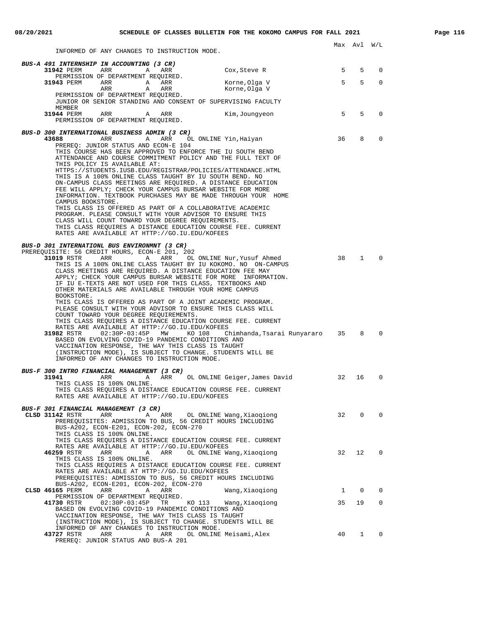INFORMED OF ANY CHANGES TO INSTRUCTION MODE.

| INFORMED OF ANY CHANGES IO INSIRUCIION MODE.                                                                                                                                                                                                                                                                                                                                                           |                                   |    |              |             |
|--------------------------------------------------------------------------------------------------------------------------------------------------------------------------------------------------------------------------------------------------------------------------------------------------------------------------------------------------------------------------------------------------------|-----------------------------------|----|--------------|-------------|
| BUS-A 491 INTERNSHIP IN ACCOUNTING (3 CR)<br><b>31942</b> PERM ARR<br>A<br>ARR<br>PERMISSION OF DEPARTMENT REQUIRED.                                                                                                                                                                                                                                                                                   | Cox,Steve R                       | 5  | 5            | 0           |
| 31943 PERM<br>ARR A ARR<br>ARR<br>ARR<br>A                                                                                                                                                                                                                                                                                                                                                             | Korne,Olga V<br>Korne,Olga V      | 5  | 5            | $\Omega$    |
| PERMISSION OF DEPARTMENT REQUIRED.<br>JUNIOR OR SENIOR STANDING AND CONSENT OF SUPERVISING FACULTY                                                                                                                                                                                                                                                                                                     |                                   |    |              |             |
| MEMBER<br>31944 PERM<br>ARR<br>ARR<br>A<br>PERMISSION OF DEPARTMENT REQUIRED.                                                                                                                                                                                                                                                                                                                          | Kim,Joungyeon                     | 5  | 5            | $\mathbf 0$ |
| BUS-D 300 INTERNATIONAL BUSINESS ADMIN (3 CR)                                                                                                                                                                                                                                                                                                                                                          |                                   |    |              |             |
| 43688<br>ARR A<br>ARR<br>PREREQ: JUNIOR STATUS AND ECON-E 104<br>THIS COURSE HAS BEEN APPROVED TO ENFORCE THE IU SOUTH BEND<br>ATTENDANCE AND COURSE COMMITMENT POLICY AND THE FULL TEXT OF<br>THIS POLICY IS AVAILABLE AT:                                                                                                                                                                            | OL ONLINE Yin, Haiyan             | 36 | 8            | $\mathbf 0$ |
| HTTPS://STUDENTS.IUSB.EDU/REGISTRAR/POLICIES/ATTENDANCE.HTML<br>THIS IS A 100% ONLINE CLASS TAUGHT BY IU SOUTH BEND. NO<br>ON-CAMPUS CLASS MEETINGS ARE REQUIRED. A DISTANCE EDUCATION<br>FEE WILL APPLY; CHECK YOUR CAMPUS BURSAR WEBSITE FOR MORE<br>INFORMATION. TEXTBOOK PURCHASES MAY BE MADE THROUGH YOUR HOME<br>CAMPUS BOOKSTORE.<br>THIS CLASS IS OFFERED AS PART OF A COLLABORATIVE ACADEMIC |                                   |    |              |             |
| PROGRAM. PLEASE CONSULT WITH YOUR ADVISOR TO ENSURE THIS<br>CLASS WILL COUNT TOWARD YOUR DEGREE REOUIREMENTS.<br>THIS CLASS REQUIRES A DISTANCE EDUCATION COURSE FEE. CURRENT<br>RATES ARE AVAILABLE AT HTTP://GO.IU.EDU/KOFEES                                                                                                                                                                        |                                   |    |              |             |
| BUS-D 301 INTERNATIONL BUS ENVIRONMNT (3 CR)<br>PREREQUISITE: 56 CREDIT HOURS, ECON-E 201, 202<br>ARR<br>A ARR OL ONLINE Nur, Yusuf Ahmed                                                                                                                                                                                                                                                              |                                   | 38 | $\mathbf{1}$ | $\Omega$    |
| 31019 RSTR<br>THIS IS A 100% ONLINE CLASS TAUGHT BY IU KOKOMO. NO ON-CAMPUS<br>CLASS MEETINGS ARE REOUIRED. A DISTANCE EDUCATION FEE MAY<br>APPLY; CHECK YOUR CAMPUS BURSAR WEBSITE FOR MORE INFORMATION.<br>IF IU E-TEXTS ARE NOT USED FOR THIS CLASS, TEXTBOOKS AND<br>OTHER MATERIALS ARE AVAILABLE THROUGH YOUR HOME CAMPUS<br>BOOKSTORE.                                                          |                                   |    |              |             |
| THIS CLASS IS OFFERED AS PART OF A JOINT ACADEMIC PROGRAM.<br>PLEASE CONSULT WITH YOUR ADVISOR TO ENSURE THIS CLASS WILL<br>COUNT TOWARD YOUR DEGREE REQUIREMENTS.<br>THIS CLASS REQUIRES A DISTANCE EDUCATION COURSE FEE. CURRENT                                                                                                                                                                     |                                   |    |              |             |
| RATES ARE AVAILABLE AT HTTP://GO.IU.EDU/KOFEES<br>KO 108<br>BASED ON EVOLVING COVID-19 PANDEMIC CONDITIONS AND<br>VACCINATION RESPONSE, THE WAY THIS CLASS IS TAUGHT<br>(INSTRUCTION MODE), IS SUBJECT TO CHANGE. STUDENTS WILL BE<br>INFORMED OF ANY CHANGES TO INSTRUCTION MODE.                                                                                                                     | Chimhanda,Tsarai Runyararo     35 |    | 8            | $\Omega$    |
| BUS-F 300 INTRO FINANCIAL MANAGEMENT (3 CR)<br>31941<br>ARR<br>Α<br>THIS CLASS IS 100% ONLINE.<br>THIS CLASS REQUIRES A DISTANCE EDUCATION COURSE FEE. CURRENT<br>RATES ARE AVAILABLE AT HTTP://GO.IU.EDU/KOFEES                                                                                                                                                                                       | ARR OL ONLINE Geiger, James David | 32 | 16           | $\mathbf 0$ |
| BUS-F 301 FINANCIAL MANAGEMENT (3 CR)                                                                                                                                                                                                                                                                                                                                                                  |                                   |    |              |             |
| ARR<br>CLSD 31142 RSTR<br>ARR<br>Α<br>PREREQUISITES: ADMISSION TO BUS, 56 CREDIT HOURS INCLUDING<br>BUS-A202, ECON-E201, ECON-202, ECON-270                                                                                                                                                                                                                                                            | OL ONLINE Wang, Xiaoqiong         | 32 | 0            | $\mathbf 0$ |
| THIS CLASS IS 100% ONLINE.<br>THIS CLASS REQUIRES A DISTANCE EDUCATION COURSE FEE. CURRENT<br>RATES ARE AVAILABLE AT HTTP://GO.IU.EDU/KOFEES<br>46259 RSTR                                                                                                                                                                                                                                             |                                   | 32 | 12           | $\mathbf 0$ |
| ARR<br>ARR<br>Α<br>THIS CLASS IS 100% ONLINE.<br>THIS CLASS REQUIRES A DISTANCE EDUCATION COURSE FEE. CURRENT<br>RATES ARE AVAILABLE AT HTTP://GO.IU.EDU/KOFEES<br>PREREQUISITES: ADMISSION TO BUS, 56 CREDIT HOURS INCLUDING                                                                                                                                                                          | OL ONLINE Wang, Xiaoqiong         |    |              |             |
| BUS-A202, ECON-E201, ECON-202, ECON-270<br>CLSD 46165 PERM<br>ARR<br>Α<br>ARR                                                                                                                                                                                                                                                                                                                          | Wang, Xiaoqiong                   | 1  | 0            | 0           |
| PERMISSION OF DEPARTMENT REQUIRED.<br>TR                                                                                                                                                                                                                                                                                                                                                               |                                   | 35 | 19           | 0           |
| 41730 RSTR<br>$02:30P-03:45P$<br>KO 113<br>BASED ON EVOLVING COVID-19 PANDEMIC CONDITIONS AND<br>VACCINATION RESPONSE, THE WAY THIS CLASS IS TAUGHT                                                                                                                                                                                                                                                    | Wang, Xiaoqiong                   |    |              |             |
| (INSTRUCTION MODE), IS SUBJECT TO CHANGE. STUDENTS WILL BE<br>INFORMED OF ANY CHANGES TO INSTRUCTION MODE.<br>43727 RSTR<br>ARR<br>ARR<br>A<br>PREREQ: JUNIOR STATUS AND BUS-A 201                                                                                                                                                                                                                     | OL ONLINE Meisami, Alex           | 40 | $\mathbf{1}$ | 0           |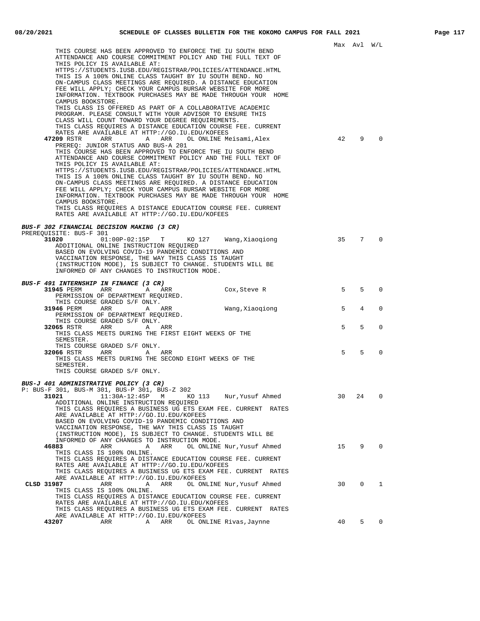Max Avl W/L THIS COURSE HAS BEEN APPROVED TO ENFORCE THE IU SOUTH BEND ATTENDANCE AND COURSE COMMITMENT POLICY AND THE FULL TEXT OF THIS POLICY IS AVAILABLE AT: HTTPS://STUDENTS.IUSB.EDU/REGISTRAR/POLICIES/ATTENDANCE.HTML THIS IS A 100% ONLINE CLASS TAUGHT BY IU SOUTH BEND. NO ON-CAMPUS CLASS MEETINGS ARE REQUIRED. A DISTANCE EDUCATION FEE WILL APPLY; CHECK YOUR CAMPUS BURSAR WEBSITE FOR MORE INFORMATION. TEXTBOOK PURCHASES MAY BE MADE THROUGH YOUR HOME CAMPUS BOOKSTORE. THIS CLASS IS OFFERED AS PART OF A COLLABORATIVE ACADEMIC PROGRAM. PLEASE CONSULT WITH YOUR ADVISOR TO ENSURE THIS CLASS WILL COUNT TOWARD YOUR DEGREE REQUIREMENTS. THIS CLASS REQUIRES A DISTANCE EDUCATION COURSE FEE. CURRENT RATES ARE AVAILABLE AT HTTP://GO.IU.EDU/KOFEES **47209** RSTR ARR ARR OL ONLINE Meisami, Alex 42 9 0 PREREQ: JUNIOR STATUS AND BUS-A 201 THIS COURSE HAS BEEN APPROVED TO ENFORCE THE IU SOUTH BEND ATTENDANCE AND COURSE COMMITMENT POLICY AND THE FULL TEXT OF THIS POLICY IS AVAILABLE AT: HTTPS://STUDENTS.IUSB.EDU/REGISTRAR/POLICIES/ATTENDANCE.HTML THIS IS A 100% ONLINE CLASS TAUGHT BY IU SOUTH BEND. NO ON-CAMPUS CLASS MEETINGS ARE REQUIRED. A DISTANCE EDUCATION FEE WILL APPLY; CHECK YOUR CAMPUS BURSAR WEBSITE FOR MORE INFORMATION. TEXTBOOK PURCHASES MAY BE MADE THROUGH YOUR HOME CAMPUS BOOKSTORE. THIS CLASS REQUIRES A DISTANCE EDUCATION COURSE FEE. CURRENT RATES ARE AVAILABLE AT HTTP://GO.IU.EDU/KOFEES **BUS-F 302 FINANCIAL DECISION MAKING (3 CR)** PREREQUISITE: BUS-F 301<br>31020 01: 01:00P-02:15P T KO 127 Wang,Xiaoqiong 35 7 0 ADDITIONAL ONLINE INSTRUCTION REQUIRED BASED ON EVOLVING COVID-19 PANDEMIC CONDITIONS AND VACCINATION RESPONSE, THE WAY THIS CLASS IS TAUGHT (INSTRUCTION MODE), IS SUBJECT TO CHANGE. STUDENTS WILL BE INFORMED OF ANY CHANGES TO INSTRUCTION MODE. **BUS-F 491 INTERNSHIP IN FINANCE (3 CR) 31945** PERM ARR ARR Cox, Steve R 5 5 0 PERMISSION OF DEPARTMENT REQUIRED. THIS COURSE GRADED S/F ONLY. **31946** PERM ARR A ARR Wang, Xiaoqiong 5 4 0 PERMISSION OF DEPARTMENT REQUIRED. THIS COURSE GRADED S/F ONLY.<br>65 RSTR ARR ARR ARR **32065** RSTR ARR A ARR A ARR 5 5 0 THIS CLASS MEETS DURING THE FIRST EIGHT WEEKS OF THE SEMESTER. THIS COURSE GRADED S/F ONLY. **32066** RSTR ARR A ARR A ARR 5 5 0 THIS CLASS MEETS DURING THE SECOND EIGHT WEEKS OF THE SEMESTER. THIS COURSE GRADED S/F ONLY. **BUS-J 401 ADMINISTRATIVE POLICY (3 CR)** P: BUS-F 301, BUS-M 301, BUS-P 301, BUS-Z 302 **31021** 11:30A-12:45P M KO 113 Nur,Yusuf Ahmed 30 24 0 ADDITIONAL ONLINE INSTRUCTION REQUIRED THIS CLASS REQUIRES A BUSINESS UG ETS EXAM FEE. CURRENT RATES ARE AVAILABLE AT HTTP://GO.IU.EDU/KOFEES BASED ON EVOLVING COVID-19 PANDEMIC CONDITIONS AND VACCINATION RESPONSE, THE WAY THIS CLASS IS TAUGHT (INSTRUCTION MODE), IS SUBJECT TO CHANGE. STUDENTS WILL BE INFORMED OF ANY CHANGES TO INSTRUCTION MODE.<br>**46883** ARR ARR OL ONLINE 0L ONLINE Nur, Yusuf Ahmed 15 9 0 THIS CLASS IS 100% ONLINE. THIS CLASS REQUIRES A DISTANCE EDUCATION COURSE FEE. CURRENT RATES ARE AVAILABLE AT HTTP://GO.IU.EDU/KOFEES THIS CLASS REQUIRES A BUSINESS UG ETS EXAM FEE. CURRENT RATES ARE AVAILABLE AT HTTP://GO.IU.EDU/KOFEES<br>CLSD 31987 ARR A ARR OL ON **CLSD 31987** ARR A ARR OL ONLINE Nur,Yusuf Ahmed 30 0 1 THIS CLASS IS 100% ONLINE. THIS CLASS REQUIRES A DISTANCE EDUCATION COURSE FEE. CURRENT RATES ARE AVAILABLE AT HTTP://GO.IU.EDU/KOFEES THIS CLASS REQUIRES A BUSINESS UG ETS EXAM FEE. CURRENT RATES ARE AVAILABLE AT HTTP://GO.IU.EDU/KOFEES A ARR OL ONLINE Rivas, Jaynne **40** 5 0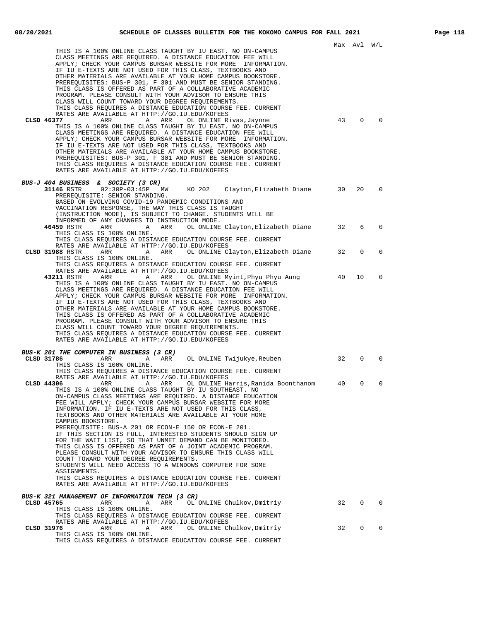|                                                                                                                                                                                                                                                                                                                                                                                                                                                                                                                                                                                                                                                                                                                                                                                                                                                                                                                                                                                                                                                                                                                                                                                                                                                                | Max Avl |             | W/L         |
|----------------------------------------------------------------------------------------------------------------------------------------------------------------------------------------------------------------------------------------------------------------------------------------------------------------------------------------------------------------------------------------------------------------------------------------------------------------------------------------------------------------------------------------------------------------------------------------------------------------------------------------------------------------------------------------------------------------------------------------------------------------------------------------------------------------------------------------------------------------------------------------------------------------------------------------------------------------------------------------------------------------------------------------------------------------------------------------------------------------------------------------------------------------------------------------------------------------------------------------------------------------|---------|-------------|-------------|
| THIS IS A 100% ONLINE CLASS TAUGHT BY IU EAST. NO ON-CAMPUS<br>CLASS MEETINGS ARE REQUIRED. A DISTANCE EDUCATION FEE WILL<br>APPLY; CHECK YOUR CAMPUS BURSAR WEBSITE FOR MORE INFORMATION.<br>IF IU E-TEXTS ARE NOT USED FOR THIS CLASS, TEXTBOOKS AND<br>OTHER MATERIALS ARE AVAILABLE AT YOUR HOME CAMPUS BOOKSTORE.<br>PREREQUISITES: BUS-P 301, F 301 AND MUST BE SENIOR STANDING.<br>THIS CLASS IS OFFERED AS PART OF A COLLABORATIVE ACADEMIC<br>PROGRAM. PLEASE CONSULT WITH YOUR ADVISOR TO ENSURE THIS<br>CLASS WILL COUNT TOWARD YOUR DEGREE REQUIREMENTS.<br>THIS CLASS REQUIRES A DISTANCE EDUCATION COURSE FEE. CURRENT<br>RATES ARE AVAILABLE AT HTTP://GO.IU.EDU/KOFEES<br>CLSD 46377<br>Α<br>ARR<br>OL ONLINE Rivas, Jaynne<br>ARR<br>THIS IS A 100% ONLINE CLASS TAUGHT BY IU EAST. NO ON-CAMPUS<br>CLASS MEETINGS ARE REQUIRED. A DISTANCE EDUCATION FEE WILL<br>APPLY; CHECK YOUR CAMPUS BURSAR WEBSITE FOR MORE INFORMATION.<br>IF IU E-TEXTS ARE NOT USED FOR THIS CLASS, TEXTBOOKS AND<br>OTHER MATERIALS ARE AVAILABLE AT YOUR HOME CAMPUS BOOKSTORE.<br>PREREQUISITES: BUS-P 301, F 301 AND MUST BE SENIOR STANDING.<br>THIS CLASS REQUIRES A DISTANCE EDUCATION COURSE FEE. CURRENT<br>RATES ARE AVAILABLE AT HTTP://GO.IU.EDU/KOFEES | 43      | 0           | $\mathbf 0$ |
| <i>BUS-J 404 BUSINESS &amp; SOCIETY (3 CR)</i><br>31146 RSTR 02:30P-03:45P<br>KO 202 Clayton, Elizabeth Diane<br>MW<br>PREREOUISITE: SENIOR STANDING.<br>BASED ON EVOLVING COVID-19 PANDEMIC CONDITIONS AND<br>VACCINATION RESPONSE, THE WAY THIS CLASS IS TAUGHT<br>(INSTRUCTION MODE), IS SUBJECT TO CHANGE. STUDENTS WILL BE                                                                                                                                                                                                                                                                                                                                                                                                                                                                                                                                                                                                                                                                                                                                                                                                                                                                                                                                | 30      | 20          | 0           |
| INFORMED OF ANY CHANGES TO INSTRUCTION MODE.<br>46459 RSTR<br>ARR<br>ARR<br>OL ONLINE Clayton,Elizabeth Diane<br><b>A</b><br>THIS CLASS IS 100% ONLINE.<br>THIS CLASS REQUIRES A DISTANCE EDUCATION COURSE FEE. CURRENT                                                                                                                                                                                                                                                                                                                                                                                                                                                                                                                                                                                                                                                                                                                                                                                                                                                                                                                                                                                                                                        | 32      | 6           | $\Omega$    |
| RATES ARE AVAILABLE AT HTTP://GO.IU.EDU/KOFEES<br>CLSD 31988 RSTR<br>ARR<br>Α<br>ARR OL ONLINE Clayton, Elizabeth Diane<br>THIS CLASS IS 100% ONLINE.<br>THIS CLASS REOUIRES A DISTANCE EDUCATION COURSE FEE. CURRENT<br>RATES ARE AVAILABLE AT HTTP://GO.IU.EDU/KOFEES                                                                                                                                                                                                                                                                                                                                                                                                                                                                                                                                                                                                                                                                                                                                                                                                                                                                                                                                                                                        | 32      | $\mathbf 0$ | 0           |
| 43211 RSTR<br>ARR<br>Α<br>ARR<br>OL ONLINE Myint, Phyu Phyu Aung<br>THIS IS A 100% ONLINE CLASS TAUGHT BY IU EAST. NO ON-CAMPUS<br>CLASS MEETINGS ARE REQUIRED. A DISTANCE EDUCATION FEE WILL<br>APPLY; CHECK YOUR CAMPUS BURSAR WEBSITE FOR MORE INFORMATION.<br>IF IU E-TEXTS ARE NOT USED FOR THIS CLASS, TEXTBOOKS AND<br>OTHER MATERIALS ARE AVAILABLE AT YOUR HOME CAMPUS BOOKSTORE.<br>THIS CLASS IS OFFERED AS PART OF A COLLABORATIVE ACADEMIC<br>PROGRAM. PLEASE CONSULT WITH YOUR ADVISOR TO ENSURE THIS<br>CLASS WILL COUNT TOWARD YOUR DEGREE REQUIREMENTS.<br>THIS CLASS REQUIRES A DISTANCE EDUCATION COURSE FEE. CURRENT<br>RATES ARE AVAILABLE AT HTTP://GO.IU.EDU/KOFEES                                                                                                                                                                                                                                                                                                                                                                                                                                                                                                                                                                     | 40      | 10          | 0           |
| BUS-K 201 THE COMPUTER IN BUSINESS (3 CR)                                                                                                                                                                                                                                                                                                                                                                                                                                                                                                                                                                                                                                                                                                                                                                                                                                                                                                                                                                                                                                                                                                                                                                                                                      |         |             |             |
| CLSD 31786<br>A<br>ARR<br>OL ONLINE Twijukye, Reuben<br>ARR<br>THIS CLASS IS 100% ONLINE.<br>THIS CLASS REQUIRES A DISTANCE EDUCATION COURSE FEE. CURRENT<br>RATES ARE AVAILABLE AT HTTP://GO.IU.EDU/KOFEES                                                                                                                                                                                                                                                                                                                                                                                                                                                                                                                                                                                                                                                                                                                                                                                                                                                                                                                                                                                                                                                    | 32      | $\Omega$    | $\Omega$    |
| CLSD 44306<br>ARR<br>A ARR<br>OL ONLINE Harris, Ranida Boonthanom<br>THIS IS A 100% ONLINE CLASS TAUGHT BY IU SOUTHEAST. NO<br>ON-CAMPUS CLASS MEETINGS ARE REQUIRED. A DISTANCE EDUCATION<br>FEE WILL APPLY; CHECK YOUR CAMPUS BURSAR WEBSITE FOR MORE<br>INFORMATION. IF IU E-TEXTS ARE NOT USED FOR THIS CLASS,<br>TEXTBOOKS AND OTHER MATERIALS ARE AVAILABLE AT YOUR HOME<br>CAMPUS BOOKSTORE.<br>PREREQUISITE: BUS-A 201 OR ECON-E 150 OR ECON-E 201.<br>IF THIS SECTION IS FULL, INTERESTED STUDENTS SHOULD SIGN UP<br>FOR THE WAIT LIST, SO THAT UNMET DEMAND CAN BE MONITORED.<br>THIS CLASS IS OFFERED AS PART OF A JOINT ACADEMIC PROGRAM.<br>PLEASE CONSULT WITH YOUR ADVISOR TO ENSURE THIS CLASS WILL<br>COUNT TOWARD YOUR DEGREE REQUIREMENTS.<br>STUDENTS WILL NEED ACCESS TO A WINDOWS COMPUTER FOR SOME<br>ASSIGNMENTS.<br>THIS CLASS REOUIRES A DISTANCE EDUCATION COURSE FEE. CURRENT<br>RATES ARE AVAILABLE AT HTTP://GO.IU.EDU/KOFEES                                                                                                                                                                                                                                                                                                    | 40      | $\Omega$    | 0           |
| BUS-K 321 MANAGEMENT OF INFORMATION TECH (3 CR)<br>ARR<br>CLSD 45765<br>Α<br>ARR<br>OL ONLINE Chulkov, Dmitriy<br>THIS CLASS IS 100% ONLINE.                                                                                                                                                                                                                                                                                                                                                                                                                                                                                                                                                                                                                                                                                                                                                                                                                                                                                                                                                                                                                                                                                                                   | 32      | 0           | 0           |
| THIS CLASS REQUIRES A DISTANCE EDUCATION COURSE FEE. CURRENT<br>RATES ARE AVAILABLE AT HTTP://GO.IU.EDU/KOFEES<br>CLSD 31976<br>ARR<br>Α<br>ARR<br>OL ONLINE Chulkov, Dmitriy<br>THIS CLASS IS 100% ONLINE.<br>THIS CLASS REQUIRES A DISTANCE EDUCATION COURSE FEE. CURRENT                                                                                                                                                                                                                                                                                                                                                                                                                                                                                                                                                                                                                                                                                                                                                                                                                                                                                                                                                                                    | 32      | 0           | 0           |
|                                                                                                                                                                                                                                                                                                                                                                                                                                                                                                                                                                                                                                                                                                                                                                                                                                                                                                                                                                                                                                                                                                                                                                                                                                                                |         |             |             |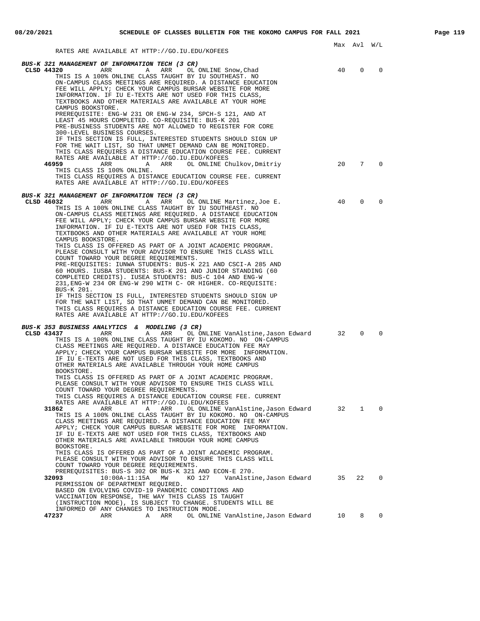|                                                                                                                                                                                                                                                                                                                                                                                                                                                                                                                                                                                                                                                                                                                                                                                                                                                                                                                                                                                                                                                                                                                                                                                                                                                                                                                                                                                        |          | Max Avl W/L              |                            |  |
|----------------------------------------------------------------------------------------------------------------------------------------------------------------------------------------------------------------------------------------------------------------------------------------------------------------------------------------------------------------------------------------------------------------------------------------------------------------------------------------------------------------------------------------------------------------------------------------------------------------------------------------------------------------------------------------------------------------------------------------------------------------------------------------------------------------------------------------------------------------------------------------------------------------------------------------------------------------------------------------------------------------------------------------------------------------------------------------------------------------------------------------------------------------------------------------------------------------------------------------------------------------------------------------------------------------------------------------------------------------------------------------|----------|--------------------------|----------------------------|--|
| RATES ARE AVAILABLE AT HTTP://GO.IU.EDU/KOFEES                                                                                                                                                                                                                                                                                                                                                                                                                                                                                                                                                                                                                                                                                                                                                                                                                                                                                                                                                                                                                                                                                                                                                                                                                                                                                                                                         |          |                          |                            |  |
| BUS-K 321 MANAGEMENT OF INFORMATION TECH (3 CR)<br>CLSD 44320<br>ARR ARR OL ONLINE Snow, Chad<br>THIS IS A 100% ONLINE CLASS TAUGHT BY IU SOUTHEAST. NO<br>ON-CAMPUS CLASS MEETINGS ARE REQUIRED. A DISTANCE EDUCATION<br>FEE WILL APPLY; CHECK YOUR CAMPUS BURSAR WEBSITE FOR MORE<br>INFORMATION. IF IU E-TEXTS ARE NOT USED FOR THIS CLASS,<br>TEXTBOOKS AND OTHER MATERIALS ARE AVAILABLE AT YOUR HOME<br>CAMPUS BOOKSTORE.<br>PREREQUISITE: ENG-W 231 OR ENG-W 234, SPCH-S 121, AND AT<br>LEAST 45 HOURS COMPLETED. CO-REQUISITE: BUS-K 201<br>PRE-BUSINESS STUDENTS ARE NOT ALLOWED TO REGISTER FOR CORE<br>300-LEVEL BUSINESS COURSES.<br>IF THIS SECTION IS FULL, INTERESTED STUDENTS SHOULD SIGN UP<br>FOR THE WAIT LIST, SO THAT UNMET DEMAND CAN BE MONITORED.<br>THIS CLASS REQUIRES A DISTANCE EDUCATION COURSE FEE. CURRENT<br>RATES ARE AVAILABLE AT HTTP://GO.IU.EDU/KOFEES<br>46959<br>ARR<br>A ARR<br>OL ONLINE Chulkov,Dmitriy<br>THIS CLASS IS 100% ONLINE.<br>THIS CLASS REQUIRES A DISTANCE EDUCATION COURSE FEE. CURRENT<br>RATES ARE AVAILABLE AT HTTP://GO.IU.EDU/KOFEES                                                                                                                                                                                                                                                                                      | 40<br>20 | $\Omega$<br>$7^{\circ}$  | 0<br>$\mathbf 0$           |  |
| <b>BUS-K 321 MANAGEMENT OF INFORMATION TECH (3 CR)</b><br>CLSD 46032<br>ARR<br>ARR<br>A<br>OL ONLINE Martinez,Joe E.<br>THIS IS A 100% ONLINE CLASS TAUGHT BY IU SOUTHEAST. NO<br>ON-CAMPUS CLASS MEETINGS ARE REQUIRED. A DISTANCE EDUCATION<br>FEE WILL APPLY; CHECK YOUR CAMPUS BURSAR WEBSITE FOR MORE<br>INFORMATION. IF IU E-TEXTS ARE NOT USED FOR THIS CLASS,<br>TEXTBOOKS AND OTHER MATERIALS ARE AVAILABLE AT YOUR HOME<br>CAMPUS BOOKSTORE.<br>THIS CLASS IS OFFERED AS PART OF A JOINT ACADEMIC PROGRAM.<br>PLEASE CONSULT WITH YOUR ADVISOR TO ENSURE THIS CLASS WILL<br>COUNT TOWARD YOUR DEGREE REOUIREMENTS.<br>PRE-REQUISITES: IUNWA STUDENTS: BUS-K 221 AND CSCI-A 285 AND<br>60 HOURS. IUSBA STUDENTS: BUS-K 201 AND JUNIOR STANDING (60<br>COMPLETED CREDITS). IUSEA STUDENTS: BUS-C 104 AND ENG-W<br>231, ENG-W 234 OR ENG-W 290 WITH C- OR HIGHER. CO-REQUISITE:<br>BUS-K 201.<br>IF THIS SECTION IS FULL, INTERESTED STUDENTS SHOULD SIGN UP<br>FOR THE WAIT LIST, SO THAT UNMET DEMAND CAN BE MONITORED.<br>THIS CLASS REQUIRES A DISTANCE EDUCATION COURSE FEE. CURRENT<br>RATES ARE AVAILABLE AT HTTP://GO.IU.EDU/KOFEES                                                                                                                                                                                                                                     | 40       | $\Omega$                 | $\mathbf 0$                |  |
| BUS-K 353 BUSINESS ANALYTICS & MODELING (3 CR)<br>CLSD 43437<br>ARR<br>OL ONLINE VanAlstine,Jason Edward<br>ARR<br>Α<br>THIS IS A 100% ONLINE CLASS TAUGHT BY IU KOKOMO. NO ON-CAMPUS<br>CLASS MEETINGS ARE REQUIRED. A DISTANCE EDUCATION FEE MAY<br>APPLY; CHECK YOUR CAMPUS BURSAR WEBSITE FOR MORE INFORMATION.<br>IF IU E-TEXTS ARE NOT USED FOR THIS CLASS, TEXTBOOKS AND<br>OTHER MATERIALS ARE AVAILABLE THROUGH YOUR HOME CAMPUS<br>BOOKSTORE.<br>THIS CLASS IS OFFERED AS PART OF A JOINT ACADEMIC PROGRAM.<br>PLEASE CONSULT WITH YOUR ADVISOR TO ENSURE THIS CLASS WILL<br>COUNT TOWARD YOUR DEGREE REQUIREMENTS.<br>THIS CLASS REQUIRES A DISTANCE EDUCATION COURSE FEE. CURRENT<br>RATES ARE AVAILABLE AT HTTP://GO.IU.EDU/KOFEES<br>OL ONLINE VanAlstine, Jason Edward 32<br>31862<br>ARR<br>Α<br>ARR<br>THIS IS A 100% ONLINE CLASS TAUGHT BY IU KOKOMO. NO ON-CAMPUS<br>CLASS MEETINGS ARE REQUIRED. A DISTANCE EDUCATION FEE MAY<br>APPLY; CHECK YOUR CAMPUS BURSAR WEBSITE FOR MORE INFORMATION.<br>IF IU E-TEXTS ARE NOT USED FOR THIS CLASS, TEXTBOOKS AND<br>OTHER MATERIALS ARE AVAILABLE THROUGH YOUR HOME CAMPUS<br>BOOKSTORE.<br>THIS CLASS IS OFFERED AS PART OF A JOINT ACADEMIC PROGRAM.<br>PLEASE CONSULT WITH YOUR ADVISOR TO ENSURE THIS CLASS WILL<br>COUNT TOWARD YOUR DEGREE REQUIREMENTS.<br>PREREQUISITES: BUS-S 302 OR BUS-K 321 AND ECON-E 270. | 32       | $\Omega$<br>$\mathbf{1}$ | $\mathbf 0$<br>$\mathbf 0$ |  |
| 10:00A-11:15A MW<br>KO 127<br>VanAlstine,Jason Edward 35<br>32093<br>PERMISSION OF DEPARTMENT REQUIRED.<br>BASED ON EVOLVING COVID-19 PANDEMIC CONDITIONS AND<br>VACCINATION RESPONSE, THE WAY THIS CLASS IS TAUGHT<br>(INSTRUCTION MODE), IS SUBJECT TO CHANGE. STUDENTS WILL BE                                                                                                                                                                                                                                                                                                                                                                                                                                                                                                                                                                                                                                                                                                                                                                                                                                                                                                                                                                                                                                                                                                      |          | 22                       | $\mathbf{0}$               |  |
| INFORMED OF ANY CHANGES TO INSTRUCTION MODE.<br>47237<br>ARR<br>ARR<br>OL ONLINE VanAlstine, Jason Edward 10<br>A                                                                                                                                                                                                                                                                                                                                                                                                                                                                                                                                                                                                                                                                                                                                                                                                                                                                                                                                                                                                                                                                                                                                                                                                                                                                      |          |                          | 8 0                        |  |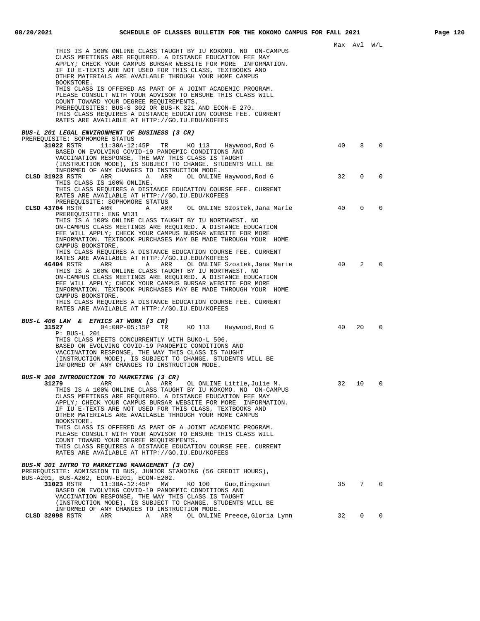|                                                                                                                                                                                                                                                                                                                                                                                                                                                                                                                                                                                                                                                                                  |          | Max Avl W/L   |                      |
|----------------------------------------------------------------------------------------------------------------------------------------------------------------------------------------------------------------------------------------------------------------------------------------------------------------------------------------------------------------------------------------------------------------------------------------------------------------------------------------------------------------------------------------------------------------------------------------------------------------------------------------------------------------------------------|----------|---------------|----------------------|
| THIS IS A 100% ONLINE CLASS TAUGHT BY IU KOKOMO. NO ON-CAMPUS<br>CLASS MEETINGS ARE REQUIRED. A DISTANCE EDUCATION FEE MAY<br>APPLY; CHECK YOUR CAMPUS BURSAR WEBSITE FOR MORE INFORMATION.<br>IF IU E-TEXTS ARE NOT USED FOR THIS CLASS, TEXTBOOKS AND<br>OTHER MATERIALS ARE AVAILABLE THROUGH YOUR HOME CAMPUS<br>BOOKSTORE.<br>THIS CLASS IS OFFERED AS PART OF A JOINT ACADEMIC PROGRAM.<br>PLEASE CONSULT WITH YOUR ADVISOR TO ENSURE THIS CLASS WILL<br>COUNT TOWARD YOUR DEGREE REQUIREMENTS.<br>PREREQUISITES: BUS-S 302 OR BUS-K 321 AND ECON-E 270.<br>THIS CLASS REQUIRES A DISTANCE EDUCATION COURSE FEE. CURRENT<br>RATES ARE AVAILABLE AT HTTP://GO.IU.EDU/KOFEES |          |               |                      |
|                                                                                                                                                                                                                                                                                                                                                                                                                                                                                                                                                                                                                                                                                  |          |               |                      |
| BUS-L 201 LEGAL ENVIRONMENT OF BUSINESS (3 CR)<br>PREREOUISITE: SOPHOMORE STATUS                                                                                                                                                                                                                                                                                                                                                                                                                                                                                                                                                                                                 |          |               |                      |
| 31022 RSTR $11:30A-12:45P$ TR KO 113 Haywood, Rod G<br>BASED ON EVOLVING COVID-19 PANDEMIC CONDITIONS AND<br>VACCINATION RESPONSE, THE WAY THIS CLASS IS TAUGHT<br>(INSTRUCTION MODE), IS SUBJECT TO CHANGE. STUDENTS WILL BE<br>INFORMED OF ANY CHANGES TO INSTRUCTION MODE.                                                                                                                                                                                                                                                                                                                                                                                                    | 40       | 8             | 0                    |
| CLSD 31923 RSTR ARR ARR ARR OL ONLINE Haywood, Rod G                                                                                                                                                                                                                                                                                                                                                                                                                                                                                                                                                                                                                             | 32       | $\mathbf{0}$  | $\Omega$             |
| THIS CLASS IS 100% ONLINE.<br>THIS CLASS REQUIRES A DISTANCE EDUCATION COURSE FEE. CURRENT<br>RATES ARE AVAILABLE AT HTTP://GO.IU.EDU/KOFEES<br>PREREQUISITE: SOPHOMORE STATUS                                                                                                                                                                                                                                                                                                                                                                                                                                                                                                   |          |               |                      |
| CLSD 43704 RSTR<br>ARR<br>A ARR<br>OL ONLINE Szostek,Jana Marie<br>PREREOUISITE: ENG W131<br>THIS IS A 100% ONLINE CLASS TAUGHT BY IU NORTHWEST. NO<br>ON-CAMPUS CLASS MEETINGS ARE REQUIRED. A DISTANCE EDUCATION<br>FEE WILL APPLY; CHECK YOUR CAMPUS BURSAR WEBSITE FOR MORE<br>INFORMATION. TEXTBOOK PURCHASES MAY BE MADE THROUGH YOUR HOME<br>CAMPUS BOOKSTORE.<br>THIS CLASS REQUIRES A DISTANCE EDUCATION COURSE FEE. CURRENT<br>RATES ARE AVAILABLE AT HTTP://GO.IU.EDU/KOFEES<br>46404 RSTR<br>ARR<br>A ARR<br>OL ONLINE Szostek,Jana Marie<br>THIS IS A 100% ONLINE CLASS TAUGHT BY IU NORTHWEST. NO<br>ON-CAMPUS CLASS MEETINGS ARE REQUIRED. A DISTANCE EDUCATION   | 40<br>40 | $\Omega$<br>2 | $\Omega$<br>$\Omega$ |
| FEE WILL APPLY; CHECK YOUR CAMPUS BURSAR WEBSITE FOR MORE<br>INFORMATION. TEXTBOOK PURCHASES MAY BE MADE THROUGH YOUR HOME<br>CAMPUS BOOKSTORE.<br>THIS CLASS REQUIRES A DISTANCE EDUCATION COURSE FEE. CURRENT<br>RATES ARE AVAILABLE AT HTTP://GO.IU.EDU/KOFEES                                                                                                                                                                                                                                                                                                                                                                                                                |          |               |                      |
| BUS-L 406 LAW & ETHICS AT WORK (3 CR)<br>04:00P-05:15P TR KO 113 Haywood,Rod G<br>31527<br>$P: BUS-L 201$<br>THIS CLASS MEETS CONCURRENTLY WITH BUKO-L 506.<br>BASED ON EVOLVING COVID-19 PANDEMIC CONDITIONS AND<br>VACCINATION RESPONSE, THE WAY THIS CLASS IS TAUGHT<br>(INSTRUCTION MODE), IS SUBJECT TO CHANGE. STUDENTS WILL BE<br>INFORMED OF ANY CHANGES TO INSTRUCTION MODE.                                                                                                                                                                                                                                                                                            | 40       | 20            | $\Omega$             |
| BUS-M 300 INTRODUCTION TO MARKETING (3 CR)<br>A ARR OL ONLINE Little, Julie M.<br>31279<br>ARR<br>THIS IS A 100% ONLINE CLASS TAUGHT BY IU KOKOMO. NO ON-CAMPUS<br>CLASS MEETINGS ARE REQUIRED. A DISTANCE EDUCATION FEE MAY<br>APPLY; CHECK YOUR CAMPUS BURSAR WEBSITE FOR MORE INFORMATION.<br>IF IU E-TEXTS ARE NOT USED FOR THIS CLASS, TEXTBOOKS AND<br>OTHER MATERIALS ARE AVAILABLE THROUGH YOUR HOME CAMPUS<br>BOOKSTORE.<br>THIS CLASS IS OFFERED AS PART OF A JOINT ACADEMIC PROGRAM.                                                                                                                                                                                  | 32       | 10            | 0                    |
| PLEASE CONSULT WITH YOUR ADVISOR TO ENSURE THIS CLASS WILL<br>COUNT TOWARD YOUR DEGREE REOUIREMENTS.<br>THIS CLASS REQUIRES A DISTANCE EDUCATION COURSE FEE. CURRENT<br>RATES ARE AVAILABLE AT HTTP://GO.IU.EDU/KOFEES<br>BUS-M 301 INTRO TO MARKETING MANAGEMENT (3 CR)<br>PREREQUISITE: ADMISSION TO BUS, JUNIOR STANDING (56 CREDIT HOURS),                                                                                                                                                                                                                                                                                                                                   |          |               |                      |
| BUS-A201, BUS-A202, ECON-E201, ECON-E202.<br>31023 RSTR<br>$11:30A-12:45P$<br>MM<br>KO 100<br>Guo, Bingxuan<br>BASED ON EVOLVING COVID-19 PANDEMIC CONDITIONS AND<br>VACCINATION RESPONSE, THE WAY THIS CLASS IS TAUGHT<br>(INSTRUCTION MODE), IS SUBJECT TO CHANGE. STUDENTS WILL BE<br>INFORMED OF ANY CHANGES TO INSTRUCTION MODE.                                                                                                                                                                                                                                                                                                                                            | 35       | 7             | $\overline{0}$       |
| CLSD 32098 RSTR<br>ARR<br>Α<br>OL ONLINE Preece, Gloria Lynn<br>ARR                                                                                                                                                                                                                                                                                                                                                                                                                                                                                                                                                                                                              | 32       | 0             | 0                    |
|                                                                                                                                                                                                                                                                                                                                                                                                                                                                                                                                                                                                                                                                                  |          |               |                      |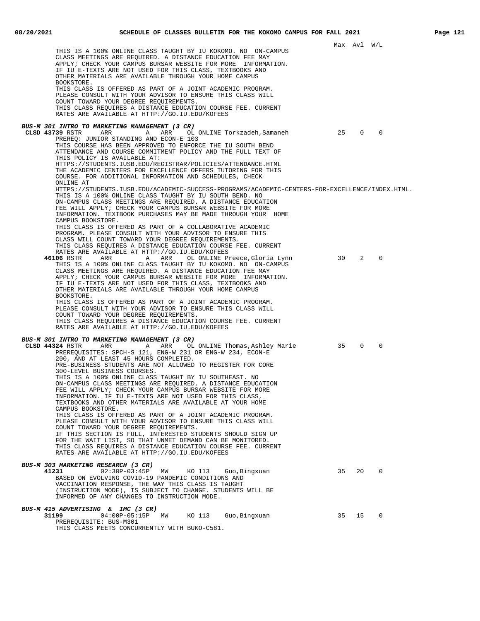|                                                                                                                                                                                                                                                                                                                                                                                                                                                                                                                                                                                                                                                                                                                                                                                                                                                                                                                                                                                                                                                                                                                                          |    | Max Avl W/L |             |  |
|------------------------------------------------------------------------------------------------------------------------------------------------------------------------------------------------------------------------------------------------------------------------------------------------------------------------------------------------------------------------------------------------------------------------------------------------------------------------------------------------------------------------------------------------------------------------------------------------------------------------------------------------------------------------------------------------------------------------------------------------------------------------------------------------------------------------------------------------------------------------------------------------------------------------------------------------------------------------------------------------------------------------------------------------------------------------------------------------------------------------------------------|----|-------------|-------------|--|
| THIS IS A 100% ONLINE CLASS TAUGHT BY IU KOKOMO. NO ON-CAMPUS<br>CLASS MEETINGS ARE REQUIRED. A DISTANCE EDUCATION FEE MAY<br>APPLY; CHECK YOUR CAMPUS BURSAR WEBSITE FOR MORE INFORMATION.<br>IF IU E-TEXTS ARE NOT USED FOR THIS CLASS, TEXTBOOKS AND<br>OTHER MATERIALS ARE AVAILABLE THROUGH YOUR HOME CAMPUS<br>BOOKSTORE.<br>THIS CLASS IS OFFERED AS PART OF A JOINT ACADEMIC PROGRAM.<br>PLEASE CONSULT WITH YOUR ADVISOR TO ENSURE THIS CLASS WILL<br>COUNT TOWARD YOUR DEGREE REQUIREMENTS.<br>THIS CLASS REQUIRES A DISTANCE EDUCATION COURSE FEE. CURRENT<br>RATES ARE AVAILABLE AT HTTP://GO.IU.EDU/KOFEES                                                                                                                                                                                                                                                                                                                                                                                                                                                                                                                  |    |             |             |  |
| BUS-M 301 INTRO TO MARKETING MANAGEMENT (3 CR)                                                                                                                                                                                                                                                                                                                                                                                                                                                                                                                                                                                                                                                                                                                                                                                                                                                                                                                                                                                                                                                                                           |    |             |             |  |
| CLSD 43739 RSTR<br>ARR<br>ARR<br>A<br>OL ONLINE Torkzadeh,Samaneh<br>PREREQ: JUNIOR STANDING AND ECON-E 103<br>THIS COURSE HAS BEEN APPROVED TO ENFORCE THE IU SOUTH BEND<br>ATTENDANCE AND COURSE COMMITMENT POLICY AND THE FULL TEXT OF<br>THIS POLICY IS AVAILABLE AT:<br>HTTPS://STUDENTS.IUSB.EDU/REGISTRAR/POLICIES/ATTENDANCE.HTML<br>THE ACADEMIC CENTERS FOR EXCELLENCE OFFERS TUTORING FOR THIS<br>COURSE. FOR ADDITIONAL INFORMATION AND SCHEDULES, CHECK<br>ONLINE AT<br>HTTPS://STUDENTS.IUSB.EDU/ACADEMIC-SUCCESS-PROGRAMS/ACADEMIC-CENTERS-FOR-EXCELLENCE/INDEX.HTML.<br>THIS IS A 100% ONLINE CLASS TAUGHT BY IU SOUTH BEND. NO<br>ON-CAMPUS CLASS MEETINGS ARE REQUIRED. A DISTANCE EDUCATION                                                                                                                                                                                                                                                                                                                                                                                                                           | 25 | 0           | $\mathbf 0$ |  |
| FEE WILL APPLY; CHECK YOUR CAMPUS BURSAR WEBSITE FOR MORE<br>INFORMATION. TEXTBOOK PURCHASES MAY BE MADE THROUGH YOUR HOME<br>CAMPUS BOOKSTORE.<br>THIS CLASS IS OFFERED AS PART OF A COLLABORATIVE ACADEMIC<br>PROGRAM. PLEASE CONSULT WITH YOUR ADVISOR TO ENSURE THIS<br>CLASS WILL COUNT TOWARD YOUR DEGREE REQUIREMENTS.<br>THIS CLASS REQUIRES A DISTANCE EDUCATION COURSE FEE. CURRENT<br>RATES ARE AVAILABLE AT HTTP://GO.IU.EDU/KOFEES<br>46106 RSTR<br>ARR<br>A ARR<br>OL ONLINE Preece,Gloria Lynn<br>THIS IS A 100% ONLINE CLASS TAUGHT BY IU KOKOMO. NO ON-CAMPUS<br>CLASS MEETINGS ARE REQUIRED. A DISTANCE EDUCATION FEE MAY<br>APPLY; CHECK YOUR CAMPUS BURSAR WEBSITE FOR MORE INFORMATION.<br>IF IU E-TEXTS ARE NOT USED FOR THIS CLASS, TEXTBOOKS AND<br>OTHER MATERIALS ARE AVAILABLE THROUGH YOUR HOME CAMPUS<br>BOOKSTORE.<br>THIS CLASS IS OFFERED AS PART OF A JOINT ACADEMIC PROGRAM.<br>PLEASE CONSULT WITH YOUR ADVISOR TO ENSURE THIS CLASS WILL<br>COUNT TOWARD YOUR DEGREE REQUIREMENTS.<br>THIS CLASS REQUIRES A DISTANCE EDUCATION COURSE FEE. CURRENT<br>RATES ARE AVAILABLE AT HTTP://GO.IU.EDU/KOFEES | 30 | 2           | $\mathbf 0$ |  |
| BUS-M 301 INTRO TO MARKETING MANAGEMENT (3 CR)<br>CLSD 44324 RSTR<br>ARR<br>A ARR<br>OL ONLINE Thomas,Ashley Marie<br>PREREOUISITES: SPCH-S 121, ENG-W 231 OR ENG-W 234, ECON-E<br>200, AND AT LEAST 45 HOURS COMPLETED.<br>PRE-BUSINESS STUDENTS ARE NOT ALLOWED TO REGISTER FOR CORE<br>300-LEVEL BUSINESS COURSES.<br>THIS IS A 100% ONLINE CLASS TAUGHT BY IU SOUTHEAST. NO<br>ON-CAMPUS CLASS MEETINGS ARE REQUIRED. A DISTANCE EDUCATION<br>FEE WILL APPLY; CHECK YOUR CAMPUS BURSAR WEBSITE FOR MORE<br>INFORMATION. IF IU E-TEXTS ARE NOT USED FOR THIS CLASS,<br>TEXTBOOKS AND OTHER MATERIALS ARE AVAILABLE AT YOUR HOME<br>CAMPUS BOOKSTORE.<br>THIS CLASS IS OFFERED AS PART OF A JOINT ACADEMIC PROGRAM.<br>PLEASE CONSULT WITH YOUR ADVISOR TO ENSURE THIS CLASS WILL<br>COUNT TOWARD YOUR DEGREE REQUIREMENTS.<br>IF THIS SECTION IS FULL, INTERESTED STUDENTS SHOULD SIGN UP<br>FOR THE WAIT LIST, SO THAT UNMET DEMAND CAN BE MONITORED.<br>THIS CLASS REQUIRES A DISTANCE EDUCATION COURSE FEE. CURRENT<br>RATES ARE AVAILABLE AT HTTP://GO.IU.EDU/KOFEES                                                              | 35 | $\mathbf 0$ | 0           |  |
| BUS-M 303 MARKETING RESEARCH (3 CR)<br>41231<br>$02:30P-03:45P$<br>MW<br>KO 113<br>Guo, Bingxuan<br>BASED ON EVOLVING COVID-19 PANDEMIC CONDITIONS AND<br>VACCINATION RESPONSE, THE WAY THIS CLASS IS TAUGHT<br>(INSTRUCTION MODE), IS SUBJECT TO CHANGE. STUDENTS WILL BE<br>INFORMED OF ANY CHANGES TO INSTRUCTION MODE.                                                                                                                                                                                                                                                                                                                                                                                                                                                                                                                                                                                                                                                                                                                                                                                                               | 35 | 20          | $\mathbf 0$ |  |
| BUS-M 415 ADVERTISING & IMC (3 CR)                                                                                                                                                                                                                                                                                                                                                                                                                                                                                                                                                                                                                                                                                                                                                                                                                                                                                                                                                                                                                                                                                                       |    |             |             |  |
| 04:00P-05:15P MW<br>31199<br>KO 113<br>Guo, Bingxuan<br>PREREQUISITE: BUS-M301<br>THIS CLASS MEETS CONCURRENTLY WITH BUKO-C581.                                                                                                                                                                                                                                                                                                                                                                                                                                                                                                                                                                                                                                                                                                                                                                                                                                                                                                                                                                                                          | 35 | 15          | $\mathbf 0$ |  |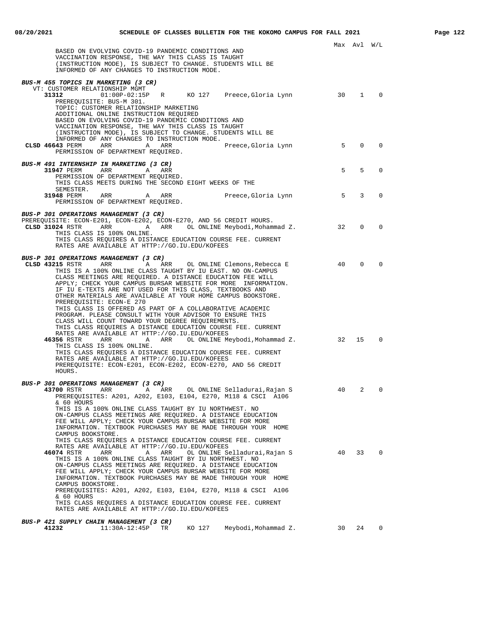|                                                                                                                                                                                                                                                                                                                                                                                                                                                                                                                                                                                                                                                                                                                                                     |    | Max Avl      | W/L         |
|-----------------------------------------------------------------------------------------------------------------------------------------------------------------------------------------------------------------------------------------------------------------------------------------------------------------------------------------------------------------------------------------------------------------------------------------------------------------------------------------------------------------------------------------------------------------------------------------------------------------------------------------------------------------------------------------------------------------------------------------------------|----|--------------|-------------|
| BASED ON EVOLVING COVID-19 PANDEMIC CONDITIONS AND<br>VACCINATION RESPONSE, THE WAY THIS CLASS IS TAUGHT<br>(INSTRUCTION MODE), IS SUBJECT TO CHANGE. STUDENTS WILL BE<br>INFORMED OF ANY CHANGES TO INSTRUCTION MODE.                                                                                                                                                                                                                                                                                                                                                                                                                                                                                                                              |    |              |             |
| BUS-M 455 TOPICS IN MARKETING (3 CR)                                                                                                                                                                                                                                                                                                                                                                                                                                                                                                                                                                                                                                                                                                                |    |              |             |
| VT: CUSTOMER RELATIONSHIP MGMT<br>R KO 127 Preece, Gloria Lynn<br>31312<br>$01:00P-02:15P$<br>PREREQUISITE: BUS-M 301.                                                                                                                                                                                                                                                                                                                                                                                                                                                                                                                                                                                                                              | 30 | $\mathbf{1}$ | 0           |
| TOPIC: CUSTOMER RELATIONSHIP MARKETING<br>ADDITIONAL ONLINE INSTRUCTION REQUIRED<br>BASED ON EVOLVING COVID-19 PANDEMIC CONDITIONS AND<br>VACCINATION RESPONSE, THE WAY THIS CLASS IS TAUGHT<br>(INSTRUCTION MODE), IS SUBJECT TO CHANGE. STUDENTS WILL BE<br>INFORMED OF ANY CHANGES TO INSTRUCTION MODE.                                                                                                                                                                                                                                                                                                                                                                                                                                          |    |              |             |
| CLSD 46643 PERM<br>ARR<br>Α<br>ARR<br>Preece, Gloria Lynn<br>PERMISSION OF DEPARTMENT REQUIRED.                                                                                                                                                                                                                                                                                                                                                                                                                                                                                                                                                                                                                                                     | 5  | $\Omega$     | $\Omega$    |
| BUS-M 491 INTERNSHIP IN MARKETING (3 CR)<br>31947 PERM<br>ARR<br>A<br>ARR<br>PERMISSION OF DEPARTMENT REQUIRED.                                                                                                                                                                                                                                                                                                                                                                                                                                                                                                                                                                                                                                     | 5  | 5            | $\mathbf 0$ |
| THIS CLASS MEETS DURING THE SECOND EIGHT WEEKS OF THE<br>SEMESTER.                                                                                                                                                                                                                                                                                                                                                                                                                                                                                                                                                                                                                                                                                  | 5  | 3            | 0           |
| 31948 PERM<br>ARR<br>A<br>ARR<br>Preece, Gloria Lynn<br>PERMISSION OF DEPARTMENT REQUIRED.                                                                                                                                                                                                                                                                                                                                                                                                                                                                                                                                                                                                                                                          |    |              |             |
| BUS-P 301 OPERATIONS MANAGEMENT (3 CR)<br>PREREQUISITE: ECON-E201, ECON-E202, ECON-E270, AND 56 CREDIT HOURS.<br>ARR OL ONLINE Meybodi, Mohammad Z.<br>CLSD 31024 RSTR<br>$\mathbf{A}$<br>ARR<br>THIS CLASS IS 100% ONLINE.                                                                                                                                                                                                                                                                                                                                                                                                                                                                                                                         | 32 | 0            | 0           |
| THIS CLASS REQUIRES A DISTANCE EDUCATION COURSE FEE. CURRENT<br>RATES ARE AVAILABLE AT HTTP://GO.IU.EDU/KOFEES                                                                                                                                                                                                                                                                                                                                                                                                                                                                                                                                                                                                                                      |    |              |             |
| BUS-P 301 OPERATIONS MANAGEMENT (3 CR)<br>CLSD 43215 RSTR<br>ARR<br>A<br>ARR<br>OL ONLINE Clemons, Rebecca E<br>THIS IS A 100% ONLINE CLASS TAUGHT BY IU EAST. NO ON-CAMPUS<br>CLASS MEETINGS ARE REQUIRED. A DISTANCE EDUCATION FEE WILL<br>APPLY; CHECK YOUR CAMPUS BURSAR WEBSITE FOR MORE INFORMATION.<br>IF IU E-TEXTS ARE NOT USED FOR THIS CLASS, TEXTBOOKS AND<br>OTHER MATERIALS ARE AVAILABLE AT YOUR HOME CAMPUS BOOKSTORE.<br>PREREQUISITE: ECON-E 270<br>THIS CLASS IS OFFERED AS PART OF A COLLABORATIVE ACADEMIC<br>PROGRAM. PLEASE CONSULT WITH YOUR ADVISOR TO ENSURE THIS<br>CLASS WILL COUNT TOWARD YOUR DEGREE REQUIREMENTS.                                                                                                    | 40 | 0            | $\Omega$    |
| THIS CLASS REQUIRES A DISTANCE EDUCATION COURSE FEE. CURRENT<br>RATES ARE AVAILABLE AT HTTP://GO.IU.EDU/KOFEES<br>46356 RSTR<br>ARR<br>OL ONLINE Meybodi,Mohammad Z.<br>ARR<br>A<br>THIS CLASS IS 100% ONLINE.<br>THIS CLASS REQUIRES A DISTANCE EDUCATION COURSE FEE. CURRENT<br>RATES ARE AVAILABLE AT HTTP://GO.IU.EDU/KOFEES<br>PREREQUISITE: ECON-E201, ECON-E202, ECON-E270, AND 56 CREDIT<br>HOURS.                                                                                                                                                                                                                                                                                                                                          | 32 | 15           | $\mathbf 0$ |
| BUS-P 301 OPERATIONS MANAGEMENT (3 CR)<br><b>43700</b> RSTR ARR ARR<br>OL ONLINE Selladurai, Rajan S<br>PREREOUISITES: A201, A202, E103, E104, E270, M118 & CSCI A106<br>& 60 HOURS<br>THIS IS A 100% ONLINE CLASS TAUGHT BY IU NORTHWEST. NO<br>ON-CAMPUS CLASS MEETINGS ARE REOUIRED. A DISTANCE EDUCATION<br>FEE WILL APPLY; CHECK YOUR CAMPUS BURSAR WEBSITE FOR MORE                                                                                                                                                                                                                                                                                                                                                                           | 40 | 2            | 0           |
| INFORMATION. TEXTBOOK PURCHASES MAY BE MADE THROUGH YOUR HOME<br>CAMPUS BOOKSTORE.<br>THIS CLASS REQUIRES A DISTANCE EDUCATION COURSE FEE. CURRENT<br>RATES ARE AVAILABLE AT HTTP://GO.IU.EDU/KOFEES<br>46074 RSTR<br>OL ONLINE Selladurai, Rajan S<br>ARR<br>Α<br>ARR<br>THIS IS A 100% ONLINE CLASS TAUGHT BY IU NORTHWEST. NO<br>ON-CAMPUS CLASS MEETINGS ARE REQUIRED. A DISTANCE EDUCATION<br>FEE WILL APPLY; CHECK YOUR CAMPUS BURSAR WEBSITE FOR MORE<br>INFORMATION. TEXTBOOK PURCHASES MAY BE MADE THROUGH YOUR HOME<br>CAMPUS BOOKSTORE.<br>PREREOUISITES: A201, A202, E103, E104, E270, M118 & CSCI A106<br>& 60 HOURS<br>THIS CLASS REQUIRES A DISTANCE EDUCATION COURSE FEE. CURRENT<br>RATES ARE AVAILABLE AT HTTP://GO.IU.EDU/KOFEES | 40 | 33           | $\circ$     |
| BUS-P 421 SUPPLY CHAIN MANAGEMENT (3 CR)<br>$11:30A-12:45P$<br>KO 127<br>Meybodi, Mohammad Z.<br>41232<br>TR                                                                                                                                                                                                                                                                                                                                                                                                                                                                                                                                                                                                                                        | 30 | 24           | 0           |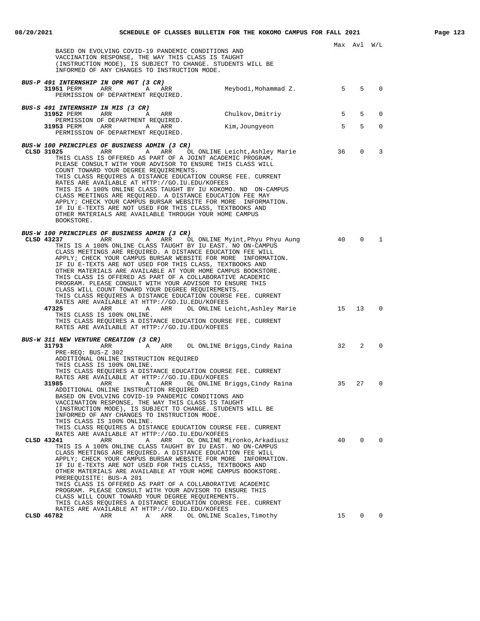Max Avl W/L BASED ON EVOLVING COVID-19 PANDEMIC CONDITIONS AND VACCINATION RESPONSE, THE WAY THIS CLASS IS TAUGHT (INSTRUCTION MODE), IS SUBJECT TO CHANGE. STUDENTS WILL BE INFORMED OF ANY CHANGES TO INSTRUCTION MODE. **BUS-P 491 INTERNSHIP IN OPR MGT (3 CR) 31951** PERM ARR A ARR Meybodi, Mohammad Z. 5 5 0 PERMISSION OF DEPARTMENT REQUIRED. **BUS-S 491 INTERNSHIP IN MIS (3 CR)**<br>31952 PERM ARR A ARR **31952** PERM ARR ARR Chulkov, Dmitriy 5 5 5 0 PERMISSION OF DEPARTMENT REQUIRED. **31953** PERM ARR A ARR Kim, Joungyeon 5 5 5 0 PERMISSION OF DEPARTMENT REQUIRED. **BUS-W 100 PRINCIPLES OF BUSINESS ADMIN (3 CR) CLSD 31025** ARR A ARR OL ONLINE Leicht, Ashley Marie 36 0 3 THIS CLASS IS OFFERED AS PART OF A JOINT ACADEMIC PROGRAM. PLEASE CONSULT WITH YOUR ADVISOR TO ENSURE THIS CLASS WILL COUNT TOWARD YOUR DEGREE REQUIREMENTS. THIS CLASS REQUIRES A DISTANCE EDUCATION COURSE FEE. CURRENT RATES ARE AVAILABLE AT HTTP://GO.IU.EDU/KOFEES THIS IS A 100% ONLINE CLASS TAUGHT BY IU KOKOMO. NO ON-CAMPUS CLASS MEETINGS ARE REQUIRED. A DISTANCE EDUCATION FEE MAY APPLY; CHECK YOUR CAMPUS BURSAR WEBSITE FOR MORE INFORMATION. IF IU E-TEXTS ARE NOT USED FOR THIS CLASS, TEXTBOOKS AND OTHER MATERIALS ARE AVAILABLE THROUGH YOUR HOME CAMPUS BOOKSTORE. **BUS-W 100 PRINCIPLES OF BUSINESS ADMIN (3 CR) CLSD 43237** ARR A ARR OL ONLINE Myint, Phyu Phyu Aung 40 0 1 THIS IS A 100% ONLINE CLASS TAUGHT BY IU EAST. NO ON-CAMPUS CLASS MEETINGS ARE REQUIRED. A DISTANCE EDUCATION FEE WILL APPLY; CHECK YOUR CAMPUS BURSAR WEBSITE FOR MORE INFORMATION. IF IU E-TEXTS ARE NOT USED FOR THIS CLASS, TEXTBOOKS AND OTHER MATERIALS ARE AVAILABLE AT YOUR HOME CAMPUS BOOKSTORE. THIS CLASS IS OFFERED AS PART OF A COLLABORATIVE ACADEMIC PROGRAM. PLEASE CONSULT WITH YOUR ADVISOR TO ENSURE THIS CLASS WILL COUNT TOWARD YOUR DEGREE REQUIREMENTS. THIS CLASS REQUIRES A DISTANCE EDUCATION COURSE FEE. CURRENT RATES ARE AVAILABLE AT HTTP://GO.IU.EDU/KOFEES ARR ARR OL ONLINE Leicht, Ashley Marie 15 13 0 THIS CLASS IS 100% ONLINE. THIS CLASS REQUIRES A DISTANCE EDUCATION COURSE FEE. CURRENT RATES ARE AVAILABLE AT HTTP://GO.IU.EDU/KOFEES **BUS-W 311 NEW VENTURE CREATION (3 CR)**<br>31793 ARR A **31793** ARR A ARR OL ONLINE Briggs,Cindy Raina 32 2 0 PRE-REQ: BUS-Z 302 ADDITIONAL ONLINE INSTRUCTION REQUIRED THIS CLASS IS 100% ONLINE. THIS CLASS REQUIRES A DISTANCE EDUCATION COURSE FEE. CURRENT RATES ARE AVAILABLE AT HTTP://GO.IU.EDU/KOFEES **31985** ARR A ARR OL ONLINE Briggs,Cindy Raina 35 27 0 ADDITIONAL ONLINE INSTRUCTION REQUIRED BASED ON EVOLVING COVID-19 PANDEMIC CONDITIONS AND VACCINATION RESPONSE, THE WAY THIS CLASS IS TAUGHT (INSTRUCTION MODE), IS SUBJECT TO CHANGE. STUDENTS WILL BE INFORMED OF ANY CHANGES TO INSTRUCTION MODE. THIS CLASS IS 100% ONLINE. THIS CLASS REQUIRES A DISTANCE EDUCATION COURSE FEE. CURRENT RATES ARE AVAILABLE AT HTTP://GO.IU.EDU/KOFEES<br>CLSD 43241 ARR A ARR OLONLINE Mi **ARR A** ARR OL ONLINE Mironko,Arkadiusz 40 0 0 THIS IS A 100% ONLINE CLASS TAUGHT BY IU EAST. NO ON-CAMPUS CLASS MEETINGS ARE REQUIRED. A DISTANCE EDUCATION FEE WILL APPLY; CHECK YOUR CAMPUS BURSAR WEBSITE FOR MORE INFORMATION. IF IU E-TEXTS ARE NOT USED FOR THIS CLASS, TEXTBOOKS AND OTHER MATERIALS ARE AVAILABLE AT YOUR HOME CAMPUS BOOKSTORE. PREREQUISITE: BUS-A 201 THIS CLASS IS OFFERED AS PART OF A COLLABORATIVE ACADEMIC PROGRAM. PLEASE CONSULT WITH YOUR ADVISOR TO ENSURE THIS CLASS WILL COUNT TOWARD YOUR DEGREE REQUIREMENTS. THIS CLASS REQUIRES A DISTANCE EDUCATION COURSE FEE. CURRENT RATES ARE AVAILABLE AT HTTP://GO.IU.EDU/KOFEES<br>CLSD 46782 ARR ARR OL ONLINE S **CLSD 46782** ARR A ARR OL ONLINE Scales,Timothy 15 0 0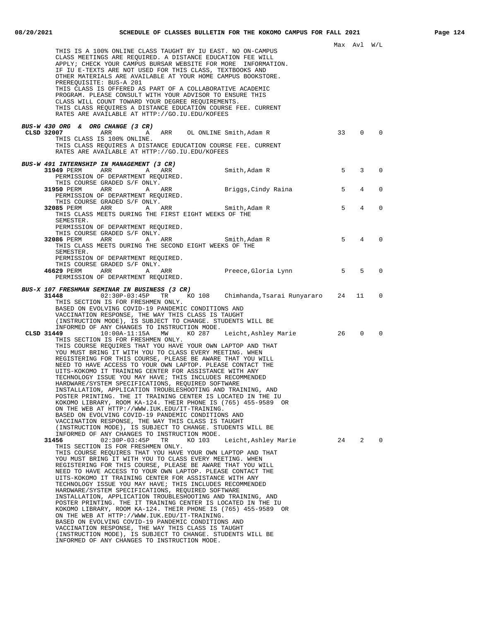| THIS IS A 100% ONLINE CLASS TAUGHT BY IU EAST. NO ON-CAMPUS<br>CLASS MEETINGS ARE REQUIRED. A DISTANCE EDUCATION FEE WILL<br>APPLY; CHECK YOUR CAMPUS BURSAR WEBSITE FOR MORE INFORMATION.<br>IF IU E-TEXTS ARE NOT USED FOR THIS CLASS, TEXTBOOKS AND<br>OTHER MATERIALS ARE AVAILABLE AT YOUR HOME CAMPUS BOOKSTORE.<br>PREREQUISITE: BUS-A 201<br>THIS CLASS IS OFFERED AS PART OF A COLLABORATIVE ACADEMIC<br>PROGRAM. PLEASE CONSULT WITH YOUR ADVISOR TO ENSURE THIS                                                                                                                                                                                                                                                                                                                                                                                                                                                                                                                                                                                                                                                 |             | Max Avl W/L    |                            |
|----------------------------------------------------------------------------------------------------------------------------------------------------------------------------------------------------------------------------------------------------------------------------------------------------------------------------------------------------------------------------------------------------------------------------------------------------------------------------------------------------------------------------------------------------------------------------------------------------------------------------------------------------------------------------------------------------------------------------------------------------------------------------------------------------------------------------------------------------------------------------------------------------------------------------------------------------------------------------------------------------------------------------------------------------------------------------------------------------------------------------|-------------|----------------|----------------------------|
| CLASS WILL COUNT TOWARD YOUR DEGREE REQUIREMENTS.<br>THIS CLASS REQUIRES A DISTANCE EDUCATION COURSE FEE. CURRENT<br>RATES ARE AVAILABLE AT HTTP://GO.IU.EDU/KOFEES                                                                                                                                                                                                                                                                                                                                                                                                                                                                                                                                                                                                                                                                                                                                                                                                                                                                                                                                                        |             |                |                            |
| BUS-W 430 ORG & ORG CHANGE (3 CR)<br>ARR A<br>CLSD 32007<br>ARR OL ONLINE Smith, Adam R<br>THIS CLASS IS 100% ONLINE.<br>THIS CLASS REQUIRES A DISTANCE EDUCATION COURSE FEE. CURRENT<br>RATES ARE AVAILABLE AT HTTP://GO.IU.EDU/KOFEES                                                                                                                                                                                                                                                                                                                                                                                                                                                                                                                                                                                                                                                                                                                                                                                                                                                                                    | 33          | $\Omega$       | $\mathbf 0$                |
| BUS-W 491 INTERNSHIP IN MANAGEMENT (3 CR)<br>$\sim$ 5 $\sim$ 5 $\sim$ 5 $\sim$ 5<br>31949 PERM ARR ARR ARR<br>Smith,Adam R<br>PERMISSION OF DEPARTMENT REQUIRED.                                                                                                                                                                                                                                                                                                                                                                                                                                                                                                                                                                                                                                                                                                                                                                                                                                                                                                                                                           |             | 3              | $\mathbf 0$                |
| THIS COURSE GRADED S/F ONLY.<br>31950 PERM ARR ARR ARR<br>Briggs, Cindy Raina<br>PERMISSION OF DEPARTMENT REQUIRED.<br>THIS COURSE GRADED S/F ONLY.                                                                                                                                                                                                                                                                                                                                                                                                                                                                                                                                                                                                                                                                                                                                                                                                                                                                                                                                                                        | 5           | 4              | 0                          |
| 32085 PERM ARR ARR ARR Smith, Adam R<br>THIS CLASS MEETS DURING THE FIRST EIGHT WEEKS OF THE<br>SEMESTER.<br>PERMISSION OF DEPARTMENT REQUIRED.                                                                                                                                                                                                                                                                                                                                                                                                                                                                                                                                                                                                                                                                                                                                                                                                                                                                                                                                                                            | 5           | $\overline{4}$ | $\mathbf 0$                |
| THIS COURSE GRADED S/F ONLY.<br>Smith, Adam R<br>32086 PERM<br>ARR<br>A ARR<br>THIS CLASS MEETS DURING THE SECOND EIGHT WEEKS OF THE<br>SEMESTER.                                                                                                                                                                                                                                                                                                                                                                                                                                                                                                                                                                                                                                                                                                                                                                                                                                                                                                                                                                          | $5^{\circ}$ | $\overline{4}$ | $\mathbf 0$                |
| PERMISSION OF DEPARTMENT REQUIRED.<br>THIS COURSE GRADED S/F ONLY.<br>46629 PERM<br>ARR<br>PERMISSION OF DEPARTMENT REQUIRED.                                                                                                                                                                                                                                                                                                                                                                                                                                                                                                                                                                                                                                                                                                                                                                                                                                                                                                                                                                                              |             | 5              | $\mathbf 0$                |
| BUS-X 107 FRESHMAN SEMINAR IN BUSINESS (3 CR)<br>$02:30P-03:45P$ TR<br>KO 108    Chimhanda,Tsarai Runyararo    24<br>31448                                                                                                                                                                                                                                                                                                                                                                                                                                                                                                                                                                                                                                                                                                                                                                                                                                                                                                                                                                                                 |             | 11             | $\mathbf 0$                |
| THIS SECTION IS FOR FRESHMEN ONLY.<br>BASED ON EVOLVING COVID-19 PANDEMIC CONDITIONS AND<br>VACCINATION RESPONSE, THE WAY THIS CLASS IS TAUGHT<br>(INSTRUCTION MODE), IS SUBJECT TO CHANGE. STUDENTS WILL BE<br>INFORMED OF ANY CHANGES TO INSTRUCTION MODE.                                                                                                                                                                                                                                                                                                                                                                                                                                                                                                                                                                                                                                                                                                                                                                                                                                                               |             |                |                            |
| CLSD 31449<br>$10:00A-11:15A$ MW<br>KO 287 Leicht, Ashley Marie<br>THIS SECTION IS FOR FRESHMEN ONLY.<br>THIS COURSE REQUIRES THAT YOU HAVE YOUR OWN LAPTOP AND THAT<br>YOU MUST BRING IT WITH YOU TO CLASS EVERY MEETING. WHEN<br>REGISTERING FOR THIS COURSE, PLEASE BE AWARE THAT YOU WILL<br>NEED TO HAVE ACCESS TO YOUR OWN LAPTOP. PLEASE CONTACT THE<br>UITS-KOKOMO IT TRAINING CENTER FOR ASSISTANCE WITH ANY<br>TECHNOLOGY ISSUE YOU MAY HAVE; THIS INCLUDES RECOMMENDED<br>HARDWARE/SYSTEM SPECIFICATIONS, REQUIRED SOFTWARE<br>INSTALLATION, APPLICATION TROUBLESHOOTING AND TRAINING, AND<br>POSTER PRINTING. THE IT TRAINING CENTER IS LOCATED IN THE IU<br>KOKOMO LIBRARY, ROOM KA-124. THEIR PHONE IS (765) 455-9589 OR<br>ON THE WEB AT HTTP://WWW.IUK.EDU/IT-TRAINING.<br>BASED ON EVOLVING COVID-19 PANDEMIC CONDITIONS AND<br>VACCINATION RESPONSE, THE WAY THIS CLASS IS TAUGHT<br>(INSTRUCTION MODE), IS SUBJECT TO CHANGE. STUDENTS WILL BE<br>INFORMED OF ANY CHANGES TO INSTRUCTION MODE.<br>31456<br>$02:30P-03:45P$<br>TR<br>KO 103<br>Leicht.Ashlev Marie<br>THIS SECTION IS FOR FRESHMEN ONLY. | 26<br>24    | $\Omega$<br>2  | $\mathbf 0$<br>$\mathbf 0$ |
| THIS COURSE REQUIRES THAT YOU HAVE YOUR OWN LAPTOP AND THAT<br>YOU MUST BRING IT WITH YOU TO CLASS EVERY MEETING. WHEN<br>REGISTERING FOR THIS COURSE, PLEASE BE AWARE THAT YOU WILL<br>NEED TO HAVE ACCESS TO YOUR OWN LAPTOP. PLEASE CONTACT THE<br>UITS-KOKOMO IT TRAINING CENTER FOR ASSISTANCE WITH ANY<br>TECHNOLOGY ISSUE YOU MAY HAVE; THIS INCLUDES RECOMMENDED<br>HARDWARE/SYSTEM SPECIFICATIONS, REQUIRED SOFTWARE<br>INSTALLATION, APPLICATION TROUBLESHOOTING AND TRAINING, AND<br>POSTER PRINTING. THE IT TRAINING CENTER IS LOCATED IN THE IU<br>KOKOMO LIBRARY, ROOM KA-124. THEIR PHONE IS (765) 455-9589 OR<br>ON THE WEB AT HTTP://WWW.IUK.EDU/IT-TRAINING.<br>BASED ON EVOLVING COVID-19 PANDEMIC CONDITIONS AND<br>VACCINATION RESPONSE, THE WAY THIS CLASS IS TAUGHT<br>(INSTRUCTION MODE), IS SUBJECT TO CHANGE. STUDENTS WILL BE<br>INFORMED OF ANY CHANGES TO INSTRUCTION MODE.                                                                                                                                                                                                                   |             |                |                            |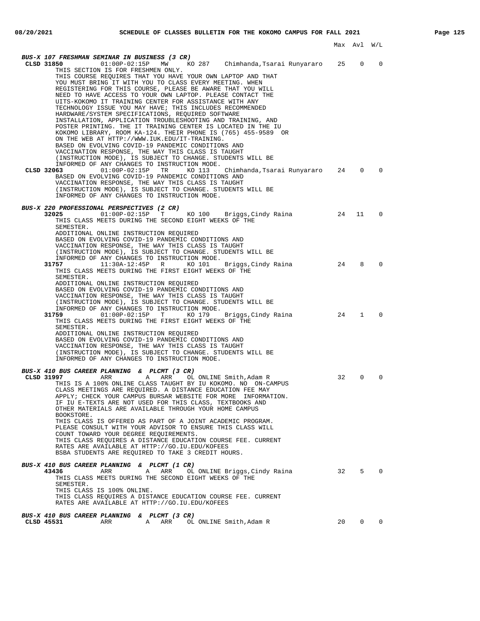| BUS-X 107 FRESHMAN SEMINAR IN BUSINESS (3 CR)<br>KO 287   Chimhanda,Tsarai Runyararo<br>CLSD 31850<br>$01:00P-02:15P$ MW<br>THIS SECTION IS FOR FRESHMEN ONLY.<br>THIS COURSE REOUIRES THAT YOU HAVE YOUR OWN LAPTOP AND THAT<br>YOU MUST BRING IT WITH YOU TO CLASS EVERY MEETING. WHEN<br>REGISTERING FOR THIS COURSE, PLEASE BE AWARE THAT YOU WILL<br>NEED TO HAVE ACCESS TO YOUR OWN LAPTOP. PLEASE CONTACT THE<br>UITS-KOKOMO IT TRAINING CENTER FOR ASSISTANCE WITH ANY<br>TECHNOLOGY ISSUE YOU MAY HAVE; THIS INCLUDES RECOMMENDED<br>HARDWARE/SYSTEM SPECIFICATIONS, REQUIRED SOFTWARE<br>INSTALLATION, APPLICATION TROUBLESHOOTING AND TRAINING, AND<br>POSTER PRINTING. THE IT TRAINING CENTER IS LOCATED IN THE IU<br>KOKOMO LIBRARY, ROOM KA-124. THEIR PHONE IS (765) 455-9589 OR<br>ON THE WEB AT HTTP://WWW.IUK.EDU/IT-TRAINING.<br>BASED ON EVOLVING COVID-19 PANDEMIC CONDITIONS AND | 25       | $\mathbf 0$ | $\Omega$       |
|--------------------------------------------------------------------------------------------------------------------------------------------------------------------------------------------------------------------------------------------------------------------------------------------------------------------------------------------------------------------------------------------------------------------------------------------------------------------------------------------------------------------------------------------------------------------------------------------------------------------------------------------------------------------------------------------------------------------------------------------------------------------------------------------------------------------------------------------------------------------------------------------------------|----------|-------------|----------------|
| VACCINATION RESPONSE, THE WAY THIS CLASS IS TAUGHT<br>(INSTRUCTION MODE), IS SUBJECT TO CHANGE. STUDENTS WILL BE<br>INFORMED OF ANY CHANGES TO INSTRUCTION MODE.<br>$01:00P-02:15P$<br>TR<br>KO 113<br>CLSD 32063<br>Chimhanda,Tsarai Runyararo<br>BASED ON EVOLVING COVID-19 PANDEMIC CONDITIONS AND<br>VACCINATION RESPONSE, THE WAY THIS CLASS IS TAUGHT<br>(INSTRUCTION MODE), IS SUBJECT TO CHANGE. STUDENTS WILL BE<br>INFORMED OF ANY CHANGES TO INSTRUCTION MODE.                                                                                                                                                                                                                                                                                                                                                                                                                              | 24       | 0           | 0              |
| BUS-X 220 PROFESSIONAL PERSPECTIVES (2 CR)<br>32025<br>$01:00P-02:15P$ T<br>KO 100 Briggs, Cindy Raina<br>THIS CLASS MEETS DURING THE SECOND EIGHT WEEKS OF THE<br>SEMESTER.<br>ADDITIONAL ONLINE INSTRUCTION REQUIRED<br>BASED ON EVOLVING COVID-19 PANDEMIC CONDITIONS AND<br>VACCINATION RESPONSE, THE WAY THIS CLASS IS TAUGHT<br>(INSTRUCTION MODE), IS SUBJECT TO CHANGE. STUDENTS WILL BE<br>INFORMED OF ANY CHANGES TO INSTRUCTION MODE.<br>31757<br>11:30A-12:45P<br>R<br>KO 101                                                                                                                                                                                                                                                                                                                                                                                                              | 24<br>24 | 11<br>8     | 0<br>0         |
| Briggs, Cindy Raina<br>THIS CLASS MEETS DURING THE FIRST EIGHT WEEKS OF THE<br>SEMESTER.<br>ADDITIONAL ONLINE INSTRUCTION REQUIRED<br>BASED ON EVOLVING COVID-19 PANDEMIC CONDITIONS AND<br>VACCINATION RESPONSE, THE WAY THIS CLASS IS TAUGHT<br>(INSTRUCTION MODE), IS SUBJECT TO CHANGE. STUDENTS WILL BE<br>INFORMED OF ANY CHANGES TO INSTRUCTION MODE.<br>31759<br>01:00P-02:15P T KO 179 Briggs, Cindy Raina<br>THIS CLASS MEETS DURING THE FIRST EIGHT WEEKS OF THE<br>SEMESTER.<br>ADDITIONAL ONLINE INSTRUCTION REQUIRED<br>BASED ON EVOLVING COVID-19 PANDEMIC CONDITIONS AND<br>VACCINATION RESPONSE, THE WAY THIS CLASS IS TAUGHT<br>(INSTRUCTION MODE), IS SUBJECT TO CHANGE. STUDENTS WILL BE<br>INFORMED OF ANY CHANGES TO INSTRUCTION MODE.                                                                                                                                           | 24       | 1           | 0              |
| BUS-X 410 BUS CAREER PLANNING & PLCMT (3 CR)<br>CLSD 31997<br>ARR<br>Α<br>ARR<br>OL ONLINE Smith, Adam R<br>THIS IS A 100% ONLINE CLASS TAUGHT BY IU KOKOMO. NO ON-CAMPUS<br>CLASS MEETINGS ARE REQUIRED. A DISTANCE EDUCATION FEE MAY<br>APPLY; CHECK YOUR CAMPUS BURSAR WEBSITE FOR MORE INFORMATION.<br>IF IU E-TEXTS ARE NOT USED FOR THIS CLASS, TEXTBOOKS AND<br>OTHER MATERIALS ARE AVAILABLE THROUGH YOUR HOME CAMPUS<br>BOOKSTORE.<br>THIS CLASS IS OFFERED AS PART OF A JOINT ACADEMIC PROGRAM.<br>PLEASE CONSULT WITH YOUR ADVISOR TO ENSURE THIS CLASS WILL<br>COUNT TOWARD YOUR DEGREE REOUIREMENTS.<br>THIS CLASS REQUIRES A DISTANCE EDUCATION COURSE FEE. CURRENT<br>RATES ARE AVAILABLE AT HTTP://GO.IU.EDU/KOFEES<br>BSBA STUDENTS ARE REQUIRED TO TAKE 3 CREDIT HOURS.                                                                                                              | 32       | $\mathbf 0$ | 0              |
| BUS-X 410 BUS CAREER PLANNING & PLCMT (1 CR)<br>OL ONLINE Briggs, Cindy Raina 32 5<br>43436<br>ARR<br>Α<br>ARR<br>THIS CLASS MEETS DURING THE SECOND EIGHT WEEKS OF THE<br>SEMESTER.<br>THIS CLASS IS 100% ONLINE.<br>THIS CLASS REQUIRES A DISTANCE EDUCATION COURSE FEE. CURRENT<br>RATES ARE AVAILABLE AT HTTP://GO.IU.EDU/KOFEES                                                                                                                                                                                                                                                                                                                                                                                                                                                                                                                                                                   |          |             | $\overline{0}$ |
| BUS-X 410 BUS CAREER PLANNING & PLCMT (3 CR)<br>CLSD 45531                                                                                                                                                                                                                                                                                                                                                                                                                                                                                                                                                                                                                                                                                                                                                                                                                                             | 20       |             | $0\qquad 0$    |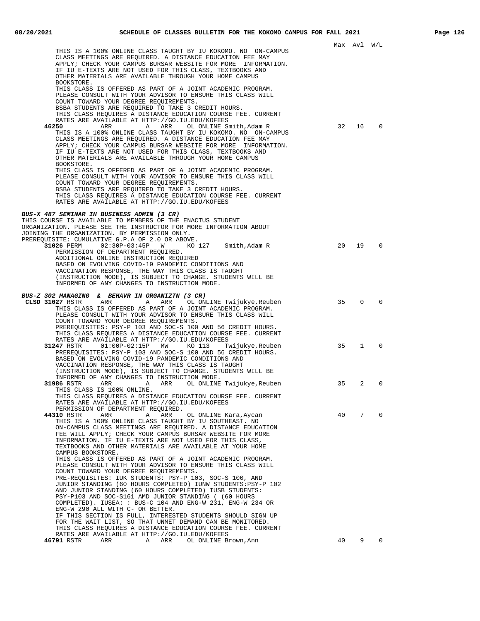|                                                                                                                                                                                                                                                                                                                                                                                                                                                                                                                                                                                                                                                                                                                                                                                                                                                                                                                  |    | Max Avl W/L  |             |  |
|------------------------------------------------------------------------------------------------------------------------------------------------------------------------------------------------------------------------------------------------------------------------------------------------------------------------------------------------------------------------------------------------------------------------------------------------------------------------------------------------------------------------------------------------------------------------------------------------------------------------------------------------------------------------------------------------------------------------------------------------------------------------------------------------------------------------------------------------------------------------------------------------------------------|----|--------------|-------------|--|
| THIS IS A 100% ONLINE CLASS TAUGHT BY IU KOKOMO. NO ON-CAMPUS<br>CLASS MEETINGS ARE REQUIRED. A DISTANCE EDUCATION FEE MAY<br>APPLY; CHECK YOUR CAMPUS BURSAR WEBSITE FOR MORE INFORMATION.<br>IF IU E-TEXTS ARE NOT USED FOR THIS CLASS, TEXTBOOKS AND<br>OTHER MATERIALS ARE AVAILABLE THROUGH YOUR HOME CAMPUS<br>BOOKSTORE.                                                                                                                                                                                                                                                                                                                                                                                                                                                                                                                                                                                  |    |              |             |  |
| THIS CLASS IS OFFERED AS PART OF A JOINT ACADEMIC PROGRAM.<br>PLEASE CONSULT WITH YOUR ADVISOR TO ENSURE THIS CLASS WILL<br>COUNT TOWARD YOUR DEGREE REQUIREMENTS.<br>BSBA STUDENTS ARE REQUIRED TO TAKE 3 CREDIT HOURS.<br>THIS CLASS REQUIRES A DISTANCE EDUCATION COURSE FEE. CURRENT<br>RATES ARE AVAILABLE AT HTTP://GO.IU.EDU/KOFEES<br>46250<br>A ARR<br>ARR<br>OL ONLINE Smith, Adam R<br>THIS IS A 100% ONLINE CLASS TAUGHT BY IU KOKOMO. NO ON-CAMPUS<br>CLASS MEETINGS ARE REQUIRED. A DISTANCE EDUCATION FEE MAY<br>APPLY; CHECK YOUR CAMPUS BURSAR WEBSITE FOR MORE INFORMATION.<br>IF IU E-TEXTS ARE NOT USED FOR THIS CLASS, TEXTBOOKS AND<br>OTHER MATERIALS ARE AVAILABLE THROUGH YOUR HOME CAMPUS                                                                                                                                                                                              | 32 | 16           | $\mathbf 0$ |  |
| BOOKSTORE.<br>THIS CLASS IS OFFERED AS PART OF A JOINT ACADEMIC PROGRAM.<br>PLEASE CONSULT WITH YOUR ADVISOR TO ENSURE THIS CLASS WILL<br>COUNT TOWARD YOUR DEGREE REQUIREMENTS.<br>BSBA STUDENTS ARE REQUIRED TO TAKE 3 CREDIT HOURS.<br>THIS CLASS REQUIRES A DISTANCE EDUCATION COURSE FEE. CURRENT<br>RATES ARE AVAILABLE AT HTTP://GO.IU.EDU/KOFEES                                                                                                                                                                                                                                                                                                                                                                                                                                                                                                                                                         |    |              |             |  |
| BUS-X 487 SEMINAR IN BUSINESS ADMIN (3 CR)<br>THIS COURSE IS AVAILABLE TO MEMBERS OF THE ENACTUS STUDENT<br>ORGANIZATION. PLEASE SEE THE INSTRUCTOR FOR MORE INFORMATION ABOUT<br>JOINING THE ORGANIZATION. BY PERMISSION ONLY.<br>PREREQUISITE: CUMULATIVE G.P.A OF 2.0 OR ABOVE.                                                                                                                                                                                                                                                                                                                                                                                                                                                                                                                                                                                                                               |    |              |             |  |
| $02:30P-03:45P$ W<br>31026 PERM<br>KO 127 Smith, Adam R<br>PERMISSION OF DEPARTMENT REQUIRED.<br>ADDITIONAL ONLINE INSTRUCTION REQUIRED<br>BASED ON EVOLVING COVID-19 PANDEMIC CONDITIONS AND<br>VACCINATION RESPONSE, THE WAY THIS CLASS IS TAUGHT<br>(INSTRUCTION MODE), IS SUBJECT TO CHANGE. STUDENTS WILL BE<br>INFORMED OF ANY CHANGES TO INSTRUCTION MODE.                                                                                                                                                                                                                                                                                                                                                                                                                                                                                                                                                | 20 | 19           | $\mathbf 0$ |  |
| BUS-Z 302 MANAGING & BEHAVR IN ORGANIZTN (3 CR)<br>CLSD 31027 RSTR<br>ARR<br>A ARR OL ONLINE Twijukye, Reuben<br>THIS CLASS IS OFFERED AS PART OF A JOINT ACADEMIC PROGRAM.<br>PLEASE CONSULT WITH YOUR ADVISOR TO ENSURE THIS CLASS WILL<br>COUNT TOWARD YOUR DEGREE REQUIREMENTS.<br>PREREQUISITES: PSY-P 103 AND SOC-S 100 AND 56 CREDIT HOURS.<br>THIS CLASS REQUIRES A DISTANCE EDUCATION COURSE FEE. CURRENT<br>RATES ARE AVAILABLE AT HTTP://GO.IU.EDU/KOFEES                                                                                                                                                                                                                                                                                                                                                                                                                                             | 35 | $\Omega$     | 0           |  |
| $01:00P-02:15P$ MW<br>31247 RSTR<br>KO 113<br>Twijukye,Reuben<br>PREREQUISITES: PSY-P 103 AND SOC-S 100 AND 56 CREDIT HOURS.<br>BASED ON EVOLVING COVID-19 PANDEMIC CONDITIONS AND<br>VACCINATION RESPONSE, THE WAY THIS CLASS IS TAUGHT<br>(INSTRUCTION MODE), IS SUBJECT TO CHANGE. STUDENTS WILL BE<br>INFORMED OF ANY CHANGES TO INSTRUCTION MODE.                                                                                                                                                                                                                                                                                                                                                                                                                                                                                                                                                           | 35 | $\mathbf{1}$ | $\mathbf 0$ |  |
| 31986 RSTR<br>ARR<br>ARR<br>OL ONLINE Twijukye, Reuben<br>A<br>THIS CLASS IS 100% ONLINE.<br>THIS CLASS REQUIRES A DISTANCE EDUCATION COURSE FEE. CURRENT<br>RATES ARE AVAILABLE AT HTTP://GO.IU.EDU/KOFEES<br>PERMISSION OF DEPARTMENT REQUIRED.                                                                                                                                                                                                                                                                                                                                                                                                                                                                                                                                                                                                                                                                | 35 | 2            | 0           |  |
| 44310 RSTR<br>ARR<br>Α<br>ARR<br>OL ONLINE Kara, Aycan<br>THIS IS A 100% ONLINE CLASS TAUGHT BY IU SOUTHEAST. NO<br>ON-CAMPUS CLASS MEETINGS ARE REQUIRED. A DISTANCE EDUCATION<br>FEE WILL APPLY; CHECK YOUR CAMPUS BURSAR WEBSITE FOR MORE<br>INFORMATION. IF IU E-TEXTS ARE NOT USED FOR THIS CLASS,<br>TEXTBOOKS AND OTHER MATERIALS ARE AVAILABLE AT YOUR HOME<br>CAMPUS BOOKSTORE.<br>THIS CLASS IS OFFERED AS PART OF A JOINT ACADEMIC PROGRAM.<br>PLEASE CONSULT WITH YOUR ADVISOR TO ENSURE THIS CLASS WILL<br>COUNT TOWARD YOUR DEGREE REQUIREMENTS.<br>PRE-REQUISITES: IUK STUDENTS: PSY-P 103, SOC-S 100, AND<br>JUNIOR STANDING (60 HOURS COMPLETED) IUNW STUDENTS: PSY-P 102<br>AND JUNIOR STANDING (60 HOURS COMPLETED) IUSB STUDENTS:<br>PSY-P103 AND SOC-S161 AMD JUNIOR STANDING ( (60 HOURS<br>COMPLETED). IUSEA: : BUS-C 104 AND ENG-W 231, ENG-W 234 OR<br>ENG-W 290 ALL WITH C- OR BETTER. | 40 | 7            | $\Omega$    |  |
| IF THIS SECTION IS FULL, INTERESTED STUDENTS SHOULD SIGN UP<br>FOR THE WAIT LIST, SO THAT UNMET DEMAND CAN BE MONITORED.<br>THIS CLASS REQUIRES A DISTANCE EDUCATION COURSE FEE. CURRENT<br>RATES ARE AVAILABLE AT HTTP://GO.IU.EDU/KOFEES<br>46791 RSTR<br>ARR<br>Α<br>ARR<br>OL ONLINE Brown, Ann                                                                                                                                                                                                                                                                                                                                                                                                                                                                                                                                                                                                              | 40 | 9            | $\mathbf 0$ |  |
|                                                                                                                                                                                                                                                                                                                                                                                                                                                                                                                                                                                                                                                                                                                                                                                                                                                                                                                  |    |              |             |  |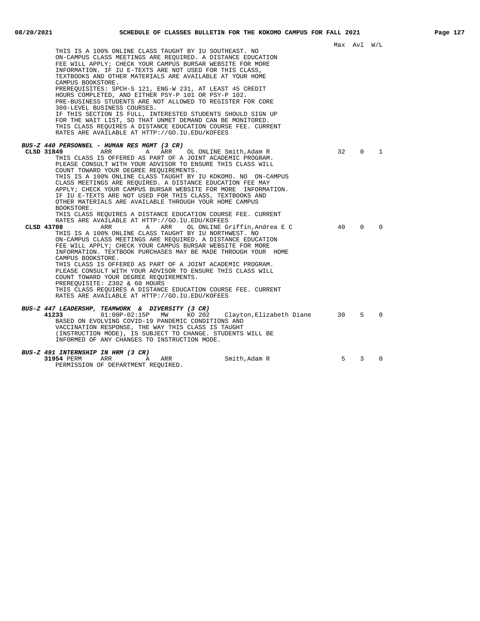|                                                                                                                                                                                                                                                                                                                                                                                                                                                                                                                                                                                                                                                                                                                                                                                                                                                                           |          | Max AVI W/L             |               |  |
|---------------------------------------------------------------------------------------------------------------------------------------------------------------------------------------------------------------------------------------------------------------------------------------------------------------------------------------------------------------------------------------------------------------------------------------------------------------------------------------------------------------------------------------------------------------------------------------------------------------------------------------------------------------------------------------------------------------------------------------------------------------------------------------------------------------------------------------------------------------------------|----------|-------------------------|---------------|--|
| THIS IS A 100% ONLINE CLASS TAUGHT BY IU SOUTHEAST. NO<br>ON-CAMPUS CLASS MEETINGS ARE REOUIRED. A DISTANCE EDUCATION<br>FEE WILL APPLY; CHECK YOUR CAMPUS BURSAR WEBSITE FOR MORE<br>INFORMATION. IF IU E-TEXTS ARE NOT USED FOR THIS CLASS,<br>TEXTBOOKS AND OTHER MATERIALS ARE AVAILABLE AT YOUR HOME<br>CAMPUS BOOKSTORE.<br>PREREQUISITES: SPCH-S 121, ENG-W 231, AT LEAST 45 CREDIT<br>HOURS COMPLETED, AND EITHER PSY-P 101 OR PSY-P 102.<br>PRE-BUSINESS STUDENTS ARE NOT ALLOWED TO REGISTER FOR CORE<br>300-LEVEL BUSINESS COURSES.<br>IF THIS SECTION IS FULL, INTERESTED STUDENTS SHOULD SIGN UP<br>FOR THE WAIT LIST, SO THAT UNMET DEMAND CAN BE MONITORED.<br>THIS CLASS REQUIRES A DISTANCE EDUCATION COURSE FEE. CURRENT<br>RATES ARE AVAILABLE AT HTTP://GO.IU.EDU/KOFEES                                                                              |          |                         |               |  |
| BUS-Z 440 PERSONNEL - HUMAN RES MGMT (3 CR)                                                                                                                                                                                                                                                                                                                                                                                                                                                                                                                                                                                                                                                                                                                                                                                                                               |          |                         |               |  |
| A ARR<br>CLSD 31849<br>ARR<br>OL ONLINE Smith,Adam R<br>THIS CLASS IS OFFERED AS PART OF A JOINT ACADEMIC PROGRAM.<br>PLEASE CONSULT WITH YOUR ADVISOR TO ENSURE THIS CLASS WILL<br>COUNT TOWARD YOUR DEGREE REOUIREMENTS.<br>THIS IS A 100% ONLINE CLASS TAUGHT BY IU KOKOMO. NO ON-CAMPUS<br>CLASS MEETINGS ARE REOUIRED. A DISTANCE EDUCATION FEE MAY<br>APPLY; CHECK YOUR CAMPUS BURSAR WEBSITE FOR MORE INFORMATION.<br>IF IU E-TEXTS ARE NOT USED FOR THIS CLASS, TEXTBOOKS AND<br>OTHER MATERIALS ARE AVAILABLE THROUGH YOUR HOME CAMPUS<br>BOOKSTORE.<br>THIS CLASS REOUIRES A DISTANCE EDUCATION COURSE FEE. CURRENT<br>RATES ARE AVAILABLE AT HTTP://GO.IU.EDU/KOFEES<br>CLSD 43708<br>ARR<br>Α<br>ARR<br>OL ONLINE Griffin.Andrea E C<br>THIS IS A 100% ONLINE CLASS TAUGHT BY IU NORTHWEST. NO<br>ON-CAMPUS CLASS MEETINGS ARE REQUIRED. A DISTANCE EDUCATION | 32<br>40 | $\mathbf 0$<br>$\Omega$ | 1<br>$\Omega$ |  |
| FEE WILL APPLY; CHECK YOUR CAMPUS BURSAR WEBSITE FOR MORE<br>INFORMATION. TEXTBOOK PURCHASES MAY BE MADE THROUGH YOUR HOME<br>CAMPUS BOOKSTORE.<br>THIS CLASS IS OFFERED AS PART OF A JOINT ACADEMIC PROGRAM.<br>PLEASE CONSULT WITH YOUR ADVISOR TO ENSURE THIS CLASS WILL<br>COUNT TOWARD YOUR DEGREE REQUIREMENTS.<br>PREREQUISITE: Z302 & 60 HOURS<br>THIS CLASS REOUIRES A DISTANCE EDUCATION COURSE FEE. CURRENT<br>RATES ARE AVAILABLE AT HTTP://GO.IU.EDU/KOFEES                                                                                                                                                                                                                                                                                                                                                                                                  |          |                         |               |  |
| BUS-Z 447 LEADERSHP, TEAMWORK & DIVERSITY (3 CR)<br>41233<br>$01:00P-02:15P$<br>MW<br>KO 202<br>Clayton, Elizabeth Diane<br>BASED ON EVOLVING COVID-19 PANDEMIC CONDITIONS AND<br>VACCINATION RESPONSE, THE WAY THIS CLASS IS TAUGHT<br>(INSTRUCTION MODE), IS SUBJECT TO CHANGE. STUDENTS WILL BE<br>INFORMED OF ANY CHANGES TO INSTRUCTION MODE.                                                                                                                                                                                                                                                                                                                                                                                                                                                                                                                        | 30       | 5                       | $\Omega$      |  |
| BUS-Z 491 INTERNSHIP IN HRM (3 CR)                                                                                                                                                                                                                                                                                                                                                                                                                                                                                                                                                                                                                                                                                                                                                                                                                                        |          |                         |               |  |
| Smith, Adam R<br>31954 PERM<br>ARR<br>Α<br>ARR<br>PERMISSION OF DEPARTMENT REQUIRED.                                                                                                                                                                                                                                                                                                                                                                                                                                                                                                                                                                                                                                                                                                                                                                                      | 5        | 3                       | $\Omega$      |  |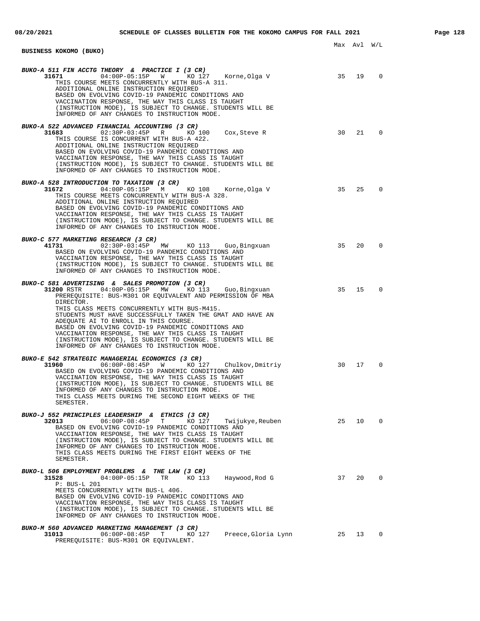| 08/20/2021 | SCHEDULE OF CLASSES BULLETIN FOR THE KOKOMO CAMPUS FOR FALL 2021                                                                                                                                                                                                                                                                                                                                                                                                                                                            |       |             |                          | Page 128 |
|------------|-----------------------------------------------------------------------------------------------------------------------------------------------------------------------------------------------------------------------------------------------------------------------------------------------------------------------------------------------------------------------------------------------------------------------------------------------------------------------------------------------------------------------------|-------|-------------|--------------------------|----------|
|            | BUSINESS KOKOMO (BUKO)                                                                                                                                                                                                                                                                                                                                                                                                                                                                                                      |       | Max Avl W/L |                          |          |
|            | BUKO-A 511 FIN ACCTG THEORY & PRACTICE I (3 CR)<br>31671 04:00P-05:15P W KO 127 Korne, Olga V 35 19<br>THIS COURSE MEETS CONCURRENTLY WITH BUS-A 311.<br>ADDITIONAL ONLINE INSTRUCTION REQUIRED<br>BASED ON EVOLVING COVID-19 PANDEMIC CONDITIONS AND<br>VACCINATION RESPONSE, THE WAY THIS CLASS IS TAUGHT<br>(INSTRUCTION MODE), IS SUBJECT TO CHANGE. STUDENTS WILL BE<br>INFORMED OF ANY CHANGES TO INSTRUCTION MODE.                                                                                                   |       |             | $\overline{\phantom{0}}$ |          |
|            | BUKO-A 522 ADVANCED FINANCIAL ACCOUNTING (3 CR)<br>31683 02:30P-03:45P R KO 100 Cox, Steve R 30 21<br>THIS COURSE IS CONCURRENT WITH BUS-A 422.<br>ADDITIONAL ONLINE INSTRUCTION REQUIRED<br>BASED ON EVOLVING COVID-19 PANDEMIC CONDITIONS AND<br>VACCINATION RESPONSE, THE WAY THIS CLASS IS TAUGHT<br>(INSTRUCTION MODE), IS SUBJECT TO CHANGE. STUDENTS WILL BE<br>INFORMED OF ANY CHANGES TO INSTRUCTION MODE.                                                                                                         |       |             | $\mathbf 0$              |          |
|            | BUKO-A 528 INTRODUCTION TO TAXATION (3 CR)<br>31672 04:00P-05:15P M KO 108 Korne, Olga V 35 25 25<br>THIS COURSE MEETS CONCURRENTLY WITH BUS-A 328.<br>ADDITIONAL ONLINE INSTRUCTION REQUIRED<br>BASED ON EVOLVING COVID-19 PANDEMIC CONDITIONS AND<br>VACCINATION RESPONSE, THE WAY THIS CLASS IS TAUGHT<br>(INSTRUCTION MODE), IS SUBJECT TO CHANGE. STUDENTS WILL BE<br>INFORMED OF ANY CHANGES TO INSTRUCTION MODE.                                                                                                     |       |             | $\mathbf 0$              |          |
|            | BUKO-C 577 MARKETING RESEARCH (3 CR)<br>41731 02:30P-03:45P MW KO 113 Guo, Bingxuan 35 20<br>BASED ON EVOLVING COVID-19 PANDEMIC CONDITIONS AND<br>VACCINATION RESPONSE, THE WAY THIS CLASS IS TAUGHT<br>(INSTRUCTION MODE), IS SUBJECT TO CHANGE. STUDENTS WILL BE<br>INFORMED OF ANY CHANGES TO INSTRUCTION MODE.                                                                                                                                                                                                         |       |             | $\mathbf 0$              |          |
|            | BUKO-C 581 ADVERTISING & SALES PROMOTION (3 CR)<br>Guo,Bingxuan<br>PREREQUISITE: BUS-M301 OR EQUIVALENT AND PERMISSION OF MBA<br>DIRECTOR.<br>THIS CLASS MEETS CONCURRENTLY WITH BUS-M415.<br>STUDENTS MUST HAVE SUCCESSFULLY TAKEN THE GMAT AND HAVE AN<br>ADEQUATE AI TO ENROLL IN THIS COURSE.<br>BASED ON EVOLVING COVID-19 PANDEMIC CONDITIONS AND<br>VACCINATION RESPONSE, THE WAY THIS CLASS IS TAUGHT<br>(INSTRUCTION MODE), IS SUBJECT TO CHANGE. STUDENTS WILL BE<br>INFORMED OF ANY CHANGES TO INSTRUCTION MODE. |       | 35 15       | $\Omega$                 |          |
|            | BUKO-E 542 STRATEGIC MANAGERIAL ECONOMICS (3 CR)<br>KO 127 Chulkov, Dmitriy 30 17<br>31960 06:00P-08:45P W<br>BASED ON EVOLVING COVID-19 PANDEMIC CONDITIONS AND<br>VACCINATION RESPONSE, THE WAY THIS CLASS IS TAUGHT<br>(INSTRUCTION MODE), IS SUBJECT TO CHANGE. STUDENTS WILL BE<br>INFORMED OF ANY CHANGES TO INSTRUCTION MODE.<br>THIS CLASS MEETS DURING THE SECOND EIGHT WEEKS OF THE<br>SEMESTER.                                                                                                                  |       |             | 0                        |          |
|            | BUKO-J 552 PRINCIPLES LEADERSHIP & ETHICS (3 CR)<br>Twijukye, Reuben 25 10 0<br>32013 06:00P-08:45P T<br>KO 127<br>BASED ON EVOLVING COVID-19 PANDEMIC CONDITIONS AND<br>VACCINATION RESPONSE, THE WAY THIS CLASS IS TAUGHT<br>(INSTRUCTION MODE), IS SUBJECT TO CHANGE. STUDENTS WILL BE<br>INFORMED OF ANY CHANGES TO INSTRUCTION MODE.<br>THIS CLASS MEETS DURING THE FIRST EIGHT WEEKS OF THE<br>SEMESTER.                                                                                                              |       |             |                          |          |
|            | BUKO-L 506 EMPLOYMENT PROBLEMS & THE LAW (3 CR)<br>31528 04:00P-05:15P TR KO 113<br>Haywood,Rod G<br>P: BUS-L 201<br>MEETS CONCURRENTLY WITH BUS-L 406.<br>BASED ON EVOLVING COVID-19 PANDEMIC CONDITIONS AND<br>VACCINATION RESPONSE, THE WAY THIS CLASS IS TAUGHT<br>(INSTRUCTION MODE), IS SUBJECT TO CHANGE. STUDENTS WILL BE<br>INFORMED OF ANY CHANGES TO INSTRUCTION MODE.                                                                                                                                           | 37 20 |             | $\overline{0}$           |          |
|            | BUKO-M 560 ADVANCED MARKETING MANAGEMENT (3 CR)<br>31013<br>$06:00P-08:45P$ T<br>KO 127<br>Preece, Gloria Lynn 25 13<br>PREREQUISITE: BUS-M301 OR EQUIVALENT.                                                                                                                                                                                                                                                                                                                                                               |       |             | $\overline{\phantom{0}}$ |          |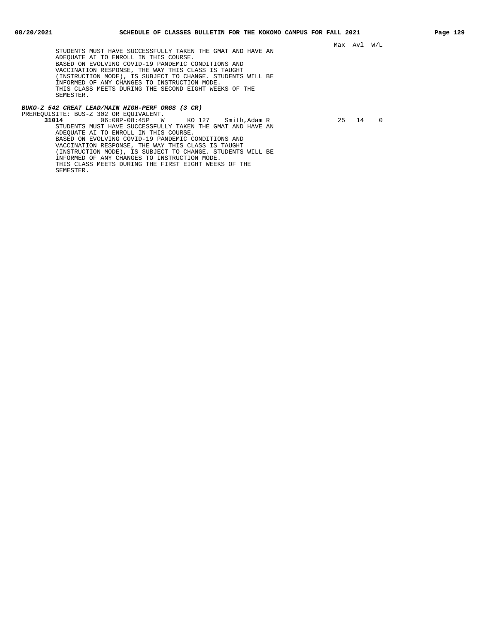STUDENTS MUST HAVE SUCCESSFULLY TAKEN THE GMAT AND HAVE AN ADEQUATE AI TO ENROLL IN THIS COURSE. BASED ON EVOLVING COVID-19 PANDEMIC CONDITIONS AND VACCINATION RESPONSE, THE WAY THIS CLASS IS TAUGHT (INSTRUCTION MODE), IS SUBJECT TO CHANGE. STUDENTS WILL BE INFORMED OF ANY CHANGES TO INSTRUCTION MODE. THIS CLASS MEETS DURING THE SECOND EIGHT WEEKS OF THE SEMESTER.

## **BUKO-Z 542 CREAT LEAD/MAIN HIGH-PERF ORGS (3 CR)**

PREREQUISITE: BUS-Z 302 OR EQUIVALENT.<br>31014 06:00P-08:45P W **31014** 06:00P-08:45P W KO 127 Smith,Adam R 25 14 0 STUDENTS MUST HAVE SUCCESSFULLY TAKEN THE GMAT AND HAVE AN ADEQUATE AI TO ENROLL IN THIS COURSE. BASED ON EVOLVING COVID-19 PANDEMIC CONDITIONS AND VACCINATION RESPONSE, THE WAY THIS CLASS IS TAUGHT (INSTRUCTION MODE), IS SUBJECT TO CHANGE. STUDENTS WILL BE INFORMED OF ANY CHANGES TO INSTRUCTION MODE. THIS CLASS MEETS DURING THE FIRST EIGHT WEEKS OF THE SEMESTER.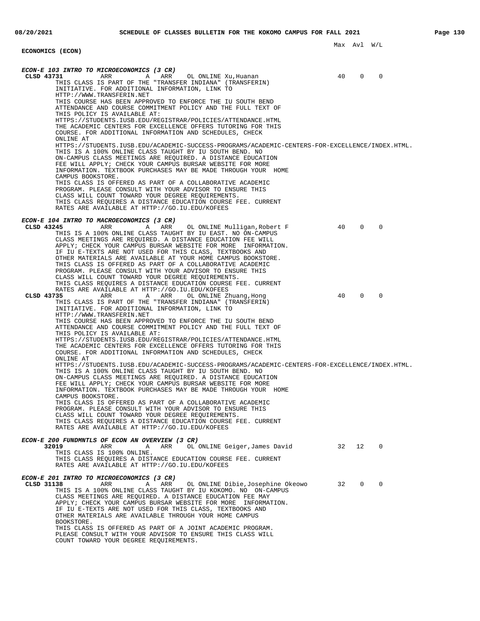## Max Avl W/L **ECONOMICS (ECON) ECON-E 103 INTRO TO MICROECONOMICS (3 CR) CLSD 43731** ARR A ARR OL ONLINE Xu,Huanan 40 0 0 THIS CLASS IS PART OF THE "TRANSFER INDIANA" (TRANSFERIN) INITIATIVE. FOR ADDITIONAL INFORMATION, LINK TO HTTP://WWW.TRANSFERIN.NET THIS COURSE HAS BEEN APPROVED TO ENFORCE THE IU SOUTH BEND ATTENDANCE AND COURSE COMMITMENT POLICY AND THE FULL TEXT OF THIS POLICY IS AVAILABLE AT: HTTPS://STUDENTS.IUSB.EDU/REGISTRAR/POLICIES/ATTENDANCE.HTML THE ACADEMIC CENTERS FOR EXCELLENCE OFFERS TUTORING FOR THIS COURSE. FOR ADDITIONAL INFORMATION AND SCHEDULES, CHECK ONLINE AT HTTPS://STUDENTS.IUSB.EDU/ACADEMIC-SUCCESS-PROGRAMS/ACADEMIC-CENTERS-FOR-EXCELLENCE/INDEX.HTML. THIS IS A 100% ONLINE CLASS TAUGHT BY IU SOUTH BEND. NO ON-CAMPUS CLASS MEETINGS ARE REQUIRED. A DISTANCE EDUCATION FEE WILL APPLY; CHECK YOUR CAMPUS BURSAR WEBSITE FOR MORE INFORMATION. TEXTBOOK PURCHASES MAY BE MADE THROUGH YOUR HOME CAMPUS BOOKSTORE. THIS CLASS IS OFFERED AS PART OF A COLLABORATIVE ACADEMIC PROGRAM. PLEASE CONSULT WITH YOUR ADVISOR TO ENSURE THIS CLASS WILL COUNT TOWARD YOUR DEGREE REQUIREMENTS. THIS CLASS REQUIRES A DISTANCE EDUCATION COURSE FEE. CURRENT RATES ARE AVAILABLE AT HTTP://GO.IU.EDU/KOFEES **ECON-E 104 INTRO TO MACROECONOMICS (3 CR)** OL ONLINE Mulligan, Robert F 40 0 0 THIS IS A 100% ONLINE CLASS TAUGHT BY IU EAST. NO ON-CAMPUS CLASS MEETINGS ARE REQUIRED. A DISTANCE EDUCATION FEE WILL APPLY; CHECK YOUR CAMPUS BURSAR WEBSITE FOR MORE INFORMATION. IF IU E-TEXTS ARE NOT USED FOR THIS CLASS, TEXTBOOKS AND OTHER MATERIALS ARE AVAILABLE AT YOUR HOME CAMPUS BOOKSTORE. THIS CLASS IS OFFERED AS PART OF A COLLABORATIVE ACADEMIC PROGRAM. PLEASE CONSULT WITH YOUR ADVISOR TO ENSURE THIS CLASS WILL COUNT TOWARD YOUR DEGREE REQUIREMENTS. THIS CLASS REQUIRES A DISTANCE EDUCATION COURSE FEE. CURRENT RATES ARE AVAILABLE AT HTTP://GO.IU.EDU/KOFEES<br>CLSD 43735 ARR A ARR OL ONLINE ZE **CLSD 43735** ARR A ARR OL ONLINE Zhuang, Hong 40 0 0 THIS CLASS IS PART OF THE "TRANSFER INDIANA" (TRANSFERIN) INITIATIVE. FOR ADDITIONAL INFORMATION, LINK TO HTTP://WWW.TRANSFERIN.NET THIS COURSE HAS BEEN APPROVED TO ENFORCE THE IU SOUTH BEND ATTENDANCE AND COURSE COMMITMENT POLICY AND THE FULL TEXT OF THIS POLICY IS AVAILABLE AT: HTTPS://STUDENTS.IUSB.EDU/REGISTRAR/POLICIES/ATTENDANCE.HTML THE ACADEMIC CENTERS FOR EXCELLENCE OFFERS TUTORING FOR THIS COURSE. FOR ADDITIONAL INFORMATION AND SCHEDULES, CHECK ONLINE AT HTTPS://STUDENTS.IUSB.EDU/ACADEMIC-SUCCESS-PROGRAMS/ACADEMIC-CENTERS-FOR-EXCELLENCE/INDEX.HTML. THIS IS A 100% ONLINE CLASS TAUGHT BY IU SOUTH BEND. NO ON-CAMPUS CLASS MEETINGS ARE REQUIRED. A DISTANCE EDUCATION FEE WILL APPLY; CHECK YOUR CAMPUS BURSAR WEBSITE FOR MORE INFORMATION. TEXTBOOK PURCHASES MAY BE MADE THROUGH YOUR HOME CAMPUS BOOKSTORE THIS CLASS IS OFFERED AS PART OF A COLLABORATIVE ACADEMIC PROGRAM. PLEASE CONSULT WITH YOUR ADVISOR TO ENSURE THIS CLASS WILL COUNT TOWARD YOUR DEGREE REQUIREMENTS. THIS CLASS REQUIRES A DISTANCE EDUCATION COURSE FEE. CURRENT RATES ARE AVAILABLE AT HTTP://GO.IU.EDU/KOFEES **ECON-E 200 FUNDMNTLS OF ECON AN OVERVIEW (3 CR)** A ARR OL ONLINE Geiger, James David 32 12 0 THIS CLASS IS 100% ONLINE. THIS CLASS REQUIRES A DISTANCE EDUCATION COURSE FEE. CURRENT RATES ARE AVAILABLE AT HTTP://GO.IU.EDU/KOFEES **ECON-E 201 INTRO TO MICROECONOMICS (3 CR) CLSD 31138** ARR A ARR OL ONLINE Dibie,Josephine Okeowo 32 0 0 THIS IS A 100% ONLINE CLASS TAUGHT BY IU KOKOMO. NO ON-CAMPUS

CLASS MEETINGS ARE REQUIRED. A DISTANCE EDUCATION FEE MAY APPLY; CHECK YOUR CAMPUS BURSAR WEBSITE FOR MORE INFORMATION. IF IU E-TEXTS ARE NOT USED FOR THIS CLASS, TEXTBOOKS AND OTHER MATERIALS ARE AVAILABLE THROUGH YOUR HOME CAMPUS BOOKSTORE. THIS CLASS IS OFFERED AS PART OF A JOINT ACADEMIC PROGRAM. PLEASE CONSULT WITH YOUR ADVISOR TO ENSURE THIS CLASS WILL COUNT TOWARD YOUR DEGREE REQUIREMENTS.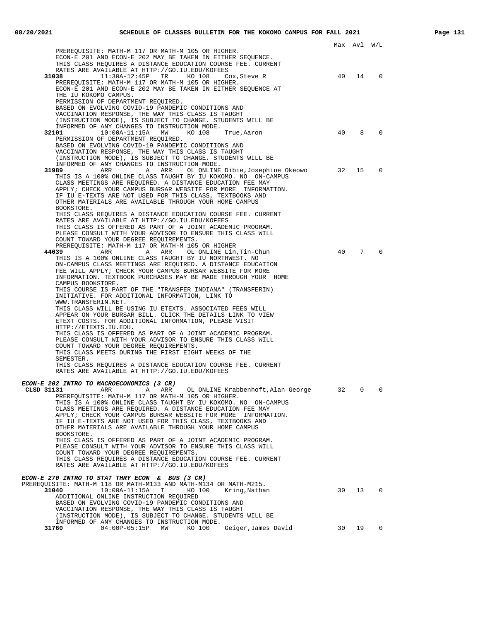|                                                                                                                                                                                 |    | Max Avi W/L |          |
|---------------------------------------------------------------------------------------------------------------------------------------------------------------------------------|----|-------------|----------|
| PREREOUISITE: MATH-M 117 OR MATH-M 105 OR HIGHER.<br>ECON-E 201 AND ECON-E 202 MAY BE TAKEN IN EITHER SEQUENCE.<br>THIS CLASS REQUIRES A DISTANCE EDUCATION COURSE FEE. CURRENT |    |             |          |
| RATES ARE AVAILABLE AT HTTP://GO.IU.EDU/KOFEES                                                                                                                                  |    |             |          |
| 31038<br>$11:30A-12:45P$ TR<br>KO 108<br>Cox, Steve R<br>PREREQUISITE: MATH-M 117 OR MATH-M 105 OR HIGHER.                                                                      | 40 | 14          | 0        |
| ECON-E 201 AND ECON-E 202 MAY BE TAKEN IN EITHER SEQUENCE AT<br>THE IU KOKOMO CAMPUS.                                                                                           |    |             |          |
| PERMISSION OF DEPARTMENT REQUIRED.                                                                                                                                              |    |             |          |
| BASED ON EVOLVING COVID-19 PANDEMIC CONDITIONS AND                                                                                                                              |    |             |          |
| VACCINATION RESPONSE, THE WAY THIS CLASS IS TAUGHT                                                                                                                              |    |             |          |
| (INSTRUCTION MODE), IS SUBJECT TO CHANGE. STUDENTS WILL BE<br>INFORMED OF ANY CHANGES TO INSTRUCTION MODE.                                                                      |    |             |          |
| 32101<br>10:00A-11:15A MW<br>KO 108<br>True, Aaron                                                                                                                              | 40 | 8           | 0        |
| PERMISSION OF DEPARTMENT REQUIRED.                                                                                                                                              |    |             |          |
| BASED ON EVOLVING COVID-19 PANDEMIC CONDITIONS AND                                                                                                                              |    |             |          |
| VACCINATION RESPONSE, THE WAY THIS CLASS IS TAUGHT<br>(INSTRUCTION MODE), IS SUBJECT TO CHANGE. STUDENTS WILL BE                                                                |    |             |          |
| INFORMED OF ANY CHANGES TO INSTRUCTION MODE.                                                                                                                                    |    |             |          |
| 31989<br>ARR<br>ARR<br>OL ONLINE Dibie, Josephine Okeowo<br>A                                                                                                                   | 32 | 15          | 0        |
| THIS IS A 100% ONLINE CLASS TAUGHT BY IU KOKOMO. NO ON-CAMPUS<br>CLASS MEETINGS ARE REQUIRED. A DISTANCE EDUCATION FEE MAY                                                      |    |             |          |
| APPLY; CHECK YOUR CAMPUS BURSAR WEBSITE FOR MORE INFORMATION.<br>IF IU E-TEXTS ARE NOT USED FOR THIS CLASS, TEXTBOOKS AND                                                       |    |             |          |
| OTHER MATERIALS ARE AVAILABLE THROUGH YOUR HOME CAMPUS<br>BOOKSTORE.                                                                                                            |    |             |          |
| THIS CLASS REQUIRES A DISTANCE EDUCATION COURSE FEE. CURRENT                                                                                                                    |    |             |          |
| RATES ARE AVAILABLE AT HTTP://GO.IU.EDU/KOFEES<br>THIS CLASS IS OFFERED AS PART OF A JOINT ACADEMIC PROGRAM.                                                                    |    |             |          |
| PLEASE CONSULT WITH YOUR ADVISOR TO ENSURE THIS CLASS WILL                                                                                                                      |    |             |          |
| COUNT TOWARD YOUR DEGREE REQUIREMENTS.                                                                                                                                          |    |             |          |
| PREREQUISITE: MATH-M 117 OR MATH-M 105 OR HIGHER                                                                                                                                |    |             |          |
| 44039<br>ARR<br>A ARR<br>OL ONLINE Lin,Tin-Chun<br>THIS IS A 100% ONLINE CLASS TAUGHT BY IU NORTHWEST. NO                                                                       | 40 | 7           | $\Omega$ |
| ON-CAMPUS CLASS MEETINGS ARE REQUIRED. A DISTANCE EDUCATION                                                                                                                     |    |             |          |
| FEE WILL APPLY; CHECK YOUR CAMPUS BURSAR WEBSITE FOR MORE<br>INFORMATION. TEXTBOOK PURCHASES MAY BE MADE THROUGH YOUR HOME                                                      |    |             |          |
| CAMPUS BOOKSTORE.                                                                                                                                                               |    |             |          |
| THIS COURSE IS PART OF THE "TRANSFER INDIANA" (TRANSFERIN)<br>INITIATIVE. FOR ADDITIONAL INFORMATION, LINK TO                                                                   |    |             |          |
| WWW.TRANSFERIN.NET.                                                                                                                                                             |    |             |          |
| THIS CLASS WILL BE USING IU ETEXTS. ASSOCIATED FEES WILL<br>APPEAR ON YOUR BURSAR BILL. CLICK THE DETAILS LINK TO VIEW                                                          |    |             |          |
| ETEXT COSTS. FOR ADDITIONAL INFORMATION, PLEASE VISIT                                                                                                                           |    |             |          |
| HTTP://ETEXTS.IU.EDU.                                                                                                                                                           |    |             |          |
| THIS CLASS IS OFFERED AS PART OF A JOINT ACADEMIC PROGRAM.                                                                                                                      |    |             |          |
| PLEASE CONSULT WITH YOUR ADVISOR TO ENSURE THIS CLASS WILL                                                                                                                      |    |             |          |
| COUNT TOWARD YOUR DEGREE REQUIREMENTS.<br>THIS CLASS MEETS DURING THE FIRST EIGHT WEEKS OF THE                                                                                  |    |             |          |
| SEMESTER.                                                                                                                                                                       |    |             |          |
| THIS CLASS REQUIRES A DISTANCE EDUCATION COURSE FEE. CURRENT                                                                                                                    |    |             |          |
| RATES ARE AVAILABLE AT HTTP://GO.IU.EDU/KOFEES                                                                                                                                  |    |             |          |
| ECON-E 202 INTRO TO MACROECONOMICS (3 CR)                                                                                                                                       |    |             |          |
| CLSD 31131<br>ARR<br>ARR<br>A<br>OL ONLINE Krabbenhoft, Alan George                                                                                                             | 32 | 0           | 0        |
| PREREQUISITE: MATH-M 117 OR MATH-M 105 OR HIGHER.                                                                                                                               |    |             |          |
| THIS IS A 100% ONLINE CLASS TAUGHT BY IU KOKOMO. NO ON-CAMPUS<br>CLASS MEETINGS ARE REOUIRED. A DISTANCE EDUCATION FEE MAY                                                      |    |             |          |
| APPLY; CHECK YOUR CAMPUS BURSAR WEBSITE FOR MORE INFORMATION.                                                                                                                   |    |             |          |
| IF IU E-TEXTS ARE NOT USED FOR THIS CLASS, TEXTBOOKS AND                                                                                                                        |    |             |          |
| OTHER MATERIALS ARE AVAILABLE THROUGH YOUR HOME CAMPUS                                                                                                                          |    |             |          |
| BOOKSTORE.                                                                                                                                                                      |    |             |          |
| THIS CLASS IS OFFERED AS PART OF A JOINT ACADEMIC PROGRAM.<br>PLEASE CONSULT WITH YOUR ADVISOR TO ENSURE THIS CLASS WILL                                                        |    |             |          |
| COUNT TOWARD YOUR DEGREE REQUIREMENTS.                                                                                                                                          |    |             |          |
| THIS CLASS REOUIRES A DISTANCE EDUCATION COURSE FEE. CURRENT                                                                                                                    |    |             |          |
| RATES ARE AVAILABLE AT HTTP://GO.IU.EDU/KOFEES                                                                                                                                  |    |             |          |
| ECON-E 270 INTRO TO STAT THRY ECON & BUS (3 CR)                                                                                                                                 |    |             |          |
| PREREQUISITE: MATH-M 118 OR MATH-M133 AND MATH-M134 OR MATH-M215.                                                                                                               |    |             |          |
| $10:00A-11:15A$<br>31040<br>$\mathbf{T}$<br>KO 100<br>Kring,Nathan                                                                                                              | 30 | 13          | $\Omega$ |
| ADDITIONAL ONLINE INSTRUCTION REQUIRED                                                                                                                                          |    |             |          |
| BASED ON EVOLVING COVID-19 PANDEMIC CONDITIONS AND                                                                                                                              |    |             |          |
| VACCINATION RESPONSE, THE WAY THIS CLASS IS TAUGHT<br>(INSTRUCTION MODE), IS SUBJECT TO CHANGE. STUDENTS WILL BE                                                                |    |             |          |
| INFORMED OF ANY CHANGES TO INSTRUCTION MODE.                                                                                                                                    |    |             |          |
| 31760<br>$04:00P-05:15P$<br>MW<br>KO 100<br>Geiger,James David                                                                                                                  | 30 | 19          | $\Omega$ |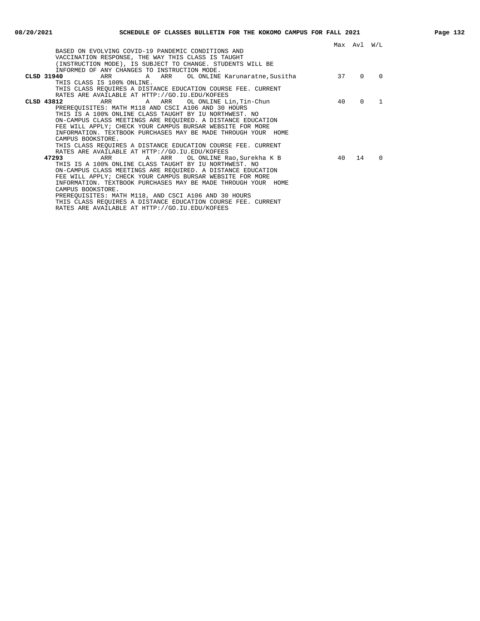|                                                               |    | Max Avl W/L |          |
|---------------------------------------------------------------|----|-------------|----------|
| BASED ON EVOLVING COVID-19 PANDEMIC CONDITIONS AND            |    |             |          |
| VACCINATION RESPONSE, THE WAY THIS CLASS IS TAUGHT            |    |             |          |
| (INSTRUCTION MODE), IS SUBJECT TO CHANGE. STUDENTS WILL BE    |    |             |          |
| INFORMED OF ANY CHANGES TO INSTRUCTION MODE.                  |    |             |          |
| CLSD 31940<br>THIS CLASS IS 100% ONLINE.                      | 37 | $\Omega$    | $\Omega$ |
|                                                               |    |             |          |
| THIS CLASS REQUIRES A DISTANCE EDUCATION COURSE FEE. CURRENT  |    |             |          |
| RATES ARE AVAILABLE AT HTTP://GO.IU.EDU/KOFEES                |    |             |          |
| A ARR OL ONLINE Lin, Tin-Chun<br>CLSD 43812<br>ARR            | 40 | $\Omega$    |          |
| PREREOUISITES: MATH M118 AND CSCI A106 AND 30 HOURS           |    |             |          |
| THIS IS A 100% ONLINE CLASS TAUGHT BY IU NORTHWEST. NO        |    |             |          |
| ON-CAMPUS CLASS MEETINGS ARE REOUIRED. A DISTANCE EDUCATION   |    |             |          |
| FEE WILL APPLY; CHECK YOUR CAMPUS BURSAR WEBSITE FOR MORE     |    |             |          |
| INFORMATION. TEXTBOOK PURCHASES MAY BE MADE THROUGH YOUR HOME |    |             |          |
| CAMPUS BOOKSTORE.                                             |    |             |          |
| THIS CLASS REQUIRES A DISTANCE EDUCATION COURSE FEE. CURRENT  |    |             |          |
| RATES ARE AVAILABLE AT HTTP://GO.IU.EDU/KOFEES                |    |             |          |
| 47293<br>ARR A ARR<br>OL ONLINE Rao, Surekha K B              | 40 | 14          | $\Omega$ |
| THIS IS A 100% ONLINE CLASS TAUGHT BY IU NORTHWEST. NO        |    |             |          |
| ON-CAMPUS CLASS MEETINGS ARE REOUIRED. A DISTANCE EDUCATION   |    |             |          |
| FEE WILL APPLY; CHECK YOUR CAMPUS BURSAR WEBSITE FOR MORE     |    |             |          |
| INFORMATION. TEXTBOOK PURCHASES MAY BE MADE THROUGH YOUR HOME |    |             |          |
| CAMPUS BOOKSTORE.                                             |    |             |          |
| PREREQUISITES: MATH M118, AND CSCI A106 AND 30 HOURS          |    |             |          |
| THIS CLASS REOUIRES A DISTANCE EDUCATION COURSE FEE. CURRENT  |    |             |          |

RATES ARE AVAILABLE AT HTTP://GO.IU.EDU/KOFEES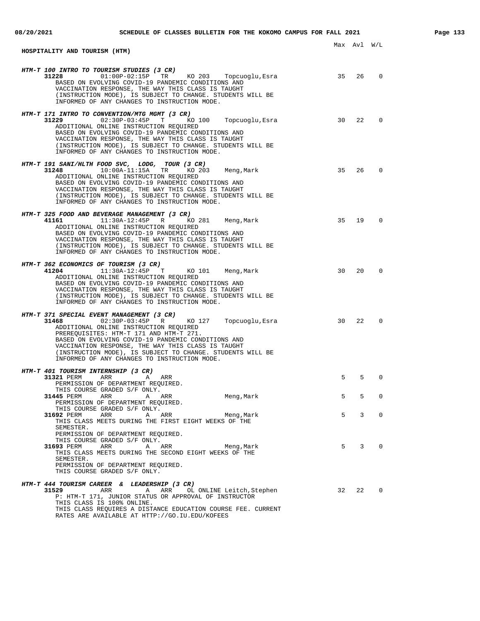| HOSPITALITY AND TOURISM (HTM)                                                                                                                                                                                                                                                                                                                                                                                       |    | Max Avl W/L  |             |
|---------------------------------------------------------------------------------------------------------------------------------------------------------------------------------------------------------------------------------------------------------------------------------------------------------------------------------------------------------------------------------------------------------------------|----|--------------|-------------|
|                                                                                                                                                                                                                                                                                                                                                                                                                     |    |              |             |
| HTM-T 100 INTRO TO TOURISM STUDIES (3 CR)<br>KO 203 Topcuoglu, Esra<br>$01:00P-02:15P$ TR<br>31228<br>BASED ON EVOLVING COVID-19 PANDEMIC CONDITIONS AND<br>VACCINATION RESPONSE, THE WAY THIS CLASS IS TAUGHT<br>(INSTRUCTION MODE), IS SUBJECT TO CHANGE. STUDENTS WILL BE<br>INFORMED OF ANY CHANGES TO INSTRUCTION MODE.                                                                                        | 35 | 26           | $\Omega$    |
| HTM-T 171 INTRO TO CONVENTION/MTG MGMT (3 CR)<br>31229<br>$02:30P-03:45P$ T<br>KO 100<br>Topcuoglu, Esra<br>ADDITIONAL ONLINE INSTRUCTION REQUIRED<br>BASED ON EVOLVING COVID-19 PANDEMIC CONDITIONS AND<br>VACCINATION RESPONSE, THE WAY THIS CLASS IS TAUGHT<br>(INSTRUCTION MODE), IS SUBJECT TO CHANGE. STUDENTS WILL BE<br>INFORMED OF ANY CHANGES TO INSTRUCTION MODE.                                        | 30 | 22           | $\Omega$    |
| HTM-T 191 SANI/HLTH FOOD SVC, LODG, TOUR (3 CR)<br>$10:00A-11:15A$<br>31248<br>TR<br>KO 203<br>Meng, Mark<br>ADDITIONAL ONLINE INSTRUCTION REQUIRED<br>BASED ON EVOLVING COVID-19 PANDEMIC CONDITIONS AND<br>VACCINATION RESPONSE, THE WAY THIS CLASS IS TAUGHT<br>(INSTRUCTION MODE), IS SUBJECT TO CHANGE. STUDENTS WILL BE<br>INFORMED OF ANY CHANGES TO INSTRUCTION MODE.                                       | 35 | 26           | $\Omega$    |
| HTM-T 325 FOOD AND BEVERAGE MANAGEMENT (3 CR)<br>41161 2001<br>11:30A-12:45P R<br>KO 281<br>Meng,Mark<br>ADDITIONAL ONLINE INSTRUCTION REQUIRED<br>BASED ON EVOLVING COVID-19 PANDEMIC CONDITIONS AND<br>VACCINATION RESPONSE, THE WAY THIS CLASS IS TAUGHT<br>(INSTRUCTION MODE), IS SUBJECT TO CHANGE. STUDENTS WILL BE<br>INFORMED OF ANY CHANGES TO INSTRUCTION MODE.                                           | 35 | 19           | $\Omega$    |
| HTM-T 362 ECONOMICS OF TOURISM (3 CR)<br>41204<br>$11:30A-12:45P$ T<br>KO 101<br>Meng, Mark<br>ADDITIONAL ONLINE INSTRUCTION REQUIRED<br>BASED ON EVOLVING COVID-19 PANDEMIC CONDITIONS AND<br>VACCINATION RESPONSE, THE WAY THIS CLASS IS TAUGHT<br>(INSTRUCTION MODE), IS SUBJECT TO CHANGE. STUDENTS WILL BE<br>INFORMED OF ANY CHANGES TO INSTRUCTION MODE.                                                     | 30 | 20           | $\Omega$    |
| HTM-T 371 SPECIAL EVENT MANAGEMENT (3 CR)<br>31468<br>$02:30P-03:45P$ R<br>KO 127<br>Topcuoglu, Esra<br>ADDITIONAL ONLINE INSTRUCTION REQUIRED<br>PREREQUISITES: HTM-T 171 AND HTM-T 271.<br>BASED ON EVOLVING COVID-19 PANDEMIC CONDITIONS AND<br>VACCINATION RESPONSE, THE WAY THIS CLASS IS TAUGHT<br>(INSTRUCTION MODE), IS SUBJECT TO CHANGE. STUDENTS WILL BE<br>INFORMED OF ANY CHANGES TO INSTRUCTION MODE. | 30 | 22           | $\Omega$    |
| HTM-T 401 TOURISM INTERNSHIP (3 CR)<br>31321 PERM<br>ARR<br>Α<br>ARR                                                                                                                                                                                                                                                                                                                                                | 5  | 5            | $\Omega$    |
| PERMISSION OF DEPARTMENT REQUIRED.<br>THIS COURSE GRADED S/F ONLY.<br>$A$ ARR<br>31445 PERM<br>ARR<br>Meng, Mark                                                                                                                                                                                                                                                                                                    | 5  | 5            | 0           |
| PERMISSION OF DEPARTMENT REQUIRED.<br>THIS COURSE GRADED S/F ONLY.<br>A ARR Meng, Mark<br>31692 PERM<br>ARR<br>THIS CLASS MEETS DURING THE FIRST EIGHT WEEKS OF THE<br>SEMESTER.                                                                                                                                                                                                                                    | 5  | 3            | $\mathbf 0$ |
| PERMISSION OF DEPARTMENT REQUIRED.<br>THIS COURSE GRADED S/F ONLY.<br>31693 PERM<br>Meng, Mark<br>ARR<br>A ARR<br>THIS CLASS MEETS DURING THE SECOND EIGHT WEEKS OF THE<br>SEMESTER.<br>PERMISSION OF DEPARTMENT REQUIRED.<br>THIS COURSE GRADED S/F ONLY.                                                                                                                                                          |    | $5 \qquad 3$ | 0           |
| HTM-T 444 TOURISM CAREER & LEADERSHIP (3 CR)<br>ARR<br>31529 and the state of $\sim$<br>A<br>ARR<br>OL ONLINE Leitch, Stephen<br>P: HTM-T 171, JUNIOR STATUS OR APPROVAL OF INSTRUCTOR<br>THIS CLASS IS 100% ONLINE.<br>THIS CLASS REQUIRES A DISTANCE EDUCATION COURSE FEE. CURRENT                                                                                                                                | 32 | 22           | $\mathbf 0$ |

RATES ARE AVAILABLE AT HTTP://GO.IU.EDU/KOFEES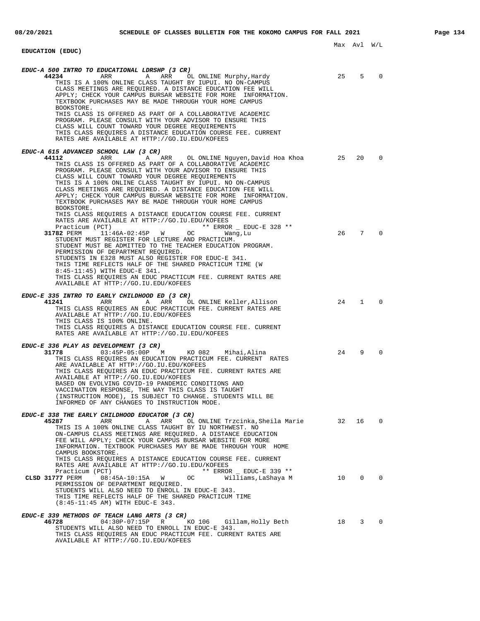## **EDUCATION (EDUC)**

| EDUC-A 500 INTRO TO EDUCATIONAL LDRSHP (3 CR)<br>44234<br>ARR<br>Α<br>ARR<br>OL ONLINE Murphy, Hardy                                                                                                                                                                                                                                                                                                                                                                                                          | 25 | 5              | $\Omega$     |
|---------------------------------------------------------------------------------------------------------------------------------------------------------------------------------------------------------------------------------------------------------------------------------------------------------------------------------------------------------------------------------------------------------------------------------------------------------------------------------------------------------------|----|----------------|--------------|
| THIS IS A 100% ONLINE CLASS TAUGHT BY IUPUI. NO ON-CAMPUS<br>CLASS MEETINGS ARE REOUIRED. A DISTANCE EDUCATION FEE WILL<br>APPLY; CHECK YOUR CAMPUS BURSAR WEBSITE FOR MORE INFORMATION.<br>TEXTBOOK PURCHASES MAY BE MADE THROUGH YOUR HOME CAMPUS<br>BOOKSTORE.                                                                                                                                                                                                                                             |    |                |              |
| THIS CLASS IS OFFERED AS PART OF A COLLABORATIVE ACADEMIC<br>PROGRAM. PLEASE CONSULT WITH YOUR ADVISOR TO ENSURE THIS<br>CLASS WILL COUNT TOWARD YOUR DEGREE REQUIREMENTS<br>THIS CLASS REQUIRES A DISTANCE EDUCATION COURSE FEE. CURRENT<br>RATES ARE AVAILABLE AT HTTP://GO.IU.EDU/KOFEES                                                                                                                                                                                                                   |    |                |              |
| EDUC-A 615 ADVANCED SCHOOL LAW (3 CR)                                                                                                                                                                                                                                                                                                                                                                                                                                                                         |    |                |              |
| 44112<br>ARR<br>Α<br>ARR<br>OL ONLINE Nguyen,David Hoa Khoa<br>THIS CLASS IS OFFERED AS PART OF A COLLABORATIVE ACADEMIC<br>PROGRAM. PLEASE CONSULT WITH YOUR ADVISOR TO ENSURE THIS<br>CLASS WILL COUNT TOWARD YOUR DEGREE REQUIREMENTS<br>THIS IS A 100% ONLINE CLASS TAUGHT BY IUPUI. NO ON-CAMPUS<br>CLASS MEETINGS ARE REQUIRED. A DISTANCE EDUCATION FEE WILL<br>APPLY; CHECK YOUR CAMPUS BURSAR WEBSITE FOR MORE INFORMATION.<br>TEXTBOOK PURCHASES MAY BE MADE THROUGH YOUR HOME CAMPUS<br>BOOKSTORE. | 25 | 20             | 0            |
| THIS CLASS REQUIRES A DISTANCE EDUCATION COURSE FEE. CURRENT<br>RATES ARE AVAILABLE AT HTTP://GO.IU.EDU/KOFEES                                                                                                                                                                                                                                                                                                                                                                                                |    |                |              |
| Practicum (PCT)<br>** ERROR _ EDUC-E 328 **<br>31782 PERM<br>11:46A-02:45P<br>W<br>OC.<br>Wang, Lu<br>STUDENT MUST REGISTER FOR LECTURE AND PRACTICUM.<br>STUDENT MUST BE ADMITTED TO THE TEACHER EDUCATION PROGRAM.<br>PERMISSION OF DEPARTMENT REQUIRED.<br>STUDENTS IN E328 MUST ALSO REGISTER FOR EDUC-E 341.                                                                                                                                                                                             | 26 | 7              | $\Omega$     |
| THIS TIME REFLECTS HALF OF THE SHARED PRACTICUM TIME (W                                                                                                                                                                                                                                                                                                                                                                                                                                                       |    |                |              |
| 8:45-11:45) WITH EDUC-E 341.<br>THIS CLASS REQUIRES AN EDUC PRACTICUM FEE. CURRENT RATES ARE<br>AVAILABLE AT HTTP://GO.IU.EDU/KOFEES                                                                                                                                                                                                                                                                                                                                                                          |    |                |              |
| EDUC-E 335 INTRO TO EARLY CHILDHOOD ED (3 CR)                                                                                                                                                                                                                                                                                                                                                                                                                                                                 |    |                |              |
| 41241<br>ARR<br>ARR<br>OL ONLINE Keller, Allison<br>Α<br>THIS CLASS REQUIRES AN EDUC PRACTICUM FEE. CURRENT RATES ARE<br>AVAILABLE AT HTTP://GO.IU.EDU/KOFEES<br>THIS CLASS IS 100% ONLINE.<br>THIS CLASS REQUIRES A DISTANCE EDUCATION COURSE FEE. CURRENT<br>RATES ARE AVAILABLE AT HTTP://GO.IU.EDU/KOFEES                                                                                                                                                                                                 | 24 | $\mathbf{1}$   | $\Omega$     |
| EDUC-E 336 PLAY AS DEVELOPMENT (3 CR)                                                                                                                                                                                                                                                                                                                                                                                                                                                                         |    |                |              |
| 31778<br>$03:45P-05:00P$ M<br>KO 082<br>Mihai,Alina<br>THIS CLASS REQUIRES AN EDUCATION PRACTICUM FEE. CURRENT RATES<br>ARE AVAILABLE AT HTTP://GO.IU.EDU/KOFEES<br>THIS CLASS REQUIRES AN EDUC PRACTICUM FEE. CURRENT RATES ARE<br>AVAILABLE AT HTTP://GO.IU.EDU/KOFEES<br>BASED ON EVOLVING COVID-19 PANDEMIC CONDITIONS AND<br>VACCINATION RESPONSE, THE WAY THIS CLASS IS TAUGHT<br>(INSTRUCTION MODE), IS SUBJECT TO CHANGE. STUDENTS WILL BE<br>INFORMED OF ANY CHANGES TO INSTRUCTION MODE.            | 24 | 9              | $\Omega$     |
| EDUC-E 338 THE EARLY CHILDHOOD EDUCATOR (3 CR)                                                                                                                                                                                                                                                                                                                                                                                                                                                                |    |                |              |
| 45287<br>ARR<br>OL ONLINE Trzcinka, Sheila Marie<br>ARR<br>A<br>THIS IS A 100% ONLINE CLASS TAUGHT BY IU NORTHWEST. NO<br>ON-CAMPUS CLASS MEETINGS ARE REOUIRED. A DISTANCE EDUCATION<br>FEE WILL APPLY; CHECK YOUR CAMPUS BURSAR WEBSITE FOR MORE<br>INFORMATION. TEXTBOOK PURCHASES MAY BE MADE THROUGH YOUR HOME<br>CAMPUS BOOKSTORE.                                                                                                                                                                      | 32 | 16             | 0            |
| THIS CLASS REQUIRES A DISTANCE EDUCATION COURSE FEE. CURRENT<br>RATES ARE AVAILABLE AT HTTP://GO.IU.EDU/KOFEES                                                                                                                                                                                                                                                                                                                                                                                                |    |                |              |
| Practicum (PCT)<br>** ERROR _ EDUC-E 339 **<br>$08:45A-10:15A$ W<br>CLSD 31777 PERM<br>Williams, LaShaya M<br>OC.<br>PERMISSION OF DEPARTMENT REQUIRED.<br>STUDENTS WILL ALSO NEED TO ENROLL IN EDUC-E 343.<br>THIS TIME REFLECTS HALF OF THE SHARED PRACTICUM TIME<br>(8:45-11:45 AM) WITH EDUC-E 343.                                                                                                                                                                                                       | 10 | $\overline{0}$ | $\mathbf{0}$ |
| EDUC-E 339 METHODS OF TEACH LANG ARTS (3 CR)                                                                                                                                                                                                                                                                                                                                                                                                                                                                  |    |                |              |
| 46728<br>$04:30P-07:15P$<br>R<br>KO 106<br>Gillam,Holly Beth<br>STUDENTS WILL ALSO NEED TO ENROLL IN EDUC-E 343.<br>THIS CLASS REQUIRES AN EDUC PRACTICUM FEE. CURRENT RATES ARE<br>AVAILABLE AT HTTP://GO.IU.EDU/KOFEES                                                                                                                                                                                                                                                                                      | 18 | 3              | $\Omega$     |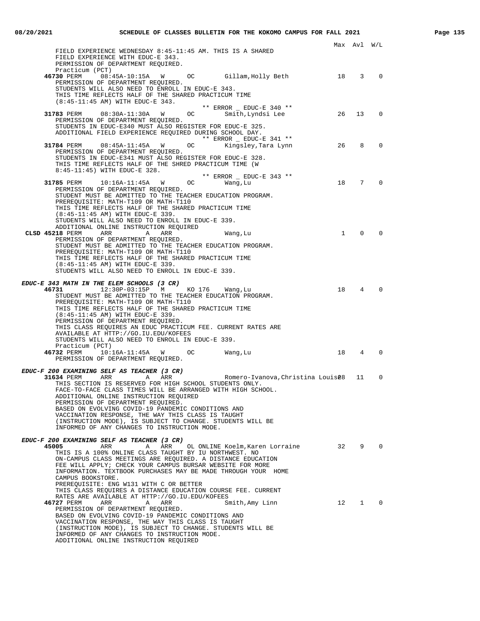| FIELD EXPERIENCE WEDNESDAY 8:45-11:45 AM. THIS IS A SHARED<br>FIELD EXPERIENCE WITH EDUC-E 343.<br>PERMISSION OF DEPARTMENT REQUIRED.<br>Practicum (PCT)<br>08:45A-10:15A W OC Gillam, Holly Beth<br>46730 PERM<br>PERMISSION OF DEPARTMENT REQUIRED.<br>STUDENTS WILL ALSO NEED TO ENROLL IN EDUC-E 343.<br>THIS TIME REFLECTS HALF OF THE SHARED PRACTICUM TIME<br>(8:45-11:45 AM) WITH EDUC-E 343. |              | Max Avl W/L |              |
|-------------------------------------------------------------------------------------------------------------------------------------------------------------------------------------------------------------------------------------------------------------------------------------------------------------------------------------------------------------------------------------------------------|--------------|-------------|--------------|
|                                                                                                                                                                                                                                                                                                                                                                                                       |              |             |              |
|                                                                                                                                                                                                                                                                                                                                                                                                       |              |             |              |
|                                                                                                                                                                                                                                                                                                                                                                                                       |              |             |              |
|                                                                                                                                                                                                                                                                                                                                                                                                       |              | 18 3        | $\Omega$     |
|                                                                                                                                                                                                                                                                                                                                                                                                       |              |             |              |
|                                                                                                                                                                                                                                                                                                                                                                                                       |              |             |              |
|                                                                                                                                                                                                                                                                                                                                                                                                       |              |             |              |
| ** ERROR _ EDUC-E 340 **                                                                                                                                                                                                                                                                                                                                                                              |              |             |              |
| Smith, Lyndsi Lee<br>31783 PERM 08:30A-11:30A W<br>OC                                                                                                                                                                                                                                                                                                                                                 | 26           | 13          | 0            |
| PERMISSION OF DEPARTMENT REQUIRED.<br>STUDENTS IN EDUC-E340 MUST ALSO REGISTER FOR EDUC-E 325.                                                                                                                                                                                                                                                                                                        |              |             |              |
| ADDITIONAL FIELD EXPERIENCE REQUIRED DURING SCHOOL DAY.                                                                                                                                                                                                                                                                                                                                               |              |             |              |
| ** ERROR $\_$ EDUC-E 341 **                                                                                                                                                                                                                                                                                                                                                                           |              |             |              |
| 31784 PERM<br>$08:45A-11:45A$ W<br>OC<br>Kingsley,Tara Lynn                                                                                                                                                                                                                                                                                                                                           | 26           | 8           | $\Omega$     |
| PERMISSION OF DEPARTMENT REQUIRED.                                                                                                                                                                                                                                                                                                                                                                    |              |             |              |
| STUDENTS IN EDUC-E341 MUST ALSO REGISTER FOR EDUC-E 328.                                                                                                                                                                                                                                                                                                                                              |              |             |              |
| THIS TIME REFLECTS HALF OF THE SHRED PRACTICUM TIME (W<br>8:45-11:45) WITH EDUC-E 328.                                                                                                                                                                                                                                                                                                                |              |             |              |
| ** ERROR _ EDUC-E 343 **                                                                                                                                                                                                                                                                                                                                                                              |              |             |              |
| 31785 PERM<br>$10:16A-11:45A$ W OC<br>Wang, Lu                                                                                                                                                                                                                                                                                                                                                        |              | 18 7        | $\Omega$     |
| PERMISSION OF DEPARTMENT REQUIRED.                                                                                                                                                                                                                                                                                                                                                                    |              |             |              |
| STUDENT MUST BE ADMITTED TO THE TEACHER EDUCATION PROGRAM.                                                                                                                                                                                                                                                                                                                                            |              |             |              |
| PREREOUISITE: MATH-T109 OR MATH-T110                                                                                                                                                                                                                                                                                                                                                                  |              |             |              |
| THIS TIME REFLECTS HALF OF THE SHARED PRACTICUM TIME<br>(8:45-11:45 AM) WITH EDUC-E 339.                                                                                                                                                                                                                                                                                                              |              |             |              |
| STUDENTS WILL ALSO NEED TO ENROLL IN EDUC-E 339.                                                                                                                                                                                                                                                                                                                                                      |              |             |              |
| ADDITIONAL ONLINE INSTRUCTION REQUIRED                                                                                                                                                                                                                                                                                                                                                                |              |             |              |
| CLSD 45218 PERM<br>ARR<br>ARR<br>$\overline{A}$<br>Wang, Lu                                                                                                                                                                                                                                                                                                                                           | $\mathbf{1}$ | $\Omega$    | $\Omega$     |
| PERMISSION OF DEPARTMENT REQUIRED.                                                                                                                                                                                                                                                                                                                                                                    |              |             |              |
| STUDENT MUST BE ADMITTED TO THE TEACHER EDUCATION PROGRAM.                                                                                                                                                                                                                                                                                                                                            |              |             |              |
| PREREQUISITE: MATH-T109 OR MATH-T110<br>THIS TIME REFLECTS HALF OF THE SHARED PRACTICUM TIME                                                                                                                                                                                                                                                                                                          |              |             |              |
| (8:45-11:45 AM) WITH EDUC-E 339.                                                                                                                                                                                                                                                                                                                                                                      |              |             |              |
| STUDENTS WILL ALSO NEED TO ENROLL IN EDUC-E 339.                                                                                                                                                                                                                                                                                                                                                      |              |             |              |
|                                                                                                                                                                                                                                                                                                                                                                                                       |              |             |              |
| EDUC-E 343 MATH IN THE ELEM SCHOOLS (3 CR)                                                                                                                                                                                                                                                                                                                                                            |              |             | $\Omega$     |
| 46731<br>12:30P-03:15P M<br>KO 176<br>Wang, Lu<br>STUDENT MUST BE ADMITTED TO THE TEACHER EDUCATION PROGRAM.                                                                                                                                                                                                                                                                                          | 18           | 4           |              |
| PREREQUISITE: MATH-T109 OR MATH-T110                                                                                                                                                                                                                                                                                                                                                                  |              |             |              |
| THIS TIME REFLECTS HALF OF THE SHARED PRACTICUM TIME                                                                                                                                                                                                                                                                                                                                                  |              |             |              |
| (8:45-11:45 AM) WITH EDUC-E 339.                                                                                                                                                                                                                                                                                                                                                                      |              |             |              |
| PERMISSION OF DEPARTMENT REQUIRED.                                                                                                                                                                                                                                                                                                                                                                    |              |             |              |
| THIS CLASS REQUIRES AN EDUC PRACTICUM FEE. CURRENT RATES ARE                                                                                                                                                                                                                                                                                                                                          |              |             |              |
| AVAILABLE AT HTTP://GO.IU.EDU/KOFEES<br>STUDENTS WILL ALSO NEED TO ENROLL IN EDUC-E 339.                                                                                                                                                                                                                                                                                                              |              |             |              |
| Practicum (PCT)                                                                                                                                                                                                                                                                                                                                                                                       |              |             |              |
|                                                                                                                                                                                                                                                                                                                                                                                                       |              |             |              |
| 46732 PERM 10:16A-11:45A W OC Wang, Lu                                                                                                                                                                                                                                                                                                                                                                |              | 18 4        | $\Omega$     |
| PERMISSION OF DEPARTMENT REQUIRED.                                                                                                                                                                                                                                                                                                                                                                    |              |             |              |
|                                                                                                                                                                                                                                                                                                                                                                                                       |              |             |              |
|                                                                                                                                                                                                                                                                                                                                                                                                       |              |             |              |
| 31634 PERM<br>ARR<br>ARR<br>Romero-Ivanova,Christina Louis28<br>A<br>THIS SECTION IS RESERVED FOR HIGH SCHOOL STUDENTS ONLY.                                                                                                                                                                                                                                                                          |              | 11          | $\Omega$     |
| EDUC-F 200 EXAMINING SELF AS TEACHER (3 CR)<br>FACE-TO-FACE CLASS TIMES WILL BE ARRANGED WITH HIGH SCHOOL.                                                                                                                                                                                                                                                                                            |              |             |              |
| ADDITIONAL ONLINE INSTRUCTION REQUIRED                                                                                                                                                                                                                                                                                                                                                                |              |             |              |
| PERMISSION OF DEPARTMENT REQUIRED.                                                                                                                                                                                                                                                                                                                                                                    |              |             |              |
| BASED ON EVOLVING COVID-19 PANDEMIC CONDITIONS AND                                                                                                                                                                                                                                                                                                                                                    |              |             |              |
| VACCINATION RESPONSE, THE WAY THIS CLASS IS TAUGHT                                                                                                                                                                                                                                                                                                                                                    |              |             |              |
| (INSTRUCTION MODE), IS SUBJECT TO CHANGE. STUDENTS WILL BE<br>INFORMED OF ANY CHANGES TO INSTRUCTION MODE.                                                                                                                                                                                                                                                                                            |              |             |              |
|                                                                                                                                                                                                                                                                                                                                                                                                       |              |             |              |
| EDUC-F 200 EXAMINING SELF AS TEACHER (3 CR)                                                                                                                                                                                                                                                                                                                                                           |              |             |              |
| OL ONLINE Koelm, Karen Lorraine 32 9<br>45005<br>ARR<br>ARR<br>Α                                                                                                                                                                                                                                                                                                                                      |              |             | $\mathbf 0$  |
| THIS IS A 100% ONLINE CLASS TAUGHT BY IU NORTHWEST. NO<br>ON-CAMPUS CLASS MEETINGS ARE REOUIRED. A DISTANCE EDUCATION                                                                                                                                                                                                                                                                                 |              |             |              |
| FEE WILL APPLY; CHECK YOUR CAMPUS BURSAR WEBSITE FOR MORE                                                                                                                                                                                                                                                                                                                                             |              |             |              |
| INFORMATION. TEXTBOOK PURCHASES MAY BE MADE THROUGH YOUR HOME                                                                                                                                                                                                                                                                                                                                         |              |             |              |
| CAMPUS BOOKSTORE.                                                                                                                                                                                                                                                                                                                                                                                     |              |             |              |
| PREREQUISITE: ENG W131 WITH C OR BETTER                                                                                                                                                                                                                                                                                                                                                               |              |             |              |
| THIS CLASS REQUIRES A DISTANCE EDUCATION COURSE FEE. CURRENT<br>RATES ARE AVAILABLE AT HTTP://GO.IU.EDU/KOFEES                                                                                                                                                                                                                                                                                        |              |             |              |
| 46727 PERM<br>ARR<br>ARR<br>Α<br>Smith,Amy Linn                                                                                                                                                                                                                                                                                                                                                       |              | 12 1        | $\mathbf{0}$ |
| PERMISSION OF DEPARTMENT REQUIRED.                                                                                                                                                                                                                                                                                                                                                                    |              |             |              |
| BASED ON EVOLVING COVID-19 PANDEMIC CONDITIONS AND                                                                                                                                                                                                                                                                                                                                                    |              |             |              |
| VACCINATION RESPONSE, THE WAY THIS CLASS IS TAUGHT                                                                                                                                                                                                                                                                                                                                                    |              |             |              |
| (INSTRUCTION MODE), IS SUBJECT TO CHANGE. STUDENTS WILL BE<br>INFORMED OF ANY CHANGES TO INSTRUCTION MODE.                                                                                                                                                                                                                                                                                            |              |             |              |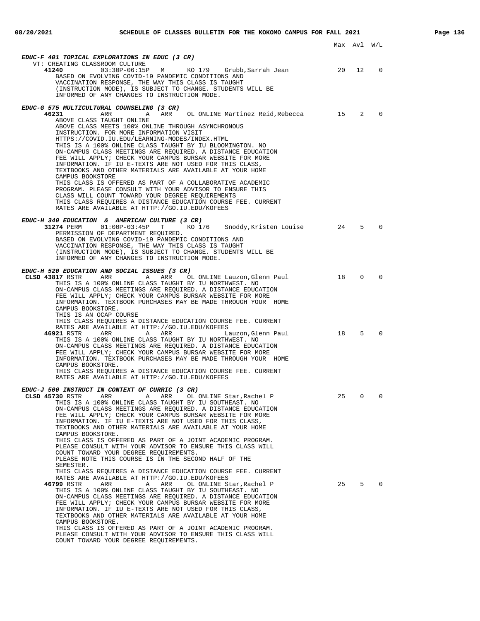|                                                                                                                                                                                                                                                                                                                                                                                                                                                                                                                                                                                                                                                                         |    | Max Avl W/L |                         |
|-------------------------------------------------------------------------------------------------------------------------------------------------------------------------------------------------------------------------------------------------------------------------------------------------------------------------------------------------------------------------------------------------------------------------------------------------------------------------------------------------------------------------------------------------------------------------------------------------------------------------------------------------------------------------|----|-------------|-------------------------|
|                                                                                                                                                                                                                                                                                                                                                                                                                                                                                                                                                                                                                                                                         |    |             |                         |
| <b>EDUC-F 401 TOPICAL EXPLORATIONS IN EDUC (3 CR)</b>                                                                                                                                                                                                                                                                                                                                                                                                                                                                                                                                                                                                                   |    |             |                         |
| VT: CREATING CLASSROOM CULTURE<br>41240<br>03:30P-06:15P M KO 179 Grubb,Sarrah Jean<br>BASED ON EVOLVING COVID-19 PANDEMIC CONDITIONS AND<br>VACCINATION RESPONSE, THE WAY THIS CLASS IS TAUGHT<br>(INSTRUCTION MODE), IS SUBJECT TO CHANGE. STUDENTS WILL BE<br>INFORMED OF ANY CHANGES TO INSTRUCTION MODE.                                                                                                                                                                                                                                                                                                                                                           | 20 | 12          | 0                       |
|                                                                                                                                                                                                                                                                                                                                                                                                                                                                                                                                                                                                                                                                         |    |             |                         |
| EDUC-G 575 MULTICULTURAL COUNSELING (3 CR)                                                                                                                                                                                                                                                                                                                                                                                                                                                                                                                                                                                                                              |    |             |                         |
| 46231<br>ABOVE CLASS TAUGHT ONLINE<br>ABOVE CLASS MEETS 100% ONLINE THROUGH ASYNCHRONOUS<br>INSTRUCTION. FOR MORE INFORMATION VISIT<br>HTTPS://COVID.IU.EDU/LEARNING-MODES/INDEX.HTML<br>THIS IS A 100% ONLINE CLASS TAUGHT BY IU BLOOMINGTON. NO                                                                                                                                                                                                                                                                                                                                                                                                                       |    |             | $2^{\circ}$<br>$\Omega$ |
| ON-CAMPUS CLASS MEETINGS ARE REOUIRED. A DISTANCE EDUCATION<br>FEE WILL APPLY; CHECK YOUR CAMPUS BURSAR WEBSITE FOR MORE<br>INFORMATION. IF IU E-TEXTS ARE NOT USED FOR THIS CLASS,<br>TEXTBOOKS AND OTHER MATERIALS ARE AVAILABLE AT YOUR HOME<br>CAMPUS BOOKSTORE<br>THIS CLASS IS OFFERED AS PART OF A COLLABORATIVE ACADEMIC                                                                                                                                                                                                                                                                                                                                        |    |             |                         |
| PROGRAM. PLEASE CONSULT WITH YOUR ADVISOR TO ENSURE THIS<br>CLASS WILL COUNT TOWARD YOUR DEGREE REOUIREMENTS<br>THIS CLASS REQUIRES A DISTANCE EDUCATION COURSE FEE. CURRENT<br>RATES ARE AVAILABLE AT HTTP://GO.IU.EDU/KOFEES                                                                                                                                                                                                                                                                                                                                                                                                                                          |    |             |                         |
| EDUC-H 340 EDUCATION & AMERICAN CULTURE (3 CR)<br>31274 PERM         01:00P-03:45P<br>т кол 76<br>Snoddy,Kristen Louise<br>PERMISSION OF DEPARTMENT REQUIRED.<br>BASED ON EVOLVING COVID-19 PANDEMIC CONDITIONS AND<br>VACCINATION RESPONSE, THE WAY THIS CLASS IS TAUGHT<br>(INSTRUCTION MODE), IS SUBJECT TO CHANGE. STUDENTS WILL BE<br>INFORMED OF ANY CHANGES TO INSTRUCTION MODE.                                                                                                                                                                                                                                                                                 | 24 | $5^{\circ}$ | $\Omega$                |
| EDUC-H 520 EDUCATION AND SOCIAL ISSUES (3 CR)                                                                                                                                                                                                                                                                                                                                                                                                                                                                                                                                                                                                                           |    |             |                         |
| CLSD 43817 RSTR<br>ARR<br>A<br>ARR OL ONLINE Lauzon, Glenn Paul<br>THIS IS A 100% ONLINE CLASS TAUGHT BY IU NORTHWEST. NO<br>ON-CAMPUS CLASS MEETINGS ARE REQUIRED. A DISTANCE EDUCATION<br>FEE WILL APPLY; CHECK YOUR CAMPUS BURSAR WEBSITE FOR MORE<br>INFORMATION. TEXTBOOK PURCHASES MAY BE MADE THROUGH YOUR HOME<br>CAMPUS BOOKSTORE.<br>THIS IS AN OCAP COURSE                                                                                                                                                                                                                                                                                                   | 18 | $\Omega$    | $\Omega$                |
| THIS CLASS REQUIRES A DISTANCE EDUCATION COURSE FEE. CURRENT<br>RATES ARE AVAILABLE AT HTTP://GO.IU.EDU/KOFEES<br>46921 RSTR<br>ARR<br>ARR<br>Α<br>Lauzon,Glenn Paul                                                                                                                                                                                                                                                                                                                                                                                                                                                                                                    | 18 | 5           | $\Omega$                |
| THIS IS A 100% ONLINE CLASS TAUGHT BY IU NORTHWEST. NO<br>ON-CAMPUS CLASS MEETINGS ARE REQUIRED. A DISTANCE EDUCATION<br>FEE WILL APPLY; CHECK YOUR CAMPUS BURSAR WEBSITE FOR MORE<br>INFORMATION. TEXTBOOK PURCHASES MAY BE MADE THROUGH YOUR HOME<br>CAMPUS BOOKSTORE.<br>THIS CLASS REQUIRES A DISTANCE EDUCATION COURSE FEE. CURRENT<br>RATES ARE AVAILABLE AT HTTP://GO.IU.EDU/KOFEES                                                                                                                                                                                                                                                                              |    |             |                         |
|                                                                                                                                                                                                                                                                                                                                                                                                                                                                                                                                                                                                                                                                         |    |             |                         |
| EDUC-J 500 INSTRUCT IN CONTEXT OF CURRIC (3 CR)<br><b>CLSD 45730</b> RSTR<br>ARR<br>A ARR OL ONLINE Star,Rachel P<br>THIS IS A 100% ONLINE CLASS TAUGHT BY IU SOUTHEAST. NO<br>ON-CAMPUS CLASS MEETINGS ARE REQUIRED. A DISTANCE EDUCATION<br>FEE WILL APPLY; CHECK YOUR CAMPUS BURSAR WEBSITE FOR MORE<br>INFORMATION. IF IU E-TEXTS ARE NOT USED FOR THIS CLASS,<br>TEXTBOOKS AND OTHER MATERIALS ARE AVAILABLE AT YOUR HOME<br>CAMPUS BOOKSTORE.                                                                                                                                                                                                                     | 25 |             | 0                       |
| THIS CLASS IS OFFERED AS PART OF A JOINT ACADEMIC PROGRAM.<br>PLEASE CONSULT WITH YOUR ADVISOR TO ENSURE THIS CLASS WILL<br>COUNT TOWARD YOUR DEGREE REOUIREMENTS.<br>PLEASE NOTE THIS COURSE IS IN THE SECOND HALF OF THE<br>SEMESTER.<br>THIS CLASS REQUIRES A DISTANCE EDUCATION COURSE FEE. CURRENT<br>RATES ARE AVAILABLE AT HTTP://GO.IU.EDU/KOFEES<br>46799 RSTR<br>ARR<br>OL ONLINE Star, Rachel P<br>Α<br>ARR<br>THIS IS A 100% ONLINE CLASS TAUGHT BY IU SOUTHEAST. NO<br>ON-CAMPUS CLASS MEETINGS ARE REQUIRED. A DISTANCE EDUCATION<br>FEE WILL APPLY; CHECK YOUR CAMPUS BURSAR WEBSITE FOR MORE<br>INFORMATION. IF IU E-TEXTS ARE NOT USED FOR THIS CLASS, | 25 | 5           | 0                       |
| TEXTBOOKS AND OTHER MATERIALS ARE AVAILABLE AT YOUR HOME<br>CAMPUS BOOKSTORE.<br>THIS CLASS IS OFFERED AS PART OF A JOINT ACADEMIC PROGRAM.<br>PLEASE CONSULT WITH YOUR ADVISOR TO ENSURE THIS CLASS WILL<br>COUNT TOWARD YOUR DEGREE REQUIREMENTS.                                                                                                                                                                                                                                                                                                                                                                                                                     |    |             |                         |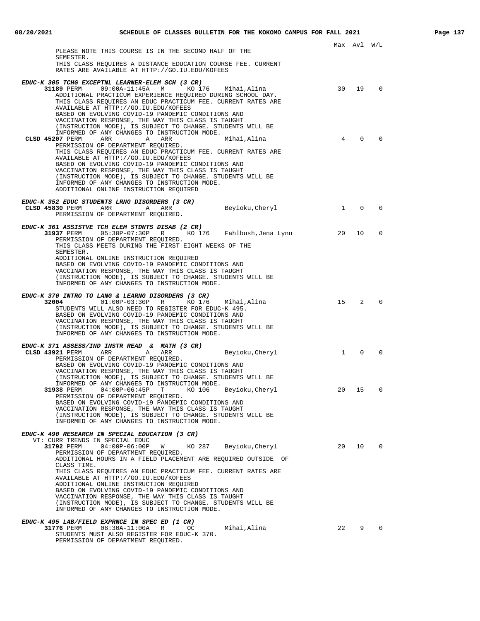| PLEASE NOTE THIS COURSE IS IN THE SECOND HALF OF THE                                                                        |              |          |                |
|-----------------------------------------------------------------------------------------------------------------------------|--------------|----------|----------------|
| SEMESTER.<br>THIS CLASS REQUIRES A DISTANCE EDUCATION COURSE FEE. CURRENT                                                   |              |          |                |
| RATES ARE AVAILABLE AT HTTP://GO.IU.EDU/KOFEES                                                                              |              |          |                |
| EDUC-K 305 TCHG EXCEPTNL LEARNER-ELEM SCH (3 CR)                                                                            |              |          |                |
| $31189$ PERM $09:00A-11:45A$ M KO 176 Mihai, Alina                                                                          | 30           | 19       | $\Omega$       |
| ADDITIONAL PRACTICUM EXPERIENCE REQUIRED DURING SCHOOL DAY.<br>THIS CLASS REQUIRES AN EDUC PRACTICUM FEE. CURRENT RATES ARE |              |          |                |
| AVAILABLE AT HTTP://GO.IU.EDU/KOFEES                                                                                        |              |          |                |
| BASED ON EVOLVING COVID-19 PANDEMIC CONDITIONS AND                                                                          |              |          |                |
| VACCINATION RESPONSE, THE WAY THIS CLASS IS TAUGHT<br>(INSTRUCTION MODE), IS SUBJECT TO CHANGE. STUDENTS WILL BE            |              |          |                |
| INFORMED OF ANY CHANGES TO INSTRUCTION MODE.                                                                                |              |          |                |
| CLSD 45207 PERM<br>ARR<br>A<br>ARR<br>Mihai,Alina                                                                           | 4            | $\Omega$ | $\Omega$       |
| PERMISSION OF DEPARTMENT REQUIRED.<br>THIS CLASS REQUIRES AN EDUC PRACTICUM FEE. CURRENT RATES ARE                          |              |          |                |
| AVAILABLE AT HTTP://GO.IU.EDU/KOFEES                                                                                        |              |          |                |
| BASED ON EVOLVING COVID-19 PANDEMIC CONDITIONS AND<br>VACCINATION RESPONSE, THE WAY THIS CLASS IS TAUGHT                    |              |          |                |
| (INSTRUCTION MODE), IS SUBJECT TO CHANGE. STUDENTS WILL BE                                                                  |              |          |                |
| INFORMED OF ANY CHANGES TO INSTRUCTION MODE.                                                                                |              |          |                |
| ADDITIONAL ONLINE INSTRUCTION REQUIRED                                                                                      |              |          |                |
| EDUC-K 352 EDUC STUDENTS LRNG DISORDERS (3 CR)                                                                              |              |          |                |
| CLSD 45830 PERM<br>Beyioku, Cheryl<br>ARR<br>A<br>ARR                                                                       | $\mathbf{1}$ | $\Omega$ | $\Omega$       |
| PERMISSION OF DEPARTMENT REQUIRED.                                                                                          |              |          |                |
| EDUC-K 361 ASSISTVE TCH ELEM STDNTS DISAB (2 CR)                                                                            |              |          |                |
| PERMISSION OF DEPARTMENT REQUIRED.                                                                                          | 20           | 10       | $\mathbf 0$    |
| THIS CLASS MEETS DURING THE FIRST EIGHT WEEKS OF THE                                                                        |              |          |                |
| SEMESTER.                                                                                                                   |              |          |                |
| ADDITIONAL ONLINE INSTRUCTION REQUIRED<br>BASED ON EVOLVING COVID-19 PANDEMIC CONDITIONS AND                                |              |          |                |
| VACCINATION RESPONSE, THE WAY THIS CLASS IS TAUGHT                                                                          |              |          |                |
| (INSTRUCTION MODE), IS SUBJECT TO CHANGE. STUDENTS WILL BE                                                                  |              |          |                |
| INFORMED OF ANY CHANGES TO INSTRUCTION MODE.                                                                                |              |          |                |
| EDUC-K 370 INTRO TO LANG & LEARNG DISORDERS (3 CR)                                                                          |              |          |                |
| 01:00P-03:30P R KO 176<br>32004<br>Mihai,Alina<br>STUDENTS WILL ALSO NEED TO REGISTER FOR EDUC-K 495.                       | 15           | 2        | $\Omega$       |
| BASED ON EVOLVING COVID-19 PANDEMIC CONDITIONS AND                                                                          |              |          |                |
| VACCINATION RESPONSE, THE WAY THIS CLASS IS TAUGHT                                                                          |              |          |                |
| (INSTRUCTION MODE), IS SUBJECT TO CHANGE. STUDENTS WILL BE<br>INFORMED OF ANY CHANGES TO INSTRUCTION MODE.                  |              |          |                |
|                                                                                                                             |              |          |                |
| EDUC-K 371 ASSESS/IND INSTR READ & MATH (3 CR)<br>Beyioku, Cheryl<br>CLSD 43921 PERM<br>ARR<br>A<br>ARR                     | $\mathbf{1}$ | $\Omega$ | $\Omega$       |
| PERMISSION OF DEPARTMENT REQUIRED.                                                                                          |              |          |                |
| BASED ON EVOLVING COVID-19 PANDEMIC CONDITIONS AND                                                                          |              |          |                |
| VACCINATION RESPONSE, THE WAY THIS CLASS IS TAUGHT<br>(INSTRUCTION MODE), IS SUBJECT TO CHANGE. STUDENTS WILL BE            |              |          |                |
| INFORMED OF ANY CHANGES TO INSTRUCTION MODE.                                                                                |              |          |                |
| $04:00P-06:45P$ T<br>KO 106<br>Beyioku, Cheryl<br>31938 PERM<br>PERMISSION OF DEPARTMENT REQUIRED.                          | 20           | 15       | 0              |
| BASED ON EVOLVING COVID-19 PANDEMIC CONDITIONS AND                                                                          |              |          |                |
| VACCINATION RESPONSE, THE WAY THIS CLASS IS TAUGHT                                                                          |              |          |                |
| (INSTRUCTION MODE), IS SUBJECT TO CHANGE. STUDENTS WILL BE<br>INFORMED OF ANY CHANGES TO INSTRUCTION MODE.                  |              |          |                |
|                                                                                                                             |              |          |                |
| EDUC-K 490 RESEARCH IN SPECIAL EDUCATION (3 CR)<br>VT: CURR TRENDS IN SPECIAL EDUC                                          |              |          |                |
| KO 287 Beyioku, Cheryl<br>31792 PERM<br>04:00P-06:00P<br>W                                                                  | 20           | 10       | $\overline{0}$ |
| PERMISSION OF DEPARTMENT REQUIRED.                                                                                          |              |          |                |
| ADDITIONAL HOURS IN A FIELD PLACEMENT ARE REQUIRED OUTSIDE OF<br>CLASS TIME.                                                |              |          |                |
| THIS CLASS REQUIRES AN EDUC PRACTICUM FEE. CURRENT RATES ARE                                                                |              |          |                |
| AVAILABLE AT HTTP://GO.IU.EDU/KOFEES<br>ADDITIONAL ONLINE INSTRUCTION REQUIRED                                              |              |          |                |
| BASED ON EVOLVING COVID-19 PANDEMIC CONDITIONS AND                                                                          |              |          |                |
| VACCINATION RESPONSE, THE WAY THIS CLASS IS TAUGHT                                                                          |              |          |                |
| (INSTRUCTION MODE), IS SUBJECT TO CHANGE. STUDENTS WILL BE<br>INFORMED OF ANY CHANGES TO INSTRUCTION MODE.                  |              |          |                |
|                                                                                                                             |              |          |                |
| EDUC-K 495 LAB/FIELD EXPRNCE IN SPEC ED (1 CR)<br>31776 PERM<br>$08:30A-11:00A$<br>R<br>OC<br>Mihai,Alina                   | 22           | 9 0      |                |
| STUDENTS MUST ALSO REGISTER FOR EDUC-K 370.                                                                                 |              |          |                |

PERMISSION OF DEPARTMENT REQUIRED.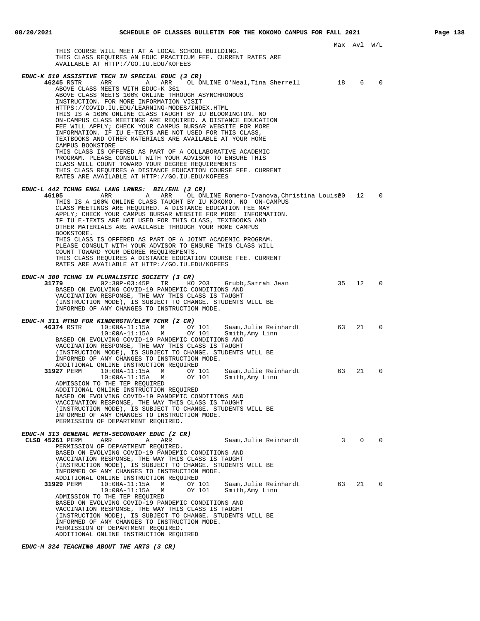|                                                                                                                                                                                                                                                                                                                                                                                                                                                                                                                                                                                                                                                                                                                                                                                                                                                                                                                                             |    | Max Avl | W/L          |  |
|---------------------------------------------------------------------------------------------------------------------------------------------------------------------------------------------------------------------------------------------------------------------------------------------------------------------------------------------------------------------------------------------------------------------------------------------------------------------------------------------------------------------------------------------------------------------------------------------------------------------------------------------------------------------------------------------------------------------------------------------------------------------------------------------------------------------------------------------------------------------------------------------------------------------------------------------|----|---------|--------------|--|
| THIS COURSE WILL MEET AT A LOCAL SCHOOL BUILDING.<br>THIS CLASS REQUIRES AN EDUC PRACTICUM FEE. CURRENT RATES ARE<br>AVAILABLE AT HTTP://GO.IU.EDU/KOFEES                                                                                                                                                                                                                                                                                                                                                                                                                                                                                                                                                                                                                                                                                                                                                                                   |    |         |              |  |
| EDUC-K 510 ASSISTIVE TECH IN SPECIAL EDUC (3 CR)<br>46245 RSTR<br>ARR<br>ARR OL ONLINE O'Neal, Tina Sherrell<br>A<br>ABOVE CLASS MEETS WITH EDUC-K 361<br>ABOVE CLASS MEETS 100% ONLINE THROUGH ASYNCHRONOUS<br>INSTRUCTION. FOR MORE INFORMATION VISIT<br>HTTPS://COVID.IU.EDU/LEARNING-MODES/INDEX.HTML<br>THIS IS A 100% ONLINE CLASS TAUGHT BY IU BLOOMINGTON. NO<br>ON-CAMPUS CLASS MEETINGS ARE REQUIRED. A DISTANCE EDUCATION<br>FEE WILL APPLY; CHECK YOUR CAMPUS BURSAR WEBSITE FOR MORE<br>INFORMATION. IF IU E-TEXTS ARE NOT USED FOR THIS CLASS,<br>TEXTBOOKS AND OTHER MATERIALS ARE AVAILABLE AT YOUR HOME<br>CAMPUS BOOKSTORE<br>THIS CLASS IS OFFERED AS PART OF A COLLABORATIVE ACADEMIC<br>PROGRAM. PLEASE CONSULT WITH YOUR ADVISOR TO ENSURE THIS<br>CLASS WILL COUNT TOWARD YOUR DEGREE REQUIREMENTS<br>THIS CLASS REQUIRES A DISTANCE EDUCATION COURSE FEE. CURRENT<br>RATES ARE AVAILABLE AT HTTP://GO.IU.EDU/KOFEES | 18 | 6       | 0            |  |
| EDUC-L 442 TCHNG ENGL LANG LRNRS: BIL/ENL (3 CR)<br>46105<br>ARR<br>OL ONLINE Romero-Ivanova,Christina Louisê0<br>ARR<br>A<br>THIS IS A 100% ONLINE CLASS TAUGHT BY IU KOKOMO. NO ON-CAMPUS<br>CLASS MEETINGS ARE REQUIRED. A DISTANCE EDUCATION FEE MAY<br>APPLY; CHECK YOUR CAMPUS BURSAR WEBSITE FOR MORE INFORMATION.<br>IF IU E-TEXTS ARE NOT USED FOR THIS CLASS, TEXTBOOKS AND<br>OTHER MATERIALS ARE AVAILABLE THROUGH YOUR HOME CAMPUS<br>BOOKSTORE.<br>THIS CLASS IS OFFERED AS PART OF A JOINT ACADEMIC PROGRAM.<br>PLEASE CONSULT WITH YOUR ADVISOR TO ENSURE THIS CLASS WILL<br>COUNT TOWARD YOUR DEGREE REQUIREMENTS.<br>THIS CLASS REQUIRES A DISTANCE EDUCATION COURSE FEE. CURRENT<br>RATES ARE AVAILABLE AT HTTP://GO.IU.EDU/KOFEES                                                                                                                                                                                       |    | 12      | $\mathbf 0$  |  |
| EDUC-M 300 TCHNG IN PLURALISTIC SOCIETY (3 CR)<br>31779<br>$02:30P-03:45P$<br>TR<br>KO 203<br>Grubb,Sarrah Jean<br>BASED ON EVOLVING COVID-19 PANDEMIC CONDITIONS AND<br>VACCINATION RESPONSE, THE WAY THIS CLASS IS TAUGHT<br>(INSTRUCTION MODE), IS SUBJECT TO CHANGE. STUDENTS WILL BE<br>INFORMED OF ANY CHANGES TO INSTRUCTION MODE.                                                                                                                                                                                                                                                                                                                                                                                                                                                                                                                                                                                                   | 35 | 12      | $\mathbf 0$  |  |
| EDUC-M 311 MTHD FOR KINDERGTN/ELEM TCHR (2 CR)<br>46374 RSTR<br>$10:00A-11:15A$ M<br>OY 101<br>Saam, Julie Reinhardt<br>OY 101<br>$10:00A-11:15A$ M<br>Smith, Amy Linn<br>BASED ON EVOLVING COVID-19 PANDEMIC CONDITIONS AND<br>VACCINATION RESPONSE, THE WAY THIS CLASS IS TAUGHT<br>(INSTRUCTION MODE), IS SUBJECT TO CHANGE. STUDENTS WILL BE<br>INFORMED OF ANY CHANGES TO INSTRUCTION MODE.                                                                                                                                                                                                                                                                                                                                                                                                                                                                                                                                            | 63 | 21      | $\mathbf 0$  |  |
| ADDITIONAL ONLINE INSTRUCTION REQUIRED<br>31927 PERM<br>$10:00A-11:15A$<br>OY 101<br>Saam, Julie Reinhardt<br>M<br>OY 101 Smith, Amy Linn<br>$10:00A-11:15A$<br>M<br>ADMISSION TO THE TEP REQUIRED<br>ADDITIONAL ONLINE INSTRUCTION REQUIRED<br>BASED ON EVOLVING COVID-19 PANDEMIC CONDITIONS AND<br>VACCINATION RESPONSE, THE WAY THIS CLASS IS TAUGHT<br>(INSTRUCTION MODE), IS SUBJECT TO CHANGE. STUDENTS WILL BE<br>INFORMED OF ANY CHANGES TO INSTRUCTION MODE.<br>PERMISSION OF DEPARTMENT REQUIRED.                                                                                                                                                                                                                                                                                                                                                                                                                                | 63 | 21      | $\mathbf{0}$ |  |
| EDUC-M 313 GENERAL METH-SECONDARY EDUC (2 CR)<br>Saam, Julie Reinhardt<br>CLSD 45261 PERM<br>ARR<br>Α<br>ARR<br>PERMISSION OF DEPARTMENT REQUIRED.<br>BASED ON EVOLVING COVID-19 PANDEMIC CONDITIONS AND<br>VACCINATION RESPONSE, THE WAY THIS CLASS IS TAUGHT<br>(INSTRUCTION MODE), IS SUBJECT TO CHANGE. STUDENTS WILL BE<br>INFORMED OF ANY CHANGES TO INSTRUCTION MODE.                                                                                                                                                                                                                                                                                                                                                                                                                                                                                                                                                                | 3  | 0       | $\Omega$     |  |
| ADDITIONAL ONLINE INSTRUCTION REQUIRED<br>31929 PERM<br>$10:00A-11:15A$<br>Saam,Julie Reinhardt<br>М<br>OY 101<br>$10:00A-11:15A$<br>OY 101<br>М<br>Smith, Amy Linn<br>ADMISSION TO THE TEP REQUIRED<br>BASED ON EVOLVING COVID-19 PANDEMIC CONDITIONS AND<br>VACCINATION RESPONSE, THE WAY THIS CLASS IS TAUGHT<br>(INSTRUCTION MODE), IS SUBJECT TO CHANGE. STUDENTS WILL BE<br>INFORMED OF ANY CHANGES TO INSTRUCTION MODE.<br>PERMISSION OF DEPARTMENT REQUIRED.<br>ADDITIONAL ONLINE INSTRUCTION REQUIRED                                                                                                                                                                                                                                                                                                                                                                                                                              | 63 | 21      | 0            |  |

**EDUC-M 324 TEACHING ABOUT THE ARTS (3 CR)**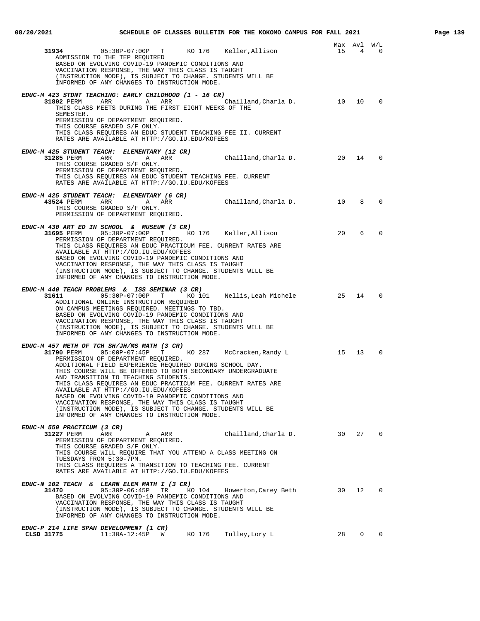| 08/20/2021                                                           |                                                                                                                                                                                                                                                                                                                                                                                                                                                                                                                                                                                       |        | SCHEDULE OF CLASSES BULLETIN FOR THE KOKOMO CAMPUS FOR FALL 2021 |        |                |                | Page 139 |
|----------------------------------------------------------------------|---------------------------------------------------------------------------------------------------------------------------------------------------------------------------------------------------------------------------------------------------------------------------------------------------------------------------------------------------------------------------------------------------------------------------------------------------------------------------------------------------------------------------------------------------------------------------------------|--------|------------------------------------------------------------------|--------|----------------|----------------|----------|
| 31934                                                                | ADMISSION TO THE TEP REQUIRED<br>BASED ON EVOLVING COVID-19 PANDEMIC CONDITIONS AND<br>VACCINATION RESPONSE, THE WAY THIS CLASS IS TAUGHT<br>(INSTRUCTION MODE), IS SUBJECT TO CHANGE. STUDENTS WILL BE<br>INFORMED OF ANY CHANGES TO INSTRUCTION MODE.                                                                                                                                                                                                                                                                                                                               |        | 05:30P-07:00P T KO 176 Keller, Allison                           | 15 4 0 | Max Avl W/L    |                |          |
| SEMESTER.                                                            | EDUC-M 423 STDNT TEACHING: EARLY CHILDHOOD (1 - 16 CR)<br>31802 PERM ARR ARR ARR<br>THIS CLASS MEETS DURING THE FIRST EIGHT WEEKS OF THE<br>PERMISSION OF DEPARTMENT REQUIRED.<br>THIS COURSE GRADED S/F ONLY.<br>THIS CLASS REQUIRES AN EDUC STUDENT TEACHING FEE II. CURRENT<br>RATES ARE AVAILABLE AT HTTP://GO.IU.EDU/KOFEES                                                                                                                                                                                                                                                      |        | Chailland, Charla D. 10 10                                       |        |                | $\overline{0}$ |          |
| 31285 PERM<br>ARR                                                    | EDUC-M 425 STUDENT TEACH: ELEMENTARY (12 CR)<br>A ARR<br>THIS COURSE GRADED S/F ONLY.<br>PERMISSION OF DEPARTMENT REQUIRED.<br>THIS CLASS REQUIRES AN EDUC STUDENT TEACHING FEE. CURRENT<br>RATES ARE AVAILABLE AT HTTP://GO.IU.EDU/KOFEES                                                                                                                                                                                                                                                                                                                                            |        | Chailland, Charla D. 20 14                                       |        |                | $\overline{0}$ |          |
| 43524 PERM                                                           | EDUC-M 425 STUDENT TEACH: ELEMENTARY (6 CR)<br>ARR<br>A ARR<br>THIS COURSE GRADED S/F ONLY.<br>PERMISSION OF DEPARTMENT REQUIRED.                                                                                                                                                                                                                                                                                                                                                                                                                                                     |        | Chailland, Charla D. 10                                          |        | 8              | $\Omega$       |          |
| 31695 PERM                                                           | EDUC-M 430 ART ED IN SCHOOL & MUSEUM (3 CR)<br>PERMISSION OF DEPARTMENT REQUIRED.<br>THIS CLASS REQUIRES AN EDUC PRACTICUM FEE. CURRENT RATES ARE<br>AVAILABLE AT HTTP://GO.IU.EDU/KOFEES<br>BASED ON EVOLVING COVID-19 PANDEMIC CONDITIONS AND<br>VACCINATION RESPONSE, THE WAY THIS CLASS IS TAUGHT<br>(INSTRUCTION MODE), IS SUBJECT TO CHANGE. STUDENTS WILL BE<br>INFORMED OF ANY CHANGES TO INSTRUCTION MODE.                                                                                                                                                                   |        | 05:30P-07:00P T KO 176 Keller, Allison                           | 20     | 6              | $\overline{0}$ |          |
| 31611 200                                                            | EDUC-M 440 TEACH PROBLEMS & ISS SEMINAR (3 CR)<br>ADDITIONAL ONLINE INSTRUCTION REQUIRED<br>ON CAMPUS MEETINGS REQUIRED. MEETINGS TO TBD.<br>BASED ON EVOLVING COVID-19 PANDEMIC CONDITIONS AND<br>VACCINATION RESPONSE, THE WAY THIS CLASS IS TAUGHT<br>(INSTRUCTION MODE), IS SUBJECT TO CHANGE. STUDENTS WILL BE<br>INFORMED OF ANY CHANGES TO INSTRUCTION MODE.                                                                                                                                                                                                                   |        | 05:30P-07:00P T KO 101 Nellis, Leah Michele 25 14                |        |                | $\Omega$       |          |
|                                                                      | EDUC-M 457 METH OF TCH SH/JH/MS MATH (3 CR)<br>PERMISSION OF DEPARTMENT REQUIRED.<br>ADDITIONAL FIELD EXPERIENCE REQUIRED DURING SCHOOL DAY.<br>THIS COURSE WILL BE OFFERED TO BOTH SECONDARY UNDERGRADUATE<br>AND TRANSITION TO TEACHING STUDENTS.<br>THIS CLASS REQUIRES AN EDUC PRACTICUM FEE. CURRENT RATES ARE<br>AVAILABLE AT HTTP://GO.IU.EDU/KOFEES<br>BASED ON EVOLVING COVID-19 PANDEMIC CONDITIONS AND<br>VACCINATION RESPONSE, THE WAY THIS CLASS IS TAUGHT<br>(INSTRUCTION MODE), IS SUBJECT TO CHANGE. STUDENTS WILL BE<br>INFORMED OF ANY CHANGES TO INSTRUCTION MODE. |        | McCracken, Randy L 15 13                                         |        |                | $\overline{0}$ |          |
| EDUC-M 550 PRACTICUM (3 CR)<br>31227 PERM<br>TUESDAYS FROM 5:30-7PM. | ARR<br>A ARR<br>PERMISSION OF DEPARTMENT REQUIRED.<br>THIS COURSE GRADED S/F ONLY.<br>THIS COURSE WILL REOUIRE THAT YOU ATTEND A CLASS MEETING ON<br>THIS CLASS REQUIRES A TRANSITION TO TEACHING FEE. CURRENT<br>RATES ARE AVAILABLE AT HTTP://GO.IU.EDU/KOFEES                                                                                                                                                                                                                                                                                                                      |        | Chailland, Charla D. 30 27 0                                     |        |                |                |          |
| 31470                                                                | EDUC-N 102 TEACH & LEARN ELEM MATH I (3 CR)<br>$05:30P-06:45P$ TR<br>BASED ON EVOLVING COVID-19 PANDEMIC CONDITIONS AND<br>VACCINATION RESPONSE, THE WAY THIS CLASS IS TAUGHT<br>(INSTRUCTION MODE), IS SUBJECT TO CHANGE. STUDENTS WILL BE<br>INFORMED OF ANY CHANGES TO INSTRUCTION MODE.                                                                                                                                                                                                                                                                                           | KO 104 | Howerton, Carey Beth 30 12                                       |        |                | $\overline{0}$ |          |
| EDUC-P 214 LIFE SPAN DEVELOPMENT (1 CR)<br>CLSD 31775                | 11:30A-12:45P<br>W                                                                                                                                                                                                                                                                                                                                                                                                                                                                                                                                                                    | KO 176 | Tulley, Lory L                                                   | 28     | $\overline{0}$ | 0              |          |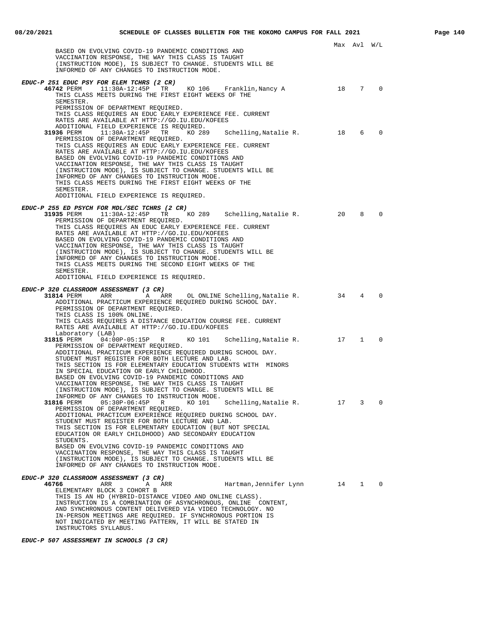|                                                                                                                                                                                                                                                                                                                                                                                                                                                                                                                                                                                                                                               |      | Max Avl W/L     |                |
|-----------------------------------------------------------------------------------------------------------------------------------------------------------------------------------------------------------------------------------------------------------------------------------------------------------------------------------------------------------------------------------------------------------------------------------------------------------------------------------------------------------------------------------------------------------------------------------------------------------------------------------------------|------|-----------------|----------------|
| BASED ON EVOLVING COVID-19 PANDEMIC CONDITIONS AND<br>VACCINATION RESPONSE, THE WAY THIS CLASS IS TAUGHT<br>(INSTRUCTION MODE), IS SUBJECT TO CHANGE. STUDENTS WILL BE<br>INFORMED OF ANY CHANGES TO INSTRUCTION MODE.                                                                                                                                                                                                                                                                                                                                                                                                                        |      |                 |                |
| EDUC-P 251 EDUC PSY FOR ELEM TCHRS (2 CR)<br>46742 PERM 11:30A-12:45P TR<br>KO 106 Franklin,Nancy A<br>THIS CLASS MEETS DURING THE FIRST EIGHT WEEKS OF THE<br>SEMESTER.                                                                                                                                                                                                                                                                                                                                                                                                                                                                      | 18   | $7\overline{ }$ | $\Omega$       |
| PERMISSION OF DEPARTMENT REQUIRED.<br>THIS CLASS REQUIRES AN EDUC EARLY EXPERIENCE FEE. CURRENT<br>RATES ARE AVAILABLE AT HTTP://GO.IU.EDU/KOFEES<br>ADDITIONAL FIELD EXPERIENCE IS REQUIRED.                                                                                                                                                                                                                                                                                                                                                                                                                                                 |      |                 |                |
| 31936 PERM 11:30A-12:45P<br>TR<br>KO 289 Schelling, Natalie R.<br>PERMISSION OF DEPARTMENT REQUIRED.<br>THIS CLASS REQUIRES AN EDUC EARLY EXPERIENCE FEE. CURRENT<br>RATES ARE AVAILABLE AT HTTP://GO.IU.EDU/KOFEES<br>BASED ON EVOLVING COVID-19 PANDEMIC CONDITIONS AND<br>VACCINATION RESPONSE, THE WAY THIS CLASS IS TAUGHT<br>(INSTRUCTION MODE), IS SUBJECT TO CHANGE. STUDENTS WILL BE<br>INFORMED OF ANY CHANGES TO INSTRUCTION MODE.<br>THIS CLASS MEETS DURING THE FIRST EIGHT WEEKS OF THE<br>SEMESTER.<br>ADDITIONAL FIELD EXPERIENCE IS REQUIRED.                                                                                | 18   | 6               | 0              |
| EDUC-P 255 ED PSYCH FOR MDL/SEC TCHRS (2 CR)<br>31935 PERM $11:30A-12:45P$ TR KO 289 Schelling, Natalie R.<br>PERMISSION OF DEPARTMENT REQUIRED.<br>THIS CLASS REQUIRES AN EDUC EARLY EXPERIENCE FEE. CURRENT<br>RATES ARE AVAILABLE AT HTTP://GO.IU.EDU/KOFEES<br>BASED ON EVOLVING COVID-19 PANDEMIC CONDITIONS AND<br>VACCINATION RESPONSE, THE WAY THIS CLASS IS TAUGHT<br>(INSTRUCTION MODE), IS SUBJECT TO CHANGE. STUDENTS WILL BE<br>INFORMED OF ANY CHANGES TO INSTRUCTION MODE.<br>THIS CLASS MEETS DURING THE SECOND EIGHT WEEKS OF THE<br>SEMESTER.<br>ADDITIONAL FIELD EXPERIENCE IS REQUIRED.                                   | 20   | 8               | $\mathbf 0$    |
| EDUC-P 320 CLASSROOM ASSESSMENT (3 CR)<br>31814 PERM ARR<br>A ARR<br>OL ONLINE Schelling, Natalie R.<br>ADDITIONAL PRACTICUM EXPERIENCE REQUIRED DURING SCHOOL DAY.<br>PERMISSION OF DEPARTMENT REQUIRED.<br>THIS CLASS IS 100% ONLINE.<br>THIS CLASS REQUIRES A DISTANCE EDUCATION COURSE FEE. CURRENT<br>RATES ARE AVAILABLE AT HTTP://GO.IU.EDU/KOFEES                                                                                                                                                                                                                                                                                     | 34   | $\overline{4}$  | $\Omega$       |
| Laboratory (LAB)<br>31815 PERM 04:00P-05:15P R<br>KO 101 Schelling, Natalie R.<br>PERMISSION OF DEPARTMENT REQUIRED.<br>ADDITIONAL PRACTICUM EXPERIENCE REOUIRED DURING SCHOOL DAY.<br>STUDENT MUST REGISTER FOR BOTH LECTURE AND LAB.<br>THIS SECTION IS FOR ELEMENTARY EDUCATION STUDENTS WITH MINORS<br>IN SPECIAL EDUCATION OR EARLY CHILDHOOD.<br>BASED ON EVOLVING COVID-19 PANDEMIC CONDITIONS AND<br>VACCINATION RESPONSE, THE WAY THIS CLASS IS TAUGHT<br>(INSTRUCTION MODE), IS SUBJECT TO CHANGE. STUDENTS WILL BE                                                                                                                 | 17   | $\mathbf{1}$    | $\Omega$       |
| INFORMED OF ANY CHANGES TO INSTRUCTION MODE.<br>05:30P-06:45P<br>KO 101<br>Schelling, Natalie R. 17 3<br>31816 PERM<br>R<br>PERMISSION OF DEPARTMENT REQUIRED.<br>ADDITIONAL PRACTICUM EXPERIENCE REOUIRED DURING SCHOOL DAY.<br>STUDENT MUST REGISTER FOR BOTH LECTURE AND LAB.<br>THIS SECTION IS FOR ELEMENTARY EDUCATION (BUT NOT SPECIAL<br>EDUCATION OR EARLY CHILDHOOD) AND SECONDARY EDUCATION<br>STUDENTS.<br>BASED ON EVOLVING COVID-19 PANDEMIC CONDITIONS AND<br>VACCINATION RESPONSE, THE WAY THIS CLASS IS TAUGHT<br>(INSTRUCTION MODE), IS SUBJECT TO CHANGE. STUDENTS WILL BE<br>INFORMED OF ANY CHANGES TO INSTRUCTION MODE. |      |                 | $\mathbf 0$    |
| EDUC-P 320 CLASSROOM ASSESSMENT (3 CR)<br>46766<br>ARR<br>Hartman,Jennifer Lynn<br>Α<br>ARR<br>ELEMENTARY BLOCK 3 COHORT B<br>THIS IS AN HD (HYBRID-DISTANCE VIDEO AND ONLINE CLASS).<br>INSTRUCTION IS A COMBINATION OF ASYNCHRONOUS, ONLINE CONTENT,<br>AND SYNCHRONOUS CONTENT DELIVERED VIA VIDEO TECHNOLOGY. NO<br>IN-PERSON MEETINGS ARE REQUIRED. IF SYNCHRONOUS PORTION IS<br>NOT INDICATED BY MEETING PATTERN, IT WILL BE STATED IN<br>INSTRUCTORS SYLLABUS.                                                                                                                                                                         | 14 1 |                 | $\overline{0}$ |

**EDUC-P 507 ASSESSMENT IN SCHOOLS (3 CR)**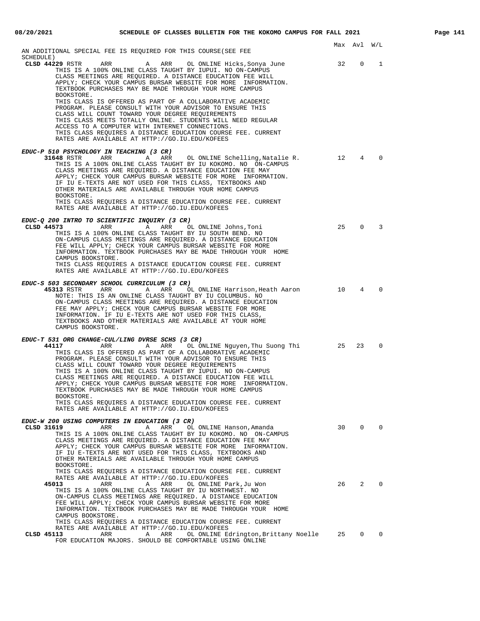| AN ADDITIONAL SPECIAL FEE IS REQUIRED FOR THIS COURSE(SEE FEE                                                                                                                                                                                                                                                                                                                                                                                                                                                                                                                                                                                                                 |      | Max Avl W/L  |          |
|-------------------------------------------------------------------------------------------------------------------------------------------------------------------------------------------------------------------------------------------------------------------------------------------------------------------------------------------------------------------------------------------------------------------------------------------------------------------------------------------------------------------------------------------------------------------------------------------------------------------------------------------------------------------------------|------|--------------|----------|
| SCHEDULE)<br>CLSD 44229 RSTR<br>ARR<br>ARR<br>OL ONLINE Hicks, Sonya June<br>A<br>THIS IS A 100% ONLINE CLASS TAUGHT BY IUPUI. NO ON-CAMPUS<br>CLASS MEETINGS ARE REQUIRED. A DISTANCE EDUCATION FEE WILL<br>APPLY; CHECK YOUR CAMPUS BURSAR WEBSITE FOR MORE INFORMATION.<br>TEXTBOOK PURCHASES MAY BE MADE THROUGH YOUR HOME CAMPUS<br>BOOKSTORE.                                                                                                                                                                                                                                                                                                                           | - 32 | 0            | 1        |
| THIS CLASS IS OFFERED AS PART OF A COLLABORATIVE ACADEMIC<br>PROGRAM. PLEASE CONSULT WITH YOUR ADVISOR TO ENSURE THIS<br>CLASS WILL COUNT TOWARD YOUR DEGREE REQUIREMENTS<br>THIS CLASS MEETS TOTALLY ONLINE. STUDENTS WILL NEED REGULAR<br>ACCESS TO A COMPUTER WITH INTERNET CONNECTIONS.<br>THIS CLASS REQUIRES A DISTANCE EDUCATION COURSE FEE. CURRENT<br>RATES ARE AVAILABLE AT HTTP://GO.IU.EDU/KOFEES                                                                                                                                                                                                                                                                 |      |              |          |
| EDUC-P 510 PSYCHOLOGY IN TEACHING (3 CR)<br>31648 RSTR<br>ARR<br>ARR<br>OL ONLINE Schelling,Natalie R.<br><b>A</b><br>THIS IS A 100% ONLINE CLASS TAUGHT BY IU KOKOMO. NO ON-CAMPUS<br>CLASS MEETINGS ARE REQUIRED. A DISTANCE EDUCATION FEE MAY<br>APPLY; CHECK YOUR CAMPUS BURSAR WEBSITE FOR MORE INFORMATION.<br>IF IU E-TEXTS ARE NOT USED FOR THIS CLASS, TEXTBOOKS AND<br>OTHER MATERIALS ARE AVAILABLE THROUGH YOUR HOME CAMPUS<br>BOOKSTORE.<br>THIS CLASS REQUIRES A DISTANCE EDUCATION COURSE FEE. CURRENT<br>RATES ARE AVAILABLE AT HTTP://GO.IU.EDU/KOFEES                                                                                                       | 12   | 4            | $\Omega$ |
| EDUC-Q 200 INTRO TO SCIENTIFIC INQUIRY (3 CR)<br>CLSD 44573<br>ARR<br>Α<br>ARR<br>OL ONLINE Johns,Toni<br>THIS IS A 100% ONLINE CLASS TAUGHT BY IU SOUTH BEND. NO<br>ON-CAMPUS CLASS MEETINGS ARE REQUIRED. A DISTANCE EDUCATION<br>FEE WILL APPLY; CHECK YOUR CAMPUS BURSAR WEBSITE FOR MORE<br>INFORMATION. TEXTBOOK PURCHASES MAY BE MADE THROUGH YOUR HOME<br>CAMPUS BOOKSTORE.<br>THIS CLASS REQUIRES A DISTANCE EDUCATION COURSE FEE. CURRENT<br>RATES ARE AVAILABLE AT HTTP://GO.IU.EDU/KOFEES                                                                                                                                                                         | 25   | $\mathbf 0$  | 3        |
| EDUC-S 503 SECONDARY SCHOOL CURRICULUM (3 CR)<br>45313 RSTR ARR<br>ARR<br>OL ONLINE Harrison,Heath Aaron<br>$\mathbb A$<br>NOTE: THIS IS AN ONLINE CLASS TAUGHT BY IU COLUMBUS. NO<br>ON-CAMPUS CLASS MEETINGS ARE REQUIRED. A DISTANCE EDUCATION<br>FEE MAY APPLY; CHECK YOUR CAMPUS BURSAR WEBSITE FOR MORE<br>INFORMATION. IF IU E-TEXTS ARE NOT USED FOR THIS CLASS,<br>TEXTBOOKS AND OTHER MATERIALS ARE AVAILABLE AT YOUR HOME<br>CAMPUS BOOKSTORE.                                                                                                                                                                                                                     | 10   | 4            | $\Omega$ |
| EDUC-T 531 ORG CHANGE-CUL/LING DVRSE SCHS (3 CR)<br>44117<br>ARR<br>A ARR OL ONLINE Nguyen, Thu Suong Thi<br>THIS CLASS IS OFFERED AS PART OF A COLLABORATIVE ACADEMIC<br>PROGRAM. PLEASE CONSULT WITH YOUR ADVISOR TO ENSURE THIS<br>CLASS WILL COUNT TOWARD YOUR DEGREE REQUIREMENTS<br>THIS IS A 100% ONLINE CLASS TAUGHT BY IUPUI. NO ON-CAMPUS<br>CLASS MEETINGS ARE REQUIRED. A DISTANCE EDUCATION FEE WILL<br>APPLY; CHECK YOUR CAMPUS BURSAR WEBSITE FOR MORE INFORMATION.<br>TEXTBOOK PURCHASES MAY BE MADE THROUGH YOUR HOME CAMPUS<br>BOOKSTORE.<br>THIS CLASS REQUIRES A DISTANCE EDUCATION COURSE FEE. CURRENT<br>RATES ARE AVAILABLE AT HTTP://GO.IU.EDU/KOFEES | 25   | 23           | $\Omega$ |
| EDUC-W 200 USING COMPUTERS IN EDUCATION (3 CR)<br>CLSD 31619<br>ARR<br>Α<br>ARR<br>OL ONLINE Hanson, Amanda<br>THIS IS A 100% ONLINE CLASS TAUGHT BY IU KOKOMO. NO ON-CAMPUS<br>CLASS MEETINGS ARE REOUIRED. A DISTANCE EDUCATION FEE MAY<br>APPLY; CHECK YOUR CAMPUS BURSAR WEBSITE FOR MORE INFORMATION.<br>IF IU E-TEXTS ARE NOT USED FOR THIS CLASS, TEXTBOOKS AND<br>OTHER MATERIALS ARE AVAILABLE THROUGH YOUR HOME CAMPUS<br>BOOKSTORE.                                                                                                                                                                                                                                |      | $30 \t 0$    | $\Omega$ |
| THIS CLASS REQUIRES A DISTANCE EDUCATION COURSE FEE. CURRENT<br>RATES ARE AVAILABLE AT HTTP://GO.IU.EDU/KOFEES<br>45013<br>ARR<br>Α<br>ARR<br>OL ONLINE Park, Ju Won<br>THIS IS A 100% ONLINE CLASS TAUGHT BY IU NORTHWEST. NO<br>ON-CAMPUS CLASS MEETINGS ARE REQUIRED. A DISTANCE EDUCATION<br>FEE WILL APPLY; CHECK YOUR CAMPUS BURSAR WEBSITE FOR MORE<br>INFORMATION. TEXTBOOK PURCHASES MAY BE MADE THROUGH YOUR HOME<br>CAMPUS BOOKSTORE.                                                                                                                                                                                                                              |      | 26 2         | $\Omega$ |
| THIS CLASS REQUIRES A DISTANCE EDUCATION COURSE FEE. CURRENT<br>RATES ARE AVAILABLE AT HTTP://GO.IU.EDU/KOFEES<br>CLSD 45113<br>ARR<br>ARR<br>OL ONLINE Edrington, Brittany Noelle<br>A<br>FOR EDUCATION MAJORS. SHOULD BE COMFORTABLE USING ONLINE                                                                                                                                                                                                                                                                                                                                                                                                                           | 25   | $\mathbf{0}$ | 0        |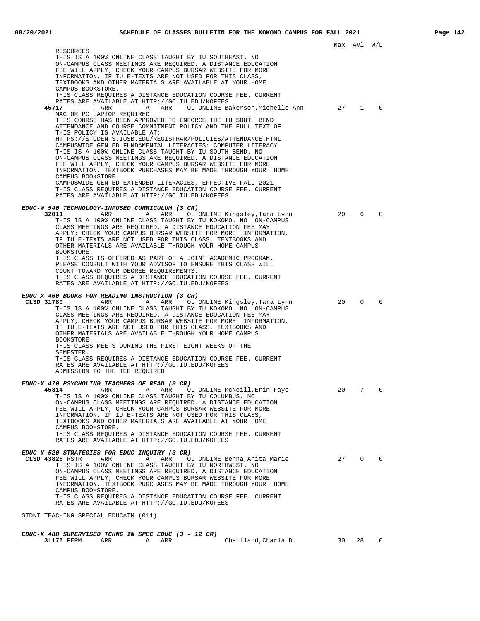Max Avl W/L RESOURCES. THIS IS A 100% ONLINE CLASS TAUGHT BY IU SOUTHEAST. NO ON-CAMPUS CLASS MEETINGS ARE REQUIRED. A DISTANCE EDUCATION FEE WILL APPLY; CHECK YOUR CAMPUS BURSAR WEBSITE FOR MORE INFORMATION. IF IU E-TEXTS ARE NOT USED FOR THIS CLASS, TEXTBOOKS AND OTHER MATERIALS ARE AVAILABLE AT YOUR HOME CAMPUS BOOKSTORE. . THIS CLASS REQUIRES A DISTANCE EDUCATION COURSE FEE. CURRENT RATES ARE AVAILABLE AT HTTP://GO.IU.EDU/KOFEES A ARR OL ONLINE Bakerson, Michelle Ann 27 1 0 MAC OR PC LAPTOP REQUIRED THIS COURSE HAS BEEN APPROVED TO ENFORCE THE IU SOUTH BEND ATTENDANCE AND COURSE COMMITMENT POLICY AND THE FULL TEXT OF THIS POLICY IS AVAILABLE AT: HTTPS://STUDENTS.IUSB.EDU/REGISTRAR/POLICIES/ATTENDANCE.HTML CAMPUSWIDE GEN ED FUNDAMENTAL LITERACIES: COMPUTER LITERACY THIS IS A 100% ONLINE CLASS TAUGHT BY IU SOUTH BEND. NO ON-CAMPUS CLASS MEETINGS ARE REQUIRED. A DISTANCE EDUCATION FEE WILL APPLY; CHECK YOUR CAMPUS BURSAR WEBSITE FOR MORE INFORMATION. TEXTBOOK PURCHASES MAY BE MADE THROUGH YOUR HOME CAMPUS BOOKSTORE. CAMPUSWIDE GEN ED EXTENDED LITERACIES, EFFECTIVE FALL 2021 THIS CLASS REQUIRES A DISTANCE EDUCATION COURSE FEE. CURRENT RATES ARE AVAILABLE AT HTTP://GO.IU.EDU/KOFEES **EDUC-W 540 TECHNOLOGY-INFUSED CURRICULUM (3 CR) 32011** ARR A ARR OL ONLINE Kingsley,Tara Lynn 20 6 0<br>THIS IS A 100% ONLINE CLASS TAUGHT BY IU KOKOMO. NO ON-CAMPUS CLASS MEETINGS ARE REQUIRED. A DISTANCE EDUCATION FEE MAY APPLY; CHECK YOUR CAMPUS BURSAR WEBSITE FOR MORE INFORMATION. IF IU E-TEXTS ARE NOT USED FOR THIS CLASS, TEXTBOOKS AND OTHER MATERIALS ARE AVAILABLE THROUGH YOUR HOME CAMPUS BOOKSTORE. THIS CLASS IS OFFERED AS PART OF A JOINT ACADEMIC PROGRAM. PLEASE CONSULT WITH YOUR ADVISOR TO ENSURE THIS CLASS WILL COUNT TOWARD YOUR DEGREE REQUIREMENTS. THIS CLASS REQUIRES A DISTANCE EDUCATION COURSE FEE. CURRENT RATES ARE AVAILABLE AT HTTP://GO.IU.EDU/KOFEES **EDUC-X 460 BOOKS FOR READING INSTRUCTION (3 CR) CLSD 31780** ARR A ARR OL ONLINE Kingsley,Tara Lynn 20 0 0 THIS IS A 100% ONLINE CLASS TAUGHT BY IU KOKOMO. NO ON-CAMPUS CLASS MEETINGS ARE REQUIRED. A DISTANCE EDUCATION FEE MAY APPLY; CHECK YOUR CAMPUS BURSAR WEBSITE FOR MORE INFORMATION. IF IU E-TEXTS ARE NOT USED FOR THIS CLASS, TEXTBOOKS AND OTHER MATERIALS ARE AVAILABLE THROUGH YOUR HOME CAMPUS BOOKSTORE. THIS CLASS MEETS DURING THE FIRST EIGHT WEEKS OF THE SEMESTER. THIS CLASS REQUIRES A DISTANCE EDUCATION COURSE FEE. CURRENT RATES ARE AVAILABLE AT HTTP://GO.IU.EDU/KOFEES ADMISSION TO THE TEP REQUIRED **EDUC-X 470 PSYCHOLING TEACHERS OF READ (3 CR) 45314** ARR A ARR OL ONLINE McNeill,Erin Faye 20 7 0 THIS IS A 100% ONLINE CLASS TAUGHT BY IU COLUMBUS. NO ON-CAMPUS CLASS MEETINGS ARE REQUIRED. A DISTANCE EDUCATION FEE WILL APPLY; CHECK YOUR CAMPUS BURSAR WEBSITE FOR MORE INFORMATION. IF IU E-TEXTS ARE NOT USED FOR THIS CLASS, TEXTBOOKS AND OTHER MATERIALS ARE AVAILABLE AT YOUR HOME CAMPUS BOOKSTORE. THIS CLASS REQUIRES A DISTANCE EDUCATION COURSE FEE. CURRENT RATES ARE AVAILABLE AT HTTP://GO.IU.EDU/KOFEES **EDUC-Y 520 STRATEGIES FOR EDUC INQUIRY (3 CR) ARR A** ARR OL ONLINE Benna, Anita Marie 27 0 0 THIS IS A 100% ONLINE CLASS TAUGHT BY IU NORTHWEST. NO ON-CAMPUS CLASS MEETINGS ARE REQUIRED. A DISTANCE EDUCATION FEE WILL APPLY; CHECK YOUR CAMPUS BURSAR WEBSITE FOR MORE INFORMATION. TEXTBOOK PURCHASES MAY BE MADE THROUGH YOUR HOME CAMPUS BOOKSTORE. THIS CLASS REQUIRES A DISTANCE EDUCATION COURSE FEE. CURRENT RATES ARE AVAILABLE AT HTTP://GO.IU.EDU/KOFEES STDNT TEACHING SPECIAL EDUCATN (011) **EDUC-K 488 SUPERVISED TCHNG IN SPEC EDUC (3 - 12 CR)**

ARR A ARR Chailland, Charla D. 30 28 0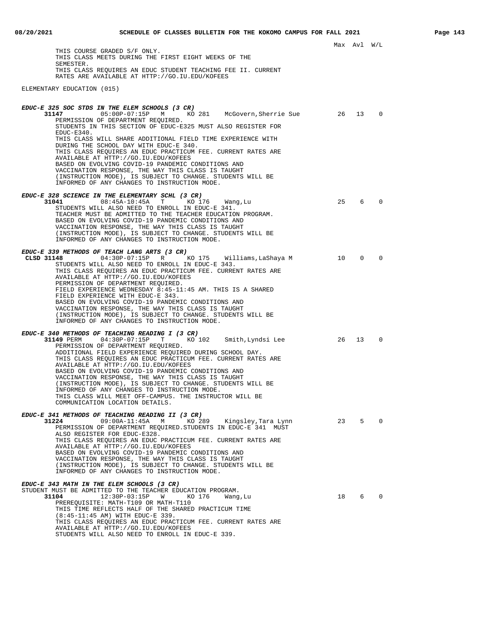THIS COURSE GRADED S/F ONLY. THIS CLASS MEETS DURING THE FIRST EIGHT WEEKS OF THE SEMESTER. THIS CLASS REQUIRES AN EDUC STUDENT TEACHING FEE II. CURRENT RATES ARE AVAILABLE AT HTTP://GO.IU.EDU/KOFEES

ELEMENTARY EDUCATION (015)

| $\Omega$<br>31147<br>05:00P-07:15P M KO 281 McGovern, Sherrie Sue 26<br>13<br>PERMISSION OF DEPARTMENT REQUIRED.<br>STUDENTS IN THIS SECTION OF EDUC-E325 MUST ALSO REGISTER FOR<br>EDUC-E340.<br>THIS CLASS WILL SHARE ADDITIONAL FIELD TIME EXPERIENCE WITH<br>DURING THE SCHOOL DAY WITH EDUC-E 340.<br>THIS CLASS REQUIRES AN EDUC PRACTICUM FEE. CURRENT RATES ARE<br>AVAILABLE AT HTTP://GO.IU.EDU/KOFEES<br>BASED ON EVOLVING COVID-19 PANDEMIC CONDITIONS AND<br>VACCINATION RESPONSE, THE WAY THIS CLASS IS TAUGHT<br>(INSTRUCTION MODE), IS SUBJECT TO CHANGE. STUDENTS WILL BE<br>INFORMED OF ANY CHANGES TO INSTRUCTION MODE.<br>EDUC-E 328 SCIENCE IN THE ELEMENTARY SCHL (3 CR)<br>25<br>6<br>$\mathbf 0$<br>31041<br>$08:45A-10:45A$<br>T<br>KO 176<br>Wang,Lu<br>STUDENTS WILL ALSO NEED TO ENROLL IN EDUC-E 341.<br>TEACHER MUST BE ADMITTED TO THE TEACHER EDUCATION PROGRAM.<br>BASED ON EVOLVING COVID-19 PANDEMIC CONDITIONS AND<br>VACCINATION RESPONSE, THE WAY THIS CLASS IS TAUGHT<br>(INSTRUCTION MODE), IS SUBJECT TO CHANGE. STUDENTS WILL BE<br>INFORMED OF ANY CHANGES TO INSTRUCTION MODE.<br>EDUC-E 339 METHODS OF TEACH LANG ARTS (3 CR)<br>10<br>0<br>$\mathbf 0$<br>CLSD 31148<br>$04:30P-07:15P$ R<br>KO 175<br>Williams,LaShaya M<br>STUDENTS WILL ALSO NEED TO ENROLL IN EDUC-E 343. |
|----------------------------------------------------------------------------------------------------------------------------------------------------------------------------------------------------------------------------------------------------------------------------------------------------------------------------------------------------------------------------------------------------------------------------------------------------------------------------------------------------------------------------------------------------------------------------------------------------------------------------------------------------------------------------------------------------------------------------------------------------------------------------------------------------------------------------------------------------------------------------------------------------------------------------------------------------------------------------------------------------------------------------------------------------------------------------------------------------------------------------------------------------------------------------------------------------------------------------------------------------------------------------------------------------------------------------|
|                                                                                                                                                                                                                                                                                                                                                                                                                                                                                                                                                                                                                                                                                                                                                                                                                                                                                                                                                                                                                                                                                                                                                                                                                                                                                                                            |
|                                                                                                                                                                                                                                                                                                                                                                                                                                                                                                                                                                                                                                                                                                                                                                                                                                                                                                                                                                                                                                                                                                                                                                                                                                                                                                                            |
|                                                                                                                                                                                                                                                                                                                                                                                                                                                                                                                                                                                                                                                                                                                                                                                                                                                                                                                                                                                                                                                                                                                                                                                                                                                                                                                            |
|                                                                                                                                                                                                                                                                                                                                                                                                                                                                                                                                                                                                                                                                                                                                                                                                                                                                                                                                                                                                                                                                                                                                                                                                                                                                                                                            |
|                                                                                                                                                                                                                                                                                                                                                                                                                                                                                                                                                                                                                                                                                                                                                                                                                                                                                                                                                                                                                                                                                                                                                                                                                                                                                                                            |
|                                                                                                                                                                                                                                                                                                                                                                                                                                                                                                                                                                                                                                                                                                                                                                                                                                                                                                                                                                                                                                                                                                                                                                                                                                                                                                                            |
|                                                                                                                                                                                                                                                                                                                                                                                                                                                                                                                                                                                                                                                                                                                                                                                                                                                                                                                                                                                                                                                                                                                                                                                                                                                                                                                            |
|                                                                                                                                                                                                                                                                                                                                                                                                                                                                                                                                                                                                                                                                                                                                                                                                                                                                                                                                                                                                                                                                                                                                                                                                                                                                                                                            |
|                                                                                                                                                                                                                                                                                                                                                                                                                                                                                                                                                                                                                                                                                                                                                                                                                                                                                                                                                                                                                                                                                                                                                                                                                                                                                                                            |
|                                                                                                                                                                                                                                                                                                                                                                                                                                                                                                                                                                                                                                                                                                                                                                                                                                                                                                                                                                                                                                                                                                                                                                                                                                                                                                                            |
|                                                                                                                                                                                                                                                                                                                                                                                                                                                                                                                                                                                                                                                                                                                                                                                                                                                                                                                                                                                                                                                                                                                                                                                                                                                                                                                            |
|                                                                                                                                                                                                                                                                                                                                                                                                                                                                                                                                                                                                                                                                                                                                                                                                                                                                                                                                                                                                                                                                                                                                                                                                                                                                                                                            |
|                                                                                                                                                                                                                                                                                                                                                                                                                                                                                                                                                                                                                                                                                                                                                                                                                                                                                                                                                                                                                                                                                                                                                                                                                                                                                                                            |
| THIS CLASS REQUIRES AN EDUC PRACTICUM FEE. CURRENT RATES ARE<br>AVAILABLE AT HTTP://GO.IU.EDU/KOFEES                                                                                                                                                                                                                                                                                                                                                                                                                                                                                                                                                                                                                                                                                                                                                                                                                                                                                                                                                                                                                                                                                                                                                                                                                       |
| PERMISSION OF DEPARTMENT REQUIRED.<br>FIELD EXPERIENCE WEDNESDAY 8:45-11:45 AM. THIS IS A SHARED                                                                                                                                                                                                                                                                                                                                                                                                                                                                                                                                                                                                                                                                                                                                                                                                                                                                                                                                                                                                                                                                                                                                                                                                                           |
| FIELD EXPERIENCE WITH EDUC-E 343.                                                                                                                                                                                                                                                                                                                                                                                                                                                                                                                                                                                                                                                                                                                                                                                                                                                                                                                                                                                                                                                                                                                                                                                                                                                                                          |
| BASED ON EVOLVING COVID-19 PANDEMIC CONDITIONS AND<br>VACCINATION RESPONSE, THE WAY THIS CLASS IS TAUGHT                                                                                                                                                                                                                                                                                                                                                                                                                                                                                                                                                                                                                                                                                                                                                                                                                                                                                                                                                                                                                                                                                                                                                                                                                   |
| (INSTRUCTION MODE), IS SUBJECT TO CHANGE. STUDENTS WILL BE<br>INFORMED OF ANY CHANGES TO INSTRUCTION MODE.                                                                                                                                                                                                                                                                                                                                                                                                                                                                                                                                                                                                                                                                                                                                                                                                                                                                                                                                                                                                                                                                                                                                                                                                                 |
| EDUC-E 340 METHODS OF TEACHING READING I (3 CR)                                                                                                                                                                                                                                                                                                                                                                                                                                                                                                                                                                                                                                                                                                                                                                                                                                                                                                                                                                                                                                                                                                                                                                                                                                                                            |
| 31149 PERM<br>26<br>13<br>$\Omega$<br>$04:30P-07:15P$ T<br>KO 102<br>Smith,Lyndsi Lee                                                                                                                                                                                                                                                                                                                                                                                                                                                                                                                                                                                                                                                                                                                                                                                                                                                                                                                                                                                                                                                                                                                                                                                                                                      |
| PERMISSION OF DEPARTMENT REQUIRED.<br>ADDITIONAL FIELD EXPERIENCE REQUIRED DURING SCHOOL DAY.                                                                                                                                                                                                                                                                                                                                                                                                                                                                                                                                                                                                                                                                                                                                                                                                                                                                                                                                                                                                                                                                                                                                                                                                                              |
| THIS CLASS REQUIRES AN EDUC PRACTICUM FEE. CURRENT RATES ARE<br>AVAILABLE AT HTTP://GO.IU.EDU/KOFEES                                                                                                                                                                                                                                                                                                                                                                                                                                                                                                                                                                                                                                                                                                                                                                                                                                                                                                                                                                                                                                                                                                                                                                                                                       |
| BASED ON EVOLVING COVID-19 PANDEMIC CONDITIONS AND<br>VACCINATION RESPONSE, THE WAY THIS CLASS IS TAUGHT                                                                                                                                                                                                                                                                                                                                                                                                                                                                                                                                                                                                                                                                                                                                                                                                                                                                                                                                                                                                                                                                                                                                                                                                                   |
| (INSTRUCTION MODE), IS SUBJECT TO CHANGE. STUDENTS WILL BE                                                                                                                                                                                                                                                                                                                                                                                                                                                                                                                                                                                                                                                                                                                                                                                                                                                                                                                                                                                                                                                                                                                                                                                                                                                                 |
| INFORMED OF ANY CHANGES TO INSTRUCTION MODE.<br>THIS CLASS WILL MEET OFF-CAMPUS. THE INSTRUCTOR WILL BE                                                                                                                                                                                                                                                                                                                                                                                                                                                                                                                                                                                                                                                                                                                                                                                                                                                                                                                                                                                                                                                                                                                                                                                                                    |
| COMMUNICATION LOCATION DETAILS.                                                                                                                                                                                                                                                                                                                                                                                                                                                                                                                                                                                                                                                                                                                                                                                                                                                                                                                                                                                                                                                                                                                                                                                                                                                                                            |
| EDUC-E 341 METHODS OF TEACHING READING II (3 CR)<br>23<br>5<br>$\Omega$<br>31224<br>09:00A-11:45A M<br>KO 289<br>Kingsley,Tara Lynn                                                                                                                                                                                                                                                                                                                                                                                                                                                                                                                                                                                                                                                                                                                                                                                                                                                                                                                                                                                                                                                                                                                                                                                        |
| PERMISSION OF DEPARTMENT REQUIRED. STUDENTS IN EDUC-E 341 MUST<br>ALSO REGISTER FOR EDUC-E328.                                                                                                                                                                                                                                                                                                                                                                                                                                                                                                                                                                                                                                                                                                                                                                                                                                                                                                                                                                                                                                                                                                                                                                                                                             |
| THIS CLASS REQUIRES AN EDUC PRACTICUM FEE. CURRENT RATES ARE                                                                                                                                                                                                                                                                                                                                                                                                                                                                                                                                                                                                                                                                                                                                                                                                                                                                                                                                                                                                                                                                                                                                                                                                                                                               |
| AVAILABLE AT HTTP://GO.IU.EDU/KOFEES<br>BASED ON EVOLVING COVID-19 PANDEMIC CONDITIONS AND                                                                                                                                                                                                                                                                                                                                                                                                                                                                                                                                                                                                                                                                                                                                                                                                                                                                                                                                                                                                                                                                                                                                                                                                                                 |
| VACCINATION RESPONSE, THE WAY THIS CLASS IS TAUGHT<br>(INSTRUCTION MODE), IS SUBJECT TO CHANGE. STUDENTS WILL BE                                                                                                                                                                                                                                                                                                                                                                                                                                                                                                                                                                                                                                                                                                                                                                                                                                                                                                                                                                                                                                                                                                                                                                                                           |
| INFORMED OF ANY CHANGES TO INSTRUCTION MODE.                                                                                                                                                                                                                                                                                                                                                                                                                                                                                                                                                                                                                                                                                                                                                                                                                                                                                                                                                                                                                                                                                                                                                                                                                                                                               |
| EDUC-E 343 MATH IN THE ELEM SCHOOLS (3 CR)                                                                                                                                                                                                                                                                                                                                                                                                                                                                                                                                                                                                                                                                                                                                                                                                                                                                                                                                                                                                                                                                                                                                                                                                                                                                                 |
| STUDENT MUST BE ADMITTED TO THE TEACHER EDUCATION PROGRAM.<br>12:30P-03:15P<br>18<br>6<br>$\mathbf 0$<br>31104<br>W<br>KO 176<br>Wang, Lu                                                                                                                                                                                                                                                                                                                                                                                                                                                                                                                                                                                                                                                                                                                                                                                                                                                                                                                                                                                                                                                                                                                                                                                  |
| PREREQUISITE: MATH-T109 OR MATH-T110<br>THIS TIME REFLECTS HALF OF THE SHARED PRACTICUM TIME                                                                                                                                                                                                                                                                                                                                                                                                                                                                                                                                                                                                                                                                                                                                                                                                                                                                                                                                                                                                                                                                                                                                                                                                                               |
| (8:45-11:45 AM) WITH EDUC-E 339.<br>THIS CLASS REQUIRES AN EDUC PRACTICUM FEE. CURRENT RATES ARE                                                                                                                                                                                                                                                                                                                                                                                                                                                                                                                                                                                                                                                                                                                                                                                                                                                                                                                                                                                                                                                                                                                                                                                                                           |
| AVAILABLE AT HTTP://GO.IU.EDU/KOFEES<br>STUDENTS WILL ALSO NEED TO ENROLL IN EDUC-E 339.                                                                                                                                                                                                                                                                                                                                                                                                                                                                                                                                                                                                                                                                                                                                                                                                                                                                                                                                                                                                                                                                                                                                                                                                                                   |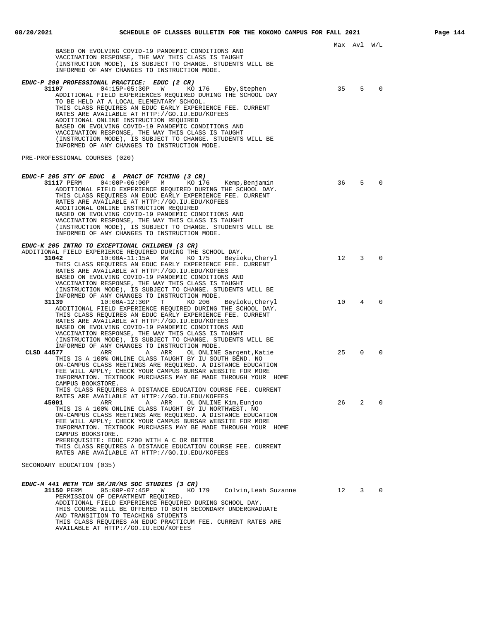|                                                                                                                                                                                                                                                                                                                                                                                                                                                                                                                                                                                                     |        | Max Avl W/L    |          |
|-----------------------------------------------------------------------------------------------------------------------------------------------------------------------------------------------------------------------------------------------------------------------------------------------------------------------------------------------------------------------------------------------------------------------------------------------------------------------------------------------------------------------------------------------------------------------------------------------------|--------|----------------|----------|
| BASED ON EVOLVING COVID-19 PANDEMIC CONDITIONS AND<br>VACCINATION RESPONSE, THE WAY THIS CLASS IS TAUGHT<br>(INSTRUCTION MODE), IS SUBJECT TO CHANGE. STUDENTS WILL BE<br>INFORMED OF ANY CHANGES TO INSTRUCTION MODE.                                                                                                                                                                                                                                                                                                                                                                              |        |                |          |
| EDUC-P 290 PROFESSIONAL PRACTICE: EDUC (2 CR)<br>31107<br>$04:15P-05:30P$ W<br>KO 176<br>Eby, Stephen<br>ADDITIONAL FIELD EXPERIENCES REQUIRED DURING THE SCHOOL DAY<br>TO BE HELD AT A LOCAL ELEMENTARY SCHOOL.<br>THIS CLASS REQUIRES AN EDUC EARLY EXPERIENCE FEE. CURRENT<br>RATES ARE AVAILABLE AT HTTP://GO.IU.EDU/KOFEES<br>ADDITIONAL ONLINE INSTRUCTION REQUIRED<br>BASED ON EVOLVING COVID-19 PANDEMIC CONDITIONS AND<br>VACCINATION RESPONSE, THE WAY THIS CLASS IS TAUGHT<br>(INSTRUCTION MODE), IS SUBJECT TO CHANGE. STUDENTS WILL BE<br>INFORMED OF ANY CHANGES TO INSTRUCTION MODE. | 35     | 5              | $\Omega$ |
| PRE-PROFESSIONAL COURSES (020)                                                                                                                                                                                                                                                                                                                                                                                                                                                                                                                                                                      |        |                |          |
| EDUC-F 205 STY OF EDUC & PRACT OF TCHING (3 CR)<br>31117 PERM<br>04:00P-06:00P M KO 176 Kemp,Benjamin<br>ADDITIONAL FIELD EXPERIENCE REQUIRED DURING THE SCHOOL DAY.<br>THIS CLASS REOUIRES AN EDUC EARLY EXPERIENCE FEE. CURRENT<br>RATES ARE AVAILABLE AT HTTP://GO.IU.EDU/KOFEES<br>ADDITIONAL ONLINE INSTRUCTION REOUIRED<br>BASED ON EVOLVING COVID-19 PANDEMIC CONDITIONS AND<br>VACCINATION RESPONSE, THE WAY THIS CLASS IS TAUGHT<br>(INSTRUCTION MODE), IS SUBJECT TO CHANGE. STUDENTS WILL BE<br>INFORMED OF ANY CHANGES TO INSTRUCTION MODE.                                             | 36     | 5              | $\Omega$ |
| EDUC-K 205 INTRO TO EXCEPTIONAL CHILDREN (3 CR)<br>ADDITIONAL FIELD EXPERIENCE REQUIRED DURING THE SCHOOL DAY.<br>31042<br>$10:00A-11:15A$ MW<br>KO 175 Beyioku,Cheryl<br>THIS CLASS REQUIRES AN EDUC EARLY EXPERIENCE FEE. CURRENT<br>RATES ARE AVAILABLE AT HTTP://GO.IU.EDU/KOFEES<br>BASED ON EVOLVING COVID-19 PANDEMIC CONDITIONS AND<br>VACCINATION RESPONSE, THE WAY THIS CLASS IS TAUGHT<br>(INSTRUCTION MODE), IS SUBJECT TO CHANGE. STUDENTS WILL BE                                                                                                                                     | 12     | 3              | $\Omega$ |
| INFORMED OF ANY CHANGES TO INSTRUCTION MODE.<br>31139<br>$10:00A-12:30P$ T<br>KO 206<br>Beyioku, Cheryl<br>ADDITIONAL FIELD EXPERIENCE REQUIRED DURING THE SCHOOL DAY.<br>THIS CLASS REQUIRES AN EDUC EARLY EXPERIENCE FEE. CURRENT<br>RATES ARE AVAILABLE AT HTTP://GO.IU.EDU/KOFEES<br>BASED ON EVOLVING COVID-19 PANDEMIC CONDITIONS AND<br>VACCINATION RESPONSE, THE WAY THIS CLASS IS TAUGHT<br>(INSTRUCTION MODE), IS SUBJECT TO CHANGE. STUDENTS WILL BE                                                                                                                                     | 10     | $\overline{4}$ | $\Omega$ |
| INFORMED OF ANY CHANGES TO INSTRUCTION MODE.<br>CLSD 44577<br>ARR<br>Α<br>ARR<br>OL ONLINE Sargent, Katie<br>THIS IS A 100% ONLINE CLASS TAUGHT BY IU SOUTH BEND. NO<br>ON-CAMPUS CLASS MEETINGS ARE REQUIRED. A DISTANCE EDUCATION<br>FEE WILL APPLY; CHECK YOUR CAMPUS BURSAR WEBSITE FOR MORE<br>INFORMATION. TEXTBOOK PURCHASES MAY BE MADE THROUGH YOUR HOME<br>CAMPUS BOOKSTORE.<br>THIS CLASS REQUIRES A DISTANCE EDUCATION COURSE FEE. CURRENT                                                                                                                                              | 25     | $\overline{0}$ | $\Omega$ |
| RATES ARE AVAILABLE AT HTTP://GO.IU.EDU/KOFEES<br>45001<br>ARR<br>ARR<br>OL ONLINE Kim, Eunjoo<br>Α<br>THIS IS A 100% ONLINE CLASS TAUGHT BY IU NORTHWEST. NO<br>ON-CAMPUS CLASS MEETINGS ARE REOUIRED. A DISTANCE EDUCATION<br>FEE WILL APPLY; CHECK YOUR CAMPUS BURSAR WEBSITE FOR MORE<br>INFORMATION. TEXTBOOK PURCHASES MAY BE MADE THROUGH YOUR HOME<br>CAMPUS BOOKSTORE.<br>PREREQUISITE: EDUC F200 WITH A C OR BETTER<br>THIS CLASS REQUIRES A DISTANCE EDUCATION COURSE FEE. CURRENT<br>RATES ARE AVAILABLE AT HTTP://GO.IU.EDU/KOFEES                                                     | 26     | 2              | $\Omega$ |
| SECONDARY EDUCATION (035)                                                                                                                                                                                                                                                                                                                                                                                                                                                                                                                                                                           |        |                |          |
| EDUC-M 441 METH TCH SR/JR/MS SOC STUDIES (3 CR)<br>$05:00P-07:45P$<br>KO 179<br>31150 PERM<br>W<br>Colvin, Leah Suzanne<br>PERMISSION OF DEPARTMENT REQUIRED.<br>ADDITIONAL FIELD EXPERIENCE REQUIRED DURING SCHOOL DAY.<br>THIS COURSE WILL BE OFFERED TO BOTH SECONDARY UNDERGRADUATE<br>AND TRANCITION TO TRACUING CTUDENTS                                                                                                                                                                                                                                                                      | 12 3 0 |                |          |

AND TRANSITION TO TEACHING STUDENTS THIS CLASS REQUIRES AN EDUC PRACTICUM FEE. CURRENT RATES ARE AVAILABLE AT HTTP://GO.IU.EDU/KOFEES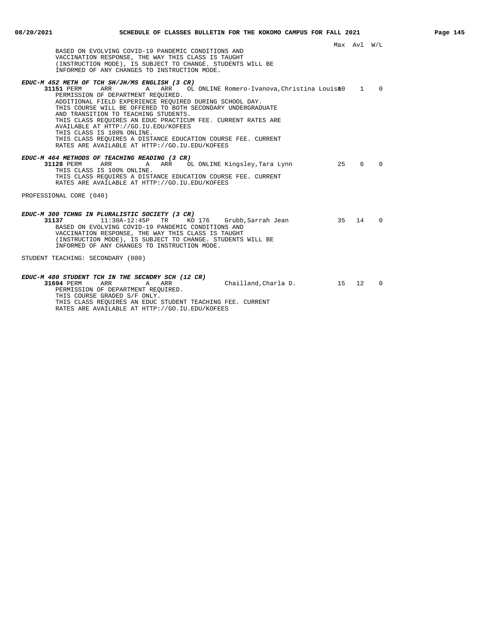| BASED ON EVOLVING COVID-19 PANDEMIC CONDITIONS AND<br>VACCINATION RESPONSE, THE WAY THIS CLASS IS TAUGHT<br>(INSTRUCTION MODE), IS SUBJECT TO CHANGE. STUDENTS WILL BE<br>INFORMED OF ANY CHANGES TO INSTRUCTION MODE.                                                                                                                                                                                                                                                                                                                                                                        |         | Max Avl W/L |              |
|-----------------------------------------------------------------------------------------------------------------------------------------------------------------------------------------------------------------------------------------------------------------------------------------------------------------------------------------------------------------------------------------------------------------------------------------------------------------------------------------------------------------------------------------------------------------------------------------------|---------|-------------|--------------|
| EDUC-M 452 METH OF TCH SH/JH/MS ENGLISH (3 CR)<br>ARR<br>ARR OL ONLINE Romero-Ivanova, Christina Louis è 0<br>31151 PERM<br>A<br>PERMISSION OF DEPARTMENT REOUIRED.<br>ADDITIONAL FIELD EXPERIENCE REQUIRED DURING SCHOOL DAY.<br>THIS COURSE WILL BE OFFERED TO BOTH SECONDARY UNDERGRADUATE<br>AND TRANSITION TO TEACHING STUDENTS.<br>THIS CLASS REOUIRES AN EDUC PRACTICUM FEE. CURRENT RATES ARE<br>AVAILABLE AT HTTP://GO.IU.EDU/KOFEES<br>THIS CLASS IS 100% ONLINE.<br>THIS CLASS REOUIRES A DISTANCE EDUCATION COURSE FEE. CURRENT<br>RATES ARE AVAILABLE AT HTTP://GO.IU.EDU/KOFEES |         |             | $1 \qquad 0$ |
| EDUC-M 464 METHODS OF TEACHING READING (3 CR)<br>31128 PERM<br>ARR OL ONLINE Kingsley, Tara Lynn<br>ARR<br>A<br>THIS CLASS IS 100% ONLINE.<br>THIS CLASS REOUIRES A DISTANCE EDUCATION COURSE FEE. CURRENT<br>RATES ARE AVAILABLE AT HTTP://GO.IU.EDU/KOFEES                                                                                                                                                                                                                                                                                                                                  | 25      | 6           | $\Omega$     |
| PROFESSIONAL CORE (040)<br>EDUC-M 300 TCHNG IN PLURALISTIC SOCIETY (3 CR)<br>KO 176 Grubb, Sarrah Jean<br>31137<br>$11:30A-12:45P$<br>TR.<br>BASED ON EVOLVING COVID-19 PANDEMIC CONDITIONS AND<br>VACCINATION RESPONSE, THE WAY THIS CLASS IS TAUGHT<br>(INSTRUCTION MODE), IS SUBJECT TO CHANGE. STUDENTS WILL BE<br>INFORMED OF ANY CHANGES TO INSTRUCTION MODE.                                                                                                                                                                                                                           | 35 14 0 |             |              |
| STUDENT TEACHING: SECONDARY (080)<br>EDUC-M 480 STUDENT TCH IN THE SECNDRY SCH (12 CR)<br>Chailland, Charla D.<br>31694 PERM<br>ARR<br>A<br>ARR<br>PERMISSION OF DEPARTMENT REQUIRED.<br>THIS COURSE GRADED S/F ONLY.<br>THIS CLASS REOUIRES AN EDUC STUDENT TEACHING FEE. CURRENT<br>RATES ARE AVAILABLE AT HTTP://GO.IU.EDU/KOFEES                                                                                                                                                                                                                                                          | 15 12 0 |             |              |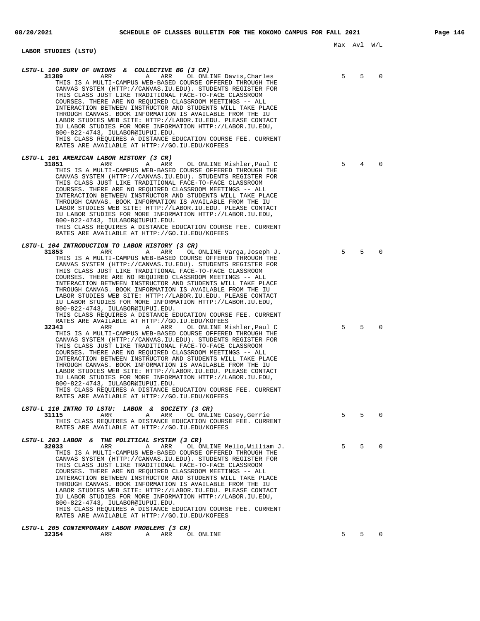**LABOR STUDIES (LSTU)**

Max Avl W/L

| LSTU-L 100 SURV OF UNIONS & COLLECTIVE BG (3 CR)<br>31389<br>ARR<br>Α<br>ARR<br>OL ONLINE Davis, Charles<br>THIS IS A MULTI-CAMPUS WEB-BASED COURSE OFFERED THROUGH THE<br>CANVAS SYSTEM (HTTP://CANVAS.IU.EDU). STUDENTS REGISTER FOR<br>THIS CLASS JUST LIKE TRADITIONAL FACE-TO-FACE CLASSROOM<br>COURSES. THERE ARE NO REOUIRED CLASSROOM MEETINGS -- ALL<br>INTERACTION BETWEEN INSTRUCTOR AND STUDENTS WILL TAKE PLACE<br>THROUGH CANVAS. BOOK INFORMATION IS AVAILABLE FROM THE IU<br>LABOR STUDIES WEB SITE: HTTP://LABOR.IU.EDU. PLEASE CONTACT<br>IU LABOR STUDIES FOR MORE INFORMATION HTTP://LABOR.IU.EDU,<br>800-822-4743, IULABOR@IUPUI.EDU.<br>THIS CLASS REQUIRES A DISTANCE EDUCATION COURSE FEE. CURRENT<br>RATES ARE AVAILABLE AT HTTP://GO.IU.EDU/KOFEES                                                                                                                                                                                                                                                                                                                                                                                                                                                                                                                                                                                                                                                                             | 5      | 5      | $\Omega$             |
|----------------------------------------------------------------------------------------------------------------------------------------------------------------------------------------------------------------------------------------------------------------------------------------------------------------------------------------------------------------------------------------------------------------------------------------------------------------------------------------------------------------------------------------------------------------------------------------------------------------------------------------------------------------------------------------------------------------------------------------------------------------------------------------------------------------------------------------------------------------------------------------------------------------------------------------------------------------------------------------------------------------------------------------------------------------------------------------------------------------------------------------------------------------------------------------------------------------------------------------------------------------------------------------------------------------------------------------------------------------------------------------------------------------------------------------------------------|--------|--------|----------------------|
| <i>LSTU-L 101 AMERICAN LABOR HISTORY (3 CR)</i>                                                                                                                                                                                                                                                                                                                                                                                                                                                                                                                                                                                                                                                                                                                                                                                                                                                                                                                                                                                                                                                                                                                                                                                                                                                                                                                                                                                                          |        |        |                      |
| 31851<br>ARR<br>ARR<br>OL ONLINE Mishler, Paul C<br>Α<br>THIS IS A MULTI-CAMPUS WEB-BASED COURSE OFFERED THROUGH THE<br>CANVAS SYSTEM (HTTP://CANVAS.IU.EDU). STUDENTS REGISTER FOR<br>THIS CLASS JUST LIKE TRADITIONAL FACE-TO-FACE CLASSROOM<br>COURSES. THERE ARE NO REQUIRED CLASSROOM MEETINGS -- ALL<br>INTERACTION BETWEEN INSTRUCTOR AND STUDENTS WILL TAKE PLACE<br>THROUGH CANVAS. BOOK INFORMATION IS AVAILABLE FROM THE IU<br>LABOR STUDIES WEB SITE: HTTP://LABOR.IU.EDU. PLEASE CONTACT<br>IU LABOR STUDIES FOR MORE INFORMATION HTTP://LABOR.IU.EDU,<br>800-822-4743, IULABOR@IUPUI.EDU.<br>THIS CLASS REQUIRES A DISTANCE EDUCATION COURSE FEE. CURRENT<br>RATES ARE AVAILABLE AT HTTP://GO.IU.EDU/KOFEES                                                                                                                                                                                                                                                                                                                                                                                                                                                                                                                                                                                                                                                                                                                                | 5      | 4      | $\Omega$             |
|                                                                                                                                                                                                                                                                                                                                                                                                                                                                                                                                                                                                                                                                                                                                                                                                                                                                                                                                                                                                                                                                                                                                                                                                                                                                                                                                                                                                                                                          |        |        |                      |
| LSTU-L 104 INTRODUCTION TO LABOR HISTORY (3 CR)<br>31853<br>ARR<br>Α<br>ARR<br>OL ONLINE Varga, Joseph J.<br>THIS IS A MULTI-CAMPUS WEB-BASED COURSE OFFERED THROUGH THE<br>CANVAS SYSTEM (HTTP://CANVAS.IU.EDU). STUDENTS REGISTER FOR<br>THIS CLASS JUST LIKE TRADITIONAL FACE-TO-FACE CLASSROOM<br>COURSES. THERE ARE NO REOUIRED CLASSROOM MEETINGS -- ALL<br>INTERACTION BETWEEN INSTRUCTOR AND STUDENTS WILL TAKE PLACE<br>THROUGH CANVAS. BOOK INFORMATION IS AVAILABLE FROM THE IU<br>LABOR STUDIES WEB SITE: HTTP://LABOR.IU.EDU. PLEASE CONTACT<br>IU LABOR STUDIES FOR MORE INFORMATION HTTP://LABOR.IU.EDU,<br>800-822-4743, IULABOR@IUPUI.EDU.<br>THIS CLASS REQUIRES A DISTANCE EDUCATION COURSE FEE. CURRENT<br>RATES ARE AVAILABLE AT HTTP://GO.IU.EDU/KOFEES<br>32343<br>ARR<br>OL ONLINE Mishler, Paul C<br>ARR<br>Α<br>THIS IS A MULTI-CAMPUS WEB-BASED COURSE OFFERED THROUGH THE<br>CANVAS SYSTEM (HTTP://CANVAS.IU.EDU). STUDENTS REGISTER FOR<br>THIS CLASS JUST LIKE TRADITIONAL FACE-TO-FACE CLASSROOM<br>COURSES. THERE ARE NO REQUIRED CLASSROOM MEETINGS -- ALL<br>INTERACTION BETWEEN INSTRUCTOR AND STUDENTS WILL TAKE PLACE<br>THROUGH CANVAS. BOOK INFORMATION IS AVAILABLE FROM THE IU<br>LABOR STUDIES WEB SITE: HTTP://LABOR.IU.EDU. PLEASE CONTACT<br>IU LABOR STUDIES FOR MORE INFORMATION HTTP://LABOR.IU.EDU,<br>800-822-4743, IULABOR@IUPUI.EDU.<br>THIS CLASS REQUIRES A DISTANCE EDUCATION COURSE FEE. CURRENT | 5<br>5 | 5<br>5 | $\Omega$<br>$\Omega$ |
| RATES ARE AVAILABLE AT HTTP://GO.IU.EDU/KOFEES                                                                                                                                                                                                                                                                                                                                                                                                                                                                                                                                                                                                                                                                                                                                                                                                                                                                                                                                                                                                                                                                                                                                                                                                                                                                                                                                                                                                           |        |        |                      |
| LSTU-L 110 INTRO TO LSTU: LABOR & SOCIETY (3 CR)<br>31115<br>ARR<br>A<br>ARR<br>OL ONLINE Casey, Gerrie<br>THIS CLASS REOUIRES A DISTANCE EDUCATION COURSE FEE. CURRENT<br>RATES ARE AVAILABLE AT HTTP://GO.IU.EDU/KOFEES                                                                                                                                                                                                                                                                                                                                                                                                                                                                                                                                                                                                                                                                                                                                                                                                                                                                                                                                                                                                                                                                                                                                                                                                                                | 5      | 5      | 0                    |
| LSTU-L 203 LABOR & THE POLITICAL SYSTEM (3 CR)<br>32033<br>ARR<br>OL ONLINE Mello, William J.<br>Α<br>ARR<br>THIS IS A MULTI-CAMPUS WEB-BASED COURSE OFFERED THROUGH THE<br>CANVAS SYSTEM (HTTP://CANVAS.IU.EDU). STUDENTS REGISTER FOR<br>THIS CLASS JUST LIKE TRADITIONAL FACE-TO-FACE CLASSROOM<br>COURSES. THERE ARE NO REOUIRED CLASSROOM MEETINGS -- ALL<br>INTERACTION BETWEEN INSTRUCTOR AND STUDENTS WILL TAKE PLACE<br>THROUGH CANVAS. BOOK INFORMATION IS AVAILABLE FROM THE IU<br>LABOR STUDIES WEB SITE: HTTP://LABOR.IU.EDU. PLEASE CONTACT<br>IU LABOR STUDIES FOR MORE INFORMATION HTTP://LABOR.IU.EDU,<br>800-822-4743, IULABOR@IUPUI.EDU.<br>THIS CLASS REQUIRES A DISTANCE EDUCATION COURSE FEE. CURRENT<br>RATES ARE AVAILABLE AT HTTP://GO.IU.EDU/KOFEES                                                                                                                                                                                                                                                                                                                                                                                                                                                                                                                                                                                                                                                                            | 5      | 5      | 0                    |
| LSTU-L 205 CONTEMPORARY LABOR PROBLEMS (3 CR)                                                                                                                                                                                                                                                                                                                                                                                                                                                                                                                                                                                                                                                                                                                                                                                                                                                                                                                                                                                                                                                                                                                                                                                                                                                                                                                                                                                                            |        |        |                      |

**32354** ARR A ARR OL ONLINE 5 5 0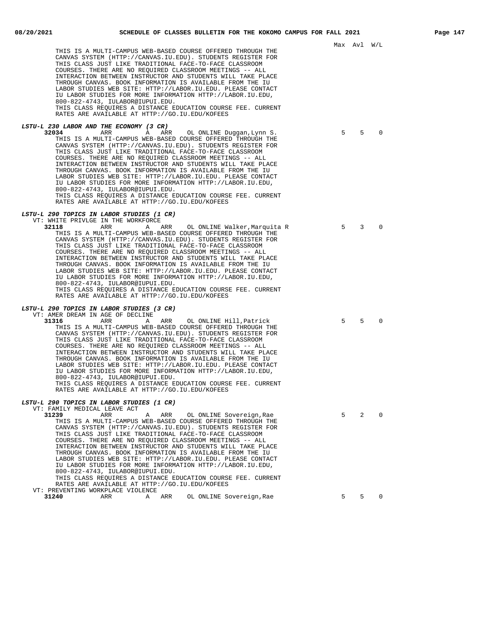|                                                                                                                                                                                                                                                                                                                                                                                                                                                                                                                                                                                                                                                                                                                                                                 | MAX AVI |   | - W / Li |
|-----------------------------------------------------------------------------------------------------------------------------------------------------------------------------------------------------------------------------------------------------------------------------------------------------------------------------------------------------------------------------------------------------------------------------------------------------------------------------------------------------------------------------------------------------------------------------------------------------------------------------------------------------------------------------------------------------------------------------------------------------------------|---------|---|----------|
| THIS IS A MULTI-CAMPUS WEB-BASED COURSE OFFERED THROUGH THE<br>CANVAS SYSTEM (HTTP://CANVAS.IU.EDU). STUDENTS REGISTER FOR<br>THIS CLASS JUST LIKE TRADITIONAL FACE-TO-FACE CLASSROOM<br>COURSES. THERE ARE NO REQUIRED CLASSROOM MEETINGS -- ALL<br>INTERACTION BETWEEN INSTRUCTOR AND STUDENTS WILL TAKE PLACE<br>THROUGH CANVAS. BOOK INFORMATION IS AVAILABLE FROM THE IU<br>LABOR STUDIES WEB SITE: HTTP://LABOR.IU.EDU. PLEASE CONTACT<br>IU LABOR STUDIES FOR MORE INFORMATION HTTP://LABOR.IU.EDU,<br>800-822-4743, IULABOR@IUPUI.EDU.<br>THIS CLASS REQUIRES A DISTANCE EDUCATION COURSE FEE. CURRENT<br>RATES ARE AVAILABLE AT HTTP://GO.IU.EDU/KOFEES                                                                                                |         |   |          |
| <i>LSTU-L 230 LABOR AND THE ECONOMY (3 CR)</i><br>32034<br>ARR<br>A<br>ARR<br>OL ONLINE Duggan, Lynn S.<br>THIS IS A MULTI-CAMPUS WEB-BASED COURSE OFFERED THROUGH THE<br>CANVAS SYSTEM (HTTP://CANVAS.IU.EDU). STUDENTS REGISTER FOR<br>THIS CLASS JUST LIKE TRADITIONAL FACE-TO-FACE CLASSROOM<br>COURSES. THERE ARE NO REQUIRED CLASSROOM MEETINGS -- ALL<br>INTERACTION BETWEEN INSTRUCTOR AND STUDENTS WILL TAKE PLACE<br>THROUGH CANVAS. BOOK INFORMATION IS AVAILABLE FROM THE IU<br>LABOR STUDIES WEB SITE: HTTP://LABOR.IU.EDU. PLEASE CONTACT<br>IU LABOR STUDIES FOR MORE INFORMATION HTTP://LABOR.IU.EDU,<br>800-822-4743, IULABOR@IUPUI.EDU.<br>THIS CLASS REQUIRES A DISTANCE EDUCATION COURSE FEE. CURRENT                                       | 5       | 5 | 0        |
| RATES ARE AVAILABLE AT HTTP://GO.IU.EDU/KOFEES<br><i>LSTU-L 290 TOPICS IN LABOR STUDIES (1 CR)</i>                                                                                                                                                                                                                                                                                                                                                                                                                                                                                                                                                                                                                                                              |         |   |          |
| VT: WHITE PRIVLGE IN THE WORKFORCE<br>32118<br>ARR<br>OL ONLINE Walker, Marquita R<br>A ARR<br>THIS IS A MULTI-CAMPUS WEB-BASED COURSE OFFERED THROUGH THE<br>CANVAS SYSTEM (HTTP://CANVAS.IU.EDU). STUDENTS REGISTER FOR<br>THIS CLASS JUST LIKE TRADITIONAL FACE-TO-FACE CLASSROOM<br>COURSES. THERE ARE NO REOUIRED CLASSROOM MEETINGS -- ALL<br>INTERACTION BETWEEN INSTRUCTOR AND STUDENTS WILL TAKE PLACE<br>THROUGH CANVAS. BOOK INFORMATION IS AVAILABLE FROM THE IU<br>LABOR STUDIES WEB SITE: HTTP://LABOR.IU.EDU. PLEASE CONTACT<br>IU LABOR STUDIES FOR MORE INFORMATION HTTP://LABOR.IU.EDU,<br>800-822-4743, IULABOR@IUPUI.EDU.<br>THIS CLASS REQUIRES A DISTANCE EDUCATION COURSE FEE. CURRENT<br>RATES ARE AVAILABLE AT HTTP://GO.IU.EDU/KOFEES | 5       | 3 | 0        |
| <i>LSTU-L 290 TOPICS IN LABOR STUDIES (3 CR)</i>                                                                                                                                                                                                                                                                                                                                                                                                                                                                                                                                                                                                                                                                                                                |         |   |          |
| VT: AMER DREAM IN AGE OF DECLINE<br>31316<br>ARR<br>OL ONLINE Hill, Patrick<br>ARR<br>A<br>THIS IS A MULTI-CAMPUS WEB-BASED COURSE OFFERED THROUGH THE<br>CANVAS SYSTEM (HTTP://CANVAS.IU.EDU). STUDENTS REGISTER FOR<br>THIS CLASS JUST LIKE TRADITIONAL FACE-TO-FACE CLASSROOM<br>COURSES. THERE ARE NO REQUIRED CLASSROOM MEETINGS -- ALL<br>INTERACTION BETWEEN INSTRUCTOR AND STUDENTS WILL TAKE PLACE<br>THROUGH CANVAS. BOOK INFORMATION IS AVAILABLE FROM THE IU<br>LABOR STUDIES WEB SITE: HTTP://LABOR.IU.EDU. PLEASE CONTACT<br>IU LABOR STUDIES FOR MORE INFORMATION HTTP://LABOR.IU.EDU,<br>800-822-4743, IULABOR@IUPUI.EDU.<br>THIS CLASS REQUIRES A DISTANCE EDUCATION COURSE FEE. CURRENT<br>RATES ARE AVAILABLE AT HTTP://GO.IU.EDU/KOFEES     | 5       | 5 | 0        |
| <i>LSTU-L 290 TOPICS IN LABOR STUDIES (1 CR)</i>                                                                                                                                                                                                                                                                                                                                                                                                                                                                                                                                                                                                                                                                                                                |         |   |          |
| VT: FAMILY MEDICAL LEAVE ACT<br>31239<br>ARR<br>ARR<br>OL ONLINE Sovereign, Rae<br>Α<br>THIS IS A MULTI-CAMPUS WEB-BASED COURSE OFFERED THROUGH THE<br>CANVAS SYSTEM (HTTP://CANVAS.IU.EDU). STUDENTS REGISTER FOR<br>THIS CLASS JUST LIKE TRADITIONAL FACE-TO-FACE CLASSROOM<br>COURSES. THERE ARE NO REOUIRED CLASSROOM MEETINGS -- ALL<br>INTERACTION BETWEEN INSTRUCTOR AND STUDENTS WILL TAKE PLACE<br>THROUGH CANVAS. BOOK INFORMATION IS AVAILABLE FROM THE IU<br>LABOR STUDIES WEB SITE: HTTP://LABOR.IU.EDU. PLEASE CONTACT<br>IU LABOR STUDIES FOR MORE INFORMATION HTTP://LABOR.IU.EDU,<br>800-822-4743, IULABOR@IUPUI.EDU.<br>THIS CLASS REQUIRES A DISTANCE EDUCATION COURSE FEE. CURRENT<br>RATES ARE AVAILABLE AT HTTP://GO.IU.EDU/KOFEES        | 5       | 2 | $\Omega$ |
| VT: PREVENTING WORKPLACE VIOLENCE<br>31240<br>ARR<br>OL ONLINE Sovereign, Rae<br>Α<br>ARR                                                                                                                                                                                                                                                                                                                                                                                                                                                                                                                                                                                                                                                                       | 5       | 5 | $\Omega$ |
|                                                                                                                                                                                                                                                                                                                                                                                                                                                                                                                                                                                                                                                                                                                                                                 |         |   |          |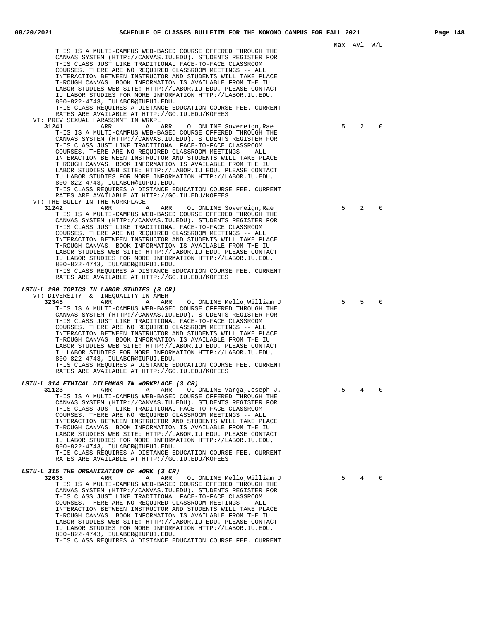|                                                                                                                            |   | Max Avl W/L     |          |
|----------------------------------------------------------------------------------------------------------------------------|---|-----------------|----------|
| THIS IS A MULTI-CAMPUS WEB-BASED COURSE OFFERED THROUGH THE                                                                |   |                 |          |
| CANVAS SYSTEM (HTTP://CANVAS.IU.EDU). STUDENTS REGISTER FOR<br>THIS CLASS JUST LIKE TRADITIONAL FACE-TO-FACE CLASSROOM     |   |                 |          |
| COURSES. THERE ARE NO REQUIRED CLASSROOM MEETINGS -- ALL                                                                   |   |                 |          |
| INTERACTION BETWEEN INSTRUCTOR AND STUDENTS WILL TAKE PLACE                                                                |   |                 |          |
| THROUGH CANVAS. BOOK INFORMATION IS AVAILABLE FROM THE IU                                                                  |   |                 |          |
| LABOR STUDIES WEB SITE: HTTP://LABOR.IU.EDU. PLEASE CONTACT<br>IU LABOR STUDIES FOR MORE INFORMATION HTTP://LABOR.IU.EDU,  |   |                 |          |
| 800-822-4743, IULABOR@IUPUI.EDU.                                                                                           |   |                 |          |
| THIS CLASS REQUIRES A DISTANCE EDUCATION COURSE FEE. CURRENT                                                               |   |                 |          |
| RATES ARE AVAILABLE AT HTTP://GO.IU.EDU/KOFEES                                                                             |   |                 |          |
| VT: PREV SEXUAL HARASSMNT IN WRKPL<br>31241<br>A ARR<br>ARR<br>OL ONLINE Sovereign, Rae                                    | 5 | 2               | $\Omega$ |
| THIS IS A MULTI-CAMPUS WEB-BASED COURSE OFFERED THROUGH THE                                                                |   |                 |          |
| CANVAS SYSTEM (HTTP://CANVAS.IU.EDU). STUDENTS REGISTER FOR                                                                |   |                 |          |
| THIS CLASS JUST LIKE TRADITIONAL FACE-TO-FACE CLASSROOM                                                                    |   |                 |          |
| COURSES. THERE ARE NO REOUIRED CLASSROOM MEETINGS -- ALL<br>INTERACTION BETWEEN INSTRUCTOR AND STUDENTS WILL TAKE PLACE    |   |                 |          |
| THROUGH CANVAS. BOOK INFORMATION IS AVAILABLE FROM THE IU                                                                  |   |                 |          |
| LABOR STUDIES WEB SITE: HTTP://LABOR.IU.EDU. PLEASE CONTACT                                                                |   |                 |          |
| IU LABOR STUDIES FOR MORE INFORMATION HTTP://LABOR.IU.EDU,                                                                 |   |                 |          |
| 800-822-4743, IULABOR@IUPUI.EDU.<br>THIS CLASS REQUIRES A DISTANCE EDUCATION COURSE FEE. CURRENT                           |   |                 |          |
| RATES ARE AVAILABLE AT HTTP://GO.IU.EDU/KOFEES                                                                             |   |                 |          |
| VT: THE BULLY IN THE WORKPLACE                                                                                             |   |                 |          |
| 31242<br>ARR<br>OL ONLINE Sovereign, Rae<br>A<br>ARR                                                                       | 5 | 2               | 0        |
| THIS IS A MULTI-CAMPUS WEB-BASED COURSE OFFERED THROUGH THE<br>CANVAS SYSTEM (HTTP://CANVAS.IU.EDU). STUDENTS REGISTER FOR |   |                 |          |
| THIS CLASS JUST LIKE TRADITIONAL FACE-TO-FACE CLASSROOM                                                                    |   |                 |          |
| COURSES. THERE ARE NO REOUIRED CLASSROOM MEETINGS -- ALL                                                                   |   |                 |          |
| INTERACTION BETWEEN INSTRUCTOR AND STUDENTS WILL TAKE PLACE                                                                |   |                 |          |
| THROUGH CANVAS. BOOK INFORMATION IS AVAILABLE FROM THE IU<br>LABOR STUDIES WEB SITE: HTTP://LABOR.IU.EDU. PLEASE CONTACT   |   |                 |          |
| IU LABOR STUDIES FOR MORE INFORMATION HTTP://LABOR.IU.EDU,                                                                 |   |                 |          |
| 800-822-4743, IULABOR@IUPUI.EDU.                                                                                           |   |                 |          |
| THIS CLASS REQUIRES A DISTANCE EDUCATION COURSE FEE. CURRENT                                                               |   |                 |          |
| RATES ARE AVAILABLE AT HTTP://GO.IU.EDU/KOFEES                                                                             |   |                 |          |
| LSTU-L 290 TOPICS IN LABOR STUDIES (3 CR)                                                                                  |   |                 |          |
| VT: DIVERSITY & INEQUALITY IN AMER                                                                                         | 5 | 5               | $\Omega$ |
| 32345<br>ARR<br>ARR OL ONLINE Mello,William J.<br>A<br>THIS IS A MULTI-CAMPUS WEB-BASED COURSE OFFERED THROUGH THE         |   |                 |          |
| CANVAS SYSTEM (HTTP://CANVAS.IU.EDU). STUDENTS REGISTER FOR                                                                |   |                 |          |
| THIS CLASS JUST LIKE TRADITIONAL FACE-TO-FACE CLASSROOM                                                                    |   |                 |          |
| COURSES. THERE ARE NO REQUIRED CLASSROOM MEETINGS -- ALL                                                                   |   |                 |          |
| INTERACTION BETWEEN INSTRUCTOR AND STUDENTS WILL TAKE PLACE<br>THROUGH CANVAS. BOOK INFORMATION IS AVAILABLE FROM THE IU   |   |                 |          |
| LABOR STUDIES WEB SITE: HTTP://LABOR.IU.EDU. PLEASE CONTACT                                                                |   |                 |          |
| IU LABOR STUDIES FOR MORE INFORMATION HTTP://LABOR.IU.EDU,                                                                 |   |                 |          |
| 800-822-4743, IULABOR@IUPUI.EDU.<br>THIS CLASS REOUIRES A DISTANCE EDUCATION COURSE FEE. CURRENT                           |   |                 |          |
| RATES ARE AVAILABLE AT HTTP://GO.IU.EDU/KOFEES                                                                             |   |                 |          |
|                                                                                                                            |   |                 |          |
| LSTU-L 314 ETHICAL DILEMMAS IN WORKPLACE (3 CR)                                                                            |   |                 |          |
| 31123<br>ARR ARR ARR<br>OL ONLINE Varga, Joseph J.<br>THIS IS A MULTI-CAMPUS WEB-BASED COURSE OFFERED THROUGH THE          | 5 | $4\overline{ }$ | 0        |
| CANVAS SYSTEM (HTTP://CANVAS.IU.EDU). STUDENTS REGISTER FOR                                                                |   |                 |          |
| THIS CLASS JUST LIKE TRADITIONAL FACE-TO-FACE CLASSROOM                                                                    |   |                 |          |
| COURSES. THERE ARE NO REQUIRED CLASSROOM MEETINGS -- ALL                                                                   |   |                 |          |
| INTERACTION BETWEEN INSTRUCTOR AND STUDENTS WILL TAKE PLACE<br>THROUGH CANVAS. BOOK INFORMATION IS AVAILABLE FROM THE IU   |   |                 |          |
| LABOR STUDIES WEB SITE: HTTP://LABOR.IU.EDU. PLEASE CONTACT                                                                |   |                 |          |
| IU LABOR STUDIES FOR MORE INFORMATION HTTP://LABOR.IU.EDU,                                                                 |   |                 |          |
| 800-822-4743, IULABOR@IUPUI.EDU.                                                                                           |   |                 |          |
| THIS CLASS REQUIRES A DISTANCE EDUCATION COURSE FEE. CURRENT<br>RATES ARE AVAILABLE AT HTTP://GO.IU.EDU/KOFEES             |   |                 |          |
|                                                                                                                            |   |                 |          |
| <i>LSTU-L 315 THE ORGANIZATION OF WORK (3 CR)</i>                                                                          | 5 | 4               | $\Omega$ |
| 32035<br>OL ONLINE Mello, William J.<br>ARR<br>Α<br>ARR<br>THIS IS A MULTI-CAMPUS WEB-BASED COURSE OFFERED THROUGH THE     |   |                 |          |
| CANVAS SYSTEM (HTTP://CANVAS.IU.EDU). STUDENTS REGISTER FOR                                                                |   |                 |          |
| THIS CLASS JUST LIKE TRADITIONAL FACE-TO-FACE CLASSROOM                                                                    |   |                 |          |
| COURSES. THERE ARE NO REQUIRED CLASSROOM MEETINGS -- ALL                                                                   |   |                 |          |
| INTERACTION BETWEEN INSTRUCTOR AND STUDENTS WILL TAKE PLACE<br>THROUGH CANVAS. BOOK INFORMATION IS AVAILABLE FROM THE IU   |   |                 |          |

LABOR STUDIES WEB SITE: HTTP://LABOR.IU.EDU. PLEASE CONTACT IU LABOR STUDIES FOR MORE INFORMATION HTTP://LABOR.IU.EDU,

THIS CLASS REQUIRES A DISTANCE EDUCATION COURSE FEE. CURRENT

800-822-4743, IULABOR@IUPUI.EDU.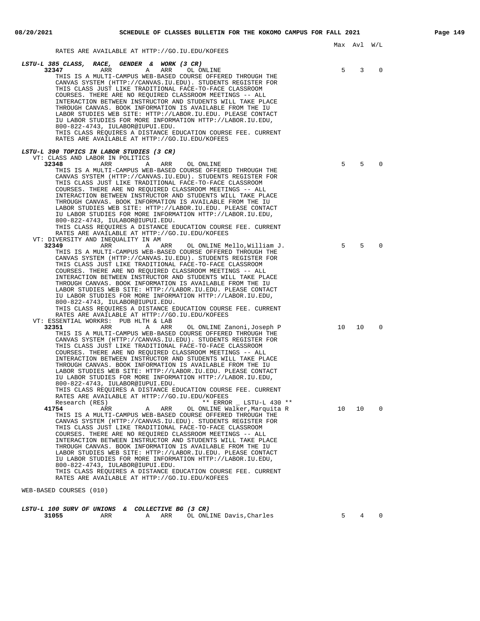| RATES ARE AVAILABLE AT HTTP://GO.IU.EDU/KOFEES                                                                                                                                         |                 | Max Avl W/L |              |
|----------------------------------------------------------------------------------------------------------------------------------------------------------------------------------------|-----------------|-------------|--------------|
| LSTU-L 385 CLASS, RACE, GENDER & WORK (3 CR)<br>32347<br>ARR<br>ARR<br>A<br>OL ONLINE                                                                                                  | 5               | 3           | 0            |
| THIS IS A MULTI-CAMPUS WEB-BASED COURSE OFFERED THROUGH THE<br>CANVAS SYSTEM (HTTP://CANVAS.IU.EDU). STUDENTS REGISTER FOR                                                             |                 |             |              |
| THIS CLASS JUST LIKE TRADITIONAL FACE-TO-FACE CLASSROOM<br>COURSES. THERE ARE NO REOUIRED CLASSROOM MEETINGS -- ALL<br>INTERACTION BETWEEN INSTRUCTOR AND STUDENTS WILL TAKE PLACE     |                 |             |              |
| THROUGH CANVAS. BOOK INFORMATION IS AVAILABLE FROM THE IU<br>LABOR STUDIES WEB SITE: HTTP://LABOR.IU.EDU. PLEASE CONTACT<br>IU LABOR STUDIES FOR MORE INFORMATION HTTP://LABOR.IU.EDU, |                 |             |              |
| 800-822-4743, IULABOR@IUPUI.EDU.<br>THIS CLASS REOUIRES A DISTANCE EDUCATION COURSE FEE. CURRENT                                                                                       |                 |             |              |
| RATES ARE AVAILABLE AT HTTP://GO.IU.EDU/KOFEES                                                                                                                                         |                 |             |              |
| LSTU-L 390 TOPICS IN LABOR STUDIES (3 CR)<br>VT: CLASS AND LABOR IN POLITICS                                                                                                           |                 |             |              |
| 32348<br>ARR<br>Α<br>ARR<br>OL ONLINE                                                                                                                                                  | 5               | 5           | $\Omega$     |
| THIS IS A MULTI-CAMPUS WEB-BASED COURSE OFFERED THROUGH THE<br>CANVAS SYSTEM (HTTP://CANVAS.IU.EDU). STUDENTS REGISTER FOR<br>THIS CLASS JUST LIKE TRADITIONAL FACE-TO-FACE CLASSROOM  |                 |             |              |
| COURSES. THERE ARE NO REOUIRED CLASSROOM MEETINGS -- ALL<br>INTERACTION BETWEEN INSTRUCTOR AND STUDENTS WILL TAKE PLACE                                                                |                 |             |              |
| THROUGH CANVAS. BOOK INFORMATION IS AVAILABLE FROM THE IU                                                                                                                              |                 |             |              |
| LABOR STUDIES WEB SITE: HTTP://LABOR.IU.EDU. PLEASE CONTACT<br>IU LABOR STUDIES FOR MORE INFORMATION HTTP://LABOR.IU.EDU,                                                              |                 |             |              |
| 800-822-4743, IULABOR@IUPUI.EDU.<br>THIS CLASS REQUIRES A DISTANCE EDUCATION COURSE FEE. CURRENT                                                                                       |                 |             |              |
| RATES ARE AVAILABLE AT HTTP://GO.IU.EDU/KOFEES<br>VT: DIVERSITY AND INEQUALITY IN AM                                                                                                   |                 |             |              |
| 32349<br>ARR<br>ARR<br>OL ONLINE Mello, William J.<br>A                                                                                                                                | 5               | 5           | 0            |
| THIS IS A MULTI-CAMPUS WEB-BASED COURSE OFFERED THROUGH THE<br>CANVAS SYSTEM (HTTP://CANVAS.IU.EDU). STUDENTS REGISTER FOR                                                             |                 |             |              |
| THIS CLASS JUST LIKE TRADITIONAL FACE-TO-FACE CLASSROOM                                                                                                                                |                 |             |              |
| COURSES. THERE ARE NO REQUIRED CLASSROOM MEETINGS -- ALL                                                                                                                               |                 |             |              |
| INTERACTION BETWEEN INSTRUCTOR AND STUDENTS WILL TAKE PLACE<br>THROUGH CANVAS. BOOK INFORMATION IS AVAILABLE FROM THE IU                                                               |                 |             |              |
| LABOR STUDIES WEB SITE: HTTP://LABOR.IU.EDU. PLEASE CONTACT                                                                                                                            |                 |             |              |
| IU LABOR STUDIES FOR MORE INFORMATION HTTP://LABOR.IU.EDU,<br>800-822-4743, IULABOR@IUPUI.EDU.                                                                                         |                 |             |              |
| THIS CLASS REQUIRES A DISTANCE EDUCATION COURSE FEE. CURRENT                                                                                                                           |                 |             |              |
| RATES ARE AVAILABLE AT HTTP://GO.IU.EDU/KOFEES                                                                                                                                         |                 |             |              |
| VT: ESSENTIAL WORKRS: PUB HLTH & LAB<br>32351<br>ARR<br>OL ONLINE Zanoni, Joseph P<br>ARR<br>A                                                                                         | 10 <sup>°</sup> | 10          | $\mathbf{0}$ |
| THIS IS A MULTI-CAMPUS WEB-BASED COURSE OFFERED THROUGH THE                                                                                                                            |                 |             |              |
| CANVAS SYSTEM (HTTP://CANVAS.IU.EDU). STUDENTS REGISTER FOR<br>THIS CLASS JUST LIKE TRADITIONAL FACE-TO-FACE CLASSROOM                                                                 |                 |             |              |
| COURSES. THERE ARE NO REQUIRED CLASSROOM MEETINGS -- ALL                                                                                                                               |                 |             |              |
| INTERACTION BETWEEN INSTRUCTOR AND STUDENTS WILL TAKE PLACE                                                                                                                            |                 |             |              |
| THROUGH CANVAS. BOOK INFORMATION IS AVAILABLE FROM THE IU<br>LABOR STUDIES WEB SITE: HTTP://LABOR.IU.EDU. PLEASE CONTACT                                                               |                 |             |              |
| IU LABOR STUDIES FOR MORE INFORMATION HTTP://LABOR.IU.EDU,                                                                                                                             |                 |             |              |
| 800-822-4743, IULABOR@IUPUI.EDU.<br>THIS CLASS REOUIRES A DISTANCE EDUCATION COURSE FEE. CURRENT                                                                                       |                 |             |              |
| RATES ARE AVAILABLE AT HTTP://GO.IU.EDU/KOFEES                                                                                                                                         |                 |             |              |
| ** ERROR _ LSTU-L 430 **<br>Research (RES)                                                                                                                                             |                 |             | $\mathbf 0$  |
| 41754<br>ARR<br>OL ONLINE Walker, Marquita R<br>ARR<br>A<br>THIS IS A MULTI-CAMPUS WEB-BASED COURSE OFFERED THROUGH THE                                                                | 10              | 10          |              |
| CANVAS SYSTEM (HTTP://CANVAS.IU.EDU). STUDENTS REGISTER FOR<br>THIS CLASS JUST LIKE TRADITIONAL FACE-TO-FACE CLASSROOM                                                                 |                 |             |              |
| COURSES. THERE ARE NO REQUIRED CLASSROOM MEETINGS -- ALL<br>INTERACTION BETWEEN INSTRUCTOR AND STUDENTS WILL TAKE PLACE                                                                |                 |             |              |
| THROUGH CANVAS. BOOK INFORMATION IS AVAILABLE FROM THE IU<br>LABOR STUDIES WEB SITE: HTTP://LABOR.IU.EDU. PLEASE CONTACT                                                               |                 |             |              |
| IU LABOR STUDIES FOR MORE INFORMATION HTTP://LABOR.IU.EDU,<br>800-822-4743, IULABOR@IUPUI.EDU.                                                                                         |                 |             |              |
| THIS CLASS REQUIRES A DISTANCE EDUCATION COURSE FEE. CURRENT<br>RATES ARE AVAILABLE AT HTTP://GO.IU.EDU/KOFEES                                                                         |                 |             |              |
|                                                                                                                                                                                        |                 |             |              |
| WEB-BASED COURSES (010)                                                                                                                                                                |                 |             |              |
|                                                                                                                                                                                        |                 |             |              |

**31055** ARR A ARR OL ONLINE Davis,Charles 5 4 0

**LSTU-L 100 SURV OF UNIONS & COLLECTIVE BG (3 CR)**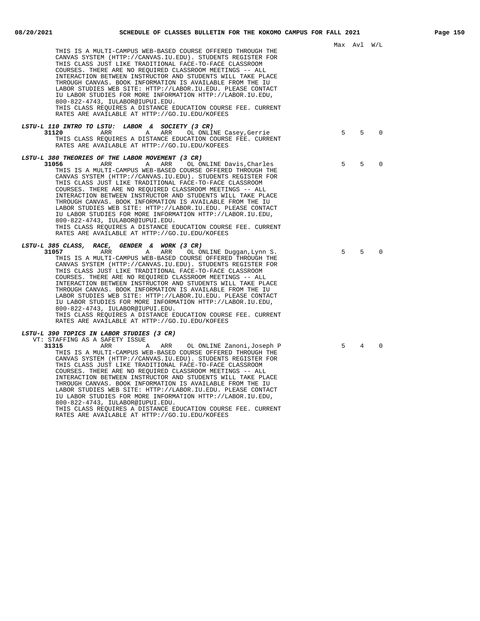| THIS IS A MULTI-CAMPUS WEB-BASED COURSE OFFERED THROUGH THE<br>CANVAS SYSTEM (HTTP://CANVAS.IU.EDU). STUDENTS REGISTER FOR<br>THIS CLASS JUST LIKE TRADITIONAL FACE-TO-FACE CLASSROOM<br>COURSES. THERE ARE NO REQUIRED CLASSROOM MEETINGS -- ALL<br>INTERACTION BETWEEN INSTRUCTOR AND STUDENTS WILL TAKE PLACE<br>THROUGH CANVAS. BOOK INFORMATION IS AVAILABLE FROM THE IU<br>LABOR STUDIES WEB SITE: HTTP://LABOR.IU.EDU. PLEASE CONTACT<br>IU LABOR STUDIES FOR MORE INFORMATION HTTP://LABOR.IU.EDU,<br>800-822-4743, IULABOR@IUPUI.EDU.<br>THIS CLASS REQUIRES A DISTANCE EDUCATION COURSE FEE. CURRENT<br>RATES ARE AVAILABLE AT HTTP://GO.IU.EDU/KOFEES                                                                                                                    |             | Max Avl W/L    |          |
|-------------------------------------------------------------------------------------------------------------------------------------------------------------------------------------------------------------------------------------------------------------------------------------------------------------------------------------------------------------------------------------------------------------------------------------------------------------------------------------------------------------------------------------------------------------------------------------------------------------------------------------------------------------------------------------------------------------------------------------------------------------------------------------|-------------|----------------|----------|
| LSTU-L 110 INTRO TO LSTU: LABOR & SOCIETY (3 CR)<br>31120<br>ARR<br>ARR<br>A<br>OL ONLINE Casey, Gerrie<br>THIS CLASS REQUIRES A DISTANCE EDUCATION COURSE FEE. CURRENT<br>RATES ARE AVAILABLE AT HTTP://GO.IU.EDU/KOFEES                                                                                                                                                                                                                                                                                                                                                                                                                                                                                                                                                           | $5^{\circ}$ | $5^{\circ}$    | $\Omega$ |
| <i>LSTU-L 380 THEORIES OF THE LABOR MOVEMENT (3 CR)</i><br>31056<br>ARR<br>Α<br>ARR<br>OL ONLINE Davis, Charles<br>THIS IS A MULTI-CAMPUS WEB-BASED COURSE OFFERED THROUGH THE<br>CANVAS SYSTEM (HTTP://CANVAS.IU.EDU). STUDENTS REGISTER FOR<br>THIS CLASS JUST LIKE TRADITIONAL FACE-TO-FACE CLASSROOM<br>COURSES. THERE ARE NO REQUIRED CLASSROOM MEETINGS -- ALL<br>INTERACTION BETWEEN INSTRUCTOR AND STUDENTS WILL TAKE PLACE<br>THROUGH CANVAS. BOOK INFORMATION IS AVAILABLE FROM THE IU<br>LABOR STUDIES WEB SITE: HTTP://LABOR.IU.EDU. PLEASE CONTACT<br>IU LABOR STUDIES FOR MORE INFORMATION HTTP://LABOR.IU.EDU,<br>800-822-4743, IULABOR@IUPUI.EDU.<br>THIS CLASS REQUIRES A DISTANCE EDUCATION COURSE FEE. CURRENT<br>RATES ARE AVAILABLE AT HTTP://GO.IU.EDU/KOFEES | 5           | .5             | $\Omega$ |
| LSTU-L 385 CLASS, RACE, GENDER & WORK (3 CR)<br>31057<br>ARR<br>A<br>ARR<br>OL ONLINE Duggan, Lynn S.<br>THIS IS A MULTI-CAMPUS WEB-BASED COURSE OFFERED THROUGH THE<br>CANVAS SYSTEM (HTTP://CANVAS.IU.EDU). STUDENTS REGISTER FOR<br>THIS CLASS JUST LIKE TRADITIONAL FACE-TO-FACE CLASSROOM<br>COURSES. THERE ARE NO REQUIRED CLASSROOM MEETINGS -- ALL<br>INTERACTION BETWEEN INSTRUCTOR AND STUDENTS WILL TAKE PLACE<br>THROUGH CANVAS. BOOK INFORMATION IS AVAILABLE FROM THE IU<br>LABOR STUDIES WEB SITE: HTTP://LABOR.IU.EDU. PLEASE CONTACT<br>IU LABOR STUDIES FOR MORE INFORMATION HTTP://LABOR.IU.EDU,<br>800-822-4743, IULABOR@IUPUI.EDU.<br>THIS CLASS REQUIRES A DISTANCE EDUCATION COURSE FEE. CURRENT<br>RATES ARE AVAILABLE AT HTTP://GO.IU.EDU/KOFEES           | 5           | 5              | $\Omega$ |
| <i>LSTU-L 390 TOPICS IN LABOR STUDIES (3 CR)</i><br>VT: STAFFING AS A SAFETY ISSUE<br>31315<br>ARR<br>ARR<br>OL ONLINE Zanoni, Joseph P<br>Α<br>THIS IS A MULTI-CAMPUS WEB-BASED COURSE OFFERED THROUGH THE<br>CANVAS SYSTEM (HTTP://CANVAS.IU.EDU). STUDENTS REGISTER FOR<br>THIS CLASS JUST LIKE TRADITIONAL FACE-TO-FACE CLASSROOM<br>COURSES. THERE ARE NO REQUIRED CLASSROOM MEETINGS -- ALL                                                                                                                                                                                                                                                                                                                                                                                   | 5           | $\overline{4}$ | $\Omega$ |

INTERACTION BETWEEN INSTRUCTOR AND STUDENTS WILL TAKE PLACE THROUGH CANVAS. BOOK INFORMATION IS AVAILABLE FROM THE IU LABOR STUDIES WEB SITE: HTTP://LABOR.IU.EDU. PLEASE CONTACT IU LABOR STUDIES FOR MORE INFORMATION HTTP://LABOR.IU.EDU,

THIS CLASS REQUIRES A DISTANCE EDUCATION COURSE FEE. CURRENT

RATES ARE AVAILABLE AT HTTP://GO.IU.EDU/KOFEES

800-822-4743, IULABOR@IUPUI.EDU.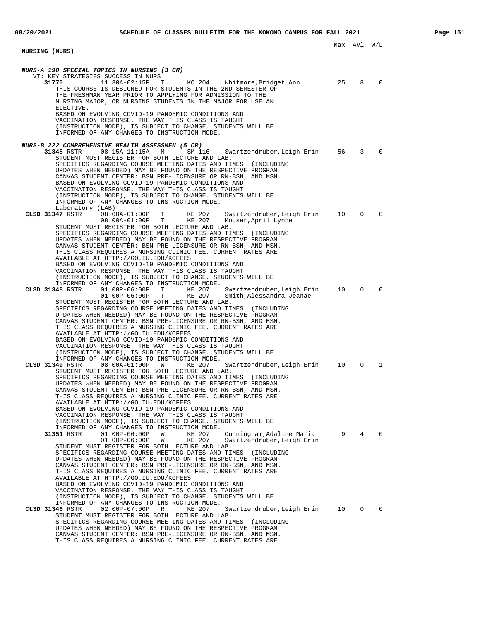**NURSING (NURS) NURS-A 190 SPECIAL TOPICS IN NURSING (3 CR)** VT: KEY STRATEGIES SUCCESS IN NURS<br>31770 11:30A-02:15P T KO 204 Whitmore, Bridget Ann 25 8 0 THIS COURSE IS DESIGNED FOR STUDENTS IN THE 2ND SEMESTER OF THE FRESHMAN YEAR PRIOR TO APPLYING FOR ADMISSION TO THE NURSING MAJOR, OR NURSING STUDENTS IN THE MAJOR FOR USE AN ELECTIVE. BASED ON EVOLVING COVID-19 PANDEMIC CONDITIONS AND VACCINATION RESPONSE, THE WAY THIS CLASS IS TAUGHT (INSTRUCTION MODE), IS SUBJECT TO CHANGE. STUDENTS WILL BE INFORMED OF ANY CHANGES TO INSTRUCTION MODE. **NURS-B 222 COMPREHENSIVE HEALTH ASSESSMEN (5 CR)** Swartzendruber, Leigh Erin 56 3 0 STUDENT MUST REGISTER FOR BOTH LECTURE AND LAB. SPECIFICS REGARDING COURSE MEETING DATES AND TIMES (INCLUDING UPDATES WHEN NEEDED) MAY BE FOUND ON THE RESPECTIVE PROGRAM CANVAS STUDENT CENTER: BSN PRE-LICENSURE OR RN-BSN, AND MSN. BASED ON EVOLVING COVID-19 PANDEMIC CONDITIONS AND VACCINATION RESPONSE, THE WAY THIS CLASS IS TAUGHT (INSTRUCTION MODE), IS SUBJECT TO CHANGE. STUDENTS WILL BE INFORMED OF ANY CHANGES TO INSTRUCTION MODE. Laboratory (LAB)<br> **CLSD 31347** RSTR 08:00A-01:00P T<br>
08:00A-01:00P T KE 207 Swartzendruber,Leigh Erin 10 0 0<br>KE 207 Mouser,April Lynne Mouser, April Lynne STUDENT MUST REGISTER FOR BOTH LECTURE AND LAB. SPECIFICS REGARDING COURSE MEETING DATES AND TIMES (INCLUDING UPDATES WHEN NEEDED) MAY BE FOUND ON THE RESPECTIVE PROGRAM CANVAS STUDENT CENTER: BSN PRE-LICENSURE OR RN-BSN, AND MSN. THIS CLASS REQUIRES A NURSING CLINIC FEE. CURRENT RATES ARE AVAILABLE AT HTTP://GO.IU.EDU/KOFEES BASED ON EVOLVING COVID-19 PANDEMIC CONDITIONS AND VACCINATION RESPONSE, THE WAY THIS CLASS IS TAUGHT (INSTRUCTION MODE), IS SUBJECT TO CHANGE. STUDENTS WILL BE INFORMED OF ANY CHANGES TO INSTRUCTION MODE.<br>CLSD 31348 RSTR 01:00P-06:00P T KE 207 **CLSD 31348** RSTR 01:00P-06:00P T KE 207 Swartzendruber,Leigh Erin 10 0 0 01:00P-06:00P T KE 207 Smith,Alessandra Jeanae STUDENT MUST REGISTER FOR BOTH LECTURE AND LAB. SPECIFICS REGARDING COURSE MEETING DATES AND TIMES (INCLUDING UPDATES WHEN NEEDED) MAY BE FOUND ON THE RESPECTIVE PROGRAM CANVAS STUDENT CENTER: BSN PRE-LICENSURE OR RN-BSN, AND MSN. THIS CLASS REQUIRES A NURSING CLINIC FEE. CURRENT RATES ARE AVAILABLE AT HTTP://GO.IU.EDU/KOFEES BASED ON EVOLVING COVID-19 PANDEMIC CONDITIONS AND VACCINATION RESPONSE, THE WAY THIS CLASS IS TAUGHT (INSTRUCTION MODE), IS SUBJECT TO CHANGE. STUDENTS WILL BE INFORMED OF ANY CHANGES TO INSTRUCTION MODE. **CLSD 31349** RSTR 08:00A-01:00P W KE 207 Swartzendruber,Leigh Erin 10 0 1 STUDENT MUST REGISTER FOR BOTH LECTURE AND LAB. SPECIFICS REGARDING COURSE MEETING DATES AND TIMES (INCLUDING UPDATES WHEN NEEDED) MAY BE FOUND ON THE RESPECTIVE PROGRAM CANVAS STUDENT CENTER: BSN PRE-LICENSURE OR RN-BSN, AND MSN. THIS CLASS REQUIRES A NURSING CLINIC FEE. CURRENT RATES ARE AVAILABLE AT HTTP://GO.IU.EDU/KOFEES BASED ON EVOLVING COVID-19 PANDEMIC CONDITIONS AND VACCINATION RESPONSE, THE WAY THIS CLASS IS TAUGHT (INSTRUCTION MODE), IS SUBJECT TO CHANGE. STUDENTS WILL BE INFORMED OF ANY CHANGES TO INSTRUCTION MODE.<br>31351 RSTR 01:00P-06:00P W KE 207 **31351** RSTR 01:00P-06:00P W KE 207 Cunningham,Adaline Maria 9 4 0 01:00P-06:00P W KE 207 Swartzendruber,Leigh Erin STUDENT MUST REGISTER FOR BOTH LECTURE AND LAB. SPECIFICS REGARDING COURSE MEETING DATES AND TIMES (INCLUDING UPDATES WHEN NEEDED) MAY BE FOUND ON THE RESPECTIVE PROGRAM CANVAS STUDENT CENTER: BSN PRE-LICENSURE OR RN-BSN, AND MSN. THIS CLASS REQUIRES A NURSING CLINIC FEE. CURRENT RATES ARE AVAILABLE AT HTTP://GO.IU.EDU/KOFEES BASED ON EVOLVING COVID-19 PANDEMIC CONDITIONS AND VACCINATION RESPONSE, THE WAY THIS CLASS IS TAUGHT (INSTRUCTION MODE), IS SUBJECT TO CHANGE. STUDENTS WILL BE INFORMED OF ANY CHANGES TO INSTRUCTION MODE. **CLSD 31346** RSTR 02:00P-07:00P R KE 207 Swartzendruber,Leigh Erin 10 0 0 STUDENT MUST REGISTER FOR BOTH LECTURE AND LAB. SPECIFICS REGARDING COURSE MEETING DATES AND TIMES (INCLUDING UPDATES WHEN NEEDED) MAY BE FOUND ON THE RESPECTIVE PROGRAM CANVAS STUDENT CENTER: BSN PRE-LICENSURE OR RN-BSN, AND MSN. THIS CLASS REQUIRES A NURSING CLINIC FEE. CURRENT RATES ARE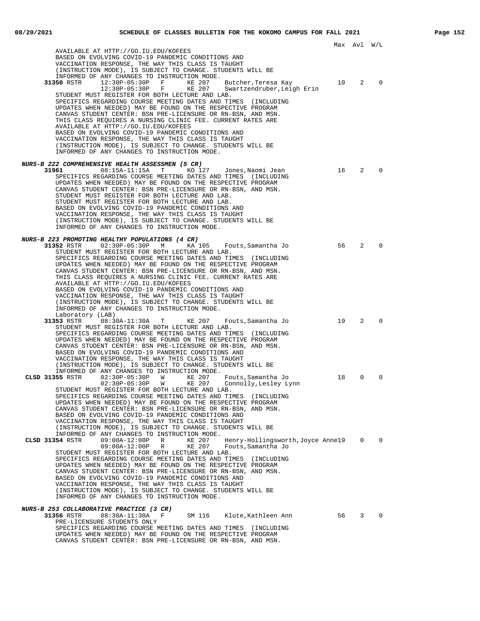Max Avl W/L AVAILABLE AT HTTP://GO.IU.EDU/KOFEES BASED ON EVOLVING COVID-19 PANDEMIC CONDITIONS AND VACCINATION RESPONSE, THE WAY THIS CLASS IS TAUGHT (INSTRUCTION MODE), IS SUBJECT TO CHANGE. STUDENTS WILL BE INFORMED OF ANY CHANGES TO INSTRUCTION MODE.<br>31350 RSTR 12:30P-05:30P F KE 207 **31350** RSTR 12:30P-05:30P F KE 207 Butcher,Teresa Kay 10 2 0 12:30P-05:30P F KE 207 Swartzendruber,Leigh Erin STUDENT MUST REGISTER FOR BOTH LECTURE AND LAB. SPECIFICS REGARDING COURSE MEETING DATES AND TIMES (INCLUDING UPDATES WHEN NEEDED) MAY BE FOUND ON THE RESPECTIVE PROGRAM CANVAS STUDENT CENTER: BSN PRE-LICENSURE OR RN-BSN, AND MSN. THIS CLASS REQUIRES A NURSING CLINIC FEE. CURRENT RATES ARE AVAILABLE AT HTTP://GO.IU.EDU/KOFEES BASED ON EVOLVING COVID-19 PANDEMIC CONDITIONS AND VACCINATION RESPONSE, THE WAY THIS CLASS IS TAUGHT (INSTRUCTION MODE), IS SUBJECT TO CHANGE. STUDENTS WILL BE INFORMED OF ANY CHANGES TO INSTRUCTION MODE. **NURS-B 222 COMPREHENSIVE HEALTH ASSESSMEN (5 CR)**<br>31961 08:15A-11:15A T KO 1 **31961** 08:15A-11:15A T KO 127 Jones,Naomi Jean 16 2 0 SPECIFICS REGARDING COURSE MEETING DATES AND TIMES (INCLUDING UPDATES WHEN NEEDED) MAY BE FOUND ON THE RESPECTIVE PROGRAM CANVAS STUDENT CENTER: BSN PRE-LICENSURE OR RN-BSN, AND MSN. STUDENT MUST REGISTER FOR BOTH LECTURE AND LAB. STUDENT MUST REGISTER FOR BOTH LECTURE AND LAB. BASED ON EVOLVING COVID-19 PANDEMIC CONDITIONS AND VACCINATION RESPONSE, THE WAY THIS CLASS IS TAUGHT (INSTRUCTION MODE), IS SUBJECT TO CHANGE. STUDENTS WILL BE INFORMED OF ANY CHANGES TO INSTRUCTION MODE. **NURS-B 223 PROMOTING HEALTHY POPULATIONS (4 CR) 31352** RSTR 02:30P-05:30P M KA 105 Fouts,Samantha Jo 56 2 0 STUDENT MUST REGISTER FOR BOTH LECTURE AND LAB. SPECIFICS REGARDING COURSE MEETING DATES AND TIMES (INCLUDING UPDATES WHEN NEEDED) MAY BE FOUND ON THE RESPECTIVE PROGRAM CANVAS STUDENT CENTER: BSN PRE-LICENSURE OR RN-BSN, AND MSN. THIS CLASS REQUIRES A NURSING CLINIC FEE. CURRENT RATES ARE AVAILABLE AT HTTP://GO.IU.EDU/KOFEES BASED ON EVOLVING COVID-19 PANDEMIC CONDITIONS AND VACCINATION RESPONSE, THE WAY THIS CLASS IS TAUGHT (INSTRUCTION MODE), IS SUBJECT TO CHANGE. STUDENTS WILL BE INFORMED OF ANY CHANGES TO INSTRUCTION MODE. Laboratory (LAB)<br>31353 RSTR 08:30A-11:30A T **3135336** Routs, Samantha Jo 19 2 0 STUDENT MUST REGISTER FOR BOTH LECTURE AND LAB. SPECIFICS REGARDING COURSE MEETING DATES AND TIMES (INCLUDING UPDATES WHEN NEEDED) MAY BE FOUND ON THE RESPECTIVE PROGRAM CANVAS STUDENT CENTER: BSN PRE-LICENSURE OR RN-BSN, AND MSN. BASED ON EVOLVING COVID-19 PANDEMIC CONDITIONS AND VACCINATION RESPONSE, THE WAY THIS CLASS IS TAUGHT (INSTRUCTION MODE), IS SUBJECT TO CHANGE. STUDENTS WILL BE INFORMED OF ANY CHANGES TO INSTRUCTION MODE.<br>CLSD 31355 RSTR 02:30P-05:30P W KE 207 **CLSD 31355** RSTR 02:30P-05:30P W KE 207 Fouts,Samantha Jo 18 0 0 02:30P-05:30P W KE 207 Connolly,Lesley Lynn STUDENT MUST REGISTER FOR BOTH LECTURE AND LAB. SPECIFICS REGARDING COURSE MEETING DATES AND TIMES (INCLUDING UPDATES WHEN NEEDED) MAY BE FOUND ON THE RESPECTIVE PROGRAM CANVAS STUDENT CENTER: BSN PRE-LICENSURE OR RN-BSN, AND MSN. BASED ON EVOLVING COVID-19 PANDEMIC CONDITIONS AND VACCINATION RESPONSE, THE WAY THIS CLASS IS TAUGHT (INSTRUCTION MODE), IS SUBJECT TO CHANGE. STUDENTS WILL BE INFORMED OF ANY CHANGES TO INSTRUCTION MODE.<br>CLSD 31354 RSTR 09:00A-12:00P R KE 207 **CLSD 31354** RSTR 09:00A-12:00P R KE 207 Henry-Hollingsworth,Joyce Anne 19 0 0 09:00A-12:00P R KE 207 Fouts,Samantha Jo STUDENT MUST REGISTER FOR BOTH LECTURE AND LAB. SPECIFICS REGARDING COURSE MEETING DATES AND TIMES (INCLUDING UPDATES WHEN NEEDED) MAY BE FOUND ON THE RESPECTIVE PROGRAM CANVAS STUDENT CENTER: BSN PRE-LICENSURE OR RN-BSN, AND MSN. BASED ON EVOLVING COVID-19 PANDEMIC CONDITIONS AND VACCINATION RESPONSE, THE WAY THIS CLASS IS TAUGHT (INSTRUCTION MODE), IS SUBJECT TO CHANGE. STUDENTS WILL BE INFORMED OF ANY CHANGES TO INSTRUCTION MODE. **NURS-B 253 COLLABORATIVE PRACTICE (3 CR) 31356** RSTR 08:30A-11:30A F SM 116 Klute,Kathleen Ann 56 3 0 PRE-LICENSURE STUDENTS ONLY SPECIFICS REGARDING COURSE MEETING DATES AND TIMES (INCLUDING UPDATES WHEN NEEDED) MAY BE FOUND ON THE RESPECTIVE PROGRAM CANVAS STUDENT CENTER: BSN PRE-LICENSURE OR RN-BSN, AND MSN.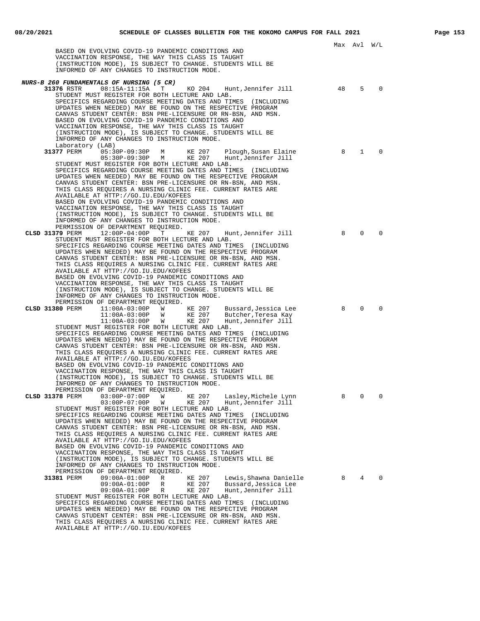Max Avl W/L BASED ON EVOLVING COVID-19 PANDEMIC CONDITIONS AND VACCINATION RESPONSE, THE WAY THIS CLASS IS TAUGHT (INSTRUCTION MODE), IS SUBJECT TO CHANGE. STUDENTS WILL BE INFORMED OF ANY CHANGES TO INSTRUCTION MODE. **NURS-B 260 FUNDAMENTALS OF NURSING (5 CR) 31376** RSTR 08:15A-11:15A T KO 204 Hunt,Jennifer Jill 48 5 0 STUDENT MUST REGISTER FOR BOTH LECTURE AND LAB. SPECIFICS REGARDING COURSE MEETING DATES AND TIMES (INCLUDING UPDATES WHEN NEEDED) MAY BE FOUND ON THE RESPECTIVE PROGRAM CANVAS STUDENT CENTER: BSN PRE-LICENSURE OR RN-BSN, AND MSN. BASED ON EVOLVING COVID-19 PANDEMIC CONDITIONS AND VACCINATION RESPONSE, THE WAY THIS CLASS IS TAUGHT (INSTRUCTION MODE), IS SUBJECT TO CHANGE. STUDENTS WILL BE INFORMED OF ANY CHANGES TO INSTRUCTION MODE. Laboratory (LAB)<br>31377 PERM 05:3 **31377** PERM 05:30P-09:30P M KE 207 Plough, Susan Elaine 8 1 0 05:30P-09:30P M KE 207 Hunt,Jennifer Jill STUDENT MUST REGISTER FOR BOTH LECTURE AND LAB. SPECIFICS REGARDING COURSE MEETING DATES AND TIMES (INCLUDING UPDATES WHEN NEEDED) MAY BE FOUND ON THE RESPECTIVE PROGRAM CANVAS STUDENT CENTER: BSN PRE-LICENSURE OR RN-BSN, AND MSN. THIS CLASS REQUIRES A NURSING CLINIC FEE. CURRENT RATES ARE AVAILABLE AT HTTP://GO.IU.EDU/KOFEES BASED ON EVOLVING COVID-19 PANDEMIC CONDITIONS AND VACCINATION RESPONSE, THE WAY THIS CLASS IS TAUGHT (INSTRUCTION MODE), IS SUBJECT TO CHANGE. STUDENTS WILL BE INFORMED OF ANY CHANGES TO INSTRUCTION MODE. PERMISSION OF DEPARTMENT REQUIRED.<br>379 PERM 12:00P-04:00P T KE 207 **CLSD 31379** PERM 12:00P-04:00P T KE 207 Hunt,Jennifer Jill 8 0 0 STUDENT MUST REGISTER FOR BOTH LECTURE AND LAB. SPECIFICS REGARDING COURSE MEETING DATES AND TIMES (INCLUDING UPDATES WHEN NEEDED) MAY BE FOUND ON THE RESPECTIVE PROGRAM CANVAS STUDENT CENTER: BSN PRE-LICENSURE OR RN-BSN, AND MSN. THIS CLASS REQUIRES A NURSING CLINIC FEE. CURRENT RATES ARE AVAILABLE AT HTTP://GO.IU.EDU/KOFEES BASED ON EVOLVING COVID-19 PANDEMIC CONDITIONS AND VACCINATION RESPONSE, THE WAY THIS CLASS IS TAUGHT (INSTRUCTION MODE), IS SUBJECT TO CHANGE. STUDENTS WILL BE INFORMED OF ANY CHANGES TO INSTRUCTION MODE. PERMISSION OF DEPARTMENT REQUIRED.<br>CLSD 31380 PERM 11:00A-03:00P W **CLSD 31380** PERM 11:00A-03:00P W KE 207 Bussard,Jessica Lee 8 0 0 11:00A-03:00P W KE 207 Butcher,Teresa Kay 11:00A-03:00P W KE 207 Hunt,Jennifer Jill STUDENT MUST REGISTER FOR BOTH LECTURE AND LAB. SPECIFICS REGARDING COURSE MEETING DATES AND TIMES (INCLUDING UPDATES WHEN NEEDED) MAY BE FOUND ON THE RESPECTIVE PROGRAM CANVAS STUDENT CENTER: BSN PRE-LICENSURE OR RN-BSN, AND MSN. THIS CLASS REQUIRES A NURSING CLINIC FEE. CURRENT RATES ARE AVAILABLE AT HTTP://GO.IU.EDU/KOFEES BASED ON EVOLVING COVID-19 PANDEMIC CONDITIONS AND VACCINATION RESPONSE, THE WAY THIS CLASS IS TAUGHT (INSTRUCTION MODE), IS SUBJECT TO CHANGE. STUDENTS WILL BE INFORMED OF ANY CHANGES TO INSTRUCTION MODE. PERMISSION OF DEPARTMENT REQUIRED.<br>CLSD 31378 PERM 03:00P-07:00P W KE 207 Lasley,Michele Lynn 8 0 0 03:00P-07:00P W KE 207 Hunt,Jennifer Jill THE CONSTRUCT OF THE CONSTRUCTED THE RESS PERM 03:00P-07:00P W KE 207 Hunt, Jennifer Jill<br>03:00P-07:00P W KE 207 Hunt, Jennifer Jill<br>STUDENT MUST REGISTER FOR BOTH LECTURE AND LAB. SPECIFICS REGARDING COURSE MEETING DATES AND TIMES (INCLUDING UPDATES WHEN NEEDED) MAY BE FOUND ON THE RESPECTIVE PROGRAM CANVAS STUDENT CENTER: BSN PRE-LICENSURE OR RN-BSN, AND MSN. THIS CLASS REQUIRES A NURSING CLINIC FEE. CURRENT RATES ARE AVAILABLE AT HTTP://GO.IU.EDU/KOFEES BASED ON EVOLVING COVID-19 PANDEMIC CONDITIONS AND VACCINATION RESPONSE, THE WAY THIS CLASS IS TAUGHT (INSTRUCTION MODE), IS SUBJECT TO CHANGE. STUDENTS WILL BE INFORMED OF ANY CHANGES TO INSTRUCTION MODE. PERMISSION OF DEPARTMENT REQUIRED. **31381** PERM 09:00A-01:00P R KE 207 Lewis,Shawna Danielle 8 4 0 09:00A-01:00P R KE 207 Bussard,Jessica Lee 09:00A-01:00P R KE 207 Hunt,Jennifer Jill STUDENT MUST REGISTER FOR BOTH LECTURE AND LAB. SPECIFICS REGARDING COURSE MEETING DATES AND TIMES (INCLUDING UPDATES WHEN NEEDED) MAY BE FOUND ON THE RESPECTIVE PROGRAM CANVAS STUDENT CENTER: BSN PRE-LICENSURE OR RN-BSN, AND MSN. THIS CLASS REQUIRES A NURSING CLINIC FEE. CURRENT RATES ARE

AVAILABLE AT HTTP://GO.IU.EDU/KOFEES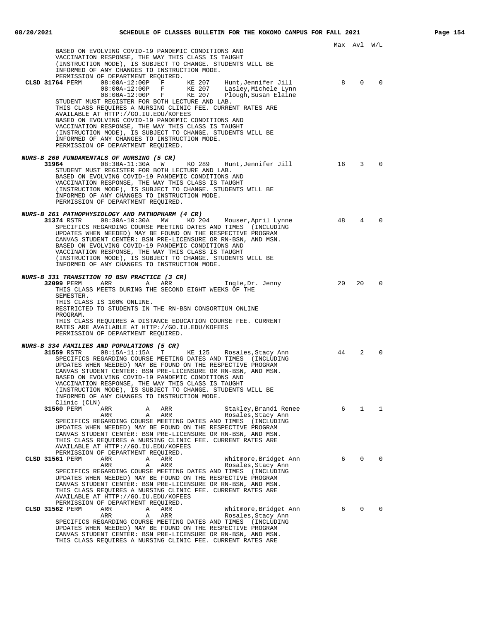|                                                                                                                                                                                                                                                         |    | Max Avl W/L    |          |
|---------------------------------------------------------------------------------------------------------------------------------------------------------------------------------------------------------------------------------------------------------|----|----------------|----------|
| BASED ON EVOLVING COVID-19 PANDEMIC CONDITIONS AND<br>VACCINATION RESPONSE, THE WAY THIS CLASS IS TAUGHT<br>(INSTRUCTION MODE), IS SUBJECT TO CHANGE. STUDENTS WILL BE                                                                                  |    |                |          |
| INFORMED OF ANY CHANGES TO INSTRUCTION MODE.                                                                                                                                                                                                            |    |                |          |
| PERMISSION OF DEPARTMENT REQUIRED.<br>08:00A-12:00P F KE 207<br>CLSD 31764 PERM<br>Hunt,Jennifer Jill<br>$08:00A-12:00P$ F<br>KE 207<br>Lasley,Michele Lynn                                                                                             | 8  | $\Omega$       |          |
| 08:00A-12:00P F KE 207<br>Plough, Susan Elaine<br>STUDENT MUST REGISTER FOR BOTH LECTURE AND LAB.<br>THIS CLASS REQUIRES A NURSING CLINIC FEE. CURRENT RATES ARE                                                                                        |    |                |          |
| AVAILABLE AT HTTP://GO.IU.EDU/KOFEES<br>BASED ON EVOLVING COVID-19 PANDEMIC CONDITIONS AND<br>VACCINATION RESPONSE, THE WAY THIS CLASS IS TAUGHT                                                                                                        |    |                |          |
| (INSTRUCTION MODE), IS SUBJECT TO CHANGE. STUDENTS WILL BE<br>INFORMED OF ANY CHANGES TO INSTRUCTION MODE.<br>PERMISSION OF DEPARTMENT REQUIRED.                                                                                                        |    |                |          |
| <i>NURS-B 260 FUNDAMENTALS OF NURSING (5 CR)</i>                                                                                                                                                                                                        |    |                |          |
| 08:30A-11:30A W<br>31964<br>KO 289 Hunt,Jennifer Jill<br>STUDENT MUST REGISTER FOR BOTH LECTURE AND LAB.<br>BASED ON EVOLVING COVID-19 PANDEMIC CONDITIONS AND<br>VACCINATION RESPONSE, THE WAY THIS CLASS IS TAUGHT                                    | 16 | 3              | $\Omega$ |
| (INSTRUCTION MODE), IS SUBJECT TO CHANGE. STUDENTS WILL BE<br>INFORMED OF ANY CHANGES TO INSTRUCTION MODE.<br>PERMISSION OF DEPARTMENT REQUIRED.                                                                                                        |    |                |          |
| NURS-B 261 PATHOPHYSIOLOGY AND PATHOPHARM (4 CR)                                                                                                                                                                                                        |    |                |          |
| 31374 RSTR 08:30A-10:30A MW<br>KO 204 Mouser, April Lynne                                                                                                                                                                                               | 48 | $\overline{4}$ |          |
| SPECIFICS REGARDING COURSE MEETING DATES AND TIMES (INCLUDING<br>UPDATES WHEN NEEDED) MAY BE FOUND ON THE RESPECTIVE PROGRAM<br>CANVAS STUDENT CENTER: BSN PRE-LICENSURE OR RN-BSN, AND MSN.<br>BASED ON EVOLVING COVID-19 PANDEMIC CONDITIONS AND      |    |                |          |
| VACCINATION RESPONSE, THE WAY THIS CLASS IS TAUGHT<br>(INSTRUCTION MODE), IS SUBJECT TO CHANGE. STUDENTS WILL BE<br>INFORMED OF ANY CHANGES TO INSTRUCTION MODE.                                                                                        |    |                |          |
| NURS-B 331 TRANSITION TO BSN PRACTICE (3 CR)                                                                                                                                                                                                            |    |                |          |
| 32099 PERM<br>ARR<br>Ingle, Dr. Jenny<br>$\overline{A}$<br>ARR<br>THIS CLASS MEETS DURING THE SECOND EIGHT WEEKS OF THE<br>SEMESTER.                                                                                                                    | 20 | 20             | $\Omega$ |
| THIS CLASS IS 100% ONLINE.<br>RESTRICTED TO STUDENTS IN THE RN-BSN CONSORTIUM ONLINE<br>PROGRAM.                                                                                                                                                        |    |                |          |
| THIS CLASS REQUIRES A DISTANCE EDUCATION COURSE FEE. CURRENT<br>RATES ARE AVAILABLE AT HTTP://GO.IU.EDU/KOFEES<br>PERMISSION OF DEPARTMENT REQUIRED.                                                                                                    |    |                |          |
| <b>NURS-B 334 FAMILIES AND POPULATIONS (5 CR)</b>                                                                                                                                                                                                       |    |                |          |
| 31559 RSTR 08:15A-11:15A T<br>KE 125 Rosales, Stacy Ann<br>SPECIFICS REGARDING COURSE MEETING DATES AND TIMES (INCLUDING<br>UPDATES WHEN NEEDED) MAY BE FOUND ON THE RESPECTIVE PROGRAM<br>CANVAS STUDENT CENTER: BSN PRE-LICENSURE OR RN-BSN, AND MSN. | 44 | 2              |          |
| BASED ON EVOLVING COVID-19 PANDEMIC CONDITIONS AND<br>VACCINATION RESPONSE, THE WAY THIS CLASS IS TAUGHT<br>(INSTRUCTION MODE), IS SUBJECT TO CHANGE. STUDENTS WILL BE                                                                                  |    |                |          |
| INFORMED OF ANY CHANGES TO INSTRUCTION MODE.<br>Clinic (CLN)                                                                                                                                                                                            |    |                |          |
| 31560 PERM<br>ARR<br>ARR<br>Stakley,Brandi Renee<br>Α                                                                                                                                                                                                   | 6  | $\mathbf{1}$   | 1        |
| ARR<br>ARR<br>Α<br>Rosales, Stacy Ann<br>SPECIFICS REGARDING COURSE MEETING DATES AND TIMES (INCLUDING<br>UPDATES WHEN NEEDED) MAY BE FOUND ON THE RESPECTIVE PROGRAM<br>CANVAS STUDENT CENTER: BSN PRE-LICENSURE OR RN-BSN, AND MSN.                   |    |                |          |
| THIS CLASS REQUIRES A NURSING CLINIC FEE. CURRENT RATES ARE<br>AVAILABLE AT HTTP://GO.IU.EDU/KOFEES                                                                                                                                                     |    |                |          |
| PERMISSION OF DEPARTMENT REQUIRED.                                                                                                                                                                                                                      |    |                |          |
| Whitmore, Bridget Ann<br>CLSD 31561 PERM<br>ARR<br>Α<br>ARR<br>ARR<br>ARR<br>Α<br>Rosales, Stacy Ann<br>SPECIFICS REGARDING COURSE MEETING DATES AND TIMES<br>(INCLUDING                                                                                | 6  | $\Omega$       |          |
| UPDATES WHEN NEEDED) MAY BE FOUND ON THE RESPECTIVE PROGRAM<br>CANVAS STUDENT CENTER: BSN PRE-LICENSURE OR RN-BSN, AND MSN.<br>THIS CLASS REQUIRES A NURSING CLINIC FEE. CURRENT RATES ARE                                                              |    |                |          |
| AVAILABLE AT HTTP://GO.IU.EDU/KOFEES<br>PERMISSION OF DEPARTMENT REQUIRED.                                                                                                                                                                              |    |                |          |
| Whitmore, Bridget Ann<br>CLSD 31562 PERM<br>ARR<br>Α<br>ARR<br>ARR<br>Α<br>ARR<br>Rosales, Stacy Ann<br>SPECIFICS REGARDING COURSE MEETING DATES AND TIMES (INCLUDING                                                                                   | 6  | $\Omega$       |          |
| UPDATES WHEN NEEDED) MAY BE FOUND ON THE RESPECTIVE PROGRAM<br>CANVAS STUDENT CENTER: BSN PRE-LICENSURE OR RN-BSN, AND MSN.<br>THIS CLASS REQUIRES A NURSING CLINIC FEE. CURRENT RATES ARE                                                              |    |                |          |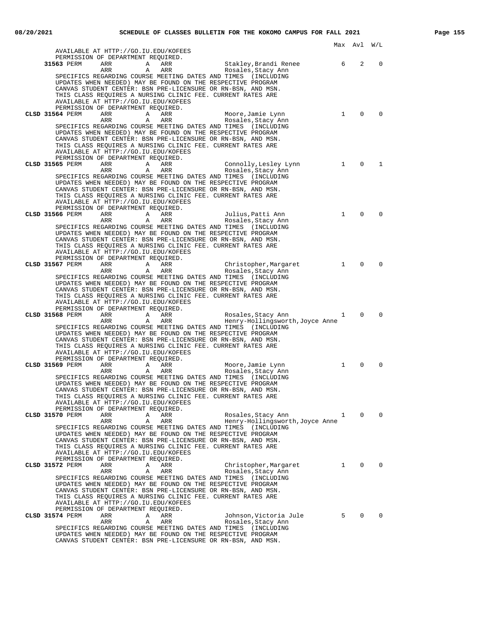|                                                                                                                              | Max                    | Av⊥            | W/L         |
|------------------------------------------------------------------------------------------------------------------------------|------------------------|----------------|-------------|
| AVAILABLE AT HTTP://GO.IU.EDU/KOFEES<br>PERMISSION OF DEPARTMENT REQUIRED.                                                   |                        |                |             |
| 31563 PERM<br>Stakley,Brandi Renee<br>ARR<br>Α<br>ARR                                                                        | 6                      | 2              | 0           |
| ARR<br>Rosales,Stacy Ann<br>ARR<br>A                                                                                         |                        |                |             |
| SPECIFICS REGARDING COURSE MEETING DATES AND TIMES (INCLUDING                                                                |                        |                |             |
| UPDATES WHEN NEEDED) MAY BE FOUND ON THE RESPECTIVE PROGRAM                                                                  |                        |                |             |
| CANVAS STUDENT CENTER: BSN PRE-LICENSURE OR RN-BSN, AND MSN.<br>THIS CLASS REQUIRES A NURSING CLINIC FEE. CURRENT RATES ARE  |                        |                |             |
| AVAILABLE AT HTTP://GO.IU.EDU/KOFEES                                                                                         |                        |                |             |
| PERMISSION OF DEPARTMENT REQUIRED.                                                                                           |                        |                |             |
| ARR<br>Moore, Jamie Lynn<br>CLSD 31564 PERM<br>A<br>ARR                                                                      | $\mathbf{1}$           | $\mathbf 0$    | $\Omega$    |
| A<br>ARR<br>Rosales, Stacy Ann<br>ARR                                                                                        |                        |                |             |
| SPECIFICS REGARDING COURSE MEETING DATES AND TIMES (INCLUDING<br>UPDATES WHEN NEEDED) MAY BE FOUND ON THE RESPECTIVE PROGRAM |                        |                |             |
| CANVAS STUDENT CENTER: BSN PRE-LICENSURE OR RN-BSN, AND MSN.                                                                 |                        |                |             |
| THIS CLASS REQUIRES A NURSING CLINIC FEE. CURRENT RATES ARE                                                                  |                        |                |             |
| AVAILABLE AT HTTP://GO.IU.EDU/KOFEES                                                                                         |                        |                |             |
| PERMISSION OF DEPARTMENT REQUIRED.                                                                                           |                        |                |             |
| Connolly, Lesley Lynn<br>CLSD 31565 PERM<br>ARR<br>A<br>ARR<br>ARR<br>A<br>ARR<br>Rosales, Stacy Ann                         | 1                      | $\mathbf 0$    | 1           |
| SPECIFICS REGARDING COURSE MEETING DATES AND TIMES (INCLUDING                                                                |                        |                |             |
| UPDATES WHEN NEEDED) MAY BE FOUND ON THE RESPECTIVE PROGRAM                                                                  |                        |                |             |
| CANVAS STUDENT CENTER: BSN PRE-LICENSURE OR RN-BSN, AND MSN.                                                                 |                        |                |             |
| THIS CLASS REQUIRES A NURSING CLINIC FEE. CURRENT RATES ARE                                                                  |                        |                |             |
| AVAILABLE AT HTTP://GO.IU.EDU/KOFEES<br>PERMISSION OF DEPARTMENT REQUIRED.                                                   |                        |                |             |
| <b>CLSD 31566 PERM</b><br>ARR<br>Α<br>Julius, Patti Ann<br>ARR                                                               | $\mathbf{1}$           | $\Omega$       | $\Omega$    |
| ARR<br>ARR<br>Rosales, Stacy Ann<br>A                                                                                        |                        |                |             |
| SPECIFICS REGARDING COURSE MEETING DATES AND TIMES (INCLUDING                                                                |                        |                |             |
| UPDATES WHEN NEEDED) MAY BE FOUND ON THE RESPECTIVE PROGRAM                                                                  |                        |                |             |
| CANVAS STUDENT CENTER: BSN PRE-LICENSURE OR RN-BSN, AND MSN.<br>THIS CLASS REQUIRES A NURSING CLINIC FEE. CURRENT RATES ARE  |                        |                |             |
| AVAILABLE AT HTTP://GO.IU.EDU/KOFEES                                                                                         |                        |                |             |
| PERMISSION OF DEPARTMENT REQUIRED.                                                                                           |                        |                |             |
| CLSD 31567 PERM<br>ARR<br>Christopher,Margaret<br>A<br>ARR                                                                   | $\mathbf{1}$           | $\mathbf 0$    | $\mathbf 0$ |
| A<br>ARR<br>Rosales, Stacy Ann<br>ARR                                                                                        |                        |                |             |
| SPECIFICS REGARDING COURSE MEETING DATES AND TIMES (INCLUDING<br>UPDATES WHEN NEEDED) MAY BE FOUND ON THE RESPECTIVE PROGRAM |                        |                |             |
| CANVAS STUDENT CENTER: BSN PRE-LICENSURE OR RN-BSN, AND MSN.                                                                 |                        |                |             |
| THIS CLASS REQUIRES A NURSING CLINIC FEE. CURRENT RATES ARE                                                                  |                        |                |             |
| AVAILABLE AT HTTP://GO.IU.EDU/KOFEES                                                                                         |                        |                |             |
| PERMISSION OF DEPARTMENT REQUIRED.                                                                                           | $1 \quad \blacksquare$ | $\mathbf 0$    | $\Omega$    |
| CLSD 31568 PERM<br>ARR<br><b>A</b><br>ARR<br>Rosales,Stacy Ann<br>A<br>ARR<br>Henry-Hollingsworth, Joyce Anne<br>ARR         |                        |                |             |
| SPECIFICS REGARDING COURSE MEETING DATES AND TIMES (INCLUDING                                                                |                        |                |             |
| UPDATES WHEN NEEDED) MAY BE FOUND ON THE RESPECTIVE PROGRAM                                                                  |                        |                |             |
| CANVAS STUDENT CENTER: BSN PRE-LICENSURE OR RN-BSN, AND MSN.                                                                 |                        |                |             |
| THIS CLASS REQUIRES A NURSING CLINIC FEE. CURRENT RATES ARE<br>AVAILABLE AT HTTP://GO.IU.EDU/KOFEES                          |                        |                |             |
| PERMISSION OF DEPARTMENT REQUIRED.                                                                                           |                        |                |             |
| CLSD 31569 PERM<br>ARR<br>Α<br>Moore, Jamie Lynn<br>ARR                                                                      | $\mathbf{1}$           | $\Omega$       | $\Omega$    |
| ARR<br>ARR<br>Rosales, Stacy Ann<br>A                                                                                        |                        |                |             |
| SPECIFICS REGARDING COURSE MEETING DATES AND TIMES<br>(INCLUDING                                                             |                        |                |             |
| UPDATES WHEN NEEDED) MAY BE FOUND ON THE RESPECTIVE PROGRAM<br>CANVAS STUDENT CENTER: BSN PRE-LICENSURE OR RN-BSN, AND MSN.  |                        |                |             |
| THIS CLASS REQUIRES A NURSING CLINIC FEE. CURRENT RATES ARE                                                                  |                        |                |             |
| AVAILABLE AT HTTP://GO.IU.EDU/KOFEES                                                                                         |                        |                |             |
| PERMISSION OF DEPARTMENT REQUIRED.                                                                                           |                        |                |             |
| CLSD 31570 PERM<br>ARR<br>Rosales, Stacy Ann<br>Α<br>ARR<br>ARR<br>Α<br>ARR<br>Henry-Hollingsworth, Joyce Anne               | 1                      | 0              | $\Omega$    |
| SPECIFICS REGARDING COURSE MEETING DATES AND TIMES (INCLUDING                                                                |                        |                |             |
| UPDATES WHEN NEEDED) MAY BE FOUND ON THE RESPECTIVE PROGRAM                                                                  |                        |                |             |
| CANVAS STUDENT CENTER: BSN PRE-LICENSURE OR RN-BSN, AND MSN.                                                                 |                        |                |             |
| THIS CLASS REQUIRES A NURSING CLINIC FEE. CURRENT RATES ARE                                                                  |                        |                |             |
| AVAILABLE AT HTTP://GO.IU.EDU/KOFEES<br>PERMISSION OF DEPARTMENT REQUIRED.                                                   |                        |                |             |
| CLSD 31572 PERM<br>ARR<br>Christopher, Margaret<br>Α<br>ARR                                                                  | $1 \quad \blacksquare$ | $\overline{0}$ | 0           |
| ARR<br>Α<br>ARR<br>Rosales, Stacy Ann                                                                                        |                        |                |             |
| SPECIFICS REGARDING COURSE MEETING DATES AND TIMES (INCLUDING                                                                |                        |                |             |
| UPDATES WHEN NEEDED) MAY BE FOUND ON THE RESPECTIVE PROGRAM<br>CANVAS STUDENT CENTER: BSN PRE-LICENSURE OR RN-BSN, AND MSN.  |                        |                |             |
| THIS CLASS REQUIRES A NURSING CLINIC FEE. CURRENT RATES ARE                                                                  |                        |                |             |
| AVAILABLE AT HTTP://GO.IU.EDU/KOFEES                                                                                         |                        |                |             |
| PERMISSION OF DEPARTMENT REQUIRED.                                                                                           |                        |                |             |
| CLSD 31574 PERM<br>ARR<br>Α<br>ARR<br>Johnson,Victoria Jule                                                                  | 5                      | $\mathbf{0}$   | $\Omega$    |
| ARR<br>ARR<br>Rosales, Stacy Ann<br>Α<br>SPECIFICS REGARDING COURSE MEETING DATES AND TIMES (INCLUDING                       |                        |                |             |
| UPDATES WHEN NEEDED) MAY BE FOUND ON THE RESPECTIVE PROGRAM                                                                  |                        |                |             |

CANVAS STUDENT CENTER: BSN PRE-LICENSURE OR RN-BSN, AND MSN.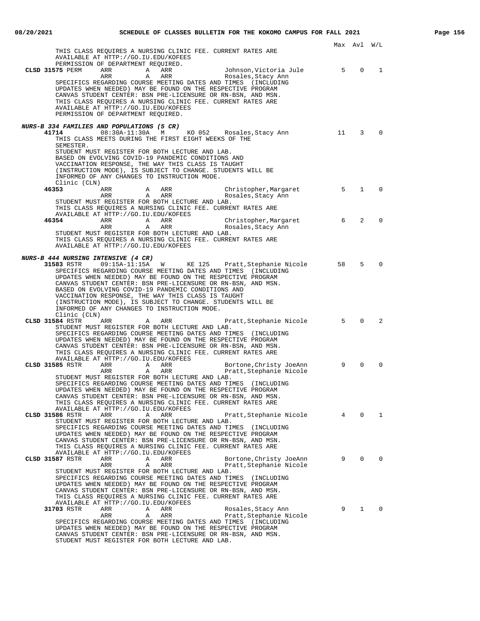| THIS CLASS REQUIRES A NURSING CLINIC FEE. CURRENT RATES ARE                                                                                                                                                                                                                                             |    |                |              |
|---------------------------------------------------------------------------------------------------------------------------------------------------------------------------------------------------------------------------------------------------------------------------------------------------------|----|----------------|--------------|
| AVAILABLE AT HTTP://GO.IU.EDU/KOFEES<br>PERMISSION OF DEPARTMENT REQUIRED.                                                                                                                                                                                                                              |    |                |              |
| CLSD 31575 PERM<br>ARR<br>ARR<br>Johnson, Victoria Jule<br>Α                                                                                                                                                                                                                                            | 5  | $\mathbf 0$    | 1            |
| ARR<br>ARR<br>Rosales, Stacy Ann<br>Α<br>SPECIFICS REGARDING COURSE MEETING DATES AND TIMES<br>(INCLUDING<br>UPDATES WHEN NEEDED) MAY BE FOUND ON THE RESPECTIVE PROGRAM<br>CANVAS STUDENT CENTER: BSN PRE-LICENSURE OR RN-BSN, AND MSN.<br>THIS CLASS REQUIRES A NURSING CLINIC FEE. CURRENT RATES ARE |    |                |              |
| AVAILABLE AT HTTP://GO.IU.EDU/KOFEES<br>PERMISSION OF DEPARTMENT REQUIRED.                                                                                                                                                                                                                              |    |                |              |
|                                                                                                                                                                                                                                                                                                         |    |                |              |
| <i>NURS-B 334 FAMILIES AND POPULATIONS (5 CR)</i><br>41714<br>$08:30A-11:30A$<br>KO 052<br>M<br>Rosales, Stacy Ann                                                                                                                                                                                      | 11 | 3              | $\Omega$     |
| THIS CLASS MEETS DURING THE FIRST EIGHT WEEKS OF THE<br>SEMESTER.                                                                                                                                                                                                                                       |    |                |              |
| STUDENT MUST REGISTER FOR BOTH LECTURE AND LAB.<br>BASED ON EVOLVING COVID-19 PANDEMIC CONDITIONS AND                                                                                                                                                                                                   |    |                |              |
| VACCINATION RESPONSE, THE WAY THIS CLASS IS TAUGHT                                                                                                                                                                                                                                                      |    |                |              |
| (INSTRUCTION MODE), IS SUBJECT TO CHANGE. STUDENTS WILL BE<br>INFORMED OF ANY CHANGES TO INSTRUCTION MODE.                                                                                                                                                                                              |    |                |              |
| Clinic (CLN)                                                                                                                                                                                                                                                                                            | 5  | $\mathbf{1}$   | $\Omega$     |
| 46353<br>ARR<br>ARR<br>A<br>Christopher, Margaret<br>ARR<br>A<br>ARR<br>Rosales, Stacy Ann<br>STUDENT MUST REGISTER FOR BOTH LECTURE AND LAB.                                                                                                                                                           |    |                |              |
| THIS CLASS REQUIRES A NURSING CLINIC FEE. CURRENT RATES ARE<br>AVAILABLE AT HTTP://GO.IU.EDU/KOFEES                                                                                                                                                                                                     |    |                |              |
| 46354<br>ARR<br>Α<br>ARR<br>Christopher, Margaret<br>ARR<br>Α<br>ARR<br>Rosales, Stacy Ann                                                                                                                                                                                                              | 6  | 2              | $\Omega$     |
| STUDENT MUST REGISTER FOR BOTH LECTURE AND LAB.                                                                                                                                                                                                                                                         |    |                |              |
| THIS CLASS REQUIRES A NURSING CLINIC FEE. CURRENT RATES ARE<br>AVAILABLE AT HTTP://GO.IU.EDU/KOFEES                                                                                                                                                                                                     |    |                |              |
|                                                                                                                                                                                                                                                                                                         |    |                |              |
| <i>NURS-B 444 NURSING INTENSIVE (4 CR)</i><br>31583 RSTR<br>09:15A-11:15A<br>KE 125<br>Pratt, Stephanie Nicole<br>W                                                                                                                                                                                     | 58 | 5              | $\Omega$     |
| SPECIFICS REGARDING COURSE MEETING DATES AND TIMES (INCLUDING                                                                                                                                                                                                                                           |    |                |              |
| UPDATES WHEN NEEDED) MAY BE FOUND ON THE RESPECTIVE PROGRAM<br>CANVAS STUDENT CENTER: BSN PRE-LICENSURE OR RN-BSN, AND MSN.                                                                                                                                                                             |    |                |              |
| BASED ON EVOLVING COVID-19 PANDEMIC CONDITIONS AND<br>VACCINATION RESPONSE, THE WAY THIS CLASS IS TAUGHT                                                                                                                                                                                                |    |                |              |
| (INSTRUCTION MODE), IS SUBJECT TO CHANGE. STUDENTS WILL BE                                                                                                                                                                                                                                              |    |                |              |
| INFORMED OF ANY CHANGES TO INSTRUCTION MODE.<br>Clinic (CLN)                                                                                                                                                                                                                                            |    |                |              |
| Pratt, Stephanie Nicole 5<br>CLSD 31584 RSTR<br>ARR<br>ARR<br>Α                                                                                                                                                                                                                                         |    | $\Omega$       | 2            |
| STUDENT MUST REGISTER FOR BOTH LECTURE AND LAB.<br>SPECIFICS REGARDING COURSE MEETING DATES AND TIMES (INCLUDING                                                                                                                                                                                        |    |                |              |
| UPDATES WHEN NEEDED) MAY BE FOUND ON THE RESPECTIVE PROGRAM<br>CANVAS STUDENT CENTER: BSN PRE-LICENSURE OR RN-BSN, AND MSN.                                                                                                                                                                             |    |                |              |
| THIS CLASS REQUIRES A NURSING CLINIC FEE. CURRENT RATES ARE                                                                                                                                                                                                                                             |    |                |              |
| AVAILABLE AT HTTP://GO.IU.EDU/KOFEES<br>CLSD 31585 RSTR<br>ARR<br>Α<br>ARR<br>Bortone, Christy JoeAnn                                                                                                                                                                                                   | 9  | $\Omega$       | $\Omega$     |
| ARR<br>Α<br>ARR<br>Pratt, Stephanie Nicole                                                                                                                                                                                                                                                              |    |                |              |
| STUDENT MUST REGISTER FOR BOTH LECTURE AND LAB.<br>SPECIFICS REGARDING COURSE MEETING DATES AND TIMES<br>(INCLUDING)                                                                                                                                                                                    |    |                |              |
| UPDATES WHEN NEEDED) MAY BE FOUND ON THE RESPECTIVE PROGRAM                                                                                                                                                                                                                                             |    |                |              |
| CANVAS STUDENT CENTER: BSN PRE-LICENSURE OR RN-BSN, AND MSN.<br>THIS CLASS REQUIRES A NURSING CLINIC FEE. CURRENT RATES ARE                                                                                                                                                                             |    |                |              |
| AVAILABLE AT HTTP://GO.IU.EDU/KOFEES<br>Pratt, Stephanie Nicole 4<br>CLSD 31586 RSTR<br>ARR<br>ARR<br>Α                                                                                                                                                                                                 |    | $\overline{0}$ | $\mathbf{1}$ |
| STUDENT MUST REGISTER FOR BOTH LECTURE AND LAB.                                                                                                                                                                                                                                                         |    |                |              |
| SPECIFICS REGARDING COURSE MEETING DATES AND TIMES (INCLUDING<br>UPDATES WHEN NEEDED) MAY BE FOUND ON THE RESPECTIVE PROGRAM                                                                                                                                                                            |    |                |              |
| CANVAS STUDENT CENTER: BSN PRE-LICENSURE OR RN-BSN, AND MSN.                                                                                                                                                                                                                                            |    |                |              |
| THIS CLASS REQUIRES A NURSING CLINIC FEE. CURRENT RATES ARE<br>AVAILABLE AT HTTP://GO.IU.EDU/KOFEES                                                                                                                                                                                                     |    |                |              |
| CLSD 31587 RSTR<br>ARR<br>Α<br>ARR<br>Bortone, Christy JoeAnn<br>ARR<br>Α<br>ARR<br>Pratt, Stephanie Nicole                                                                                                                                                                                             | 9  | $\Omega$       | $\Omega$     |
| STUDENT MUST REGISTER FOR BOTH LECTURE AND LAB.                                                                                                                                                                                                                                                         |    |                |              |
| SPECIFICS REGARDING COURSE MEETING DATES AND TIMES (INCLUDING<br>UPDATES WHEN NEEDED) MAY BE FOUND ON THE RESPECTIVE PROGRAM                                                                                                                                                                            |    |                |              |
| CANVAS STUDENT CENTER: BSN PRE-LICENSURE OR RN-BSN, AND MSN.                                                                                                                                                                                                                                            |    |                |              |
| THIS CLASS REQUIRES A NURSING CLINIC FEE. CURRENT RATES ARE<br>AVAILABLE AT HTTP://GO.IU.EDU/KOFEES                                                                                                                                                                                                     |    |                |              |
| 31703 RSTR<br>ARR<br>Α<br>ARR<br>Rosales, Stacy Ann                                                                                                                                                                                                                                                     | 9  | $\mathbf{1}$   | $\Omega$     |
| ARR<br>Α<br>ARR<br>Pratt, Stephanie Nicole<br>SPECIFICS REGARDING COURSE MEETING DATES AND TIMES (INCLUDING                                                                                                                                                                                             |    |                |              |
| UPDATES WHEN NEEDED) MAY BE FOUND ON THE RESPECTIVE PROGRAM<br>CANVAS STUDENT CENTER: BSN PRE-LICENSURE OR RN-BSN, AND MSN.                                                                                                                                                                             |    |                |              |
| STUDENT MUST REGISTER FOR BOTH LECTURE AND LAB.                                                                                                                                                                                                                                                         |    |                |              |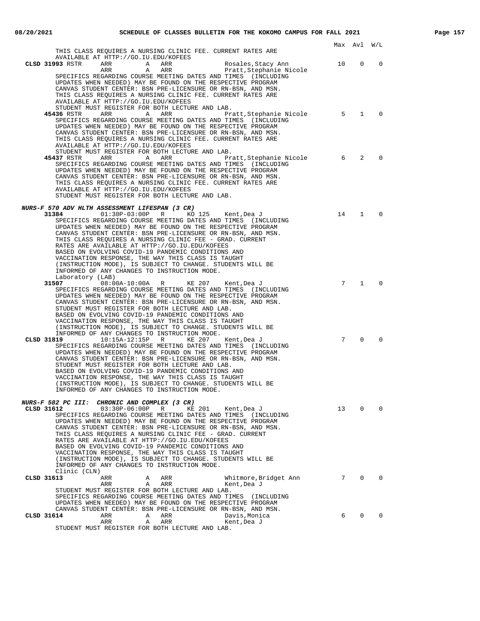|                                                                                                                                                                                                                                                                                                                                                                                                                                                                                                                                                                                                                    | Max Avl         |                | W/L            |
|--------------------------------------------------------------------------------------------------------------------------------------------------------------------------------------------------------------------------------------------------------------------------------------------------------------------------------------------------------------------------------------------------------------------------------------------------------------------------------------------------------------------------------------------------------------------------------------------------------------------|-----------------|----------------|----------------|
| THIS CLASS REQUIRES A NURSING CLINIC FEE. CURRENT RATES ARE<br>AVAILABLE AT HTTP://GO.IU.EDU/KOFEES                                                                                                                                                                                                                                                                                                                                                                                                                                                                                                                |                 |                |                |
| CLSD 31993 RSTR<br>ARR<br>ARR<br>Rosales, Stacy Ann<br>Α<br>ARR<br>Α<br>ARR<br>Pratt,Stephanie Nicole<br>SPECIFICS REGARDING COURSE MEETING DATES AND TIMES (INCLUDING<br>UPDATES WHEN NEEDED) MAY BE FOUND ON THE RESPECTIVE PROGRAM                                                                                                                                                                                                                                                                                                                                                                              | 10              | 0              | 0              |
| CANVAS STUDENT CENTER: BSN PRE-LICENSURE OR RN-BSN, AND MSN.<br>THIS CLASS REQUIRES A NURSING CLINIC FEE. CURRENT RATES ARE<br>AVAILABLE AT HTTP://GO.IU.EDU/KOFEES<br>STUDENT MUST REGISTER FOR BOTH LECTURE AND LAB.                                                                                                                                                                                                                                                                                                                                                                                             |                 |                |                |
| 45436 RSTR<br>ARR<br>ARR<br>Α<br>Pratt, Stephanie Nicole<br>SPECIFICS REGARDING COURSE MEETING DATES AND TIMES (INCLUDING<br>UPDATES WHEN NEEDED) MAY BE FOUND ON THE RESPECTIVE PROGRAM<br>CANVAS STUDENT CENTER: BSN PRE-LICENSURE OR RN-BSN, AND MSN.<br>THIS CLASS REOUIRES A NURSING CLINIC FEE. CURRENT RATES ARE<br>AVAILABLE AT HTTP://GO.IU.EDU/KOFEES                                                                                                                                                                                                                                                    | 5               | $\mathbf{1}$   | $\Omega$       |
| STUDENT MUST REGISTER FOR BOTH LECTURE AND LAB.<br>45437 RSTR<br>ARR<br>Α<br>ARR<br>Pratt, Stephanie Nicole<br>SPECIFICS REGARDING COURSE MEETING DATES AND TIMES (INCLUDING<br>UPDATES WHEN NEEDED) MAY BE FOUND ON THE RESPECTIVE PROGRAM<br>CANVAS STUDENT CENTER: BSN PRE-LICENSURE OR RN-BSN, AND MSN.<br>THIS CLASS REQUIRES A NURSING CLINIC FEE. CURRENT RATES ARE<br>AVAILABLE AT HTTP://GO.IU.EDU/KOFEES                                                                                                                                                                                                 | 6               | 2              | $\Omega$       |
| STUDENT MUST REGISTER FOR BOTH LECTURE AND LAB.                                                                                                                                                                                                                                                                                                                                                                                                                                                                                                                                                                    |                 |                |                |
| NURS-F 570 ADV HLTH ASSESSMENT LIFESPAN (3 CR)<br>31384<br>$01:30P-03:00P$ R<br>KO 125<br>Kent,Dea J<br>SPECIFICS REGARDING COURSE MEETING DATES AND TIMES (INCLUDING<br>UPDATES WHEN NEEDED) MAY BE FOUND ON THE RESPECTIVE PROGRAM<br>CANVAS STUDENT CENTER: BSN PRE-LICENSURE OR RN-BSN, AND MSN.<br>THIS CLASS REQUIRES A NURSING CLINIC FEE - GRAD. CURRENT<br>RATES ARE AVAILABLE AT HTTP://GO.IU.EDU/KOFEES                                                                                                                                                                                                 | 14              | $\mathbf{1}$   | $\Omega$       |
| BASED ON EVOLVING COVID-19 PANDEMIC CONDITIONS AND<br>VACCINATION RESPONSE, THE WAY THIS CLASS IS TAUGHT<br>(INSTRUCTION MODE), IS SUBJECT TO CHANGE. STUDENTS WILL BE<br>INFORMED OF ANY CHANGES TO INSTRUCTION MODE.<br>Laboratory (LAB)                                                                                                                                                                                                                                                                                                                                                                         |                 |                |                |
| 31507<br>08:00A-10:00A R<br>KE 207<br>Kent,Dea J<br>SPECIFICS REGARDING COURSE MEETING DATES AND TIMES (INCLUDING<br>UPDATES WHEN NEEDED) MAY BE FOUND ON THE RESPECTIVE PROGRAM<br>CANVAS STUDENT CENTER: BSN PRE-LICENSURE OR RN-BSN, AND MSN.<br>STUDENT MUST REGISTER FOR BOTH LECTURE AND LAB.<br>BASED ON EVOLVING COVID-19 PANDEMIC CONDITIONS AND<br>VACCINATION RESPONSE, THE WAY THIS CLASS IS TAUGHT<br>(INSTRUCTION MODE), IS SUBJECT TO CHANGE. STUDENTS WILL BE<br>INFORMED OF ANY CHANGES TO INSTRUCTION MODE.                                                                                      | 7               | $\mathbf{1}$   | $\Omega$       |
| CLSD 31819<br>$10:15A-12:15P$ R<br>KE 207<br>Kent,Dea J<br>SPECIFICS REGARDING COURSE MEETING DATES AND TIMES (INCLUDING<br>UPDATES WHEN NEEDED) MAY BE FOUND ON THE RESPECTIVE PROGRAM<br>CANVAS STUDENT CENTER: BSN PRE-LICENSURE OR RN-BSN, AND MSN.<br>STUDENT MUST REGISTER FOR BOTH LECTURE AND LAB.<br>BASED ON EVOLVING COVID-19 PANDEMIC CONDITIONS AND<br>VACCINATION RESPONSE, THE WAY THIS CLASS IS TAUGHT<br>(INSTRUCTION MODE), IS SUBJECT TO CHANGE. STUDENTS WILL BE<br>INFORMED OF ANY CHANGES TO INSTRUCTION MODE.                                                                               | $7\overline{ }$ | $\Omega$       | $\Omega$       |
| NURS-F 582 PC III: CHRONIC AND COMPLEX (3 CR)                                                                                                                                                                                                                                                                                                                                                                                                                                                                                                                                                                      |                 |                |                |
| CLSD 31612<br>$03:30P-06:00P$<br>R<br>KE 201<br>Kent,Dea J<br>SPECIFICS REGARDING COURSE MEETING DATES AND TIMES (INCLUDING<br>UPDATES WHEN NEEDED) MAY BE FOUND ON THE RESPECTIVE PROGRAM<br>CANVAS STUDENT CENTER: BSN PRE-LICENSURE OR RN-BSN, AND MSN.<br>THIS CLASS REOUIRES A NURSING CLINIC FEE - GRAD. CURRENT<br>RATES ARE AVAILABLE AT HTTP://GO.IU.EDU/KOFEES<br>BASED ON EVOLVING COVID-19 PANDEMIC CONDITIONS AND<br>VACCINATION RESPONSE, THE WAY THIS CLASS IS TAUGHT<br>(INSTRUCTION MODE), IS SUBJECT TO CHANGE. STUDENTS WILL BE<br>INFORMED OF ANY CHANGES TO INSTRUCTION MODE.<br>Clinic (CLN) | 13              | $\overline{0}$ | $\overline{0}$ |
| CLSD 31613<br>ARR<br>Α<br>ARR<br>Whitmore, Bridget Ann<br>ARR<br>Α<br>ARR<br>Kent, Dea J<br>STUDENT MUST REGISTER FOR BOTH LECTURE AND LAB.<br>SPECIFICS REGARDING COURSE MEETING DATES AND TIMES (INCLUDING<br>UPDATES WHEN NEEDED) MAY BE FOUND ON THE RESPECTIVE PROGRAM                                                                                                                                                                                                                                                                                                                                        | $7\overline{ }$ | $\Omega$       | $\Omega$       |
| CANVAS STUDENT CENTER: BSN PRE-LICENSURE OR RN-BSN, AND MSN.<br>CLSD 31614<br>ARR<br>Α<br>ARR<br>Davis, Monica<br>ARR<br>Α<br>ARR<br>Kent, Dea J                                                                                                                                                                                                                                                                                                                                                                                                                                                                   | 6               | $\Omega$       | $\Omega$       |
| STUDENT MUST REGISTER FOR BOTH LECTURE AND LAB.                                                                                                                                                                                                                                                                                                                                                                                                                                                                                                                                                                    |                 |                |                |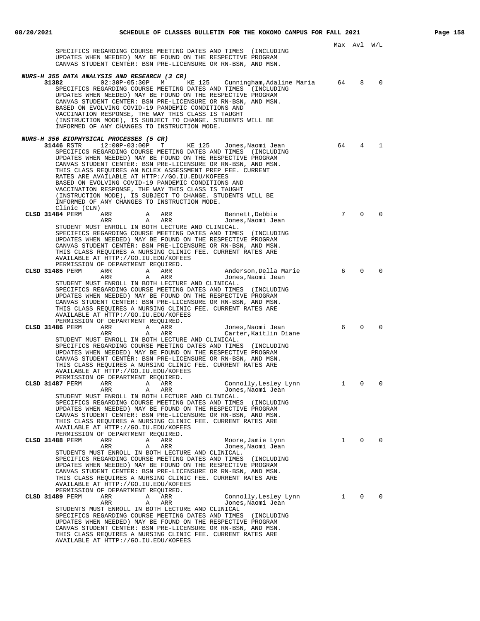|                                                                                                                                                                                                                                                                                                                                                                                                                                                                                                                                                                                                        |              | Max Avl W/L |             |
|--------------------------------------------------------------------------------------------------------------------------------------------------------------------------------------------------------------------------------------------------------------------------------------------------------------------------------------------------------------------------------------------------------------------------------------------------------------------------------------------------------------------------------------------------------------------------------------------------------|--------------|-------------|-------------|
| SPECIFICS REGARDING COURSE MEETING DATES AND TIMES (INCLUDING<br>UPDATES WHEN NEEDED) MAY BE FOUND ON THE RESPECTIVE PROGRAM<br>CANVAS STUDENT CENTER: BSN PRE-LICENSURE OR RN-BSN, AND MSN.                                                                                                                                                                                                                                                                                                                                                                                                           |              |             |             |
|                                                                                                                                                                                                                                                                                                                                                                                                                                                                                                                                                                                                        |              |             |             |
| NURS-H 355 DATA ANALYSIS AND RESEARCH (3 CR)<br>02:30P-05:30P M<br>31382<br>KE 125<br>Cunningham, Adaline Maria<br>SPECIFICS REGARDING COURSE MEETING DATES AND TIMES (INCLUDING<br>UPDATES WHEN NEEDED) MAY BE FOUND ON THE RESPECTIVE PROGRAM<br>CANVAS STUDENT CENTER: BSN PRE-LICENSURE OR RN-BSN, AND MSN.<br>BASED ON EVOLVING COVID-19 PANDEMIC CONDITIONS AND<br>VACCINATION RESPONSE, THE WAY THIS CLASS IS TAUGHT<br>(INSTRUCTION MODE), IS SUBJECT TO CHANGE. STUDENTS WILL BE<br>INFORMED OF ANY CHANGES TO INSTRUCTION MODE.                                                              | 64           | 8           | $\mathbf 0$ |
| <i>NURS-H 356 BIOPHYSICAL PROCESSES (5 CR)</i>                                                                                                                                                                                                                                                                                                                                                                                                                                                                                                                                                         |              |             |             |
| $12:00P-03:00P$ T<br>31446 RSTR<br>KE 125<br>Jones,Naomi Jean<br>SPECIFICS REGARDING COURSE MEETING DATES AND TIMES (INCLUDING<br>UPDATES WHEN NEEDED) MAY BE FOUND ON THE RESPECTIVE PROGRAM<br>CANVAS STUDENT CENTER: BSN PRE-LICENSURE OR RN-BSN, AND MSN.<br>THIS CLASS REQUIRES AN NCLEX ASSESSMENT PREP FEE. CURRENT<br>RATES ARE AVAILABLE AT HTTP://GO.IU.EDU/KOFEES<br>BASED ON EVOLVING COVID-19 PANDEMIC CONDITIONS AND<br>VACCINATION RESPONSE, THE WAY THIS CLASS IS TAUGHT<br>(INSTRUCTION MODE), IS SUBJECT TO CHANGE. STUDENTS WILL BE<br>INFORMED OF ANY CHANGES TO INSTRUCTION MODE. | 64           | 4           | 1           |
| Clinic (CLN)                                                                                                                                                                                                                                                                                                                                                                                                                                                                                                                                                                                           |              |             |             |
| CLSD 31484 PERM<br>ARR<br>ARR<br>Bennett, Debbie<br>A<br>ARR<br>$\mathbf{A}$<br>ARR<br>Jones, Naomi Jean                                                                                                                                                                                                                                                                                                                                                                                                                                                                                               | 7            | $\Omega$    | $\Omega$    |
| STUDENT MUST ENROLL IN BOTH LECTURE AND CLINICAL.<br>SPECIFICS REGARDING COURSE MEETING DATES AND TIMES (INCLUDING<br>UPDATES WHEN NEEDED) MAY BE FOUND ON THE RESPECTIVE PROGRAM<br>CANVAS STUDENT CENTER: BSN PRE-LICENSURE OR RN-BSN, AND MSN.<br>THIS CLASS REQUIRES A NURSING CLINIC FEE. CURRENT RATES ARE<br>AVAILABLE AT HTTP://GO.IU.EDU/KOFEES<br>PERMISSION OF DEPARTMENT REQUIRED.                                                                                                                                                                                                         |              |             |             |
| CLSD 31485 PERM<br>ARR<br>A<br>ARR<br>Anderson, Della Marie                                                                                                                                                                                                                                                                                                                                                                                                                                                                                                                                            | 6            | $\Omega$    | $\Omega$    |
| ARR<br>ARR<br>Jones, Naomi Jean<br>Α<br>STUDENT MUST ENROLL IN BOTH LECTURE AND CLINICAL.<br>SPECIFICS REGARDING COURSE MEETING DATES AND TIMES (INCLUDING<br>UPDATES WHEN NEEDED) MAY BE FOUND ON THE RESPECTIVE PROGRAM<br>CANVAS STUDENT CENTER: BSN PRE-LICENSURE OR RN-BSN, AND MSN.<br>THIS CLASS REQUIRES A NURSING CLINIC FEE. CURRENT RATES ARE<br>AVAILABLE AT HTTP://GO.IU.EDU/KOFEES                                                                                                                                                                                                       |              |             |             |
| PERMISSION OF DEPARTMENT REQUIRED.<br>CLSD 31486 PERM<br>ARR<br>Α<br>ARR<br>Jones, Naomi Jean                                                                                                                                                                                                                                                                                                                                                                                                                                                                                                          | 6            | $\Omega$    | $\Omega$    |
| ARR<br>ARR<br>Carter, Kaitlin Diane<br>Α<br>STUDENT MUST ENROLL IN BOTH LECTURE AND CLINICAL.<br>SPECIFICS REGARDING COURSE MEETING DATES AND TIMES (INCLUDING<br>UPDATES WHEN NEEDED) MAY BE FOUND ON THE RESPECTIVE PROGRAM<br>CANVAS STUDENT CENTER: BSN PRE-LICENSURE OR RN-BSN, AND MSN.<br>THIS CLASS REQUIRES A NURSING CLINIC FEE. CURRENT RATES ARE<br>AVAILABLE AT HTTP://GO.IU.EDU/KOFEES<br>PERMISSION OF DEPARTMENT REQUIRED.                                                                                                                                                             |              |             |             |
| CLSD 31487 PERM<br>ARR<br>Α<br>ARR<br>Connolly, Lesley Lynn                                                                                                                                                                                                                                                                                                                                                                                                                                                                                                                                            | $\mathbf{1}$ | $\mathbf 0$ | $\Omega$    |
| ARR<br>ARR<br>Jones, Naomi Jean<br>Α<br>STUDENT MUST ENROLL IN BOTH LECTURE AND CLINICAL.<br>SPECIFICS REGARDING COURSE MEETING DATES AND TIMES (INCLUDING<br>UPDATES WHEN NEEDED) MAY BE FOUND ON THE RESPECTIVE PROGRAM<br>CANVAS STUDENT CENTER: BSN PRE-LICENSURE OR RN-BSN, AND MSN.<br>THIS CLASS REQUIRES A NURSING CLINIC FEE. CURRENT RATES ARE<br>AVAILABLE AT HTTP://GO.IU.EDU/KOFEES<br>PERMISSION OF DEPARTMENT REQUIRED.                                                                                                                                                                 |              |             |             |
| CLSD 31488 PERM<br>ARR<br>Α<br>ARR<br>Moore, Jamie Lynn                                                                                                                                                                                                                                                                                                                                                                                                                                                                                                                                                | $\mathbf{1}$ | $\Omega$    | $\Omega$    |
| ARR<br>ARR<br>Jones,Naomi Jean<br>Α<br>STUDENTS MUST ENROLL IN BOTH LECTURE AND CLINICAL.<br>SPECIFICS REGARDING COURSE MEETING DATES AND TIMES (INCLUDING<br>UPDATES WHEN NEEDED) MAY BE FOUND ON THE RESPECTIVE PROGRAM<br>CANVAS STUDENT CENTER: BSN PRE-LICENSURE OR RN-BSN, AND MSN.<br>THIS CLASS REQUIRES A NURSING CLINIC FEE. CURRENT RATES ARE<br>AVAILABLE AT HTTP://GO.IU.EDU/KOFEES<br>PERMISSION OF DEPARTMENT REQUIRED.                                                                                                                                                                 |              |             |             |
| CLSD 31489 PERM<br>ARR<br>Α<br>ARR<br>Connolly, Lesley Lynn<br>ARR<br>ARR<br>Jones,Naomi Jean<br>Α                                                                                                                                                                                                                                                                                                                                                                                                                                                                                                     | $\mathbf{1}$ | $\Omega$    | $\Omega$    |
| STUDENTS MUST ENROLL IN BOTH LECTURE AND CLINICAL<br>SPECIFICS REGARDING COURSE MEETING DATES AND TIMES (INCLUDING<br>UPDATES WHEN NEEDED) MAY BE FOUND ON THE RESPECTIVE PROGRAM<br>CANVAS STUDENT CENTER: BSN PRE-LICENSURE OR RN-BSN, AND MSN.<br>THIS CLASS REQUIRES A NURSING CLINIC FEE. CURRENT RATES ARE                                                                                                                                                                                                                                                                                       |              |             |             |

AVAILABLE AT HTTP://GO.IU.EDU/KOFEES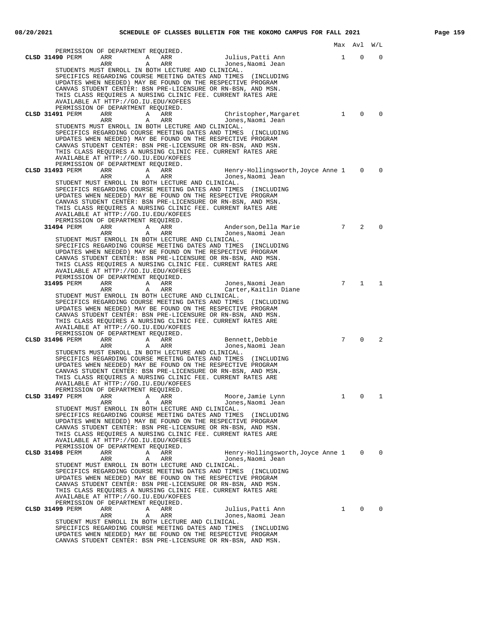|                                                                                                                                  | Max Avl         |                | W/L          |
|----------------------------------------------------------------------------------------------------------------------------------|-----------------|----------------|--------------|
| PERMISSION OF DEPARTMENT REQUIRED.                                                                                               |                 |                | $\Omega$     |
| CLSD 31490 PERM<br>ARR<br>Julius,Patti Ann<br>A<br>ARR<br>ARR<br>Α<br>ARR<br>Jones,Naomi Jean                                    | 1               | $\Omega$       |              |
| STUDENTS MUST ENROLL IN BOTH LECTURE AND CLINICAL.                                                                               |                 |                |              |
| SPECIFICS REGARDING COURSE MEETING DATES AND TIMES<br>(INCLUDING)<br>UPDATES WHEN NEEDED) MAY BE FOUND ON THE RESPECTIVE PROGRAM |                 |                |              |
| CANVAS STUDENT CENTER: BSN PRE-LICENSURE OR RN-BSN, AND MSN.                                                                     |                 |                |              |
| THIS CLASS REQUIRES A NURSING CLINIC FEE. CURRENT RATES ARE                                                                      |                 |                |              |
| AVAILABLE AT HTTP://GO.IU.EDU/KOFEES<br>PERMISSION OF DEPARTMENT REQUIRED.                                                       |                 |                |              |
| CLSD 31491 PERM<br>ARR<br>ARR<br>Christopher, Margaret<br>A                                                                      | 1               | $\Omega$       | $\Omega$     |
| ARR<br>ARR<br>Α<br>Jones, Naomi Jean                                                                                             |                 |                |              |
| STUDENTS MUST ENROLL IN BOTH LECTURE AND CLINICAL.<br>SPECIFICS REGARDING COURSE MEETING DATES AND TIMES<br>(INCLUDING           |                 |                |              |
| UPDATES WHEN NEEDED) MAY BE FOUND ON THE RESPECTIVE PROGRAM                                                                      |                 |                |              |
| CANVAS STUDENT CENTER: BSN PRE-LICENSURE OR RN-BSN, AND MSN.                                                                     |                 |                |              |
| THIS CLASS REQUIRES A NURSING CLINIC FEE. CURRENT RATES ARE<br>AVAILABLE AT HTTP://GO.IU.EDU/KOFEES                              |                 |                |              |
| PERMISSION OF DEPARTMENT REQUIRED.                                                                                               |                 |                |              |
| CLSD 31493 PERM<br>ARR<br>ARR<br>Henry-Hollingsworth, Joyce Anne 1<br>A<br>ARR<br>Α<br>ARR<br>Jones, Naomi Jean                  |                 | $\Omega$       | $\Omega$     |
| STUDENT MUST ENROLL IN BOTH LECTURE AND CLINICAL.                                                                                |                 |                |              |
| SPECIFICS REGARDING COURSE MEETING DATES AND TIMES (INCLUDING                                                                    |                 |                |              |
| UPDATES WHEN NEEDED) MAY BE FOUND ON THE RESPECTIVE PROGRAM<br>CANVAS STUDENT CENTER: BSN PRE-LICENSURE OR RN-BSN, AND MSN.      |                 |                |              |
| THIS CLASS REQUIRES A NURSING CLINIC FEE. CURRENT RATES ARE                                                                      |                 |                |              |
| AVAILABLE AT HTTP://GO.IU.EDU/KOFEES<br>PERMISSION OF DEPARTMENT REQUIRED.                                                       |                 |                |              |
| 31494 PERM<br>ARR<br>ARR<br>Anderson, Della Marie<br>A                                                                           | 7               | $\overline{2}$ | $\Omega$     |
| ARR<br>Α<br>ARR<br>Jones, Naomi Jean                                                                                             |                 |                |              |
| STUDENT MUST ENROLL IN BOTH LECTURE AND CLINICAL.<br>SPECIFICS REGARDING COURSE MEETING DATES AND TIMES<br>(INCLUDING            |                 |                |              |
| UPDATES WHEN NEEDED) MAY BE FOUND ON THE RESPECTIVE PROGRAM                                                                      |                 |                |              |
| CANVAS STUDENT CENTER: BSN PRE-LICENSURE OR RN-BSN, AND MSN.<br>THIS CLASS REQUIRES A NURSING CLINIC FEE. CURRENT RATES ARE      |                 |                |              |
| AVAILABLE AT HTTP://GO.IU.EDU/KOFEES                                                                                             |                 |                |              |
| PERMISSION OF DEPARTMENT REQUIRED.                                                                                               |                 |                |              |
| 31495 PERM<br>ARR<br>A<br>ARR<br>Jones, Naomi Jean<br>ARR<br>Α<br>ARR<br>Carter, Kaitlin Diane                                   | 7               | $\mathbf{1}$   | $\mathbf{1}$ |
| STUDENT MUST ENROLL IN BOTH LECTURE AND CLINICAL.                                                                                |                 |                |              |
| SPECIFICS REGARDING COURSE MEETING DATES AND TIMES (INCLUDING<br>UPDATES WHEN NEEDED) MAY BE FOUND ON THE RESPECTIVE PROGRAM     |                 |                |              |
| CANVAS STUDENT CENTER: BSN PRE-LICENSURE OR RN-BSN, AND MSN.                                                                     |                 |                |              |
| THIS CLASS REQUIRES A NURSING CLINIC FEE. CURRENT RATES ARE                                                                      |                 |                |              |
| AVAILABLE AT HTTP://GO.IU.EDU/KOFEES<br>PERMISSION OF DEPARTMENT REQUIRED.                                                       |                 |                |              |
| CLSD 31496 PERM<br>ARR<br>ARR<br>Bennett, Debbie<br>A                                                                            | $7\overline{ }$ | $\Omega$       | 2            |
| Α<br>ARR<br>Jones, Naomi Jean<br>ARR<br>STUDENTS MUST ENROLL IN BOTH LECTURE AND CLINICAL.                                       |                 |                |              |
| SPECIFICS REGARDING COURSE MEETING DATES AND TIMES (INCLUDING                                                                    |                 |                |              |
| UPDATES WHEN NEEDED) MAY BE FOUND ON THE RESPECTIVE PROGRAM                                                                      |                 |                |              |
| CANVAS STUDENT CENTER: BSN PRE-LICENSURE OR RN-BSN, AND MSN.<br>THIS CLASS REOUIRES A NURSING CLINIC FEE. CURRENT RATES ARE      |                 |                |              |
| AVAILABLE AT HTTP://GO.IU.EDU/KOFEES                                                                                             |                 |                |              |
| PERMISSION OF DEPARTMENT REQUIRED<br>Moore, Jamie Lynn<br>CLSD 31497 PERM<br>ARR<br>A<br>ARR                                     | $\mathbf{1}$    | 0              | 1            |
| ARR<br>Jones, Naomi Jean<br>ARR<br>A                                                                                             |                 |                |              |
| STUDENT MUST ENROLL IN BOTH LECTURE AND CLINICAL.                                                                                |                 |                |              |
| SPECIFICS REGARDING COURSE MEETING DATES AND TIMES (INCLUDING<br>UPDATES WHEN NEEDED) MAY BE FOUND ON THE RESPECTIVE PROGRAM     |                 |                |              |
| CANVAS STUDENT CENTER: BSN PRE-LICENSURE OR RN-BSN, AND MSN.                                                                     |                 |                |              |
| THIS CLASS REQUIRES A NURSING CLINIC FEE. CURRENT RATES ARE<br>AVAILABLE AT HTTP://GO.IU.EDU/KOFEES                              |                 |                |              |
| PERMISSION OF DEPARTMENT REQUIRED.                                                                                               |                 |                |              |
| CLSD 31498 PERM<br>ARR<br>ARR<br>Henry-Hollingsworth, Joyce Anne 1<br>Α                                                          |                 | $\mathbf{0}$   | 0            |
| ARR<br>Α<br>ARR<br>Jones, Naomi Jean<br>STUDENT MUST ENROLL IN BOTH LECTURE AND CLINICAL.                                        |                 |                |              |
| SPECIFICS REGARDING COURSE MEETING DATES AND TIMES (INCLUDING                                                                    |                 |                |              |
| UPDATES WHEN NEEDED) MAY BE FOUND ON THE RESPECTIVE PROGRAM<br>CANVAS STUDENT CENTER: BSN PRE-LICENSURE OR RN-BSN, AND MSN.      |                 |                |              |
| THIS CLASS REQUIRES A NURSING CLINIC FEE. CURRENT RATES ARE                                                                      |                 |                |              |
| AVAILABLE AT HTTP://GO.IU.EDU/KOFEES<br>PERMISSION OF DEPARTMENT REQUIRED.                                                       |                 |                |              |
| CLSD 31499 PERM<br>Julius, Patti Ann<br>ARR<br>ARR<br>Α                                                                          | $\mathbf{1}$    | 0              | 0            |
| ARR<br>Α<br>ARR<br>Jones, Naomi Jean                                                                                             |                 |                |              |
| STUDENT MUST ENROLL IN BOTH LECTURE AND CLINICAL.<br>SPECIFICS REGARDING COURSE MEETING DATES AND TIMES (INCLUDING               |                 |                |              |
| UPDATES WHEN NEEDED) MAY BE FOUND ON THE RESPECTIVE PROGRAM                                                                      |                 |                |              |
| CANVAS STUDENT CENTER: BSN PRE-LICENSURE OR RN-BSN, AND MSN.                                                                     |                 |                |              |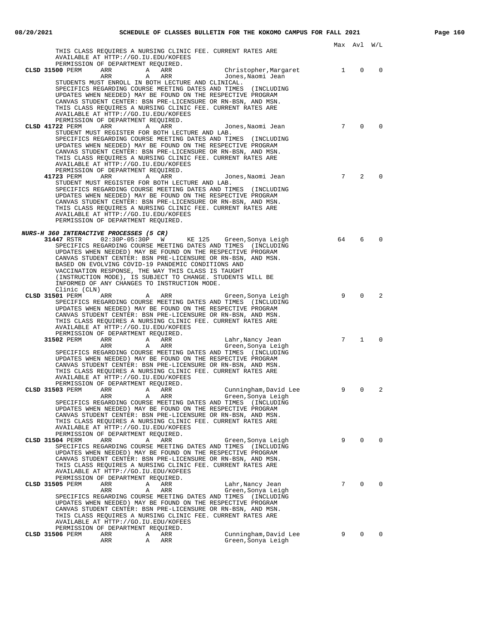|                                                                                                                                           |                 | Max Avl W/L    |          |
|-------------------------------------------------------------------------------------------------------------------------------------------|-----------------|----------------|----------|
| THIS CLASS REOUIRES A NURSING CLINIC FEE. CURRENT RATES ARE<br>AVAILABLE AT HTTP://GO.IU.EDU/KOFEES<br>PERMISSION OF DEPARTMENT REQUIRED. |                 |                |          |
| CLSD 31500 PERM<br>ARR<br>ARR<br>Christopher, Margaret<br>A                                                                               | 1               | $\mathbf 0$    | 0        |
| ARR<br>A ARR<br>Jones, Naomi Jean                                                                                                         |                 |                |          |
| STUDENTS MUST ENROLL IN BOTH LECTURE AND CLINICAL.<br>SPECIFICS REGARDING COURSE MEETING DATES AND TIMES (INCLUDING                       |                 |                |          |
| UPDATES WHEN NEEDED) MAY BE FOUND ON THE RESPECTIVE PROGRAM                                                                               |                 |                |          |
| CANVAS STUDENT CENTER: BSN PRE-LICENSURE OR RN-BSN, AND MSN.                                                                              |                 |                |          |
| THIS CLASS REQUIRES A NURSING CLINIC FEE. CURRENT RATES ARE<br>AVAILABLE AT HTTP://GO.IU.EDU/KOFEES                                       |                 |                |          |
| PERMISSION OF DEPARTMENT REQUIRED.                                                                                                        |                 |                |          |
| CLSD 41722 PERM<br>ARR<br>ARR<br>Jones,Naomi Jean<br>A                                                                                    | $7\overline{ }$ | $\Omega$       | $\Omega$ |
| STUDENT MUST REGISTER FOR BOTH LECTURE AND LAB.                                                                                           |                 |                |          |
| SPECIFICS REGARDING COURSE MEETING DATES AND TIMES (INCLUDING<br>UPDATES WHEN NEEDED) MAY BE FOUND ON THE RESPECTIVE PROGRAM              |                 |                |          |
| CANVAS STUDENT CENTER: BSN PRE-LICENSURE OR RN-BSN, AND MSN.                                                                              |                 |                |          |
| THIS CLASS REQUIRES A NURSING CLINIC FEE. CURRENT RATES ARE                                                                               |                 |                |          |
| AVAILABLE AT HTTP://GO.IU.EDU/KOFEES                                                                                                      |                 |                |          |
| AVAILABLE AT ELITY, JUNITED PERMISSION OF DEPARTMENT REQUIRED.<br>Jones,Naomi Jean<br>41723 PERM                                          | $7\overline{ }$ | 2              | $\Omega$ |
| STUDENT MUST REGISTER FOR BOTH LECTURE AND LAB.                                                                                           |                 |                |          |
| SPECIFICS REGARDING COURSE MEETING DATES AND TIMES (INCLUDING                                                                             |                 |                |          |
| UPDATES WHEN NEEDED) MAY BE FOUND ON THE RESPECTIVE PROGRAM<br>CANVAS STUDENT CENTER: BSN PRE-LICENSURE OR RN-BSN, AND MSN.               |                 |                |          |
| THIS CLASS REOUIRES A NURSING CLINIC FEE. CURRENT RATES ARE                                                                               |                 |                |          |
| AVAILABLE AT HTTP://GO.IU.EDU/KOFEES                                                                                                      |                 |                |          |
| PERMISSION OF DEPARTMENT REQUIRED.                                                                                                        |                 |                |          |
| <i>NURS-H 360 INTERACTIVE PROCESSES (5 CR)</i>                                                                                            |                 |                |          |
| 02:30P-05:30P W KE 125 Green, Sonya Leigh<br>31447 RSTR                                                                                   | 64              | 6              | $\Omega$ |
| SPECIFICS REGARDING COURSE MEETING DATES AND TIMES (INCLUDING<br>UPDATES WHEN NEEDED) MAY BE FOUND ON THE RESPECTIVE PROGRAM              |                 |                |          |
| CANVAS STUDENT CENTER: BSN PRE-LICENSURE OR RN-BSN, AND MSN.                                                                              |                 |                |          |
| BASED ON EVOLVING COVID-19 PANDEMIC CONDITIONS AND                                                                                        |                 |                |          |
| VACCINATION RESPONSE, THE WAY THIS CLASS IS TAUGHT                                                                                        |                 |                |          |
| (INSTRUCTION MODE), IS SUBJECT TO CHANGE. STUDENTS WILL BE<br>INFORMED OF ANY CHANGES TO INSTRUCTION MODE.                                |                 |                |          |
| Clinic (CLN)                                                                                                                              |                 |                |          |
| ARR A ARR<br>CLSD 31501 PERM<br>Green, Sonya Leigh                                                                                        | 9               | $\Omega$       | 2        |
| SPECIFICS REGARDING COURSE MEETING DATES AND TIMES (INCLUDING<br>UPDATES WHEN NEEDED) MAY BE FOUND ON THE RESPECTIVE PROGRAM              |                 |                |          |
| CANVAS STUDENT CENTER: BSN PRE-LICENSURE OR RN-BSN, AND MSN.                                                                              |                 |                |          |
| THIS CLASS REQUIRES A NURSING CLINIC FEE. CURRENT RATES ARE                                                                               |                 |                |          |
| AVAILABLE AT HTTP://GO.IU.EDU/KOFEES<br>PERMISSION OF DEPARTMENT REQUIRED.                                                                |                 |                |          |
| 31502 PERM<br>ARR A ARR<br>Lahr,Nancy Jean                                                                                                | $7\overline{ }$ | $\mathbf{1}$   | $\Omega$ |
| A ARR<br>ARR<br>Green,Sonya Leigh                                                                                                         |                 |                |          |
| SPECIFICS REGARDING COURSE MEETING DATES AND TIMES (INCLUDING<br>UPDATES WHEN NEEDED) MAY BE FOUND ON THE RESPECTIVE PROGRAM              |                 |                |          |
| CANVAS STUDENT CENTER: BSN PRE-LICENSURE OR RN-BSN, AND MSN.                                                                              |                 |                |          |
| THIS CLASS REQUIRES A NURSING CLINIC FEE. CURRENT RATES ARE                                                                               |                 |                |          |
| AVAILABLE AT HTTP://GO.IU.EDU/KOFEES<br>PERMISSION OF DEPARTMENT REQUIRED.                                                                |                 |                |          |
| CLSD 31503 PERM ARR ARR ARR<br>Cunningham, David Lee                                                                                      | 9               | $\overline{0}$ | 2        |
| ARR<br>ARR<br>A<br>Green, Sonya Leigh                                                                                                     |                 |                |          |
| SPECIFICS REGARDING COURSE MEETING DATES AND TIMES (INCLUDING                                                                             |                 |                |          |
| UPDATES WHEN NEEDED) MAY BE FOUND ON THE RESPECTIVE PROGRAM<br>CANVAS STUDENT CENTER: BSN PRE-LICENSURE OR RN-BSN, AND MSN.               |                 |                |          |
| THIS CLASS REQUIRES A NURSING CLINIC FEE. CURRENT RATES ARE                                                                               |                 |                |          |
| AVAILABLE AT HTTP://GO.IU.EDU/KOFEES                                                                                                      |                 |                |          |
| PERMISSION OF DEPARTMENT REQUIRED.<br>CLSD 31504 PERM<br>ARR<br>Α<br>ARR<br>Green, Sonya Leigh                                            | 9               | 0              | 0        |
| SPECIFICS REGARDING COURSE MEETING DATES AND TIMES (INCLUDING                                                                             |                 |                |          |
| UPDATES WHEN NEEDED) MAY BE FOUND ON THE RESPECTIVE PROGRAM                                                                               |                 |                |          |
| CANVAS STUDENT CENTER: BSN PRE-LICENSURE OR RN-BSN, AND MSN.<br>THIS CLASS REQUIRES A NURSING CLINIC FEE. CURRENT RATES ARE               |                 |                |          |
| AVAILABLE AT HTTP://GO.IU.EDU/KOFEES                                                                                                      |                 |                |          |
| PERMISSION OF DEPARTMENT REQUIRED.                                                                                                        |                 |                |          |
| CLSD 31505 PERM<br>ARR<br>Α<br>ARR<br>Lahr, Nancy Jean                                                                                    | 7               | $\Omega$       | $\Omega$ |
| ARR<br>ARR<br>Α<br>Green, Sonya Leigh<br>SPECIFICS REGARDING COURSE MEETING DATES AND TIMES (INCLUDING                                    |                 |                |          |
| UPDATES WHEN NEEDED) MAY BE FOUND ON THE RESPECTIVE PROGRAM                                                                               |                 |                |          |
| CANVAS STUDENT CENTER: BSN PRE-LICENSURE OR RN-BSN, AND MSN.                                                                              |                 |                |          |
| THIS CLASS REQUIRES A NURSING CLINIC FEE. CURRENT RATES ARE<br>AVAILABLE AT HTTP://GO.IU.EDU/KOFEES                                       |                 |                |          |
| PERMISSION OF DEPARTMENT REQUIRED.                                                                                                        |                 |                |          |
| Cunningham, David Lee<br>CLSD 31506 PERM<br>ARR<br>Α<br>ARR                                                                               | 9               | $\Omega$       | 0        |
| ARR<br>A<br>ARR<br>Green, Sonya Leigh                                                                                                     |                 |                |          |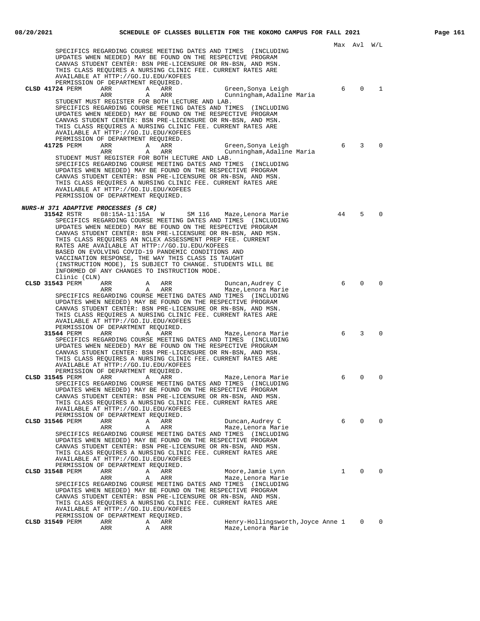|                                                                                                                              |    | Max Avl W/L  |          |
|------------------------------------------------------------------------------------------------------------------------------|----|--------------|----------|
| SPECIFICS REGARDING COURSE MEETING DATES AND TIMES (INCLUDING<br>UPDATES WHEN NEEDED) MAY BE FOUND ON THE RESPECTIVE PROGRAM |    |              |          |
| CANVAS STUDENT CENTER: BSN PRE-LICENSURE OR RN-BSN, AND MSN.                                                                 |    |              |          |
| THIS CLASS REQUIRES A NURSING CLINIC FEE. CURRENT RATES ARE                                                                  |    |              |          |
| AVAILABLE AT HTTP://GO.IU.EDU/KOFEES<br>PERMISSION OF DEPARTMENT REQUIRED.                                                   |    |              |          |
| CLSD 41724 PERM<br>ARR<br>A ARR<br>ססת ה<br>Green, Sonya Leigh                                                               | 6  | $\Omega$     | 1        |
| ARR<br>ARR<br>A<br>Cunningham, Adaline Maria                                                                                 |    |              |          |
| STUDENT MUST REGISTER FOR BOTH LECTURE AND LAB.<br>SPECIFICS REGARDING COURSE MEETING DATES AND TIMES (INCLUDING             |    |              |          |
| UPDATES WHEN NEEDED) MAY BE FOUND ON THE RESPECTIVE PROGRAM                                                                  |    |              |          |
| CANVAS STUDENT CENTER: BSN PRE-LICENSURE OR RN-BSN, AND MSN.                                                                 |    |              |          |
| THIS CLASS REQUIRES A NURSING CLINIC FEE. CURRENT RATES ARE<br>AVAILABLE AT HTTP://GO.IU.EDU/KOFEES                          |    |              |          |
| PERMISSION OF DEPARTMENT REQUIRED.                                                                                           |    |              |          |
| 41725 PERM<br>ARR<br>ARR<br>Green, Sonya Leigh<br>$\mathbb A$                                                                | 6  | 3            | $\Omega$ |
| ARR<br>ARR<br>Α<br>Cunningham, Adaline Maria<br>STUDENT MUST REGISTER FOR BOTH LECTURE AND LAB.                              |    |              |          |
| SPECIFICS REGARDING COURSE MEETING DATES AND TIMES (INCLUDING                                                                |    |              |          |
| UPDATES WHEN NEEDED) MAY BE FOUND ON THE RESPECTIVE PROGRAM                                                                  |    |              |          |
| CANVAS STUDENT CENTER: BSN PRE-LICENSURE OR RN-BSN, AND MSN.<br>THIS CLASS REQUIRES A NURSING CLINIC FEE. CURRENT RATES ARE  |    |              |          |
| AVAILABLE AT HTTP://GO.IU.EDU/KOFEES                                                                                         |    |              |          |
| PERMISSION OF DEPARTMENT REOUIRED.                                                                                           |    |              |          |
| <i>NURS-H 371 ADAPTIVE PROCESSES (5 CR)</i>                                                                                  |    |              |          |
| SM 116 Maze, Lenora Marie<br>31542 RSTR 08:15A-11:15A W                                                                      | 44 | 5            | $\Omega$ |
| SPECIFICS REGARDING COURSE MEETING DATES AND TIMES (INCLUDING                                                                |    |              |          |
| UPDATES WHEN NEEDED) MAY BE FOUND ON THE RESPECTIVE PROGRAM<br>CANVAS STUDENT CENTER: BSN PRE-LICENSURE OR RN-BSN, AND MSN.  |    |              |          |
| THIS CLASS REQUIRES AN NCLEX ASSESSMENT PREP FEE. CURRENT                                                                    |    |              |          |
| RATES ARE AVAILABLE AT HTTP://GO.IU.EDU/KOFEES                                                                               |    |              |          |
| BASED ON EVOLVING COVID-19 PANDEMIC CONDITIONS AND<br>VACCINATION RESPONSE, THE WAY THIS CLASS IS TAUGHT                     |    |              |          |
| (INSTRUCTION MODE), IS SUBJECT TO CHANGE. STUDENTS WILL BE                                                                   |    |              |          |
| INFORMED OF ANY CHANGES TO INSTRUCTION MODE.                                                                                 |    |              |          |
| Clinic (CLN)<br>CLSD 31543 PERM<br>ARR<br>A ARR<br>Duncan, Audrey C                                                          | 6  | 0            | $\Omega$ |
| ARR<br>A ARR<br>Maze,Lenora Marie                                                                                            |    |              |          |
| SPECIFICS REGARDING COURSE MEETING DATES AND TIMES (INCLUDING                                                                |    |              |          |
| UPDATES WHEN NEEDED) MAY BE FOUND ON THE RESPECTIVE PROGRAM<br>CANVAS STUDENT CENTER: BSN PRE-LICENSURE OR RN-BSN, AND MSN.  |    |              |          |
| THIS CLASS REQUIRES A NURSING CLINIC FEE. CURRENT RATES ARE                                                                  |    |              |          |
| AVAILABLE AT HTTP://GO.IU.EDU/KOFEES                                                                                         |    |              |          |
| PERMISSION OF DEPARTMENT REQUIRED.<br>31544 PERM<br>ARR A<br>ARR<br>Maze,Lenora Marie                                        | 6  | 3            | $\Omega$ |
| SPECIFICS REGARDING COURSE MEETING DATES AND TIMES (INCLUDING                                                                |    |              |          |
| UPDATES WHEN NEEDED) MAY BE FOUND ON THE RESPECTIVE PROGRAM                                                                  |    |              |          |
| CANVAS STUDENT CENTER: BSN PRE-LICENSURE OR RN-BSN, AND MSN.<br>THIS CLASS REOUIRES A NURSING CLINIC FEE. CURRENT RATES ARE  |    |              |          |
| AVAILABLE AT HTTP://GO.IU.EDU/KOFEES                                                                                         |    |              |          |
| PERMISSION OF DEPARTMENT REQUIRED.                                                                                           |    |              |          |
| CLSD 31545 PERM<br>ARR<br>Α<br>ARR<br>Maze,Lenora Marie<br>SPECIFICS REGARDING COURSE MEETING DATES AND TIMES (INCLUDING     | 6  | $\mathbf 0$  | 0        |
| UPDATES WHEN NEEDED) MAY BE FOUND ON THE RESPECTIVE PROGRAM                                                                  |    |              |          |
| CANVAS STUDENT CENTER: BSN PRE-LICENSURE OR RN-BSN, AND MSN.                                                                 |    |              |          |
| THIS CLASS REQUIRES A NURSING CLINIC FEE. CURRENT RATES ARE<br>AVAILABLE AT HTTP://GO.IU.EDU/KOFEES                          |    |              |          |
| PERMISSION OF DEPARTMENT REQUIRED.                                                                                           |    |              |          |
| CLSD 31546 PERM<br>Duncan, Audrey C<br>ARR<br>Α<br>ARR                                                                       | 6  | $\mathbf 0$  | 0        |
| Α<br>ARR<br>Maze, Lenora Marie<br>ARR<br>SPECIFICS REGARDING COURSE MEETING DATES AND TIMES (INCLUDING                       |    |              |          |
| UPDATES WHEN NEEDED) MAY BE FOUND ON THE RESPECTIVE PROGRAM                                                                  |    |              |          |
| CANVAS STUDENT CENTER: BSN PRE-LICENSURE OR RN-BSN, AND MSN.                                                                 |    |              |          |
| THIS CLASS REQUIRES A NURSING CLINIC FEE. CURRENT RATES ARE<br>AVAILABLE AT HTTP://GO.IU.EDU/KOFEES                          |    |              |          |
| PERMISSION OF DEPARTMENT REQUIRED.                                                                                           |    |              |          |
| CLSD 31548 PERM<br>ARR<br>Α<br>ARR<br>Moore, Jamie Lynn                                                                      | 1  | 0            | $\Omega$ |
| ARR<br>ARR<br>Maze, Lenora Marie<br>Α<br>SPECIFICS REGARDING COURSE MEETING DATES AND TIMES (INCLUDING                       |    |              |          |
| UPDATES WHEN NEEDED) MAY BE FOUND ON THE RESPECTIVE PROGRAM                                                                  |    |              |          |
| CANVAS STUDENT CENTER: BSN PRE-LICENSURE OR RN-BSN, AND MSN.                                                                 |    |              |          |
| THIS CLASS REQUIRES A NURSING CLINIC FEE. CURRENT RATES ARE<br>AVAILABLE AT HTTP://GO.IU.EDU/KOFEES                          |    |              |          |
| PERMISSION OF DEPARTMENT REQUIRED.                                                                                           |    |              |          |
| CLSD 31549 PERM<br>ARR<br>Henry-Hollingsworth, Joyce Anne 1<br>Α<br>ARR<br>Maze, Lenora Marie<br>Α<br>ARR                    |    | $\mathbf{0}$ | $\Omega$ |
| ARR                                                                                                                          |    |              |          |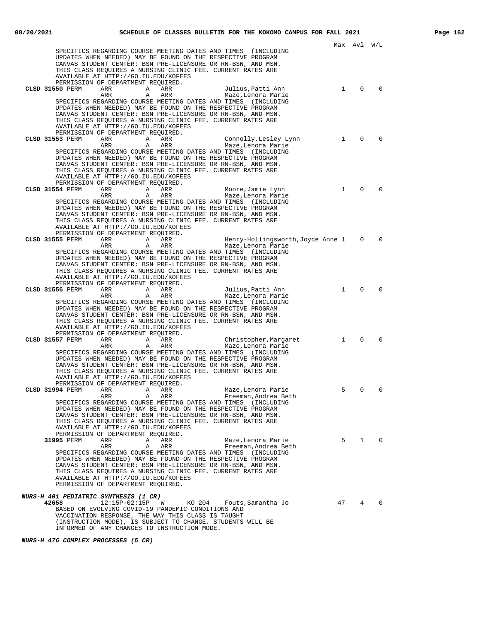|                                                       |               |                                                                                                                                                                                                                                                                                                                                                                                                         |        |                                                         | Max          | Avl             | W/L          |
|-------------------------------------------------------|---------------|---------------------------------------------------------------------------------------------------------------------------------------------------------------------------------------------------------------------------------------------------------------------------------------------------------------------------------------------------------------------------------------------------------|--------|---------------------------------------------------------|--------------|-----------------|--------------|
|                                                       |               | SPECIFICS REGARDING COURSE MEETING DATES AND TIMES (INCLUDING<br>UPDATES WHEN NEEDED) MAY BE FOUND ON THE RESPECTIVE PROGRAM<br>CANVAS STUDENT CENTER: BSN PRE-LICENSURE OR RN-BSN, AND MSN.<br>THIS CLASS REQUIRES A NURSING CLINIC FEE. CURRENT RATES ARE<br>AVAILABLE AT HTTP://GO.IU.EDU/KOFEES<br>PERMISSION OF DEPARTMENT REQUIRED.                                                               |        |                                                         |              |                 |              |
| CLSD 31550 PERM                                       | ARR<br>ARR    | Α<br>ARR<br>ARR<br>Α<br>SPECIFICS REGARDING COURSE MEETING DATES AND TIMES (INCLUDING<br>UPDATES WHEN NEEDED) MAY BE FOUND ON THE RESPECTIVE PROGRAM<br>CANVAS STUDENT CENTER: BSN PRE-LICENSURE OR RN-BSN, AND MSN.<br>THIS CLASS REQUIRES A NURSING CLINIC FEE. CURRENT RATES ARE<br>AVAILABLE AT HTTP://GO.IU.EDU/KOFEES<br>PERMISSION OF DEPARTMENT REQUIRED.                                       |        | Julius, Patti Ann<br>Maze, Lenora Marie                 | $\mathbf{1}$ | $\mathbf 0$     | $\Omega$     |
| CLSD 31553 PERM                                       | ARR<br>ARR    | ARR<br>Α<br>ARR<br>Α<br>SPECIFICS REGARDING COURSE MEETING DATES AND TIMES (INCLUDING<br>UPDATES WHEN NEEDED) MAY BE FOUND ON THE RESPECTIVE PROGRAM<br>CANVAS STUDENT CENTER: BSN PRE-LICENSURE OR RN-BSN, AND MSN.<br>THIS CLASS REQUIRES A NURSING CLINIC FEE. CURRENT RATES ARE<br>AVAILABLE AT HTTP://GO.IU.EDU/KOFEES<br>PERMISSION OF DEPARTMENT REQUIRED.                                       |        | Connolly, Lesley Lynn<br>Maze, Lenora Marie             | $\mathbf{1}$ | $\Omega$        | $\Omega$     |
| CLSD 31554 PERM                                       | ARR<br>ARR    | A<br>ARR<br>ARR<br>Α<br>SPECIFICS REGARDING COURSE MEETING DATES AND TIMES (INCLUDING<br>UPDATES WHEN NEEDED) MAY BE FOUND ON THE RESPECTIVE PROGRAM<br>CANVAS STUDENT CENTER: BSN PRE-LICENSURE OR RN-BSN, AND MSN.<br>THIS CLASS REQUIRES A NURSING CLINIC FEE. CURRENT RATES ARE<br>AVAILABLE AT HTTP://GO.IU.EDU/KOFEES<br>PERMISSION OF DEPARTMENT REOUIRED.                                       |        | Moore, Jamie Lynn<br>Maze, Lenora Marie                 | $\mathbf{1}$ | $\mathbf 0$     | $\Omega$     |
| CLSD 31555 PERM                                       | ARR<br>ARR    | A<br>ARR<br>Α<br>ARR<br>SPECIFICS REGARDING COURSE MEETING DATES AND TIMES (INCLUDING<br>UPDATES WHEN NEEDED) MAY BE FOUND ON THE RESPECTIVE PROGRAM<br>CANVAS STUDENT CENTER: BSN PRE-LICENSURE OR RN-BSN, AND MSN.<br>THIS CLASS REQUIRES A NURSING CLINIC FEE. CURRENT RATES ARE<br>AVAILABLE AT HTTP://GO.IU.EDU/KOFEES<br>PERMISSION OF DEPARTMENT REQUIRED.                                       |        | Henry-Hollingsworth, Joyce Anne 1<br>Maze, Lenora Marie |              | $\mathbf{0}$    | $\mathbf 0$  |
| CLSD 31556 PERM                                       | ARR<br>ARR    | Α<br>ARR<br>ARR<br>Α<br>SPECIFICS REGARDING COURSE MEETING DATES AND TIMES (INCLUDING<br>UPDATES WHEN NEEDED) MAY BE FOUND ON THE RESPECTIVE PROGRAM<br>CANVAS STUDENT CENTER: BSN PRE-LICENSURE OR RN-BSN, AND MSN.<br>THIS CLASS REQUIRES A NURSING CLINIC FEE. CURRENT RATES ARE<br>AVAILABLE AT HTTP://GO.IU.EDU/KOFEES<br>PERMISSION OF DEPARTMENT REQUIRED.                                       |        | Julius, Patti Ann<br>Maze, Lenora Marie                 | $\mathbf{1}$ | $\Omega$        | $\Omega$     |
| CLSD 31557 PERM                                       | ARR<br>ARR    | A<br>ARR<br>ARR<br>Α<br>SPECIFICS REGARDING COURSE MEETING DATES AND TIMES (INCLUDING<br>UPDATES WHEN NEEDED) MAY BE FOUND ON THE RESPECTIVE PROGRAM<br>CANVAS STUDENT CENTER: BSN PRE-LICENSURE OR RN-BSN, AND MSN.<br>THIS CLASS REQUIRES A NURSING CLINIC FEE. CURRENT RATES ARE<br>AVAILABLE AT HTTP://GO.IU.EDU/KOFEES<br>PERMISSION OF DEPARTMENT REOUIRED.                                       |        | Christopher, Margaret<br>Maze, Lenora Marie             | $\mathbf{1}$ | $\mathbf 0$     | $\Omega$     |
| CLSD 31994 PERM                                       | ARR<br>ARR    | ARR<br>A<br>A ARR<br>SPECIFICS REGARDING COURSE MEETING DATES AND TIMES (INCLUDING<br>UPDATES WHEN NEEDED) MAY BE FOUND ON THE RESPECTIVE PROGRAM<br>CANVAS STUDENT CENTER: BSN PRE-LICENSURE OR RN-BSN, AND MSN.<br>THIS CLASS REQUIRES A NURSING CLINIC FEE. CURRENT RATES ARE<br>AVAILABLE AT HTTP://GO.IU.EDU/KOFEES                                                                                |        | Maze, Lenora Marie<br>Freeman, Andrea Beth              | 5            | 0               | 0            |
| 31995 PERM                                            | ARR<br>ARR    | PERMISSION OF DEPARTMENT REQUIRED.<br>ARR<br>A<br>ARR<br>Α<br>SPECIFICS REGARDING COURSE MEETING DATES AND TIMES (INCLUDING<br>UPDATES WHEN NEEDED) MAY BE FOUND ON THE RESPECTIVE PROGRAM<br>CANVAS STUDENT CENTER: BSN PRE-LICENSURE OR RN-BSN, AND MSN.<br>THIS CLASS REOUIRES A NURSING CLINIC FEE. CURRENT RATES ARE<br>AVAILABLE AT HTTP://GO.IU.EDU/KOFEES<br>PERMISSION OF DEPARTMENT REQUIRED. |        | Maze, Lenora Marie<br>Freeman, Andrea Beth              | 5            | $\mathbf{1}$    | $\mathbf{0}$ |
| <i>NURS-H 401 PEDIATRIC SYNTHESIS (1 CR)</i><br>42658 | 12:15P-02:15P | <b>M</b><br>BASED ON EVOLVING COVID-19 PANDEMIC CONDITIONS AND<br>VACCINATION RESPONSE, THE WAY THIS CLASS IS TAUGHT<br>(INSTRUCTION MODE), IS SUBJECT TO CHANGE. STUDENTS WILL BE<br>INFORMED OF ANY CHANGES TO INSTRUCTION MODE.                                                                                                                                                                      | KO 204 | Fouts,Samantha Jo                                       | 47           | $4\overline{ }$ | $\Omega$     |

**NURS-H 476 COMPLEX PROCESSES (5 CR)**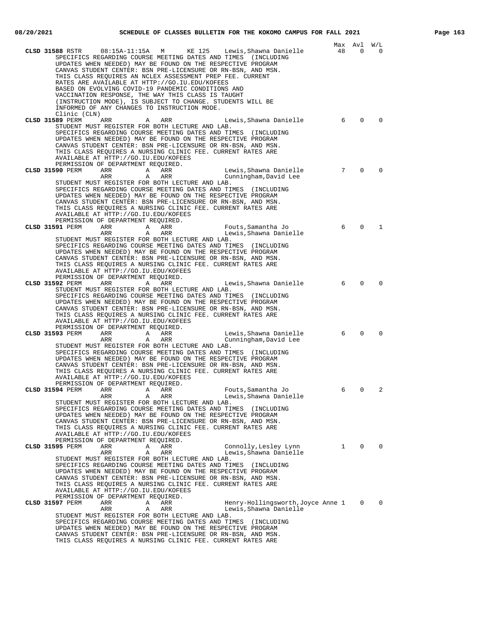| Page | 63 |
|------|----|
|      |    |

|                                                                                                                                                                                                                                                                                                                                                                                              |              | Max Avl      | W/L         |
|----------------------------------------------------------------------------------------------------------------------------------------------------------------------------------------------------------------------------------------------------------------------------------------------------------------------------------------------------------------------------------------------|--------------|--------------|-------------|
| CLSD 31588 RSTR<br>08:15A-11:15A M<br>KE 125<br>Lewis,Shawna Danielle<br>SPECIFICS REGARDING COURSE MEETING DATES AND TIMES (INCLUDING<br>UPDATES WHEN NEEDED) MAY BE FOUND ON THE RESPECTIVE PROGRAM<br>CANVAS STUDENT CENTER: BSN PRE-LICENSURE OR RN-BSN, AND MSN.<br>THIS CLASS REQUIRES AN NCLEX ASSESSMENT PREP FEE. CURRENT<br>RATES ARE AVAILABLE AT HTTP://GO.IU.EDU/KOFEES         | 48           | 0            | 0           |
| BASED ON EVOLVING COVID-19 PANDEMIC CONDITIONS AND<br>VACCINATION RESPONSE, THE WAY THIS CLASS IS TAUGHT<br>(INSTRUCTION MODE), IS SUBJECT TO CHANGE. STUDENTS WILL BE<br>INFORMED OF ANY CHANGES TO INSTRUCTION MODE.                                                                                                                                                                       |              |              |             |
| Clinic (CLN)<br>CLSD 31589 PERM<br>Lewis, Shawna Danielle<br>ARR<br>ARR<br>A                                                                                                                                                                                                                                                                                                                 | 6            | $\mathbf{0}$ | $\mathbf 0$ |
| STUDENT MUST REGISTER FOR BOTH LECTURE AND LAB.<br>SPECIFICS REGARDING COURSE MEETING DATES AND TIMES (INCLUDING<br>UPDATES WHEN NEEDED) MAY BE FOUND ON THE RESPECTIVE PROGRAM<br>CANVAS STUDENT CENTER: BSN PRE-LICENSURE OR RN-BSN, AND MSN.<br>THIS CLASS REQUIRES A NURSING CLINIC FEE. CURRENT RATES ARE<br>AVAILABLE AT HTTP://GO.IU.EDU/KOFEES<br>PERMISSION OF DEPARTMENT REQUIRED. |              |              |             |
| CLSD 31590 PERM<br>ARR<br>ARR<br>Lewis,Shawna Danielle<br><b>A</b>                                                                                                                                                                                                                                                                                                                           | 7            | 0            | $\mathbf 0$ |
| ARR<br>Cunningham, David Lee<br>ARR<br>A                                                                                                                                                                                                                                                                                                                                                     |              |              |             |
| STUDENT MUST REGISTER FOR BOTH LECTURE AND LAB.<br>SPECIFICS REGARDING COURSE MEETING DATES AND TIMES (INCLUDING<br>UPDATES WHEN NEEDED) MAY BE FOUND ON THE RESPECTIVE PROGRAM<br>CANVAS STUDENT CENTER: BSN PRE-LICENSURE OR RN-BSN, AND MSN.<br>THIS CLASS REQUIRES A NURSING CLINIC FEE. CURRENT RATES ARE<br>AVAILABLE AT HTTP://GO.IU.EDU/KOFEES<br>PERMISSION OF DEPARTMENT REQUIRED. |              |              |             |
| CLSD 31591 PERM<br>ARR<br><b>A</b><br>ARR<br>Fouts,Samantha Jo                                                                                                                                                                                                                                                                                                                               | 6            | $\mathbf 0$  | 1           |
| ARR<br>ARR<br>A<br>Lewis,Shawna Danielle                                                                                                                                                                                                                                                                                                                                                     |              |              |             |
| STUDENT MUST REGISTER FOR BOTH LECTURE AND LAB.<br>SPECIFICS REGARDING COURSE MEETING DATES AND TIMES (INCLUDING<br>UPDATES WHEN NEEDED) MAY BE FOUND ON THE RESPECTIVE PROGRAM<br>CANVAS STUDENT CENTER: BSN PRE-LICENSURE OR RN-BSN, AND MSN.<br>THIS CLASS REQUIRES A NURSING CLINIC FEE. CURRENT RATES ARE<br>AVAILABLE AT HTTP://GO.IU.EDU/KOFEES                                       |              |              |             |
| PERMISSION OF DEPARTMENT REQUIRED.<br>CLSD 31592 PERM<br>Lewis, Shawna Danielle<br>ARR<br>ARR<br>A                                                                                                                                                                                                                                                                                           | 6            | 0            | $\mathbf 0$ |
| STUDENT MUST REGISTER FOR BOTH LECTURE AND LAB.                                                                                                                                                                                                                                                                                                                                              |              |              |             |
| SPECIFICS REGARDING COURSE MEETING DATES AND TIMES (INCLUDING<br>UPDATES WHEN NEEDED) MAY BE FOUND ON THE RESPECTIVE PROGRAM<br>CANVAS STUDENT CENTER: BSN PRE-LICENSURE OR RN-BSN, AND MSN.<br>THIS CLASS REQUIRES A NURSING CLINIC FEE. CURRENT RATES ARE<br>AVAILABLE AT HTTP://GO.IU.EDU/KOFEES                                                                                          |              |              |             |
| PERMISSION OF DEPARTMENT REQUIRED.                                                                                                                                                                                                                                                                                                                                                           |              |              |             |
| CLSD 31593 PERM<br>Lewis, Shawna Danielle<br>ARR<br>A<br>ARR<br>Cunningham, David Lee<br>ARR<br>Α<br>ARR                                                                                                                                                                                                                                                                                     | 6            | $\Omega$     | $\mathbf 0$ |
| STUDENT MUST REGISTER FOR BOTH LECTURE AND LAB.                                                                                                                                                                                                                                                                                                                                              |              |              |             |
| SPECIFICS REGARDING COURSE MEETING DATES AND TIMES (INCLUDING<br>UPDATES WHEN NEEDED) MAY BE FOUND ON THE RESPECTIVE PROGRAM<br>CANVAS STUDENT CENTER: BSN PRE-LICENSURE OR RN-BSN, AND MSN.<br>THIS CLASS REOUIRES A NURSING CLINIC FEE. CURRENT RATES ARE<br>AVAILABLE AT HTTP://GO.IU.EDU/KOFEES                                                                                          |              |              |             |
| PERMISSION OF DEPARTMENT REQUIRED.<br>CLSD 31594 PERM<br>ARR<br>A<br>ARR<br>Fouts, Samantha Jo                                                                                                                                                                                                                                                                                               | 6            | $\Omega$     | 2           |
| ARR<br>Lewis,Shawna Danielle<br>ARR<br>A                                                                                                                                                                                                                                                                                                                                                     |              |              |             |
| STUDENT MUST REGISTER FOR BOTH LECTURE AND LAB.<br>SPECIFICS REGARDING COURSE MEETING DATES AND TIMES (INCLUDING                                                                                                                                                                                                                                                                             |              |              |             |
| UPDATES WHEN NEEDED) MAY BE FOUND ON THE RESPECTIVE PROGRAM                                                                                                                                                                                                                                                                                                                                  |              |              |             |
| CANVAS STUDENT CENTER: BSN PRE-LICENSURE OR RN-BSN, AND MSN.<br>THIS CLASS REQUIRES A NURSING CLINIC FEE. CURRENT RATES ARE                                                                                                                                                                                                                                                                  |              |              |             |
| AVAILABLE AT HTTP://GO.IU.EDU/KOFEES                                                                                                                                                                                                                                                                                                                                                         |              |              |             |
| PERMISSION OF DEPARTMENT REQUIRED.                                                                                                                                                                                                                                                                                                                                                           |              |              |             |
| Connolly, Lesley Lynn<br>CLSD 31595 PERM<br>ARR<br>Α<br>ARR<br>ARR<br>Lewis, Shawna Danielle<br>ARR<br>Α                                                                                                                                                                                                                                                                                     | $\mathbf{1}$ | $\mathbf{0}$ | $\Omega$    |
| STUDENT MUST REGISTER FOR BOTH LECTURE AND LAB.                                                                                                                                                                                                                                                                                                                                              |              |              |             |
| SPECIFICS REGARDING COURSE MEETING DATES AND TIMES (INCLUDING<br>UPDATES WHEN NEEDED) MAY BE FOUND ON THE RESPECTIVE PROGRAM                                                                                                                                                                                                                                                                 |              |              |             |
| CANVAS STUDENT CENTER: BSN PRE-LICENSURE OR RN-BSN, AND MSN.                                                                                                                                                                                                                                                                                                                                 |              |              |             |
| THIS CLASS REOUIRES A NURSING CLINIC FEE. CURRENT RATES ARE<br>AVAILABLE AT HTTP://GO.IU.EDU/KOFEES                                                                                                                                                                                                                                                                                          |              |              |             |
| PERMISSION OF DEPARTMENT REQUIRED.                                                                                                                                                                                                                                                                                                                                                           |              |              |             |
| Henry-Hollingsworth, Joyce Anne 1<br>CLSD 31597 PERM<br>ARR<br>Α<br>ARR                                                                                                                                                                                                                                                                                                                      |              | $\mathbf{0}$ | $\Omega$    |
| Α<br>ARR<br>Lewis, Shawna Danielle<br>ARR<br>STUDENT MUST REGISTER FOR BOTH LECTURE AND LAB.                                                                                                                                                                                                                                                                                                 |              |              |             |
| SPECIFICS REGARDING COURSE MEETING DATES AND TIMES (INCLUDING                                                                                                                                                                                                                                                                                                                                |              |              |             |
| UPDATES WHEN NEEDED) MAY BE FOUND ON THE RESPECTIVE PROGRAM                                                                                                                                                                                                                                                                                                                                  |              |              |             |
| CANVAS STUDENT CENTER: BSN PRE-LICENSURE OR RN-BSN, AND MSN.<br>THIS CLASS REQUIRES A NURSING CLINIC FEE. CURRENT RATES ARE                                                                                                                                                                                                                                                                  |              |              |             |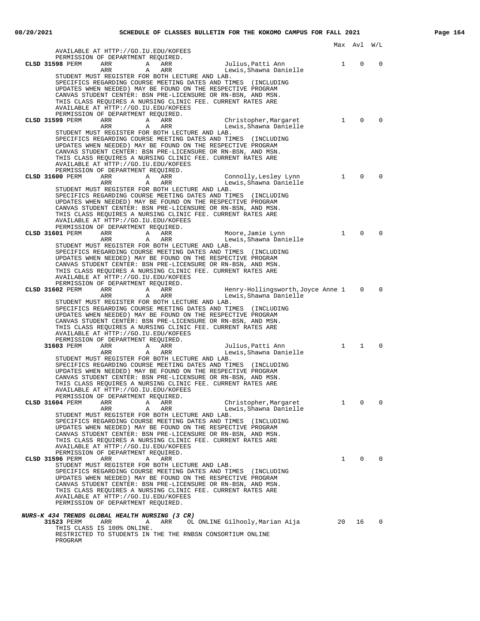|                 |                                                                            |                                                 |                                                                                                                              |              | Max Avl      | W/L         |
|-----------------|----------------------------------------------------------------------------|-------------------------------------------------|------------------------------------------------------------------------------------------------------------------------------|--------------|--------------|-------------|
|                 | AVAILABLE AT HTTP://GO.IU.EDU/KOFEES<br>PERMISSION OF DEPARTMENT REQUIRED. |                                                 |                                                                                                                              |              |              |             |
| CLSD 31598 PERM | ARR<br>Α                                                                   | ARR                                             | Julius, Patti Ann                                                                                                            | $\mathbf{1}$ | $\mathbf 0$  | $\mathbf 0$ |
|                 | ARR<br>A                                                                   | ARR                                             | Lewis, Shawna Danielle                                                                                                       |              |              |             |
|                 |                                                                            | STUDENT MUST REGISTER FOR BOTH LECTURE AND LAB. |                                                                                                                              |              |              |             |
|                 |                                                                            |                                                 | SPECIFICS REGARDING COURSE MEETING DATES AND TIMES (INCLUDING<br>UPDATES WHEN NEEDED) MAY BE FOUND ON THE RESPECTIVE PROGRAM |              |              |             |
|                 |                                                                            |                                                 | CANVAS STUDENT CENTER: BSN PRE-LICENSURE OR RN-BSN, AND MSN.                                                                 |              |              |             |
|                 |                                                                            |                                                 | THIS CLASS REQUIRES A NURSING CLINIC FEE. CURRENT RATES ARE                                                                  |              |              |             |
|                 | AVAILABLE AT HTTP://GO.IU.EDU/KOFEES                                       |                                                 |                                                                                                                              |              |              |             |
|                 | PERMISSION OF DEPARTMENT REQUIRED.                                         |                                                 |                                                                                                                              |              |              |             |
| CLSD 31599 PERM | ARR                                                                        | A<br>ARR                                        | Christopher, Margaret                                                                                                        | $\mathbf{1}$ | $\Omega$     | $\Omega$    |
|                 | ARR<br>A                                                                   | ARR                                             | Lewis,Shawna Danielle                                                                                                        |              |              |             |
|                 |                                                                            | STUDENT MUST REGISTER FOR BOTH LECTURE AND LAB. |                                                                                                                              |              |              |             |
|                 |                                                                            |                                                 | SPECIFICS REGARDING COURSE MEETING DATES AND TIMES (INCLUDING                                                                |              |              |             |
|                 |                                                                            |                                                 | UPDATES WHEN NEEDED) MAY BE FOUND ON THE RESPECTIVE PROGRAM                                                                  |              |              |             |
|                 |                                                                            |                                                 | CANVAS STUDENT CENTER: BSN PRE-LICENSURE OR RN-BSN, AND MSN.                                                                 |              |              |             |
|                 |                                                                            |                                                 | THIS CLASS REQUIRES A NURSING CLINIC FEE. CURRENT RATES ARE                                                                  |              |              |             |
|                 | AVAILABLE AT HTTP://GO.IU.EDU/KOFEES                                       |                                                 |                                                                                                                              |              |              |             |
| CLSD 31600 PERM | PERMISSION OF DEPARTMENT REQUIRED.                                         |                                                 |                                                                                                                              | $\mathbf{1}$ | $\Omega$     | $\Omega$    |
|                 | ARR<br>ARR<br>A                                                            | A<br>ARR<br>ARR                                 | Connolly, Lesley Lynn<br>Lewis, Shawna Danielle                                                                              |              |              |             |
|                 |                                                                            | STUDENT MUST REGISTER FOR BOTH LECTURE AND LAB. |                                                                                                                              |              |              |             |
|                 |                                                                            |                                                 | SPECIFICS REGARDING COURSE MEETING DATES AND TIMES (INCLUDING                                                                |              |              |             |
|                 |                                                                            |                                                 | UPDATES WHEN NEEDED) MAY BE FOUND ON THE RESPECTIVE PROGRAM                                                                  |              |              |             |
|                 |                                                                            |                                                 | CANVAS STUDENT CENTER: BSN PRE-LICENSURE OR RN-BSN, AND MSN.                                                                 |              |              |             |
|                 |                                                                            |                                                 | THIS CLASS REQUIRES A NURSING CLINIC FEE. CURRENT RATES ARE                                                                  |              |              |             |
|                 | AVAILABLE AT HTTP://GO.IU.EDU/KOFEES                                       |                                                 |                                                                                                                              |              |              |             |
|                 | PERMISSION OF DEPARTMENT REQUIRED.                                         |                                                 |                                                                                                                              |              |              |             |
| CLSD 31601 PERM | ARR<br>A                                                                   | ARR                                             | Moore, Jamie Lynn                                                                                                            | $\mathbf{1}$ | $\Omega$     | $\Omega$    |
|                 | ARR<br>A                                                                   | ARR                                             | Lewis, Shawna Danielle                                                                                                       |              |              |             |
|                 |                                                                            | STUDENT MUST REGISTER FOR BOTH LECTURE AND LAB. | SPECIFICS REGARDING COURSE MEETING DATES AND TIMES (INCLUDING                                                                |              |              |             |
|                 |                                                                            |                                                 | UPDATES WHEN NEEDED) MAY BE FOUND ON THE RESPECTIVE PROGRAM                                                                  |              |              |             |
|                 |                                                                            |                                                 | CANVAS STUDENT CENTER: BSN PRE-LICENSURE OR RN-BSN, AND MSN.                                                                 |              |              |             |
|                 |                                                                            |                                                 | THIS CLASS REQUIRES A NURSING CLINIC FEE. CURRENT RATES ARE                                                                  |              |              |             |
|                 | AVAILABLE AT HTTP://GO.IU.EDU/KOFEES                                       |                                                 |                                                                                                                              |              |              |             |
|                 | PERMISSION OF DEPARTMENT REQUIRED.                                         |                                                 |                                                                                                                              |              |              |             |
| CLSD 31602 PERM | ARR                                                                        | A<br>ARR                                        | Henry-Hollingsworth,Joyce Anne 1                                                                                             |              | $\Omega$     | $\Omega$    |
|                 | ARR<br>A                                                                   | ARR                                             | Lewis, Shawna Danielle                                                                                                       |              |              |             |
|                 |                                                                            | STUDENT MUST REGISTER FOR BOTH LECTURE AND LAB. |                                                                                                                              |              |              |             |
|                 |                                                                            |                                                 | SPECIFICS REGARDING COURSE MEETING DATES AND TIMES (INCLUDING<br>UPDATES WHEN NEEDED) MAY BE FOUND ON THE RESPECTIVE PROGRAM |              |              |             |
|                 |                                                                            |                                                 | CANVAS STUDENT CENTER: BSN PRE-LICENSURE OR RN-BSN, AND MSN.                                                                 |              |              |             |
|                 |                                                                            |                                                 | THIS CLASS REQUIRES A NURSING CLINIC FEE. CURRENT RATES ARE                                                                  |              |              |             |
|                 | AVAILABLE AT HTTP://GO.IU.EDU/KOFEES                                       |                                                 |                                                                                                                              |              |              |             |
|                 | PERMISSION OF DEPARTMENT REQUIRED.                                         |                                                 |                                                                                                                              |              |              |             |
| 31603 PERM      | ARR<br>A                                                                   | ARR                                             | Julius, Patti Ann                                                                                                            | $\mathbf{1}$ | $\mathbf{1}$ | $\Omega$    |
|                 | ARR<br>A                                                                   | ARR                                             | Lewis,Shawna Danielle                                                                                                        |              |              |             |
|                 |                                                                            | STUDENT MUST REGISTER FOR BOTH LECTURE AND LAB. |                                                                                                                              |              |              |             |
|                 |                                                                            |                                                 | SPECIFICS REGARDING COURSE MEETING DATES AND TIMES (INCLUDING                                                                |              |              |             |
|                 |                                                                            |                                                 | UPDATES WHEN NEEDED) MAY BE FOUND ON THE RESPECTIVE PROGRAM                                                                  |              |              |             |
|                 |                                                                            |                                                 | CANVAS STUDENT CENTER: BSN PRE-LICENSURE OR RN-BSN, AND MSN.<br>THIS CLASS REOUIRES A NURSING CLINIC FEE. CURRENT RATES ARE  |              |              |             |
|                 | AVAILABLE AT HTTP://GO.IU.EDU/KOFEES                                       |                                                 |                                                                                                                              |              |              |             |
|                 | PERMISSION OF DEPARTMENT REQUIRED.                                         |                                                 |                                                                                                                              |              |              |             |
| CLSD 31604 PERM | ARR<br>Α                                                                   | ARR                                             | Christopher, Margaret                                                                                                        | $\mathbf{1}$ | $\mathbf 0$  | 0           |
|                 | ARR<br>Α                                                                   | ARR                                             | Lewis, Shawna Danielle                                                                                                       |              |              |             |
|                 |                                                                            | STUDENT MUST REGISTER FOR BOTH LECTURE AND LAB. |                                                                                                                              |              |              |             |
|                 |                                                                            |                                                 | SPECIFICS REGARDING COURSE MEETING DATES AND TIMES (INCLUDING                                                                |              |              |             |
|                 |                                                                            |                                                 | UPDATES WHEN NEEDED) MAY BE FOUND ON THE RESPECTIVE PROGRAM                                                                  |              |              |             |
|                 |                                                                            |                                                 | CANVAS STUDENT CENTER: BSN PRE-LICENSURE OR RN-BSN, AND MSN.                                                                 |              |              |             |
|                 |                                                                            |                                                 | THIS CLASS REOUIRES A NURSING CLINIC FEE. CURRENT RATES ARE                                                                  |              |              |             |
|                 | AVAILABLE AT HTTP://GO.IU.EDU/KOFEES<br>PERMISSION OF DEPARTMENT REQUIRED. |                                                 |                                                                                                                              |              |              |             |
| CLSD 31596 PERM | ARR<br>Α                                                                   | ARR                                             |                                                                                                                              | $\mathbf{1}$ | $\mathbf{0}$ | $\mathbf 0$ |
|                 |                                                                            | STUDENT MUST REGISTER FOR BOTH LECTURE AND LAB. |                                                                                                                              |              |              |             |
|                 |                                                                            |                                                 | SPECIFICS REGARDING COURSE MEETING DATES AND TIMES (INCLUDING                                                                |              |              |             |
|                 |                                                                            |                                                 | UPDATES WHEN NEEDED) MAY BE FOUND ON THE RESPECTIVE PROGRAM                                                                  |              |              |             |
|                 |                                                                            |                                                 | CANVAS STUDENT CENTER: BSN PRE-LICENSURE OR RN-BSN, AND MSN.                                                                 |              |              |             |
|                 |                                                                            |                                                 | THIS CLASS REQUIRES A NURSING CLINIC FEE. CURRENT RATES ARE                                                                  |              |              |             |
|                 | AVAILABLE AT HTTP://GO.IU.EDU/KOFEES                                       |                                                 |                                                                                                                              |              |              |             |
|                 | PERMISSION OF DEPARTMENT REQUIRED.                                         |                                                 |                                                                                                                              |              |              |             |
|                 | NURS-K 434 TRENDS GLOBAL HEALTH NURSING (3 CR)                             |                                                 |                                                                                                                              |              |              |             |
| 31523 PERM      | ARR<br>Α                                                                   | ARR                                             | OL ONLINE Gilhooly,Marian Aija                                                                                               | 20           | 16           | 0           |
|                 | THIS CLASS IS 100% ONLINE.                                                 |                                                 |                                                                                                                              |              |              |             |
|                 |                                                                            |                                                 | RESTRICTED TO STUDENTS IN THE THE RNBSN CONSORTIUM ONLINE                                                                    |              |              |             |
| PROGRAM         |                                                                            |                                                 |                                                                                                                              |              |              |             |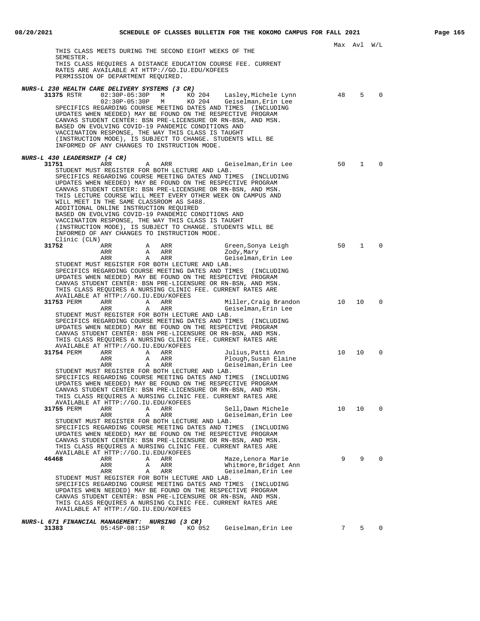Max Avl W/L THIS CLASS MEETS DURING THE SECOND EIGHT WEEKS OF THE SEMESTER. THIS CLASS REQUIRES A DISTANCE EDUCATION COURSE FEE. CURRENT RATES ARE AVAILABLE AT HTTP://GO.IU.EDU/KOFEES PERMISSION OF DEPARTMENT REQUIRED. **NURS-L 230 HEALTH CARE DELIVERY SYSTEMS (3 CR) 31375** RSTR 02:30P-05:30P M KO 204 Lasley,Michele Lynn 48 5 0 02:30P-05:30P M KO 204 Geiselman,Erin Lee SPECIFICS REGARDING COURSE MEETING DATES AND TIMES (INCLUDING UPDATES WHEN NEEDED) MAY BE FOUND ON THE RESPECTIVE PROGRAM CANVAS STUDENT CENTER: BSN PRE-LICENSURE OR RN-BSN, AND MSN. BASED ON EVOLVING COVID-19 PANDEMIC CONDITIONS AND VACCINATION RESPONSE, THE WAY THIS CLASS IS TAUGHT (INSTRUCTION MODE), IS SUBJECT TO CHANGE. STUDENTS WILL BE INFORMED OF ANY CHANGES TO INSTRUCTION MODE. **NURS-L 430 LEADERSHIP (4 CR) 31751** ARR A ARR Geiselman, Erin Lee 50 1 0 STUDENT MUST REGISTER FOR BOTH LECTURE AND LAB. SPECIFICS REGARDING COURSE MEETING DATES AND TIMES (INCLUDING UPDATES WHEN NEEDED) MAY BE FOUND ON THE RESPECTIVE PROGRAM CANVAS STUDENT CENTER: BSN PRE-LICENSURE OR RN-BSN, AND MSN. THIS LECTURE COURSE WILL MEET EVERY OTHER WEEK ON CAMPUS AND WILL MEET IN THE SAME CLASSROOM AS S488. ADDITIONAL ONLINE INSTRUCTION REQUIRED BASED ON EVOLVING COVID-19 PANDEMIC CONDITIONS AND VACCINATION RESPONSE, THE WAY THIS CLASS IS TAUGHT (INSTRUCTION MODE), IS SUBJECT TO CHANGE. STUDENTS WILL BE INFORMED OF ANY CHANGES TO INSTRUCTION MODE. Clinic  $CLN$ )<br>31752 ARR **31752** ARR A ARR Green,Sonya Leigh 50 1 0 ARR A ARR ARR Zody, Mary ARR A ARR Geiselman,Erin Lee STUDENT MUST REGISTER FOR BOTH LECTURE AND LAB. SPECIFICS REGARDING COURSE MEETING DATES AND TIMES (INCLUDING UPDATES WHEN NEEDED) MAY BE FOUND ON THE RESPECTIVE PROGRAM CANVAS STUDENT CENTER: BSN PRE-LICENSURE OR RN-BSN, AND MSN. THIS CLASS REQUIRES A NURSING CLINIC FEE. CURRENT RATES ARE THIS CLASS REQUIRES A NUNCING CLIEVE II.<br>AVAILABLE AT HTTP://GO.IU.EDU/KOFEES **31753** PERM ARR A ARR Miller,Craig Brandon 10 10 0 ARR A ARR A ARR A ARR A ARR A ARR STUDENT MUST REGISTER FOR BOTH LECTURE AND LAB. SPECIFICS REGARDING COURSE MEETING DATES AND TIMES (INCLUDING UPDATES WHEN NEEDED) MAY BE FOUND ON THE RESPECTIVE PROGRAM CANVAS STUDENT CENTER: BSN PRE-LICENSURE OR RN-BSN, AND MSN. THIS CLASS REQUIRES A NURSING CLINIC FEE. CURRENT RATES ARE AVAILABLE AT HTTP://GO.IU.EDU/KOFEES **31754** PERM ARR A ARR A Julius, Patti Ann 10 10 0 ARR A ARR Plough, Susan Elaine ARR A ARR Geiselman,Erin Lee STUDENT MUST REGISTER FOR BOTH LECTURE AND LAB. SPECIFICS REGARDING COURSE MEETING DATES AND TIMES (INCLUDING UPDATES WHEN NEEDED) MAY BE FOUND ON THE RESPECTIVE PROGRAM CANVAS STUDENT CENTER: BSN PRE-LICENSURE OR RN-BSN, AND MSN. THIS CLASS REQUIRES A NURSING CLINIC FEE. CURRENT RATES ARE AVAILABLE AT HTTP://GO.IU.EDU/KOFEES **3188 A ARR Sell,Dawn Michele 10 10 0**<br>**3188 A ARR** Geiselman Erin Lee 10 10 0 Geiselman,Erin Lee STUDENT MUST REGISTER FOR BOTH LECTURE AND LAB. SPECIFICS REGARDING COURSE MEETING DATES AND TIMES (INCLUDING UPDATES WHEN NEEDED) MAY BE FOUND ON THE RESPECTIVE PROGRAM CANVAS STUDENT CENTER: BSN PRE-LICENSURE OR RN-BSN, AND MSN. THIS CLASS REQUIRES A NURSING CLINIC FEE. CURRENT RATES ARE AVAILABLE AT HTTP://GO.IU.EDU/KOFEES **4646 ARR A ARR A ARR Maze, Lenora Marie 9 9 0**<br> **4646 ARR A ARR Mitmore, Bridget Ann**<br>
ARR A ARR Geiselman, Erin Lee ARR A ARR Mhitmore, Bridget Ann ARR ARR Geiselman, Erin Lee Geiselman, Erin Lee STUDENT MUST REGISTER FOR BOTH LECTURE AND LAB. SPECIFICS REGARDING COURSE MEETING DATES AND TIMES (INCLUDING UPDATES WHEN NEEDED) MAY BE FOUND ON THE RESPECTIVE PROGRAM CANVAS STUDENT CENTER: BSN PRE-LICENSURE OR RN-BSN, AND MSN. THIS CLASS REQUIRES A NURSING CLINIC FEE. CURRENT RATES ARE AVAILABLE AT HTTP://GO.IU.EDU/KOFEES

## **NURS-L 671 FINANCIAL MANAGEMENT: NURSING (3 CR)**

| 31383 | 05:45P-08:15P R |  | KO 052   Geiselman.Erin Lee |  |  |
|-------|-----------------|--|-----------------------------|--|--|
|       |                 |  |                             |  |  |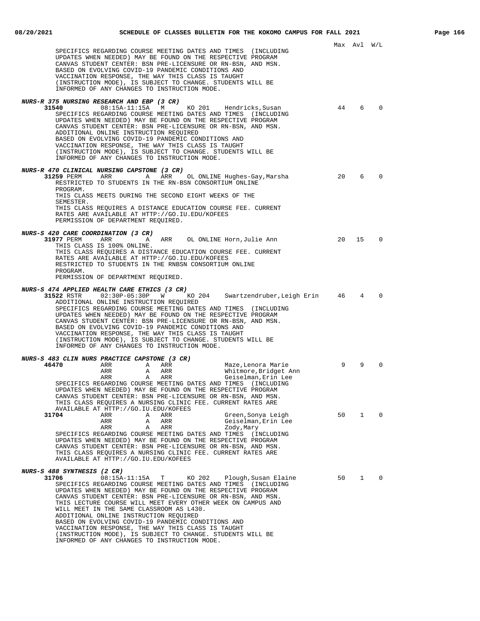|                                                                                                                                                                                                                                                                                                                                                                                                                                                                                                                                                                                                                                                                                      |    | Max Avl W/L  |          |
|--------------------------------------------------------------------------------------------------------------------------------------------------------------------------------------------------------------------------------------------------------------------------------------------------------------------------------------------------------------------------------------------------------------------------------------------------------------------------------------------------------------------------------------------------------------------------------------------------------------------------------------------------------------------------------------|----|--------------|----------|
| SPECIFICS REGARDING COURSE MEETING DATES AND TIMES (INCLUDING<br>UPDATES WHEN NEEDED) MAY BE FOUND ON THE RESPECTIVE PROGRAM<br>CANVAS STUDENT CENTER: BSN PRE-LICENSURE OR RN-BSN, AND MSN.<br>BASED ON EVOLVING COVID-19 PANDEMIC CONDITIONS AND<br>VACCINATION RESPONSE, THE WAY THIS CLASS IS TAUGHT<br>(INSTRUCTION MODE), IS SUBJECT TO CHANGE. STUDENTS WILL BE<br>INFORMED OF ANY CHANGES TO INSTRUCTION MODE.                                                                                                                                                                                                                                                               |    |              |          |
| NURS-R 375 NURSING RESEARCH AND EBP (3 CR)<br>31540<br>08:15A-11:15A M<br>KO 201<br>Hendricks,Susan<br>SPECIFICS REGARDING COURSE MEETING DATES AND TIMES (INCLUDING<br>UPDATES WHEN NEEDED) MAY BE FOUND ON THE RESPECTIVE PROGRAM<br>CANVAS STUDENT CENTER: BSN PRE-LICENSURE OR RN-BSN, AND MSN.<br>ADDITIONAL ONLINE INSTRUCTION REQUIRED<br>BASED ON EVOLVING COVID-19 PANDEMIC CONDITIONS AND<br>VACCINATION RESPONSE, THE WAY THIS CLASS IS TAUGHT<br>(INSTRUCTION MODE), IS SUBJECT TO CHANGE. STUDENTS WILL BE<br>INFORMED OF ANY CHANGES TO INSTRUCTION MODE.                                                                                                              | 44 | 6            | 0        |
| <i>NURS-R 470 CLINICAL NURSING CAPSTONE (3 CR)</i><br>31259 PERM<br>ARR<br>A<br>ARR<br>OL ONLINE Hughes-Gay,Marsha<br>RESTRICTED TO STUDENTS IN THE RN-BSN CONSORTIUM ONLINE<br>PROGRAM.<br>THIS CLASS MEETS DURING THE SECOND EIGHT WEEKS OF THE<br>SEMESTER.<br>THIS CLASS REQUIRES A DISTANCE EDUCATION COURSE FEE. CURRENT                                                                                                                                                                                                                                                                                                                                                       | 20 | 6            | $\Omega$ |
| RATES ARE AVAILABLE AT HTTP://GO.IU.EDU/KOFEES<br>PERMISSION OF DEPARTMENT REQUIRED.                                                                                                                                                                                                                                                                                                                                                                                                                                                                                                                                                                                                 |    |              |          |
| <i>NURS-S 420 CARE COORDINATION (3 CR)</i><br>31977 PERM<br>ARR OL ONLINE Horn, Julie Ann<br>ARR<br>Α<br>THIS CLASS IS 100% ONLINE.<br>THIS CLASS REQUIRES A DISTANCE EDUCATION COURSE FEE. CURRENT<br>RATES ARE AVAILABLE AT HTTP://GO.IU.EDU/KOFEES<br>RESTRICTED TO STUDENTS IN THE RNBSN CONSORTIUM ONLINE<br>PROGRAM.<br>PERMISSION OF DEPARTMENT REQUIRED.                                                                                                                                                                                                                                                                                                                     | 20 | 15           | 0        |
| NURS-S 474 APPLIED HEALTH CARE ETHICS (3 CR)<br>02:30P-05:30P W KO 204 Swartzendruber, Leigh Erin<br>31522 RSTR<br>ADDITIONAL ONLINE INSTRUCTION REQUIRED<br>SPECIFICS REGARDING COURSE MEETING DATES AND TIMES (INCLUDING<br>UPDATES WHEN NEEDED) MAY BE FOUND ON THE RESPECTIVE PROGRAM<br>CANVAS STUDENT CENTER: BSN PRE-LICENSURE OR RN-BSN, AND MSN.<br>BASED ON EVOLVING COVID-19 PANDEMIC CONDITIONS AND<br>VACCINATION RESPONSE, THE WAY THIS CLASS IS TAUGHT<br>(INSTRUCTION MODE), IS SUBJECT TO CHANGE. STUDENTS WILL BE<br>INFORMED OF ANY CHANGES TO INSTRUCTION MODE.                                                                                                  | 46 | 4            | $\Omega$ |
| <i>NURS-S 483 CLIN NURS PRACTICE CAPSTONE (3 CR)</i><br>46470<br>Maze, Lenora Marie<br>ARR<br>A<br>ARR<br>Whitmore, Bridget Ann<br>ARR<br>A<br>ARR<br>Geiselman, Erin Lee<br>ARR<br>Α<br>ARR<br>SPECIFICS REGARDING COURSE MEETING DATES AND TIMES (INCLUDING<br>UPDATES WHEN NEEDED) MAY BE FOUND ON THE RESPECTIVE PROGRAM<br>CANVAS STUDENT CENTER: BSN PRE-LICENSURE OR RN-BSN, AND MSN.<br>THIS CLASS REQUIRES A NURSING CLINIC FEE. CURRENT RATES ARE                                                                                                                                                                                                                          | 9  | 9            | $\Omega$ |
| AVAILABLE AT HTTP://GO.IU.EDU/KOFEES<br>31704<br>ARR<br>ARR<br>Green, Sonya Leigh<br>Α<br>ARR<br>Α<br>ARR<br>Geiselman, Erin Lee<br>ARR<br>ARR<br>Zody, Mary<br>Α<br>SPECIFICS REGARDING COURSE MEETING DATES AND TIMES<br>(INCLUDING<br>UPDATES WHEN NEEDED) MAY BE FOUND ON THE RESPECTIVE PROGRAM<br>CANVAS STUDENT CENTER: BSN PRE-LICENSURE OR RN-BSN, AND MSN.<br>THIS CLASS REQUIRES A NURSING CLINIC FEE. CURRENT RATES ARE<br>AVAILABLE AT HTTP://GO.IU.EDU/KOFEES                                                                                                                                                                                                          | 50 | $\mathbf{1}$ | 0        |
| <i>NURS-S 488 SYNTHESIS (2 CR)</i><br>31706<br>08:15A-11:15A<br>T.<br>KO 202<br>Plough, Susan Elaine<br>SPECIFICS REGARDING COURSE MEETING DATES AND TIMES (INCLUDING<br>UPDATES WHEN NEEDED) MAY BE FOUND ON THE RESPECTIVE PROGRAM<br>CANVAS STUDENT CENTER: BSN PRE-LICENSURE OR RN-BSN, AND MSN.<br>THIS LECTURE COURSE WILL MEET EVERY OTHER WEEK ON CAMPUS AND<br>WILL MEET IN THE SAME CLASSROOM AS L430.<br>ADDITIONAL ONLINE INSTRUCTION REQUIRED<br>BASED ON EVOLVING COVID-19 PANDEMIC CONDITIONS AND<br>VACCINATION RESPONSE, THE WAY THIS CLASS IS TAUGHT<br>(INSTRUCTION MODE), IS SUBJECT TO CHANGE. STUDENTS WILL BE<br>INFORMED OF ANY CHANGES TO INSTRUCTION MODE. | 50 | $\mathbf{1}$ | 0        |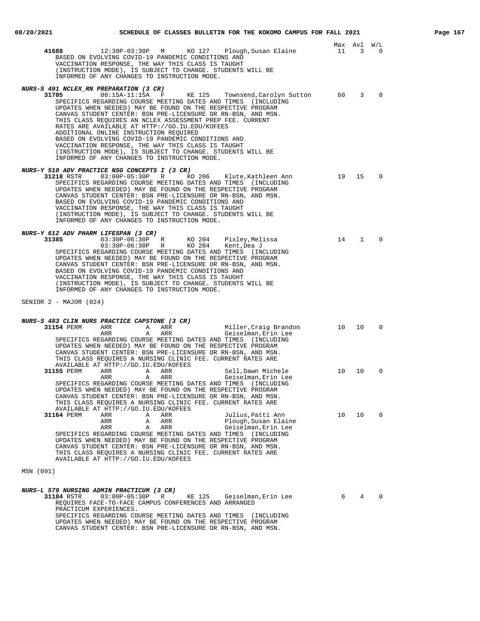|                                                                                                                                                                                                                                                                                                                                                                                                                                                                                                                                                                                                                                                                                               |    | Max Avl | W/L            |
|-----------------------------------------------------------------------------------------------------------------------------------------------------------------------------------------------------------------------------------------------------------------------------------------------------------------------------------------------------------------------------------------------------------------------------------------------------------------------------------------------------------------------------------------------------------------------------------------------------------------------------------------------------------------------------------------------|----|---------|----------------|
| 12:30P-03:30P M KO 127 Plough, Susan Elaine<br>41688<br>BASED ON EVOLVING COVID-19 PANDEMIC CONDITIONS AND<br>VACCINATION RESPONSE, THE WAY THIS CLASS IS TAUGHT<br>(INSTRUCTION MODE), IS SUBJECT TO CHANGE. STUDENTS WILL BE<br>INFORMED OF ANY CHANGES TO INSTRUCTION MODE.                                                                                                                                                                                                                                                                                                                                                                                                                | 11 | 3       | $\Omega$       |
| NURS-S 491 NCLEX_RN PREPARATION (3 CR)<br>$08:15A-11:15A$ F<br>31705<br>KE 125<br>Townsend, Carolyn Sutton<br>SPECIFICS REGARDING COURSE MEETING DATES AND TIMES (INCLUDING<br>UPDATES WHEN NEEDED) MAY BE FOUND ON THE RESPECTIVE PROGRAM<br>CANVAS STUDENT CENTER: BSN PRE-LICENSURE OR RN-BSN, AND MSN.<br>THIS CLASS REQUIRES AN NCLEX ASSESSMENT PREP FEE. CURRENT<br>RATES ARE AVAILABLE AT HTTP://GO.IU.EDU/KOFEES<br>ADDITIONAL ONLINE INSTRUCTION REOUIRED<br>BASED ON EVOLVING COVID-19 PANDEMIC CONDITIONS AND<br>VACCINATION RESPONSE, THE WAY THIS CLASS IS TAUGHT<br>(INSTRUCTION MODE), IS SUBJECT TO CHANGE. STUDENTS WILL BE<br>INFORMED OF ANY CHANGES TO INSTRUCTION MODE. | 60 | 3       | $\mathbf 0$    |
| NURS-Y 510 ADV PRACTICE NSG CONCEPTS I (3 CR)<br>KO 206<br>Klute,Kathleen Ann<br>SPECIFICS REGARDING COURSE MEETING DATES AND TIMES (INCLUDING<br>UPDATES WHEN NEEDED) MAY BE FOUND ON THE RESPECTIVE PROGRAM<br>CANVAS STUDENT CENTER: BSN PRE-LICENSURE OR RN-BSN, AND MSN.<br>BASED ON EVOLVING COVID-19 PANDEMIC CONDITIONS AND<br>VACCINATION RESPONSE, THE WAY THIS CLASS IS TAUGHT<br>(INSTRUCTION MODE), IS SUBJECT TO CHANGE. STUDENTS WILL BE<br>INFORMED OF ANY CHANGES TO INSTRUCTION MODE.                                                                                                                                                                                       | 19 | 15      | $\overline{0}$ |
| NURS-Y 612 ADV PHARM LIFESPAN (3 CR)<br>31385<br>03:30P-06:30P R<br>KO 204 Pixley, Melissa<br>03:30P-06:30P R<br>KO 204 Kent, Dea J<br>SPECIFICS REGARDING COURSE MEETING DATES AND TIMES (INCLUDING<br>UPDATES WHEN NEEDED) MAY BE FOUND ON THE RESPECTIVE PROGRAM<br>CANVAS STUDENT CENTER: BSN PRE-LICENSURE OR RN-BSN, AND MSN.<br>BASED ON EVOLVING COVID-19 PANDEMIC CONDITIONS AND<br>VACCINATION RESPONSE, THE WAY THIS CLASS IS TAUGHT<br>(INSTRUCTION MODE), IS SUBJECT TO CHANGE. STUDENTS WILL BE<br>INFORMED OF ANY CHANGES TO INSTRUCTION MODE.                                                                                                                                 | 14 | 1       | $\Omega$       |
| SENIOR $2$ - MAJOR (024)                                                                                                                                                                                                                                                                                                                                                                                                                                                                                                                                                                                                                                                                      |    |         |                |
| NURS-S 483 CLIN NURS PRACTICE CAPSTONE (3 CR)<br>Miller, Craig Brandon<br>31154 PERM<br>ARR<br>A<br>ARR<br>ARR<br>A<br>ARR<br>Geiselman, Erin Lee<br>SPECIFICS REGARDING COURSE MEETING DATES AND TIMES (INCLUDING<br>UPDATES WHEN NEEDED) MAY BE FOUND ON THE RESPECTIVE PROGRAM<br>CANVAS STUDENT CENTER: BSN PRE-LICENSURE OR RN-BSN, AND MSN.<br>THIS CLASS REQUIRES A NURSING CLINIC FEE. CURRENT RATES ARE                                                                                                                                                                                                                                                                              | 10 | 10      | $\overline{0}$ |
| AVAILABLE AT HTTP://GO.IU.EDU/KOFEES<br>31155 PERM<br>ARR<br>Α<br>ARR<br>Sell,Dawn Michele<br>Geiselman, Erin Lee<br>ARR<br>ARR<br>A<br>SPECIFICS REGARDING COURSE MEETING DATES AND TIMES (INCLUDING<br>UPDATES WHEN NEEDED) MAY BE FOUND ON THE RESPECTIVE PROGRAM<br>CANVAS STUDENT CENTER: BSN PRE-LICENSURE OR RN-BSN, AND MSN.<br>THIS CLASS REQUIRES A NURSING CLINIC FEE. CURRENT RATES ARE<br>AVAILABLE AT HTTP://GO.IU.EDU/KOFEES                                                                                                                                                                                                                                                   | 10 | 10      | $\Omega$       |
| 31164 PERM<br>ARR<br>Α<br>ARR<br>Julius, Patti Ann<br>ARR<br>Α<br>ARR<br>Plough, Susan Elaine<br>ARR<br>Α<br>ARR<br>Geiselman, Erin Lee<br>SPECIFICS REGARDING COURSE MEETING DATES AND TIMES (INCLUDING<br>UPDATES WHEN NEEDED) MAY BE FOUND ON THE RESPECTIVE PROGRAM<br>CANVAS STUDENT CENTER: BSN PRE-LICENSURE OR RN-BSN, AND MSN.<br>THIS CLASS REQUIRES A NURSING CLINIC FEE. CURRENT RATES ARE<br>AVAILABLE AT HTTP://GO.IU.EDU/KOFEES                                                                                                                                                                                                                                                | 10 | 10      | 0              |
| MSN (091)                                                                                                                                                                                                                                                                                                                                                                                                                                                                                                                                                                                                                                                                                     |    |         |                |
| NURS-L 579 NURSING ADMIN PRACTICUM (3 CR)<br>31184 RSTR<br>$03:00P-05:30P$<br>R<br>KE 125<br>Geiselman,Erin Lee<br>REQUIRES FACE-TO-FACE CAMPUS CONFERENCES AND ARRANGED<br>PRACTICUM EXPERIENCES.<br>SPECIFICS REGARDING COURSE MEETING DATES AND TIMES (INCLUDING<br>UPDATES WHEN NEEDED) MAY BE FOUND ON THE RESPECTIVE PROGRAM<br>CANVAS STUDENT CENTER: BSN PRE-LICENSURE OR RN-BSN, AND MSN.                                                                                                                                                                                                                                                                                            | 6  | 4       | $\Omega$       |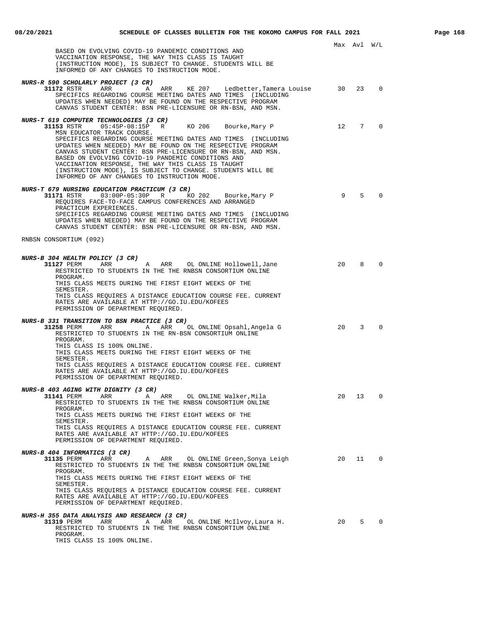|                                                                                                                                                                                                                                                                                                                                                                                                                        |    | Max Avl W/L     |              |
|------------------------------------------------------------------------------------------------------------------------------------------------------------------------------------------------------------------------------------------------------------------------------------------------------------------------------------------------------------------------------------------------------------------------|----|-----------------|--------------|
| BASED ON EVOLVING COVID-19 PANDEMIC CONDITIONS AND<br>VACCINATION RESPONSE, THE WAY THIS CLASS IS TAUGHT<br>(INSTRUCTION MODE), IS SUBJECT TO CHANGE. STUDENTS WILL BE<br>INFORMED OF ANY CHANGES TO INSTRUCTION MODE.                                                                                                                                                                                                 |    |                 |              |
| NURS-R 590 SCHOLARLY PROJECT (3 CR)<br>A ARR KE 207 Ledbetter, Tamera Louise 30<br>31172 RSTR ARR<br>SPECIFICS REGARDING COURSE MEETING DATES AND TIMES (INCLUDING<br>UPDATES WHEN NEEDED) MAY BE FOUND ON THE RESPECTIVE PROGRAM<br>CANVAS STUDENT CENTER: BSN PRE-LICENSURE OR RN-BSN, AND MSN.                                                                                                                      |    | 23              | $\Omega$     |
| NURS-T 619 COMPUTER TECHNOLOGIES (3 CR)<br>Bourke,Mary P<br>MSN EDUCATOR TRACK COURSE.                                                                                                                                                                                                                                                                                                                                 | 12 | $7\overline{7}$ | $\Omega$     |
| SPECIFICS REGARDING COURSE MEETING DATES AND TIMES (INCLUDING<br>UPDATES WHEN NEEDED) MAY BE FOUND ON THE RESPECTIVE PROGRAM<br>CANVAS STUDENT CENTER: BSN PRE-LICENSURE OR RN-BSN, AND MSN.<br>BASED ON EVOLVING COVID-19 PANDEMIC CONDITIONS AND<br>VACCINATION RESPONSE, THE WAY THIS CLASS IS TAUGHT<br>(INSTRUCTION MODE), IS SUBJECT TO CHANGE. STUDENTS WILL BE<br>INFORMED OF ANY CHANGES TO INSTRUCTION MODE. |    |                 |              |
| NURS-T 679 NURSING EDUCATION PRACTICUM (3 CR)                                                                                                                                                                                                                                                                                                                                                                          |    |                 |              |
| Bourke, Mary P<br>REQUIRES FACE-TO-FACE CAMPUS CONFERENCES AND ARRANGED<br>PRACTICUM EXPERIENCES.<br>SPECIFICS REGARDING COURSE MEETING DATES AND TIMES (INCLUDING<br>UPDATES WHEN NEEDED) MAY BE FOUND ON THE RESPECTIVE PROGRAM<br>CANVAS STUDENT CENTER: BSN PRE-LICENSURE OR RN-BSN, AND MSN.                                                                                                                      | 9  | 5               | $\Omega$     |
| RNBSN CONSORTIUM (092)                                                                                                                                                                                                                                                                                                                                                                                                 |    |                 |              |
| <b>NURS-B 304 HEALTH POLICY (3 CR)</b>                                                                                                                                                                                                                                                                                                                                                                                 |    |                 |              |
| 31127 PERM ARR ARR OL ONLINE Hollowell, Jane<br>RESTRICTED TO STUDENTS IN THE THE RNBSN CONSORTIUM ONLINE<br>PROGRAM.<br>THIS CLASS MEETS DURING THE FIRST EIGHT WEEKS OF THE<br>SEMESTER.                                                                                                                                                                                                                             | 20 | 8               | $\Omega$     |
| THIS CLASS REQUIRES A DISTANCE EDUCATION COURSE FEE. CURRENT<br>RATES ARE AVAILABLE AT HTTP://GO.IU.EDU/KOFEES<br>PERMISSION OF DEPARTMENT REQUIRED.                                                                                                                                                                                                                                                                   |    |                 |              |
| <i>NURS-B 331 TRANSITION TO BSN PRACTICE (3 CR)</i><br>A ARR OL ONLINE Opsahl, Angela G<br><b>31258</b> PERM ARR<br>RESTRICTED TO STUDENTS IN THE RN-BSN CONSORTIUM ONLINE<br>PROGRAM.                                                                                                                                                                                                                                 | 20 | 3               | $\Omega$     |
| THIS CLASS IS 100% ONLINE.<br>THIS CLASS MEETS DURING THE FIRST EIGHT WEEKS OF THE<br>SEMESTER.                                                                                                                                                                                                                                                                                                                        |    |                 |              |
| THIS CLASS REOUIRES A DISTANCE EDUCATION COURSE FEE. CURRENT<br>RATES ARE AVAILABLE AT HTTP://GO.IU.EDU/KOFEES<br>PERMISSION OF DEPARTMENT REQUIRED.                                                                                                                                                                                                                                                                   |    |                 |              |
| <i>NURS-B 403 AGING WITH DIGNITY (3 CR)</i>                                                                                                                                                                                                                                                                                                                                                                            |    |                 |              |
| 31141 PERM<br>ARR<br>ARR<br>OL ONLINE Walker, Mila<br>A<br>RESTRICTED TO STUDENTS IN THE THE RNBSN CONSORTIUM ONLINE<br>PROGRAM.                                                                                                                                                                                                                                                                                       | 20 | 13              | 0            |
| THIS CLASS MEETS DURING THE FIRST EIGHT WEEKS OF THE<br>SEMESTER.<br>THIS CLASS REQUIRES A DISTANCE EDUCATION COURSE FEE. CURRENT                                                                                                                                                                                                                                                                                      |    |                 |              |
| RATES ARE AVAILABLE AT HTTP://GO.IU.EDU/KOFEES<br>PERMISSION OF DEPARTMENT REQUIRED.                                                                                                                                                                                                                                                                                                                                   |    |                 |              |
| <b>NURS-B 404 INFORMATICS (3 CR)</b>                                                                                                                                                                                                                                                                                                                                                                                   |    |                 |              |
| 31135 PERM<br>OL ONLINE Green, Sonya Leigh<br>ARR<br>Α<br>ARR<br>RESTRICTED TO STUDENTS IN THE THE RNBSN CONSORTIUM ONLINE<br>PROGRAM.<br>THIS CLASS MEETS DURING THE FIRST EIGHT WEEKS OF THE                                                                                                                                                                                                                         | 20 | 11              | 0            |
| SEMESTER.<br>THIS CLASS REQUIRES A DISTANCE EDUCATION COURSE FEE. CURRENT                                                                                                                                                                                                                                                                                                                                              |    |                 |              |
| RATES ARE AVAILABLE AT HTTP://GO.IU.EDU/KOFEES<br>PERMISSION OF DEPARTMENT REQUIRED.                                                                                                                                                                                                                                                                                                                                   |    |                 |              |
| NURS-H 355 DATA ANALYSIS AND RESEARCH (3 CR)<br>31319 PERM<br>ARR<br>ARR<br>OL ONLINE McIlvoy, Laura H.<br>Α                                                                                                                                                                                                                                                                                                           | 20 |                 | $5 \qquad 0$ |
| RESTRICTED TO STUDENTS IN THE THE RNBSN CONSORTIUM ONLINE<br>PROGRAM.                                                                                                                                                                                                                                                                                                                                                  |    |                 |              |

THIS CLASS IS 100% ONLINE.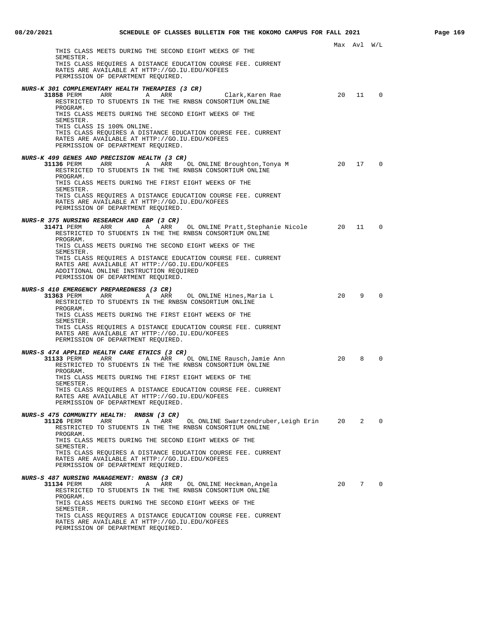| THIS CLASS MEETS DURING THE SECOND EIGHT WEEKS OF THE                                                                                                                                          |           | Max Avl W/L |                |
|------------------------------------------------------------------------------------------------------------------------------------------------------------------------------------------------|-----------|-------------|----------------|
| SEMESTER.<br>THIS CLASS REQUIRES A DISTANCE EDUCATION COURSE FEE. CURRENT<br>RATES ARE AVAILABLE AT HTTP://GO.IU.EDU/KOFEES<br>PERMISSION OF DEPARTMENT REQUIRED.                              |           |             |                |
| NURS-K 301 COMPLEMENTARY HEALTH THERAPIES (3 CR)<br><b>31858</b> PERM ARR<br>Α<br>ARR<br>Clark,Karen Rae                                                                                       | 20        | 11          | $\Omega$       |
| RESTRICTED TO STUDENTS IN THE THE RNBSN CONSORTIUM ONLINE<br>PROGRAM.                                                                                                                          |           |             |                |
| THIS CLASS MEETS DURING THE SECOND EIGHT WEEKS OF THE<br>SEMESTER.<br>THIS CLASS IS 100% ONLINE.                                                                                               |           |             |                |
| THIS CLASS REQUIRES A DISTANCE EDUCATION COURSE FEE. CURRENT<br>RATES ARE AVAILABLE AT HTTP://GO.IU.EDU/KOFEES<br>PERMISSION OF DEPARTMENT REQUIRED.                                           |           |             |                |
| NURS-K 499 GENES AND PRECISION HEALTH (3 CR)<br>31136 PERM<br>ARR<br>ARR<br>OL ONLINE Broughton, Tonya M<br>A                                                                                  | 20        | 17          | 0              |
| RESTRICTED TO STUDENTS IN THE THE RNBSN CONSORTIUM ONLINE<br>PROGRAM.                                                                                                                          |           |             |                |
| THIS CLASS MEETS DURING THE FIRST EIGHT WEEKS OF THE<br>SEMESTER.                                                                                                                              |           |             |                |
| THIS CLASS REQUIRES A DISTANCE EDUCATION COURSE FEE. CURRENT<br>RATES ARE AVAILABLE AT HTTP://GO.IU.EDU/KOFEES<br>PERMISSION OF DEPARTMENT REQUIRED.                                           |           |             |                |
| NURS-R 375 NURSING RESEARCH AND EBP (3 CR)<br>31471 PERM<br>ARR<br>A<br>ARR<br>OL ONLINE Pratt, Stephanie Nicole                                                                               | $\sim$ 20 | 11          | $\Omega$       |
| RESTRICTED TO STUDENTS IN THE THE RNBSN CONSORTIUM ONLINE<br>PROGRAM.                                                                                                                          |           |             |                |
| THIS CLASS MEETS DURING THE SECOND EIGHT WEEKS OF THE<br>SEMESTER.                                                                                                                             |           |             |                |
| THIS CLASS REQUIRES A DISTANCE EDUCATION COURSE FEE. CURRENT<br>RATES ARE AVAILABLE AT HTTP://GO.IU.EDU/KOFEES<br>ADDITIONAL ONLINE INSTRUCTION REQUIRED<br>PERMISSION OF DEPARTMENT REQUIRED. |           |             |                |
| NURS-S 410 EMERGENCY PREPAREDNESS (3 CR)                                                                                                                                                       |           |             |                |
| 31363 PERM<br>ARR<br>ARR<br>OL ONLINE Hines, Maria L<br>A<br>RESTRICTED TO STUDENTS IN THE RNBSN CONSORTIUM ONLINE                                                                             | 20        | 9           | 0              |
| PROGRAM.<br>THIS CLASS MEETS DURING THE FIRST EIGHT WEEKS OF THE                                                                                                                               |           |             |                |
| SEMESTER.<br>THIS CLASS REQUIRES A DISTANCE EDUCATION COURSE FEE. CURRENT<br>RATES ARE AVAILABLE AT HTTP://GO.IU.EDU/KOFEES<br>PERMISSION OF DEPARTMENT REOUIRED.                              |           |             |                |
|                                                                                                                                                                                                |           |             |                |
| <i>NURS-S 474 APPLIED HEALTH CARE ETHICS (3 CR)</i><br>31133 PERM<br>ARR<br>ARR<br>OL ONLINE Rausch, Jamie Ann<br>Α<br>RESTRICTED TO STUDENTS IN THE THE RNBSN CONSORTIUM ONLINE               | 20        | 8           | $\Omega$       |
| PROGRAM.<br>THIS CLASS MEETS DURING THE FIRST EIGHT WEEKS OF THE<br>SEMESTER.                                                                                                                  |           |             |                |
| THIS CLASS REQUIRES A DISTANCE EDUCATION COURSE FEE. CURRENT<br>RATES ARE AVAILABLE AT HTTP://GO.IU.EDU/KOFEES<br>PERMISSION OF DEPARTMENT REQUIRED.                                           |           |             |                |
|                                                                                                                                                                                                |           |             |                |
| NURS-S 475 COMMUNITY HEALTH: RNBSN (3 CR)<br>OL ONLINE Swartzendruber, Leigh Erin 20<br>31126 PERM<br>ARR<br>ARR<br>Α<br>RESTRICTED TO STUDENTS IN THE THE RNBSN CONSORTIUM ONLINE             |           | 2           | $\mathbf{0}$   |
| PROGRAM.<br>THIS CLASS MEETS DURING THE SECOND EIGHT WEEKS OF THE                                                                                                                              |           |             |                |
| SEMESTER.<br>THIS CLASS REQUIRES A DISTANCE EDUCATION COURSE FEE. CURRENT                                                                                                                      |           |             |                |
| RATES ARE AVAILABLE AT HTTP://GO.IU.EDU/KOFEES<br>PERMISSION OF DEPARTMENT REQUIRED.                                                                                                           |           |             |                |
| NURS-S 487 NURSING MANAGEMENT: RNBSN (3 CR)                                                                                                                                                    |           |             |                |
| 31134 PERM<br>ARR<br>ARR<br>OL ONLINE Heckman, Angela<br>Α<br>RESTRICTED TO STUDENTS IN THE THE RNBSN CONSORTIUM ONLINE                                                                        | 20        | 7           | $\overline{0}$ |
| PROGRAM.<br>THIS CLASS MEETS DURING THE SECOND EIGHT WEEKS OF THE<br>SEMESTER.                                                                                                                 |           |             |                |
| THIS CLASS REQUIRES A DISTANCE EDUCATION COURSE FEE. CURRENT<br>RATES ARE AVAILABLE AT HTTP://GO.IU.EDU/KOFEES                                                                                 |           |             |                |
| PERMISSION OF DEPARTMENT REQUIRED.                                                                                                                                                             |           |             |                |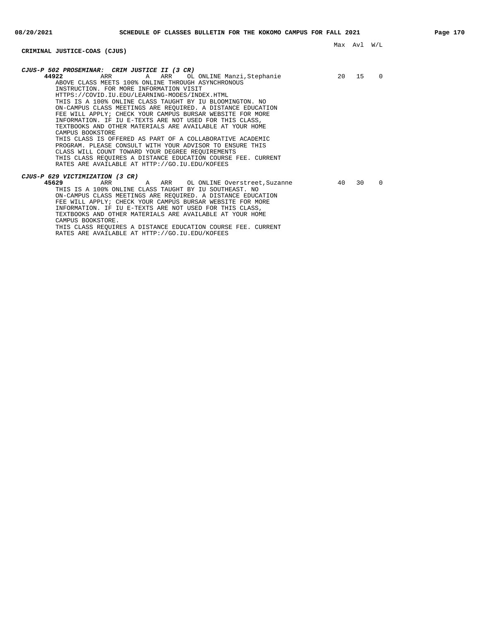## **CRIMINAL JUSTICE-COAS (CJUS)**

| CJUS-P 502 PROSEMINAR: CRIM JUSTICE II (3 CR)                |       |    |          |
|--------------------------------------------------------------|-------|----|----------|
| 44922<br>A ARR<br>OL ONLINE Manzi,Stephanie<br>ARR           | 20 15 |    | $\Omega$ |
| ABOVE CLASS MEETS 100% ONLINE THROUGH ASYNCHRONOUS           |       |    |          |
| INSTRUCTION. FOR MORE INFORMATION VISIT                      |       |    |          |
| HTTPS://COVID.IU.EDU/LEARNING-MODES/INDEX.HTML               |       |    |          |
| THIS IS A 100% ONLINE CLASS TAUGHT BY IU BLOOMINGTON. NO     |       |    |          |
| ON-CAMPUS CLASS MEETINGS ARE REQUIRED. A DISTANCE EDUCATION  |       |    |          |
| FEE WILL APPLY; CHECK YOUR CAMPUS BURSAR WEBSITE FOR MORE    |       |    |          |
| INFORMATION. IF IU E-TEXTS ARE NOT USED FOR THIS CLASS,      |       |    |          |
| TEXTBOOKS AND OTHER MATERIALS ARE AVAILABLE AT YOUR HOME     |       |    |          |
| CAMPUS BOOKSTORE                                             |       |    |          |
| THIS CLASS IS OFFERED AS PART OF A COLLABORATIVE ACADEMIC    |       |    |          |
| PROGRAM. PLEASE CONSULT WITH YOUR ADVISOR TO ENSURE THIS     |       |    |          |
|                                                              |       |    |          |
| CLASS WILL COUNT TOWARD YOUR DEGREE REOUIREMENTS             |       |    |          |
| THIS CLASS REQUIRES A DISTANCE EDUCATION COURSE FEE. CURRENT |       |    |          |
| RATES ARE AVAILABLE AT HTTP://GO.IU.EDU/KOFEES               |       |    |          |
|                                                              |       |    |          |
| CJUS-P 629 VICTIMIZATION (3 CR)                              |       |    |          |
| 45629<br>ARR<br>ARR<br>OL ONLINE Overstreet, Suzanne<br>Α    | 40    | 30 | $\Omega$ |
| THIS IS A 100% ONLINE CLASS TAUGHT BY IU SOUTHEAST. NO       |       |    |          |
| ON-CAMPUS CLASS MEETINGS ARE REOUIRED. A DISTANCE EDUCATION  |       |    |          |
| FEE WILL APPLY; CHECK YOUR CAMPUS BURSAR WEBSITE FOR MORE    |       |    |          |
| INFORMATION. IF IU E-TEXTS ARE NOT USED FOR THIS CLASS,      |       |    |          |
| TEXTBOOKS AND OTHER MATERIALS ARE AVAILABLE AT YOUR HOME     |       |    |          |

CAMPUS BOOKSTORE. THIS CLASS REQUIRES A DISTANCE EDUCATION COURSE FEE. CURRENT

RATES ARE AVAILABLE AT HTTP://GO.IU.EDU/KOFEES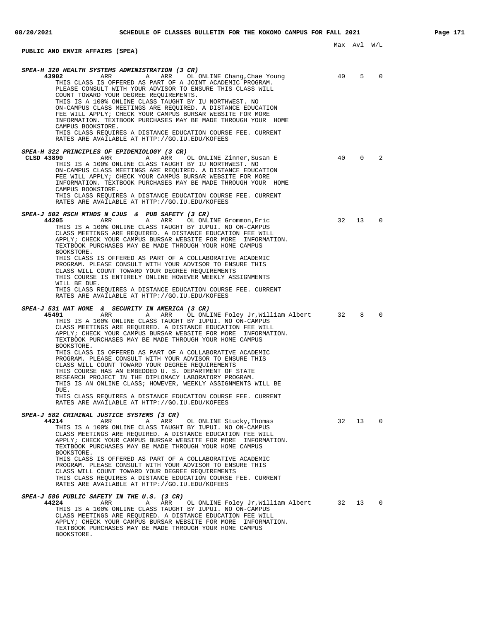## **PUBLIC AND ENVIR AFFAIRS (SPEA)**

| SPEA-H 320 HEALTH SYSTEMS ADMINISTRATION (3 CR)<br>43902<br>ARR<br>ARR<br>Α<br>OL ONLINE Chang, Chae Young<br>THIS CLASS IS OFFERED AS PART OF A JOINT ACADEMIC PROGRAM.<br>PLEASE CONSULT WITH YOUR ADVISOR TO ENSURE THIS CLASS WILL<br>COUNT TOWARD YOUR DEGREE REQUIREMENTS.<br>THIS IS A 100% ONLINE CLASS TAUGHT BY IU NORTHWEST. NO<br>ON-CAMPUS CLASS MEETINGS ARE REQUIRED. A DISTANCE EDUCATION<br>FEE WILL APPLY; CHECK YOUR CAMPUS BURSAR WEBSITE FOR MORE<br>INFORMATION. TEXTBOOK PURCHASES MAY BE MADE THROUGH YOUR HOME<br>CAMPUS BOOKSTORE.<br>THIS CLASS REQUIRES A DISTANCE EDUCATION COURSE FEE. CURRENT<br>RATES ARE AVAILABLE AT HTTP://GO.IU.EDU/KOFEES                                                                                                                                                                                                      | 40 | 5           | $\Omega$    |
|-------------------------------------------------------------------------------------------------------------------------------------------------------------------------------------------------------------------------------------------------------------------------------------------------------------------------------------------------------------------------------------------------------------------------------------------------------------------------------------------------------------------------------------------------------------------------------------------------------------------------------------------------------------------------------------------------------------------------------------------------------------------------------------------------------------------------------------------------------------------------------------|----|-------------|-------------|
| SPEA-H 322 PRINCIPLES OF EPIDEMIOLOGY (3 CR)<br>CLSD 43890<br>ARR<br>ARR<br>OL ONLINE Zinner, Susan E<br>Α<br>THIS IS A 100% ONLINE CLASS TAUGHT BY IU NORTHWEST. NO<br>ON-CAMPUS CLASS MEETINGS ARE REQUIRED. A DISTANCE EDUCATION<br>FEE WILL APPLY; CHECK YOUR CAMPUS BURSAR WEBSITE FOR MORE<br>INFORMATION. TEXTBOOK PURCHASES MAY BE MADE THROUGH YOUR HOME<br>CAMPUS BOOKSTORE.<br>THIS CLASS REQUIRES A DISTANCE EDUCATION COURSE FEE. CURRENT<br>RATES ARE AVAILABLE AT HTTP://GO.IU.EDU/KOFEES                                                                                                                                                                                                                                                                                                                                                                            | 40 | $\mathbf 0$ | 2           |
| SPEA-J 502 RSCH MTHDS N CJUS & PUB SAFETY (3 CR)<br>44205<br>ARR<br>ARR<br>Α<br>OL ONLINE Grommon, Eric<br>THIS IS A 100% ONLINE CLASS TAUGHT BY IUPUI. NO ON-CAMPUS<br>CLASS MEETINGS ARE REQUIRED. A DISTANCE EDUCATION FEE WILL<br>APPLY; CHECK YOUR CAMPUS BURSAR WEBSITE FOR MORE INFORMATION.<br>TEXTBOOK PURCHASES MAY BE MADE THROUGH YOUR HOME CAMPUS<br>BOOKSTORE.<br>THIS CLASS IS OFFERED AS PART OF A COLLABORATIVE ACADEMIC<br>PROGRAM. PLEASE CONSULT WITH YOUR ADVISOR TO ENSURE THIS<br>CLASS WILL COUNT TOWARD YOUR DEGREE REQUIREMENTS<br>THIS COURSE IS ENTIRELY ONLINE HOWEVER WEEKLY ASSIGNMENTS<br>WILL BE DUE.<br>THIS CLASS REQUIRES A DISTANCE EDUCATION COURSE FEE. CURRENT<br>RATES ARE AVAILABLE AT HTTP://GO.IU.EDU/KOFEES                                                                                                                            | 32 | 13          | $\Omega$    |
| SPEA-J 531 NAT HOME<br>& SECURITY IN AMERICA (3 CR)<br>45491<br>ARR<br>Α<br>ARR<br>OL ONLINE Foley Jr, William Albert<br>THIS IS A 100% ONLINE CLASS TAUGHT BY IUPUI. NO ON-CAMPUS<br>CLASS MEETINGS ARE REQUIRED. A DISTANCE EDUCATION FEE WILL<br>APPLY; CHECK YOUR CAMPUS BURSAR WEBSITE FOR MORE INFORMATION.<br>TEXTBOOK PURCHASES MAY BE MADE THROUGH YOUR HOME CAMPUS<br>BOOKSTORE.<br>THIS CLASS IS OFFERED AS PART OF A COLLABORATIVE ACADEMIC<br>PROGRAM. PLEASE CONSULT WITH YOUR ADVISOR TO ENSURE THIS<br>CLASS WILL COUNT TOWARD YOUR DEGREE REQUIREMENTS<br>THIS COURSE HAS AN EMBEDDED U. S. DEPARTMENT OF STATE<br>RESEARCH PROJECT IN THE DIPLOMACY LABORATORY PROGRAM.<br>THIS IS AN ONLINE CLASS; HOWEVER, WEEKLY ASSIGNMENTS WILL BE<br>DUE.<br>THIS CLASS REQUIRES A DISTANCE EDUCATION COURSE FEE. CURRENT<br>RATES ARE AVAILABLE AT HTTP://GO.IU.EDU/KOFEES | 32 | 8           | $\Omega$    |
| SPEA-J 582 CRIMINAL JUSTICE SYSTEMS (3 CR)<br>A<br>OL ONLINE Stucky, Thomas<br>44214<br>ARR<br>ARR<br>THIS IS A 100% ONLINE CLASS TAUGHT BY IUPUI. NO ON-CAMPUS<br>CLASS MEETINGS ARE REQUIRED. A DISTANCE EDUCATION FEE WILL<br>APPLY; CHECK YOUR CAMPUS BURSAR WEBSITE FOR MORE INFORMATION.<br>TEXTBOOK PURCHASES MAY BE MADE THROUGH YOUR HOME CAMPUS<br>BOOKSTORE.<br>THIS CLASS IS OFFERED AS PART OF A COLLABORATIVE ACADEMIC<br>PROGRAM. PLEASE CONSULT WITH YOUR ADVISOR TO ENSURE THIS<br>CLASS WILL COUNT TOWARD YOUR DEGREE REOUIREMENTS<br>THIS CLASS REQUIRES A DISTANCE EDUCATION COURSE FEE. CURRENT<br>RATES ARE AVAILABLE AT HTTP://GO.IU.EDU/KOFEES                                                                                                                                                                                                              | 32 | 13          | 0           |
| SPEA-J 586 PUBLIC SAFETY IN THE U.S. (3 CR)<br>44224<br>ARR<br>ARR<br>OL ONLINE Foley Jr,William Albert<br>Α<br>THIS IS A 100% ONLINE CLASS TAUGHT BY IUPUI. NO ON-CAMPUS<br>CLASS MEETINGS ARE REOUIRED. A DISTANCE EDUCATION FEE WILL<br>APPLY; CHECK YOUR CAMPUS BURSAR WEBSITE FOR MORE INFORMATION.<br>TEXTBOOK PURCHASES MAY BE MADE THROUGH YOUR HOME CAMPUS<br>BOOKSTORE.                                                                                                                                                                                                                                                                                                                                                                                                                                                                                                   | 32 | 13          | $\mathbf 0$ |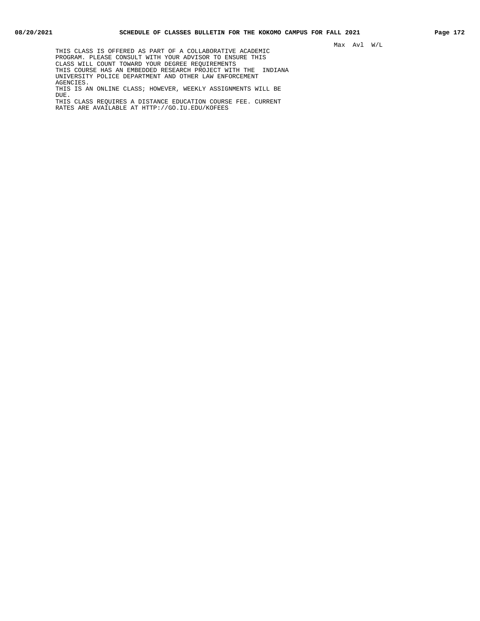THIS CLASS IS OFFERED AS PART OF A COLLABORATIVE ACADEMIC PROGRAM. PLEASE CONSULT WITH YOUR ADVISOR TO ENSURE THIS CLASS WILL COUNT TOWARD YOUR DEGREE REQUIREMENTS THIS COURSE HAS AN EMBEDDED RESEARCH PROJECT WITH THE INDIANA UNIVERSITY POLICE DEPARTMENT AND OTHER LAW ENFORCEMENT AGENCIES. THIS IS AN ONLINE CLASS; HOWEVER, WEEKLY ASSIGNMENTS WILL BE DUE. THIS CLASS REQUIRES A DISTANCE EDUCATION COURSE FEE. CURRENT

RATES ARE AVAILABLE AT HTTP://GO.IU.EDU/KOFEES